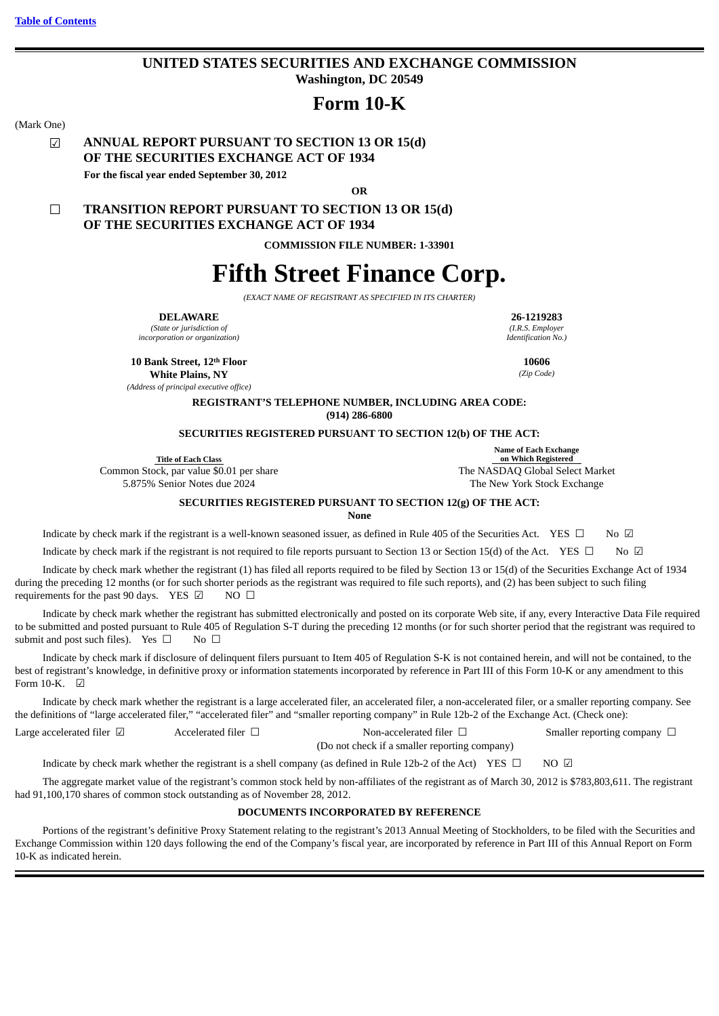# **UNITED STATES SECURITIES AND EXCHANGE COMMISSION Washington, DC 20549**

**Form 10-K**

(Mark One)

☑ **ANNUAL REPORT PURSUANT TO SECTION 13 OR 15(d) OF THE SECURITIES EXCHANGE ACT OF 1934 For the fiscal year ended September 30, 2012**

**OR**

☐ **TRANSITION REPORT PURSUANT TO SECTION 13 OR 15(d) OF THE SECURITIES EXCHANGE ACT OF 1934**

**COMMISSION FILE NUMBER: 1-33901**

# **Fifth Street Finance Corp.**

*(EXACT NAME OF REGISTRANT AS SPECIFIED IN ITS CHARTER)*

**DELAWARE 26-1219283**

*(State or jurisdiction of incorporation or organization)*

10 Bank Street, 12<sup>th</sup> Floor

**White Plains, NY** *(Address of principal executive office)*

> **REGISTRANT'S TELEPHONE NUMBER, INCLUDING AREA CODE: (914) 286-6800**

## **SECURITIES REGISTERED PURSUANT TO SECTION 12(b) OF THE ACT:**

**Title of Each Class** Common Stock, par value \$0.01 per share 5.875% Senior Notes due 2024

**on Which Registered** The NASDAQ Global Select Market The New York Stock Exchange

**SECURITIES REGISTERED PURSUANT TO SECTION 12(g) OF THE ACT:**

**None**

Indicate by check mark if the registrant is a well-known seasoned issuer, as defined in Rule 405 of the Securities Act. YES  $\Box$  No  $\Box$ 

Indicate by check mark if the registrant is not required to file reports pursuant to Section 13 or Section 15(d) of the Act. YES  $\Box$  No  $\Box$ 

Indicate by check mark whether the registrant (1) has filed all reports required to be filed by Section 13 or 15(d) of the Securities Exchange Act of 1934 during the preceding 12 months (or for such shorter periods as the registrant was required to file such reports), and (2) has been subject to such filing requirements for the past 90 days. YES  $\boxtimes$  NO  $\Box$ 

Indicate by check mark whether the registrant has submitted electronically and posted on its corporate Web site, if any, every Interactive Data File required to be submitted and posted pursuant to Rule 405 of Regulation S-T during the preceding 12 months (or for such shorter period that the registrant was required to submit and post such files). Yes  $\Box$  No  $\Box$ 

Indicate by check mark if disclosure of delinquent filers pursuant to Item 405 of Regulation S-K is not contained herein, and will not be contained, to the best of registrant's knowledge, in definitive proxy or information statements incorporated by reference in Part III of this Form 10-K or any amendment to this Form 10-K. **☑** 

Indicate by check mark whether the registrant is a large accelerated filer, an accelerated filer, a non-accelerated filer, or a smaller reporting company. See the definitions of "large accelerated filer," "accelerated filer" and "smaller reporting company" in Rule 12b-2 of the Exchange Act. (Check one):

| Large accelerated filer $\boxtimes$ | Accelerated filer [ | Non-accelerated filer $\Box$                  | Smaller reporting company $\Box$ |
|-------------------------------------|---------------------|-----------------------------------------------|----------------------------------|
|                                     |                     | (Do not check if a smaller reporting company) |                                  |

Indicate by check mark whether the registrant is a shell company (as defined in Rule 12b-2 of the Act) YES  $\Box$  NO  $\Box$ 

The aggregate market value of the registrant's common stock held by non-affiliates of the registrant as of March 30, 2012 is \$783,803,611. The registrant had 91,100,170 shares of common stock outstanding as of November 28, 2012.

# **DOCUMENTS INCORPORATED BY REFERENCE**

Portions of the registrant's definitive Proxy Statement relating to the registrant's 2013 Annual Meeting of Stockholders, to be filed with the Securities and Exchange Commission within 120 days following the end of the Company's fiscal year, are incorporated by reference in Part III of this Annual Report on Form 10-K as indicated herein.

*(I.R.S. Employer Identification No.)*

> **10606** *(Zip Code)*

**Name of Each Exchange**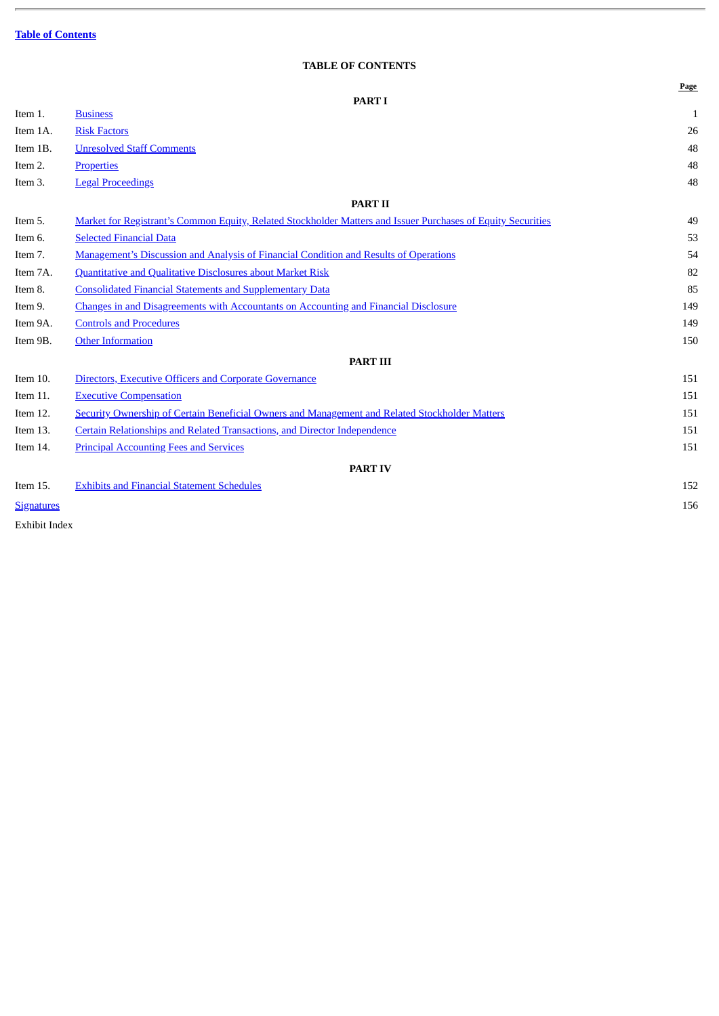Ē.

# **TABLE OF CONTENTS**

<span id="page-1-0"></span>

|                   |                                                                                                              | Page |
|-------------------|--------------------------------------------------------------------------------------------------------------|------|
|                   | <b>PART I</b>                                                                                                |      |
| Item 1.           | <b>Business</b>                                                                                              | 1    |
| Item 1A.          | <b>Risk Factors</b>                                                                                          | 26   |
| Item 1B.          | <b>Unresolved Staff Comments</b>                                                                             | 48   |
| Item 2.           | <b>Properties</b>                                                                                            | 48   |
| Item 3.           | <b>Legal Proceedings</b>                                                                                     | 48   |
|                   | <b>PART II</b>                                                                                               |      |
| Item 5.           | Market for Registrant's Common Equity, Related Stockholder Matters and Issuer Purchases of Equity Securities | 49   |
| Item 6.           | <b>Selected Financial Data</b>                                                                               | 53   |
| Item 7.           | <b>Management's Discussion and Analysis of Financial Condition and Results of Operations</b>                 | 54   |
| Item 7A.          | Quantitative and Qualitative Disclosures about Market Risk                                                   | 82   |
| Item 8.           | <b>Consolidated Financial Statements and Supplementary Data</b>                                              | 85   |
| Item 9.           | Changes in and Disagreements with Accountants on Accounting and Financial Disclosure                         | 149  |
| Item 9A.          | <b>Controls and Procedures</b>                                                                               | 149  |
| Item 9B.          | <b>Other Information</b>                                                                                     | 150  |
|                   | <b>PART III</b>                                                                                              |      |
| Item 10.          | Directors, Executive Officers and Corporate Governance                                                       | 151  |
| Item 11.          | <b>Executive Compensation</b>                                                                                | 151  |
| Item 12.          | Security Ownership of Certain Beneficial Owners and Management and Related Stockholder Matters               | 151  |
| Item 13.          | Certain Relationships and Related Transactions, and Director Independence                                    | 151  |
| Item 14.          | <b>Principal Accounting Fees and Services</b>                                                                | 151  |
|                   | <b>PART IV</b>                                                                                               |      |
| Item 15.          | <b>Exhibits and Financial Statement Schedules</b>                                                            | 152  |
| <b>Signatures</b> |                                                                                                              | 156  |
| Exhibit Index     |                                                                                                              |      |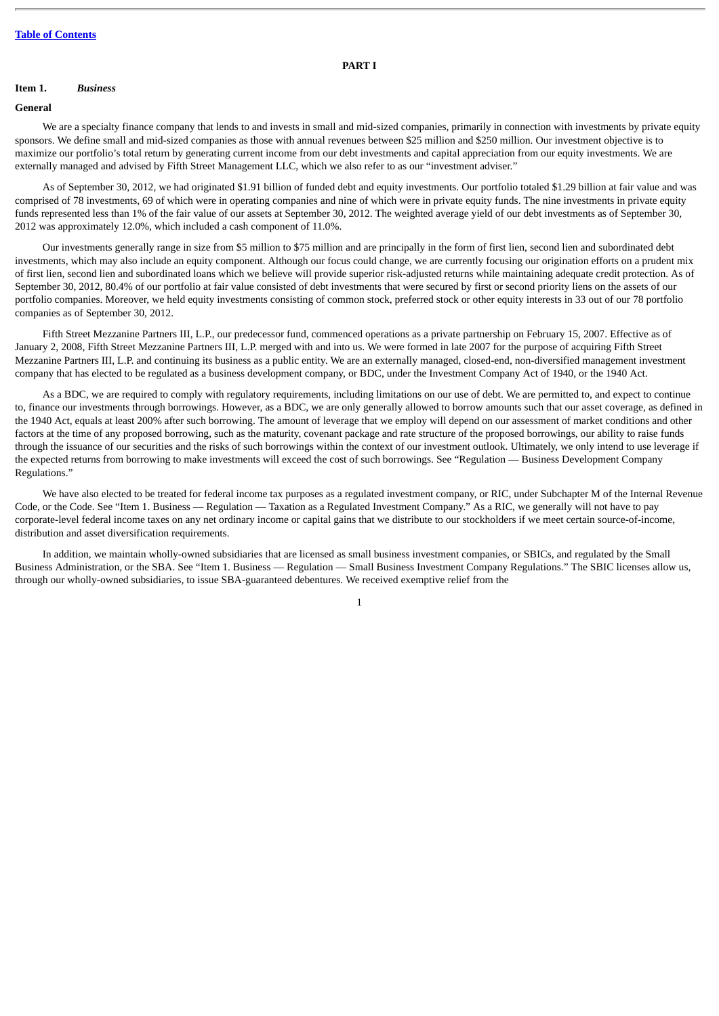## **PART I**

# <span id="page-2-0"></span>**Item 1.** *Business*

#### **General**

We are a specialty finance company that lends to and invests in small and mid-sized companies, primarily in connection with investments by private equity sponsors. We define small and mid-sized companies as those with annual revenues between \$25 million and \$250 million. Our investment objective is to maximize our portfolio's total return by generating current income from our debt investments and capital appreciation from our equity investments. We are externally managed and advised by Fifth Street Management LLC, which we also refer to as our "investment adviser."

As of September 30, 2012, we had originated \$1.91 billion of funded debt and equity investments. Our portfolio totaled \$1.29 billion at fair value and was comprised of 78 investments, 69 of which were in operating companies and nine of which were in private equity funds. The nine investments in private equity funds represented less than 1% of the fair value of our assets at September 30, 2012. The weighted average yield of our debt investments as of September 30, 2012 was approximately 12.0%, which included a cash component of 11.0%.

Our investments generally range in size from \$5 million to \$75 million and are principally in the form of first lien, second lien and subordinated debt investments, which may also include an equity component. Although our focus could change, we are currently focusing our origination efforts on a prudent mix of first lien, second lien and subordinated loans which we believe will provide superior risk-adjusted returns while maintaining adequate credit protection. As of September 30, 2012, 80.4% of our portfolio at fair value consisted of debt investments that were secured by first or second priority liens on the assets of our portfolio companies. Moreover, we held equity investments consisting of common stock, preferred stock or other equity interests in 33 out of our 78 portfolio companies as of September 30, 2012.

Fifth Street Mezzanine Partners III, L.P., our predecessor fund, commenced operations as a private partnership on February 15, 2007. Effective as of January 2, 2008, Fifth Street Mezzanine Partners III, L.P. merged with and into us. We were formed in late 2007 for the purpose of acquiring Fifth Street Mezzanine Partners III, L.P. and continuing its business as a public entity. We are an externally managed, closed-end, non-diversified management investment company that has elected to be regulated as a business development company, or BDC, under the Investment Company Act of 1940, or the 1940 Act.

As a BDC, we are required to comply with regulatory requirements, including limitations on our use of debt. We are permitted to, and expect to continue to, finance our investments through borrowings. However, as a BDC, we are only generally allowed to borrow amounts such that our asset coverage, as defined in the 1940 Act, equals at least 200% after such borrowing. The amount of leverage that we employ will depend on our assessment of market conditions and other factors at the time of any proposed borrowing, such as the maturity, covenant package and rate structure of the proposed borrowings, our ability to raise funds through the issuance of our securities and the risks of such borrowings within the context of our investment outlook. Ultimately, we only intend to use leverage if the expected returns from borrowing to make investments will exceed the cost of such borrowings. See "Regulation — Business Development Company Regulations."

We have also elected to be treated for federal income tax purposes as a regulated investment company, or RIC, under Subchapter M of the Internal Revenue Code, or the Code. See "Item 1. Business — Regulation — Taxation as a Regulated Investment Company." As a RIC, we generally will not have to pay corporate-level federal income taxes on any net ordinary income or capital gains that we distribute to our stockholders if we meet certain source-of-income, distribution and asset diversification requirements.

In addition, we maintain wholly-owned subsidiaries that are licensed as small business investment companies, or SBICs, and regulated by the Small Business Administration, or the SBA. See "Item 1. Business — Regulation — Small Business Investment Company Regulations." The SBIC licenses allow us, through our wholly-owned subsidiaries, to issue SBA-guaranteed debentures. We received exemptive relief from the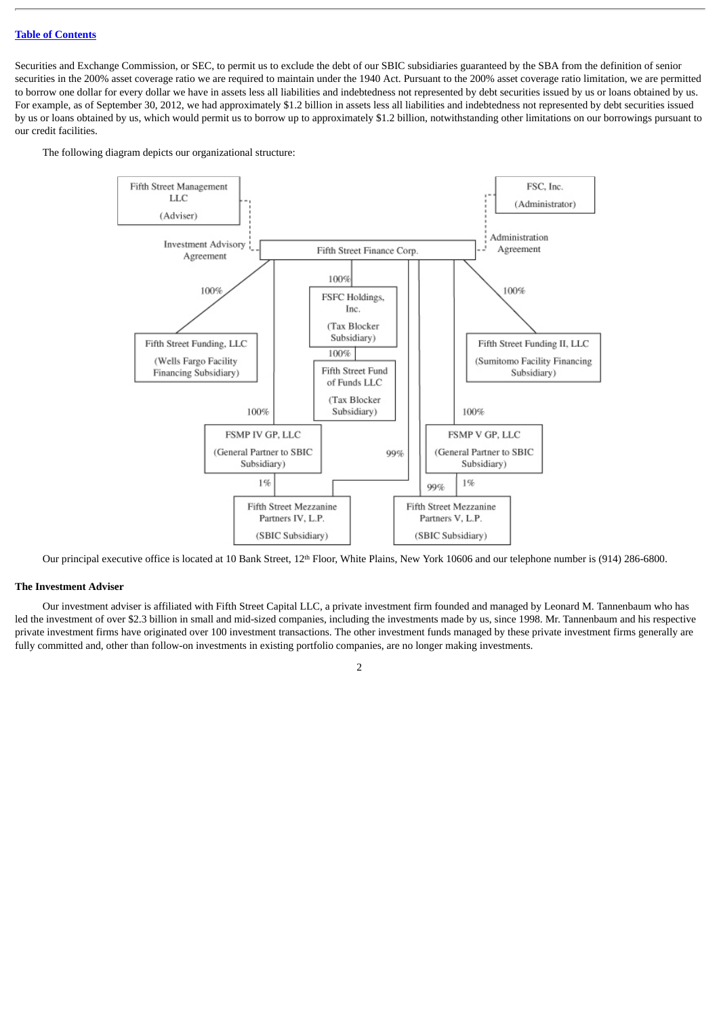Securities and Exchange Commission, or SEC, to permit us to exclude the debt of our SBIC subsidiaries guaranteed by the SBA from the definition of senior securities in the 200% asset coverage ratio we are required to maintain under the 1940 Act. Pursuant to the 200% asset coverage ratio limitation, we are permitted to borrow one dollar for every dollar we have in assets less all liabilities and indebtedness not represented by debt securities issued by us or loans obtained by us. For example, as of September 30, 2012, we had approximately \$1.2 billion in assets less all liabilities and indebtedness not represented by debt securities issued by us or loans obtained by us, which would permit us to borrow up to approximately \$1.2 billion, notwithstanding other limitations on our borrowings pursuant to our credit facilities.

The following diagram depicts our organizational structure:



Our principal executive office is located at 10 Bank Street, 12<sup>th</sup> Floor, White Plains, New York 10606 and our telephone number is (914) 286-6800.

## **The Investment Adviser**

Our investment adviser is affiliated with Fifth Street Capital LLC, a private investment firm founded and managed by Leonard M. Tannenbaum who has led the investment of over \$2.3 billion in small and mid-sized companies, including the investments made by us, since 1998. Mr. Tannenbaum and his respective private investment firms have originated over 100 investment transactions. The other investment funds managed by these private investment firms generally are fully committed and, other than follow-on investments in existing portfolio companies, are no longer making investments.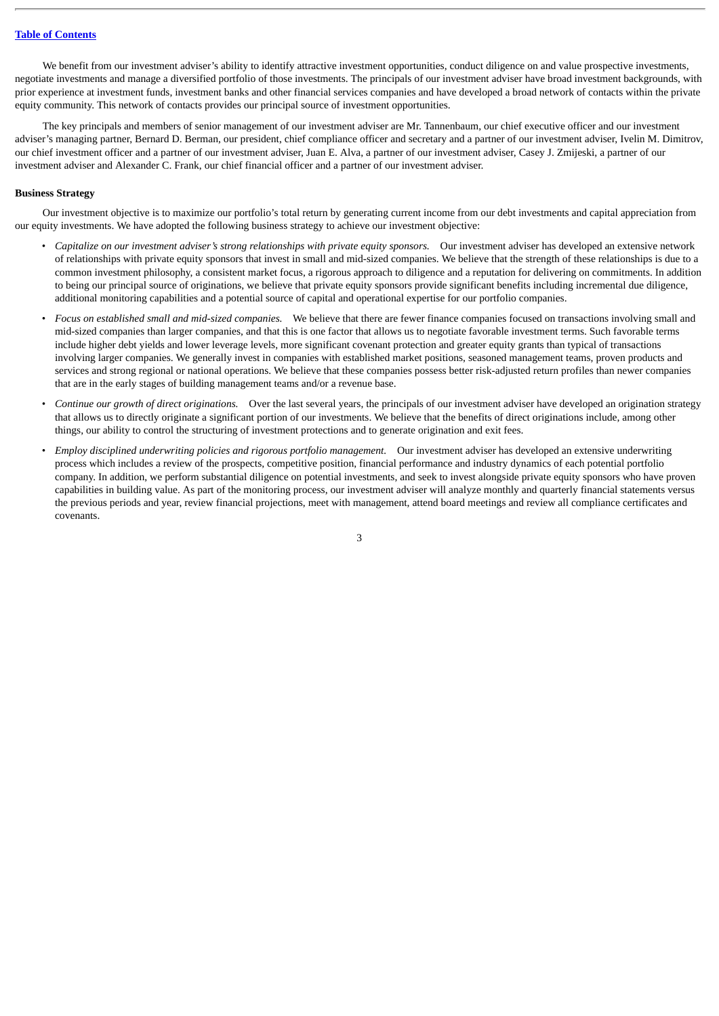We benefit from our investment adviser's ability to identify attractive investment opportunities, conduct diligence on and value prospective investments, negotiate investments and manage a diversified portfolio of those investments. The principals of our investment adviser have broad investment backgrounds, with prior experience at investment funds, investment banks and other financial services companies and have developed a broad network of contacts within the private equity community. This network of contacts provides our principal source of investment opportunities.

The key principals and members of senior management of our investment adviser are Mr. Tannenbaum, our chief executive officer and our investment adviser's managing partner, Bernard D. Berman, our president, chief compliance officer and secretary and a partner of our investment adviser, Ivelin M. Dimitrov, our chief investment officer and a partner of our investment adviser, Juan E. Alva, a partner of our investment adviser, Casey J. Zmijeski, a partner of our investment adviser and Alexander C. Frank, our chief financial officer and a partner of our investment adviser.

# **Business Strategy**

Our investment objective is to maximize our portfolio's total return by generating current income from our debt investments and capital appreciation from our equity investments. We have adopted the following business strategy to achieve our investment objective:

- *Capitalize on our investment adviser's strong relationships with private equity sponsors.* Our investment adviser has developed an extensive network of relationships with private equity sponsors that invest in small and mid-sized companies. We believe that the strength of these relationships is due to a common investment philosophy, a consistent market focus, a rigorous approach to diligence and a reputation for delivering on commitments. In addition to being our principal source of originations, we believe that private equity sponsors provide significant benefits including incremental due diligence, additional monitoring capabilities and a potential source of capital and operational expertise for our portfolio companies.
- *Focus on established small and mid-sized companies.* We believe that there are fewer finance companies focused on transactions involving small and mid-sized companies than larger companies, and that this is one factor that allows us to negotiate favorable investment terms. Such favorable terms include higher debt yields and lower leverage levels, more significant covenant protection and greater equity grants than typical of transactions involving larger companies. We generally invest in companies with established market positions, seasoned management teams, proven products and services and strong regional or national operations. We believe that these companies possess better risk-adjusted return profiles than newer companies that are in the early stages of building management teams and/or a revenue base.
- *Continue our growth of direct originations.* Over the last several years, the principals of our investment adviser have developed an origination strategy that allows us to directly originate a significant portion of our investments. We believe that the benefits of direct originations include, among other things, our ability to control the structuring of investment protections and to generate origination and exit fees.
- *Employ disciplined underwriting policies and rigorous portfolio management.* Our investment adviser has developed an extensive underwriting process which includes a review of the prospects, competitive position, financial performance and industry dynamics of each potential portfolio company. In addition, we perform substantial diligence on potential investments, and seek to invest alongside private equity sponsors who have proven capabilities in building value. As part of the monitoring process, our investment adviser will analyze monthly and quarterly financial statements versus the previous periods and year, review financial projections, meet with management, attend board meetings and review all compliance certificates and covenants.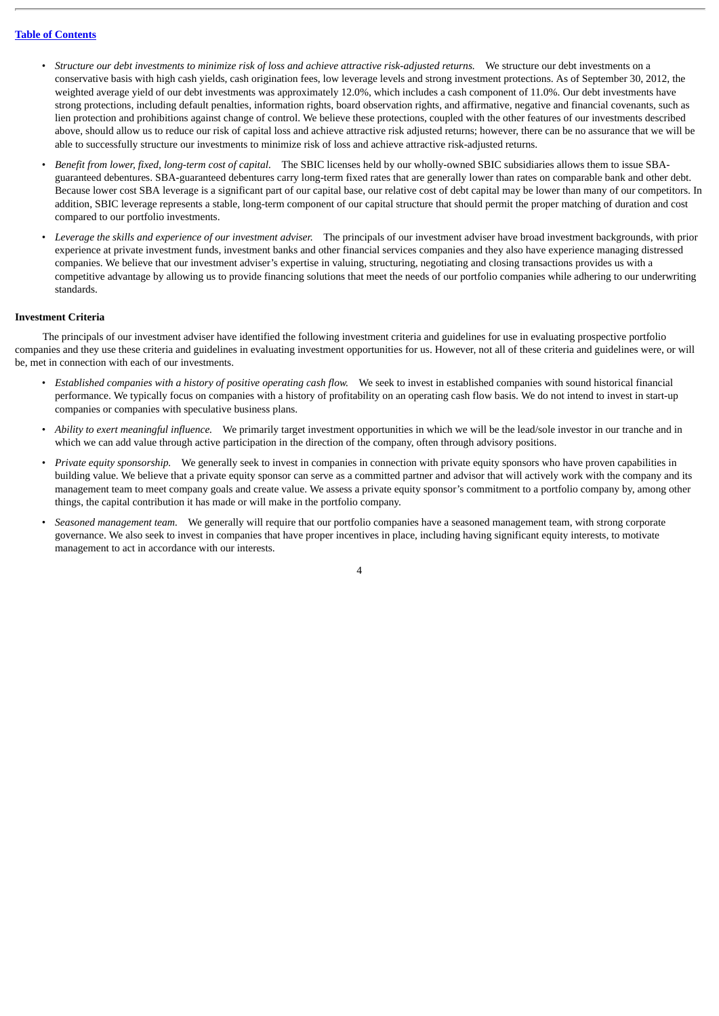- *Structure our debt investments to minimize risk of loss and achieve attractive risk-adjusted returns.* We structure our debt investments on a conservative basis with high cash yields, cash origination fees, low leverage levels and strong investment protections. As of September 30, 2012, the weighted average yield of our debt investments was approximately 12.0%, which includes a cash component of 11.0%. Our debt investments have strong protections, including default penalties, information rights, board observation rights, and affirmative, negative and financial covenants, such as lien protection and prohibitions against change of control. We believe these protections, coupled with the other features of our investments described above, should allow us to reduce our risk of capital loss and achieve attractive risk adjusted returns; however, there can be no assurance that we will be able to successfully structure our investments to minimize risk of loss and achieve attractive risk-adjusted returns.
- *Benefit from lower, fixed, long-term cost of capital.* The SBIC licenses held by our wholly-owned SBIC subsidiaries allows them to issue SBAguaranteed debentures. SBA-guaranteed debentures carry long-term fixed rates that are generally lower than rates on comparable bank and other debt. Because lower cost SBA leverage is a significant part of our capital base, our relative cost of debt capital may be lower than many of our competitors. In addition, SBIC leverage represents a stable, long-term component of our capital structure that should permit the proper matching of duration and cost compared to our portfolio investments.
- *Leverage the skills and experience of our investment adviser.* The principals of our investment adviser have broad investment backgrounds, with prior experience at private investment funds, investment banks and other financial services companies and they also have experience managing distressed companies. We believe that our investment adviser's expertise in valuing, structuring, negotiating and closing transactions provides us with a competitive advantage by allowing us to provide financing solutions that meet the needs of our portfolio companies while adhering to our underwriting standards.

## **Investment Criteria**

The principals of our investment adviser have identified the following investment criteria and guidelines for use in evaluating prospective portfolio companies and they use these criteria and guidelines in evaluating investment opportunities for us. However, not all of these criteria and guidelines were, or will be, met in connection with each of our investments.

- *Established companies with a history of positive operating cash flow.* We seek to invest in established companies with sound historical financial performance. We typically focus on companies with a history of profitability on an operating cash flow basis. We do not intend to invest in start-up companies or companies with speculative business plans.
- *Ability to exert meaningful influence.* We primarily target investment opportunities in which we will be the lead/sole investor in our tranche and in which we can add value through active participation in the direction of the company, often through advisory positions.
- *Private equity sponsorship.* We generally seek to invest in companies in connection with private equity sponsors who have proven capabilities in building value. We believe that a private equity sponsor can serve as a committed partner and advisor that will actively work with the company and its management team to meet company goals and create value. We assess a private equity sponsor's commitment to a portfolio company by, among other things, the capital contribution it has made or will make in the portfolio company.
- *Seasoned management team.* We generally will require that our portfolio companies have a seasoned management team, with strong corporate governance. We also seek to invest in companies that have proper incentives in place, including having significant equity interests, to motivate management to act in accordance with our interests.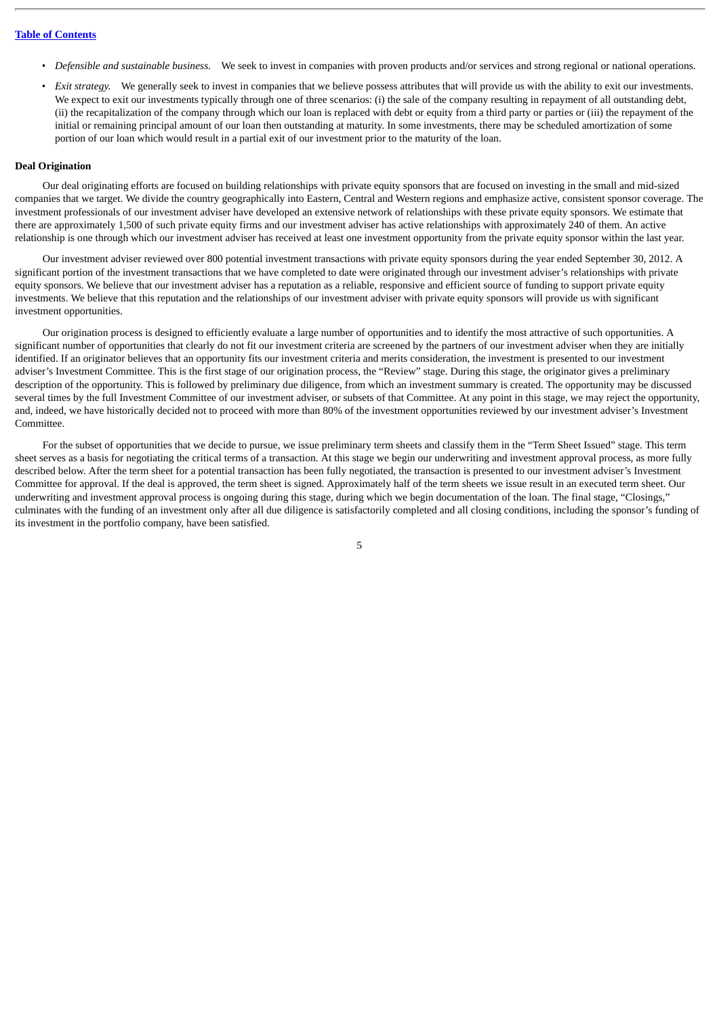- *Defensible and sustainable business.* We seek to invest in companies with proven products and/or services and strong regional or national operations.
- *Exit strategy.* We generally seek to invest in companies that we believe possess attributes that will provide us with the ability to exit our investments. We expect to exit our investments typically through one of three scenarios: (i) the sale of the company resulting in repayment of all outstanding debt, (ii) the recapitalization of the company through which our loan is replaced with debt or equity from a third party or parties or (iii) the repayment of the initial or remaining principal amount of our loan then outstanding at maturity. In some investments, there may be scheduled amortization of some portion of our loan which would result in a partial exit of our investment prior to the maturity of the loan.

# **Deal Origination**

Our deal originating efforts are focused on building relationships with private equity sponsors that are focused on investing in the small and mid-sized companies that we target. We divide the country geographically into Eastern, Central and Western regions and emphasize active, consistent sponsor coverage. The investment professionals of our investment adviser have developed an extensive network of relationships with these private equity sponsors. We estimate that there are approximately 1,500 of such private equity firms and our investment adviser has active relationships with approximately 240 of them. An active relationship is one through which our investment adviser has received at least one investment opportunity from the private equity sponsor within the last year.

Our investment adviser reviewed over 800 potential investment transactions with private equity sponsors during the year ended September 30, 2012. A significant portion of the investment transactions that we have completed to date were originated through our investment adviser's relationships with private equity sponsors. We believe that our investment adviser has a reputation as a reliable, responsive and efficient source of funding to support private equity investments. We believe that this reputation and the relationships of our investment adviser with private equity sponsors will provide us with significant investment opportunities.

Our origination process is designed to efficiently evaluate a large number of opportunities and to identify the most attractive of such opportunities. A significant number of opportunities that clearly do not fit our investment criteria are screened by the partners of our investment adviser when they are initially identified. If an originator believes that an opportunity fits our investment criteria and merits consideration, the investment is presented to our investment adviser's Investment Committee. This is the first stage of our origination process, the "Review" stage. During this stage, the originator gives a preliminary description of the opportunity. This is followed by preliminary due diligence, from which an investment summary is created. The opportunity may be discussed several times by the full Investment Committee of our investment adviser, or subsets of that Committee. At any point in this stage, we may reject the opportunity, and, indeed, we have historically decided not to proceed with more than 80% of the investment opportunities reviewed by our investment adviser's Investment Committee.

For the subset of opportunities that we decide to pursue, we issue preliminary term sheets and classify them in the "Term Sheet Issued" stage. This term sheet serves as a basis for negotiating the critical terms of a transaction. At this stage we begin our underwriting and investment approval process, as more fully described below. After the term sheet for a potential transaction has been fully negotiated, the transaction is presented to our investment adviser's Investment Committee for approval. If the deal is approved, the term sheet is signed. Approximately half of the term sheets we issue result in an executed term sheet. Our underwriting and investment approval process is ongoing during this stage, during which we begin documentation of the loan. The final stage, "Closings," culminates with the funding of an investment only after all due diligence is satisfactorily completed and all closing conditions, including the sponsor's funding of its investment in the portfolio company, have been satisfied.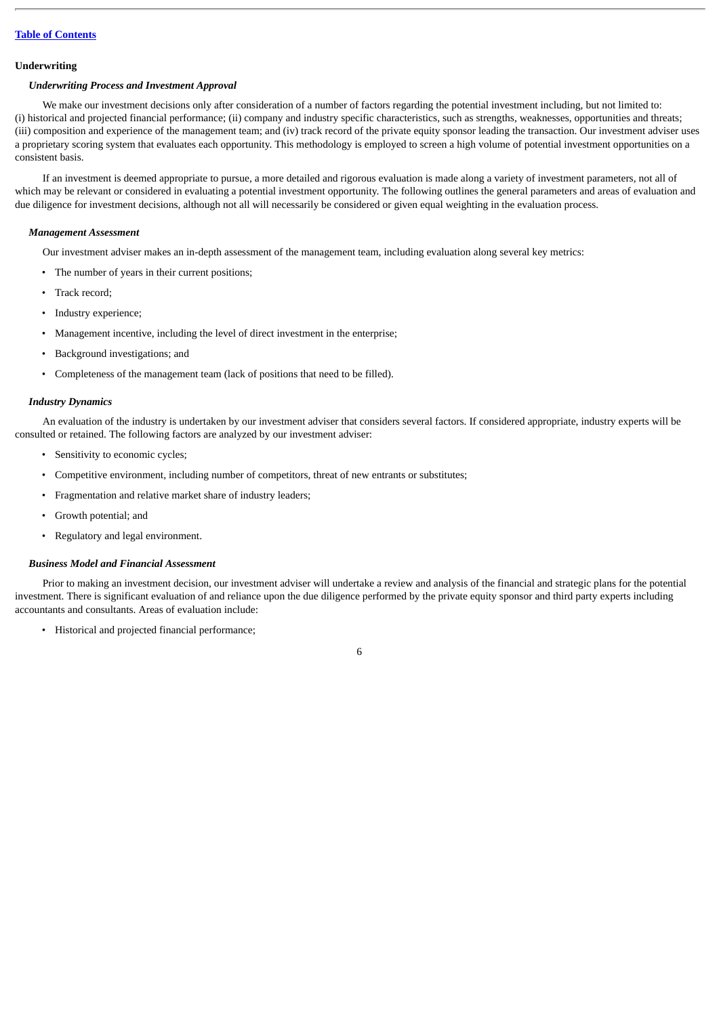## **Underwriting**

# *Underwriting Process and Investment Approval*

We make our investment decisions only after consideration of a number of factors regarding the potential investment including, but not limited to: (i) historical and projected financial performance; (ii) company and industry specific characteristics, such as strengths, weaknesses, opportunities and threats; (iii) composition and experience of the management team; and (iv) track record of the private equity sponsor leading the transaction. Our investment adviser uses a proprietary scoring system that evaluates each opportunity. This methodology is employed to screen a high volume of potential investment opportunities on a consistent basis.

If an investment is deemed appropriate to pursue, a more detailed and rigorous evaluation is made along a variety of investment parameters, not all of which may be relevant or considered in evaluating a potential investment opportunity. The following outlines the general parameters and areas of evaluation and due diligence for investment decisions, although not all will necessarily be considered or given equal weighting in the evaluation process.

## *Management Assessment*

Our investment adviser makes an in-depth assessment of the management team, including evaluation along several key metrics:

- The number of years in their current positions;
- Track record;
- Industry experience;
- Management incentive, including the level of direct investment in the enterprise;
- Background investigations; and
- Completeness of the management team (lack of positions that need to be filled).

#### *Industry Dynamics*

An evaluation of the industry is undertaken by our investment adviser that considers several factors. If considered appropriate, industry experts will be consulted or retained. The following factors are analyzed by our investment adviser:

- Sensitivity to economic cycles;
- Competitive environment, including number of competitors, threat of new entrants or substitutes;
- Fragmentation and relative market share of industry leaders;
- Growth potential; and
- Regulatory and legal environment.

# *Business Model and Financial Assessment*

Prior to making an investment decision, our investment adviser will undertake a review and analysis of the financial and strategic plans for the potential investment. There is significant evaluation of and reliance upon the due diligence performed by the private equity sponsor and third party experts including accountants and consultants. Areas of evaluation include:

• Historical and projected financial performance;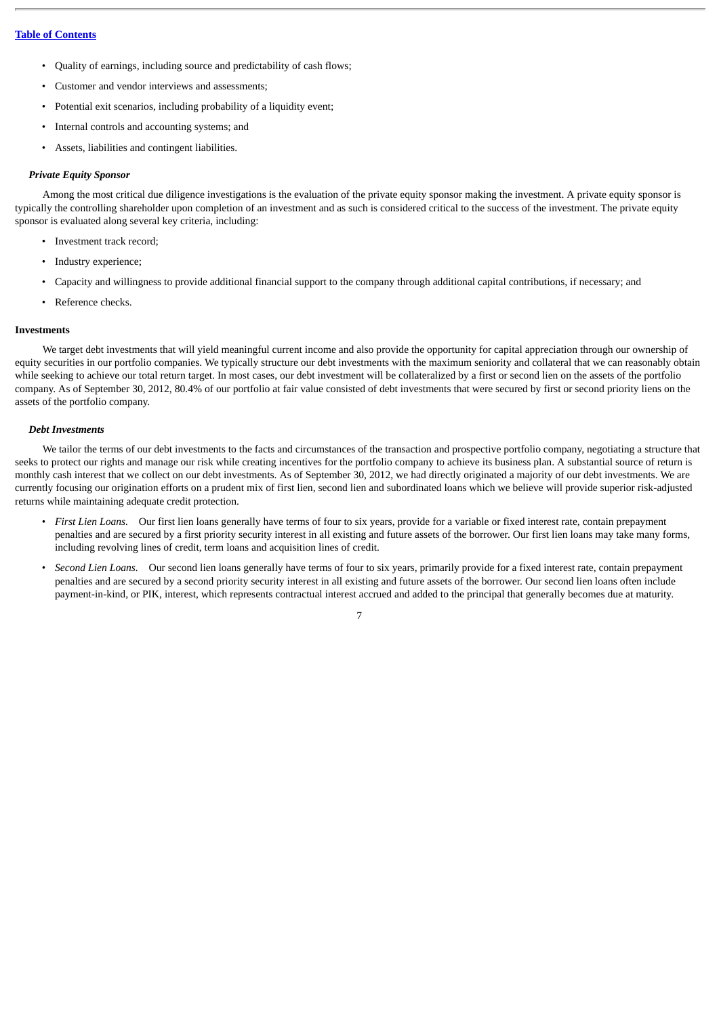- Quality of earnings, including source and predictability of cash flows;
- Customer and vendor interviews and assessments;
- Potential exit scenarios, including probability of a liquidity event;
- Internal controls and accounting systems; and
- Assets, liabilities and contingent liabilities.

#### *Private Equity Sponsor*

Among the most critical due diligence investigations is the evaluation of the private equity sponsor making the investment. A private equity sponsor is typically the controlling shareholder upon completion of an investment and as such is considered critical to the success of the investment. The private equity sponsor is evaluated along several key criteria, including:

- Investment track record;
- Industry experience:
- Capacity and willingness to provide additional financial support to the company through additional capital contributions, if necessary; and
- Reference checks.

#### **Investments**

We target debt investments that will yield meaningful current income and also provide the opportunity for capital appreciation through our ownership of equity securities in our portfolio companies. We typically structure our debt investments with the maximum seniority and collateral that we can reasonably obtain while seeking to achieve our total return target. In most cases, our debt investment will be collateralized by a first or second lien on the assets of the portfolio company. As of September 30, 2012, 80.4% of our portfolio at fair value consisted of debt investments that were secured by first or second priority liens on the assets of the portfolio company.

# *Debt Investments*

We tailor the terms of our debt investments to the facts and circumstances of the transaction and prospective portfolio company, negotiating a structure that seeks to protect our rights and manage our risk while creating incentives for the portfolio company to achieve its business plan. A substantial source of return is monthly cash interest that we collect on our debt investments. As of September 30, 2012, we had directly originated a majority of our debt investments. We are currently focusing our origination efforts on a prudent mix of first lien, second lien and subordinated loans which we believe will provide superior risk-adjusted returns while maintaining adequate credit protection.

- *First Lien Loans.* Our first lien loans generally have terms of four to six years, provide for a variable or fixed interest rate, contain prepayment penalties and are secured by a first priority security interest in all existing and future assets of the borrower. Our first lien loans may take many forms, including revolving lines of credit, term loans and acquisition lines of credit.
- *Second Lien Loans.* Our second lien loans generally have terms of four to six years, primarily provide for a fixed interest rate, contain prepayment penalties and are secured by a second priority security interest in all existing and future assets of the borrower. Our second lien loans often include payment-in-kind, or PIK, interest, which represents contractual interest accrued and added to the principal that generally becomes due at maturity.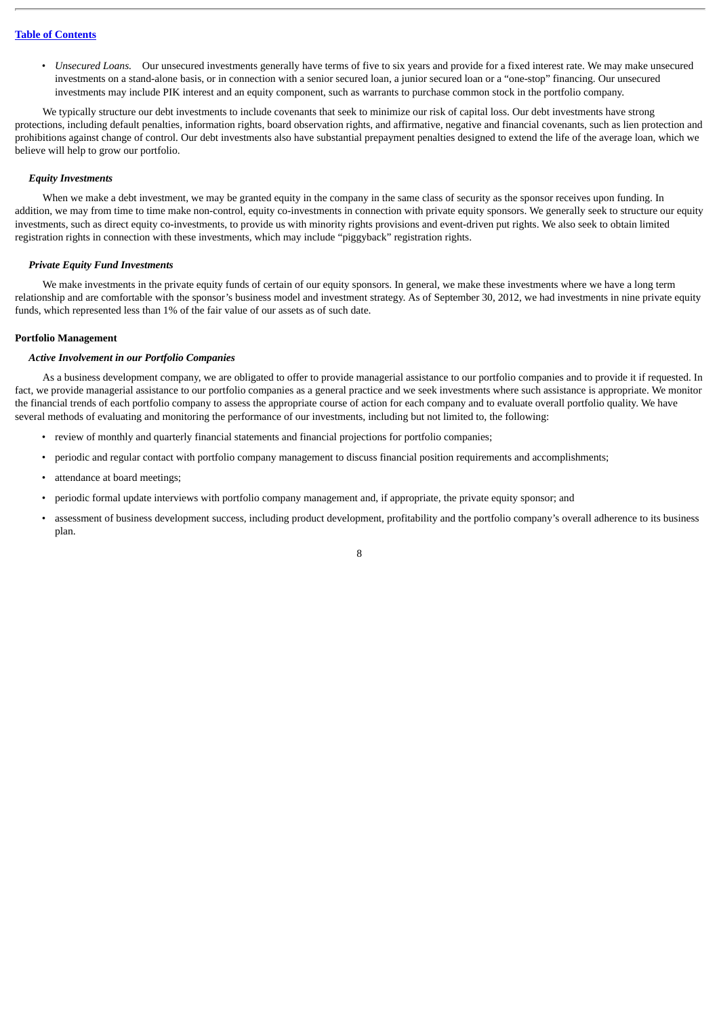• *Unsecured Loans.* Our unsecured investments generally have terms of five to six years and provide for a fixed interest rate. We may make unsecured investments on a stand-alone basis, or in connection with a senior secured loan, a junior secured loan or a "one-stop" financing. Our unsecured investments may include PIK interest and an equity component, such as warrants to purchase common stock in the portfolio company.

We typically structure our debt investments to include covenants that seek to minimize our risk of capital loss. Our debt investments have strong protections, including default penalties, information rights, board observation rights, and affirmative, negative and financial covenants, such as lien protection and prohibitions against change of control. Our debt investments also have substantial prepayment penalties designed to extend the life of the average loan, which we believe will help to grow our portfolio.

#### *Equity Investments*

When we make a debt investment, we may be granted equity in the company in the same class of security as the sponsor receives upon funding. In addition, we may from time to time make non-control, equity co-investments in connection with private equity sponsors. We generally seek to structure our equity investments, such as direct equity co-investments, to provide us with minority rights provisions and event-driven put rights. We also seek to obtain limited registration rights in connection with these investments, which may include "piggyback" registration rights.

#### *Private Equity Fund Investments*

We make investments in the private equity funds of certain of our equity sponsors. In general, we make these investments where we have a long term relationship and are comfortable with the sponsor's business model and investment strategy. As of September 30, 2012, we had investments in nine private equity funds, which represented less than 1% of the fair value of our assets as of such date.

# **Portfolio Management**

#### *Active Involvement in our Portfolio Companies*

As a business development company, we are obligated to offer to provide managerial assistance to our portfolio companies and to provide it if requested. In fact, we provide managerial assistance to our portfolio companies as a general practice and we seek investments where such assistance is appropriate. We monitor the financial trends of each portfolio company to assess the appropriate course of action for each company and to evaluate overall portfolio quality. We have several methods of evaluating and monitoring the performance of our investments, including but not limited to, the following:

- review of monthly and quarterly financial statements and financial projections for portfolio companies;
- periodic and regular contact with portfolio company management to discuss financial position requirements and accomplishments;
- attendance at board meetings;
- periodic formal update interviews with portfolio company management and, if appropriate, the private equity sponsor; and
- assessment of business development success, including product development, profitability and the portfolio company's overall adherence to its business plan.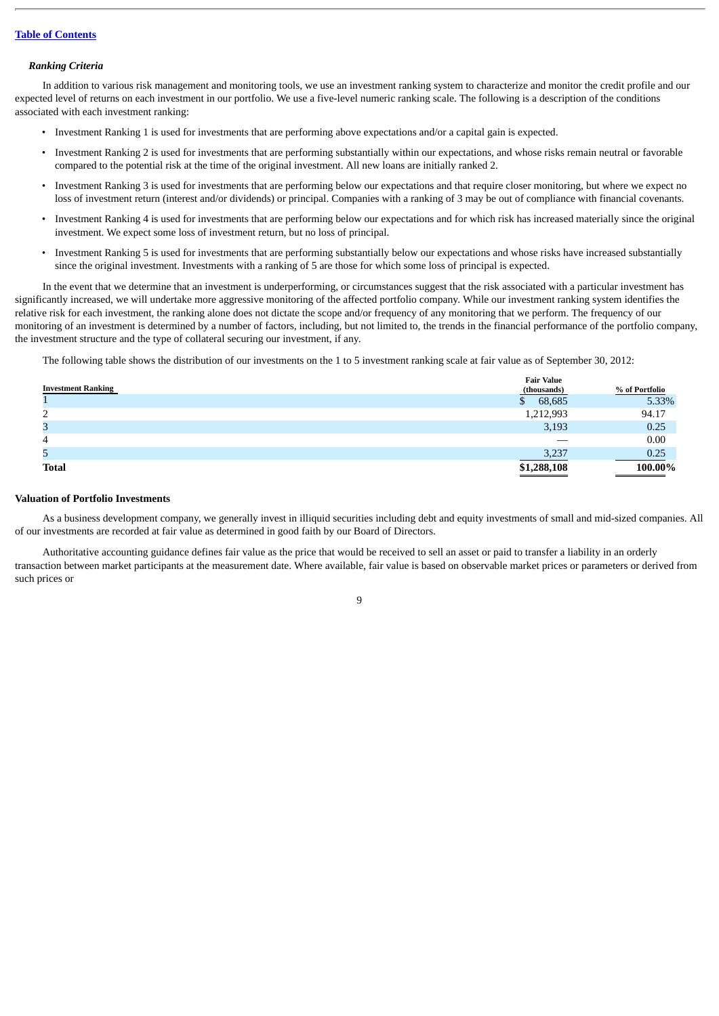## *Ranking Criteria*

In addition to various risk management and monitoring tools, we use an investment ranking system to characterize and monitor the credit profile and our expected level of returns on each investment in our portfolio. We use a five-level numeric ranking scale. The following is a description of the conditions associated with each investment ranking:

- Investment Ranking 1 is used for investments that are performing above expectations and/or a capital gain is expected.
- Investment Ranking 2 is used for investments that are performing substantially within our expectations, and whose risks remain neutral or favorable compared to the potential risk at the time of the original investment. All new loans are initially ranked 2.
- Investment Ranking 3 is used for investments that are performing below our expectations and that require closer monitoring, but where we expect no loss of investment return (interest and/or dividends) or principal. Companies with a ranking of 3 may be out of compliance with financial covenants.
- Investment Ranking 4 is used for investments that are performing below our expectations and for which risk has increased materially since the original investment. We expect some loss of investment return, but no loss of principal.
- Investment Ranking 5 is used for investments that are performing substantially below our expectations and whose risks have increased substantially since the original investment. Investments with a ranking of 5 are those for which some loss of principal is expected.

In the event that we determine that an investment is underperforming, or circumstances suggest that the risk associated with a particular investment has significantly increased, we will undertake more aggressive monitoring of the affected portfolio company. While our investment ranking system identifies the relative risk for each investment, the ranking alone does not dictate the scope and/or frequency of any monitoring that we perform. The frequency of our monitoring of an investment is determined by a number of factors, including, but not limited to, the trends in the financial performance of the portfolio company, the investment structure and the type of collateral securing our investment, if any.

The following table shows the distribution of our investments on the 1 to 5 investment ranking scale at fair value as of September 30, 2012:

|                           | <b>Fair Value</b> |                |
|---------------------------|-------------------|----------------|
| <b>Investment Ranking</b> | (thousands)       | % of Portfolio |
|                           | 68,685<br>D       | 5.33%          |
| 2                         | 1,212,993         | 94.17          |
| 3                         | 3,193             | 0.25           |
| $\overline{4}$            |                   | 0.00           |
| 5                         | 3,237             | 0.25           |
| <b>Total</b>              | \$1,288,108       | 100.00%        |

# **Valuation of Portfolio Investments**

As a business development company, we generally invest in illiquid securities including debt and equity investments of small and mid-sized companies. All of our investments are recorded at fair value as determined in good faith by our Board of Directors.

Authoritative accounting guidance defines fair value as the price that would be received to sell an asset or paid to transfer a liability in an orderly transaction between market participants at the measurement date. Where available, fair value is based on observable market prices or parameters or derived from such prices or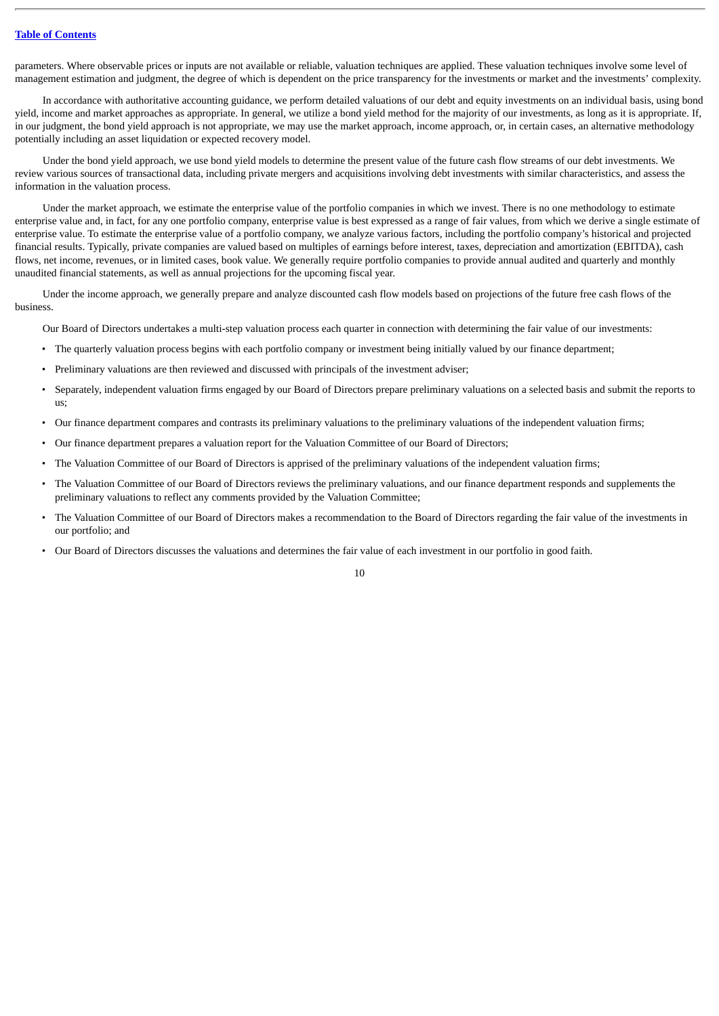parameters. Where observable prices or inputs are not available or reliable, valuation techniques are applied. These valuation techniques involve some level of management estimation and judgment, the degree of which is dependent on the price transparency for the investments or market and the investments' complexity.

In accordance with authoritative accounting guidance, we perform detailed valuations of our debt and equity investments on an individual basis, using bond yield, income and market approaches as appropriate. In general, we utilize a bond yield method for the majority of our investments, as long as it is appropriate. If, in our judgment, the bond yield approach is not appropriate, we may use the market approach, income approach, or, in certain cases, an alternative methodology potentially including an asset liquidation or expected recovery model.

Under the bond yield approach, we use bond yield models to determine the present value of the future cash flow streams of our debt investments. We review various sources of transactional data, including private mergers and acquisitions involving debt investments with similar characteristics, and assess the information in the valuation process.

Under the market approach, we estimate the enterprise value of the portfolio companies in which we invest. There is no one methodology to estimate enterprise value and, in fact, for any one portfolio company, enterprise value is best expressed as a range of fair values, from which we derive a single estimate of enterprise value. To estimate the enterprise value of a portfolio company, we analyze various factors, including the portfolio company's historical and projected financial results. Typically, private companies are valued based on multiples of earnings before interest, taxes, depreciation and amortization (EBITDA), cash flows, net income, revenues, or in limited cases, book value. We generally require portfolio companies to provide annual audited and quarterly and monthly unaudited financial statements, as well as annual projections for the upcoming fiscal year.

Under the income approach, we generally prepare and analyze discounted cash flow models based on projections of the future free cash flows of the business.

Our Board of Directors undertakes a multi-step valuation process each quarter in connection with determining the fair value of our investments:

- The quarterly valuation process begins with each portfolio company or investment being initially valued by our finance department;
- Preliminary valuations are then reviewed and discussed with principals of the investment adviser;
- Separately, independent valuation firms engaged by our Board of Directors prepare preliminary valuations on a selected basis and submit the reports to us;
- Our finance department compares and contrasts its preliminary valuations to the preliminary valuations of the independent valuation firms;
- Our finance department prepares a valuation report for the Valuation Committee of our Board of Directors;
- The Valuation Committee of our Board of Directors is apprised of the preliminary valuations of the independent valuation firms;
- The Valuation Committee of our Board of Directors reviews the preliminary valuations, and our finance department responds and supplements the preliminary valuations to reflect any comments provided by the Valuation Committee;
- The Valuation Committee of our Board of Directors makes a recommendation to the Board of Directors regarding the fair value of the investments in our portfolio; and
- Our Board of Directors discusses the valuations and determines the fair value of each investment in our portfolio in good faith.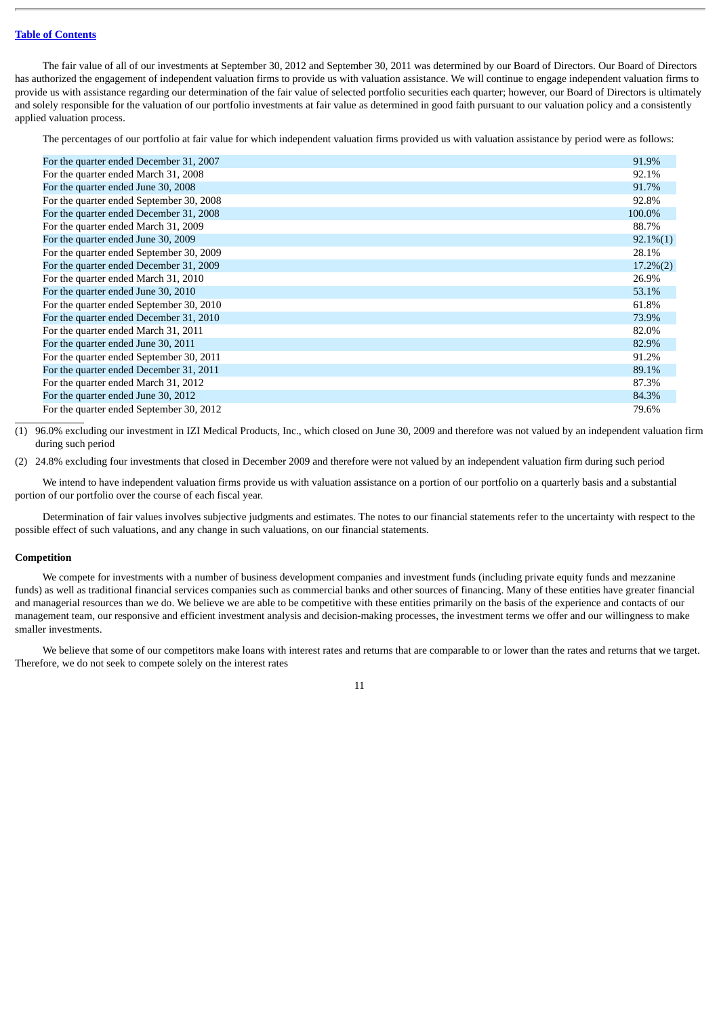The fair value of all of our investments at September 30, 2012 and September 30, 2011 was determined by our Board of Directors. Our Board of Directors has authorized the engagement of independent valuation firms to provide us with valuation assistance. We will continue to engage independent valuation firms to provide us with assistance regarding our determination of the fair value of selected portfolio securities each quarter; however, our Board of Directors is ultimately and solely responsible for the valuation of our portfolio investments at fair value as determined in good faith pursuant to our valuation policy and a consistently applied valuation process.

The percentages of our portfolio at fair value for which independent valuation firms provided us with valuation assistance by period were as follows:

| For the quarter ended December 31, 2007  | 91.9%       |
|------------------------------------------|-------------|
| For the quarter ended March 31, 2008     | 92.1%       |
| For the quarter ended June 30, 2008      | 91.7%       |
| For the quarter ended September 30, 2008 | 92.8%       |
| For the quarter ended December 31, 2008  | 100.0%      |
| For the quarter ended March 31, 2009     | 88.7%       |
| For the quarter ended June 30, 2009      | $92.1\%(1)$ |
| For the quarter ended September 30, 2009 | 28.1%       |
| For the quarter ended December 31, 2009  | $17.2\%(2)$ |
| For the quarter ended March 31, 2010     | 26.9%       |
| For the quarter ended June 30, 2010      | 53.1%       |
| For the quarter ended September 30, 2010 | 61.8%       |
| For the quarter ended December 31, 2010  | 73.9%       |
| For the quarter ended March 31, 2011     | 82.0%       |
| For the quarter ended June 30, 2011      | 82.9%       |
| For the quarter ended September 30, 2011 | 91.2%       |
| For the quarter ended December 31, 2011  | 89.1%       |
| For the quarter ended March 31, 2012     | 87.3%       |
| For the quarter ended June 30, 2012      | 84.3%       |
| For the quarter ended September 30, 2012 | 79.6%       |

(1) 96.0% excluding our investment in IZI Medical Products, Inc., which closed on June 30, 2009 and therefore was not valued by an independent valuation firm during such period

(2) 24.8% excluding four investments that closed in December 2009 and therefore were not valued by an independent valuation firm during such period

We intend to have independent valuation firms provide us with valuation assistance on a portion of our portfolio on a quarterly basis and a substantial portion of our portfolio over the course of each fiscal year.

Determination of fair values involves subjective judgments and estimates. The notes to our financial statements refer to the uncertainty with respect to the possible effect of such valuations, and any change in such valuations, on our financial statements.

#### **Competition**

We compete for investments with a number of business development companies and investment funds (including private equity funds and mezzanine funds) as well as traditional financial services companies such as commercial banks and other sources of financing. Many of these entities have greater financial and managerial resources than we do. We believe we are able to be competitive with these entities primarily on the basis of the experience and contacts of our management team, our responsive and efficient investment analysis and decision-making processes, the investment terms we offer and our willingness to make smaller investments.

We believe that some of our competitors make loans with interest rates and returns that are comparable to or lower than the rates and returns that we target. Therefore, we do not seek to compete solely on the interest rates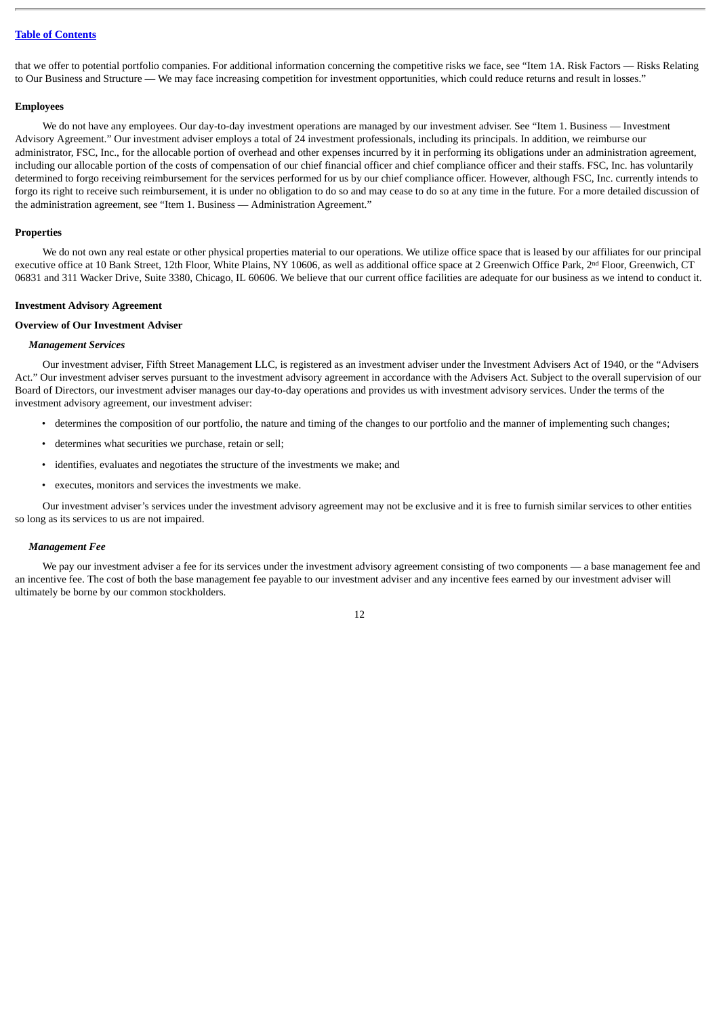that we offer to potential portfolio companies. For additional information concerning the competitive risks we face, see "Item 1A. Risk Factors — Risks Relating to Our Business and Structure — We may face increasing competition for investment opportunities, which could reduce returns and result in losses."

#### **Employees**

We do not have any employees. Our day-to-day investment operations are managed by our investment adviser. See "Item 1. Business — Investment Advisory Agreement." Our investment adviser employs a total of 24 investment professionals, including its principals. In addition, we reimburse our administrator, FSC, Inc., for the allocable portion of overhead and other expenses incurred by it in performing its obligations under an administration agreement, including our allocable portion of the costs of compensation of our chief financial officer and chief compliance officer and their staffs. FSC, Inc. has voluntarily determined to forgo receiving reimbursement for the services performed for us by our chief compliance officer. However, although FSC, Inc. currently intends to forgo its right to receive such reimbursement, it is under no obligation to do so and may cease to do so at any time in the future. For a more detailed discussion of the administration agreement, see "Item 1. Business — Administration Agreement."

#### **Properties**

We do not own any real estate or other physical properties material to our operations. We utilize office space that is leased by our affiliates for our principal executive office at 10 Bank Street, 12th Floor, White Plains, NY 10606, as well as additional office space at 2 Greenwich Office Park, 2nd Floor, Greenwich, CT 06831 and 311 Wacker Drive, Suite 3380, Chicago, IL 60606. We believe that our current office facilities are adequate for our business as we intend to conduct it.

#### **Investment Advisory Agreement**

# **Overview of Our Investment Adviser**

#### *Management Services*

Our investment adviser, Fifth Street Management LLC, is registered as an investment adviser under the Investment Advisers Act of 1940, or the "Advisers Act." Our investment adviser serves pursuant to the investment advisory agreement in accordance with the Advisers Act. Subject to the overall supervision of our Board of Directors, our investment adviser manages our day-to-day operations and provides us with investment advisory services. Under the terms of the investment advisory agreement, our investment adviser:

- determines the composition of our portfolio, the nature and timing of the changes to our portfolio and the manner of implementing such changes;
- determines what securities we purchase, retain or sell;
- identifies, evaluates and negotiates the structure of the investments we make; and
- executes, monitors and services the investments we make.

Our investment adviser's services under the investment advisory agreement may not be exclusive and it is free to furnish similar services to other entities so long as its services to us are not impaired.

#### *Management Fee*

We pay our investment adviser a fee for its services under the investment advisory agreement consisting of two components — a base management fee and an incentive fee. The cost of both the base management fee payable to our investment adviser and any incentive fees earned by our investment adviser will ultimately be borne by our common stockholders.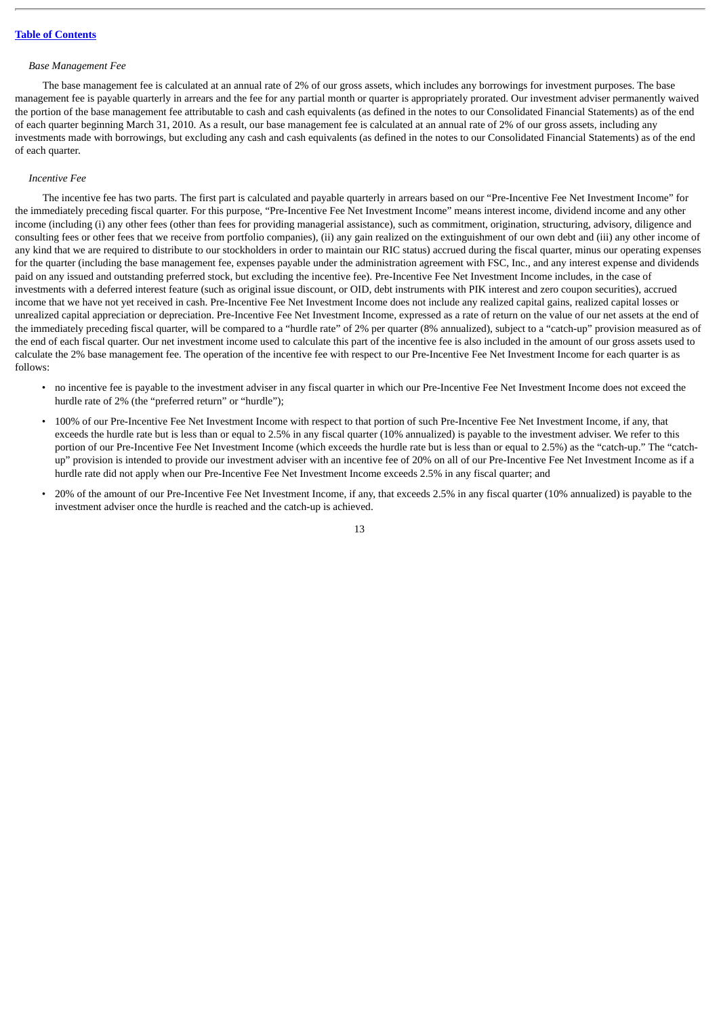## *Base Management Fee*

The base management fee is calculated at an annual rate of 2% of our gross assets, which includes any borrowings for investment purposes. The base management fee is payable quarterly in arrears and the fee for any partial month or quarter is appropriately prorated. Our investment adviser permanently waived the portion of the base management fee attributable to cash and cash equivalents (as defined in the notes to our Consolidated Financial Statements) as of the end of each quarter beginning March 31, 2010. As a result, our base management fee is calculated at an annual rate of 2% of our gross assets, including any investments made with borrowings, but excluding any cash and cash equivalents (as defined in the notes to our Consolidated Financial Statements) as of the end of each quarter.

#### *Incentive Fee*

The incentive fee has two parts. The first part is calculated and payable quarterly in arrears based on our "Pre-Incentive Fee Net Investment Income" for the immediately preceding fiscal quarter. For this purpose, "Pre-Incentive Fee Net Investment Income" means interest income, dividend income and any other income (including (i) any other fees (other than fees for providing managerial assistance), such as commitment, origination, structuring, advisory, diligence and consulting fees or other fees that we receive from portfolio companies), (ii) any gain realized on the extinguishment of our own debt and (iii) any other income of any kind that we are required to distribute to our stockholders in order to maintain our RIC status) accrued during the fiscal quarter, minus our operating expenses for the quarter (including the base management fee, expenses payable under the administration agreement with FSC, Inc., and any interest expense and dividends paid on any issued and outstanding preferred stock, but excluding the incentive fee). Pre-Incentive Fee Net Investment Income includes, in the case of investments with a deferred interest feature (such as original issue discount, or OID, debt instruments with PIK interest and zero coupon securities), accrued income that we have not yet received in cash. Pre-Incentive Fee Net Investment Income does not include any realized capital gains, realized capital losses or unrealized capital appreciation or depreciation. Pre-Incentive Fee Net Investment Income, expressed as a rate of return on the value of our net assets at the end of the immediately preceding fiscal quarter, will be compared to a "hurdle rate" of 2% per quarter (8% annualized), subject to a "catch-up" provision measured as of the end of each fiscal quarter. Our net investment income used to calculate this part of the incentive fee is also included in the amount of our gross assets used to calculate the 2% base management fee. The operation of the incentive fee with respect to our Pre-Incentive Fee Net Investment Income for each quarter is as follows:

- no incentive fee is payable to the investment adviser in any fiscal quarter in which our Pre-Incentive Fee Net Investment Income does not exceed the hurdle rate of 2% (the "preferred return" or "hurdle");
- 100% of our Pre-Incentive Fee Net Investment Income with respect to that portion of such Pre-Incentive Fee Net Investment Income, if any, that exceeds the hurdle rate but is less than or equal to 2.5% in any fiscal quarter (10% annualized) is payable to the investment adviser. We refer to this portion of our Pre-Incentive Fee Net Investment Income (which exceeds the hurdle rate but is less than or equal to 2.5%) as the "catch-up." The "catchup" provision is intended to provide our investment adviser with an incentive fee of 20% on all of our Pre-Incentive Fee Net Investment Income as if a hurdle rate did not apply when our Pre-Incentive Fee Net Investment Income exceeds 2.5% in any fiscal quarter; and
- 20% of the amount of our Pre-Incentive Fee Net Investment Income, if any, that exceeds 2.5% in any fiscal quarter (10% annualized) is payable to the investment adviser once the hurdle is reached and the catch-up is achieved.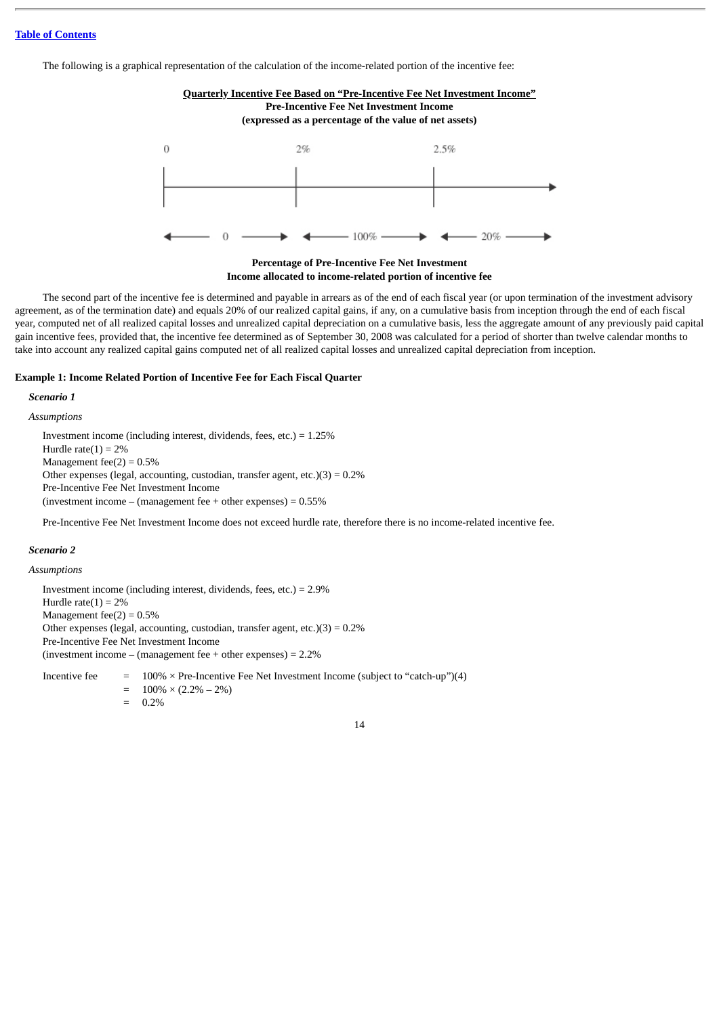The following is a graphical representation of the calculation of the income-related portion of the incentive fee:



**Quarterly Incentive Fee Based on "Pre-Incentive Fee Net Investment Income"**

**Percentage of Pre-Incentive Fee Net Investment Income allocated to income-related portion of incentive fee**

The second part of the incentive fee is determined and payable in arrears as of the end of each fiscal year (or upon termination of the investment advisory agreement, as of the termination date) and equals 20% of our realized capital gains, if any, on a cumulative basis from inception through the end of each fiscal year, computed net of all realized capital losses and unrealized capital depreciation on a cumulative basis, less the aggregate amount of any previously paid capital gain incentive fees, provided that, the incentive fee determined as of September 30, 2008 was calculated for a period of shorter than twelve calendar months to take into account any realized capital gains computed net of all realized capital losses and unrealized capital depreciation from inception.

## **Example 1: Income Related Portion of Incentive Fee for Each Fiscal Quarter**

#### *Scenario 1*

*Assumptions*

Investment income (including interest, dividends, fees, etc.) = 1.25% Hurdle rate $(1) = 2\%$ Management fee $(2) = 0.5\%$ Other expenses (legal, accounting, custodian, transfer agent, etc.) $(3) = 0.2\%$ Pre-Incentive Fee Net Investment Income (investment income – (management fee  $+$  other expenses) =  $0.55\%$ 

Pre-Incentive Fee Net Investment Income does not exceed hurdle rate, therefore there is no income-related incentive fee.

# *Scenario 2*

# *Assumptions*

Investment income (including interest, dividends, fees, etc.) = 2.9% Hurdle rate $(1) = 2%$ Management fee $(2) = 0.5%$ Other expenses (legal, accounting, custodian, transfer agent, etc.) $(3) = 0.2\%$ Pre-Incentive Fee Net Investment Income (investment income – (management fee  $+$  other expenses) = 2.2%

Incentive fee  $=$ = = 100% × Pre-Incentive Fee Net Investment Income (subject to "catch-up")(4)  $100\% \times (2.2\% - 2\%)$ 0.2%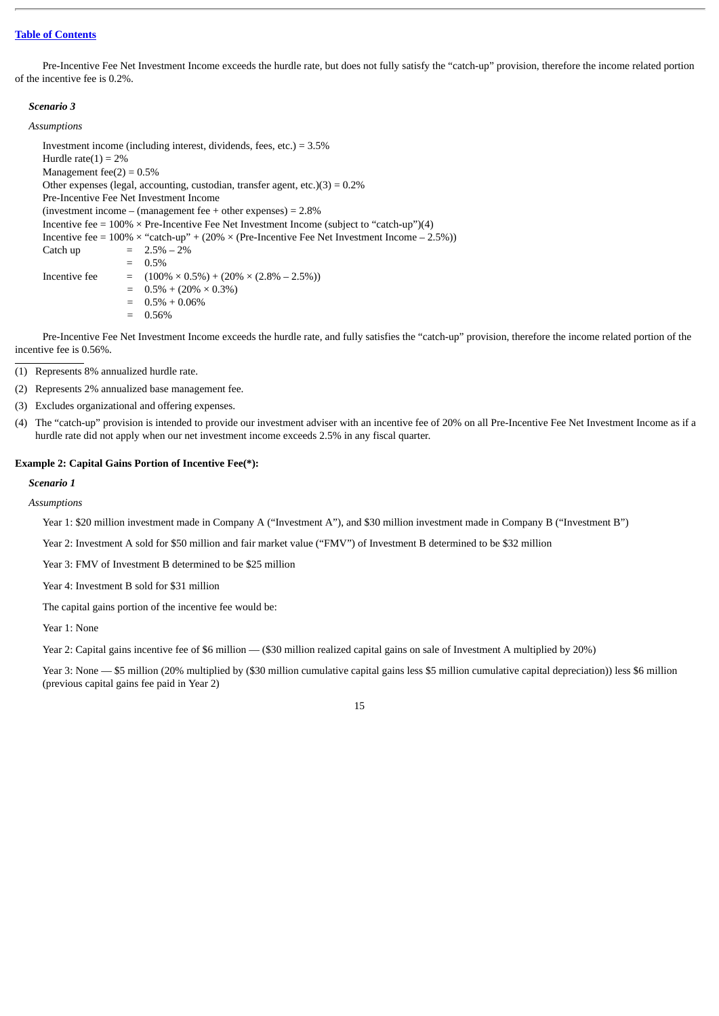Pre-Incentive Fee Net Investment Income exceeds the hurdle rate, but does not fully satisfy the "catch-up" provision, therefore the income related portion of the incentive fee is 0.2%.

#### *Scenario 3*

#### *Assumptions*

Investment income (including interest, dividends, fees, etc.) = 3.5% Hurdle rate $(1) = 2\%$ Management fee $(2) = 0.5\%$ Other expenses (legal, accounting, custodian, transfer agent, etc.) $(3) = 0.2\%$ Pre-Incentive Fee Net Investment Income (investment income – (management fee  $+$  other expenses) =  $2.8\%$ Incentive fee =  $100\% \times$  Pre-Incentive Fee Net Investment Income (subject to "catch-up")(4) Incentive fee =  $100\% \times$  "catch-up" +  $(20\% \times (Pre-Incentive Free Net Investment Income - 2.5\%)$ Catch up  $= 2.5\% - 2\%$  $= 0.5\%$ Incentive fee  $= (100\% \times 0.5\%) + (20\% \times (2.8\% - 2.5\%))$  $=$  0.5% + (20%  $\times$  0.3%)  $=$  0.5% + 0.06%  $= 0.56\%$ 

Pre-Incentive Fee Net Investment Income exceeds the hurdle rate, and fully satisfies the "catch-up" provision, therefore the income related portion of the incentive fee is 0.56%.

(1) Represents 8% annualized hurdle rate.

- (2) Represents 2% annualized base management fee.
- (3) Excludes organizational and offering expenses.
- (4) The "catch-up" provision is intended to provide our investment adviser with an incentive fee of 20% on all Pre-Incentive Fee Net Investment Income as if a hurdle rate did not apply when our net investment income exceeds 2.5% in any fiscal quarter.

# **Example 2: Capital Gains Portion of Incentive Fee(\*):**

#### *Scenario 1*

#### *Assumptions*

Year 1: \$20 million investment made in Company A ("Investment A"), and \$30 million investment made in Company B ("Investment B")

Year 2: Investment A sold for \$50 million and fair market value ("FMV") of Investment B determined to be \$32 million

Year 3: FMV of Investment B determined to be \$25 million

Year 4: Investment B sold for \$31 million

The capital gains portion of the incentive fee would be:

Year 1: None

Year 2: Capital gains incentive fee of \$6 million — (\$30 million realized capital gains on sale of Investment A multiplied by 20%)

Year 3: None — \$5 million (20% multiplied by (\$30 million cumulative capital gains less \$5 million cumulative capital depreciation)) less \$6 million (previous capital gains fee paid in Year 2)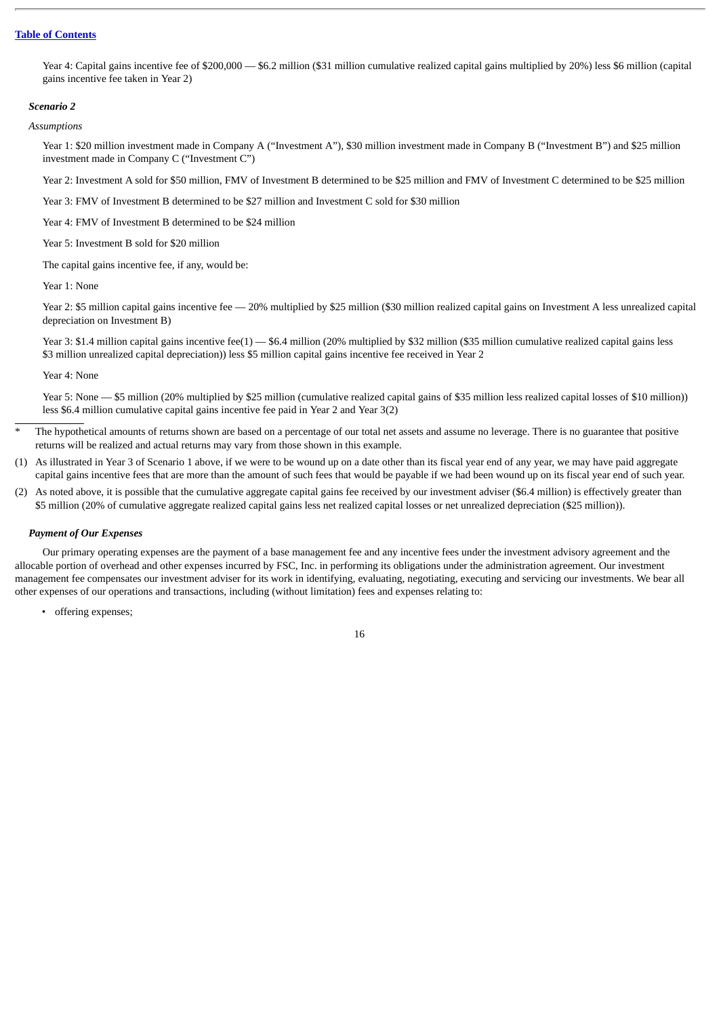Year 4: Capital gains incentive fee of \$200,000 — \$6.2 million (\$31 million cumulative realized capital gains multiplied by 20%) less \$6 million (capital gains incentive fee taken in Year 2)

## *Scenario 2*

*Assumptions*

Year 1: \$20 million investment made in Company A ("Investment A"), \$30 million investment made in Company B ("Investment B") and \$25 million investment made in Company C ("Investment C")

Year 2: Investment A sold for \$50 million, FMV of Investment B determined to be \$25 million and FMV of Investment C determined to be \$25 million

Year 3: FMV of Investment B determined to be \$27 million and Investment C sold for \$30 million

Year 4: FMV of Investment B determined to be \$24 million

Year 5: Investment B sold for \$20 million

The capital gains incentive fee, if any, would be:

Year 1: None

Year 2: \$5 million capital gains incentive fee — 20% multiplied by \$25 million (\$30 million realized capital gains on Investment A less unrealized capital depreciation on Investment B)

Year 3: \$1.4 million capital gains incentive fee(1) — \$6.4 million (20% multiplied by \$32 million (\$35 million cumulative realized capital gains less \$3 million unrealized capital depreciation)) less \$5 million capital gains incentive fee received in Year 2

#### Year 4: None

Year 5: None — \$5 million (20% multiplied by \$25 million (cumulative realized capital gains of \$35 million less realized capital losses of \$10 million)) less \$6.4 million cumulative capital gains incentive fee paid in Year 2 and Year 3(2)

- The hypothetical amounts of returns shown are based on a percentage of our total net assets and assume no leverage. There is no guarantee that positive returns will be realized and actual returns may vary from those shown in this example.
- (1) As illustrated in Year 3 of Scenario 1 above, if we were to be wound up on a date other than its fiscal year end of any year, we may have paid aggregate capital gains incentive fees that are more than the amount of such fees that would be payable if we had been wound up on its fiscal year end of such year.
- (2) As noted above, it is possible that the cumulative aggregate capital gains fee received by our investment adviser (\$6.4 million) is effectively greater than \$5 million (20% of cumulative aggregate realized capital gains less net realized capital losses or net unrealized depreciation (\$25 million)).

#### *Payment of Our Expenses*

Our primary operating expenses are the payment of a base management fee and any incentive fees under the investment advisory agreement and the allocable portion of overhead and other expenses incurred by FSC, Inc. in performing its obligations under the administration agreement. Our investment management fee compensates our investment adviser for its work in identifying, evaluating, negotiating, executing and servicing our investments. We bear all other expenses of our operations and transactions, including (without limitation) fees and expenses relating to:

• offering expenses;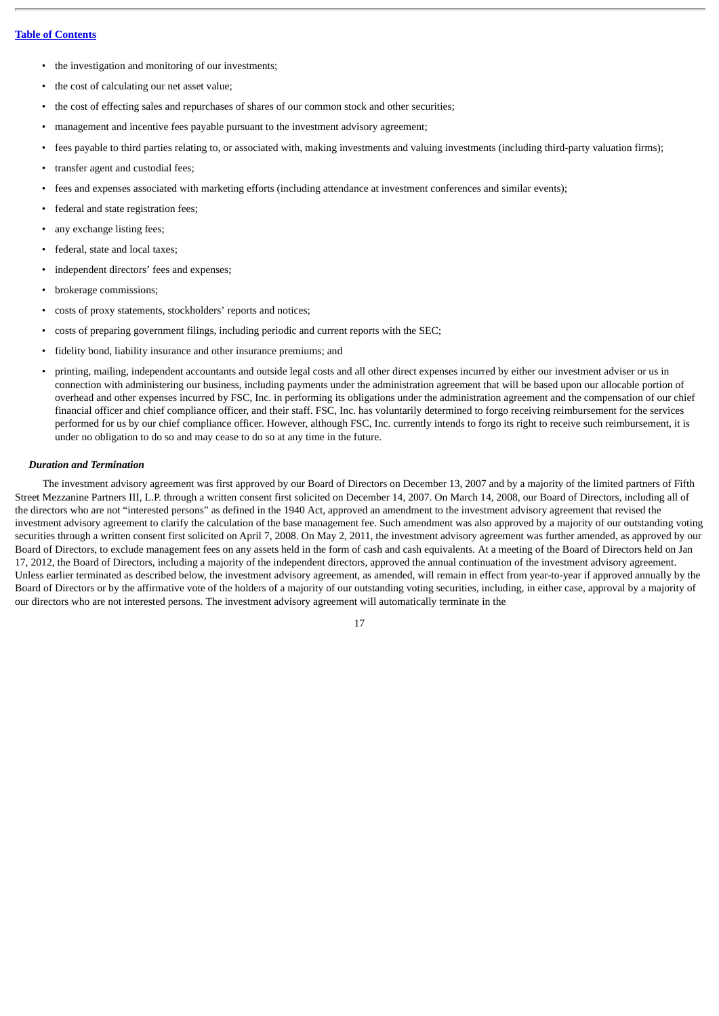- the investigation and monitoring of our investments;
- the cost of calculating our net asset value;
- the cost of effecting sales and repurchases of shares of our common stock and other securities;
- management and incentive fees payable pursuant to the investment advisory agreement;
- fees payable to third parties relating to, or associated with, making investments and valuing investments (including third-party valuation firms);
- transfer agent and custodial fees;
- fees and expenses associated with marketing efforts (including attendance at investment conferences and similar events);
- federal and state registration fees;
- any exchange listing fees;
- federal, state and local taxes;
- independent directors' fees and expenses;
- brokerage commissions;
- costs of proxy statements, stockholders' reports and notices;
- costs of preparing government filings, including periodic and current reports with the SEC;
- fidelity bond, liability insurance and other insurance premiums; and
- printing, mailing, independent accountants and outside legal costs and all other direct expenses incurred by either our investment adviser or us in connection with administering our business, including payments under the administration agreement that will be based upon our allocable portion of overhead and other expenses incurred by FSC, Inc. in performing its obligations under the administration agreement and the compensation of our chief financial officer and chief compliance officer, and their staff. FSC, Inc. has voluntarily determined to forgo receiving reimbursement for the services performed for us by our chief compliance officer. However, although FSC, Inc. currently intends to forgo its right to receive such reimbursement, it is under no obligation to do so and may cease to do so at any time in the future.

#### *Duration and Termination*

The investment advisory agreement was first approved by our Board of Directors on December 13, 2007 and by a majority of the limited partners of Fifth Street Mezzanine Partners III, L.P. through a written consent first solicited on December 14, 2007. On March 14, 2008, our Board of Directors, including all of the directors who are not "interested persons" as defined in the 1940 Act, approved an amendment to the investment advisory agreement that revised the investment advisory agreement to clarify the calculation of the base management fee. Such amendment was also approved by a majority of our outstanding voting securities through a written consent first solicited on April 7, 2008. On May 2, 2011, the investment advisory agreement was further amended, as approved by our Board of Directors, to exclude management fees on any assets held in the form of cash and cash equivalents. At a meeting of the Board of Directors held on Jan 17, 2012, the Board of Directors, including a majority of the independent directors, approved the annual continuation of the investment advisory agreement. Unless earlier terminated as described below, the investment advisory agreement, as amended, will remain in effect from year-to-year if approved annually by the Board of Directors or by the affirmative vote of the holders of a majority of our outstanding voting securities, including, in either case, approval by a majority of our directors who are not interested persons. The investment advisory agreement will automatically terminate in the

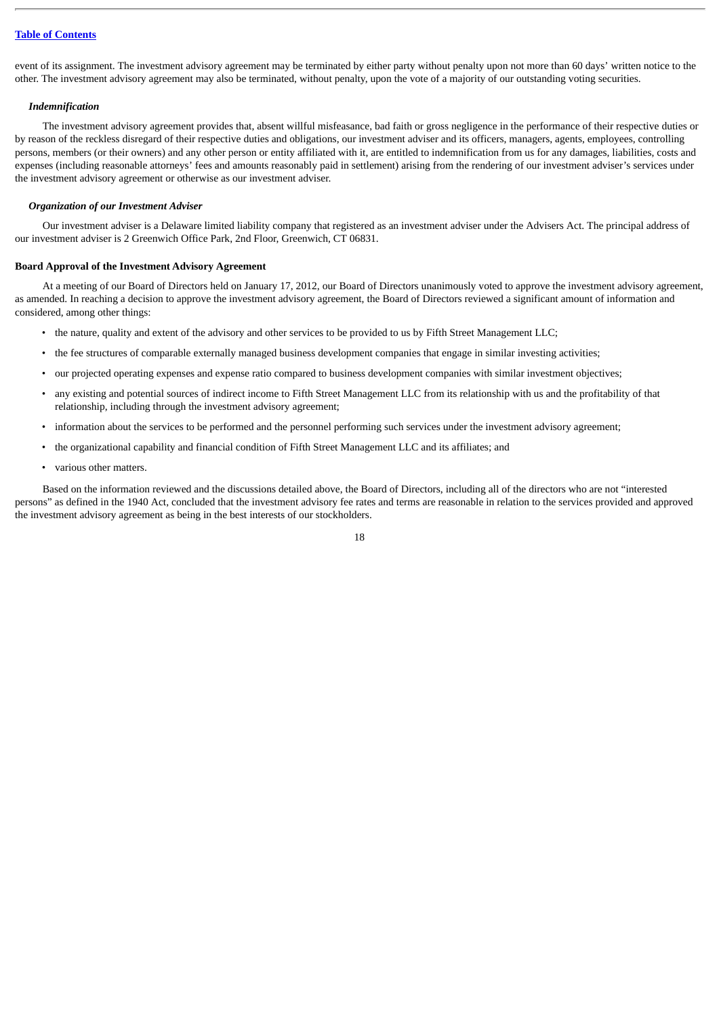event of its assignment. The investment advisory agreement may be terminated by either party without penalty upon not more than 60 days' written notice to the other. The investment advisory agreement may also be terminated, without penalty, upon the vote of a majority of our outstanding voting securities.

# *Indemnification*

The investment advisory agreement provides that, absent willful misfeasance, bad faith or gross negligence in the performance of their respective duties or by reason of the reckless disregard of their respective duties and obligations, our investment adviser and its officers, managers, agents, employees, controlling persons, members (or their owners) and any other person or entity affiliated with it, are entitled to indemnification from us for any damages, liabilities, costs and expenses (including reasonable attorneys' fees and amounts reasonably paid in settlement) arising from the rendering of our investment adviser's services under the investment advisory agreement or otherwise as our investment adviser.

# *Organization of our Investment Adviser*

Our investment adviser is a Delaware limited liability company that registered as an investment adviser under the Advisers Act. The principal address of our investment adviser is 2 Greenwich Office Park, 2nd Floor, Greenwich, CT 06831.

## **Board Approval of the Investment Advisory Agreement**

At a meeting of our Board of Directors held on January 17, 2012, our Board of Directors unanimously voted to approve the investment advisory agreement, as amended. In reaching a decision to approve the investment advisory agreement, the Board of Directors reviewed a significant amount of information and considered, among other things:

- the nature, quality and extent of the advisory and other services to be provided to us by Fifth Street Management LLC;
- the fee structures of comparable externally managed business development companies that engage in similar investing activities;
- our projected operating expenses and expense ratio compared to business development companies with similar investment objectives;
- any existing and potential sources of indirect income to Fifth Street Management LLC from its relationship with us and the profitability of that relationship, including through the investment advisory agreement;
- information about the services to be performed and the personnel performing such services under the investment advisory agreement;
- the organizational capability and financial condition of Fifth Street Management LLC and its affiliates; and
- various other matters.

Based on the information reviewed and the discussions detailed above, the Board of Directors, including all of the directors who are not "interested persons" as defined in the 1940 Act, concluded that the investment advisory fee rates and terms are reasonable in relation to the services provided and approved the investment advisory agreement as being in the best interests of our stockholders.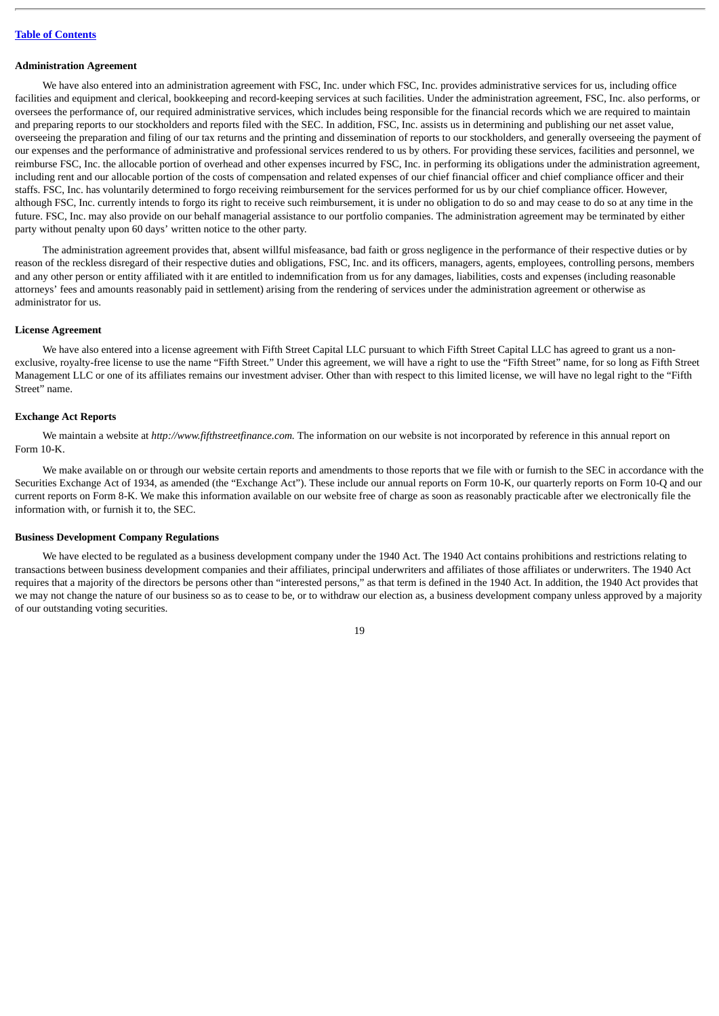## **Administration Agreement**

We have also entered into an administration agreement with FSC, Inc. under which FSC, Inc. provides administrative services for us, including office facilities and equipment and clerical, bookkeeping and record-keeping services at such facilities. Under the administration agreement, FSC, Inc. also performs, or oversees the performance of, our required administrative services, which includes being responsible for the financial records which we are required to maintain and preparing reports to our stockholders and reports filed with the SEC. In addition, FSC, Inc. assists us in determining and publishing our net asset value, overseeing the preparation and filing of our tax returns and the printing and dissemination of reports to our stockholders, and generally overseeing the payment of our expenses and the performance of administrative and professional services rendered to us by others. For providing these services, facilities and personnel, we reimburse FSC, Inc. the allocable portion of overhead and other expenses incurred by FSC, Inc. in performing its obligations under the administration agreement, including rent and our allocable portion of the costs of compensation and related expenses of our chief financial officer and chief compliance officer and their staffs. FSC, Inc. has voluntarily determined to forgo receiving reimbursement for the services performed for us by our chief compliance officer. However, although FSC, Inc. currently intends to forgo its right to receive such reimbursement, it is under no obligation to do so and may cease to do so at any time in the future. FSC, Inc. may also provide on our behalf managerial assistance to our portfolio companies. The administration agreement may be terminated by either party without penalty upon 60 days' written notice to the other party.

The administration agreement provides that, absent willful misfeasance, bad faith or gross negligence in the performance of their respective duties or by reason of the reckless disregard of their respective duties and obligations, FSC, Inc. and its officers, managers, agents, employees, controlling persons, members and any other person or entity affiliated with it are entitled to indemnification from us for any damages, liabilities, costs and expenses (including reasonable attorneys' fees and amounts reasonably paid in settlement) arising from the rendering of services under the administration agreement or otherwise as administrator for us.

#### **License Agreement**

We have also entered into a license agreement with Fifth Street Capital LLC pursuant to which Fifth Street Capital LLC has agreed to grant us a nonexclusive, royalty-free license to use the name "Fifth Street." Under this agreement, we will have a right to use the "Fifth Street" name, for so long as Fifth Street Management LLC or one of its affiliates remains our investment adviser. Other than with respect to this limited license, we will have no legal right to the "Fifth Street" name.

## **Exchange Act Reports**

We maintain a website at *http://www.fifthstreetfinance.com.* The information on our website is not incorporated by reference in this annual report on Form 10-K.

We make available on or through our website certain reports and amendments to those reports that we file with or furnish to the SEC in accordance with the Securities Exchange Act of 1934, as amended (the "Exchange Act"). These include our annual reports on Form 10-K, our quarterly reports on Form 10-Q and our current reports on Form 8-K. We make this information available on our website free of charge as soon as reasonably practicable after we electronically file the information with, or furnish it to, the SEC.

#### **Business Development Company Regulations**

We have elected to be regulated as a business development company under the 1940 Act. The 1940 Act contains prohibitions and restrictions relating to transactions between business development companies and their affiliates, principal underwriters and affiliates of those affiliates or underwriters. The 1940 Act requires that a majority of the directors be persons other than "interested persons," as that term is defined in the 1940 Act. In addition, the 1940 Act provides that we may not change the nature of our business so as to cease to be, or to withdraw our election as, a business development company unless approved by a majority of our outstanding voting securities.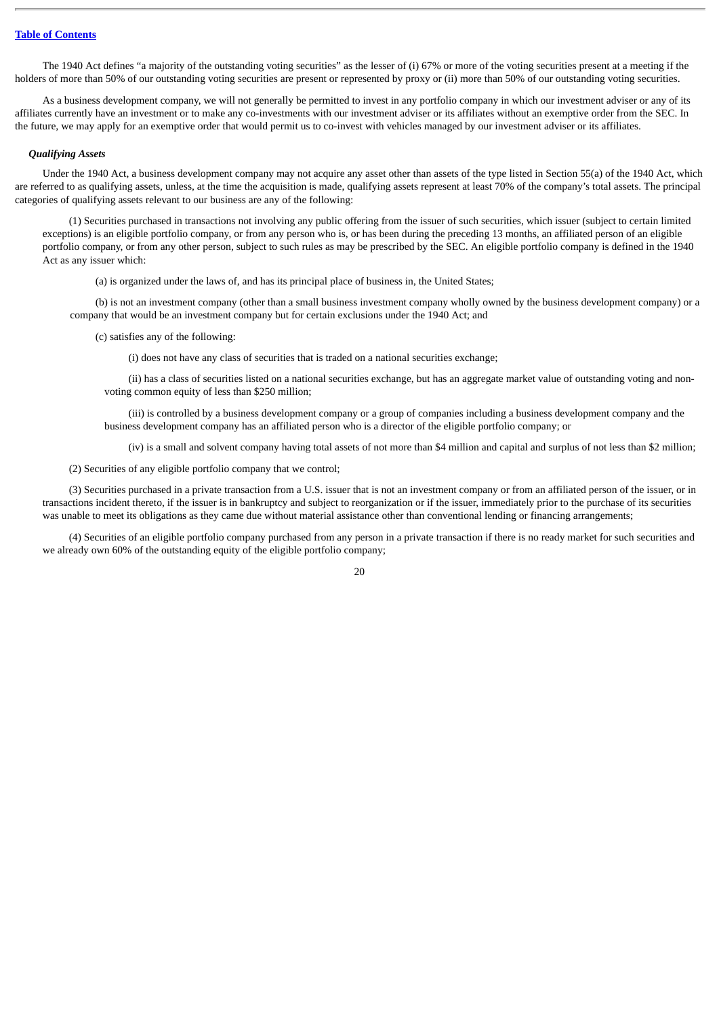The 1940 Act defines "a majority of the outstanding voting securities" as the lesser of (i) 67% or more of the voting securities present at a meeting if the holders of more than 50% of our outstanding voting securities are present or represented by proxy or (ii) more than 50% of our outstanding voting securities.

As a business development company, we will not generally be permitted to invest in any portfolio company in which our investment adviser or any of its affiliates currently have an investment or to make any co-investments with our investment adviser or its affiliates without an exemptive order from the SEC. In the future, we may apply for an exemptive order that would permit us to co-invest with vehicles managed by our investment adviser or its affiliates.

# *Qualifying Assets*

Under the 1940 Act, a business development company may not acquire any asset other than assets of the type listed in Section 55(a) of the 1940 Act, which are referred to as qualifying assets, unless, at the time the acquisition is made, qualifying assets represent at least 70% of the company's total assets. The principal categories of qualifying assets relevant to our business are any of the following:

(1) Securities purchased in transactions not involving any public offering from the issuer of such securities, which issuer (subject to certain limited exceptions) is an eligible portfolio company, or from any person who is, or has been during the preceding 13 months, an affiliated person of an eligible portfolio company, or from any other person, subject to such rules as may be prescribed by the SEC. An eligible portfolio company is defined in the 1940 Act as any issuer which:

(a) is organized under the laws of, and has its principal place of business in, the United States;

(b) is not an investment company (other than a small business investment company wholly owned by the business development company) or a company that would be an investment company but for certain exclusions under the 1940 Act; and

(c) satisfies any of the following:

(i) does not have any class of securities that is traded on a national securities exchange;

(ii) has a class of securities listed on a national securities exchange, but has an aggregate market value of outstanding voting and nonvoting common equity of less than \$250 million;

(iii) is controlled by a business development company or a group of companies including a business development company and the business development company has an affiliated person who is a director of the eligible portfolio company; or

(iv) is a small and solvent company having total assets of not more than \$4 million and capital and surplus of not less than \$2 million;

(2) Securities of any eligible portfolio company that we control;

(3) Securities purchased in a private transaction from a U.S. issuer that is not an investment company or from an affiliated person of the issuer, or in transactions incident thereto, if the issuer is in bankruptcy and subject to reorganization or if the issuer, immediately prior to the purchase of its securities was unable to meet its obligations as they came due without material assistance other than conventional lending or financing arrangements;

(4) Securities of an eligible portfolio company purchased from any person in a private transaction if there is no ready market for such securities and we already own 60% of the outstanding equity of the eligible portfolio company;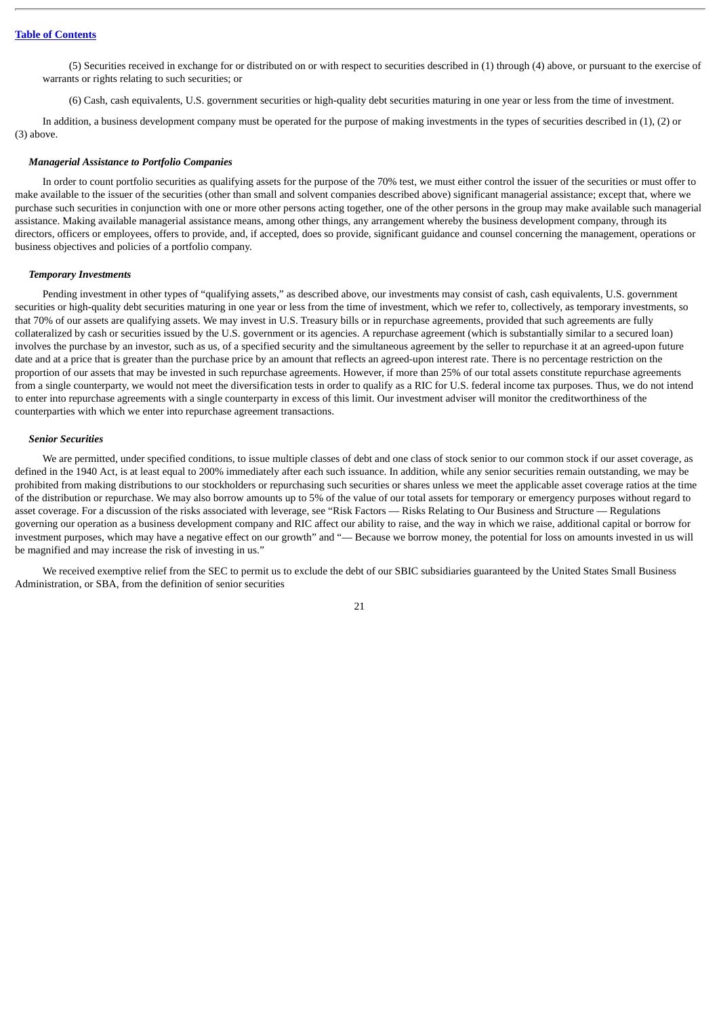(5) Securities received in exchange for or distributed on or with respect to securities described in (1) through (4) above, or pursuant to the exercise of warrants or rights relating to such securities; or

(6) Cash, cash equivalents, U.S. government securities or high-quality debt securities maturing in one year or less from the time of investment.

In addition, a business development company must be operated for the purpose of making investments in the types of securities described in (1), (2) or (3) above.

#### *Managerial Assistance to Portfolio Companies*

In order to count portfolio securities as qualifying assets for the purpose of the 70% test, we must either control the issuer of the securities or must offer to make available to the issuer of the securities (other than small and solvent companies described above) significant managerial assistance; except that, where we purchase such securities in conjunction with one or more other persons acting together, one of the other persons in the group may make available such managerial assistance. Making available managerial assistance means, among other things, any arrangement whereby the business development company, through its directors, officers or employees, offers to provide, and, if accepted, does so provide, significant guidance and counsel concerning the management, operations or business objectives and policies of a portfolio company.

#### *Temporary Investments*

Pending investment in other types of "qualifying assets," as described above, our investments may consist of cash, cash equivalents, U.S. government securities or high-quality debt securities maturing in one year or less from the time of investment, which we refer to, collectively, as temporary investments, so that 70% of our assets are qualifying assets. We may invest in U.S. Treasury bills or in repurchase agreements, provided that such agreements are fully collateralized by cash or securities issued by the U.S. government or its agencies. A repurchase agreement (which is substantially similar to a secured loan) involves the purchase by an investor, such as us, of a specified security and the simultaneous agreement by the seller to repurchase it at an agreed-upon future date and at a price that is greater than the purchase price by an amount that reflects an agreed-upon interest rate. There is no percentage restriction on the proportion of our assets that may be invested in such repurchase agreements. However, if more than 25% of our total assets constitute repurchase agreements from a single counterparty, we would not meet the diversification tests in order to qualify as a RIC for U.S. federal income tax purposes. Thus, we do not intend to enter into repurchase agreements with a single counterparty in excess of this limit. Our investment adviser will monitor the creditworthiness of the counterparties with which we enter into repurchase agreement transactions.

#### *Senior Securities*

We are permitted, under specified conditions, to issue multiple classes of debt and one class of stock senior to our common stock if our asset coverage, as defined in the 1940 Act, is at least equal to 200% immediately after each such issuance. In addition, while any senior securities remain outstanding, we may be prohibited from making distributions to our stockholders or repurchasing such securities or shares unless we meet the applicable asset coverage ratios at the time of the distribution or repurchase. We may also borrow amounts up to 5% of the value of our total assets for temporary or emergency purposes without regard to asset coverage. For a discussion of the risks associated with leverage, see "Risk Factors — Risks Relating to Our Business and Structure — Regulations governing our operation as a business development company and RIC affect our ability to raise, and the way in which we raise, additional capital or borrow for investment purposes, which may have a negative effect on our growth" and "— Because we borrow money, the potential for loss on amounts invested in us will be magnified and may increase the risk of investing in us."

We received exemptive relief from the SEC to permit us to exclude the debt of our SBIC subsidiaries guaranteed by the United States Small Business Administration, or SBA, from the definition of senior securities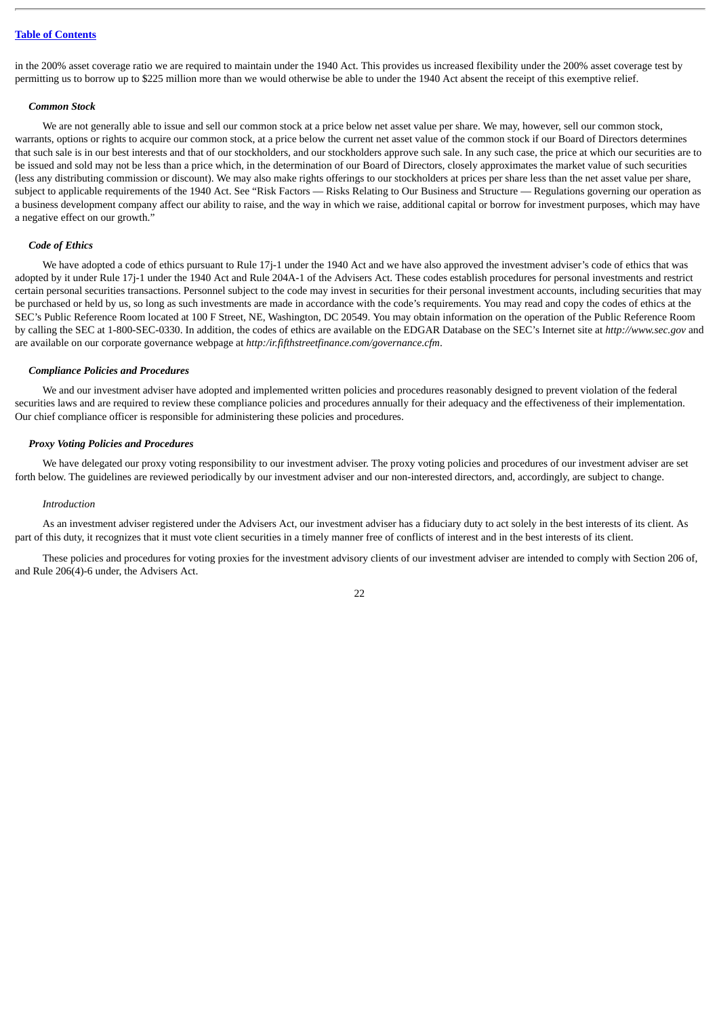in the 200% asset coverage ratio we are required to maintain under the 1940 Act. This provides us increased flexibility under the 200% asset coverage test by permitting us to borrow up to \$225 million more than we would otherwise be able to under the 1940 Act absent the receipt of this exemptive relief.

#### *Common Stock*

We are not generally able to issue and sell our common stock at a price below net asset value per share. We may, however, sell our common stock, warrants, options or rights to acquire our common stock, at a price below the current net asset value of the common stock if our Board of Directors determines that such sale is in our best interests and that of our stockholders, and our stockholders approve such sale. In any such case, the price at which our securities are to be issued and sold may not be less than a price which, in the determination of our Board of Directors, closely approximates the market value of such securities (less any distributing commission or discount). We may also make rights offerings to our stockholders at prices per share less than the net asset value per share, subject to applicable requirements of the 1940 Act. See "Risk Factors - Risks Relating to Our Business and Structure - Regulations governing our operation as a business development company affect our ability to raise, and the way in which we raise, additional capital or borrow for investment purposes, which may have a negative effect on our growth."

# *Code of Ethics*

We have adopted a code of ethics pursuant to Rule 17j-1 under the 1940 Act and we have also approved the investment adviser's code of ethics that was adopted by it under Rule 17j-1 under the 1940 Act and Rule 204A-1 of the Advisers Act. These codes establish procedures for personal investments and restrict certain personal securities transactions. Personnel subject to the code may invest in securities for their personal investment accounts, including securities that may be purchased or held by us, so long as such investments are made in accordance with the code's requirements. You may read and copy the codes of ethics at the SEC's Public Reference Room located at 100 F Street, NE, Washington, DC 20549. You may obtain information on the operation of the Public Reference Room by calling the SEC at 1-800-SEC-0330. In addition, the codes of ethics are available on the EDGAR Database on the SEC's Internet site at *http://www.sec.gov* and are available on our corporate governance webpage at *http:/ir.fifthstreetfinance.com/governance.cfm*.

#### *Compliance Policies and Procedures*

We and our investment adviser have adopted and implemented written policies and procedures reasonably designed to prevent violation of the federal securities laws and are required to review these compliance policies and procedures annually for their adequacy and the effectiveness of their implementation. Our chief compliance officer is responsible for administering these policies and procedures.

## *Proxy Voting Policies and Procedures*

We have delegated our proxy voting responsibility to our investment adviser. The proxy voting policies and procedures of our investment adviser are set forth below. The guidelines are reviewed periodically by our investment adviser and our non-interested directors, and, accordingly, are subject to change.

#### *Introduction*

As an investment adviser registered under the Advisers Act, our investment adviser has a fiduciary duty to act solely in the best interests of its client. As part of this duty, it recognizes that it must vote client securities in a timely manner free of conflicts of interest and in the best interests of its client.

These policies and procedures for voting proxies for the investment advisory clients of our investment adviser are intended to comply with Section 206 of, and Rule 206(4)-6 under, the Advisers Act.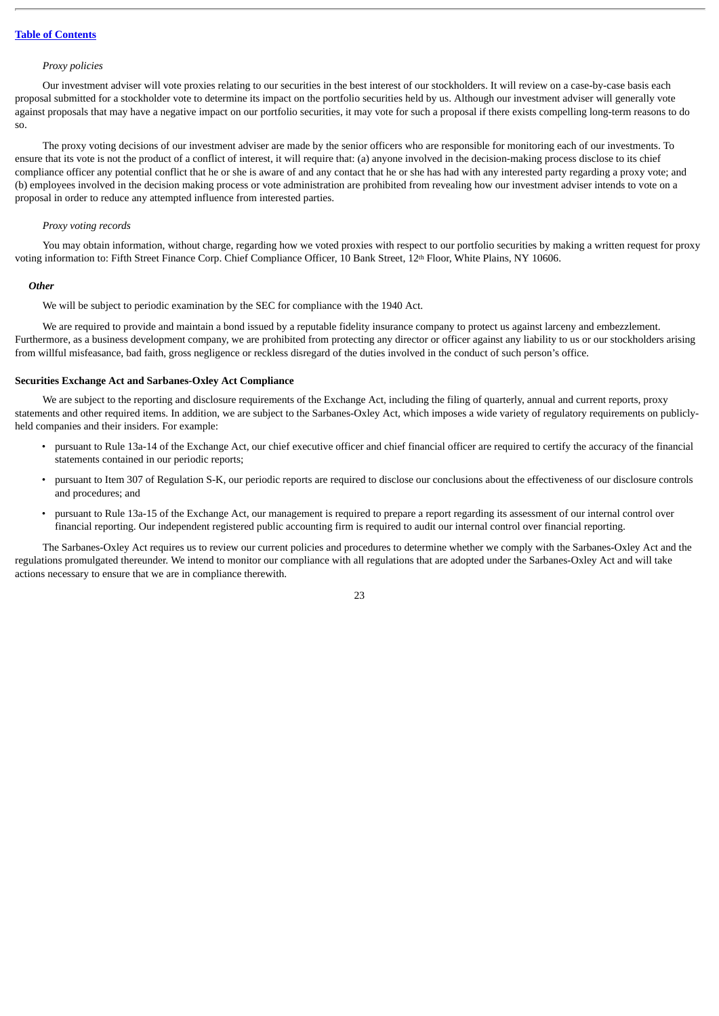## *Proxy policies*

Our investment adviser will vote proxies relating to our securities in the best interest of our stockholders. It will review on a case-by-case basis each proposal submitted for a stockholder vote to determine its impact on the portfolio securities held by us. Although our investment adviser will generally vote against proposals that may have a negative impact on our portfolio securities, it may vote for such a proposal if there exists compelling long-term reasons to do so.

The proxy voting decisions of our investment adviser are made by the senior officers who are responsible for monitoring each of our investments. To ensure that its vote is not the product of a conflict of interest, it will require that: (a) anyone involved in the decision-making process disclose to its chief compliance officer any potential conflict that he or she is aware of and any contact that he or she has had with any interested party regarding a proxy vote; and (b) employees involved in the decision making process or vote administration are prohibited from revealing how our investment adviser intends to vote on a proposal in order to reduce any attempted influence from interested parties.

#### *Proxy voting records*

You may obtain information, without charge, regarding how we voted proxies with respect to our portfolio securities by making a written request for proxy voting information to: Fifth Street Finance Corp. Chief Compliance Officer, 10 Bank Street, 12<sup>th</sup> Floor, White Plains, NY 10606.

#### *Other*

We will be subject to periodic examination by the SEC for compliance with the 1940 Act.

We are required to provide and maintain a bond issued by a reputable fidelity insurance company to protect us against larceny and embezzlement. Furthermore, as a business development company, we are prohibited from protecting any director or officer against any liability to us or our stockholders arising from willful misfeasance, bad faith, gross negligence or reckless disregard of the duties involved in the conduct of such person's office.

#### **Securities Exchange Act and Sarbanes-Oxley Act Compliance**

We are subject to the reporting and disclosure requirements of the Exchange Act, including the filing of quarterly, annual and current reports, proxy statements and other required items. In addition, we are subject to the Sarbanes-Oxley Act, which imposes a wide variety of regulatory requirements on publiclyheld companies and their insiders. For example:

- pursuant to Rule 13a-14 of the Exchange Act, our chief executive officer and chief financial officer are required to certify the accuracy of the financial statements contained in our periodic reports;
- pursuant to Item 307 of Regulation S-K, our periodic reports are required to disclose our conclusions about the effectiveness of our disclosure controls and procedures; and
- pursuant to Rule 13a-15 of the Exchange Act, our management is required to prepare a report regarding its assessment of our internal control over financial reporting. Our independent registered public accounting firm is required to audit our internal control over financial reporting.

The Sarbanes-Oxley Act requires us to review our current policies and procedures to determine whether we comply with the Sarbanes-Oxley Act and the regulations promulgated thereunder. We intend to monitor our compliance with all regulations that are adopted under the Sarbanes-Oxley Act and will take actions necessary to ensure that we are in compliance therewith.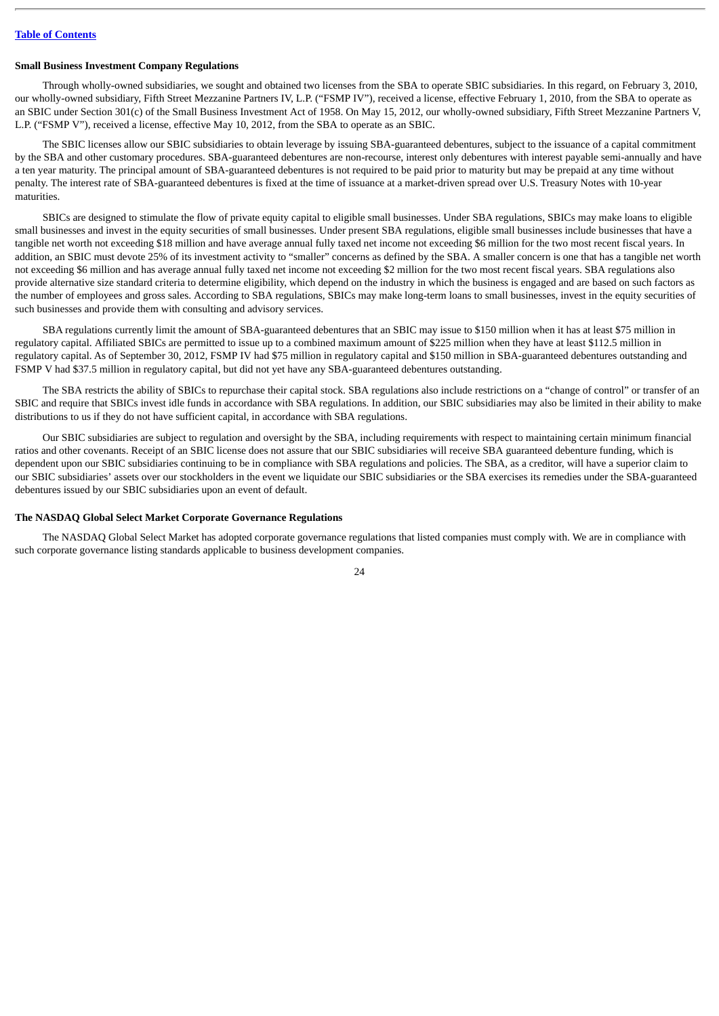#### **Small Business Investment Company Regulations**

Through wholly-owned subsidiaries, we sought and obtained two licenses from the SBA to operate SBIC subsidiaries. In this regard, on February 3, 2010, our wholly-owned subsidiary, Fifth Street Mezzanine Partners IV, L.P. ("FSMP IV"), received a license, effective February 1, 2010, from the SBA to operate as an SBIC under Section 301(c) of the Small Business Investment Act of 1958. On May 15, 2012, our wholly-owned subsidiary, Fifth Street Mezzanine Partners V, L.P. ("FSMP V"), received a license, effective May 10, 2012, from the SBA to operate as an SBIC.

The SBIC licenses allow our SBIC subsidiaries to obtain leverage by issuing SBA-guaranteed debentures, subject to the issuance of a capital commitment by the SBA and other customary procedures. SBA-guaranteed debentures are non-recourse, interest only debentures with interest payable semi-annually and have a ten year maturity. The principal amount of SBA-guaranteed debentures is not required to be paid prior to maturity but may be prepaid at any time without penalty. The interest rate of SBA-guaranteed debentures is fixed at the time of issuance at a market-driven spread over U.S. Treasury Notes with 10-year maturities.

SBICs are designed to stimulate the flow of private equity capital to eligible small businesses. Under SBA regulations, SBICs may make loans to eligible small businesses and invest in the equity securities of small businesses. Under present SBA regulations, eligible small businesses include businesses that have a tangible net worth not exceeding \$18 million and have average annual fully taxed net income not exceeding \$6 million for the two most recent fiscal years. In addition, an SBIC must devote 25% of its investment activity to "smaller" concerns as defined by the SBA. A smaller concern is one that has a tangible net worth not exceeding \$6 million and has average annual fully taxed net income not exceeding \$2 million for the two most recent fiscal years. SBA regulations also provide alternative size standard criteria to determine eligibility, which depend on the industry in which the business is engaged and are based on such factors as the number of employees and gross sales. According to SBA regulations, SBICs may make long-term loans to small businesses, invest in the equity securities of such businesses and provide them with consulting and advisory services.

SBA regulations currently limit the amount of SBA-guaranteed debentures that an SBIC may issue to \$150 million when it has at least \$75 million in regulatory capital. Affiliated SBICs are permitted to issue up to a combined maximum amount of \$225 million when they have at least \$112.5 million in regulatory capital. As of September 30, 2012, FSMP IV had \$75 million in regulatory capital and \$150 million in SBA-guaranteed debentures outstanding and FSMP V had \$37.5 million in regulatory capital, but did not yet have any SBA-guaranteed debentures outstanding.

The SBA restricts the ability of SBICs to repurchase their capital stock. SBA regulations also include restrictions on a "change of control" or transfer of an SBIC and require that SBICs invest idle funds in accordance with SBA regulations. In addition, our SBIC subsidiaries may also be limited in their ability to make distributions to us if they do not have sufficient capital, in accordance with SBA regulations.

Our SBIC subsidiaries are subject to regulation and oversight by the SBA, including requirements with respect to maintaining certain minimum financial ratios and other covenants. Receipt of an SBIC license does not assure that our SBIC subsidiaries will receive SBA guaranteed debenture funding, which is dependent upon our SBIC subsidiaries continuing to be in compliance with SBA regulations and policies. The SBA, as a creditor, will have a superior claim to our SBIC subsidiaries' assets over our stockholders in the event we liquidate our SBIC subsidiaries or the SBA exercises its remedies under the SBA-guaranteed debentures issued by our SBIC subsidiaries upon an event of default.

#### **The NASDAQ Global Select Market Corporate Governance Regulations**

The NASDAQ Global Select Market has adopted corporate governance regulations that listed companies must comply with. We are in compliance with such corporate governance listing standards applicable to business development companies.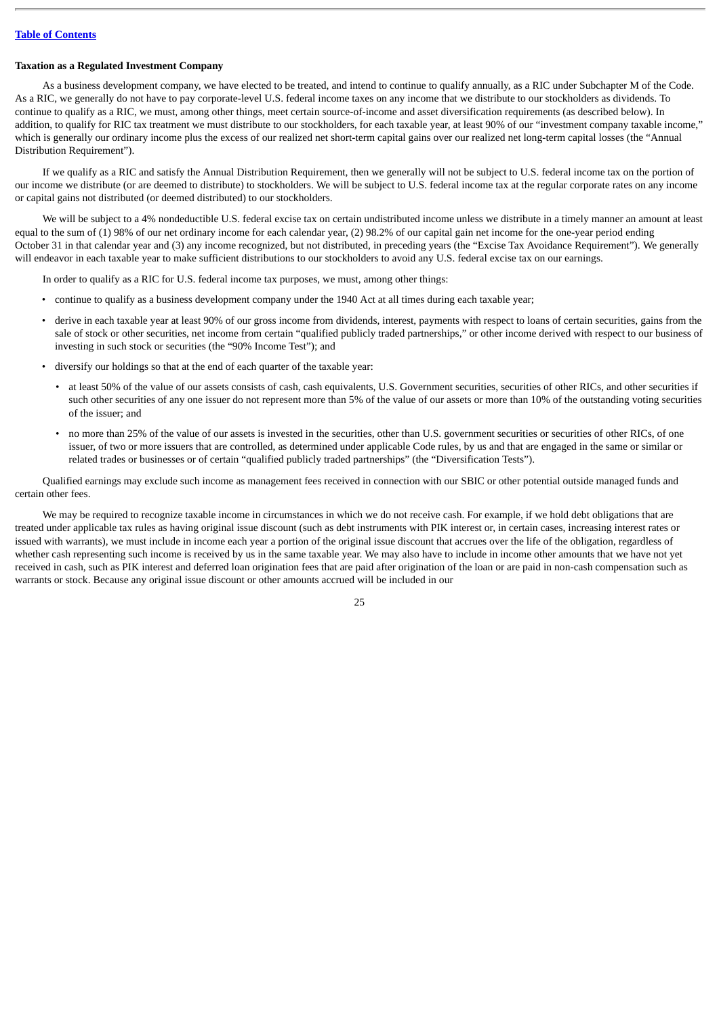#### **Taxation as a Regulated Investment Company**

As a business development company, we have elected to be treated, and intend to continue to qualify annually, as a RIC under Subchapter M of the Code. As a RIC, we generally do not have to pay corporate-level U.S. federal income taxes on any income that we distribute to our stockholders as dividends. To continue to qualify as a RIC, we must, among other things, meet certain source-of-income and asset diversification requirements (as described below). In addition, to qualify for RIC tax treatment we must distribute to our stockholders, for each taxable year, at least 90% of our "investment company taxable income," which is generally our ordinary income plus the excess of our realized net short-term capital gains over our realized net long-term capital losses (the "Annual Distribution Requirement").

If we qualify as a RIC and satisfy the Annual Distribution Requirement, then we generally will not be subject to U.S. federal income tax on the portion of our income we distribute (or are deemed to distribute) to stockholders. We will be subject to U.S. federal income tax at the regular corporate rates on any income or capital gains not distributed (or deemed distributed) to our stockholders.

We will be subject to a 4% nondeductible U.S. federal excise tax on certain undistributed income unless we distribute in a timely manner an amount at least equal to the sum of (1) 98% of our net ordinary income for each calendar year, (2) 98.2% of our capital gain net income for the one-year period ending October 31 in that calendar year and (3) any income recognized, but not distributed, in preceding years (the "Excise Tax Avoidance Requirement"). We generally will endeavor in each taxable year to make sufficient distributions to our stockholders to avoid any U.S. federal excise tax on our earnings.

In order to qualify as a RIC for U.S. federal income tax purposes, we must, among other things:

- continue to qualify as a business development company under the 1940 Act at all times during each taxable year;
- derive in each taxable year at least 90% of our gross income from dividends, interest, payments with respect to loans of certain securities, gains from the sale of stock or other securities, net income from certain "qualified publicly traded partnerships," or other income derived with respect to our business of investing in such stock or securities (the "90% Income Test"); and
- diversify our holdings so that at the end of each quarter of the taxable year:
	- at least 50% of the value of our assets consists of cash, cash equivalents, U.S. Government securities, securities of other RICs, and other securities if such other securities of any one issuer do not represent more than 5% of the value of our assets or more than 10% of the outstanding voting securities of the issuer; and
	- no more than 25% of the value of our assets is invested in the securities, other than U.S. government securities or securities of other RICs, of one issuer, of two or more issuers that are controlled, as determined under applicable Code rules, by us and that are engaged in the same or similar or related trades or businesses or of certain "qualified publicly traded partnerships" (the "Diversification Tests").

Qualified earnings may exclude such income as management fees received in connection with our SBIC or other potential outside managed funds and certain other fees.

We may be required to recognize taxable income in circumstances in which we do not receive cash. For example, if we hold debt obligations that are treated under applicable tax rules as having original issue discount (such as debt instruments with PIK interest or, in certain cases, increasing interest rates or issued with warrants), we must include in income each year a portion of the original issue discount that accrues over the life of the obligation, regardless of whether cash representing such income is received by us in the same taxable year. We may also have to include in income other amounts that we have not yet received in cash, such as PIK interest and deferred loan origination fees that are paid after origination of the loan or are paid in non-cash compensation such as warrants or stock. Because any original issue discount or other amounts accrued will be included in our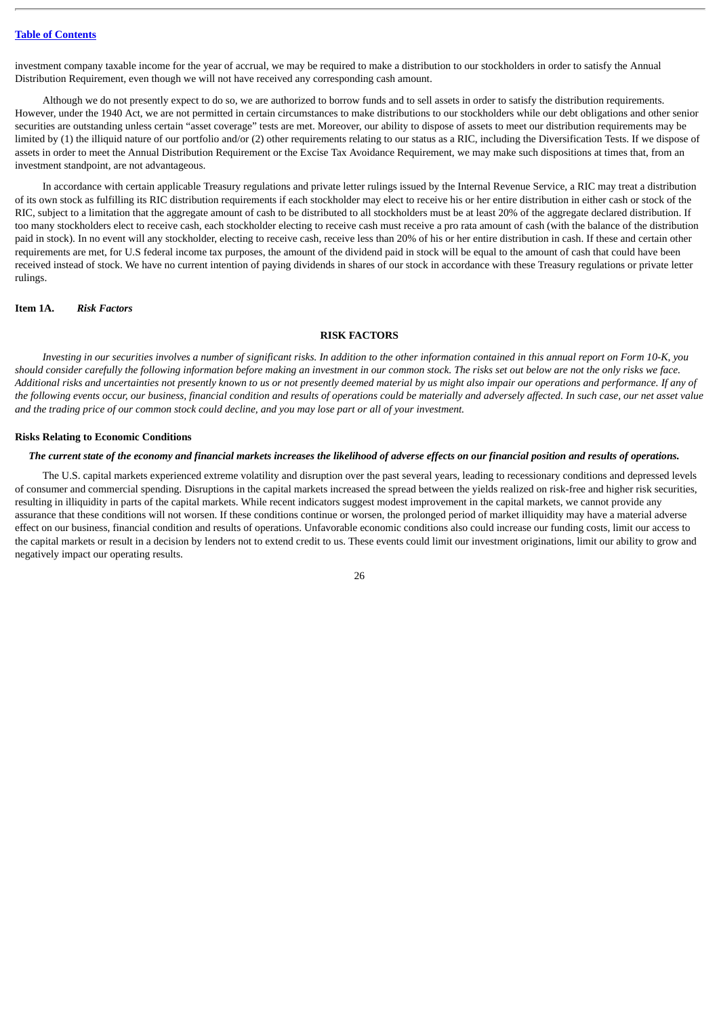investment company taxable income for the year of accrual, we may be required to make a distribution to our stockholders in order to satisfy the Annual Distribution Requirement, even though we will not have received any corresponding cash amount.

Although we do not presently expect to do so, we are authorized to borrow funds and to sell assets in order to satisfy the distribution requirements. However, under the 1940 Act, we are not permitted in certain circumstances to make distributions to our stockholders while our debt obligations and other senior securities are outstanding unless certain "asset coverage" tests are met. Moreover, our ability to dispose of assets to meet our distribution requirements may be limited by (1) the illiquid nature of our portfolio and/or (2) other requirements relating to our status as a RIC, including the Diversification Tests. If we dispose of assets in order to meet the Annual Distribution Requirement or the Excise Tax Avoidance Requirement, we may make such dispositions at times that, from an investment standpoint, are not advantageous.

In accordance with certain applicable Treasury regulations and private letter rulings issued by the Internal Revenue Service, a RIC may treat a distribution of its own stock as fulfilling its RIC distribution requirements if each stockholder may elect to receive his or her entire distribution in either cash or stock of the RIC, subject to a limitation that the aggregate amount of cash to be distributed to all stockholders must be at least 20% of the aggregate declared distribution. If too many stockholders elect to receive cash, each stockholder electing to receive cash must receive a pro rata amount of cash (with the balance of the distribution paid in stock). In no event will any stockholder, electing to receive cash, receive less than 20% of his or her entire distribution in cash. If these and certain other requirements are met, for U.S federal income tax purposes, the amount of the dividend paid in stock will be equal to the amount of cash that could have been received instead of stock. We have no current intention of paying dividends in shares of our stock in accordance with these Treasury regulations or private letter rulings.

#### <span id="page-27-0"></span>**Item 1A.** *Risk Factors*

## **RISK FACTORS**

*Investing in our securities involves a number of significant risks. In addition to the other information contained in this annual report on Form 10-K, you should consider carefully the following information before making an investment in our common stock. The risks set out below are not the only risks we face. Additional risks and uncertainties not presently known to us or not presently deemed material by us might also impair our operations and performance. If any of the following events occur, our business, financial condition and results of operations could be materially and adversely affected. In such case, our net asset value and the trading price of our common stock could decline, and you may lose part or all of your investment.*

#### **Risks Relating to Economic Conditions**

#### *The current state of the economy and financial markets increases the likelihood of adverse effects on our financial position and results of operations.*

The U.S. capital markets experienced extreme volatility and disruption over the past several years, leading to recessionary conditions and depressed levels of consumer and commercial spending. Disruptions in the capital markets increased the spread between the yields realized on risk-free and higher risk securities, resulting in illiquidity in parts of the capital markets. While recent indicators suggest modest improvement in the capital markets, we cannot provide any assurance that these conditions will not worsen. If these conditions continue or worsen, the prolonged period of market illiquidity may have a material adverse effect on our business, financial condition and results of operations. Unfavorable economic conditions also could increase our funding costs, limit our access to the capital markets or result in a decision by lenders not to extend credit to us. These events could limit our investment originations, limit our ability to grow and negatively impact our operating results.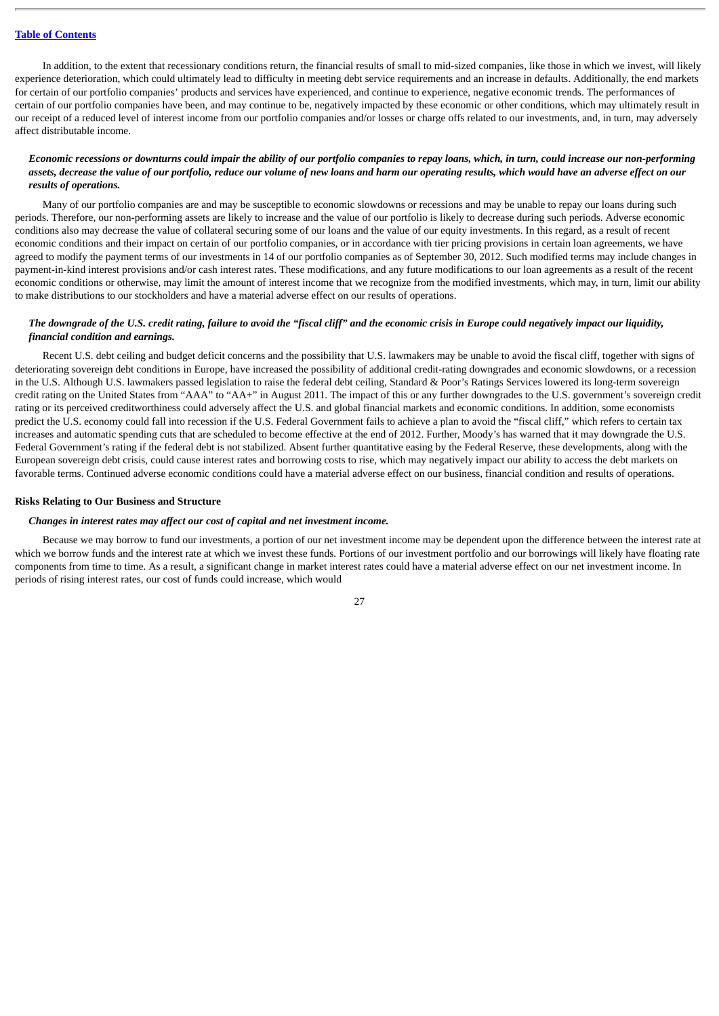In addition, to the extent that recessionary conditions return, the financial results of small to mid-sized companies, like those in which we invest, will likely experience deterioration, which could ultimately lead to difficulty in meeting debt service requirements and an increase in defaults. Additionally, the end markets for certain of our portfolio companies' products and services have experienced, and continue to experience, negative economic trends. The performances of certain of our portfolio companies have been, and may continue to be, negatively impacted by these economic or other conditions, which may ultimately result in our receipt of a reduced level of interest income from our portfolio companies and/or losses or charge offs related to our investments, and, in turn, may adversely affect distributable income.

# *Economic recessions or downturns could impair the ability of our portfolio companies to repay loans, which, in turn, could increase our non-performing assets, decrease the value of our portfolio, reduce our volume of new loans and harm our operating results, which would have an adverse effect on our results of operations.*

Many of our portfolio companies are and may be susceptible to economic slowdowns or recessions and may be unable to repay our loans during such periods. Therefore, our non-performing assets are likely to increase and the value of our portfolio is likely to decrease during such periods. Adverse economic conditions also may decrease the value of collateral securing some of our loans and the value of our equity investments. In this regard, as a result of recent economic conditions and their impact on certain of our portfolio companies, or in accordance with tier pricing provisions in certain loan agreements, we have agreed to modify the payment terms of our investments in 14 of our portfolio companies as of September 30, 2012. Such modified terms may include changes in payment-in-kind interest provisions and/or cash interest rates. These modifications, and any future modifications to our loan agreements as a result of the recent economic conditions or otherwise, may limit the amount of interest income that we recognize from the modified investments, which may, in turn, limit our ability to make distributions to our stockholders and have a material adverse effect on our results of operations.

# *The downgrade of the U.S. credit rating, failure to avoid the "fiscal cliff" and the economic crisis in Europe could negatively impact our liquidity, financial condition and earnings.*

Recent U.S. debt ceiling and budget deficit concerns and the possibility that U.S. lawmakers may be unable to avoid the fiscal cliff, together with signs of deteriorating sovereign debt conditions in Europe, have increased the possibility of additional credit-rating downgrades and economic slowdowns, or a recession in the U.S. Although U.S. lawmakers passed legislation to raise the federal debt ceiling, Standard & Poor's Ratings Services lowered its long-term sovereign credit rating on the United States from "AAA" to "AA+" in August 2011. The impact of this or any further downgrades to the U.S. government's sovereign credit rating or its perceived creditworthiness could adversely affect the U.S. and global financial markets and economic conditions. In addition, some economists predict the U.S. economy could fall into recession if the U.S. Federal Government fails to achieve a plan to avoid the "fiscal cliff," which refers to certain tax increases and automatic spending cuts that are scheduled to become effective at the end of 2012. Further, Moody's has warned that it may downgrade the U.S. Federal Government's rating if the federal debt is not stabilized. Absent further quantitative easing by the Federal Reserve, these developments, along with the European sovereign debt crisis, could cause interest rates and borrowing costs to rise, which may negatively impact our ability to access the debt markets on favorable terms. Continued adverse economic conditions could have a material adverse effect on our business, financial condition and results of operations.

#### **Risks Relating to Our Business and Structure**

#### *Changes in interest rates may affect our cost of capital and net investment income.*

Because we may borrow to fund our investments, a portion of our net investment income may be dependent upon the difference between the interest rate at which we borrow funds and the interest rate at which we invest these funds. Portions of our investment portfolio and our borrowings will likely have floating rate components from time to time. As a result, a significant change in market interest rates could have a material adverse effect on our net investment income. In periods of rising interest rates, our cost of funds could increase, which would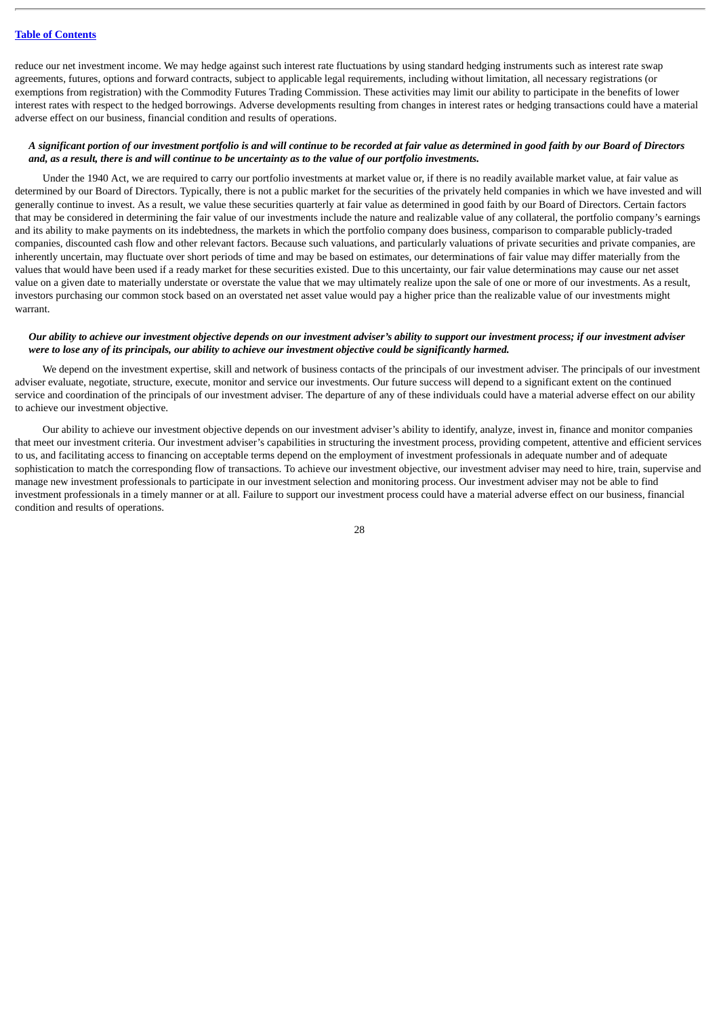reduce our net investment income. We may hedge against such interest rate fluctuations by using standard hedging instruments such as interest rate swap agreements, futures, options and forward contracts, subject to applicable legal requirements, including without limitation, all necessary registrations (or exemptions from registration) with the Commodity Futures Trading Commission. These activities may limit our ability to participate in the benefits of lower interest rates with respect to the hedged borrowings. Adverse developments resulting from changes in interest rates or hedging transactions could have a material adverse effect on our business, financial condition and results of operations.

## *A significant portion of our investment portfolio is and will continue to be recorded at fair value as determined in good faith by our Board of Directors and, as a result, there is and will continue to be uncertainty as to the value of our portfolio investments.*

Under the 1940 Act, we are required to carry our portfolio investments at market value or, if there is no readily available market value, at fair value as determined by our Board of Directors. Typically, there is not a public market for the securities of the privately held companies in which we have invested and will generally continue to invest. As a result, we value these securities quarterly at fair value as determined in good faith by our Board of Directors. Certain factors that may be considered in determining the fair value of our investments include the nature and realizable value of any collateral, the portfolio company's earnings and its ability to make payments on its indebtedness, the markets in which the portfolio company does business, comparison to comparable publicly-traded companies, discounted cash flow and other relevant factors. Because such valuations, and particularly valuations of private securities and private companies, are inherently uncertain, may fluctuate over short periods of time and may be based on estimates, our determinations of fair value may differ materially from the values that would have been used if a ready market for these securities existed. Due to this uncertainty, our fair value determinations may cause our net asset value on a given date to materially understate or overstate the value that we may ultimately realize upon the sale of one or more of our investments. As a result, investors purchasing our common stock based on an overstated net asset value would pay a higher price than the realizable value of our investments might warrant.

# *Our ability to achieve our investment objective depends on our investment adviser's ability to support our investment process; if our investment adviser were to lose any of its principals, our ability to achieve our investment objective could be significantly harmed.*

We depend on the investment expertise, skill and network of business contacts of the principals of our investment adviser. The principals of our investment adviser evaluate, negotiate, structure, execute, monitor and service our investments. Our future success will depend to a significant extent on the continued service and coordination of the principals of our investment adviser. The departure of any of these individuals could have a material adverse effect on our ability to achieve our investment objective.

Our ability to achieve our investment objective depends on our investment adviser's ability to identify, analyze, invest in, finance and monitor companies that meet our investment criteria. Our investment adviser's capabilities in structuring the investment process, providing competent, attentive and efficient services to us, and facilitating access to financing on acceptable terms depend on the employment of investment professionals in adequate number and of adequate sophistication to match the corresponding flow of transactions. To achieve our investment objective, our investment adviser may need to hire, train, supervise and manage new investment professionals to participate in our investment selection and monitoring process. Our investment adviser may not be able to find investment professionals in a timely manner or at all. Failure to support our investment process could have a material adverse effect on our business, financial condition and results of operations.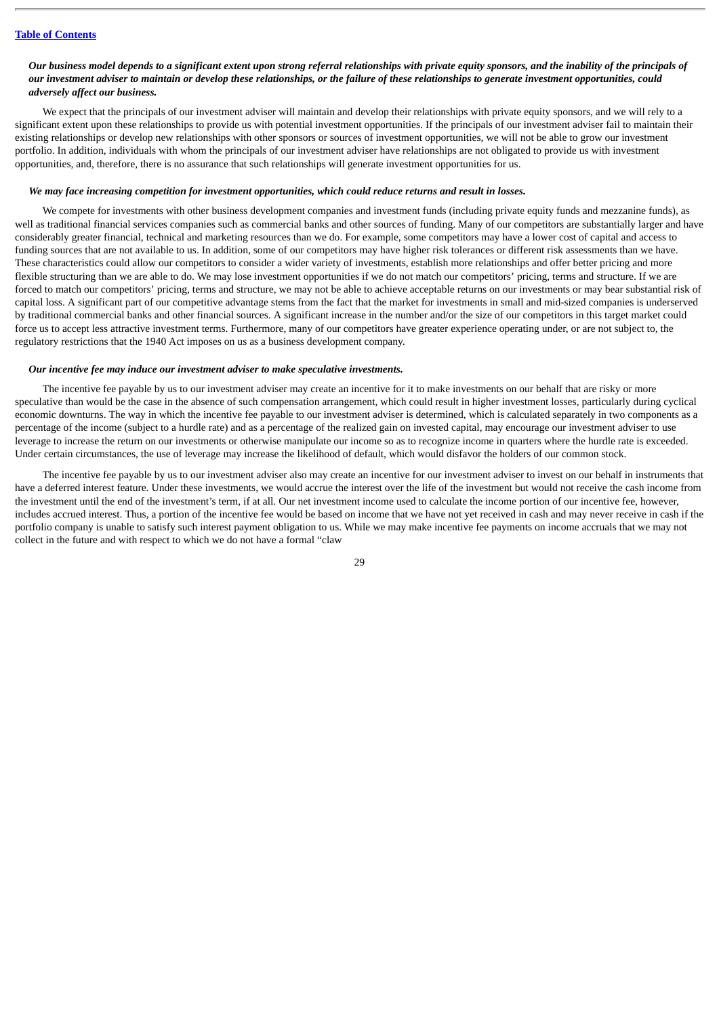# *Our business model depends to a significant extent upon strong referral relationships with private equity sponsors, and the inability of the principals of our investment adviser to maintain or develop these relationships, or the failure of these relationships to generate investment opportunities, could adversely affect our business.*

We expect that the principals of our investment adviser will maintain and develop their relationships with private equity sponsors, and we will rely to a significant extent upon these relationships to provide us with potential investment opportunities. If the principals of our investment adviser fail to maintain their existing relationships or develop new relationships with other sponsors or sources of investment opportunities, we will not be able to grow our investment portfolio. In addition, individuals with whom the principals of our investment adviser have relationships are not obligated to provide us with investment opportunities, and, therefore, there is no assurance that such relationships will generate investment opportunities for us.

#### *We may face increasing competition for investment opportunities, which could reduce returns and result in losses.*

We compete for investments with other business development companies and investment funds (including private equity funds and mezzanine funds), as well as traditional financial services companies such as commercial banks and other sources of funding. Many of our competitors are substantially larger and have considerably greater financial, technical and marketing resources than we do. For example, some competitors may have a lower cost of capital and access to funding sources that are not available to us. In addition, some of our competitors may have higher risk tolerances or different risk assessments than we have. These characteristics could allow our competitors to consider a wider variety of investments, establish more relationships and offer better pricing and more flexible structuring than we are able to do. We may lose investment opportunities if we do not match our competitors' pricing, terms and structure. If we are forced to match our competitors' pricing, terms and structure, we may not be able to achieve acceptable returns on our investments or may bear substantial risk of capital loss. A significant part of our competitive advantage stems from the fact that the market for investments in small and mid-sized companies is underserved by traditional commercial banks and other financial sources. A significant increase in the number and/or the size of our competitors in this target market could force us to accept less attractive investment terms. Furthermore, many of our competitors have greater experience operating under, or are not subject to, the regulatory restrictions that the 1940 Act imposes on us as a business development company.

#### *Our incentive fee may induce our investment adviser to make speculative investments.*

The incentive fee payable by us to our investment adviser may create an incentive for it to make investments on our behalf that are risky or more speculative than would be the case in the absence of such compensation arrangement, which could result in higher investment losses, particularly during cyclical economic downturns. The way in which the incentive fee payable to our investment adviser is determined, which is calculated separately in two components as a percentage of the income (subject to a hurdle rate) and as a percentage of the realized gain on invested capital, may encourage our investment adviser to use leverage to increase the return on our investments or otherwise manipulate our income so as to recognize income in quarters where the hurdle rate is exceeded. Under certain circumstances, the use of leverage may increase the likelihood of default, which would disfavor the holders of our common stock.

The incentive fee payable by us to our investment adviser also may create an incentive for our investment adviser to invest on our behalf in instruments that have a deferred interest feature. Under these investments, we would accrue the interest over the life of the investment but would not receive the cash income from the investment until the end of the investment's term, if at all. Our net investment income used to calculate the income portion of our incentive fee, however, includes accrued interest. Thus, a portion of the incentive fee would be based on income that we have not yet received in cash and may never receive in cash if the portfolio company is unable to satisfy such interest payment obligation to us. While we may make incentive fee payments on income accruals that we may not collect in the future and with respect to which we do not have a formal "claw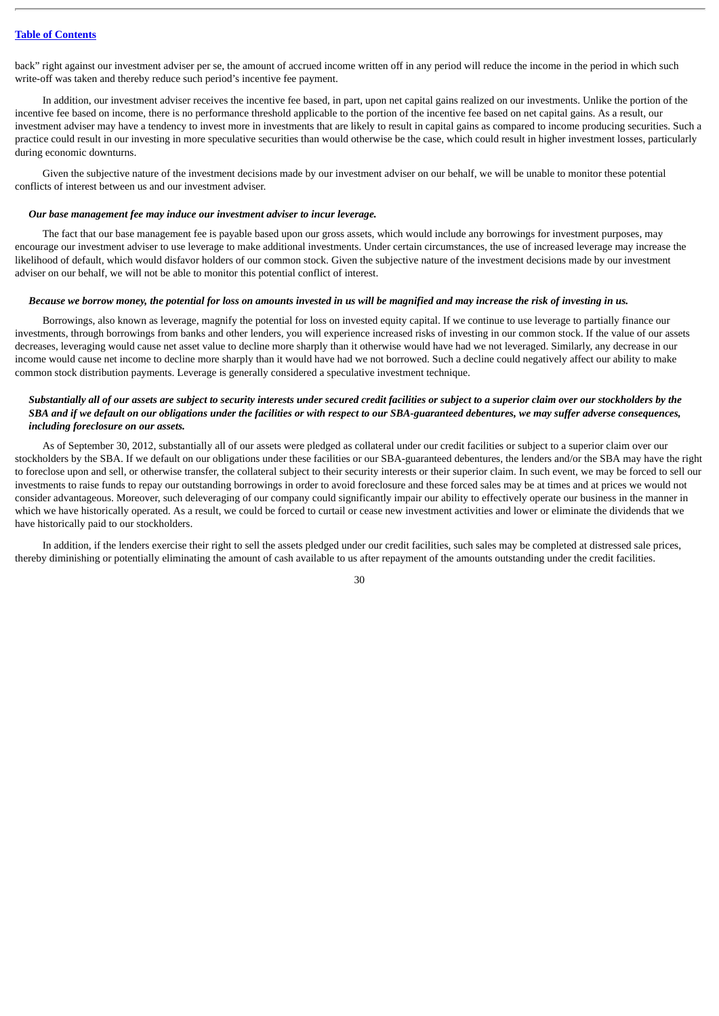back" right against our investment adviser per se, the amount of accrued income written off in any period will reduce the income in the period in which such write-off was taken and thereby reduce such period's incentive fee payment.

In addition, our investment adviser receives the incentive fee based, in part, upon net capital gains realized on our investments. Unlike the portion of the incentive fee based on income, there is no performance threshold applicable to the portion of the incentive fee based on net capital gains. As a result, our investment adviser may have a tendency to invest more in investments that are likely to result in capital gains as compared to income producing securities. Such a practice could result in our investing in more speculative securities than would otherwise be the case, which could result in higher investment losses, particularly during economic downturns.

Given the subjective nature of the investment decisions made by our investment adviser on our behalf, we will be unable to monitor these potential conflicts of interest between us and our investment adviser.

# *Our base management fee may induce our investment adviser to incur leverage.*

The fact that our base management fee is payable based upon our gross assets, which would include any borrowings for investment purposes, may encourage our investment adviser to use leverage to make additional investments. Under certain circumstances, the use of increased leverage may increase the likelihood of default, which would disfavor holders of our common stock. Given the subjective nature of the investment decisions made by our investment adviser on our behalf, we will not be able to monitor this potential conflict of interest.

#### *Because we borrow money, the potential for loss on amounts invested in us will be magnified and may increase the risk of investing in us.*

Borrowings, also known as leverage, magnify the potential for loss on invested equity capital. If we continue to use leverage to partially finance our investments, through borrowings from banks and other lenders, you will experience increased risks of investing in our common stock. If the value of our assets decreases, leveraging would cause net asset value to decline more sharply than it otherwise would have had we not leveraged. Similarly, any decrease in our income would cause net income to decline more sharply than it would have had we not borrowed. Such a decline could negatively affect our ability to make common stock distribution payments. Leverage is generally considered a speculative investment technique.

# *Substantially all of our assets are subject to security interests under secured credit facilities or subject to a superior claim over our stockholders by the SBA and if we default on our obligations under the facilities or with respect to our SBA-guaranteed debentures, we may suffer adverse consequences, including foreclosure on our assets.*

As of September 30, 2012, substantially all of our assets were pledged as collateral under our credit facilities or subject to a superior claim over our stockholders by the SBA. If we default on our obligations under these facilities or our SBA-guaranteed debentures, the lenders and/or the SBA may have the right to foreclose upon and sell, or otherwise transfer, the collateral subject to their security interests or their superior claim. In such event, we may be forced to sell our investments to raise funds to repay our outstanding borrowings in order to avoid foreclosure and these forced sales may be at times and at prices we would not consider advantageous. Moreover, such deleveraging of our company could significantly impair our ability to effectively operate our business in the manner in which we have historically operated. As a result, we could be forced to curtail or cease new investment activities and lower or eliminate the dividends that we have historically paid to our stockholders.

In addition, if the lenders exercise their right to sell the assets pledged under our credit facilities, such sales may be completed at distressed sale prices, thereby diminishing or potentially eliminating the amount of cash available to us after repayment of the amounts outstanding under the credit facilities.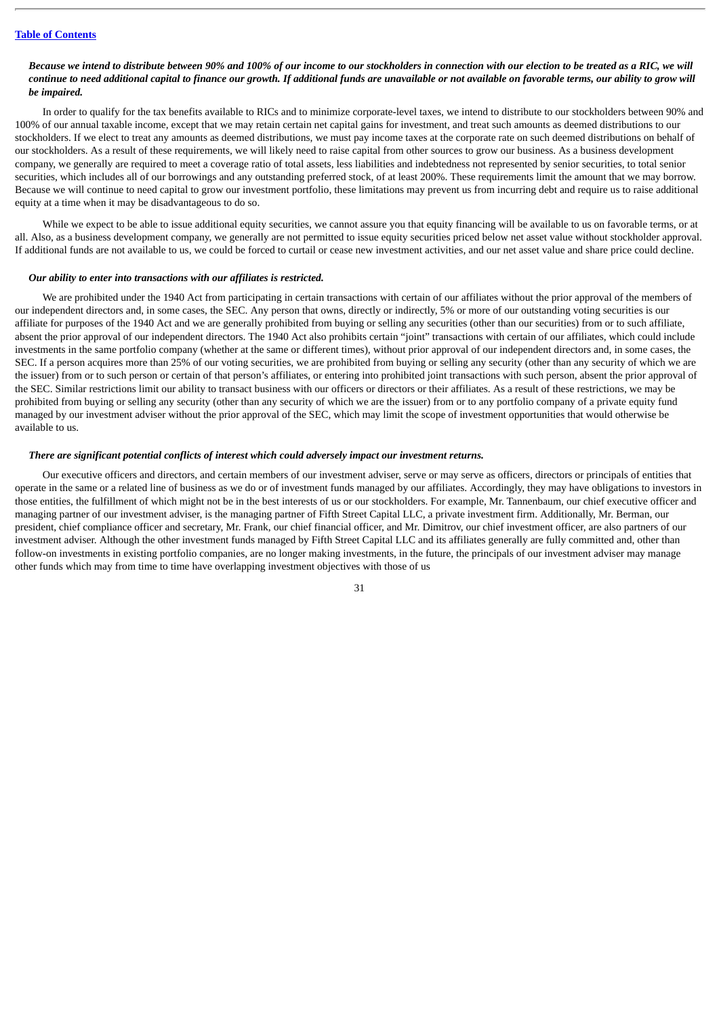## *Because we intend to distribute between 90% and 100% of our income to our stockholders in connection with our election to be treated as a RIC, we will continue to need additional capital to finance our growth. If additional funds are unavailable or not available on favorable terms, our ability to grow will be impaired.*

In order to qualify for the tax benefits available to RICs and to minimize corporate-level taxes, we intend to distribute to our stockholders between 90% and 100% of our annual taxable income, except that we may retain certain net capital gains for investment, and treat such amounts as deemed distributions to our stockholders. If we elect to treat any amounts as deemed distributions, we must pay income taxes at the corporate rate on such deemed distributions on behalf of our stockholders. As a result of these requirements, we will likely need to raise capital from other sources to grow our business. As a business development company, we generally are required to meet a coverage ratio of total assets, less liabilities and indebtedness not represented by senior securities, to total senior securities, which includes all of our borrowings and any outstanding preferred stock, of at least 200%. These requirements limit the amount that we may borrow. Because we will continue to need capital to grow our investment portfolio, these limitations may prevent us from incurring debt and require us to raise additional equity at a time when it may be disadvantageous to do so.

While we expect to be able to issue additional equity securities, we cannot assure you that equity financing will be available to us on favorable terms, or at all. Also, as a business development company, we generally are not permitted to issue equity securities priced below net asset value without stockholder approval. If additional funds are not available to us, we could be forced to curtail or cease new investment activities, and our net asset value and share price could decline.

#### *Our ability to enter into transactions with our affiliates is restricted.*

We are prohibited under the 1940 Act from participating in certain transactions with certain of our affiliates without the prior approval of the members of our independent directors and, in some cases, the SEC. Any person that owns, directly or indirectly, 5% or more of our outstanding voting securities is our affiliate for purposes of the 1940 Act and we are generally prohibited from buying or selling any securities (other than our securities) from or to such affiliate, absent the prior approval of our independent directors. The 1940 Act also prohibits certain "joint" transactions with certain of our affiliates, which could include investments in the same portfolio company (whether at the same or different times), without prior approval of our independent directors and, in some cases, the SEC. If a person acquires more than 25% of our voting securities, we are prohibited from buying or selling any security (other than any security of which we are the issuer) from or to such person or certain of that person's affiliates, or entering into prohibited joint transactions with such person, absent the prior approval of the SEC. Similar restrictions limit our ability to transact business with our officers or directors or their affiliates. As a result of these restrictions, we may be prohibited from buying or selling any security (other than any security of which we are the issuer) from or to any portfolio company of a private equity fund managed by our investment adviser without the prior approval of the SEC, which may limit the scope of investment opportunities that would otherwise be available to us.

# *There are significant potential conflicts of interest which could adversely impact our investment returns.*

Our executive officers and directors, and certain members of our investment adviser, serve or may serve as officers, directors or principals of entities that operate in the same or a related line of business as we do or of investment funds managed by our affiliates. Accordingly, they may have obligations to investors in those entities, the fulfillment of which might not be in the best interests of us or our stockholders. For example, Mr. Tannenbaum, our chief executive officer and managing partner of our investment adviser, is the managing partner of Fifth Street Capital LLC, a private investment firm. Additionally, Mr. Berman, our president, chief compliance officer and secretary, Mr. Frank, our chief financial officer, and Mr. Dimitrov, our chief investment officer, are also partners of our investment adviser. Although the other investment funds managed by Fifth Street Capital LLC and its affiliates generally are fully committed and, other than follow-on investments in existing portfolio companies, are no longer making investments, in the future, the principals of our investment adviser may manage other funds which may from time to time have overlapping investment objectives with those of us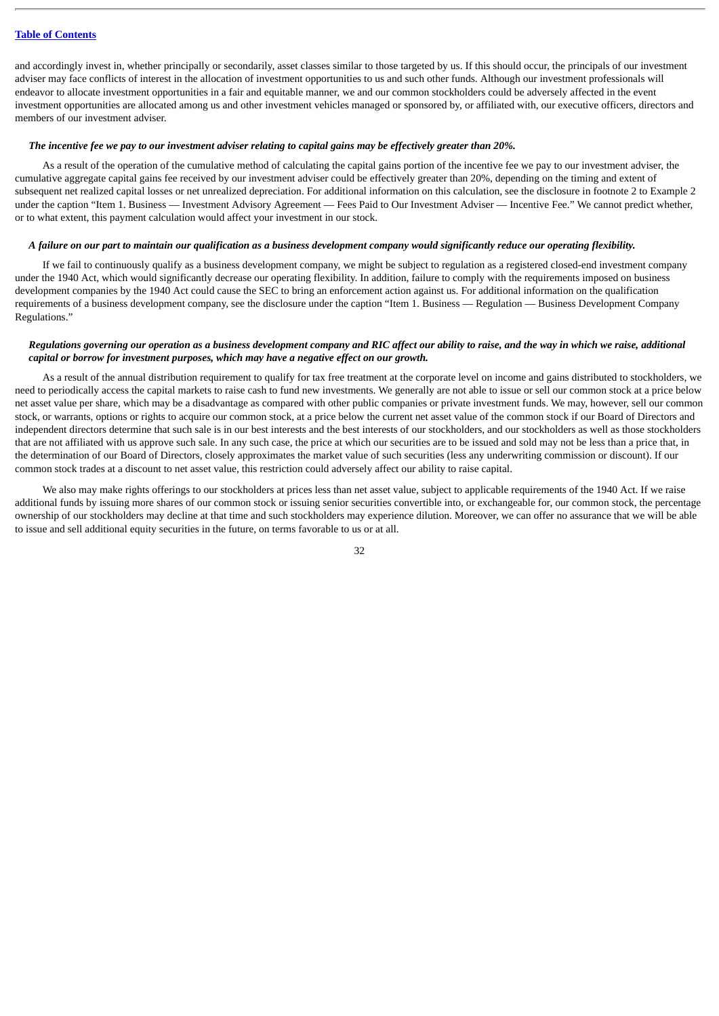and accordingly invest in, whether principally or secondarily, asset classes similar to those targeted by us. If this should occur, the principals of our investment adviser may face conflicts of interest in the allocation of investment opportunities to us and such other funds. Although our investment professionals will endeavor to allocate investment opportunities in a fair and equitable manner, we and our common stockholders could be adversely affected in the event investment opportunities are allocated among us and other investment vehicles managed or sponsored by, or affiliated with, our executive officers, directors and members of our investment adviser.

#### *The incentive fee we pay to our investment adviser relating to capital gains may be effectively greater than 20%.*

As a result of the operation of the cumulative method of calculating the capital gains portion of the incentive fee we pay to our investment adviser, the cumulative aggregate capital gains fee received by our investment adviser could be effectively greater than 20%, depending on the timing and extent of subsequent net realized capital losses or net unrealized depreciation. For additional information on this calculation, see the disclosure in footnote 2 to Example 2 under the caption "Item 1. Business — Investment Advisory Agreement — Fees Paid to Our Investment Adviser — Incentive Fee." We cannot predict whether, or to what extent, this payment calculation would affect your investment in our stock.

#### *A failure on our part to maintain our qualification as a business development company would significantly reduce our operating flexibility.*

If we fail to continuously qualify as a business development company, we might be subject to regulation as a registered closed-end investment company under the 1940 Act, which would significantly decrease our operating flexibility. In addition, failure to comply with the requirements imposed on business development companies by the 1940 Act could cause the SEC to bring an enforcement action against us. For additional information on the qualification requirements of a business development company, see the disclosure under the caption "Item 1. Business — Regulation — Business Development Company Regulations."

## *Regulations governing our operation as a business development company and RIC affect our ability to raise, and the way in which we raise, additional capital or borrow for investment purposes, which may have a negative effect on our growth.*

As a result of the annual distribution requirement to qualify for tax free treatment at the corporate level on income and gains distributed to stockholders, we need to periodically access the capital markets to raise cash to fund new investments. We generally are not able to issue or sell our common stock at a price below net asset value per share, which may be a disadvantage as compared with other public companies or private investment funds. We may, however, sell our common stock, or warrants, options or rights to acquire our common stock, at a price below the current net asset value of the common stock if our Board of Directors and independent directors determine that such sale is in our best interests and the best interests of our stockholders, and our stockholders as well as those stockholders that are not affiliated with us approve such sale. In any such case, the price at which our securities are to be issued and sold may not be less than a price that, in the determination of our Board of Directors, closely approximates the market value of such securities (less any underwriting commission or discount). If our common stock trades at a discount to net asset value, this restriction could adversely affect our ability to raise capital.

We also may make rights offerings to our stockholders at prices less than net asset value, subject to applicable requirements of the 1940 Act. If we raise additional funds by issuing more shares of our common stock or issuing senior securities convertible into, or exchangeable for, our common stock, the percentage ownership of our stockholders may decline at that time and such stockholders may experience dilution. Moreover, we can offer no assurance that we will be able to issue and sell additional equity securities in the future, on terms favorable to us or at all.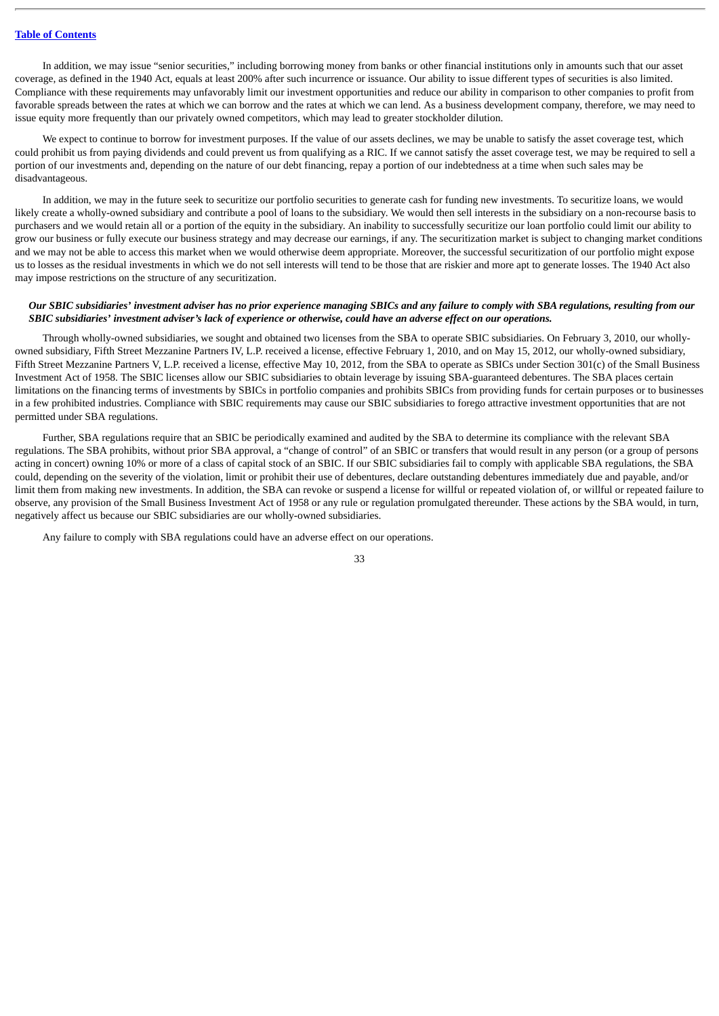In addition, we may issue "senior securities," including borrowing money from banks or other financial institutions only in amounts such that our asset coverage, as defined in the 1940 Act, equals at least 200% after such incurrence or issuance. Our ability to issue different types of securities is also limited. Compliance with these requirements may unfavorably limit our investment opportunities and reduce our ability in comparison to other companies to profit from favorable spreads between the rates at which we can borrow and the rates at which we can lend. As a business development company, therefore, we may need to issue equity more frequently than our privately owned competitors, which may lead to greater stockholder dilution.

We expect to continue to borrow for investment purposes. If the value of our assets declines, we may be unable to satisfy the asset coverage test, which could prohibit us from paying dividends and could prevent us from qualifying as a RIC. If we cannot satisfy the asset coverage test, we may be required to sell a portion of our investments and, depending on the nature of our debt financing, repay a portion of our indebtedness at a time when such sales may be disadvantageous.

In addition, we may in the future seek to securitize our portfolio securities to generate cash for funding new investments. To securitize loans, we would likely create a wholly-owned subsidiary and contribute a pool of loans to the subsidiary. We would then sell interests in the subsidiary on a non-recourse basis to purchasers and we would retain all or a portion of the equity in the subsidiary. An inability to successfully securitize our loan portfolio could limit our ability to grow our business or fully execute our business strategy and may decrease our earnings, if any. The securitization market is subject to changing market conditions and we may not be able to access this market when we would otherwise deem appropriate. Moreover, the successful securitization of our portfolio might expose us to losses as the residual investments in which we do not sell interests will tend to be those that are riskier and more apt to generate losses. The 1940 Act also may impose restrictions on the structure of any securitization.

# *Our SBIC subsidiaries' investment adviser has no prior experience managing SBICs and any failure to comply with SBA regulations, resulting from our SBIC subsidiaries' investment adviser's lack of experience or otherwise, could have an adverse effect on our operations.*

Through wholly-owned subsidiaries, we sought and obtained two licenses from the SBA to operate SBIC subsidiaries. On February 3, 2010, our whollyowned subsidiary, Fifth Street Mezzanine Partners IV, L.P. received a license, effective February 1, 2010, and on May 15, 2012, our wholly-owned subsidiary, Fifth Street Mezzanine Partners V, L.P. received a license, effective May 10, 2012, from the SBA to operate as SBICs under Section 301(c) of the Small Business Investment Act of 1958. The SBIC licenses allow our SBIC subsidiaries to obtain leverage by issuing SBA-guaranteed debentures. The SBA places certain limitations on the financing terms of investments by SBICs in portfolio companies and prohibits SBICs from providing funds for certain purposes or to businesses in a few prohibited industries. Compliance with SBIC requirements may cause our SBIC subsidiaries to forego attractive investment opportunities that are not permitted under SBA regulations.

Further, SBA regulations require that an SBIC be periodically examined and audited by the SBA to determine its compliance with the relevant SBA regulations. The SBA prohibits, without prior SBA approval, a "change of control" of an SBIC or transfers that would result in any person (or a group of persons acting in concert) owning 10% or more of a class of capital stock of an SBIC. If our SBIC subsidiaries fail to comply with applicable SBA regulations, the SBA could, depending on the severity of the violation, limit or prohibit their use of debentures, declare outstanding debentures immediately due and payable, and/or limit them from making new investments. In addition, the SBA can revoke or suspend a license for willful or repeated violation of, or willful or repeated failure to observe, any provision of the Small Business Investment Act of 1958 or any rule or regulation promulgated thereunder. These actions by the SBA would, in turn, negatively affect us because our SBIC subsidiaries are our wholly-owned subsidiaries.

Any failure to comply with SBA regulations could have an adverse effect on our operations.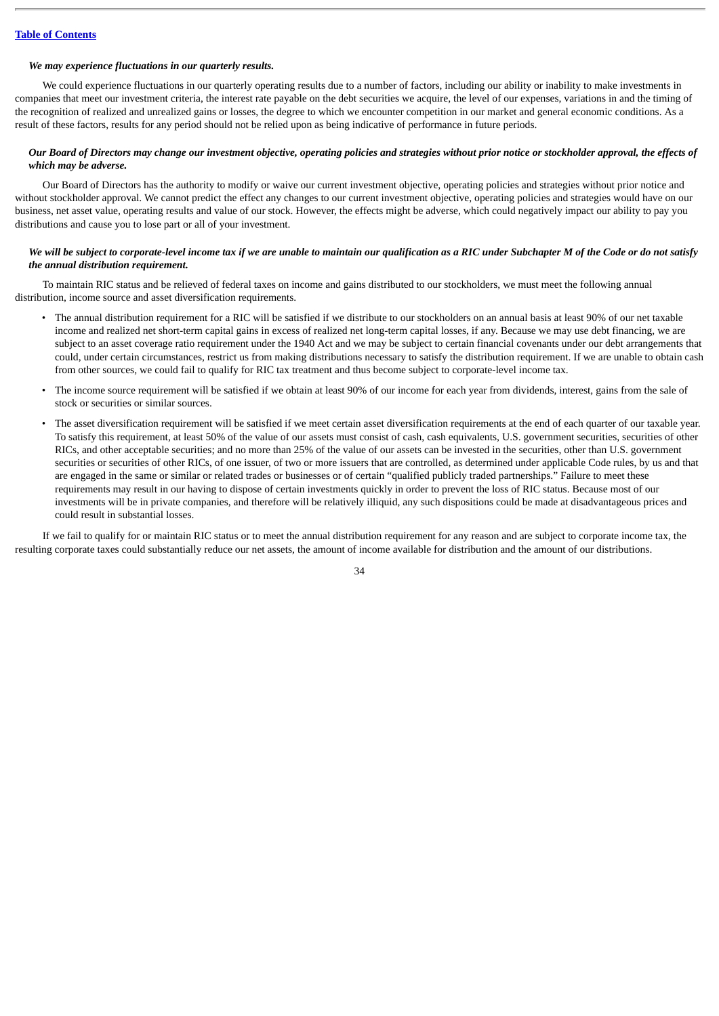#### *We may experience fluctuations in our quarterly results.*

We could experience fluctuations in our quarterly operating results due to a number of factors, including our ability or inability to make investments in companies that meet our investment criteria, the interest rate payable on the debt securities we acquire, the level of our expenses, variations in and the timing of the recognition of realized and unrealized gains or losses, the degree to which we encounter competition in our market and general economic conditions. As a result of these factors, results for any period should not be relied upon as being indicative of performance in future periods.

# *Our Board of Directors may change our investment objective, operating policies and strategies without prior notice or stockholder approval, the effects of which may be adverse.*

Our Board of Directors has the authority to modify or waive our current investment objective, operating policies and strategies without prior notice and without stockholder approval. We cannot predict the effect any changes to our current investment objective, operating policies and strategies would have on our business, net asset value, operating results and value of our stock. However, the effects might be adverse, which could negatively impact our ability to pay you distributions and cause you to lose part or all of your investment.

# *We will be subject to corporate-level income tax if we are unable to maintain our qualification as a RIC under Subchapter M of the Code or do not satisfy the annual distribution requirement.*

To maintain RIC status and be relieved of federal taxes on income and gains distributed to our stockholders, we must meet the following annual distribution, income source and asset diversification requirements.

- The annual distribution requirement for a RIC will be satisfied if we distribute to our stockholders on an annual basis at least 90% of our net taxable income and realized net short-term capital gains in excess of realized net long-term capital losses, if any. Because we may use debt financing, we are subject to an asset coverage ratio requirement under the 1940 Act and we may be subject to certain financial covenants under our debt arrangements that could, under certain circumstances, restrict us from making distributions necessary to satisfy the distribution requirement. If we are unable to obtain cash from other sources, we could fail to qualify for RIC tax treatment and thus become subject to corporate-level income tax.
- The income source requirement will be satisfied if we obtain at least 90% of our income for each year from dividends, interest, gains from the sale of stock or securities or similar sources.
- The asset diversification requirement will be satisfied if we meet certain asset diversification requirements at the end of each quarter of our taxable year. To satisfy this requirement, at least 50% of the value of our assets must consist of cash, cash equivalents, U.S. government securities, securities of other RICs, and other acceptable securities; and no more than 25% of the value of our assets can be invested in the securities, other than U.S. government securities or securities of other RICs, of one issuer, of two or more issuers that are controlled, as determined under applicable Code rules, by us and that are engaged in the same or similar or related trades or businesses or of certain "qualified publicly traded partnerships." Failure to meet these requirements may result in our having to dispose of certain investments quickly in order to prevent the loss of RIC status. Because most of our investments will be in private companies, and therefore will be relatively illiquid, any such dispositions could be made at disadvantageous prices and could result in substantial losses.

If we fail to qualify for or maintain RIC status or to meet the annual distribution requirement for any reason and are subject to corporate income tax, the resulting corporate taxes could substantially reduce our net assets, the amount of income available for distribution and the amount of our distributions.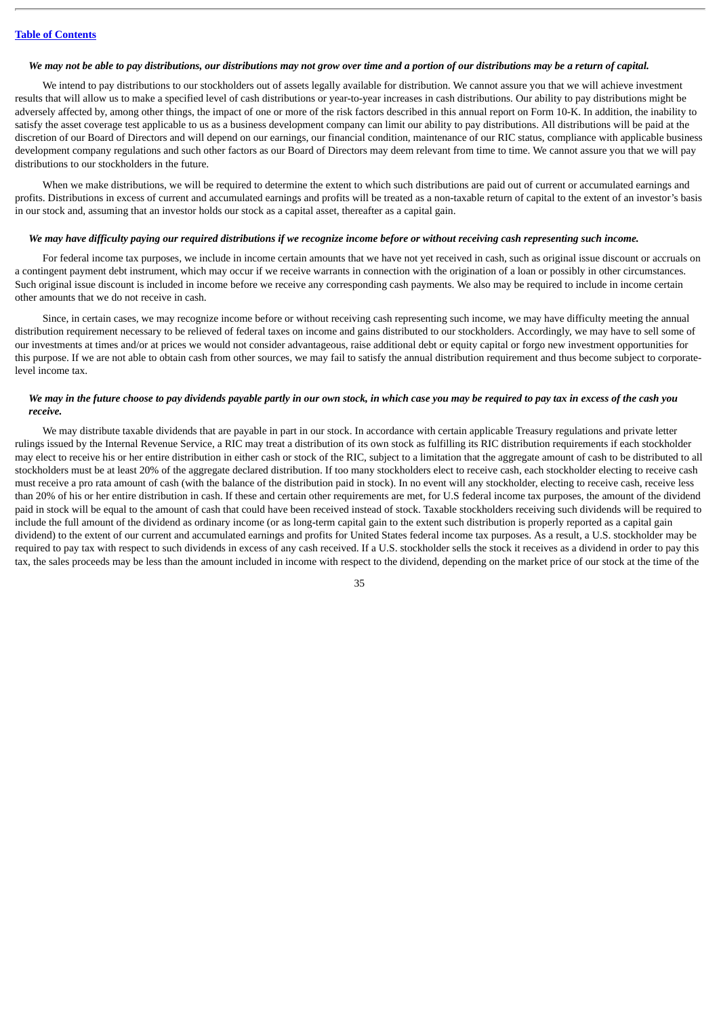### *We may not be able to pay distributions, our distributions may not grow over time and a portion of our distributions may be a return of capital.*

We intend to pay distributions to our stockholders out of assets legally available for distribution. We cannot assure you that we will achieve investment results that will allow us to make a specified level of cash distributions or year-to-year increases in cash distributions. Our ability to pay distributions might be adversely affected by, among other things, the impact of one or more of the risk factors described in this annual report on Form 10-K. In addition, the inability to satisfy the asset coverage test applicable to us as a business development company can limit our ability to pay distributions. All distributions will be paid at the discretion of our Board of Directors and will depend on our earnings, our financial condition, maintenance of our RIC status, compliance with applicable business development company regulations and such other factors as our Board of Directors may deem relevant from time to time. We cannot assure you that we will pay distributions to our stockholders in the future.

When we make distributions, we will be required to determine the extent to which such distributions are paid out of current or accumulated earnings and profits. Distributions in excess of current and accumulated earnings and profits will be treated as a non-taxable return of capital to the extent of an investor's basis in our stock and, assuming that an investor holds our stock as a capital asset, thereafter as a capital gain.

### *We may have difficulty paying our required distributions if we recognize income before or without receiving cash representing such income.*

For federal income tax purposes, we include in income certain amounts that we have not yet received in cash, such as original issue discount or accruals on a contingent payment debt instrument, which may occur if we receive warrants in connection with the origination of a loan or possibly in other circumstances. Such original issue discount is included in income before we receive any corresponding cash payments. We also may be required to include in income certain other amounts that we do not receive in cash.

Since, in certain cases, we may recognize income before or without receiving cash representing such income, we may have difficulty meeting the annual distribution requirement necessary to be relieved of federal taxes on income and gains distributed to our stockholders. Accordingly, we may have to sell some of our investments at times and/or at prices we would not consider advantageous, raise additional debt or equity capital or forgo new investment opportunities for this purpose. If we are not able to obtain cash from other sources, we may fail to satisfy the annual distribution requirement and thus become subject to corporatelevel income tax.

## *We may in the future choose to pay dividends payable partly in our own stock, in which case you may be required to pay tax in excess of the cash you receive.*

We may distribute taxable dividends that are payable in part in our stock. In accordance with certain applicable Treasury regulations and private letter rulings issued by the Internal Revenue Service, a RIC may treat a distribution of its own stock as fulfilling its RIC distribution requirements if each stockholder may elect to receive his or her entire distribution in either cash or stock of the RIC, subject to a limitation that the aggregate amount of cash to be distributed to all stockholders must be at least 20% of the aggregate declared distribution. If too many stockholders elect to receive cash, each stockholder electing to receive cash must receive a pro rata amount of cash (with the balance of the distribution paid in stock). In no event will any stockholder, electing to receive cash, receive less than 20% of his or her entire distribution in cash. If these and certain other requirements are met, for U.S federal income tax purposes, the amount of the dividend paid in stock will be equal to the amount of cash that could have been received instead of stock. Taxable stockholders receiving such dividends will be required to include the full amount of the dividend as ordinary income (or as long-term capital gain to the extent such distribution is properly reported as a capital gain dividend) to the extent of our current and accumulated earnings and profits for United States federal income tax purposes. As a result, a U.S. stockholder may be required to pay tax with respect to such dividends in excess of any cash received. If a U.S. stockholder sells the stock it receives as a dividend in order to pay this tax, the sales proceeds may be less than the amount included in income with respect to the dividend, depending on the market price of our stock at the time of the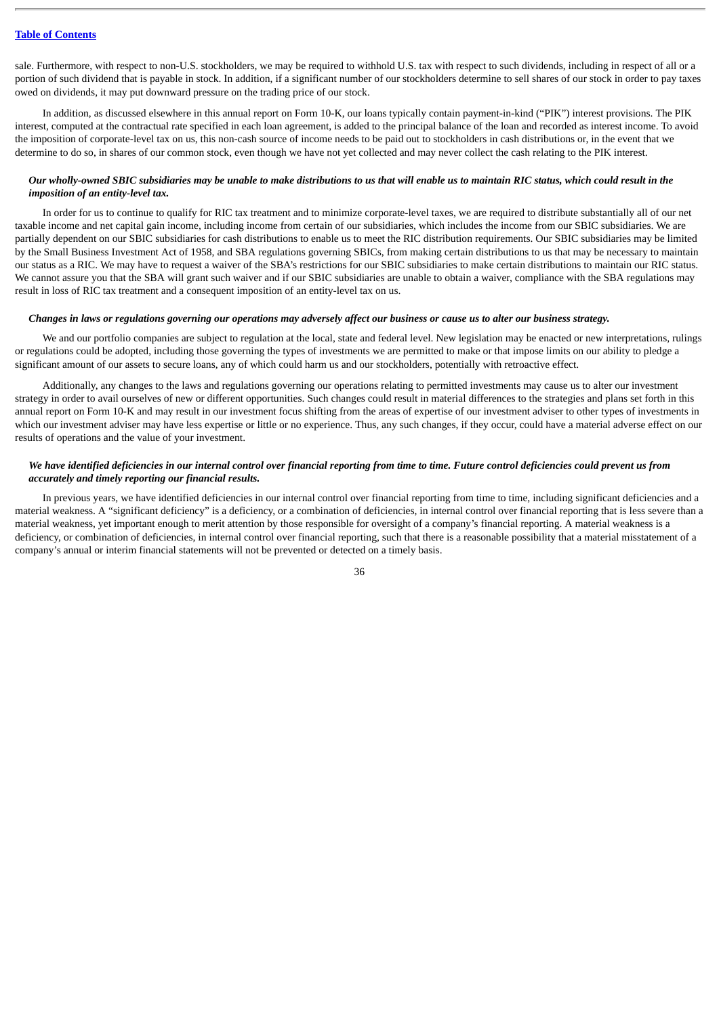sale. Furthermore, with respect to non-U.S. stockholders, we may be required to withhold U.S. tax with respect to such dividends, including in respect of all or a portion of such dividend that is payable in stock. In addition, if a significant number of our stockholders determine to sell shares of our stock in order to pay taxes owed on dividends, it may put downward pressure on the trading price of our stock.

In addition, as discussed elsewhere in this annual report on Form 10-K, our loans typically contain payment-in-kind ("PIK") interest provisions. The PIK interest, computed at the contractual rate specified in each loan agreement, is added to the principal balance of the loan and recorded as interest income. To avoid the imposition of corporate-level tax on us, this non-cash source of income needs to be paid out to stockholders in cash distributions or, in the event that we determine to do so, in shares of our common stock, even though we have not yet collected and may never collect the cash relating to the PIK interest.

# *Our wholly-owned SBIC subsidiaries may be unable to make distributions to us that will enable us to maintain RIC status, which could result in the imposition of an entity-level tax.*

In order for us to continue to qualify for RIC tax treatment and to minimize corporate-level taxes, we are required to distribute substantially all of our net taxable income and net capital gain income, including income from certain of our subsidiaries, which includes the income from our SBIC subsidiaries. We are partially dependent on our SBIC subsidiaries for cash distributions to enable us to meet the RIC distribution requirements. Our SBIC subsidiaries may be limited by the Small Business Investment Act of 1958, and SBA regulations governing SBICs, from making certain distributions to us that may be necessary to maintain our status as a RIC. We may have to request a waiver of the SBA's restrictions for our SBIC subsidiaries to make certain distributions to maintain our RIC status. We cannot assure you that the SBA will grant such waiver and if our SBIC subsidiaries are unable to obtain a waiver, compliance with the SBA regulations may result in loss of RIC tax treatment and a consequent imposition of an entity-level tax on us.

### *Changes in laws or regulations governing our operations may adversely affect our business or cause us to alter our business strategy.*

We and our portfolio companies are subject to regulation at the local, state and federal level. New legislation may be enacted or new interpretations, rulings or regulations could be adopted, including those governing the types of investments we are permitted to make or that impose limits on our ability to pledge a significant amount of our assets to secure loans, any of which could harm us and our stockholders, potentially with retroactive effect.

Additionally, any changes to the laws and regulations governing our operations relating to permitted investments may cause us to alter our investment strategy in order to avail ourselves of new or different opportunities. Such changes could result in material differences to the strategies and plans set forth in this annual report on Form 10-K and may result in our investment focus shifting from the areas of expertise of our investment adviser to other types of investments in which our investment adviser may have less expertise or little or no experience. Thus, any such changes, if they occur, could have a material adverse effect on our results of operations and the value of your investment.

# *We have identified deficiencies in our internal control over financial reporting from time to time. Future control deficiencies could prevent us from accurately and timely reporting our financial results.*

In previous years, we have identified deficiencies in our internal control over financial reporting from time to time, including significant deficiencies and a material weakness. A "significant deficiency" is a deficiency, or a combination of deficiencies, in internal control over financial reporting that is less severe than a material weakness, yet important enough to merit attention by those responsible for oversight of a company's financial reporting. A material weakness is a deficiency, or combination of deficiencies, in internal control over financial reporting, such that there is a reasonable possibility that a material misstatement of a company's annual or interim financial statements will not be prevented or detected on a timely basis.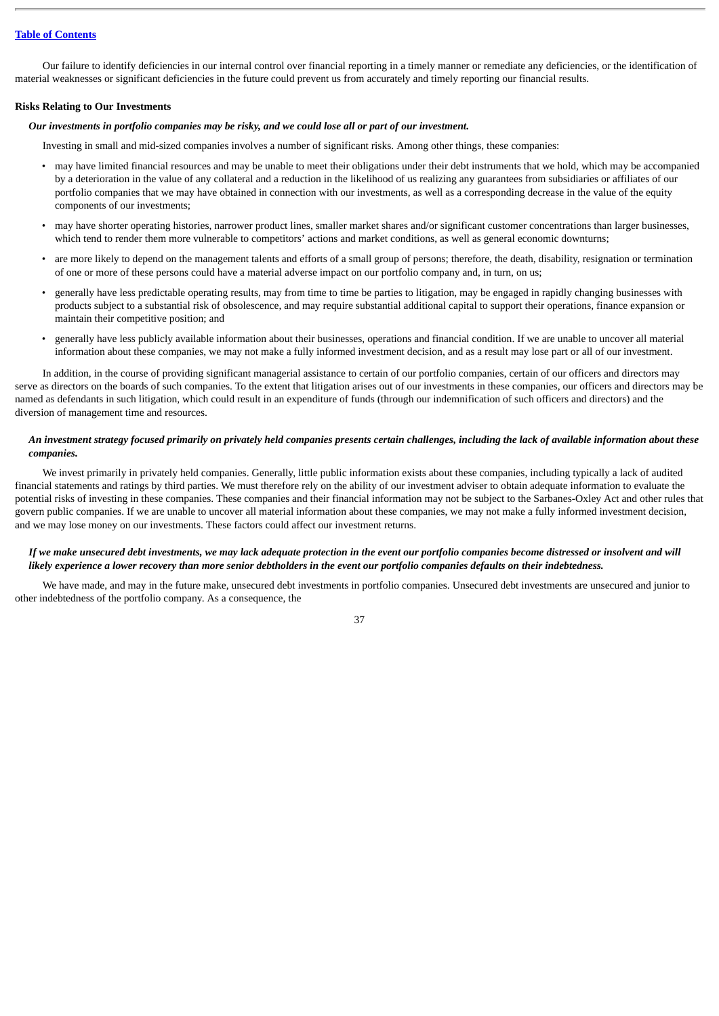Our failure to identify deficiencies in our internal control over financial reporting in a timely manner or remediate any deficiencies, or the identification of material weaknesses or significant deficiencies in the future could prevent us from accurately and timely reporting our financial results.

### **Risks Relating to Our Investments**

### *Our investments in portfolio companies may be risky, and we could lose all or part of our investment.*

Investing in small and mid-sized companies involves a number of significant risks. Among other things, these companies:

- may have limited financial resources and may be unable to meet their obligations under their debt instruments that we hold, which may be accompanied by a deterioration in the value of any collateral and a reduction in the likelihood of us realizing any guarantees from subsidiaries or affiliates of our portfolio companies that we may have obtained in connection with our investments, as well as a corresponding decrease in the value of the equity components of our investments;
- may have shorter operating histories, narrower product lines, smaller market shares and/or significant customer concentrations than larger businesses, which tend to render them more vulnerable to competitors' actions and market conditions, as well as general economic downturns;
- are more likely to depend on the management talents and efforts of a small group of persons; therefore, the death, disability, resignation or termination of one or more of these persons could have a material adverse impact on our portfolio company and, in turn, on us;
- generally have less predictable operating results, may from time to time be parties to litigation, may be engaged in rapidly changing businesses with products subject to a substantial risk of obsolescence, and may require substantial additional capital to support their operations, finance expansion or maintain their competitive position; and
- generally have less publicly available information about their businesses, operations and financial condition. If we are unable to uncover all material information about these companies, we may not make a fully informed investment decision, and as a result may lose part or all of our investment.

In addition, in the course of providing significant managerial assistance to certain of our portfolio companies, certain of our officers and directors may serve as directors on the boards of such companies. To the extent that litigation arises out of our investments in these companies, our officers and directors may be named as defendants in such litigation, which could result in an expenditure of funds (through our indemnification of such officers and directors) and the diversion of management time and resources.

## *An investment strategy focused primarily on privately held companies presents certain challenges, including the lack of available information about these companies.*

We invest primarily in privately held companies. Generally, little public information exists about these companies, including typically a lack of audited financial statements and ratings by third parties. We must therefore rely on the ability of our investment adviser to obtain adequate information to evaluate the potential risks of investing in these companies. These companies and their financial information may not be subject to the Sarbanes-Oxley Act and other rules that govern public companies. If we are unable to uncover all material information about these companies, we may not make a fully informed investment decision, and we may lose money on our investments. These factors could affect our investment returns.

# *If we make unsecured debt investments, we may lack adequate protection in the event our portfolio companies become distressed or insolvent and will likely experience a lower recovery than more senior debtholders in the event our portfolio companies defaults on their indebtedness.*

We have made, and may in the future make, unsecured debt investments in portfolio companies. Unsecured debt investments are unsecured and junior to other indebtedness of the portfolio company. As a consequence, the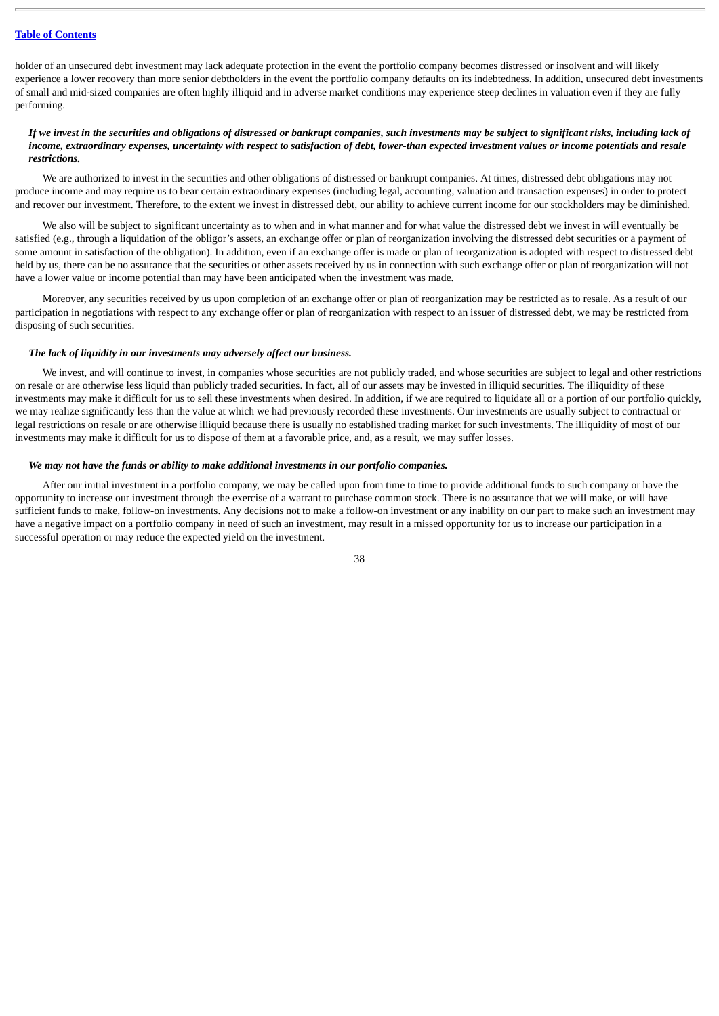holder of an unsecured debt investment may lack adequate protection in the event the portfolio company becomes distressed or insolvent and will likely experience a lower recovery than more senior debtholders in the event the portfolio company defaults on its indebtedness. In addition, unsecured debt investments of small and mid-sized companies are often highly illiquid and in adverse market conditions may experience steep declines in valuation even if they are fully performing.

# *If we invest in the securities and obligations of distressed or bankrupt companies, such investments may be subject to significant risks, including lack of income, extraordinary expenses, uncertainty with respect to satisfaction of debt, lower-than expected investment values or income potentials and resale restrictions.*

We are authorized to invest in the securities and other obligations of distressed or bankrupt companies. At times, distressed debt obligations may not produce income and may require us to bear certain extraordinary expenses (including legal, accounting, valuation and transaction expenses) in order to protect and recover our investment. Therefore, to the extent we invest in distressed debt, our ability to achieve current income for our stockholders may be diminished.

We also will be subject to significant uncertainty as to when and in what manner and for what value the distressed debt we invest in will eventually be satisfied (e.g., through a liquidation of the obligor's assets, an exchange offer or plan of reorganization involving the distressed debt securities or a payment of some amount in satisfaction of the obligation). In addition, even if an exchange offer is made or plan of reorganization is adopted with respect to distressed debt held by us, there can be no assurance that the securities or other assets received by us in connection with such exchange offer or plan of reorganization will not have a lower value or income potential than may have been anticipated when the investment was made.

Moreover, any securities received by us upon completion of an exchange offer or plan of reorganization may be restricted as to resale. As a result of our participation in negotiations with respect to any exchange offer or plan of reorganization with respect to an issuer of distressed debt, we may be restricted from disposing of such securities.

## *The lack of liquidity in our investments may adversely affect our business.*

We invest, and will continue to invest, in companies whose securities are not publicly traded, and whose securities are subject to legal and other restrictions on resale or are otherwise less liquid than publicly traded securities. In fact, all of our assets may be invested in illiquid securities. The illiquidity of these investments may make it difficult for us to sell these investments when desired. In addition, if we are required to liquidate all or a portion of our portfolio quickly, we may realize significantly less than the value at which we had previously recorded these investments. Our investments are usually subject to contractual or legal restrictions on resale or are otherwise illiquid because there is usually no established trading market for such investments. The illiquidity of most of our investments may make it difficult for us to dispose of them at a favorable price, and, as a result, we may suffer losses.

### *We may not have the funds or ability to make additional investments in our portfolio companies.*

After our initial investment in a portfolio company, we may be called upon from time to time to provide additional funds to such company or have the opportunity to increase our investment through the exercise of a warrant to purchase common stock. There is no assurance that we will make, or will have sufficient funds to make, follow-on investments. Any decisions not to make a follow-on investment or any inability on our part to make such an investment may have a negative impact on a portfolio company in need of such an investment, may result in a missed opportunity for us to increase our participation in a successful operation or may reduce the expected yield on the investment.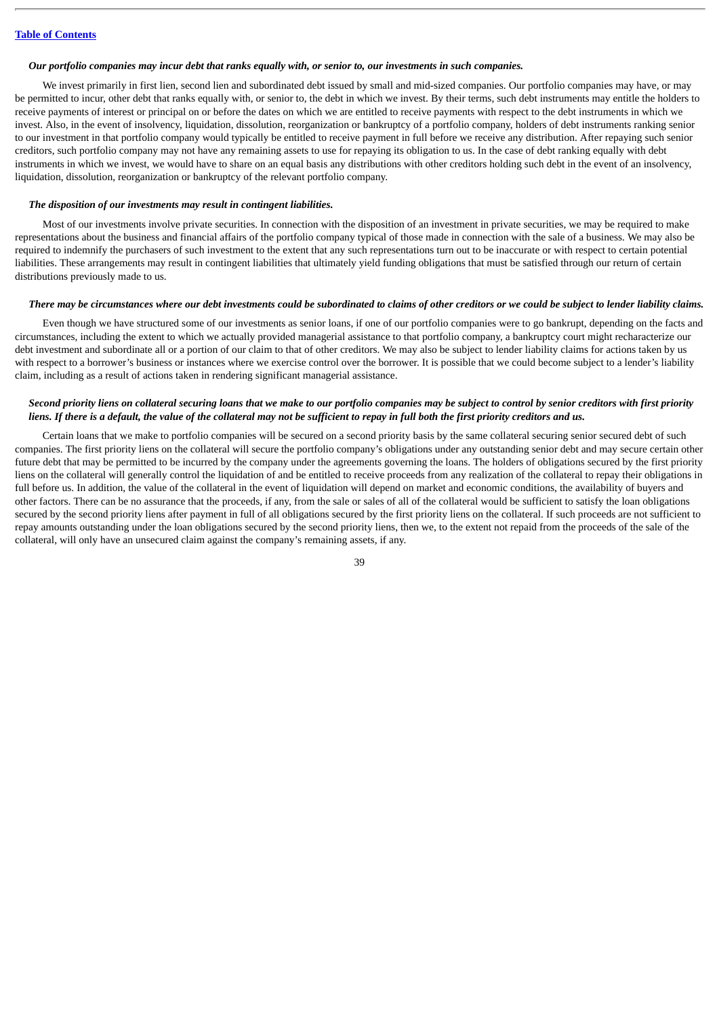### *Our portfolio companies may incur debt that ranks equally with, or senior to, our investments in such companies.*

We invest primarily in first lien, second lien and subordinated debt issued by small and mid-sized companies. Our portfolio companies may have, or may be permitted to incur, other debt that ranks equally with, or senior to, the debt in which we invest. By their terms, such debt instruments may entitle the holders to receive payments of interest or principal on or before the dates on which we are entitled to receive payments with respect to the debt instruments in which we invest. Also, in the event of insolvency, liquidation, dissolution, reorganization or bankruptcy of a portfolio company, holders of debt instruments ranking senior to our investment in that portfolio company would typically be entitled to receive payment in full before we receive any distribution. After repaying such senior creditors, such portfolio company may not have any remaining assets to use for repaying its obligation to us. In the case of debt ranking equally with debt instruments in which we invest, we would have to share on an equal basis any distributions with other creditors holding such debt in the event of an insolvency, liquidation, dissolution, reorganization or bankruptcy of the relevant portfolio company.

## *The disposition of our investments may result in contingent liabilities.*

Most of our investments involve private securities. In connection with the disposition of an investment in private securities, we may be required to make representations about the business and financial affairs of the portfolio company typical of those made in connection with the sale of a business. We may also be required to indemnify the purchasers of such investment to the extent that any such representations turn out to be inaccurate or with respect to certain potential liabilities. These arrangements may result in contingent liabilities that ultimately yield funding obligations that must be satisfied through our return of certain distributions previously made to us.

### *There may be circumstances where our debt investments could be subordinated to claims of other creditors or we could be subject to lender liability claims.*

Even though we have structured some of our investments as senior loans, if one of our portfolio companies were to go bankrupt, depending on the facts and circumstances, including the extent to which we actually provided managerial assistance to that portfolio company, a bankruptcy court might recharacterize our debt investment and subordinate all or a portion of our claim to that of other creditors. We may also be subject to lender liability claims for actions taken by us with respect to a borrower's business or instances where we exercise control over the borrower. It is possible that we could become subject to a lender's liability claim, including as a result of actions taken in rendering significant managerial assistance.

# *Second priority liens on collateral securing loans that we make to our portfolio companies may be subject to control by senior creditors with first priority liens. If there is a default, the value of the collateral may not be sufficient to repay in full both the first priority creditors and us.*

Certain loans that we make to portfolio companies will be secured on a second priority basis by the same collateral securing senior secured debt of such companies. The first priority liens on the collateral will secure the portfolio company's obligations under any outstanding senior debt and may secure certain other future debt that may be permitted to be incurred by the company under the agreements governing the loans. The holders of obligations secured by the first priority liens on the collateral will generally control the liquidation of and be entitled to receive proceeds from any realization of the collateral to repay their obligations in full before us. In addition, the value of the collateral in the event of liquidation will depend on market and economic conditions, the availability of buyers and other factors. There can be no assurance that the proceeds, if any, from the sale or sales of all of the collateral would be sufficient to satisfy the loan obligations secured by the second priority liens after payment in full of all obligations secured by the first priority liens on the collateral. If such proceeds are not sufficient to repay amounts outstanding under the loan obligations secured by the second priority liens, then we, to the extent not repaid from the proceeds of the sale of the collateral, will only have an unsecured claim against the company's remaining assets, if any.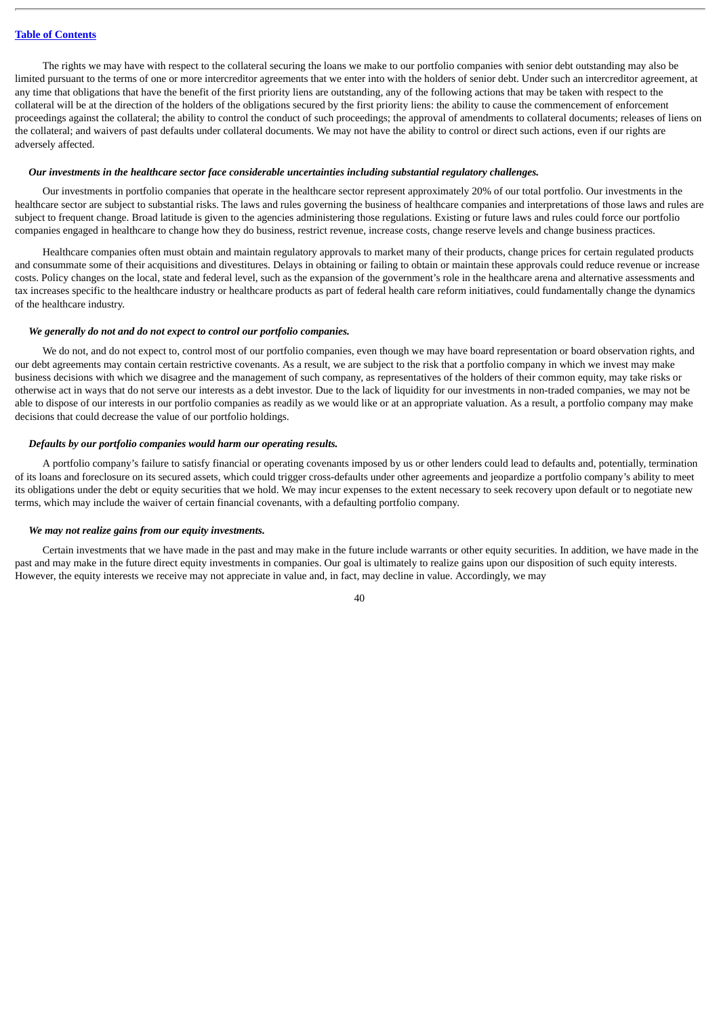The rights we may have with respect to the collateral securing the loans we make to our portfolio companies with senior debt outstanding may also be limited pursuant to the terms of one or more intercreditor agreements that we enter into with the holders of senior debt. Under such an intercreditor agreement, at any time that obligations that have the benefit of the first priority liens are outstanding, any of the following actions that may be taken with respect to the collateral will be at the direction of the holders of the obligations secured by the first priority liens: the ability to cause the commencement of enforcement proceedings against the collateral; the ability to control the conduct of such proceedings; the approval of amendments to collateral documents; releases of liens on the collateral; and waivers of past defaults under collateral documents. We may not have the ability to control or direct such actions, even if our rights are adversely affected.

### *Our investments in the healthcare sector face considerable uncertainties including substantial regulatory challenges.*

Our investments in portfolio companies that operate in the healthcare sector represent approximately 20% of our total portfolio. Our investments in the healthcare sector are subject to substantial risks. The laws and rules governing the business of healthcare companies and interpretations of those laws and rules are subject to frequent change. Broad latitude is given to the agencies administering those regulations. Existing or future laws and rules could force our portfolio companies engaged in healthcare to change how they do business, restrict revenue, increase costs, change reserve levels and change business practices.

Healthcare companies often must obtain and maintain regulatory approvals to market many of their products, change prices for certain regulated products and consummate some of their acquisitions and divestitures. Delays in obtaining or failing to obtain or maintain these approvals could reduce revenue or increase costs. Policy changes on the local, state and federal level, such as the expansion of the government's role in the healthcare arena and alternative assessments and tax increases specific to the healthcare industry or healthcare products as part of federal health care reform initiatives, could fundamentally change the dynamics of the healthcare industry.

### *We generally do not and do not expect to control our portfolio companies.*

We do not, and do not expect to, control most of our portfolio companies, even though we may have board representation or board observation rights, and our debt agreements may contain certain restrictive covenants. As a result, we are subject to the risk that a portfolio company in which we invest may make business decisions with which we disagree and the management of such company, as representatives of the holders of their common equity, may take risks or otherwise act in ways that do not serve our interests as a debt investor. Due to the lack of liquidity for our investments in non-traded companies, we may not be able to dispose of our interests in our portfolio companies as readily as we would like or at an appropriate valuation. As a result, a portfolio company may make decisions that could decrease the value of our portfolio holdings.

## *Defaults by our portfolio companies would harm our operating results.*

A portfolio company's failure to satisfy financial or operating covenants imposed by us or other lenders could lead to defaults and, potentially, termination of its loans and foreclosure on its secured assets, which could trigger cross-defaults under other agreements and jeopardize a portfolio company's ability to meet its obligations under the debt or equity securities that we hold. We may incur expenses to the extent necessary to seek recovery upon default or to negotiate new terms, which may include the waiver of certain financial covenants, with a defaulting portfolio company.

#### *We may not realize gains from our equity investments.*

Certain investments that we have made in the past and may make in the future include warrants or other equity securities. In addition, we have made in the past and may make in the future direct equity investments in companies. Our goal is ultimately to realize gains upon our disposition of such equity interests. However, the equity interests we receive may not appreciate in value and, in fact, may decline in value. Accordingly, we may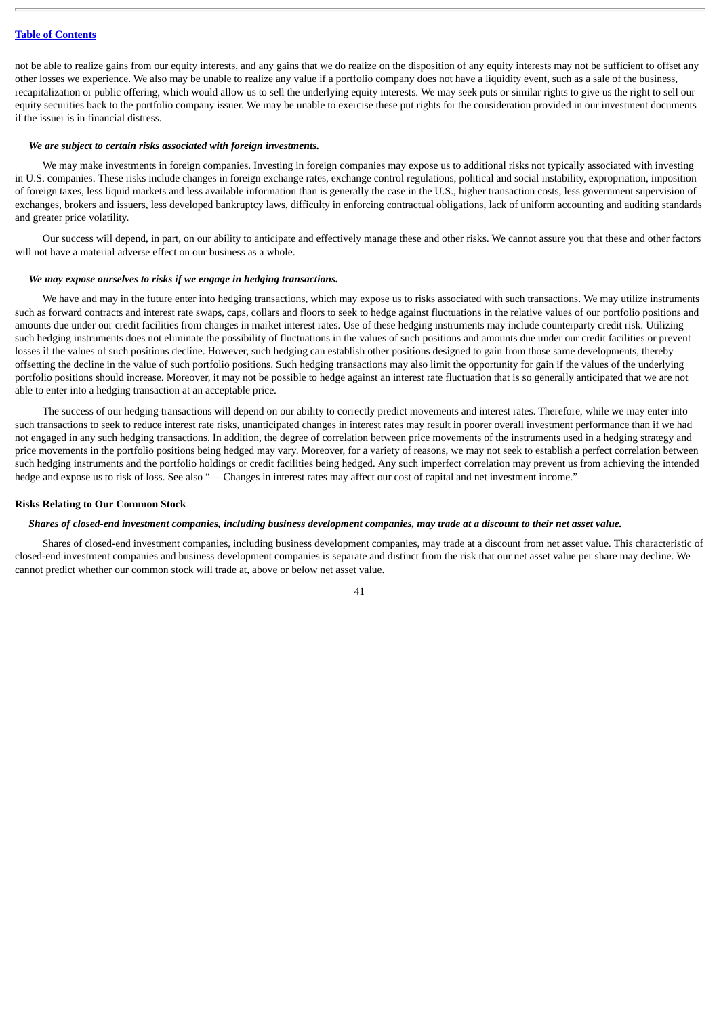not be able to realize gains from our equity interests, and any gains that we do realize on the disposition of any equity interests may not be sufficient to offset any other losses we experience. We also may be unable to realize any value if a portfolio company does not have a liquidity event, such as a sale of the business, recapitalization or public offering, which would allow us to sell the underlying equity interests. We may seek puts or similar rights to give us the right to sell our equity securities back to the portfolio company issuer. We may be unable to exercise these put rights for the consideration provided in our investment documents if the issuer is in financial distress.

### *We are subject to certain risks associated with foreign investments.*

We may make investments in foreign companies. Investing in foreign companies may expose us to additional risks not typically associated with investing in U.S. companies. These risks include changes in foreign exchange rates, exchange control regulations, political and social instability, expropriation, imposition of foreign taxes, less liquid markets and less available information than is generally the case in the U.S., higher transaction costs, less government supervision of exchanges, brokers and issuers, less developed bankruptcy laws, difficulty in enforcing contractual obligations, lack of uniform accounting and auditing standards and greater price volatility.

Our success will depend, in part, on our ability to anticipate and effectively manage these and other risks. We cannot assure you that these and other factors will not have a material adverse effect on our business as a whole.

#### *We may expose ourselves to risks if we engage in hedging transactions.*

We have and may in the future enter into hedging transactions, which may expose us to risks associated with such transactions. We may utilize instruments such as forward contracts and interest rate swaps, caps, collars and floors to seek to hedge against fluctuations in the relative values of our portfolio positions and amounts due under our credit facilities from changes in market interest rates. Use of these hedging instruments may include counterparty credit risk. Utilizing such hedging instruments does not eliminate the possibility of fluctuations in the values of such positions and amounts due under our credit facilities or prevent losses if the values of such positions decline. However, such hedging can establish other positions designed to gain from those same developments, thereby offsetting the decline in the value of such portfolio positions. Such hedging transactions may also limit the opportunity for gain if the values of the underlying portfolio positions should increase. Moreover, it may not be possible to hedge against an interest rate fluctuation that is so generally anticipated that we are not able to enter into a hedging transaction at an acceptable price.

The success of our hedging transactions will depend on our ability to correctly predict movements and interest rates. Therefore, while we may enter into such transactions to seek to reduce interest rate risks, unanticipated changes in interest rates may result in poorer overall investment performance than if we had not engaged in any such hedging transactions. In addition, the degree of correlation between price movements of the instruments used in a hedging strategy and price movements in the portfolio positions being hedged may vary. Moreover, for a variety of reasons, we may not seek to establish a perfect correlation between such hedging instruments and the portfolio holdings or credit facilities being hedged. Any such imperfect correlation may prevent us from achieving the intended hedge and expose us to risk of loss. See also "— Changes in interest rates may affect our cost of capital and net investment income."

### **Risks Relating to Our Common Stock**

### *Shares of closed-end investment companies, including business development companies, may trade at a discount to their net asset value.*

Shares of closed-end investment companies, including business development companies, may trade at a discount from net asset value. This characteristic of closed-end investment companies and business development companies is separate and distinct from the risk that our net asset value per share may decline. We cannot predict whether our common stock will trade at, above or below net asset value.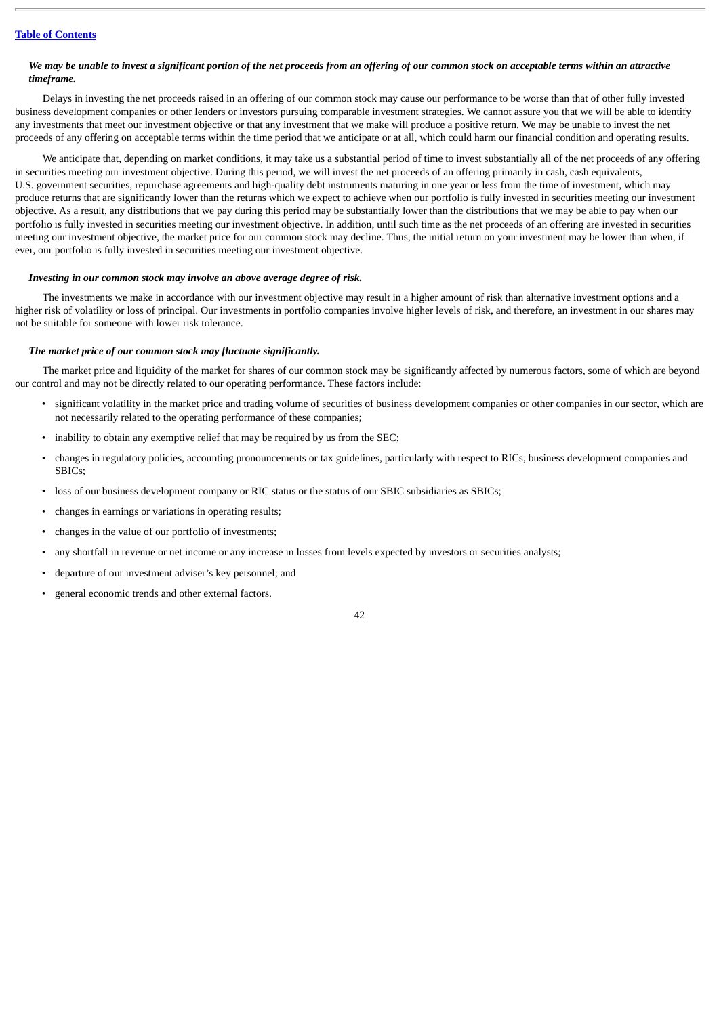# *We may be unable to invest a significant portion of the net proceeds from an offering of our common stock on acceptable terms within an attractive timeframe.*

Delays in investing the net proceeds raised in an offering of our common stock may cause our performance to be worse than that of other fully invested business development companies or other lenders or investors pursuing comparable investment strategies. We cannot assure you that we will be able to identify any investments that meet our investment objective or that any investment that we make will produce a positive return. We may be unable to invest the net proceeds of any offering on acceptable terms within the time period that we anticipate or at all, which could harm our financial condition and operating results.

We anticipate that, depending on market conditions, it may take us a substantial period of time to invest substantially all of the net proceeds of any offering in securities meeting our investment objective. During this period, we will invest the net proceeds of an offering primarily in cash, cash equivalents, U.S. government securities, repurchase agreements and high-quality debt instruments maturing in one year or less from the time of investment, which may produce returns that are significantly lower than the returns which we expect to achieve when our portfolio is fully invested in securities meeting our investment objective. As a result, any distributions that we pay during this period may be substantially lower than the distributions that we may be able to pay when our portfolio is fully invested in securities meeting our investment objective. In addition, until such time as the net proceeds of an offering are invested in securities meeting our investment objective, the market price for our common stock may decline. Thus, the initial return on your investment may be lower than when, if ever, our portfolio is fully invested in securities meeting our investment objective.

## *Investing in our common stock may involve an above average degree of risk.*

The investments we make in accordance with our investment objective may result in a higher amount of risk than alternative investment options and a higher risk of volatility or loss of principal. Our investments in portfolio companies involve higher levels of risk, and therefore, an investment in our shares may not be suitable for someone with lower risk tolerance.

### *The market price of our common stock may fluctuate significantly.*

The market price and liquidity of the market for shares of our common stock may be significantly affected by numerous factors, some of which are beyond our control and may not be directly related to our operating performance. These factors include:

- significant volatility in the market price and trading volume of securities of business development companies or other companies in our sector, which are not necessarily related to the operating performance of these companies;
- inability to obtain any exemptive relief that may be required by us from the SEC;
- changes in regulatory policies, accounting pronouncements or tax guidelines, particularly with respect to RICs, business development companies and SBICs;
- loss of our business development company or RIC status or the status of our SBIC subsidiaries as SBICs;
- changes in earnings or variations in operating results;
- changes in the value of our portfolio of investments;
- any shortfall in revenue or net income or any increase in losses from levels expected by investors or securities analysts;
- departure of our investment adviser's key personnel; and
- general economic trends and other external factors.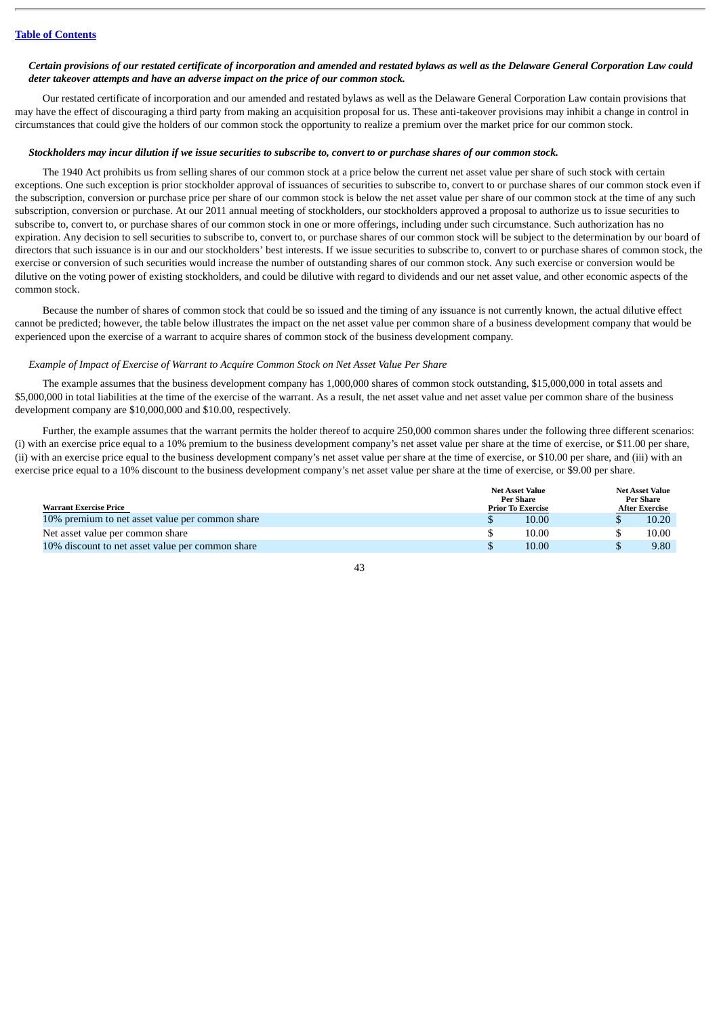## *Certain provisions of our restated certificate of incorporation and amended and restated bylaws as well as the Delaware General Corporation Law could deter takeover attempts and have an adverse impact on the price of our common stock.*

Our restated certificate of incorporation and our amended and restated bylaws as well as the Delaware General Corporation Law contain provisions that may have the effect of discouraging a third party from making an acquisition proposal for us. These anti-takeover provisions may inhibit a change in control in circumstances that could give the holders of our common stock the opportunity to realize a premium over the market price for our common stock.

# *Stockholders may incur dilution if we issue securities to subscribe to, convert to or purchase shares of our common stock.*

The 1940 Act prohibits us from selling shares of our common stock at a price below the current net asset value per share of such stock with certain exceptions. One such exception is prior stockholder approval of issuances of securities to subscribe to, convert to or purchase shares of our common stock even if the subscription, conversion or purchase price per share of our common stock is below the net asset value per share of our common stock at the time of any such subscription, conversion or purchase. At our 2011 annual meeting of stockholders, our stockholders approved a proposal to authorize us to issue securities to subscribe to, convert to, or purchase shares of our common stock in one or more offerings, including under such circumstance. Such authorization has no expiration. Any decision to sell securities to subscribe to, convert to, or purchase shares of our common stock will be subject to the determination by our board of directors that such issuance is in our and our stockholders' best interests. If we issue securities to subscribe to, convert to or purchase shares of common stock, the exercise or conversion of such securities would increase the number of outstanding shares of our common stock. Any such exercise or conversion would be dilutive on the voting power of existing stockholders, and could be dilutive with regard to dividends and our net asset value, and other economic aspects of the common stock.

Because the number of shares of common stock that could be so issued and the timing of any issuance is not currently known, the actual dilutive effect cannot be predicted; however, the table below illustrates the impact on the net asset value per common share of a business development company that would be experienced upon the exercise of a warrant to acquire shares of common stock of the business development company.

## *Example of Impact of Exercise of Warrant to Acquire Common Stock on Net Asset Value Per Share*

The example assumes that the business development company has 1,000,000 shares of common stock outstanding, \$15,000,000 in total assets and \$5,000,000 in total liabilities at the time of the exercise of the warrant. As a result, the net asset value and net asset value per common share of the business development company are \$10,000,000 and \$10.00, respectively.

Further, the example assumes that the warrant permits the holder thereof to acquire 250,000 common shares under the following three different scenarios: (i) with an exercise price equal to a 10% premium to the business development company's net asset value per share at the time of exercise, or \$11.00 per share, (ii) with an exercise price equal to the business development company's net asset value per share at the time of exercise, or \$10.00 per share, and (iii) with an exercise price equal to a 10% discount to the business development company's net asset value per share at the time of exercise, or \$9.00 per share.

|                                                  | <b>Net Asset Value</b><br>Per Share | Net Asset Value<br><b>Per Share</b> |
|--------------------------------------------------|-------------------------------------|-------------------------------------|
| <b>Warrant Exercise Price</b>                    | <b>Prior To Exercise</b>            | <b>After Exercise</b>               |
| 10% premium to net asset value per common share  | 10.00                               | 10.20                               |
| Net asset value per common share                 | 10.00                               | 10.00                               |
| 10% discount to net asset value per common share | 10.00                               | 9.80                                |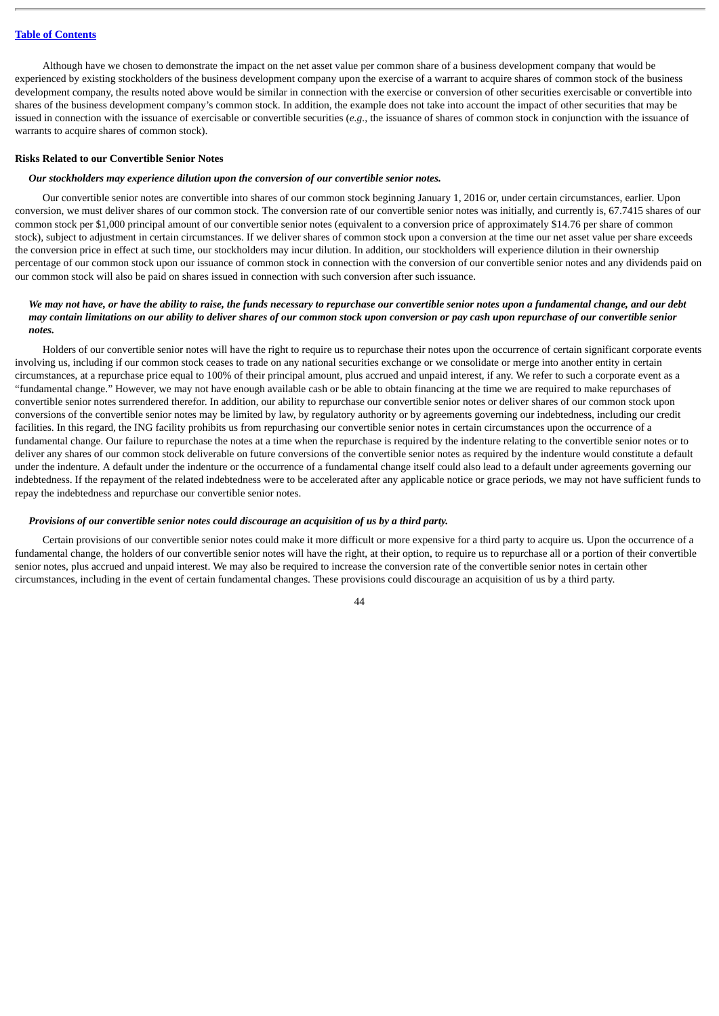Although have we chosen to demonstrate the impact on the net asset value per common share of a business development company that would be experienced by existing stockholders of the business development company upon the exercise of a warrant to acquire shares of common stock of the business development company, the results noted above would be similar in connection with the exercise or conversion of other securities exercisable or convertible into shares of the business development company's common stock. In addition, the example does not take into account the impact of other securities that may be issued in connection with the issuance of exercisable or convertible securities (*e.g.*, the issuance of shares of common stock in conjunction with the issuance of warrants to acquire shares of common stock).

### **Risks Related to our Convertible Senior Notes**

### *Our stockholders may experience dilution upon the conversion of our convertible senior notes.*

Our convertible senior notes are convertible into shares of our common stock beginning January 1, 2016 or, under certain circumstances, earlier. Upon conversion, we must deliver shares of our common stock. The conversion rate of our convertible senior notes was initially, and currently is, 67.7415 shares of our common stock per \$1,000 principal amount of our convertible senior notes (equivalent to a conversion price of approximately \$14.76 per share of common stock), subject to adjustment in certain circumstances. If we deliver shares of common stock upon a conversion at the time our net asset value per share exceeds the conversion price in effect at such time, our stockholders may incur dilution. In addition, our stockholders will experience dilution in their ownership percentage of our common stock upon our issuance of common stock in connection with the conversion of our convertible senior notes and any dividends paid on our common stock will also be paid on shares issued in connection with such conversion after such issuance.

## *We may not have, or have the ability to raise, the funds necessary to repurchase our convertible senior notes upon a fundamental change, and our debt may contain limitations on our ability to deliver shares of our common stock upon conversion or pay cash upon repurchase of our convertible senior notes.*

Holders of our convertible senior notes will have the right to require us to repurchase their notes upon the occurrence of certain significant corporate events involving us, including if our common stock ceases to trade on any national securities exchange or we consolidate or merge into another entity in certain circumstances, at a repurchase price equal to 100% of their principal amount, plus accrued and unpaid interest, if any. We refer to such a corporate event as a "fundamental change." However, we may not have enough available cash or be able to obtain financing at the time we are required to make repurchases of convertible senior notes surrendered therefor. In addition, our ability to repurchase our convertible senior notes or deliver shares of our common stock upon conversions of the convertible senior notes may be limited by law, by regulatory authority or by agreements governing our indebtedness, including our credit facilities. In this regard, the ING facility prohibits us from repurchasing our convertible senior notes in certain circumstances upon the occurrence of a fundamental change. Our failure to repurchase the notes at a time when the repurchase is required by the indenture relating to the convertible senior notes or to deliver any shares of our common stock deliverable on future conversions of the convertible senior notes as required by the indenture would constitute a default under the indenture. A default under the indenture or the occurrence of a fundamental change itself could also lead to a default under agreements governing our indebtedness. If the repayment of the related indebtedness were to be accelerated after any applicable notice or grace periods, we may not have sufficient funds to repay the indebtedness and repurchase our convertible senior notes.

### *Provisions of our convertible senior notes could discourage an acquisition of us by a third party.*

Certain provisions of our convertible senior notes could make it more difficult or more expensive for a third party to acquire us. Upon the occurrence of a fundamental change, the holders of our convertible senior notes will have the right, at their option, to require us to repurchase all or a portion of their convertible senior notes, plus accrued and unpaid interest. We may also be required to increase the conversion rate of the convertible senior notes in certain other circumstances, including in the event of certain fundamental changes. These provisions could discourage an acquisition of us by a third party.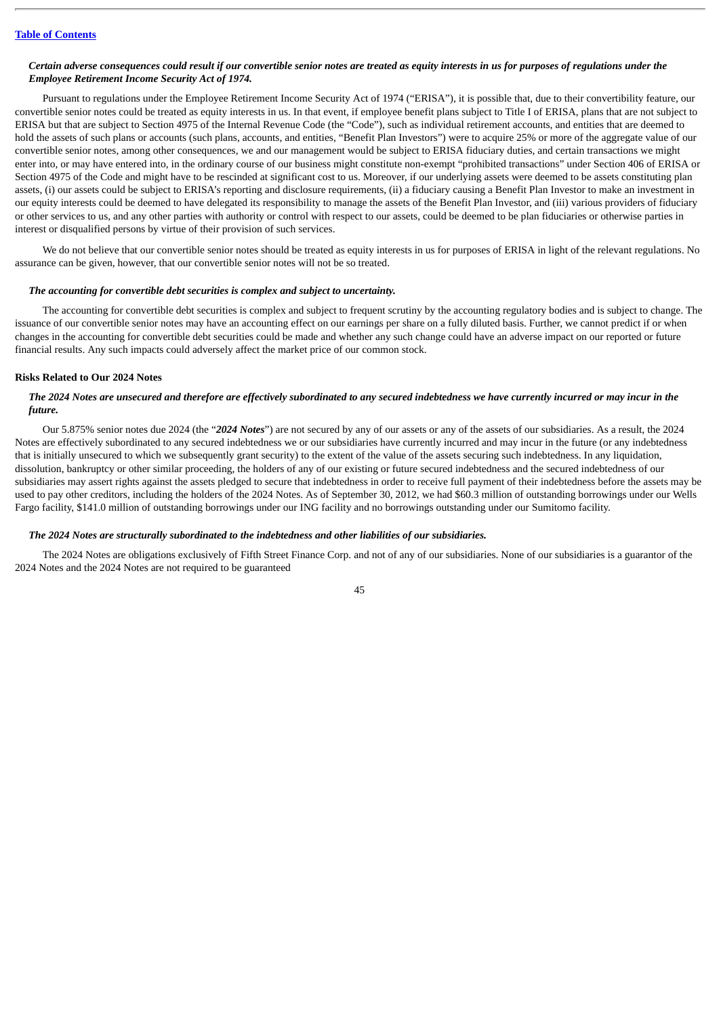## *Certain adverse consequences could result if our convertible senior notes are treated as equity interests in us for purposes of regulations under the Employee Retirement Income Security Act of 1974.*

Pursuant to regulations under the Employee Retirement Income Security Act of 1974 ("ERISA"), it is possible that, due to their convertibility feature, our convertible senior notes could be treated as equity interests in us. In that event, if employee benefit plans subject to Title I of ERISA, plans that are not subject to ERISA but that are subject to Section 4975 of the Internal Revenue Code (the "Code"), such as individual retirement accounts, and entities that are deemed to hold the assets of such plans or accounts (such plans, accounts, and entities, "Benefit Plan Investors") were to acquire 25% or more of the aggregate value of our convertible senior notes, among other consequences, we and our management would be subject to ERISA fiduciary duties, and certain transactions we might enter into, or may have entered into, in the ordinary course of our business might constitute non-exempt "prohibited transactions" under Section 406 of ERISA or Section 4975 of the Code and might have to be rescinded at significant cost to us. Moreover, if our underlying assets were deemed to be assets constituting plan assets, (i) our assets could be subject to ERISA's reporting and disclosure requirements, (ii) a fiduciary causing a Benefit Plan Investor to make an investment in our equity interests could be deemed to have delegated its responsibility to manage the assets of the Benefit Plan Investor, and (iii) various providers of fiduciary or other services to us, and any other parties with authority or control with respect to our assets, could be deemed to be plan fiduciaries or otherwise parties in interest or disqualified persons by virtue of their provision of such services.

We do not believe that our convertible senior notes should be treated as equity interests in us for purposes of ERISA in light of the relevant regulations. No assurance can be given, however, that our convertible senior notes will not be so treated.

### *The accounting for convertible debt securities is complex and subject to uncertainty.*

The accounting for convertible debt securities is complex and subject to frequent scrutiny by the accounting regulatory bodies and is subject to change. The issuance of our convertible senior notes may have an accounting effect on our earnings per share on a fully diluted basis. Further, we cannot predict if or when changes in the accounting for convertible debt securities could be made and whether any such change could have an adverse impact on our reported or future financial results. Any such impacts could adversely affect the market price of our common stock.

# **Risks Related to Our 2024 Notes**

# *The 2024 Notes are unsecured and therefore are effectively subordinated to any secured indebtedness we have currently incurred or may incur in the future.*

Our 5.875% senior notes due 2024 (the "*2024 Notes*") are not secured by any of our assets or any of the assets of our subsidiaries. As a result, the 2024 Notes are effectively subordinated to any secured indebtedness we or our subsidiaries have currently incurred and may incur in the future (or any indebtedness that is initially unsecured to which we subsequently grant security) to the extent of the value of the assets securing such indebtedness. In any liquidation, dissolution, bankruptcy or other similar proceeding, the holders of any of our existing or future secured indebtedness and the secured indebtedness of our subsidiaries may assert rights against the assets pledged to secure that indebtedness in order to receive full payment of their indebtedness before the assets may be used to pay other creditors, including the holders of the 2024 Notes. As of September 30, 2012, we had \$60.3 million of outstanding borrowings under our Wells Fargo facility, \$141.0 million of outstanding borrowings under our ING facility and no borrowings outstanding under our Sumitomo facility.

### *The 2024 Notes are structurally subordinated to the indebtedness and other liabilities of our subsidiaries.*

The 2024 Notes are obligations exclusively of Fifth Street Finance Corp. and not of any of our subsidiaries. None of our subsidiaries is a guarantor of the 2024 Notes and the 2024 Notes are not required to be guaranteed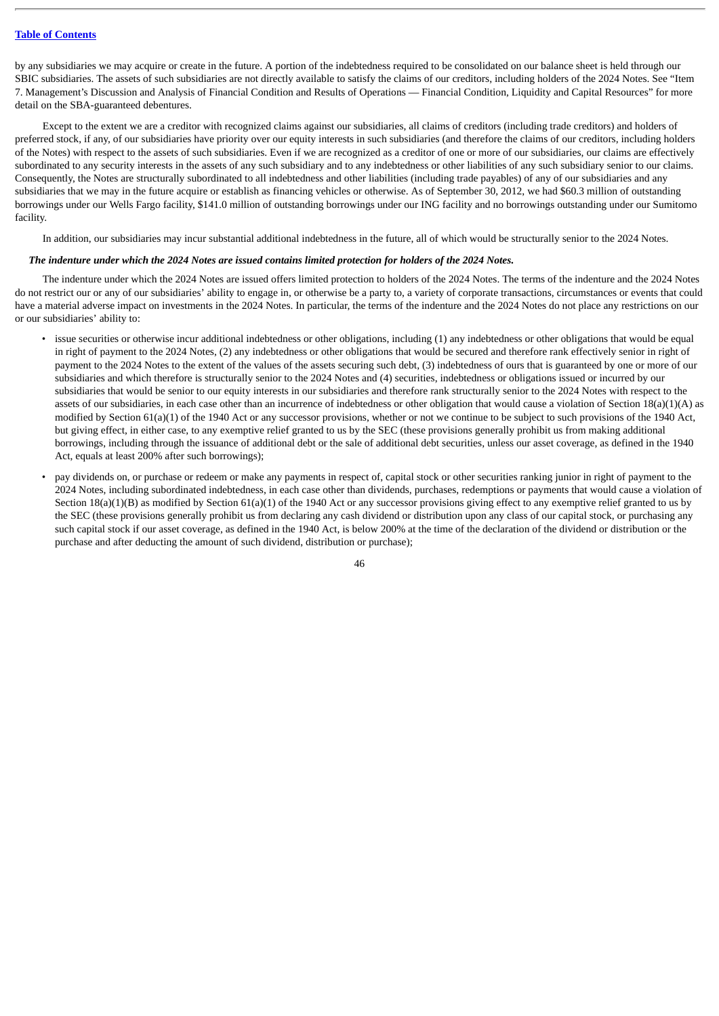by any subsidiaries we may acquire or create in the future. A portion of the indebtedness required to be consolidated on our balance sheet is held through our SBIC subsidiaries. The assets of such subsidiaries are not directly available to satisfy the claims of our creditors, including holders of the 2024 Notes. See "Item 7. Management's Discussion and Analysis of Financial Condition and Results of Operations — Financial Condition, Liquidity and Capital Resources" for more detail on the SBA-guaranteed debentures.

Except to the extent we are a creditor with recognized claims against our subsidiaries, all claims of creditors (including trade creditors) and holders of preferred stock, if any, of our subsidiaries have priority over our equity interests in such subsidiaries (and therefore the claims of our creditors, including holders of the Notes) with respect to the assets of such subsidiaries. Even if we are recognized as a creditor of one or more of our subsidiaries, our claims are effectively subordinated to any security interests in the assets of any such subsidiary and to any indebtedness or other liabilities of any such subsidiary senior to our claims. Consequently, the Notes are structurally subordinated to all indebtedness and other liabilities (including trade payables) of any of our subsidiaries and any subsidiaries that we may in the future acquire or establish as financing vehicles or otherwise. As of September 30, 2012, we had \$60.3 million of outstanding borrowings under our Wells Fargo facility, \$141.0 million of outstanding borrowings under our ING facility and no borrowings outstanding under our Sumitomo facility.

In addition, our subsidiaries may incur substantial additional indebtedness in the future, all of which would be structurally senior to the 2024 Notes.

### *The indenture under which the 2024 Notes are issued contains limited protection for holders of the 2024 Notes.*

The indenture under which the 2024 Notes are issued offers limited protection to holders of the 2024 Notes. The terms of the indenture and the 2024 Notes do not restrict our or any of our subsidiaries' ability to engage in, or otherwise be a party to, a variety of corporate transactions, circumstances or events that could have a material adverse impact on investments in the 2024 Notes. In particular, the terms of the indenture and the 2024 Notes do not place any restrictions on our or our subsidiaries' ability to:

- issue securities or otherwise incur additional indebtedness or other obligations, including (1) any indebtedness or other obligations that would be equal in right of payment to the 2024 Notes, (2) any indebtedness or other obligations that would be secured and therefore rank effectively senior in right of payment to the 2024 Notes to the extent of the values of the assets securing such debt, (3) indebtedness of ours that is guaranteed by one or more of our subsidiaries and which therefore is structurally senior to the 2024 Notes and (4) securities, indebtedness or obligations issued or incurred by our subsidiaries that would be senior to our equity interests in our subsidiaries and therefore rank structurally senior to the 2024 Notes with respect to the assets of our subsidiaries, in each case other than an incurrence of indebtedness or other obligation that would cause a violation of Section  $18(a)(1)(A)$  as modified by Section 61(a)(1) of the 1940 Act or any successor provisions, whether or not we continue to be subject to such provisions of the 1940 Act, but giving effect, in either case, to any exemptive relief granted to us by the SEC (these provisions generally prohibit us from making additional borrowings, including through the issuance of additional debt or the sale of additional debt securities, unless our asset coverage, as defined in the 1940 Act, equals at least 200% after such borrowings);
- pay dividends on, or purchase or redeem or make any payments in respect of, capital stock or other securities ranking junior in right of payment to the 2024 Notes, including subordinated indebtedness, in each case other than dividends, purchases, redemptions or payments that would cause a violation of Section 18(a)(1)(B) as modified by Section 61(a)(1) of the 1940 Act or any successor provisions giving effect to any exemptive relief granted to us by the SEC (these provisions generally prohibit us from declaring any cash dividend or distribution upon any class of our capital stock, or purchasing any such capital stock if our asset coverage, as defined in the 1940 Act, is below 200% at the time of the declaration of the dividend or distribution or the purchase and after deducting the amount of such dividend, distribution or purchase);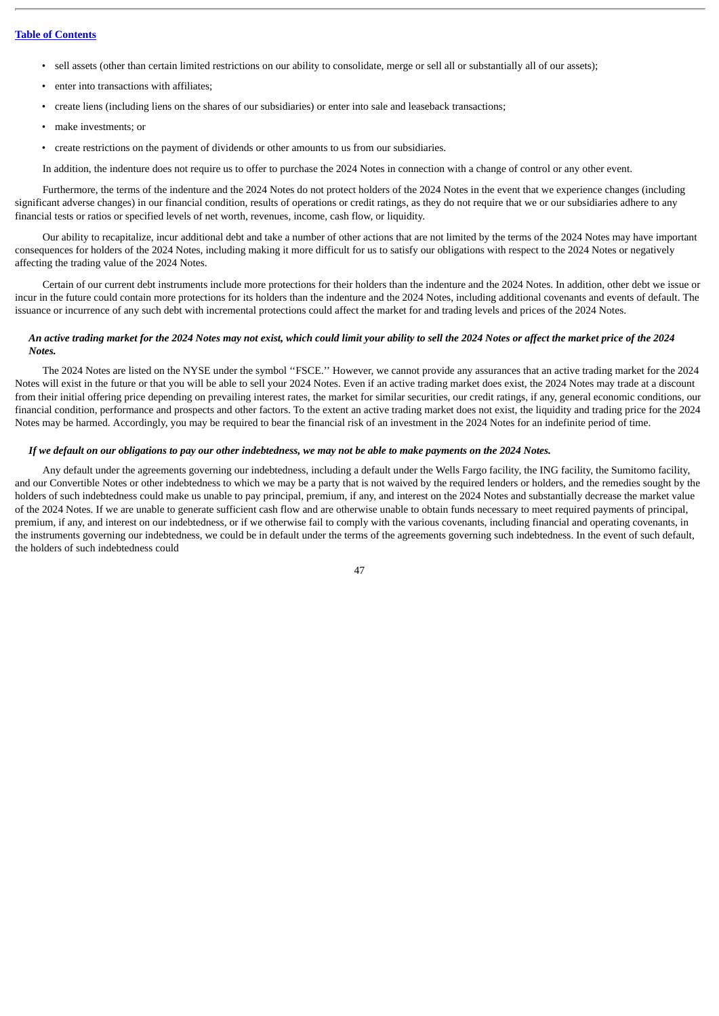- sell assets (other than certain limited restrictions on our ability to consolidate, merge or sell all or substantially all of our assets);
- enter into transactions with affiliates:
- create liens (including liens on the shares of our subsidiaries) or enter into sale and leaseback transactions;
- make investments; or
- create restrictions on the payment of dividends or other amounts to us from our subsidiaries.

In addition, the indenture does not require us to offer to purchase the 2024 Notes in connection with a change of control or any other event.

Furthermore, the terms of the indenture and the 2024 Notes do not protect holders of the 2024 Notes in the event that we experience changes (including significant adverse changes) in our financial condition, results of operations or credit ratings, as they do not require that we or our subsidiaries adhere to any financial tests or ratios or specified levels of net worth, revenues, income, cash flow, or liquidity.

Our ability to recapitalize, incur additional debt and take a number of other actions that are not limited by the terms of the 2024 Notes may have important consequences for holders of the 2024 Notes, including making it more difficult for us to satisfy our obligations with respect to the 2024 Notes or negatively affecting the trading value of the 2024 Notes.

Certain of our current debt instruments include more protections for their holders than the indenture and the 2024 Notes. In addition, other debt we issue or incur in the future could contain more protections for its holders than the indenture and the 2024 Notes, including additional covenants and events of default. The issuance or incurrence of any such debt with incremental protections could affect the market for and trading levels and prices of the 2024 Notes.

# *An active trading market for the 2024 Notes may not exist, which could limit your ability to sell the 2024 Notes or affect the market price of the 2024 Notes.*

The 2024 Notes are listed on the NYSE under the symbol ''FSCE.'' However, we cannot provide any assurances that an active trading market for the 2024 Notes will exist in the future or that you will be able to sell your 2024 Notes. Even if an active trading market does exist, the 2024 Notes may trade at a discount from their initial offering price depending on prevailing interest rates, the market for similar securities, our credit ratings, if any, general economic conditions, our financial condition, performance and prospects and other factors. To the extent an active trading market does not exist, the liquidity and trading price for the 2024 Notes may be harmed. Accordingly, you may be required to bear the financial risk of an investment in the 2024 Notes for an indefinite period of time.

### *If we default on our obligations to pay our other indebtedness, we may not be able to make payments on the 2024 Notes.*

Any default under the agreements governing our indebtedness, including a default under the Wells Fargo facility, the ING facility, the Sumitomo facility, and our Convertible Notes or other indebtedness to which we may be a party that is not waived by the required lenders or holders, and the remedies sought by the holders of such indebtedness could make us unable to pay principal, premium, if any, and interest on the 2024 Notes and substantially decrease the market value of the 2024 Notes. If we are unable to generate sufficient cash flow and are otherwise unable to obtain funds necessary to meet required payments of principal, premium, if any, and interest on our indebtedness, or if we otherwise fail to comply with the various covenants, including financial and operating covenants, in the instruments governing our indebtedness, we could be in default under the terms of the agreements governing such indebtedness. In the event of such default, the holders of such indebtedness could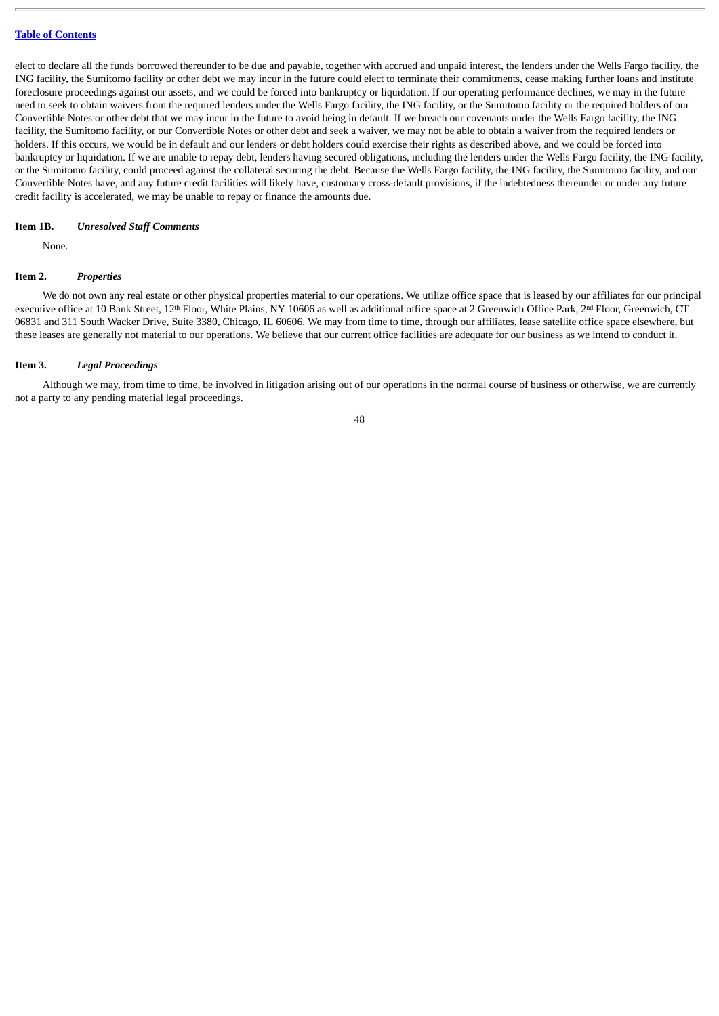elect to declare all the funds borrowed thereunder to be due and payable, together with accrued and unpaid interest, the lenders under the Wells Fargo facility, the ING facility, the Sumitomo facility or other debt we may incur in the future could elect to terminate their commitments, cease making further loans and institute foreclosure proceedings against our assets, and we could be forced into bankruptcy or liquidation. If our operating performance declines, we may in the future need to seek to obtain waivers from the required lenders under the Wells Fargo facility, the ING facility, or the Sumitomo facility or the required holders of our Convertible Notes or other debt that we may incur in the future to avoid being in default. If we breach our covenants under the Wells Fargo facility, the ING facility, the Sumitomo facility, or our Convertible Notes or other debt and seek a waiver, we may not be able to obtain a waiver from the required lenders or holders. If this occurs, we would be in default and our lenders or debt holders could exercise their rights as described above, and we could be forced into bankruptcy or liquidation. If we are unable to repay debt, lenders having secured obligations, including the lenders under the Wells Fargo facility, the ING facility, or the Sumitomo facility, could proceed against the collateral securing the debt. Because the Wells Fargo facility, the ING facility, the Sumitomo facility, and our Convertible Notes have, and any future credit facilities will likely have, customary cross-default provisions, if the indebtedness thereunder or under any future credit facility is accelerated, we may be unable to repay or finance the amounts due.

## **Item 1B.** *Unresolved Staff Comments*

None.

### **Item 2.** *Properties*

We do not own any real estate or other physical properties material to our operations. We utilize office space that is leased by our affiliates for our principal executive office at 10 Bank Street, 12<sup>th</sup> Floor, White Plains, NY 10606 as well as additional office space at 2 Greenwich Office Park, 2<sup>nd</sup> Floor, Greenwich, CT 06831 and 311 South Wacker Drive, Suite 3380, Chicago, IL 60606. We may from time to time, through our affiliates, lease satellite office space elsewhere, but these leases are generally not material to our operations. We believe that our current office facilities are adequate for our business as we intend to conduct it.

## **Item 3.** *Legal Proceedings*

Although we may, from time to time, be involved in litigation arising out of our operations in the normal course of business or otherwise, we are currently not a party to any pending material legal proceedings.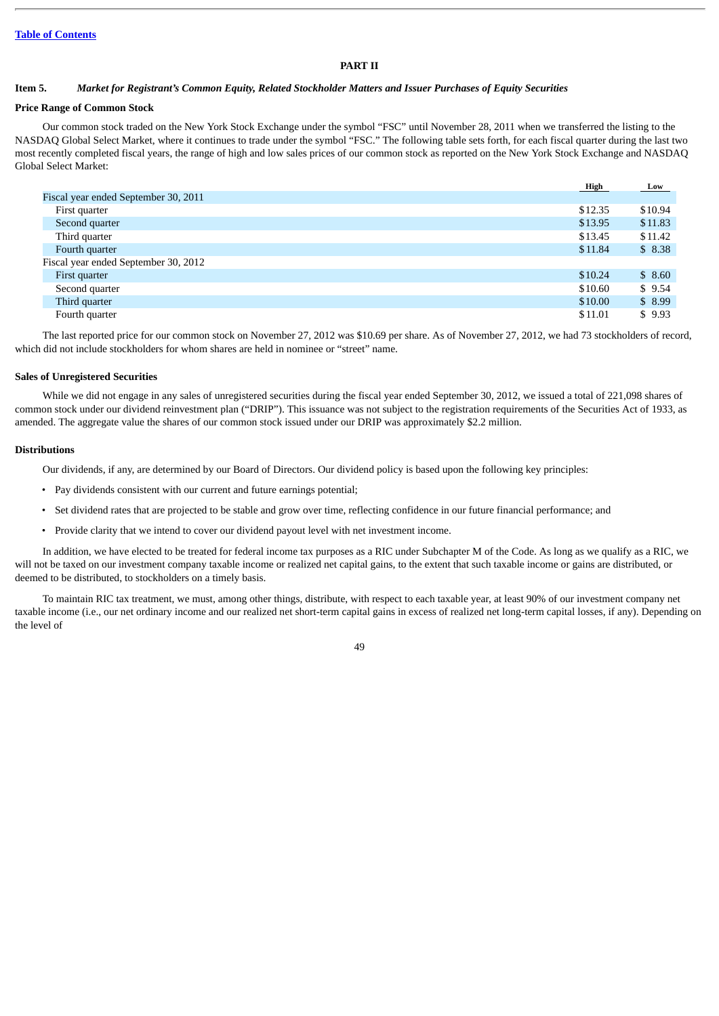# **PART II**

# **Item 5.** *Market for Registrant's Common Equity, Related Stockholder Matters and Issuer Purchases of Equity Securities*

## **Price Range of Common Stock**

Our common stock traded on the New York Stock Exchange under the symbol "FSC" until November 28, 2011 when we transferred the listing to the NASDAQ Global Select Market, where it continues to trade under the symbol "FSC." The following table sets forth, for each fiscal quarter during the last two most recently completed fiscal years, the range of high and low sales prices of our common stock as reported on the New York Stock Exchange and NASDAQ Global Select Market:

|                                      | High    | Low     |
|--------------------------------------|---------|---------|
| Fiscal year ended September 30, 2011 |         |         |
| First quarter                        | \$12.35 | \$10.94 |
| Second quarter                       | \$13.95 | \$11.83 |
| Third quarter                        | \$13.45 | \$11.42 |
| Fourth quarter                       | \$11.84 | \$8.38  |
| Fiscal year ended September 30, 2012 |         |         |
| First quarter                        | \$10.24 | \$8.60  |
| Second quarter                       | \$10.60 | \$9.54  |
| Third quarter                        | \$10.00 | \$8.99  |
| Fourth quarter                       | \$11.01 | \$9.93  |

The last reported price for our common stock on November 27, 2012 was \$10.69 per share. As of November 27, 2012, we had 73 stockholders of record, which did not include stockholders for whom shares are held in nominee or "street" name.

## **Sales of Unregistered Securities**

While we did not engage in any sales of unregistered securities during the fiscal year ended September 30, 2012, we issued a total of 221,098 shares of common stock under our dividend reinvestment plan ("DRIP"). This issuance was not subject to the registration requirements of the Securities Act of 1933, as amended. The aggregate value the shares of our common stock issued under our DRIP was approximately \$2.2 million.

### **Distributions**

Our dividends, if any, are determined by our Board of Directors. Our dividend policy is based upon the following key principles:

- Pay dividends consistent with our current and future earnings potential;
- Set dividend rates that are projected to be stable and grow over time, reflecting confidence in our future financial performance; and
- Provide clarity that we intend to cover our dividend payout level with net investment income.

In addition, we have elected to be treated for federal income tax purposes as a RIC under Subchapter M of the Code. As long as we qualify as a RIC, we will not be taxed on our investment company taxable income or realized net capital gains, to the extent that such taxable income or gains are distributed, or deemed to be distributed, to stockholders on a timely basis.

To maintain RIC tax treatment, we must, among other things, distribute, with respect to each taxable year, at least 90% of our investment company net taxable income (i.e., our net ordinary income and our realized net short-term capital gains in excess of realized net long-term capital losses, if any). Depending on the level of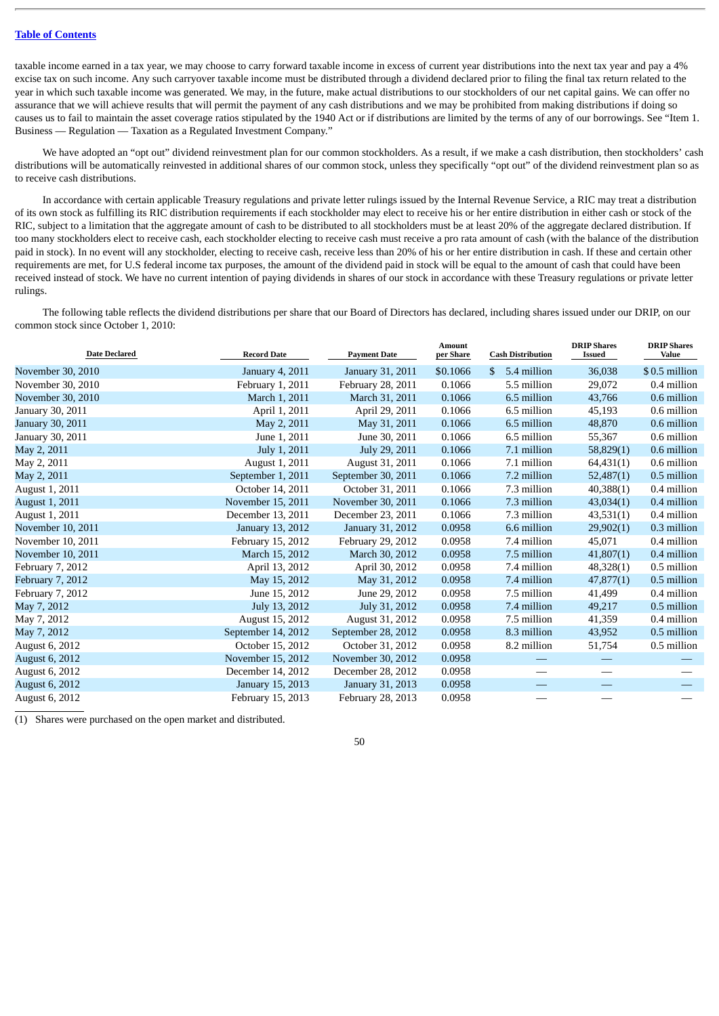taxable income earned in a tax year, we may choose to carry forward taxable income in excess of current year distributions into the next tax year and pay a 4% excise tax on such income. Any such carryover taxable income must be distributed through a dividend declared prior to filing the final tax return related to the year in which such taxable income was generated. We may, in the future, make actual distributions to our stockholders of our net capital gains. We can offer no assurance that we will achieve results that will permit the payment of any cash distributions and we may be prohibited from making distributions if doing so causes us to fail to maintain the asset coverage ratios stipulated by the 1940 Act or if distributions are limited by the terms of any of our borrowings. See "Item 1. Business — Regulation — Taxation as a Regulated Investment Company."

We have adopted an "opt out" dividend reinvestment plan for our common stockholders. As a result, if we make a cash distribution, then stockholders' cash distributions will be automatically reinvested in additional shares of our common stock, unless they specifically "opt out" of the dividend reinvestment plan so as to receive cash distributions.

In accordance with certain applicable Treasury regulations and private letter rulings issued by the Internal Revenue Service, a RIC may treat a distribution of its own stock as fulfilling its RIC distribution requirements if each stockholder may elect to receive his or her entire distribution in either cash or stock of the RIC, subject to a limitation that the aggregate amount of cash to be distributed to all stockholders must be at least 20% of the aggregate declared distribution. If too many stockholders elect to receive cash, each stockholder electing to receive cash must receive a pro rata amount of cash (with the balance of the distribution paid in stock). In no event will any stockholder, electing to receive cash, receive less than 20% of his or her entire distribution in cash. If these and certain other requirements are met, for U.S federal income tax purposes, the amount of the dividend paid in stock will be equal to the amount of cash that could have been received instead of stock. We have no current intention of paying dividends in shares of our stock in accordance with these Treasury regulations or private letter rulings.

The following table reflects the dividend distributions per share that our Board of Directors has declared, including shares issued under our DRIP, on our common stock since October 1, 2010:

| <b>Date Declared</b>  | <b>Record Date</b>     |                    | <b>Amount</b><br>per Share | <b>Cash Distribution</b> | <b>DRIP Shares</b><br>Issued | <b>DRIP Shares</b><br>Value |
|-----------------------|------------------------|--------------------|----------------------------|--------------------------|------------------------------|-----------------------------|
| November 30, 2010     | January 4, 2011        | January 31, 2011   | \$0.1066                   | $$5.4$ million           | 36,038                       | \$0.5 million               |
| November 30, 2010     | February 1, 2011       | February 28, 2011  | 0.1066                     | 5.5 million              | 29,072                       | 0.4 million                 |
| November 30, 2010     | March 1, 2011          | March 31, 2011     | 0.1066                     | 6.5 million              | 43,766                       | 0.6 million                 |
| January 30, 2011      | April 1, 2011          | April 29, 2011     | 0.1066                     | 6.5 million              | 45,193                       | 0.6 million                 |
| January 30, 2011      | May 2, 2011            | May 31, 2011       | 0.1066                     | 6.5 million              | 48,870                       | 0.6 million                 |
| January 30, 2011      | June 1, 2011           | June 30, 2011      | 0.1066                     | 6.5 million              | 55,367                       | 0.6 million                 |
| May 2, 2011           | July 1, 2011           | July 29, 2011      | 0.1066                     | 7.1 million              | 58,829(1)                    | 0.6 million                 |
| May 2, 2011           | <b>August 1, 2011</b>  | August 31, 2011    | 0.1066                     | 7.1 million              | 64,431(1)                    | 0.6 million                 |
| May 2, 2011           | September 1, 2011      | September 30, 2011 | 0.1066                     | 7.2 million              | 52,487(1)                    | 0.5 million                 |
| <b>August 1, 2011</b> | October 14, 2011       | October 31, 2011   | 0.1066                     | 7.3 million              | 40,388(1)                    | 0.4 million                 |
| <b>August 1, 2011</b> | November 15, 2011      | November 30, 2011  | 0.1066                     | 7.3 million              | 43,034(1)                    | 0.4 million                 |
| August 1, 2011        | December 13, 2011      | December 23, 2011  | 0.1066                     | 7.3 million              | 43,531(1)                    | 0.4 million                 |
| November 10, 2011     | January 13, 2012       | January 31, 2012   | 0.0958                     | 6.6 million              | 29,902(1)                    | 0.3 million                 |
| November 10, 2011     | February 15, 2012      | February 29, 2012  | 0.0958                     | 7.4 million              | 45,071                       | 0.4 million                 |
| November 10, 2011     | March 15, 2012         | March 30, 2012     | 0.0958                     | 7.5 million              | 41,807(1)                    | 0.4 million                 |
| February 7, 2012      | April 13, 2012         | April 30, 2012     | 0.0958                     | 7.4 million              | 48,328(1)                    | 0.5 million                 |
| February 7, 2012      | May 15, 2012           | May 31, 2012       | 0.0958                     | 7.4 million              | 47,877(1)                    | 0.5 million                 |
| February 7, 2012      | June 15, 2012          | June 29, 2012      | 0.0958                     | 7.5 million              | 41,499                       | 0.4 million                 |
| May 7, 2012           | July 13, 2012          | July 31, 2012      | 0.0958                     | 7.4 million              | 49,217                       | 0.5 million                 |
| May 7, 2012           | <b>August 15, 2012</b> | August 31, 2012    | 0.0958                     | 7.5 million              | 41,359                       | 0.4 million                 |
| May 7, 2012           | September 14, 2012     | September 28, 2012 | 0.0958                     | 8.3 million              | 43,952                       | 0.5 million                 |
| August 6, 2012        | October 15, 2012       | October 31, 2012   | 0.0958                     | 8.2 million              | 51,754                       | 0.5 million                 |
| <b>August 6, 2012</b> | November 15, 2012      | November 30, 2012  | 0.0958                     |                          |                              |                             |
| August 6, 2012        | December 14, 2012      | December 28, 2012  | 0.0958                     |                          |                              |                             |
| <b>August 6, 2012</b> | January 15, 2013       | January 31, 2013   | 0.0958                     |                          |                              |                             |
| August 6, 2012        | February 15, 2013      | February 28, 2013  | 0.0958                     |                          |                              |                             |

(1) Shares were purchased on the open market and distributed.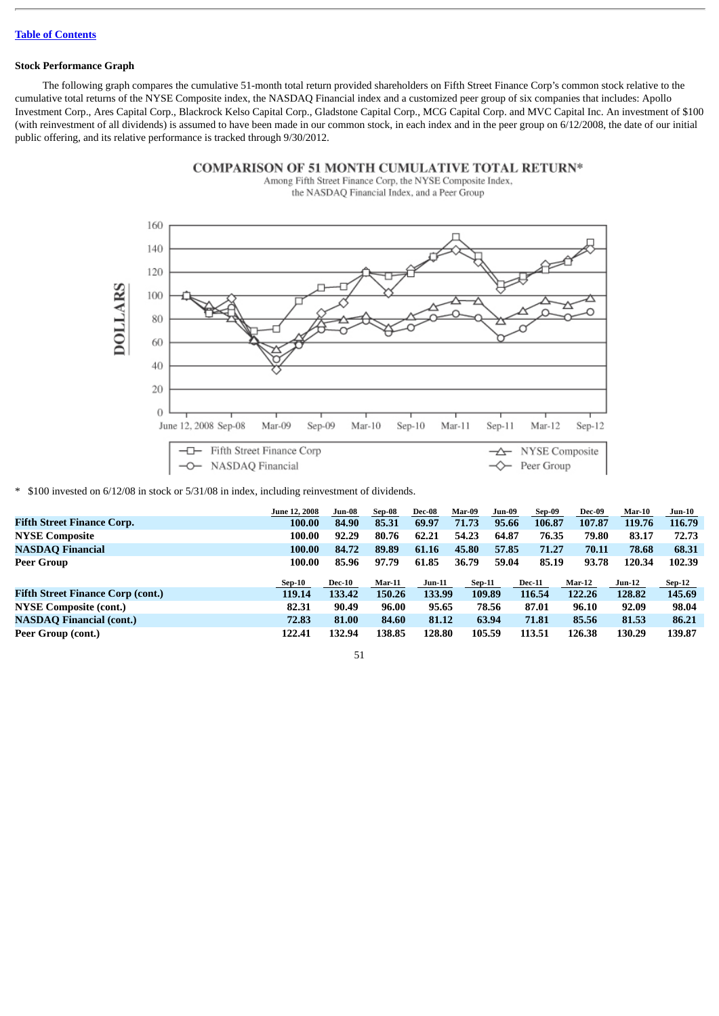# **Stock Performance Graph**

The following graph compares the cumulative 51-month total return provided shareholders on Fifth Street Finance Corp's common stock relative to the cumulative total returns of the NYSE Composite index, the NASDAQ Financial index and a customized peer group of six companies that includes: Apollo Investment Corp., Ares Capital Corp., Blackrock Kelso Capital Corp., Gladstone Capital Corp., MCG Capital Corp. and MVC Capital Inc. An investment of \$100 (with reinvestment of all dividends) is assumed to have been made in our common stock, in each index and in the peer group on 6/12/2008, the date of our initial public offering, and its relative performance is tracked through 9/30/2012.



\* \$100 invested on 6/12/08 in stock or 5/31/08 in index, including reinvestment of dividends.

|                                          | June 12, 2008 | <b>Jun-08</b> | Sep-08        | Dec-08        | Mar-09        | <b>Jun-09</b> | Sep-09        | Dec-09 | <b>Mar-10</b> | Jun-10        |
|------------------------------------------|---------------|---------------|---------------|---------------|---------------|---------------|---------------|--------|---------------|---------------|
| <b>Fifth Street Finance Corp.</b>        | 100.00        | 84.90         | 85.31         | 69.97         | 71.73         | 95.66         | 106.87        | 107.87 | 119.76        | 116.79        |
| <b>NYSE Composite</b>                    | 100.00        | 92.29         | 80.76         | 62.21         | 54.23         | 64.87         | 76.35         | 79.80  | 83.17         | 72.73         |
| <b>NASDAQ Financial</b>                  | 100.00        | 84.72         | 89.89         | 61.16         | 45.80         | 57.85         | 71.27         | 70.11  | 78.68         | 68.31         |
| <b>Peer Group</b>                        | 100.00        | 85.96         | 97.79         | 61.85         | 36.79         | 59.04         | 85.19         | 93.78  | 120.34        | 102.39        |
|                                          | Sep-10        | Dec-10        | <b>Mar-11</b> | <b>Jun-11</b> | <b>Sep-11</b> |               | <b>Dec-11</b> | Mar-12 | <b>Jun-12</b> | <b>Sep-12</b> |
| <b>Fifth Street Finance Corp (cont.)</b> | 119.14        | 133.42        | 150.26        | 133.99        | 109.89        |               | 116.54        | 122.26 | 128.82        | 145.69        |
| <b>NYSE Composite (cont.)</b>            | 82.31         | 90.49         | 96.00         | 95.65         |               | 78.56         | 87.01         | 96.10  | 92.09         | 98.04         |
| <b>NASDAQ Financial (cont.)</b>          | 72.83         | 81.00         | 84.60         | 81.12         |               | 63.94         | 71.81         | 85.56  | 81.53         | 86.21         |
| Peer Group (cont.)                       | 122.41        | 132.94        | 138.85        | 128.80        | 105.59        |               | 113.51        | 126.38 | 130.29        | 139.87        |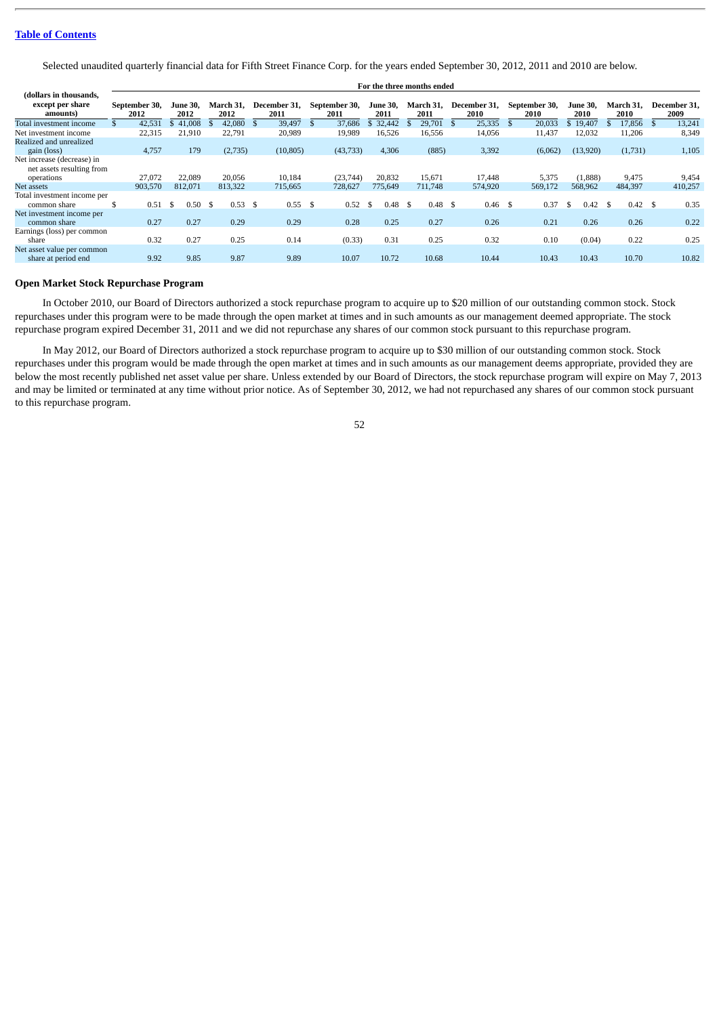Selected unaudited quarterly financial data for Fifth Street Finance Corp. for the years ended September 30, 2012, 2011 and 2010 are below.

| (dollars in thousands,<br>except per share<br>amounts)                | September 30,<br>2012 | June 30.<br>2012 | March 31,<br>2012       | December 31,<br>2011 | September 30,<br>2011 | June 30,<br>2011 | March 31,<br>2011         | December 31,<br>2010 | September 30,<br>2010 | June 30,<br>2010 | March 31,<br>2010       | December 31.<br>2009 |
|-----------------------------------------------------------------------|-----------------------|------------------|-------------------------|----------------------|-----------------------|------------------|---------------------------|----------------------|-----------------------|------------------|-------------------------|----------------------|
| Total investment income                                               | 42,531                | 41,008           | 42,080                  | 39,497               | 37,686<br>\$.         | 32,442           | 29,701                    | 25,335               | 20,033                | 19,407           | 17,856                  | 13,241               |
| Net investment income                                                 | 22,315                | 21,910           | 22,791                  | 20,989               | 19,989                | 16,526           | 16,556                    | 14,056               | 11,437                | 12,032           | 11,206                  | 8,349                |
| Realized and unrealized<br>gain (loss)                                | 4,757                 | 179              | (2,735)                 | (10, 805)            | (43,733)              | 4,306            | (885)                     | 3,392                | (6,062)               | (13,920)         | (1,731)                 | 1,105                |
| Net increase (decrease) in<br>net assets resulting from<br>operations | 27,072                | 22,089           | 20.056                  | 10,184               | (23,744)              | 20,832           | 15,671                    | 17,448               | 5,375                 | (1,888)          | 9.475                   | 9,454                |
|                                                                       |                       |                  |                         |                      |                       |                  |                           |                      |                       |                  |                         |                      |
| Net assets                                                            | 903,570               | 812,071          | 813,322                 | 715,665              | 728,627               | 775,649          | 711,748                   | 574,920              | 569,172               | 568,962          | 484,397                 | 410,257              |
| Total investment income per<br>common share                           | \$<br>0.51            | 0.50<br>-S       | 0.53 <sup>5</sup><br>-S | 0.55                 | \$<br>0.52            | 0.48<br>.S       | 0.48 <sup>5</sup><br>- \$ | $0.46-5$             | 0.37                  | 0.42<br>\$.      | $0.42 \quad$ \$<br>- \$ | 0.35                 |
| Net investment income per<br>common share                             | 0.27                  | 0.27             | 0.29                    | 0.29                 | 0.28                  | 0.25             | 0.27                      | 0.26                 | 0.21                  | 0.26             | 0.26                    | 0.22                 |
| Earnings (loss) per common<br>share                                   | 0.32                  | 0.27             | 0.25                    | 0.14                 | (0.33)                | 0.31             | 0.25                      | 0.32                 | 0.10                  | (0.04)           | 0.22                    | 0.25                 |
| Net asset value per common<br>share at period end                     | 9.92                  | 9.85             | 9.87                    | 9.89                 | 10.07                 | 10.72            | 10.68                     | 10.44                | 10.43                 | 10.43            | 10.70                   | 10.82                |

**For the three months ended**

# **Open Market Stock Repurchase Program**

In October 2010, our Board of Directors authorized a stock repurchase program to acquire up to \$20 million of our outstanding common stock. Stock repurchases under this program were to be made through the open market at times and in such amounts as our management deemed appropriate. The stock repurchase program expired December 31, 2011 and we did not repurchase any shares of our common stock pursuant to this repurchase program.

In May 2012, our Board of Directors authorized a stock repurchase program to acquire up to \$30 million of our outstanding common stock. Stock repurchases under this program would be made through the open market at times and in such amounts as our management deems appropriate, provided they are below the most recently published net asset value per share. Unless extended by our Board of Directors, the stock repurchase program will expire on May 7, 2013 and may be limited or terminated at any time without prior notice. As of September 30, 2012, we had not repurchased any shares of our common stock pursuant to this repurchase program.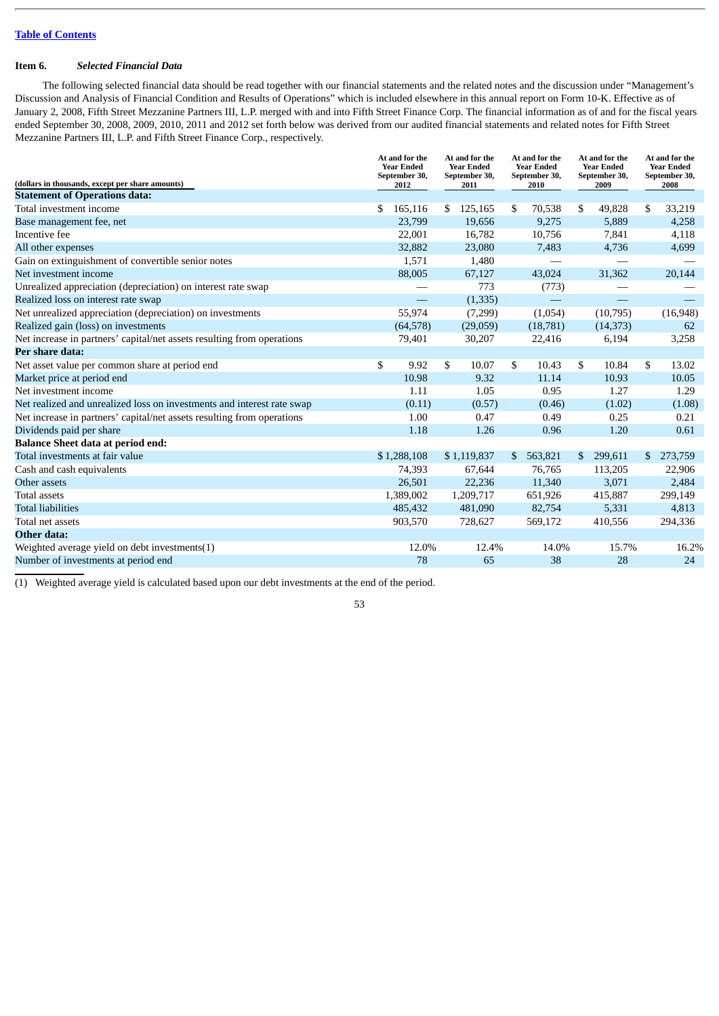# **Item 6.** *Selected Financial Data*

The following selected financial data should be read together with our financial statements and the related notes and the discussion under "Management's Discussion and Analysis of Financial Condition and Results of Operations" which is included elsewhere in this annual report on Form 10-K. Effective as of January 2, 2008, Fifth Street Mezzanine Partners III, L.P. merged with and into Fifth Street Finance Corp. The financial information as of and for the fiscal years ended September 30, 2008, 2009, 2010, 2011 and 2012 set forth below was derived from our audited financial statements and related notes for Fifth Street Mezzanine Partners III, L.P. and Fifth Street Finance Corp., respectively.

|                                                                                          | At and for the<br><b>Year Ended</b><br>September 30, | At and for the<br><b>Year Ended</b><br>September 30, | At and for the<br><b>Year Ended</b><br>September 30, | At and for the<br><b>Year Ended</b><br>September 30, | At and for the<br><b>Year Ended</b><br>September 30, |
|------------------------------------------------------------------------------------------|------------------------------------------------------|------------------------------------------------------|------------------------------------------------------|------------------------------------------------------|------------------------------------------------------|
| (dollars in thousands, except per share amounts)<br><b>Statement of Operations data:</b> | 2012                                                 | 2011                                                 | 2010                                                 | 2009                                                 | 2008                                                 |
| Total investment income                                                                  | \$<br>165,116                                        | \$125,165                                            | \$<br>70,538                                         | \$<br>49,828                                         | \$<br>33,219                                         |
| Base management fee, net                                                                 | 23,799                                               | 19,656                                               | 9,275                                                | 5,889                                                | 4,258                                                |
| Incentive fee                                                                            | 22,001                                               | 16,782                                               | 10,756                                               | 7,841                                                | 4,118                                                |
| All other expenses                                                                       | 32,882                                               | 23,080                                               | 7,483                                                | 4,736                                                | 4,699                                                |
| Gain on extinguishment of convertible senior notes                                       | 1,571                                                | 1,480                                                |                                                      |                                                      |                                                      |
| Net investment income                                                                    | 88,005                                               | 67,127                                               | 43,024                                               | 31,362                                               | 20,144                                               |
| Unrealized appreciation (depreciation) on interest rate swap                             |                                                      | 773                                                  | (773)                                                |                                                      |                                                      |
| Realized loss on interest rate swap                                                      |                                                      | (1, 335)                                             |                                                      |                                                      |                                                      |
| Net unrealized appreciation (depreciation) on investments                                | 55,974                                               | (7,299)                                              | (1,054)                                              | (10, 795)                                            | (16, 948)                                            |
| Realized gain (loss) on investments                                                      | (64, 578)                                            | (29,059)                                             | (18,781)                                             | (14, 373)                                            | 62                                                   |
| Net increase in partners' capital/net assets resulting from operations                   | 79,401                                               | 30,207                                               | 22,416                                               | 6,194                                                | 3,258                                                |
| Per share data:                                                                          |                                                      |                                                      |                                                      |                                                      |                                                      |
| Net asset value per common share at period end                                           | \$<br>9.92                                           | 10.07<br>\$                                          | 10.43<br>\$                                          | \$<br>10.84                                          | \$<br>13.02                                          |
| Market price at period end                                                               | 10.98                                                | 9.32                                                 | 11.14                                                | 10.93                                                | 10.05                                                |
| Net investment income                                                                    | 1.11                                                 | 1.05                                                 | 0.95                                                 | 1.27                                                 | 1.29                                                 |
| Net realized and unrealized loss on investments and interest rate swap                   | (0.11)                                               | (0.57)                                               | (0.46)                                               | (1.02)                                               | (1.08)                                               |
| Net increase in partners' capital/net assets resulting from operations                   | 1.00                                                 | 0.47                                                 | 0.49                                                 | 0.25                                                 | 0.21                                                 |
| Dividends paid per share                                                                 | 1.18                                                 | 1.26                                                 | 0.96                                                 | 1.20                                                 | 0.61                                                 |
| <b>Balance Sheet data at period end:</b>                                                 |                                                      |                                                      |                                                      |                                                      |                                                      |
| Total investments at fair value                                                          | \$1,288,108                                          | \$1,119,837                                          | 563,821<br>$\mathbb{S}$                              | 299,611<br>\$                                        | 273,759<br>\$                                        |
| Cash and cash equivalents                                                                | 74,393                                               | 67,644                                               | 76,765                                               | 113,205                                              | 22,906                                               |
| Other assets                                                                             | 26,501                                               | 22,236                                               | 11,340                                               | 3,071                                                | 2,484                                                |
| <b>Total assets</b>                                                                      | 1,389,002                                            | 1,209,717                                            | 651,926                                              | 415,887                                              | 299,149                                              |
| <b>Total liabilities</b>                                                                 | 485,432                                              | 481,090                                              | 82,754                                               | 5,331                                                | 4,813                                                |
| Total net assets                                                                         | 903,570                                              | 728,627                                              | 569,172                                              | 410,556                                              | 294,336                                              |
| <b>Other data:</b>                                                                       |                                                      |                                                      |                                                      |                                                      |                                                      |
| Weighted average yield on debt investments $(1)$                                         | 12.0%                                                | 12.4%                                                | 14.0%                                                | 15.7%                                                | 16.2%                                                |
| Number of investments at period end                                                      | 78                                                   | 65                                                   | 38                                                   | 28                                                   | 24                                                   |

(1) Weighted average yield is calculated based upon our debt investments at the end of the period.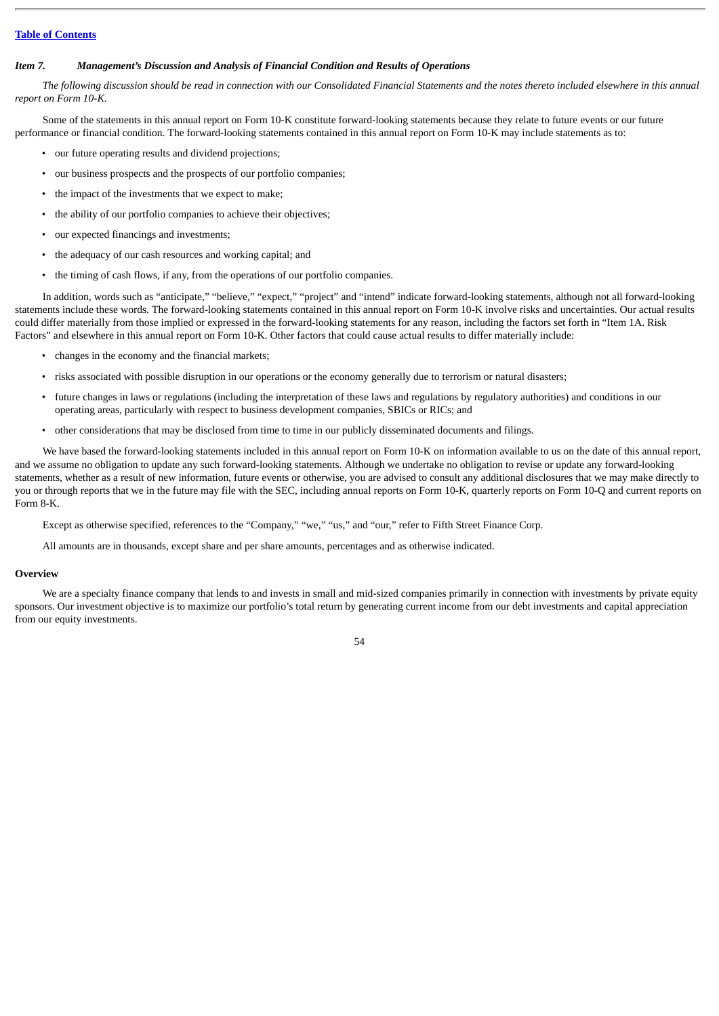## *Item 7. Management's Discussion and Analysis of Financial Condition and Results of Operations*

*The following discussion should be read in connection with our Consolidated Financial Statements and the notes thereto included elsewhere in this annual report on Form 10-K.*

Some of the statements in this annual report on Form 10-K constitute forward-looking statements because they relate to future events or our future performance or financial condition. The forward-looking statements contained in this annual report on Form 10-K may include statements as to:

- our future operating results and dividend projections;
- our business prospects and the prospects of our portfolio companies;
- the impact of the investments that we expect to make;
- the ability of our portfolio companies to achieve their objectives;
- our expected financings and investments;
- the adequacy of our cash resources and working capital; and
- the timing of cash flows, if any, from the operations of our portfolio companies.

In addition, words such as "anticipate," "believe," "expect," "project" and "intend" indicate forward-looking statements, although not all forward-looking statements include these words. The forward-looking statements contained in this annual report on Form 10-K involve risks and uncertainties. Our actual results could differ materially from those implied or expressed in the forward-looking statements for any reason, including the factors set forth in "Item 1A. Risk Factors" and elsewhere in this annual report on Form 10-K. Other factors that could cause actual results to differ materially include:

- changes in the economy and the financial markets;
- risks associated with possible disruption in our operations or the economy generally due to terrorism or natural disasters;
- future changes in laws or regulations (including the interpretation of these laws and regulations by regulatory authorities) and conditions in our operating areas, particularly with respect to business development companies, SBICs or RICs; and
- other considerations that may be disclosed from time to time in our publicly disseminated documents and filings.

We have based the forward-looking statements included in this annual report on Form 10-K on information available to us on the date of this annual report, and we assume no obligation to update any such forward-looking statements. Although we undertake no obligation to revise or update any forward-looking statements, whether as a result of new information, future events or otherwise, you are advised to consult any additional disclosures that we may make directly to you or through reports that we in the future may file with the SEC, including annual reports on Form 10-K, quarterly reports on Form 10-Q and current reports on Form 8-K.

Except as otherwise specified, references to the "Company," "we," "us," and "our," refer to Fifth Street Finance Corp.

All amounts are in thousands, except share and per share amounts, percentages and as otherwise indicated.

### **Overview**

We are a specialty finance company that lends to and invests in small and mid-sized companies primarily in connection with investments by private equity sponsors. Our investment objective is to maximize our portfolio's total return by generating current income from our debt investments and capital appreciation from our equity investments.

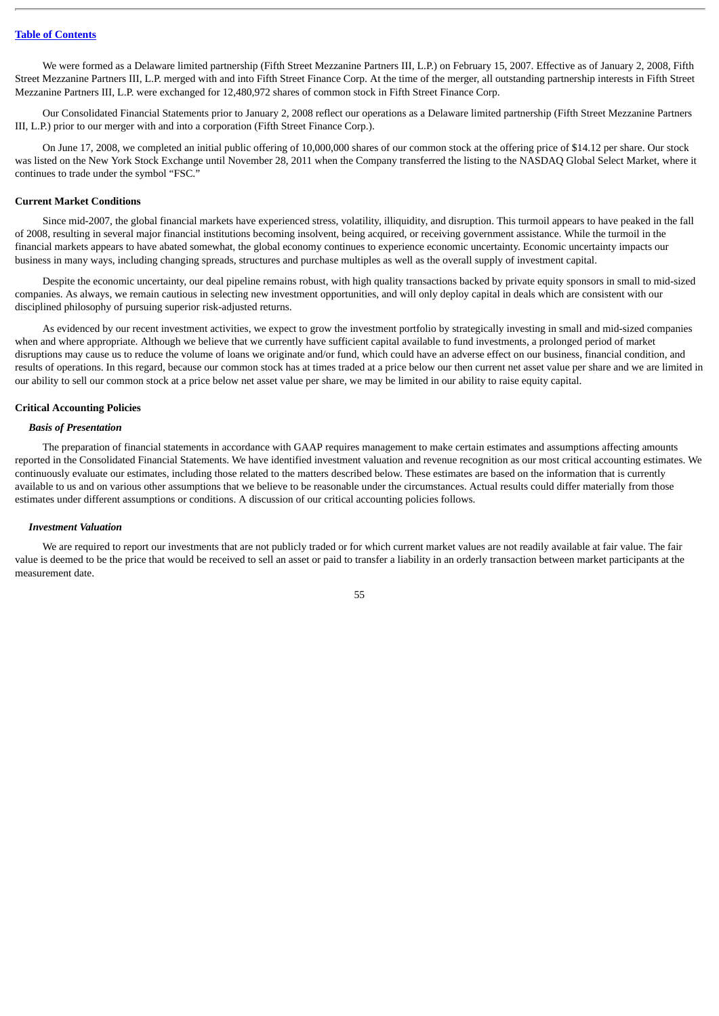We were formed as a Delaware limited partnership (Fifth Street Mezzanine Partners III, L.P.) on February 15, 2007. Effective as of January 2, 2008, Fifth Street Mezzanine Partners III, L.P. merged with and into Fifth Street Finance Corp. At the time of the merger, all outstanding partnership interests in Fifth Street Mezzanine Partners III, L.P. were exchanged for 12,480,972 shares of common stock in Fifth Street Finance Corp.

Our Consolidated Financial Statements prior to January 2, 2008 reflect our operations as a Delaware limited partnership (Fifth Street Mezzanine Partners III, L.P.) prior to our merger with and into a corporation (Fifth Street Finance Corp.).

On June 17, 2008, we completed an initial public offering of 10,000,000 shares of our common stock at the offering price of \$14.12 per share. Our stock was listed on the New York Stock Exchange until November 28, 2011 when the Company transferred the listing to the NASDAQ Global Select Market, where it continues to trade under the symbol "FSC."

# **Current Market Conditions**

Since mid-2007, the global financial markets have experienced stress, volatility, illiquidity, and disruption. This turmoil appears to have peaked in the fall of 2008, resulting in several major financial institutions becoming insolvent, being acquired, or receiving government assistance. While the turmoil in the financial markets appears to have abated somewhat, the global economy continues to experience economic uncertainty. Economic uncertainty impacts our business in many ways, including changing spreads, structures and purchase multiples as well as the overall supply of investment capital.

Despite the economic uncertainty, our deal pipeline remains robust, with high quality transactions backed by private equity sponsors in small to mid-sized companies. As always, we remain cautious in selecting new investment opportunities, and will only deploy capital in deals which are consistent with our disciplined philosophy of pursuing superior risk-adjusted returns.

As evidenced by our recent investment activities, we expect to grow the investment portfolio by strategically investing in small and mid-sized companies when and where appropriate. Although we believe that we currently have sufficient capital available to fund investments, a prolonged period of market disruptions may cause us to reduce the volume of loans we originate and/or fund, which could have an adverse effect on our business, financial condition, and results of operations. In this regard, because our common stock has at times traded at a price below our then current net asset value per share and we are limited in our ability to sell our common stock at a price below net asset value per share, we may be limited in our ability to raise equity capital.

### **Critical Accounting Policies**

## *Basis of Presentation*

The preparation of financial statements in accordance with GAAP requires management to make certain estimates and assumptions affecting amounts reported in the Consolidated Financial Statements. We have identified investment valuation and revenue recognition as our most critical accounting estimates. We continuously evaluate our estimates, including those related to the matters described below. These estimates are based on the information that is currently available to us and on various other assumptions that we believe to be reasonable under the circumstances. Actual results could differ materially from those estimates under different assumptions or conditions. A discussion of our critical accounting policies follows.

### *Investment Valuation*

We are required to report our investments that are not publicly traded or for which current market values are not readily available at fair value. The fair value is deemed to be the price that would be received to sell an asset or paid to transfer a liability in an orderly transaction between market participants at the measurement date.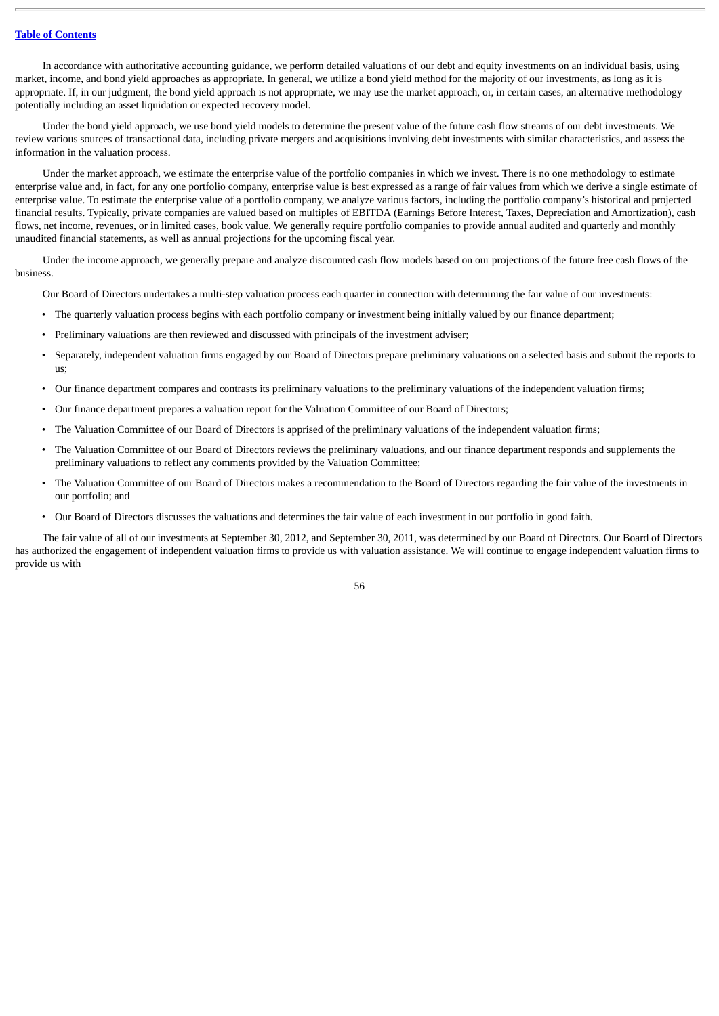In accordance with authoritative accounting guidance, we perform detailed valuations of our debt and equity investments on an individual basis, using market, income, and bond yield approaches as appropriate. In general, we utilize a bond yield method for the majority of our investments, as long as it is appropriate. If, in our judgment, the bond yield approach is not appropriate, we may use the market approach, or, in certain cases, an alternative methodology potentially including an asset liquidation or expected recovery model.

Under the bond yield approach, we use bond yield models to determine the present value of the future cash flow streams of our debt investments. We review various sources of transactional data, including private mergers and acquisitions involving debt investments with similar characteristics, and assess the information in the valuation process.

Under the market approach, we estimate the enterprise value of the portfolio companies in which we invest. There is no one methodology to estimate enterprise value and, in fact, for any one portfolio company, enterprise value is best expressed as a range of fair values from which we derive a single estimate of enterprise value. To estimate the enterprise value of a portfolio company, we analyze various factors, including the portfolio company's historical and projected financial results. Typically, private companies are valued based on multiples of EBITDA (Earnings Before Interest, Taxes, Depreciation and Amortization), cash flows, net income, revenues, or in limited cases, book value. We generally require portfolio companies to provide annual audited and quarterly and monthly unaudited financial statements, as well as annual projections for the upcoming fiscal year.

Under the income approach, we generally prepare and analyze discounted cash flow models based on our projections of the future free cash flows of the business.

Our Board of Directors undertakes a multi-step valuation process each quarter in connection with determining the fair value of our investments:

- The quarterly valuation process begins with each portfolio company or investment being initially valued by our finance department;
- Preliminary valuations are then reviewed and discussed with principals of the investment adviser;
- Separately, independent valuation firms engaged by our Board of Directors prepare preliminary valuations on a selected basis and submit the reports to us;
- Our finance department compares and contrasts its preliminary valuations to the preliminary valuations of the independent valuation firms;
- Our finance department prepares a valuation report for the Valuation Committee of our Board of Directors;
- The Valuation Committee of our Board of Directors is apprised of the preliminary valuations of the independent valuation firms;
- The Valuation Committee of our Board of Directors reviews the preliminary valuations, and our finance department responds and supplements the preliminary valuations to reflect any comments provided by the Valuation Committee;
- The Valuation Committee of our Board of Directors makes a recommendation to the Board of Directors regarding the fair value of the investments in our portfolio; and
- Our Board of Directors discusses the valuations and determines the fair value of each investment in our portfolio in good faith.

The fair value of all of our investments at September 30, 2012, and September 30, 2011, was determined by our Board of Directors. Our Board of Directors has authorized the engagement of independent valuation firms to provide us with valuation assistance. We will continue to engage independent valuation firms to provide us with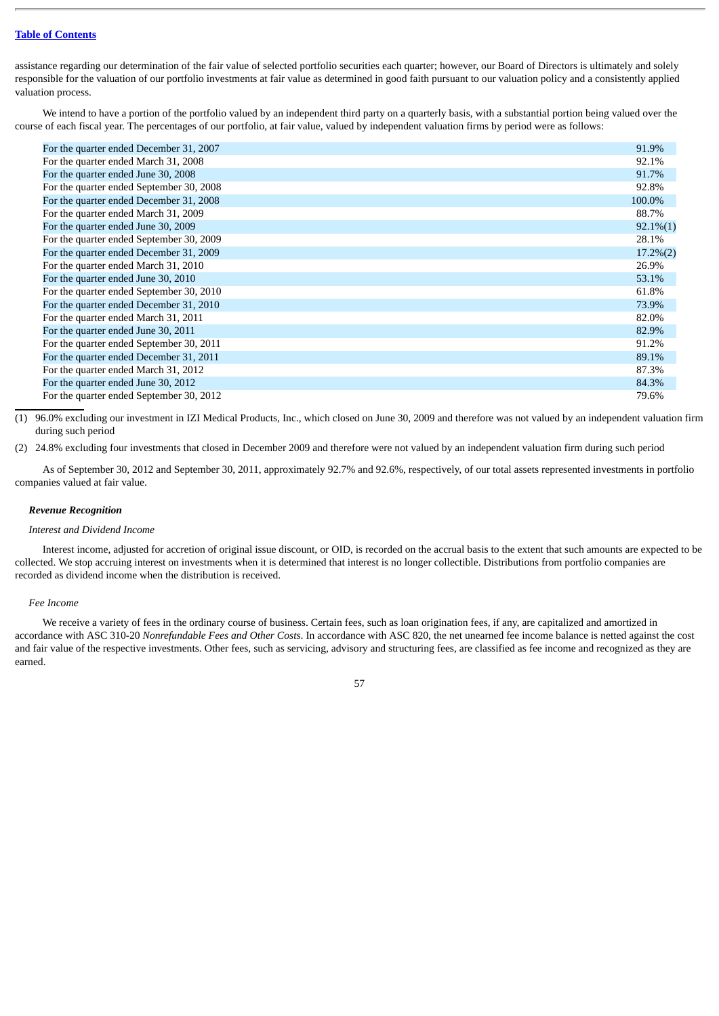assistance regarding our determination of the fair value of selected portfolio securities each quarter; however, our Board of Directors is ultimately and solely responsible for the valuation of our portfolio investments at fair value as determined in good faith pursuant to our valuation policy and a consistently applied valuation process.

We intend to have a portion of the portfolio valued by an independent third party on a quarterly basis, with a substantial portion being valued over the course of each fiscal year. The percentages of our portfolio, at fair value, valued by independent valuation firms by period were as follows:

| For the quarter ended December 31, 2007  | 91.9%       |
|------------------------------------------|-------------|
| For the quarter ended March 31, 2008     | 92.1%       |
| For the quarter ended June 30, 2008      | 91.7%       |
| For the quarter ended September 30, 2008 | 92.8%       |
| For the quarter ended December 31, 2008  | 100.0%      |
| For the quarter ended March 31, 2009     | 88.7%       |
| For the quarter ended June 30, 2009      | $92.1\%(1)$ |
| For the quarter ended September 30, 2009 | 28.1%       |
| For the quarter ended December 31, 2009  | $17.2\%(2)$ |
| For the quarter ended March 31, 2010     | 26.9%       |
| For the quarter ended June 30, 2010      | 53.1%       |
| For the quarter ended September 30, 2010 | 61.8%       |
| For the quarter ended December 31, 2010  | 73.9%       |
| For the quarter ended March 31, 2011     | 82.0%       |
| For the quarter ended June 30, 2011      | 82.9%       |
| For the quarter ended September 30, 2011 | 91.2%       |
| For the quarter ended December 31, 2011  | 89.1%       |
| For the quarter ended March 31, 2012     | 87.3%       |
| For the quarter ended June 30, 2012      | 84.3%       |
| For the quarter ended September 30, 2012 | 79.6%       |
|                                          |             |

(1) 96.0% excluding our investment in IZI Medical Products, Inc., which closed on June 30, 2009 and therefore was not valued by an independent valuation firm during such period

(2) 24.8% excluding four investments that closed in December 2009 and therefore were not valued by an independent valuation firm during such period

As of September 30, 2012 and September 30, 2011, approximately 92.7% and 92.6%, respectively, of our total assets represented investments in portfolio companies valued at fair value.

### *Revenue Recognition*

## *Interest and Dividend Income*

Interest income, adjusted for accretion of original issue discount, or OID, is recorded on the accrual basis to the extent that such amounts are expected to be collected. We stop accruing interest on investments when it is determined that interest is no longer collectible. Distributions from portfolio companies are recorded as dividend income when the distribution is received.

## *Fee Income*

We receive a variety of fees in the ordinary course of business. Certain fees, such as loan origination fees, if any, are capitalized and amortized in accordance with ASC 310-20 *Nonrefundable Fees and Other Costs*. In accordance with ASC 820, the net unearned fee income balance is netted against the cost and fair value of the respective investments. Other fees, such as servicing, advisory and structuring fees, are classified as fee income and recognized as they are earned.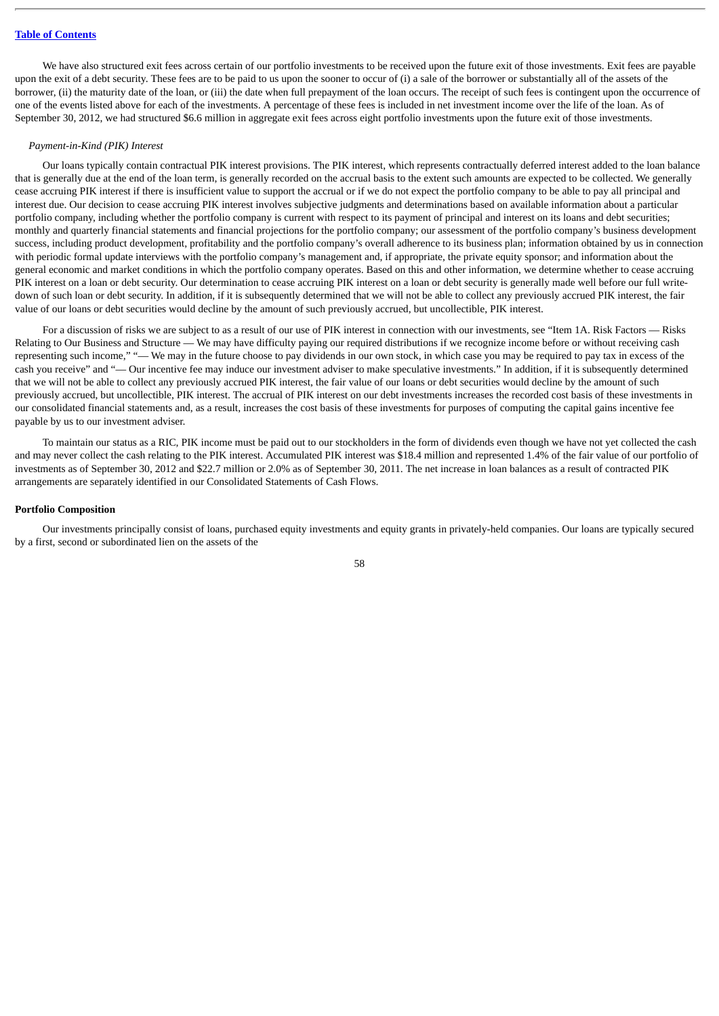We have also structured exit fees across certain of our portfolio investments to be received upon the future exit of those investments. Exit fees are payable upon the exit of a debt security. These fees are to be paid to us upon the sooner to occur of (i) a sale of the borrower or substantially all of the assets of the borrower, (ii) the maturity date of the loan, or (iii) the date when full prepayment of the loan occurs. The receipt of such fees is contingent upon the occurrence of one of the events listed above for each of the investments. A percentage of these fees is included in net investment income over the life of the loan. As of September 30, 2012, we had structured \$6.6 million in aggregate exit fees across eight portfolio investments upon the future exit of those investments.

## *Payment-in-Kind (PIK) Interest*

Our loans typically contain contractual PIK interest provisions. The PIK interest, which represents contractually deferred interest added to the loan balance that is generally due at the end of the loan term, is generally recorded on the accrual basis to the extent such amounts are expected to be collected. We generally cease accruing PIK interest if there is insufficient value to support the accrual or if we do not expect the portfolio company to be able to pay all principal and interest due. Our decision to cease accruing PIK interest involves subjective judgments and determinations based on available information about a particular portfolio company, including whether the portfolio company is current with respect to its payment of principal and interest on its loans and debt securities; monthly and quarterly financial statements and financial projections for the portfolio company; our assessment of the portfolio company's business development success, including product development, profitability and the portfolio company's overall adherence to its business plan; information obtained by us in connection with periodic formal update interviews with the portfolio company's management and, if appropriate, the private equity sponsor; and information about the general economic and market conditions in which the portfolio company operates. Based on this and other information, we determine whether to cease accruing PIK interest on a loan or debt security. Our determination to cease accruing PIK interest on a loan or debt security is generally made well before our full writedown of such loan or debt security. In addition, if it is subsequently determined that we will not be able to collect any previously accrued PIK interest, the fair value of our loans or debt securities would decline by the amount of such previously accrued, but uncollectible, PIK interest.

For a discussion of risks we are subject to as a result of our use of PIK interest in connection with our investments, see "Item 1A. Risk Factors - Risks Relating to Our Business and Structure — We may have difficulty paying our required distributions if we recognize income before or without receiving cash representing such income," "— We may in the future choose to pay dividends in our own stock, in which case you may be required to pay tax in excess of the cash you receive" and "— Our incentive fee may induce our investment adviser to make speculative investments." In addition, if it is subsequently determined that we will not be able to collect any previously accrued PIK interest, the fair value of our loans or debt securities would decline by the amount of such previously accrued, but uncollectible, PIK interest. The accrual of PIK interest on our debt investments increases the recorded cost basis of these investments in our consolidated financial statements and, as a result, increases the cost basis of these investments for purposes of computing the capital gains incentive fee payable by us to our investment adviser.

To maintain our status as a RIC, PIK income must be paid out to our stockholders in the form of dividends even though we have not yet collected the cash and may never collect the cash relating to the PIK interest. Accumulated PIK interest was \$18.4 million and represented 1.4% of the fair value of our portfolio of investments as of September 30, 2012 and \$22.7 million or 2.0% as of September 30, 2011. The net increase in loan balances as a result of contracted PIK arrangements are separately identified in our Consolidated Statements of Cash Flows.

# **Portfolio Composition**

Our investments principally consist of loans, purchased equity investments and equity grants in privately-held companies. Our loans are typically secured by a first, second or subordinated lien on the assets of the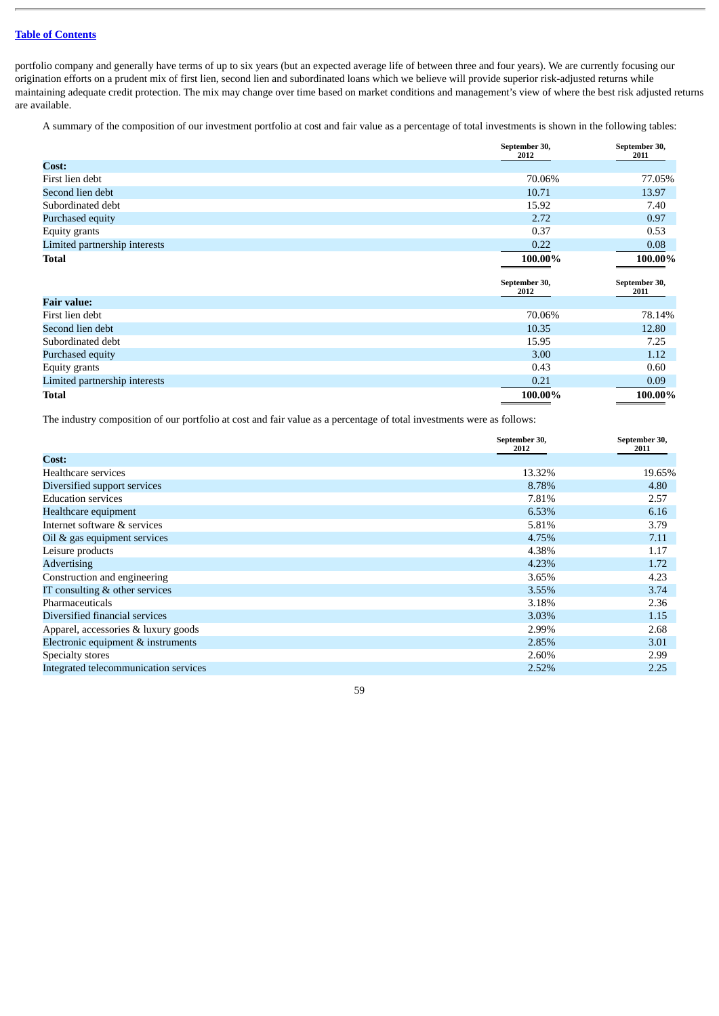portfolio company and generally have terms of up to six years (but an expected average life of between three and four years). We are currently focusing our origination efforts on a prudent mix of first lien, second lien and subordinated loans which we believe will provide superior risk-adjusted returns while maintaining adequate credit protection. The mix may change over time based on market conditions and management's view of where the best risk adjusted returns are available.

A summary of the composition of our investment portfolio at cost and fair value as a percentage of total investments is shown in the following tables:

|                               | September 30,<br>2012 | September 30,<br>2011 |
|-------------------------------|-----------------------|-----------------------|
| Cost:                         |                       |                       |
| First lien debt               | 70.06%                | 77.05%                |
| Second lien debt              | 10.71                 | 13.97                 |
| Subordinated debt             | 15.92                 | 7.40                  |
| Purchased equity              | 2.72                  | 0.97                  |
| Equity grants                 | 0.37                  | 0.53                  |
| Limited partnership interests | 0.22                  | 0.08                  |
| <b>Total</b>                  | 100.00%               | 100.00%               |
|                               | September 30,         | September 30,         |
|                               | 2012                  | 2011                  |
| <b>Fair value:</b>            |                       |                       |
| First lien debt               | 70.06%                | 78.14%                |
| Second lien debt              | 10.35                 | 12.80                 |
| Subordinated debt             | 15.95                 | 7.25                  |
| Purchased equity              | 3.00                  | 1.12                  |
| Equity grants                 | 0.43                  | 0.60                  |
| Limited partnership interests | 0.21                  | 0.09                  |

The industry composition of our portfolio at cost and fair value as a percentage of total investments were as follows:

|                                       | September 30,<br>2012 | September 30,<br>2011 |
|---------------------------------------|-----------------------|-----------------------|
| Cost:                                 |                       |                       |
| Healthcare services                   | 13.32%                | 19.65%                |
| Diversified support services          | 8.78%                 | 4.80                  |
| <b>Education services</b>             | 7.81%                 | 2.57                  |
| Healthcare equipment                  | 6.53%                 | 6.16                  |
| Internet software & services          | 5.81%                 | 3.79                  |
| Oil & gas equipment services          | 4.75%                 | 7.11                  |
| Leisure products                      | 4.38%                 | 1.17                  |
| <b>Advertising</b>                    | 4.23%                 | 1.72                  |
| Construction and engineering          | 3.65%                 | 4.23                  |
| IT consulting & other services        | 3.55%                 | 3.74                  |
| Pharmaceuticals                       | 3.18%                 | 2.36                  |
| Diversified financial services        | 3.03%                 | 1.15                  |
| Apparel, accessories & luxury goods   | 2.99%                 | 2.68                  |
| Electronic equipment & instruments    | 2.85%                 | 3.01                  |
| Specialty stores                      | 2.60%                 | 2.99                  |
| Integrated telecommunication services | 2.52%                 | 2.25                  |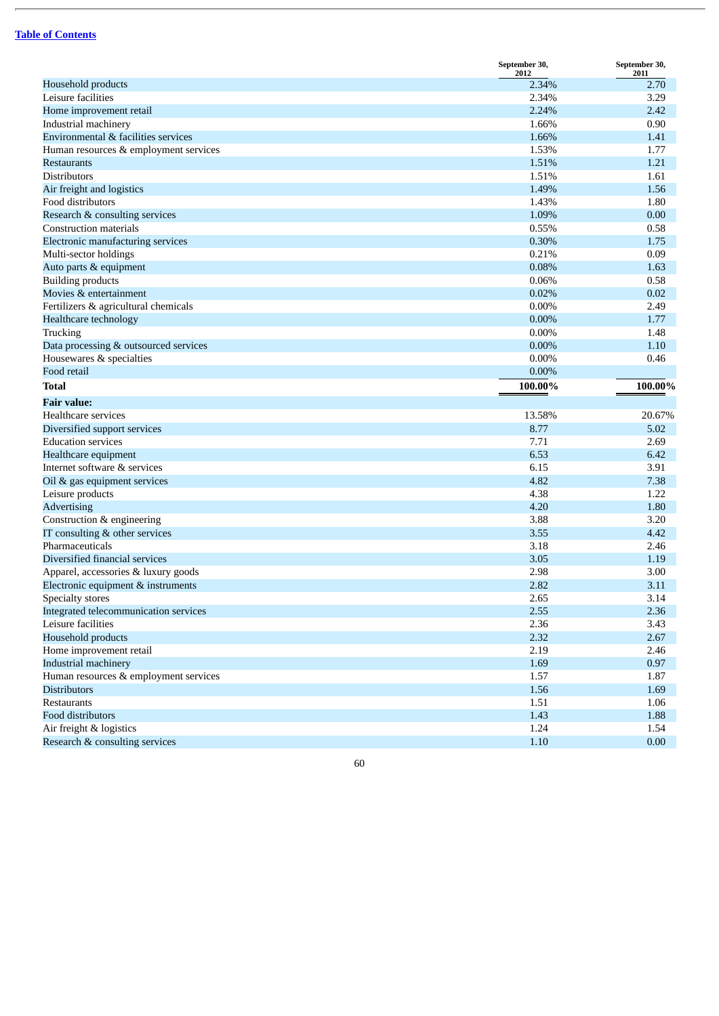Ē.

|                                       | September 30,<br>2012 | September 30,<br>2011 |
|---------------------------------------|-----------------------|-----------------------|
| Household products                    | 2.34%                 | 2.70                  |
| Leisure facilities                    | 2.34%                 | 3.29                  |
| Home improvement retail               | 2.24%                 | 2.42                  |
| Industrial machinery                  | 1.66%                 | 0.90                  |
| Environmental & facilities services   | 1.66%                 | 1.41                  |
| Human resources & employment services | 1.53%                 | 1.77                  |
| <b>Restaurants</b>                    | 1.51%                 | 1.21                  |
| <b>Distributors</b>                   | 1.51%                 | 1.61                  |
| Air freight and logistics             | 1.49%                 | 1.56                  |
| Food distributors                     | 1.43%                 | 1.80                  |
| Research & consulting services        | 1.09%                 | 0.00                  |
| <b>Construction materials</b>         | 0.55%                 | 0.58                  |
| Electronic manufacturing services     | 0.30%                 | 1.75                  |
| Multi-sector holdings                 | 0.21%                 | 0.09                  |
| Auto parts & equipment                | 0.08%                 | 1.63                  |
| <b>Building products</b>              | 0.06%                 | 0.58                  |
| Movies & entertainment                | 0.02%                 | 0.02                  |
| Fertilizers & agricultural chemicals  | 0.00%                 | 2.49                  |
| Healthcare technology                 | 0.00%                 | 1.77                  |
| Trucking                              | 0.00%                 | 1.48                  |
| Data processing & outsourced services | 0.00%                 | 1.10                  |
| Housewares & specialties              | 0.00%                 | 0.46                  |
| Food retail                           | 0.00%                 |                       |
| <b>Total</b>                          | 100.00%               | 100.00%               |
| Fair value:                           |                       |                       |
| Healthcare services                   | 13.58%                | 20.67%                |
| Diversified support services          | 8.77                  | 5.02                  |
| <b>Education services</b>             | 7.71                  | 2.69                  |
|                                       | 6.53                  | 6.42                  |
| Healthcare equipment                  | 6.15                  | 3.91                  |
| Internet software & services          |                       |                       |
| Oil & gas equipment services          | 4.82                  | 7.38                  |
| Leisure products                      | 4.38<br>4.20          | 1.22<br>1.80          |
| <b>Advertising</b>                    | 3.88                  | 3.20                  |
| Construction & engineering            |                       |                       |
| IT consulting & other services        | 3.55                  | 4.42                  |
| Pharmaceuticals                       | 3.18                  | 2.46                  |
| Diversified financial services        | 3.05                  | 1.19                  |
| Apparel, accessories & luxury goods   | 2.98                  | 3.00                  |
| Electronic equipment & instruments    | 2.82                  | 3.11                  |
| Specialty stores                      | 2.65                  | 3.14                  |
| Integrated telecommunication services | 2.55                  | 2.36                  |
| Leisure facilities                    | 2.36                  | 3.43                  |
| Household products                    | 2.32                  | 2.67                  |
| Home improvement retail               | 2.19                  | 2.46                  |
| Industrial machinery                  | 1.69                  | 0.97                  |
| Human resources & employment services | 1.57                  | 1.87                  |
| <b>Distributors</b>                   | 1.56                  | 1.69                  |
| Restaurants                           | 1.51                  | 1.06                  |
| Food distributors                     | 1.43                  | 1.88                  |
| Air freight & logistics               | 1.24                  | 1.54                  |
| Research & consulting services        | $1.10\,$              | 0.00                  |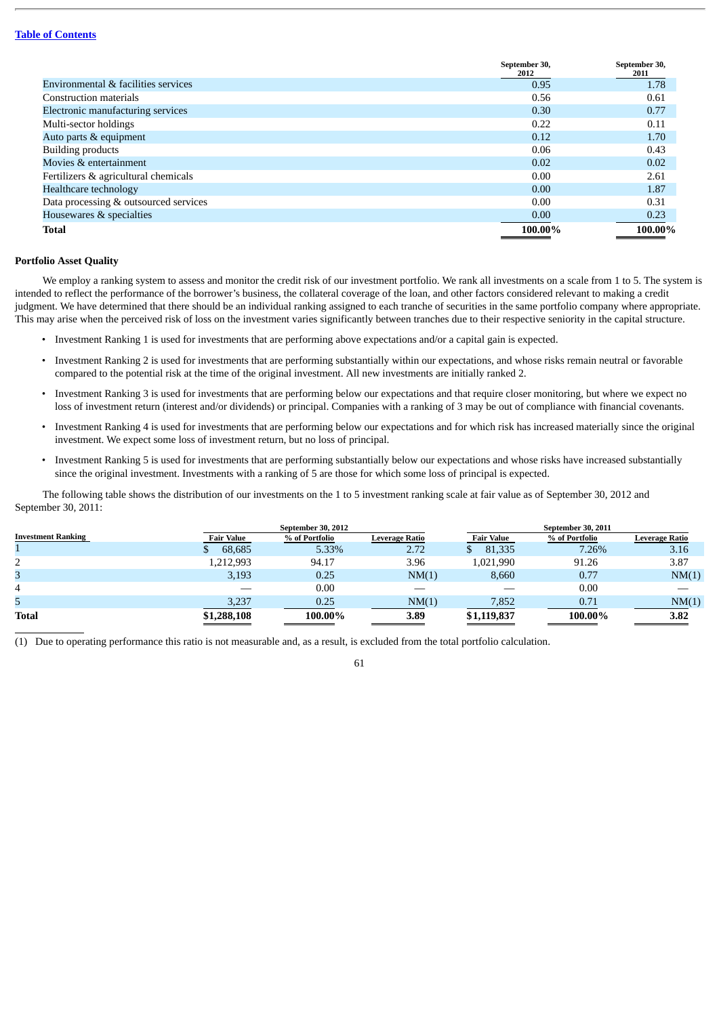|                                       | September 30,<br>2012 | September 30,<br>2011 |
|---------------------------------------|-----------------------|-----------------------|
| Environmental & facilities services   | 0.95                  | 1.78                  |
| Construction materials                | 0.56                  | 0.61                  |
| Electronic manufacturing services     | 0.30                  | 0.77                  |
| Multi-sector holdings                 | 0.22                  | 0.11                  |
| Auto parts & equipment                | 0.12                  | 1.70                  |
| <b>Building products</b>              | 0.06                  | 0.43                  |
| Movies & entertainment                | 0.02                  | 0.02                  |
| Fertilizers & agricultural chemicals  | 0.00                  | 2.61                  |
| Healthcare technology                 | 0.00                  | 1.87                  |
| Data processing & outsourced services | 0.00                  | 0.31                  |
| Housewares & specialties              | 0.00                  | 0.23                  |
| <b>Total</b>                          | 100.00%               | 100.00%               |

# **Portfolio Asset Quality**

We employ a ranking system to assess and monitor the credit risk of our investment portfolio. We rank all investments on a scale from 1 to 5. The system is intended to reflect the performance of the borrower's business, the collateral coverage of the loan, and other factors considered relevant to making a credit judgment. We have determined that there should be an individual ranking assigned to each tranche of securities in the same portfolio company where appropriate. This may arise when the perceived risk of loss on the investment varies significantly between tranches due to their respective seniority in the capital structure.

- Investment Ranking 1 is used for investments that are performing above expectations and/or a capital gain is expected.
- Investment Ranking 2 is used for investments that are performing substantially within our expectations, and whose risks remain neutral or favorable compared to the potential risk at the time of the original investment. All new investments are initially ranked 2.
- Investment Ranking 3 is used for investments that are performing below our expectations and that require closer monitoring, but where we expect no loss of investment return (interest and/or dividends) or principal. Companies with a ranking of 3 may be out of compliance with financial covenants.
- Investment Ranking 4 is used for investments that are performing below our expectations and for which risk has increased materially since the original investment. We expect some loss of investment return, but no loss of principal.
- Investment Ranking 5 is used for investments that are performing substantially below our expectations and whose risks have increased substantially since the original investment. Investments with a ranking of 5 are those for which some loss of principal is expected.

The following table shows the distribution of our investments on the 1 to 5 investment ranking scale at fair value as of September 30, 2012 and September 30, 2011:

|                           |             | September 30, 2012 |                |                   | September 30, 2011 |                       |
|---------------------------|-------------|--------------------|----------------|-------------------|--------------------|-----------------------|
| <b>Investment Ranking</b> | Fair Value  | % of Portfolio     | Leverage Ratio | <b>Fair Value</b> | % of Portfolio     | <b>Leverage Ratio</b> |
|                           | 68,685      | 5.33%              | 2.72           | 81,335            | 7.26%              | 3.16                  |
|                           | 1,212,993   | 94.17              | 3.96           | 1,021,990         | 91.26              | 3.87                  |
| 3                         | 3,193       | 0.25               | NM(1)          | 8,660             | 0.77               | NM(1)                 |
| 4                         |             | 0.00               |                |                   | 0.00               |                       |
| 5                         | 3,237       | 0.25               | NM(1)          | 7,852             | 0.71               | NM(1)                 |
| <b>Total</b>              | \$1,288,108 | 100.00%            | 3.89           | \$1,119,837       | 100.00%            | 3.82                  |

(1) Due to operating performance this ratio is not measurable and, as a result, is excluded from the total portfolio calculation.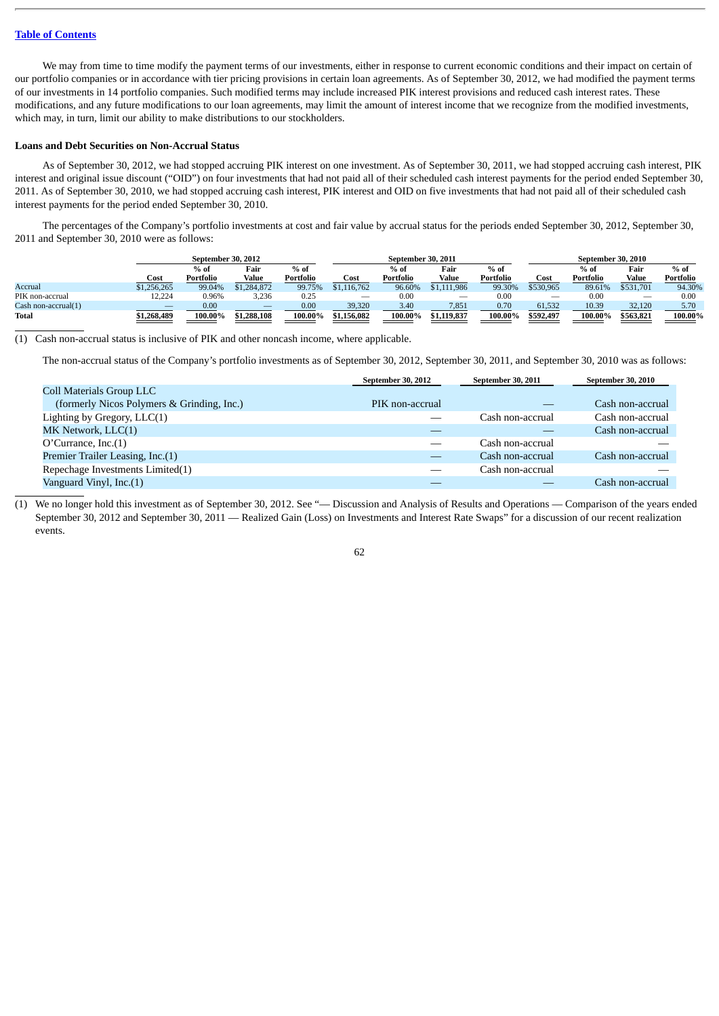We may from time to time modify the payment terms of our investments, either in response to current economic conditions and their impact on certain of our portfolio companies or in accordance with tier pricing provisions in certain loan agreements. As of September 30, 2012, we had modified the payment terms of our investments in 14 portfolio companies. Such modified terms may include increased PIK interest provisions and reduced cash interest rates. These modifications, and any future modifications to our loan agreements, may limit the amount of interest income that we recognize from the modified investments, which may, in turn, limit our ability to make distributions to our stockholders.

## **Loans and Debt Securities on Non-Accrual Status**

As of September 30, 2012, we had stopped accruing PIK interest on one investment. As of September 30, 2011, we had stopped accruing cash interest, PIK interest and original issue discount ("OID") on four investments that had not paid all of their scheduled cash interest payments for the period ended September 30, 2011. As of September 30, 2010, we had stopped accruing cash interest, PIK interest and OID on five investments that had not paid all of their scheduled cash interest payments for the period ended September 30, 2010.

The percentages of the Company's portfolio investments at cost and fair value by accrual status for the periods ended September 30, 2012, September 30, 2011 and September 30, 2010 were as follows:

|                     | September 30, 2012 |                     |               |                     | September 30, 2011 |                   |               |                     | September 30, 2010       |                     |                          |                     |
|---------------------|--------------------|---------------------|---------------|---------------------|--------------------|-------------------|---------------|---------------------|--------------------------|---------------------|--------------------------|---------------------|
|                     | Cost               | $%$ of<br>Portfolio | Fair<br>Value | $%$ of<br>Portfolio | Cost               | % of<br>Portfolio | Fair<br>Value | $%$ of<br>Portfolio | Cost                     | $%$ of<br>Portfolio | Fair<br>Value            | $%$ of<br>Portfolio |
| Accrual             | \$1,256,265        | 99.04%              | \$1,284,872   | 99.75%              | \$1,116,762        | 96.60%            | \$1,111,986   | 99.30%              | \$530,965                | 89.61%              | \$531,701                | 94.30%              |
| PIK non-accrual     | 12,224             | 0.96%               | 3,236         | 0.25                |                    | 0.00              |               | 0.00                | $\overline{\phantom{a}}$ | 0.00                | $\overline{\phantom{a}}$ | 0.00                |
| Cash non-accrual(1) |                    | 0.00                |               | 0.00                | 39.320             | 3.40              | 7,851         | 0.70                | 61,532                   | 10.39               | 32,120                   | 5.70                |
| Total               | \$1,268,489        | 100.00%             | \$1,288,108   | 100.00%             | \$1,156,082        | 100.00%           | \$1,119,837   | 100.00%             | \$592,497                | 100.00%             | \$563.821                | 100.00%             |

(1) Cash non-accrual status is inclusive of PIK and other noncash income, where applicable.

The non-accrual status of the Company's portfolio investments as of September 30, 2012, September 30, 2011, and September 30, 2010 was as follows:

|                                            | September 30, 2012 | September 30, 2011 | <b>September 30, 2010</b> |
|--------------------------------------------|--------------------|--------------------|---------------------------|
| Coll Materials Group LLC                   |                    |                    |                           |
| (formerly Nicos Polymers & Grinding, Inc.) | PIK non-accrual    |                    | Cash non-accrual          |
| Lighting by Gregory, LLC(1)                |                    | Cash non-accrual   | Cash non-accrual          |
| MK Network, LLC(1)                         |                    |                    | Cash non-accrual          |
| $O'$ Currance, Inc. $(1)$                  | $\hspace{0.05cm}$  | Cash non-accrual   |                           |
| Premier Trailer Leasing, Inc.(1)           |                    | Cash non-accrual   | Cash non-accrual          |
| Repechage Investments Limited(1)           |                    | Cash non-accrual   |                           |
| Vanguard Vinyl, $Inc.(1)$                  |                    |                    | Cash non-accrual          |

(1) We no longer hold this investment as of September 30, 2012. See "— Discussion and Analysis of Results and Operations — Comparison of the years ended September 30, 2012 and September 30, 2011 — Realized Gain (Loss) on Investments and Interest Rate Swaps" for a discussion of our recent realization events.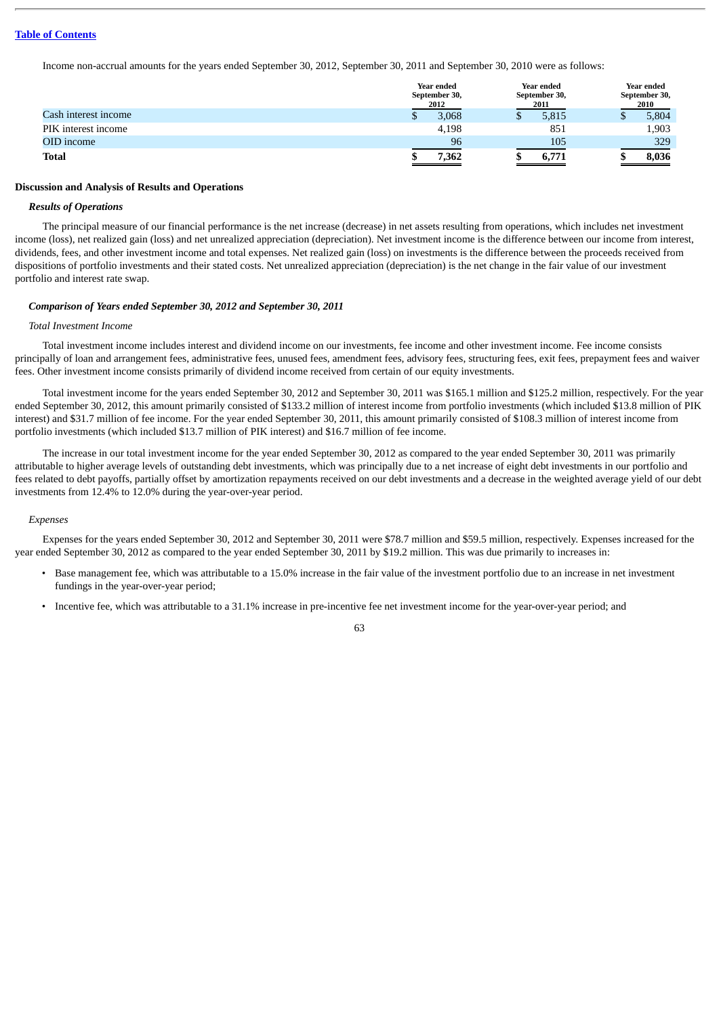Income non-accrual amounts for the years ended September 30, 2012, September 30, 2011 and September 30, 2010 were as follows:

|                      | Year ended<br>September 30,<br>2012 | Year ended<br>September 30,<br>2011 | Year ended<br>September 30,<br>2010 |
|----------------------|-------------------------------------|-------------------------------------|-------------------------------------|
| Cash interest income | 3,068                               | 5,815                               | 5,804                               |
| PIK interest income  | 4,198                               | 851                                 | 1,903                               |
| OID income           | 96                                  | 105                                 | 329                                 |
| <b>Total</b>         | 7,362                               | 6,771                               | 8,036                               |

### **Discussion and Analysis of Results and Operations**

# *Results of Operations*

The principal measure of our financial performance is the net increase (decrease) in net assets resulting from operations, which includes net investment income (loss), net realized gain (loss) and net unrealized appreciation (depreciation). Net investment income is the difference between our income from interest, dividends, fees, and other investment income and total expenses. Net realized gain (loss) on investments is the difference between the proceeds received from dispositions of portfolio investments and their stated costs. Net unrealized appreciation (depreciation) is the net change in the fair value of our investment portfolio and interest rate swap.

### *Comparison of Years ended September 30, 2012 and September 30, 2011*

# *Total Investment Income*

Total investment income includes interest and dividend income on our investments, fee income and other investment income. Fee income consists principally of loan and arrangement fees, administrative fees, unused fees, amendment fees, advisory fees, structuring fees, exit fees, prepayment fees and waiver fees. Other investment income consists primarily of dividend income received from certain of our equity investments.

Total investment income for the years ended September 30, 2012 and September 30, 2011 was \$165.1 million and \$125.2 million, respectively. For the year ended September 30, 2012, this amount primarily consisted of \$133.2 million of interest income from portfolio investments (which included \$13.8 million of PIK interest) and \$31.7 million of fee income. For the year ended September 30, 2011, this amount primarily consisted of \$108.3 million of interest income from portfolio investments (which included \$13.7 million of PIK interest) and \$16.7 million of fee income.

The increase in our total investment income for the year ended September 30, 2012 as compared to the year ended September 30, 2011 was primarily attributable to higher average levels of outstanding debt investments, which was principally due to a net increase of eight debt investments in our portfolio and fees related to debt payoffs, partially offset by amortization repayments received on our debt investments and a decrease in the weighted average yield of our debt investments from 12.4% to 12.0% during the year-over-year period.

## *Expenses*

Expenses for the years ended September 30, 2012 and September 30, 2011 were \$78.7 million and \$59.5 million, respectively. Expenses increased for the year ended September 30, 2012 as compared to the year ended September 30, 2011 by \$19.2 million. This was due primarily to increases in:

- Base management fee, which was attributable to a 15.0% increase in the fair value of the investment portfolio due to an increase in net investment fundings in the year-over-year period;
- Incentive fee, which was attributable to a 31.1% increase in pre-incentive fee net investment income for the year-over-year period; and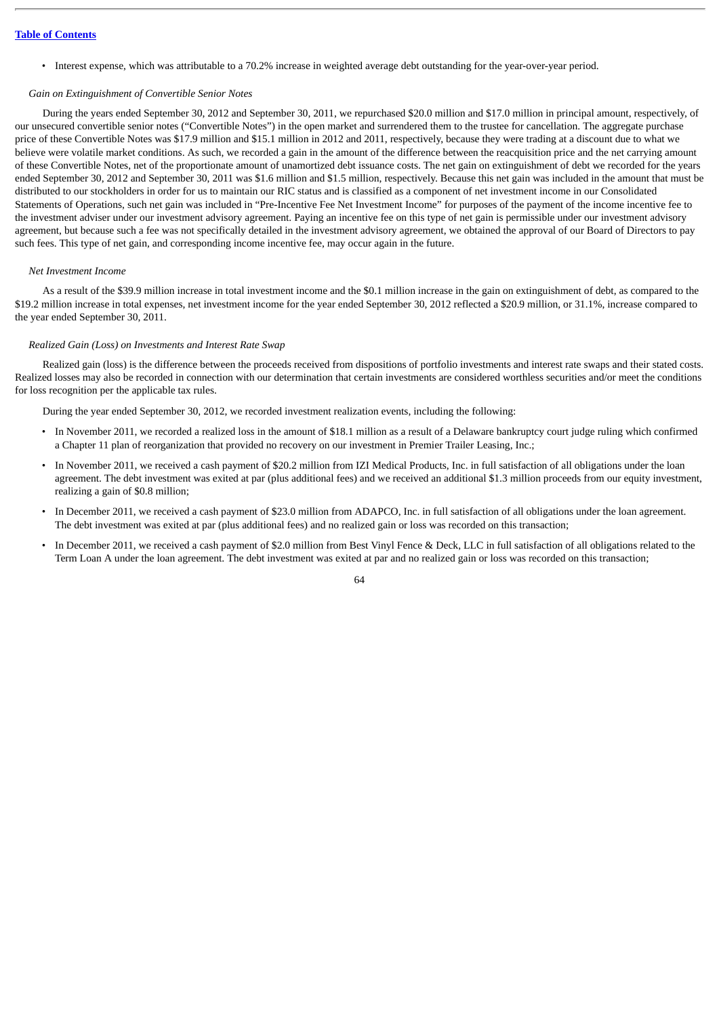• Interest expense, which was attributable to a 70.2% increase in weighted average debt outstanding for the year-over-year period.

## *Gain on Extinguishment of Convertible Senior Notes*

During the years ended September 30, 2012 and September 30, 2011, we repurchased \$20.0 million and \$17.0 million in principal amount, respectively, of our unsecured convertible senior notes ("Convertible Notes") in the open market and surrendered them to the trustee for cancellation. The aggregate purchase price of these Convertible Notes was \$17.9 million and \$15.1 million in 2012 and 2011, respectively, because they were trading at a discount due to what we believe were volatile market conditions. As such, we recorded a gain in the amount of the difference between the reacquisition price and the net carrying amount of these Convertible Notes, net of the proportionate amount of unamortized debt issuance costs. The net gain on extinguishment of debt we recorded for the years ended September 30, 2012 and September 30, 2011 was \$1.6 million and \$1.5 million, respectively. Because this net gain was included in the amount that must be distributed to our stockholders in order for us to maintain our RIC status and is classified as a component of net investment income in our Consolidated Statements of Operations, such net gain was included in "Pre-Incentive Fee Net Investment Income" for purposes of the payment of the income incentive fee to the investment adviser under our investment advisory agreement. Paying an incentive fee on this type of net gain is permissible under our investment advisory agreement, but because such a fee was not specifically detailed in the investment advisory agreement, we obtained the approval of our Board of Directors to pay such fees. This type of net gain, and corresponding income incentive fee, may occur again in the future.

## *Net Investment Income*

As a result of the \$39.9 million increase in total investment income and the \$0.1 million increase in the gain on extinguishment of debt, as compared to the \$19.2 million increase in total expenses, net investment income for the year ended September 30, 2012 reflected a \$20.9 million, or 31.1%, increase compared to the year ended September 30, 2011.

### *Realized Gain (Loss) on Investments and Interest Rate Swap*

Realized gain (loss) is the difference between the proceeds received from dispositions of portfolio investments and interest rate swaps and their stated costs. Realized losses may also be recorded in connection with our determination that certain investments are considered worthless securities and/or meet the conditions for loss recognition per the applicable tax rules.

During the year ended September 30, 2012, we recorded investment realization events, including the following:

- In November 2011, we recorded a realized loss in the amount of \$18.1 million as a result of a Delaware bankruptcy court judge ruling which confirmed a Chapter 11 plan of reorganization that provided no recovery on our investment in Premier Trailer Leasing, Inc.;
- In November 2011, we received a cash payment of \$20.2 million from IZI Medical Products, Inc. in full satisfaction of all obligations under the loan agreement. The debt investment was exited at par (plus additional fees) and we received an additional \$1.3 million proceeds from our equity investment, realizing a gain of \$0.8 million;
- In December 2011, we received a cash payment of \$23.0 million from ADAPCO, Inc. in full satisfaction of all obligations under the loan agreement. The debt investment was exited at par (plus additional fees) and no realized gain or loss was recorded on this transaction;
- In December 2011, we received a cash payment of \$2.0 million from Best Vinyl Fence & Deck, LLC in full satisfaction of all obligations related to the Term Loan A under the loan agreement. The debt investment was exited at par and no realized gain or loss was recorded on this transaction;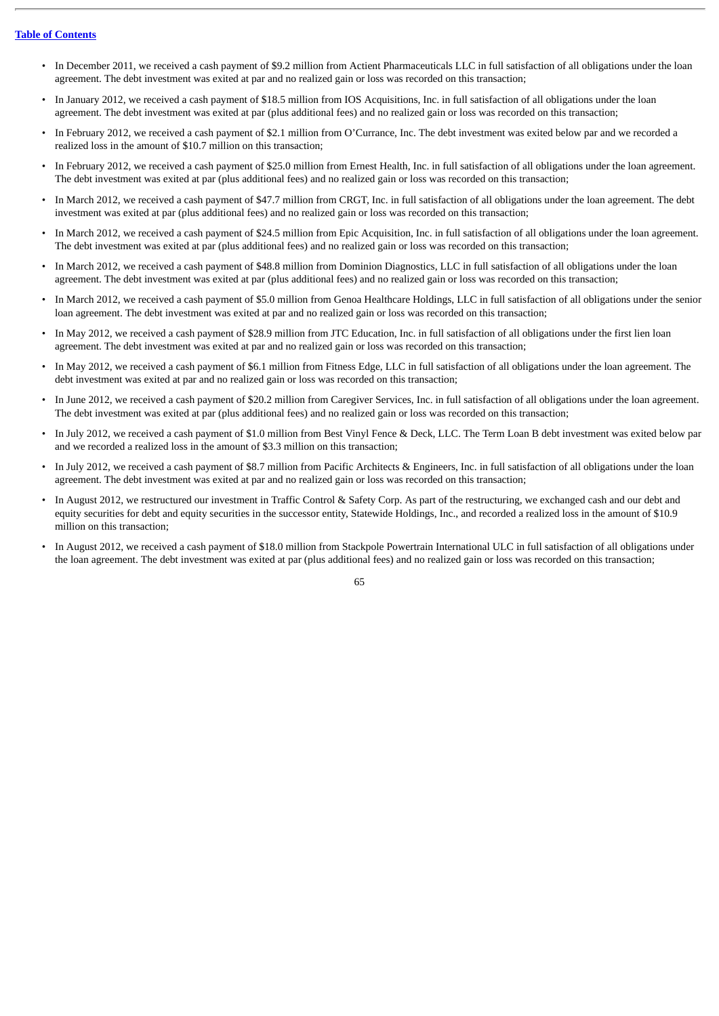- In December 2011, we received a cash payment of \$9.2 million from Actient Pharmaceuticals LLC in full satisfaction of all obligations under the loan agreement. The debt investment was exited at par and no realized gain or loss was recorded on this transaction;
- In January 2012, we received a cash payment of \$18.5 million from IOS Acquisitions, Inc. in full satisfaction of all obligations under the loan agreement. The debt investment was exited at par (plus additional fees) and no realized gain or loss was recorded on this transaction;
- In February 2012, we received a cash payment of \$2.1 million from O'Currance, Inc. The debt investment was exited below par and we recorded a realized loss in the amount of \$10.7 million on this transaction;
- In February 2012, we received a cash payment of \$25.0 million from Ernest Health, Inc. in full satisfaction of all obligations under the loan agreement. The debt investment was exited at par (plus additional fees) and no realized gain or loss was recorded on this transaction;
- In March 2012, we received a cash payment of \$47.7 million from CRGT, Inc. in full satisfaction of all obligations under the loan agreement. The debt investment was exited at par (plus additional fees) and no realized gain or loss was recorded on this transaction;
- In March 2012, we received a cash payment of \$24.5 million from Epic Acquisition, Inc. in full satisfaction of all obligations under the loan agreement. The debt investment was exited at par (plus additional fees) and no realized gain or loss was recorded on this transaction;
- In March 2012, we received a cash payment of \$48.8 million from Dominion Diagnostics, LLC in full satisfaction of all obligations under the loan agreement. The debt investment was exited at par (plus additional fees) and no realized gain or loss was recorded on this transaction;
- In March 2012, we received a cash payment of \$5.0 million from Genoa Healthcare Holdings, LLC in full satisfaction of all obligations under the senior loan agreement. The debt investment was exited at par and no realized gain or loss was recorded on this transaction;
- In May 2012, we received a cash payment of \$28.9 million from JTC Education, Inc. in full satisfaction of all obligations under the first lien loan agreement. The debt investment was exited at par and no realized gain or loss was recorded on this transaction;
- In May 2012, we received a cash payment of \$6.1 million from Fitness Edge, LLC in full satisfaction of all obligations under the loan agreement. The debt investment was exited at par and no realized gain or loss was recorded on this transaction;
- In June 2012, we received a cash payment of \$20.2 million from Caregiver Services, Inc. in full satisfaction of all obligations under the loan agreement. The debt investment was exited at par (plus additional fees) and no realized gain or loss was recorded on this transaction;
- In July 2012, we received a cash payment of \$1.0 million from Best Vinyl Fence & Deck, LLC. The Term Loan B debt investment was exited below par and we recorded a realized loss in the amount of \$3.3 million on this transaction;
- In July 2012, we received a cash payment of \$8.7 million from Pacific Architects & Engineers, Inc. in full satisfaction of all obligations under the loan agreement. The debt investment was exited at par and no realized gain or loss was recorded on this transaction;
- In August 2012, we restructured our investment in Traffic Control & Safety Corp. As part of the restructuring, we exchanged cash and our debt and equity securities for debt and equity securities in the successor entity, Statewide Holdings, Inc., and recorded a realized loss in the amount of \$10.9 million on this transaction;
- In August 2012, we received a cash payment of \$18.0 million from Stackpole Powertrain International ULC in full satisfaction of all obligations under the loan agreement. The debt investment was exited at par (plus additional fees) and no realized gain or loss was recorded on this transaction;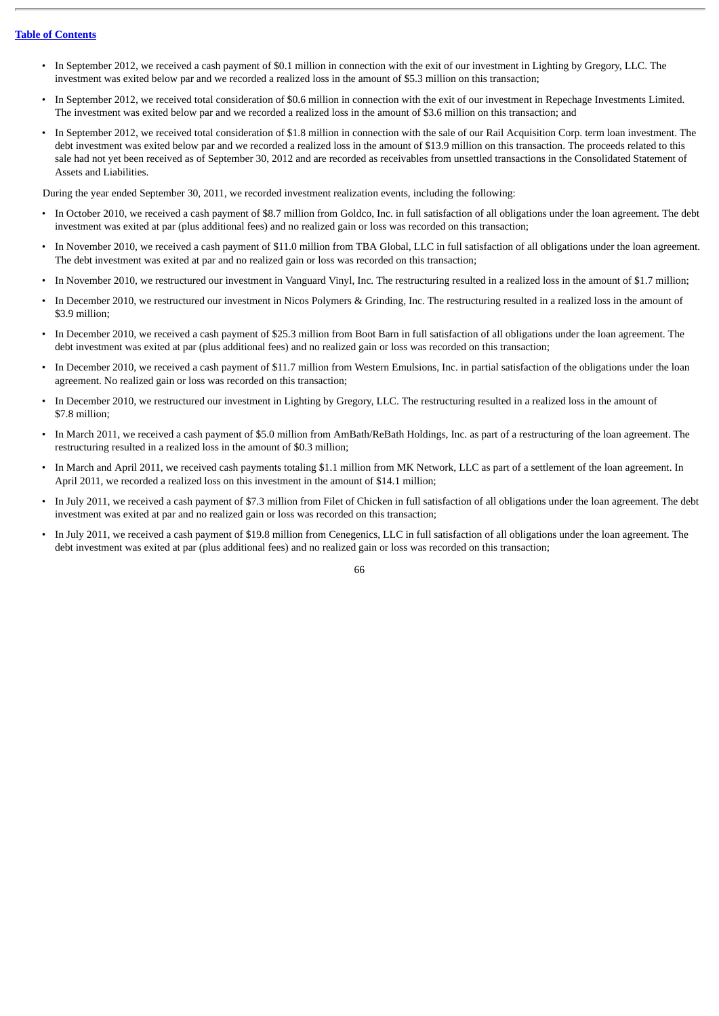- In September 2012, we received a cash payment of \$0.1 million in connection with the exit of our investment in Lighting by Gregory, LLC. The investment was exited below par and we recorded a realized loss in the amount of \$5.3 million on this transaction;
- In September 2012, we received total consideration of \$0.6 million in connection with the exit of our investment in Repechage Investments Limited. The investment was exited below par and we recorded a realized loss in the amount of \$3.6 million on this transaction; and
- In September 2012, we received total consideration of \$1.8 million in connection with the sale of our Rail Acquisition Corp. term loan investment. The debt investment was exited below par and we recorded a realized loss in the amount of \$13.9 million on this transaction. The proceeds related to this sale had not yet been received as of September 30, 2012 and are recorded as receivables from unsettled transactions in the Consolidated Statement of Assets and Liabilities.

During the year ended September 30, 2011, we recorded investment realization events, including the following:

- In October 2010, we received a cash payment of \$8.7 million from Goldco, Inc. in full satisfaction of all obligations under the loan agreement. The debt investment was exited at par (plus additional fees) and no realized gain or loss was recorded on this transaction;
- In November 2010, we received a cash payment of \$11.0 million from TBA Global, LLC in full satisfaction of all obligations under the loan agreement. The debt investment was exited at par and no realized gain or loss was recorded on this transaction;
- In November 2010, we restructured our investment in Vanguard Vinyl, Inc. The restructuring resulted in a realized loss in the amount of \$1.7 million;
- In December 2010, we restructured our investment in Nicos Polymers & Grinding, Inc. The restructuring resulted in a realized loss in the amount of \$3.9 million;
- In December 2010, we received a cash payment of \$25.3 million from Boot Barn in full satisfaction of all obligations under the loan agreement. The debt investment was exited at par (plus additional fees) and no realized gain or loss was recorded on this transaction;
- In December 2010, we received a cash payment of \$11.7 million from Western Emulsions, Inc. in partial satisfaction of the obligations under the loan agreement. No realized gain or loss was recorded on this transaction;
- In December 2010, we restructured our investment in Lighting by Gregory, LLC. The restructuring resulted in a realized loss in the amount of \$7.8 million;
- In March 2011, we received a cash payment of \$5.0 million from AmBath/ReBath Holdings, Inc. as part of a restructuring of the loan agreement. The restructuring resulted in a realized loss in the amount of \$0.3 million;
- In March and April 2011, we received cash payments totaling \$1.1 million from MK Network, LLC as part of a settlement of the loan agreement. In April 2011, we recorded a realized loss on this investment in the amount of \$14.1 million;
- In July 2011, we received a cash payment of \$7.3 million from Filet of Chicken in full satisfaction of all obligations under the loan agreement. The debt investment was exited at par and no realized gain or loss was recorded on this transaction;
- In July 2011, we received a cash payment of \$19.8 million from Cenegenics, LLC in full satisfaction of all obligations under the loan agreement. The debt investment was exited at par (plus additional fees) and no realized gain or loss was recorded on this transaction;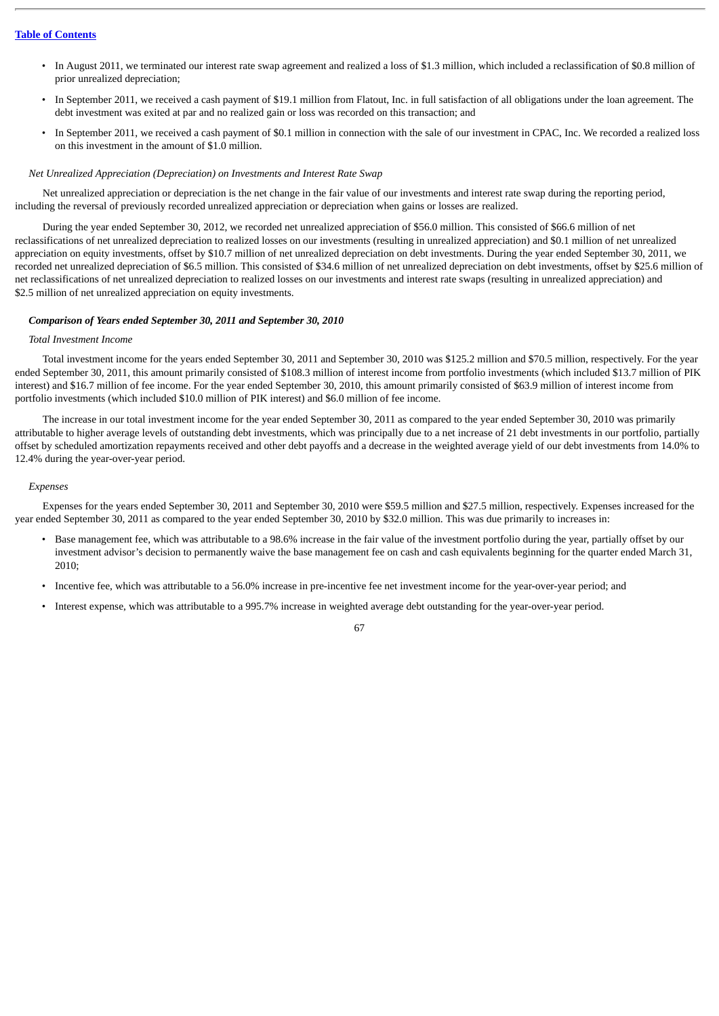- In August 2011, we terminated our interest rate swap agreement and realized a loss of \$1.3 million, which included a reclassification of \$0.8 million of prior unrealized depreciation;
- In September 2011, we received a cash payment of \$19.1 million from Flatout, Inc. in full satisfaction of all obligations under the loan agreement. The debt investment was exited at par and no realized gain or loss was recorded on this transaction; and
- In September 2011, we received a cash payment of \$0.1 million in connection with the sale of our investment in CPAC, Inc. We recorded a realized loss on this investment in the amount of \$1.0 million.

### *Net Unrealized Appreciation (Depreciation) on Investments and Interest Rate Swap*

Net unrealized appreciation or depreciation is the net change in the fair value of our investments and interest rate swap during the reporting period, including the reversal of previously recorded unrealized appreciation or depreciation when gains or losses are realized.

During the year ended September 30, 2012, we recorded net unrealized appreciation of \$56.0 million. This consisted of \$66.6 million of net reclassifications of net unrealized depreciation to realized losses on our investments (resulting in unrealized appreciation) and \$0.1 million of net unrealized appreciation on equity investments, offset by \$10.7 million of net unrealized depreciation on debt investments. During the year ended September 30, 2011, we recorded net unrealized depreciation of \$6.5 million. This consisted of \$34.6 million of net unrealized depreciation on debt investments, offset by \$25.6 million of net reclassifications of net unrealized depreciation to realized losses on our investments and interest rate swaps (resulting in unrealized appreciation) and \$2.5 million of net unrealized appreciation on equity investments.

## *Comparison of Years ended September 30, 2011 and September 30, 2010*

### *Total Investment Income*

Total investment income for the years ended September 30, 2011 and September 30, 2010 was \$125.2 million and \$70.5 million, respectively. For the year ended September 30, 2011, this amount primarily consisted of \$108.3 million of interest income from portfolio investments (which included \$13.7 million of PIK interest) and \$16.7 million of fee income. For the year ended September 30, 2010, this amount primarily consisted of \$63.9 million of interest income from portfolio investments (which included \$10.0 million of PIK interest) and \$6.0 million of fee income.

The increase in our total investment income for the year ended September 30, 2011 as compared to the year ended September 30, 2010 was primarily attributable to higher average levels of outstanding debt investments, which was principally due to a net increase of 21 debt investments in our portfolio, partially offset by scheduled amortization repayments received and other debt payoffs and a decrease in the weighted average yield of our debt investments from 14.0% to 12.4% during the year-over-year period.

## *Expenses*

Expenses for the years ended September 30, 2011 and September 30, 2010 were \$59.5 million and \$27.5 million, respectively. Expenses increased for the year ended September 30, 2011 as compared to the year ended September 30, 2010 by \$32.0 million. This was due primarily to increases in:

- Base management fee, which was attributable to a 98.6% increase in the fair value of the investment portfolio during the year, partially offset by our investment advisor's decision to permanently waive the base management fee on cash and cash equivalents beginning for the quarter ended March 31, 2010;
- Incentive fee, which was attributable to a 56.0% increase in pre-incentive fee net investment income for the year-over-year period; and
- Interest expense, which was attributable to a 995.7% increase in weighted average debt outstanding for the year-over-year period.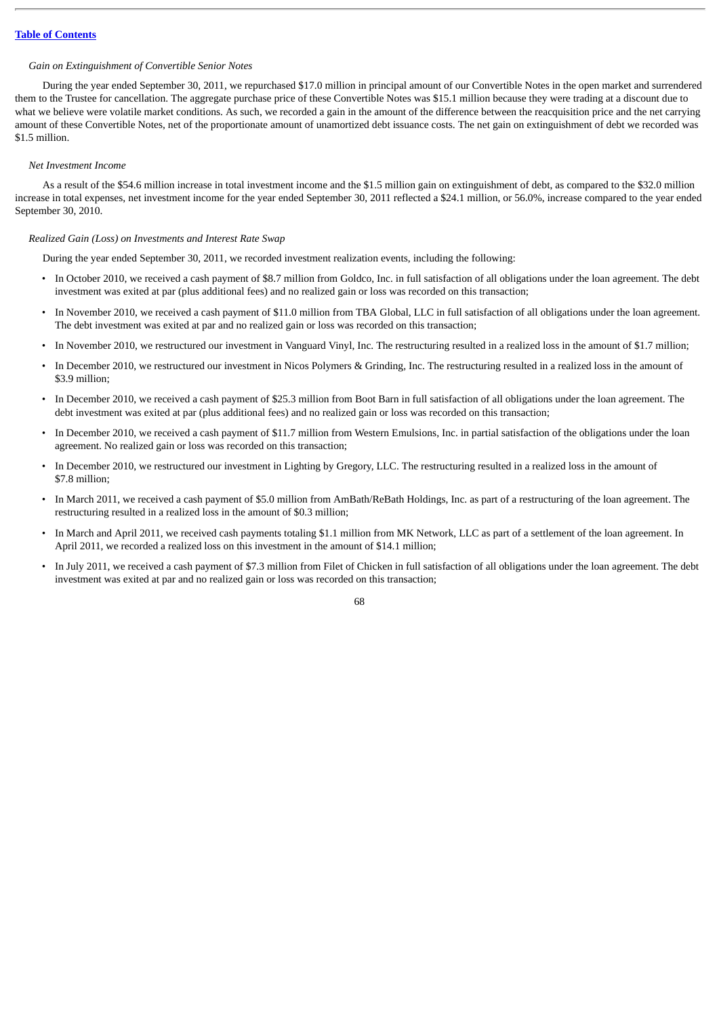## *Gain on Extinguishment of Convertible Senior Notes*

During the year ended September 30, 2011, we repurchased \$17.0 million in principal amount of our Convertible Notes in the open market and surrendered them to the Trustee for cancellation. The aggregate purchase price of these Convertible Notes was \$15.1 million because they were trading at a discount due to what we believe were volatile market conditions. As such, we recorded a gain in the amount of the difference between the reacquisition price and the net carrying amount of these Convertible Notes, net of the proportionate amount of unamortized debt issuance costs. The net gain on extinguishment of debt we recorded was \$1.5 million.

### *Net Investment Income*

As a result of the \$54.6 million increase in total investment income and the \$1.5 million gain on extinguishment of debt, as compared to the \$32.0 million increase in total expenses, net investment income for the year ended September 30, 2011 reflected a \$24.1 million, or 56.0%, increase compared to the year ended September 30, 2010.

### *Realized Gain (Loss) on Investments and Interest Rate Swap*

During the year ended September 30, 2011, we recorded investment realization events, including the following:

- In October 2010, we received a cash payment of \$8.7 million from Goldco, Inc. in full satisfaction of all obligations under the loan agreement. The debt investment was exited at par (plus additional fees) and no realized gain or loss was recorded on this transaction;
- In November 2010, we received a cash payment of \$11.0 million from TBA Global, LLC in full satisfaction of all obligations under the loan agreement. The debt investment was exited at par and no realized gain or loss was recorded on this transaction;
- In November 2010, we restructured our investment in Vanguard Vinyl, Inc. The restructuring resulted in a realized loss in the amount of \$1.7 million;
- In December 2010, we restructured our investment in Nicos Polymers & Grinding, Inc. The restructuring resulted in a realized loss in the amount of \$3.9 million;
- In December 2010, we received a cash payment of \$25.3 million from Boot Barn in full satisfaction of all obligations under the loan agreement. The debt investment was exited at par (plus additional fees) and no realized gain or loss was recorded on this transaction;
- In December 2010, we received a cash payment of \$11.7 million from Western Emulsions, Inc. in partial satisfaction of the obligations under the loan agreement. No realized gain or loss was recorded on this transaction;
- In December 2010, we restructured our investment in Lighting by Gregory, LLC. The restructuring resulted in a realized loss in the amount of \$7.8 million;
- In March 2011, we received a cash payment of \$5.0 million from AmBath/ReBath Holdings, Inc. as part of a restructuring of the loan agreement. The restructuring resulted in a realized loss in the amount of \$0.3 million;
- In March and April 2011, we received cash payments totaling \$1.1 million from MK Network, LLC as part of a settlement of the loan agreement. In April 2011, we recorded a realized loss on this investment in the amount of \$14.1 million;
- In July 2011, we received a cash payment of \$7.3 million from Filet of Chicken in full satisfaction of all obligations under the loan agreement. The debt investment was exited at par and no realized gain or loss was recorded on this transaction;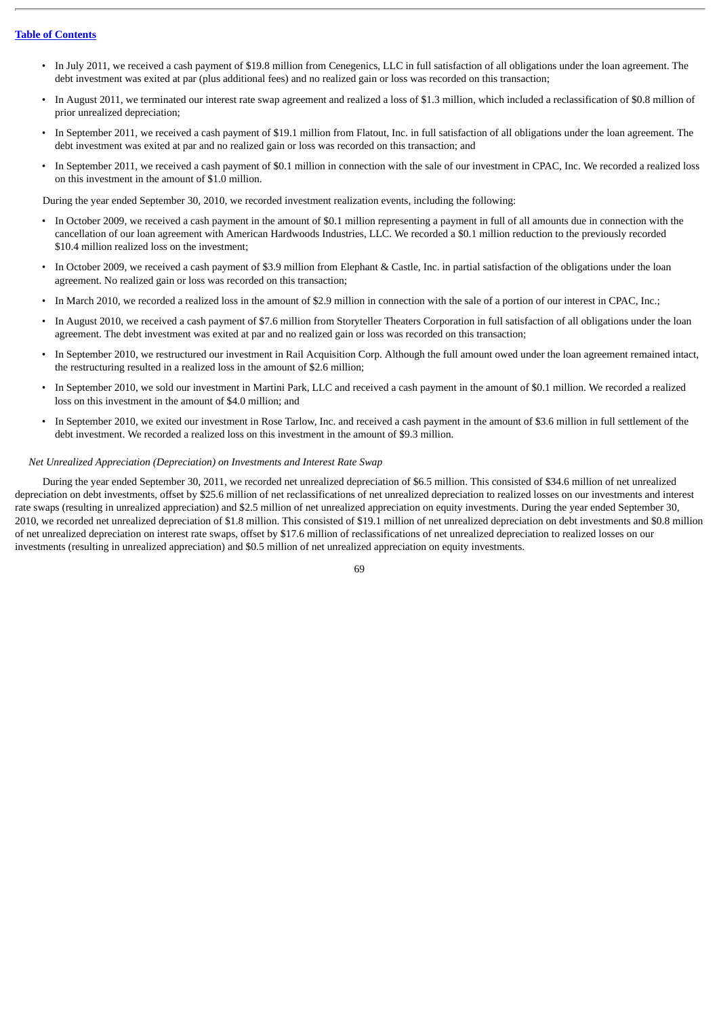- In July 2011, we received a cash payment of \$19.8 million from Cenegenics, LLC in full satisfaction of all obligations under the loan agreement. The debt investment was exited at par (plus additional fees) and no realized gain or loss was recorded on this transaction;
- In August 2011, we terminated our interest rate swap agreement and realized a loss of \$1.3 million, which included a reclassification of \$0.8 million of prior unrealized depreciation;
- In September 2011, we received a cash payment of \$19.1 million from Flatout, Inc. in full satisfaction of all obligations under the loan agreement. The debt investment was exited at par and no realized gain or loss was recorded on this transaction; and
- In September 2011, we received a cash payment of \$0.1 million in connection with the sale of our investment in CPAC, Inc. We recorded a realized loss on this investment in the amount of \$1.0 million.

During the year ended September 30, 2010, we recorded investment realization events, including the following:

- In October 2009, we received a cash payment in the amount of \$0.1 million representing a payment in full of all amounts due in connection with the cancellation of our loan agreement with American Hardwoods Industries, LLC. We recorded a \$0.1 million reduction to the previously recorded \$10.4 million realized loss on the investment;
- In October 2009, we received a cash payment of \$3.9 million from Elephant & Castle, Inc. in partial satisfaction of the obligations under the loan agreement. No realized gain or loss was recorded on this transaction;
- In March 2010, we recorded a realized loss in the amount of \$2.9 million in connection with the sale of a portion of our interest in CPAC, Inc.;
- In August 2010, we received a cash payment of \$7.6 million from Storyteller Theaters Corporation in full satisfaction of all obligations under the loan agreement. The debt investment was exited at par and no realized gain or loss was recorded on this transaction;
- In September 2010, we restructured our investment in Rail Acquisition Corp. Although the full amount owed under the loan agreement remained intact, the restructuring resulted in a realized loss in the amount of \$2.6 million;
- In September 2010, we sold our investment in Martini Park, LLC and received a cash payment in the amount of \$0.1 million. We recorded a realized loss on this investment in the amount of \$4.0 million; and
- In September 2010, we exited our investment in Rose Tarlow, Inc. and received a cash payment in the amount of \$3.6 million in full settlement of the debt investment. We recorded a realized loss on this investment in the amount of \$9.3 million.

## *Net Unrealized Appreciation (Depreciation) on Investments and Interest Rate Swap*

During the year ended September 30, 2011, we recorded net unrealized depreciation of \$6.5 million. This consisted of \$34.6 million of net unrealized depreciation on debt investments, offset by \$25.6 million of net reclassifications of net unrealized depreciation to realized losses on our investments and interest rate swaps (resulting in unrealized appreciation) and \$2.5 million of net unrealized appreciation on equity investments. During the year ended September 30, 2010, we recorded net unrealized depreciation of \$1.8 million. This consisted of \$19.1 million of net unrealized depreciation on debt investments and \$0.8 million of net unrealized depreciation on interest rate swaps, offset by \$17.6 million of reclassifications of net unrealized depreciation to realized losses on our investments (resulting in unrealized appreciation) and \$0.5 million of net unrealized appreciation on equity investments.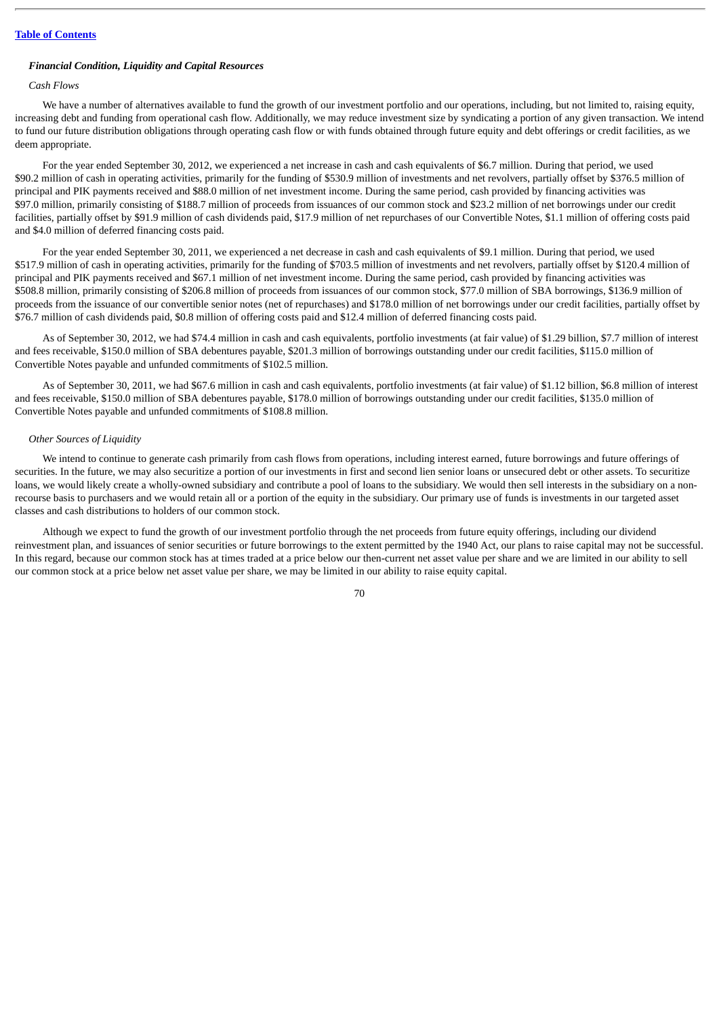## *Financial Condition, Liquidity and Capital Resources*

## *Cash Flows*

We have a number of alternatives available to fund the growth of our investment portfolio and our operations, including, but not limited to, raising equity, increasing debt and funding from operational cash flow. Additionally, we may reduce investment size by syndicating a portion of any given transaction. We intend to fund our future distribution obligations through operating cash flow or with funds obtained through future equity and debt offerings or credit facilities, as we deem appropriate.

For the year ended September 30, 2012, we experienced a net increase in cash and cash equivalents of \$6.7 million. During that period, we used \$90.2 million of cash in operating activities, primarily for the funding of \$530.9 million of investments and net revolvers, partially offset by \$376.5 million of principal and PIK payments received and \$88.0 million of net investment income. During the same period, cash provided by financing activities was \$97.0 million, primarily consisting of \$188.7 million of proceeds from issuances of our common stock and \$23.2 million of net borrowings under our credit facilities, partially offset by \$91.9 million of cash dividends paid, \$17.9 million of net repurchases of our Convertible Notes, \$1.1 million of offering costs paid and \$4.0 million of deferred financing costs paid.

For the year ended September 30, 2011, we experienced a net decrease in cash and cash equivalents of \$9.1 million. During that period, we used \$517.9 million of cash in operating activities, primarily for the funding of \$703.5 million of investments and net revolvers, partially offset by \$120.4 million of principal and PIK payments received and \$67.1 million of net investment income. During the same period, cash provided by financing activities was \$508.8 million, primarily consisting of \$206.8 million of proceeds from issuances of our common stock, \$77.0 million of SBA borrowings, \$136.9 million of proceeds from the issuance of our convertible senior notes (net of repurchases) and \$178.0 million of net borrowings under our credit facilities, partially offset by \$76.7 million of cash dividends paid, \$0.8 million of offering costs paid and \$12.4 million of deferred financing costs paid.

As of September 30, 2012, we had \$74.4 million in cash and cash equivalents, portfolio investments (at fair value) of \$1.29 billion, \$7.7 million of interest and fees receivable, \$150.0 million of SBA debentures payable, \$201.3 million of borrowings outstanding under our credit facilities, \$115.0 million of Convertible Notes payable and unfunded commitments of \$102.5 million.

As of September 30, 2011, we had \$67.6 million in cash and cash equivalents, portfolio investments (at fair value) of \$1.12 billion, \$6.8 million of interest and fees receivable, \$150.0 million of SBA debentures payable, \$178.0 million of borrowings outstanding under our credit facilities, \$135.0 million of Convertible Notes payable and unfunded commitments of \$108.8 million.

#### *Other Sources of Liquidity*

We intend to continue to generate cash primarily from cash flows from operations, including interest earned, future borrowings and future offerings of securities. In the future, we may also securitize a portion of our investments in first and second lien senior loans or unsecured debt or other assets. To securitize loans, we would likely create a wholly-owned subsidiary and contribute a pool of loans to the subsidiary. We would then sell interests in the subsidiary on a nonrecourse basis to purchasers and we would retain all or a portion of the equity in the subsidiary. Our primary use of funds is investments in our targeted asset classes and cash distributions to holders of our common stock.

Although we expect to fund the growth of our investment portfolio through the net proceeds from future equity offerings, including our dividend reinvestment plan, and issuances of senior securities or future borrowings to the extent permitted by the 1940 Act, our plans to raise capital may not be successful. In this regard, because our common stock has at times traded at a price below our then-current net asset value per share and we are limited in our ability to sell our common stock at a price below net asset value per share, we may be limited in our ability to raise equity capital.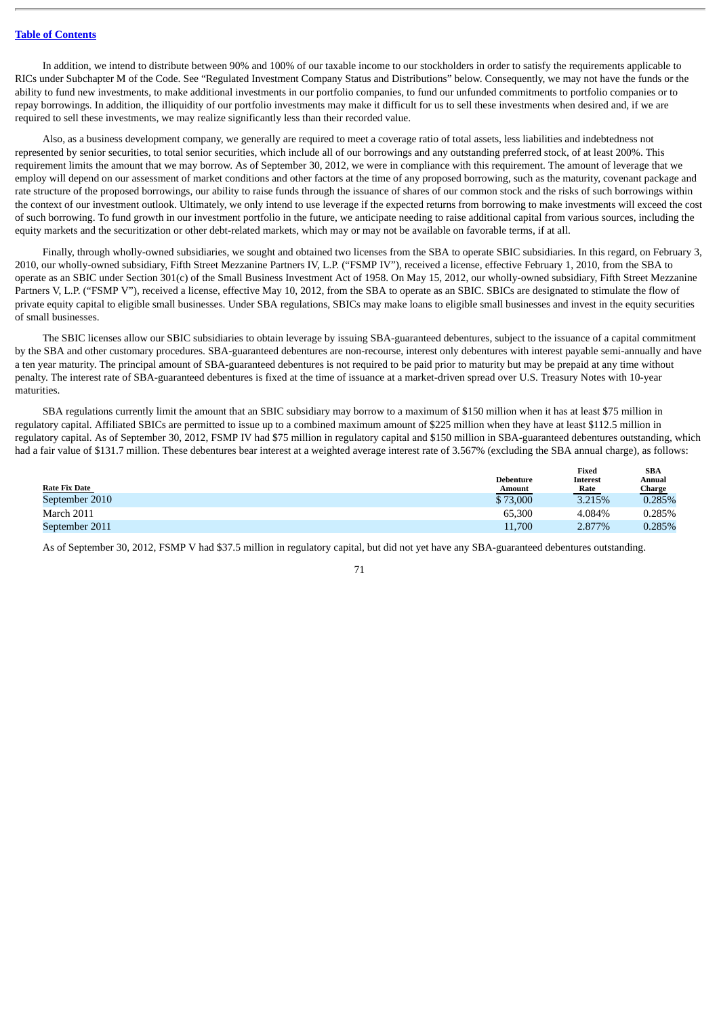In addition, we intend to distribute between 90% and 100% of our taxable income to our stockholders in order to satisfy the requirements applicable to RICs under Subchapter M of the Code. See "Regulated Investment Company Status and Distributions" below. Consequently, we may not have the funds or the ability to fund new investments, to make additional investments in our portfolio companies, to fund our unfunded commitments to portfolio companies or to repay borrowings. In addition, the illiquidity of our portfolio investments may make it difficult for us to sell these investments when desired and, if we are required to sell these investments, we may realize significantly less than their recorded value.

Also, as a business development company, we generally are required to meet a coverage ratio of total assets, less liabilities and indebtedness not represented by senior securities, to total senior securities, which include all of our borrowings and any outstanding preferred stock, of at least 200%. This requirement limits the amount that we may borrow. As of September 30, 2012, we were in compliance with this requirement. The amount of leverage that we employ will depend on our assessment of market conditions and other factors at the time of any proposed borrowing, such as the maturity, covenant package and rate structure of the proposed borrowings, our ability to raise funds through the issuance of shares of our common stock and the risks of such borrowings within the context of our investment outlook. Ultimately, we only intend to use leverage if the expected returns from borrowing to make investments will exceed the cost of such borrowing. To fund growth in our investment portfolio in the future, we anticipate needing to raise additional capital from various sources, including the equity markets and the securitization or other debt-related markets, which may or may not be available on favorable terms, if at all.

Finally, through wholly-owned subsidiaries, we sought and obtained two licenses from the SBA to operate SBIC subsidiaries. In this regard, on February 3, 2010, our wholly-owned subsidiary, Fifth Street Mezzanine Partners IV, L.P. ("FSMP IV"), received a license, effective February 1, 2010, from the SBA to operate as an SBIC under Section 301(c) of the Small Business Investment Act of 1958. On May 15, 2012, our wholly-owned subsidiary, Fifth Street Mezzanine Partners V, L.P. ("FSMP V"), received a license, effective May 10, 2012, from the SBA to operate as an SBIC. SBICs are designated to stimulate the flow of private equity capital to eligible small businesses. Under SBA regulations, SBICs may make loans to eligible small businesses and invest in the equity securities of small businesses.

The SBIC licenses allow our SBIC subsidiaries to obtain leverage by issuing SBA-guaranteed debentures, subject to the issuance of a capital commitment by the SBA and other customary procedures. SBA-guaranteed debentures are non-recourse, interest only debentures with interest payable semi-annually and have a ten year maturity. The principal amount of SBA-guaranteed debentures is not required to be paid prior to maturity but may be prepaid at any time without penalty. The interest rate of SBA-guaranteed debentures is fixed at the time of issuance at a market-driven spread over U.S. Treasury Notes with 10-year maturities.

SBA regulations currently limit the amount that an SBIC subsidiary may borrow to a maximum of \$150 million when it has at least \$75 million in regulatory capital. Affiliated SBICs are permitted to issue up to a combined maximum amount of \$225 million when they have at least \$112.5 million in regulatory capital. As of September 30, 2012, FSMP IV had \$75 million in regulatory capital and \$150 million in SBA-guaranteed debentures outstanding, which had a fair value of \$131.7 million. These debentures bear interest at a weighted average interest rate of 3.567% (excluding the SBA annual charge), as follows:

|                |                  | Fixed           | SBA           |
|----------------|------------------|-----------------|---------------|
|                | <b>Debenture</b> | <b>Interest</b> | Annual        |
| Rate Fix Date  | Amount           | <b>Rate</b>     | <u>Charge</u> |
| September 2010 | \$73,000         | 3.215%          | 0.285%        |
| March 2011     | 65,300           | 4.084%          | 0.285%        |
| September 2011 | 11,700           | 2.877%          | 0.285%        |

As of September 30, 2012, FSMP V had \$37.5 million in regulatory capital, but did not yet have any SBA-guaranteed debentures outstanding.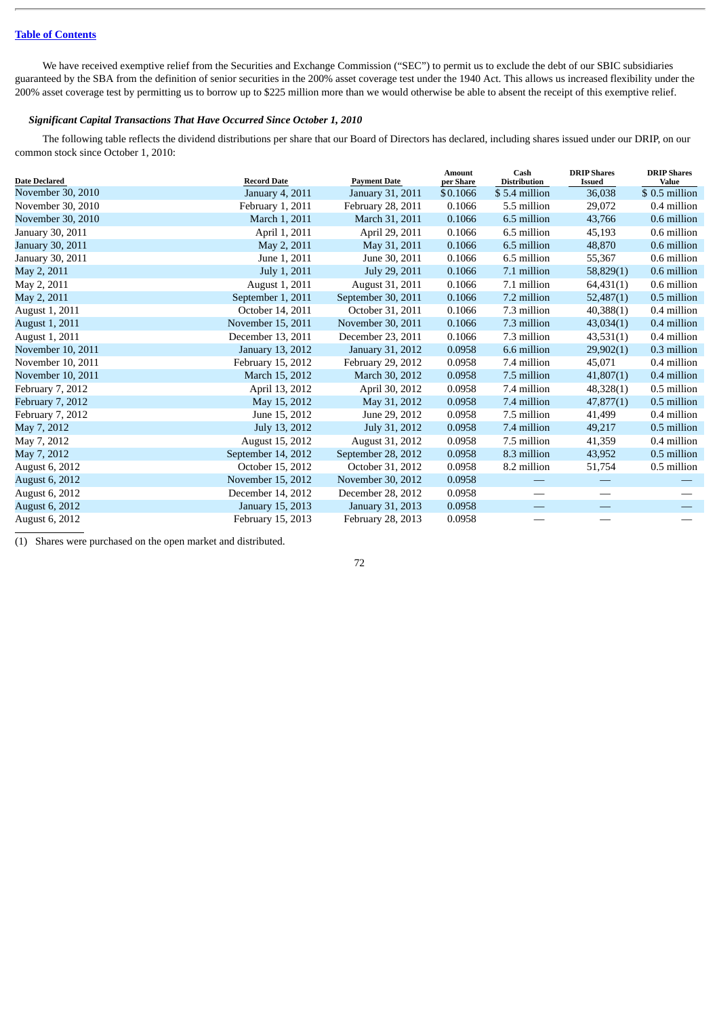We have received exemptive relief from the Securities and Exchange Commission ("SEC") to permit us to exclude the debt of our SBIC subsidiaries guaranteed by the SBA from the definition of senior securities in the 200% asset coverage test under the 1940 Act. This allows us increased flexibility under the 200% asset coverage test by permitting us to borrow up to \$225 million more than we would otherwise be able to absent the receipt of this exemptive relief.

## *Significant Capital Transactions That Have Occurred Since October 1, 2010*

The following table reflects the dividend distributions per share that our Board of Directors has declared, including shares issued under our DRIP, on our common stock since October 1, 2010:

| <b>Date Declared</b>  | <b>Record Date</b> | <b>Payment Date</b> | <b>Amount</b><br>per Share | Cash<br><b>Distribution</b> | <b>DRIP Shares</b><br><b>Issued</b> | <b>DRIP Shares</b><br>Value |
|-----------------------|--------------------|---------------------|----------------------------|-----------------------------|-------------------------------------|-----------------------------|
| November 30, 2010     | January 4, 2011    | January 31, 2011    | \$0.1066                   | \$5.4 million               | 36,038                              | \$ 0.5 million              |
| November 30, 2010     | February 1, 2011   | February 28, 2011   | 0.1066                     | 5.5 million                 | 29,072                              | 0.4 million                 |
| November 30, 2010     | March 1, 2011      | March 31, 2011      | 0.1066                     | 6.5 million                 | 43,766                              | 0.6 million                 |
| January 30, 2011      | April 1, 2011      | April 29, 2011      | 0.1066                     | 6.5 million                 | 45,193                              | 0.6 million                 |
| January 30, 2011      | May 2, 2011        | May 31, 2011        | 0.1066                     | 6.5 million                 | 48,870                              | 0.6 million                 |
| January 30, 2011      | June 1, 2011       | June 30, 2011       | 0.1066                     | 6.5 million                 | 55,367                              | 0.6 million                 |
| May 2, 2011           | July 1, 2011       | July 29, 2011       | 0.1066                     | 7.1 million                 | 58,829(1)                           | 0.6 million                 |
| May 2, 2011           | August 1, 2011     | August 31, 2011     | 0.1066                     | 7.1 million                 | 64,431(1)                           | 0.6 million                 |
| May 2, 2011           | September 1, 2011  | September 30, 2011  | 0.1066                     | 7.2 million                 | 52,487(1)                           | 0.5 million                 |
| <b>August 1, 2011</b> | October 14, 2011   | October 31, 2011    | 0.1066                     | 7.3 million                 | 40,388(1)                           | 0.4 million                 |
| <b>August 1, 2011</b> | November 15, 2011  | November 30, 2011   | 0.1066                     | 7.3 million                 | 43,034(1)                           | 0.4 million                 |
| August 1, 2011        | December 13, 2011  | December 23, 2011   | 0.1066                     | 7.3 million                 | 43,531(1)                           | 0.4 million                 |
| November 10, 2011     | January 13, 2012   | January 31, 2012    | 0.0958                     | 6.6 million                 | 29,902(1)                           | 0.3 million                 |
| November 10, 2011     | February 15, 2012  | February 29, 2012   | 0.0958                     | 7.4 million                 | 45,071                              | 0.4 million                 |
| November 10, 2011     | March 15, 2012     | March 30, 2012      | 0.0958                     | 7.5 million                 | 41,807(1)                           | 0.4 million                 |
| February 7, 2012      | April 13, 2012     | April 30, 2012      | 0.0958                     | 7.4 million                 | 48,328(1)                           | 0.5 million                 |
| February 7, 2012      | May 15, 2012       | May 31, 2012        | 0.0958                     | 7.4 million                 | 47,877(1)                           | 0.5 million                 |
| February 7, 2012      | June 15, 2012      | June 29, 2012       | 0.0958                     | 7.5 million                 | 41,499                              | 0.4 million                 |
| May 7, 2012           | July 13, 2012      | July 31, 2012       | 0.0958                     | 7.4 million                 | 49,217                              | 0.5 million                 |
| May 7, 2012           | August 15, 2012    | August 31, 2012     | 0.0958                     | 7.5 million                 | 41,359                              | 0.4 million                 |
| May 7, 2012           | September 14, 2012 | September 28, 2012  | 0.0958                     | 8.3 million                 | 43,952                              | 0.5 million                 |
| August 6, 2012        | October 15, 2012   | October 31, 2012    | 0.0958                     | 8.2 million                 | 51,754                              | 0.5 million                 |
| August 6, 2012        | November 15, 2012  | November 30, 2012   | 0.0958                     |                             |                                     |                             |
| August 6, 2012        | December 14, 2012  | December 28, 2012   | 0.0958                     |                             |                                     |                             |
| <b>August 6, 2012</b> | January 15, 2013   | January 31, 2013    | 0.0958                     |                             |                                     |                             |
| August 6, 2012        | February 15, 2013  | February 28, 2013   | 0.0958                     |                             |                                     |                             |

(1) Shares were purchased on the open market and distributed.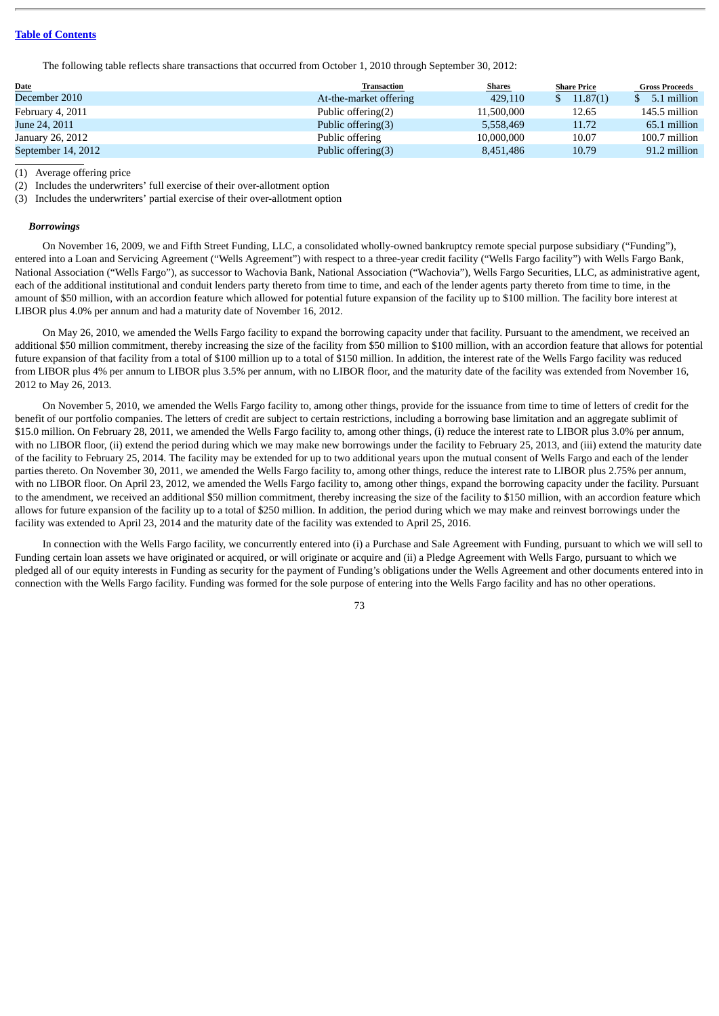The following table reflects share transactions that occurred from October 1, 2010 through September 30, 2012:

|                       | <b>Transaction</b>     | <b>Shares</b> | <b>Share Price</b> | <b>Gross Proceeds</b> |
|-----------------------|------------------------|---------------|--------------------|-----------------------|
| Date<br>December 2010 | At-the-market offering | 429,110       | 11.87(1)           | 5.1 million<br>S.     |
| February 4, 2011      | Public offering(2)     | 11,500,000    | 12.65              | 145.5 million         |
| June 24, 2011         | Public offering(3)     | 5,558,469     | 11.72              | 65.1 million          |
| January 26, 2012      | Public offering        | 10,000,000    | 10.07              | 100.7 million         |
| September 14, 2012    | Public offering(3)     | 8,451,486     | 10.79              | 91.2 million          |

(1) Average offering price

(2) Includes the underwriters' full exercise of their over-allotment option

(3) Includes the underwriters' partial exercise of their over-allotment option

#### *Borrowings*

On November 16, 2009, we and Fifth Street Funding, LLC, a consolidated wholly-owned bankruptcy remote special purpose subsidiary ("Funding"), entered into a Loan and Servicing Agreement ("Wells Agreement") with respect to a three-year credit facility ("Wells Fargo facility") with Wells Fargo Bank, National Association ("Wells Fargo"), as successor to Wachovia Bank, National Association ("Wachovia"), Wells Fargo Securities, LLC, as administrative agent, each of the additional institutional and conduit lenders party thereto from time to time, and each of the lender agents party thereto from time to time, in the amount of \$50 million, with an accordion feature which allowed for potential future expansion of the facility up to \$100 million. The facility bore interest at LIBOR plus 4.0% per annum and had a maturity date of November 16, 2012.

On May 26, 2010, we amended the Wells Fargo facility to expand the borrowing capacity under that facility. Pursuant to the amendment, we received an additional \$50 million commitment, thereby increasing the size of the facility from \$50 million to \$100 million, with an accordion feature that allows for potential future expansion of that facility from a total of \$100 million up to a total of \$150 million. In addition, the interest rate of the Wells Fargo facility was reduced from LIBOR plus 4% per annum to LIBOR plus 3.5% per annum, with no LIBOR floor, and the maturity date of the facility was extended from November 16, 2012 to May 26, 2013.

On November 5, 2010, we amended the Wells Fargo facility to, among other things, provide for the issuance from time to time of letters of credit for the benefit of our portfolio companies. The letters of credit are subject to certain restrictions, including a borrowing base limitation and an aggregate sublimit of \$15.0 million. On February 28, 2011, we amended the Wells Fargo facility to, among other things, (i) reduce the interest rate to LIBOR plus 3.0% per annum, with no LIBOR floor, (ii) extend the period during which we may make new borrowings under the facility to February 25, 2013, and (iii) extend the maturity date of the facility to February 25, 2014. The facility may be extended for up to two additional years upon the mutual consent of Wells Fargo and each of the lender parties thereto. On November 30, 2011, we amended the Wells Fargo facility to, among other things, reduce the interest rate to LIBOR plus 2.75% per annum, with no LIBOR floor. On April 23, 2012, we amended the Wells Fargo facility to, among other things, expand the borrowing capacity under the facility. Pursuant to the amendment, we received an additional \$50 million commitment, thereby increasing the size of the facility to \$150 million, with an accordion feature which allows for future expansion of the facility up to a total of \$250 million. In addition, the period during which we may make and reinvest borrowings under the facility was extended to April 23, 2014 and the maturity date of the facility was extended to April 25, 2016.

In connection with the Wells Fargo facility, we concurrently entered into (i) a Purchase and Sale Agreement with Funding, pursuant to which we will sell to Funding certain loan assets we have originated or acquired, or will originate or acquire and (ii) a Pledge Agreement with Wells Fargo, pursuant to which we pledged all of our equity interests in Funding as security for the payment of Funding's obligations under the Wells Agreement and other documents entered into in connection with the Wells Fargo facility. Funding was formed for the sole purpose of entering into the Wells Fargo facility and has no other operations.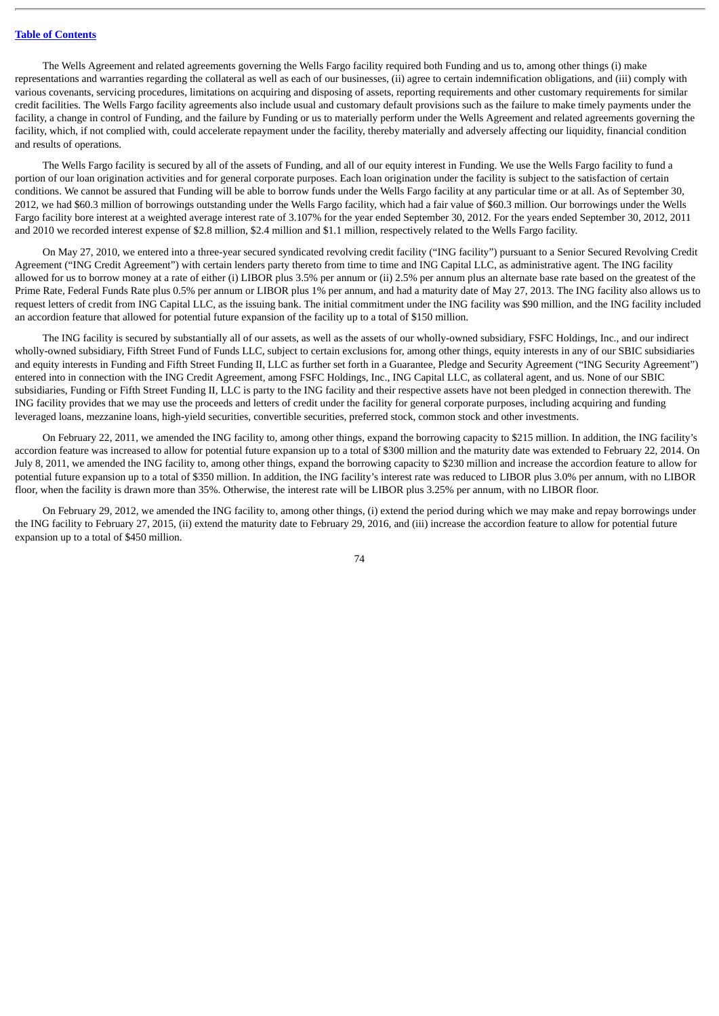The Wells Agreement and related agreements governing the Wells Fargo facility required both Funding and us to, among other things (i) make representations and warranties regarding the collateral as well as each of our businesses, (ii) agree to certain indemnification obligations, and (iii) comply with various covenants, servicing procedures, limitations on acquiring and disposing of assets, reporting requirements and other customary requirements for similar credit facilities. The Wells Fargo facility agreements also include usual and customary default provisions such as the failure to make timely payments under the facility, a change in control of Funding, and the failure by Funding or us to materially perform under the Wells Agreement and related agreements governing the facility, which, if not complied with, could accelerate repayment under the facility, thereby materially and adversely affecting our liquidity, financial condition and results of operations.

The Wells Fargo facility is secured by all of the assets of Funding, and all of our equity interest in Funding. We use the Wells Fargo facility to fund a portion of our loan origination activities and for general corporate purposes. Each loan origination under the facility is subject to the satisfaction of certain conditions. We cannot be assured that Funding will be able to borrow funds under the Wells Fargo facility at any particular time or at all. As of September 30, 2012, we had \$60.3 million of borrowings outstanding under the Wells Fargo facility, which had a fair value of \$60.3 million. Our borrowings under the Wells Fargo facility bore interest at a weighted average interest rate of 3.107% for the year ended September 30, 2012. For the years ended September 30, 2012, 2011 and 2010 we recorded interest expense of \$2.8 million, \$2.4 million and \$1.1 million, respectively related to the Wells Fargo facility.

On May 27, 2010, we entered into a three-year secured syndicated revolving credit facility ("ING facility") pursuant to a Senior Secured Revolving Credit Agreement ("ING Credit Agreement") with certain lenders party thereto from time to time and ING Capital LLC, as administrative agent. The ING facility allowed for us to borrow money at a rate of either (i) LIBOR plus 3.5% per annum or (ii) 2.5% per annum plus an alternate base rate based on the greatest of the Prime Rate, Federal Funds Rate plus 0.5% per annum or LIBOR plus 1% per annum, and had a maturity date of May 27, 2013. The ING facility also allows us to request letters of credit from ING Capital LLC, as the issuing bank. The initial commitment under the ING facility was \$90 million, and the ING facility included an accordion feature that allowed for potential future expansion of the facility up to a total of \$150 million.

The ING facility is secured by substantially all of our assets, as well as the assets of our wholly-owned subsidiary, FSFC Holdings, Inc., and our indirect wholly-owned subsidiary, Fifth Street Fund of Funds LLC, subject to certain exclusions for, among other things, equity interests in any of our SBIC subsidiaries and equity interests in Funding and Fifth Street Funding II, LLC as further set forth in a Guarantee, Pledge and Security Agreement ("ING Security Agreement") entered into in connection with the ING Credit Agreement, among FSFC Holdings, Inc., ING Capital LLC, as collateral agent, and us. None of our SBIC subsidiaries, Funding or Fifth Street Funding II, LLC is party to the ING facility and their respective assets have not been pledged in connection therewith. The ING facility provides that we may use the proceeds and letters of credit under the facility for general corporate purposes, including acquiring and funding leveraged loans, mezzanine loans, high-yield securities, convertible securities, preferred stock, common stock and other investments.

On February 22, 2011, we amended the ING facility to, among other things, expand the borrowing capacity to \$215 million. In addition, the ING facility's accordion feature was increased to allow for potential future expansion up to a total of \$300 million and the maturity date was extended to February 22, 2014. On July 8, 2011, we amended the ING facility to, among other things, expand the borrowing capacity to \$230 million and increase the accordion feature to allow for potential future expansion up to a total of \$350 million. In addition, the ING facility's interest rate was reduced to LIBOR plus 3.0% per annum, with no LIBOR floor, when the facility is drawn more than 35%. Otherwise, the interest rate will be LIBOR plus 3.25% per annum, with no LIBOR floor.

On February 29, 2012, we amended the ING facility to, among other things, (i) extend the period during which we may make and repay borrowings under the ING facility to February 27, 2015, (ii) extend the maturity date to February 29, 2016, and (iii) increase the accordion feature to allow for potential future expansion up to a total of \$450 million.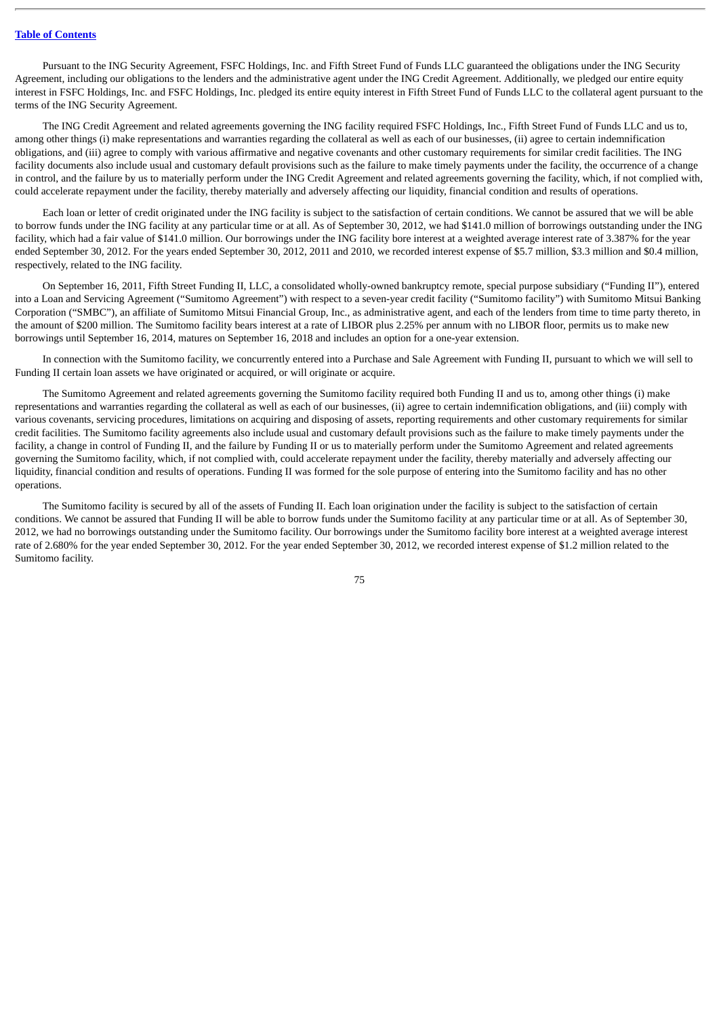Pursuant to the ING Security Agreement, FSFC Holdings, Inc. and Fifth Street Fund of Funds LLC guaranteed the obligations under the ING Security Agreement, including our obligations to the lenders and the administrative agent under the ING Credit Agreement. Additionally, we pledged our entire equity interest in FSFC Holdings, Inc. and FSFC Holdings, Inc. pledged its entire equity interest in Fifth Street Fund of Funds LLC to the collateral agent pursuant to the terms of the ING Security Agreement.

The ING Credit Agreement and related agreements governing the ING facility required FSFC Holdings, Inc., Fifth Street Fund of Funds LLC and us to, among other things (i) make representations and warranties regarding the collateral as well as each of our businesses, (ii) agree to certain indemnification obligations, and (iii) agree to comply with various affirmative and negative covenants and other customary requirements for similar credit facilities. The ING facility documents also include usual and customary default provisions such as the failure to make timely payments under the facility, the occurrence of a change in control, and the failure by us to materially perform under the ING Credit Agreement and related agreements governing the facility, which, if not complied with, could accelerate repayment under the facility, thereby materially and adversely affecting our liquidity, financial condition and results of operations.

Each loan or letter of credit originated under the ING facility is subject to the satisfaction of certain conditions. We cannot be assured that we will be able to borrow funds under the ING facility at any particular time or at all. As of September 30, 2012, we had \$141.0 million of borrowings outstanding under the ING facility, which had a fair value of \$141.0 million. Our borrowings under the ING facility bore interest at a weighted average interest rate of 3.387% for the year ended September 30, 2012. For the years ended September 30, 2012, 2011 and 2010, we recorded interest expense of \$5.7 million, \$3.3 million and \$0.4 million, respectively, related to the ING facility.

On September 16, 2011, Fifth Street Funding II, LLC, a consolidated wholly-owned bankruptcy remote, special purpose subsidiary ("Funding II"), entered into a Loan and Servicing Agreement ("Sumitomo Agreement") with respect to a seven-year credit facility ("Sumitomo facility") with Sumitomo Mitsui Banking Corporation ("SMBC"), an affiliate of Sumitomo Mitsui Financial Group, Inc., as administrative agent, and each of the lenders from time to time party thereto, in the amount of \$200 million. The Sumitomo facility bears interest at a rate of LIBOR plus 2.25% per annum with no LIBOR floor, permits us to make new borrowings until September 16, 2014, matures on September 16, 2018 and includes an option for a one-year extension.

In connection with the Sumitomo facility, we concurrently entered into a Purchase and Sale Agreement with Funding II, pursuant to which we will sell to Funding II certain loan assets we have originated or acquired, or will originate or acquire.

The Sumitomo Agreement and related agreements governing the Sumitomo facility required both Funding II and us to, among other things (i) make representations and warranties regarding the collateral as well as each of our businesses, (ii) agree to certain indemnification obligations, and (iii) comply with various covenants, servicing procedures, limitations on acquiring and disposing of assets, reporting requirements and other customary requirements for similar credit facilities. The Sumitomo facility agreements also include usual and customary default provisions such as the failure to make timely payments under the facility, a change in control of Funding II, and the failure by Funding II or us to materially perform under the Sumitomo Agreement and related agreements governing the Sumitomo facility, which, if not complied with, could accelerate repayment under the facility, thereby materially and adversely affecting our liquidity, financial condition and results of operations. Funding II was formed for the sole purpose of entering into the Sumitomo facility and has no other operations.

The Sumitomo facility is secured by all of the assets of Funding II. Each loan origination under the facility is subject to the satisfaction of certain conditions. We cannot be assured that Funding II will be able to borrow funds under the Sumitomo facility at any particular time or at all. As of September 30, 2012, we had no borrowings outstanding under the Sumitomo facility. Our borrowings under the Sumitomo facility bore interest at a weighted average interest rate of 2.680% for the year ended September 30, 2012. For the year ended September 30, 2012, we recorded interest expense of \$1.2 million related to the Sumitomo facility.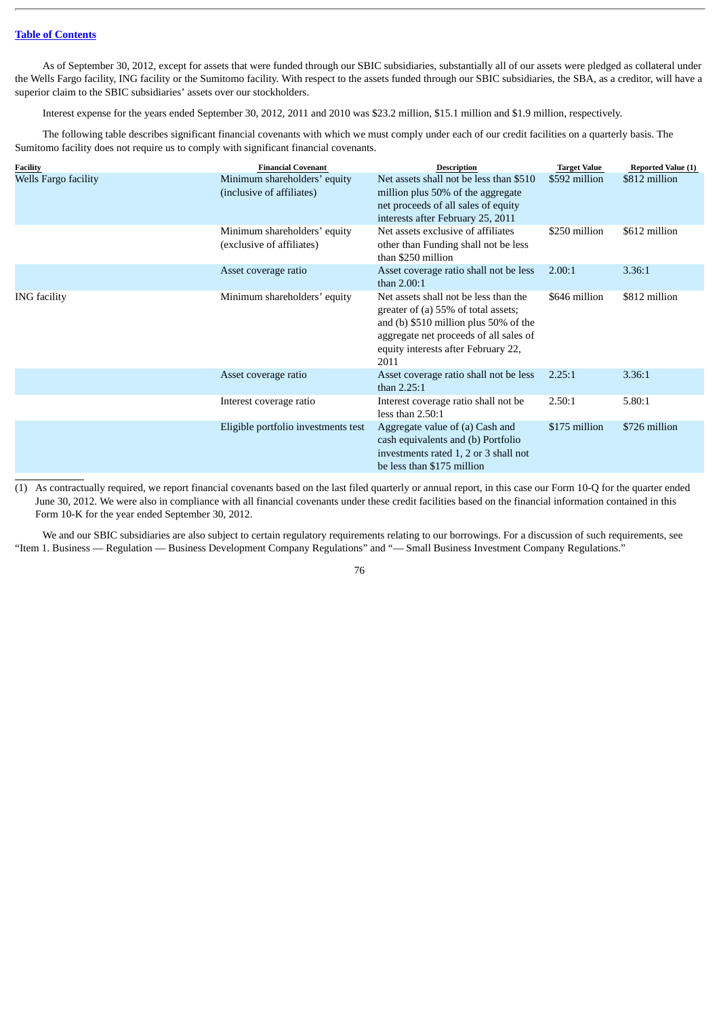As of September 30, 2012, except for assets that were funded through our SBIC subsidiaries, substantially all of our assets were pledged as collateral under the Wells Fargo facility, ING facility or the Sumitomo facility. With respect to the assets funded through our SBIC subsidiaries, the SBA, as a creditor, will have a superior claim to the SBIC subsidiaries' assets over our stockholders.

Interest expense for the years ended September 30, 2012, 2011 and 2010 was \$23.2 million, \$15.1 million and \$1.9 million, respectively.

The following table describes significant financial covenants with which we must comply under each of our credit facilities on a quarterly basis. The Sumitomo facility does not require us to comply with significant financial covenants.

| <b>Facility</b>      | <b>Financial Covenant</b>                                 | <b>Description</b>                                                                                                                                                                                             | <b>Target Value</b> | <b>Reported Value (1)</b> |
|----------------------|-----------------------------------------------------------|----------------------------------------------------------------------------------------------------------------------------------------------------------------------------------------------------------------|---------------------|---------------------------|
| Wells Fargo facility | Minimum shareholders' equity<br>(inclusive of affiliates) | Net assets shall not be less than \$510<br>million plus 50% of the aggregate<br>net proceeds of all sales of equity<br>interests after February 25, 2011                                                       | \$592 million       | \$812 million             |
|                      | Minimum shareholders' equity<br>(exclusive of affiliates) | Net assets exclusive of affiliates<br>other than Funding shall not be less<br>than \$250 million                                                                                                               | \$250 million       | \$612 million             |
|                      | Asset coverage ratio                                      | Asset coverage ratio shall not be less<br>than 2.00:1                                                                                                                                                          | 2.00:1              | 3.36:1                    |
| <b>ING</b> facility  | Minimum shareholders' equity                              | Net assets shall not be less than the<br>greater of (a) 55% of total assets;<br>and (b) \$510 million plus 50% of the<br>aggregate net proceeds of all sales of<br>equity interests after February 22,<br>2011 | \$646 million       | \$812 million             |
|                      | Asset coverage ratio                                      | Asset coverage ratio shall not be less<br>than $2.25:1$                                                                                                                                                        | 2.25:1              | 3.36:1                    |
|                      | Interest coverage ratio                                   | Interest coverage ratio shall not be<br>less than $2.50:1$                                                                                                                                                     | 2.50:1              | 5.80:1                    |
|                      | Eligible portfolio investments test                       | Aggregate value of (a) Cash and<br>cash equivalents and (b) Portfolio<br>investments rated 1, 2 or 3 shall not<br>be less than \$175 million                                                                   | \$175 million       | \$726 million             |

(1) As contractually required, we report financial covenants based on the last filed quarterly or annual report, in this case our Form 10-Q for the quarter ended June 30, 2012. We were also in compliance with all financial covenants under these credit facilities based on the financial information contained in this Form 10-K for the year ended September 30, 2012.

We and our SBIC subsidiaries are also subject to certain regulatory requirements relating to our borrowings. For a discussion of such requirements, see "Item 1. Business — Regulation — Business Development Company Regulations" and "— Small Business Investment Company Regulations."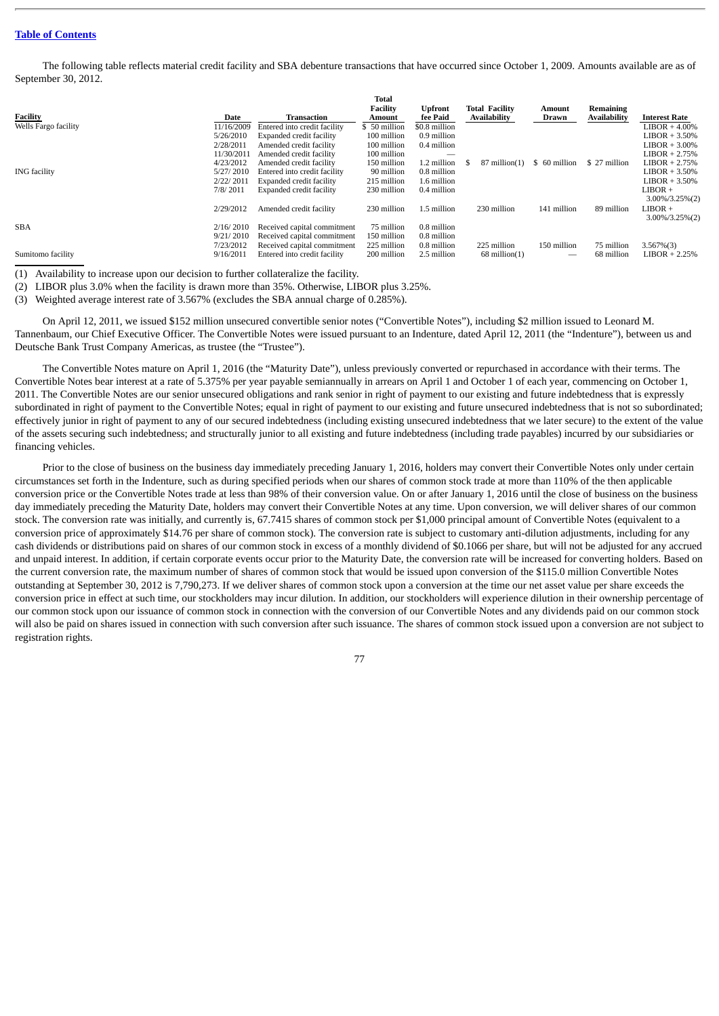The following table reflects material credit facility and SBA debenture transactions that have occurred since October 1, 2009. Amounts available are as of September 30, 2012.

| Amount                   | Remaining                                                          |                      |
|--------------------------|--------------------------------------------------------------------|----------------------|
|                          |                                                                    | <b>Interest Rate</b> |
|                          |                                                                    | $LIBOR + 4.00\%$     |
|                          |                                                                    | $LIBOR + 3.50\%$     |
|                          |                                                                    | $LIBOR + 3.00\%$     |
|                          |                                                                    | $LIBOR + 2.75%$      |
|                          | \$27 million                                                       | $LIBOR + 2.75%$      |
|                          |                                                                    | $LIBOR + 3.50\%$     |
|                          |                                                                    | $LIBOR + 3.50\%$     |
|                          |                                                                    | LIBOR +              |
|                          |                                                                    | 3.00%/3.25%(2)       |
| 141 million              | 89 million                                                         | LIBOR +              |
|                          |                                                                    | $3.00\%/3.25\%(2)$   |
|                          |                                                                    |                      |
|                          |                                                                    |                      |
| 150 million              | 75 million                                                         | $3.567\%(3)$         |
| $\overline{\phantom{a}}$ | 68 million                                                         | $LIBOR + 2.25%$      |
|                          | Drawn<br>\$ 60 million<br>$87$ million $(1)$<br>$68$ million $(1)$ | <b>Availability</b>  |

(1) Availability to increase upon our decision to further collateralize the facility.

(2) LIBOR plus 3.0% when the facility is drawn more than 35%. Otherwise, LIBOR plus 3.25%.

(3) Weighted average interest rate of 3.567% (excludes the SBA annual charge of 0.285%).

On April 12, 2011, we issued \$152 million unsecured convertible senior notes ("Convertible Notes"), including \$2 million issued to Leonard M. Tannenbaum, our Chief Executive Officer. The Convertible Notes were issued pursuant to an Indenture, dated April 12, 2011 (the "Indenture"), between us and Deutsche Bank Trust Company Americas, as trustee (the "Trustee").

The Convertible Notes mature on April 1, 2016 (the "Maturity Date"), unless previously converted or repurchased in accordance with their terms. The Convertible Notes bear interest at a rate of 5.375% per year payable semiannually in arrears on April 1 and October 1 of each year, commencing on October 1, 2011. The Convertible Notes are our senior unsecured obligations and rank senior in right of payment to our existing and future indebtedness that is expressly subordinated in right of payment to the Convertible Notes; equal in right of payment to our existing and future unsecured indebtedness that is not so subordinated; effectively junior in right of payment to any of our secured indebtedness (including existing unsecured indebtedness that we later secure) to the extent of the value of the assets securing such indebtedness; and structurally junior to all existing and future indebtedness (including trade payables) incurred by our subsidiaries or financing vehicles.

Prior to the close of business on the business day immediately preceding January 1, 2016, holders may convert their Convertible Notes only under certain circumstances set forth in the Indenture, such as during specified periods when our shares of common stock trade at more than 110% of the then applicable conversion price or the Convertible Notes trade at less than 98% of their conversion value. On or after January 1, 2016 until the close of business on the business day immediately preceding the Maturity Date, holders may convert their Convertible Notes at any time. Upon conversion, we will deliver shares of our common stock. The conversion rate was initially, and currently is, 67.7415 shares of common stock per \$1,000 principal amount of Convertible Notes (equivalent to a conversion price of approximately \$14.76 per share of common stock). The conversion rate is subject to customary anti-dilution adjustments, including for any cash dividends or distributions paid on shares of our common stock in excess of a monthly dividend of \$0.1066 per share, but will not be adjusted for any accrued and unpaid interest. In addition, if certain corporate events occur prior to the Maturity Date, the conversion rate will be increased for converting holders. Based on the current conversion rate, the maximum number of shares of common stock that would be issued upon conversion of the \$115.0 million Convertible Notes outstanding at September 30, 2012 is 7,790,273. If we deliver shares of common stock upon a conversion at the time our net asset value per share exceeds the conversion price in effect at such time, our stockholders may incur dilution. In addition, our stockholders will experience dilution in their ownership percentage of our common stock upon our issuance of common stock in connection with the conversion of our Convertible Notes and any dividends paid on our common stock will also be paid on shares issued in connection with such conversion after such issuance. The shares of common stock issued upon a conversion are not subject to registration rights.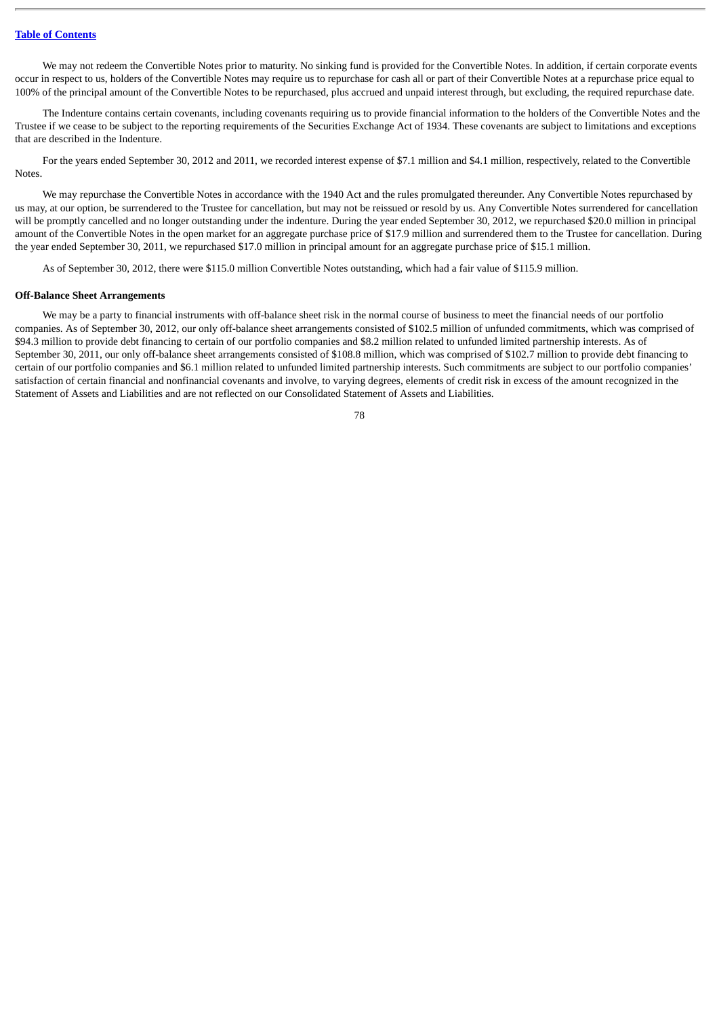We may not redeem the Convertible Notes prior to maturity. No sinking fund is provided for the Convertible Notes. In addition, if certain corporate events occur in respect to us, holders of the Convertible Notes may require us to repurchase for cash all or part of their Convertible Notes at a repurchase price equal to 100% of the principal amount of the Convertible Notes to be repurchased, plus accrued and unpaid interest through, but excluding, the required repurchase date.

The Indenture contains certain covenants, including covenants requiring us to provide financial information to the holders of the Convertible Notes and the Trustee if we cease to be subject to the reporting requirements of the Securities Exchange Act of 1934. These covenants are subject to limitations and exceptions that are described in the Indenture.

For the years ended September 30, 2012 and 2011, we recorded interest expense of \$7.1 million and \$4.1 million, respectively, related to the Convertible Notes.

We may repurchase the Convertible Notes in accordance with the 1940 Act and the rules promulgated thereunder. Any Convertible Notes repurchased by us may, at our option, be surrendered to the Trustee for cancellation, but may not be reissued or resold by us. Any Convertible Notes surrendered for cancellation will be promptly cancelled and no longer outstanding under the indenture. During the year ended September 30, 2012, we repurchased \$20.0 million in principal amount of the Convertible Notes in the open market for an aggregate purchase price of \$17.9 million and surrendered them to the Trustee for cancellation. During the year ended September 30, 2011, we repurchased \$17.0 million in principal amount for an aggregate purchase price of \$15.1 million.

As of September 30, 2012, there were \$115.0 million Convertible Notes outstanding, which had a fair value of \$115.9 million.

#### **Off-Balance Sheet Arrangements**

We may be a party to financial instruments with off-balance sheet risk in the normal course of business to meet the financial needs of our portfolio companies. As of September 30, 2012, our only off-balance sheet arrangements consisted of \$102.5 million of unfunded commitments, which was comprised of \$94.3 million to provide debt financing to certain of our portfolio companies and \$8.2 million related to unfunded limited partnership interests. As of September 30, 2011, our only off-balance sheet arrangements consisted of \$108.8 million, which was comprised of \$102.7 million to provide debt financing to certain of our portfolio companies and \$6.1 million related to unfunded limited partnership interests. Such commitments are subject to our portfolio companies' satisfaction of certain financial and nonfinancial covenants and involve, to varying degrees, elements of credit risk in excess of the amount recognized in the Statement of Assets and Liabilities and are not reflected on our Consolidated Statement of Assets and Liabilities.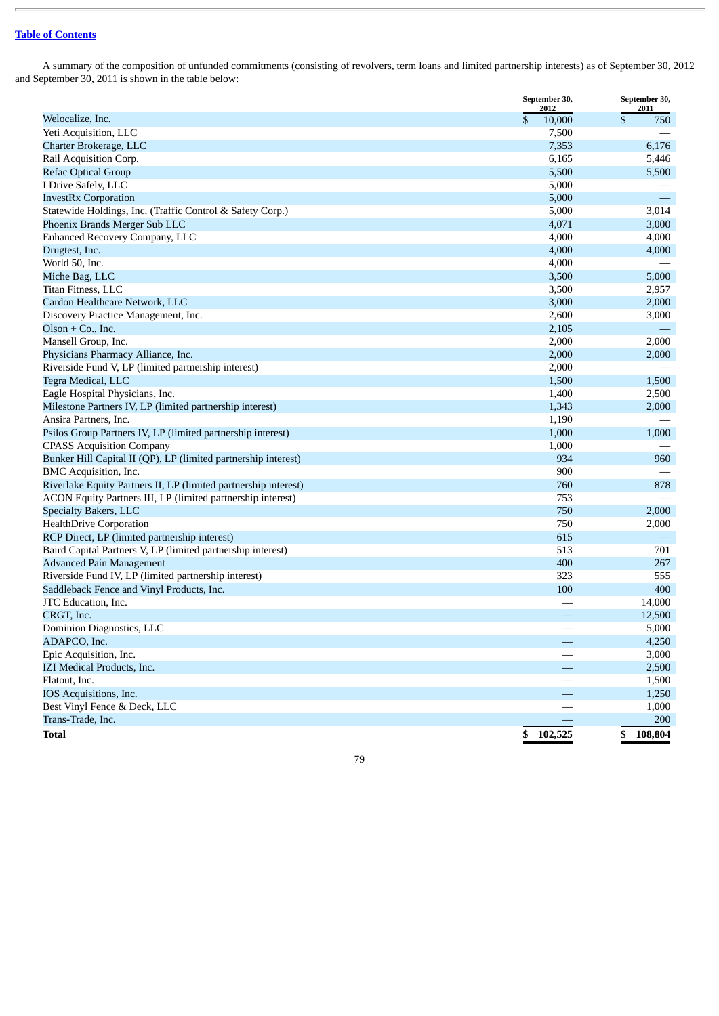A summary of the composition of unfunded commitments (consisting of revolvers, term loans and limited partnership interests) as of September 30, 2012 and September 30, 2011 is shown in the table below:

|                                                                 | September 30,<br>2012 | September 30,<br>2011 |
|-----------------------------------------------------------------|-----------------------|-----------------------|
| Welocalize, Inc.                                                | \$<br>10,000          | \$<br>750             |
| Yeti Acquisition, LLC                                           | 7,500                 |                       |
| Charter Brokerage, LLC                                          | 7,353                 | 6,176                 |
| Rail Acquisition Corp.                                          | 6,165                 | 5,446                 |
| <b>Refac Optical Group</b>                                      | 5,500                 | 5,500                 |
| I Drive Safely, LLC                                             | 5,000                 |                       |
| <b>InvestRx Corporation</b>                                     | 5,000                 |                       |
| Statewide Holdings, Inc. (Traffic Control & Safety Corp.)       | 5,000                 | 3,014                 |
| Phoenix Brands Merger Sub LLC                                   | 4,071                 | 3,000                 |
| Enhanced Recovery Company, LLC                                  | 4,000                 | 4,000                 |
| Drugtest, Inc.                                                  | 4,000                 | 4,000                 |
| World 50, Inc.                                                  | 4,000                 |                       |
| Miche Bag, LLC                                                  | 3,500                 | 5,000                 |
| Titan Fitness, LLC                                              | 3,500                 | 2,957                 |
| Cardon Healthcare Network, LLC                                  | 3,000                 | 2,000                 |
| Discovery Practice Management, Inc.                             | 2,600                 | 3,000                 |
| Olson $+$ Co., Inc.                                             | 2,105                 |                       |
| Mansell Group, Inc.                                             | 2,000                 | 2,000                 |
| Physicians Pharmacy Alliance, Inc.                              | 2,000                 | 2,000                 |
| Riverside Fund V, LP (limited partnership interest)             | 2,000                 |                       |
| Tegra Medical, LLC                                              | 1,500                 | 1,500                 |
| Eagle Hospital Physicians, Inc.                                 | 1,400                 | 2,500                 |
| Milestone Partners IV, LP (limited partnership interest)        | 1,343                 | 2,000                 |
| Ansira Partners, Inc.                                           | 1,190                 |                       |
| Psilos Group Partners IV, LP (limited partnership interest)     | 1,000                 | 1,000                 |
| <b>CPASS Acquisition Company</b>                                | 1,000                 |                       |
| Bunker Hill Capital II (QP), LP (limited partnership interest)  | 934                   | 960                   |
| BMC Acquisition, Inc.                                           | 900                   |                       |
| Riverlake Equity Partners II, LP (limited partnership interest) | 760                   | 878                   |
| ACON Equity Partners III, LP (limited partnership interest)     | 753                   |                       |
| <b>Specialty Bakers, LLC</b>                                    | 750                   | 2,000                 |
| <b>HealthDrive Corporation</b>                                  | 750                   | 2,000                 |
| RCP Direct, LP (limited partnership interest)                   | 615                   |                       |
| Baird Capital Partners V, LP (limited partnership interest)     | 513                   | 701                   |
| <b>Advanced Pain Management</b>                                 | 400                   | 267                   |
| Riverside Fund IV, LP (limited partnership interest)            | 323                   | 555                   |
| Saddleback Fence and Vinyl Products, Inc.                       | 100                   | 400                   |
| JTC Education, Inc.                                             |                       | 14,000                |
| CRGT, Inc.                                                      |                       | 12,500                |
| Dominion Diagnostics, LLC                                       |                       | 5,000                 |
| ADAPCO, Inc.                                                    |                       | 4,250                 |
| Epic Acquisition, Inc.                                          |                       | 3,000                 |
| IZI Medical Products, Inc.                                      |                       | 2,500                 |
| Flatout, Inc.                                                   |                       | 1,500                 |
| IOS Acquisitions, Inc.                                          |                       | 1,250                 |
| Best Vinyl Fence & Deck, LLC                                    |                       | 1,000                 |
| Trans-Trade, Inc.                                               |                       | 200                   |
|                                                                 | \$102,525             | 108,804               |
| <b>Total</b>                                                    |                       | \$                    |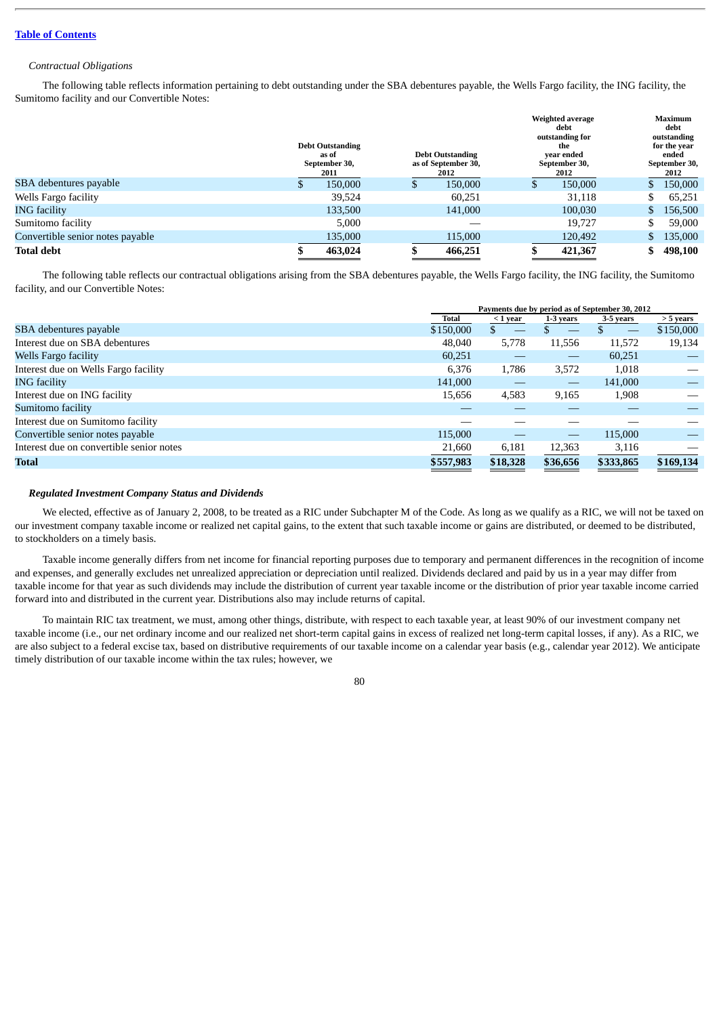#### *Contractual Obligations*

The following table reflects information pertaining to debt outstanding under the SBA debentures payable, the Wells Fargo facility, the ING facility, the Sumitomo facility and our Convertible Notes:

|                                  | <b>Debt Outstanding</b><br>as of<br>September 30,<br>2011 |   | <b>Debt Outstanding</b><br>as of September 30,<br>2012 |    | Weighted average<br>debt<br>outstanding for<br>the<br>vear ended<br>September 30,<br>2012 | <b>Maximum</b><br>debt<br>outstanding<br>for the year<br>ended<br>September 30,<br>2012 |
|----------------------------------|-----------------------------------------------------------|---|--------------------------------------------------------|----|-------------------------------------------------------------------------------------------|-----------------------------------------------------------------------------------------|
| SBA debentures payable           | 150,000                                                   | D | 150,000                                                | ۰D | 150,000                                                                                   | 150,000                                                                                 |
| Wells Fargo facility             | 39,524                                                    |   | 60,251                                                 |    | 31,118                                                                                    | 65,251                                                                                  |
| <b>ING</b> facility              | 133,500                                                   |   | 141,000                                                |    | 100,030                                                                                   | 156,500                                                                                 |
| Sumitomo facility                | 5,000                                                     |   | ___                                                    |    | 19.727                                                                                    | 59,000                                                                                  |
| Convertible senior notes payable | 135,000                                                   |   | 115,000                                                |    | 120,492                                                                                   | 135,000<br>S.                                                                           |
| <b>Total debt</b>                | 463,024                                                   |   | 466,251                                                |    | 421,367                                                                                   | 498,100<br>\$                                                                           |

The following table reflects our contractual obligations arising from the SBA debentures payable, the Wells Fargo facility, the ING facility, the Sumitomo facility, and our Convertible Notes:

| Payments due by period as of September 30, 2012 |               |                                |           |             |
|-------------------------------------------------|---------------|--------------------------------|-----------|-------------|
| <b>Total</b>                                    | $\leq 1$ year | 1-3 years                      | 3-5 years | $> 5$ years |
| \$150,000                                       | ЭD.           |                                |           | \$150,000   |
| 48,040                                          | 5,778         | 11,556                         | 11,572    | 19,134      |
| 60,251                                          |               |                                | 60,251    |             |
| 6,376                                           | 1,786         | 3,572                          | 1,018     |             |
| 141,000                                         |               | $\overbrace{\phantom{123321}}$ | 141,000   |             |
| 15,656                                          | 4,583         | 9,165                          | 1,908     |             |
|                                                 |               |                                |           |             |
|                                                 |               |                                |           |             |
| 115,000                                         |               |                                | 115,000   |             |
| 21,660                                          | 6,181         | 12,363                         | 3,116     |             |
| \$557,983                                       | \$18,328      | \$36,656                       | \$333,865 | \$169,134   |
|                                                 |               |                                |           |             |

#### *Regulated Investment Company Status and Dividends*

We elected, effective as of January 2, 2008, to be treated as a RIC under Subchapter M of the Code. As long as we qualify as a RIC, we will not be taxed on our investment company taxable income or realized net capital gains, to the extent that such taxable income or gains are distributed, or deemed to be distributed, to stockholders on a timely basis.

Taxable income generally differs from net income for financial reporting purposes due to temporary and permanent differences in the recognition of income and expenses, and generally excludes net unrealized appreciation or depreciation until realized. Dividends declared and paid by us in a year may differ from taxable income for that year as such dividends may include the distribution of current year taxable income or the distribution of prior year taxable income carried forward into and distributed in the current year. Distributions also may include returns of capital.

To maintain RIC tax treatment, we must, among other things, distribute, with respect to each taxable year, at least 90% of our investment company net taxable income (i.e., our net ordinary income and our realized net short-term capital gains in excess of realized net long-term capital losses, if any). As a RIC, we are also subject to a federal excise tax, based on distributive requirements of our taxable income on a calendar year basis (e.g., calendar year 2012). We anticipate timely distribution of our taxable income within the tax rules; however, we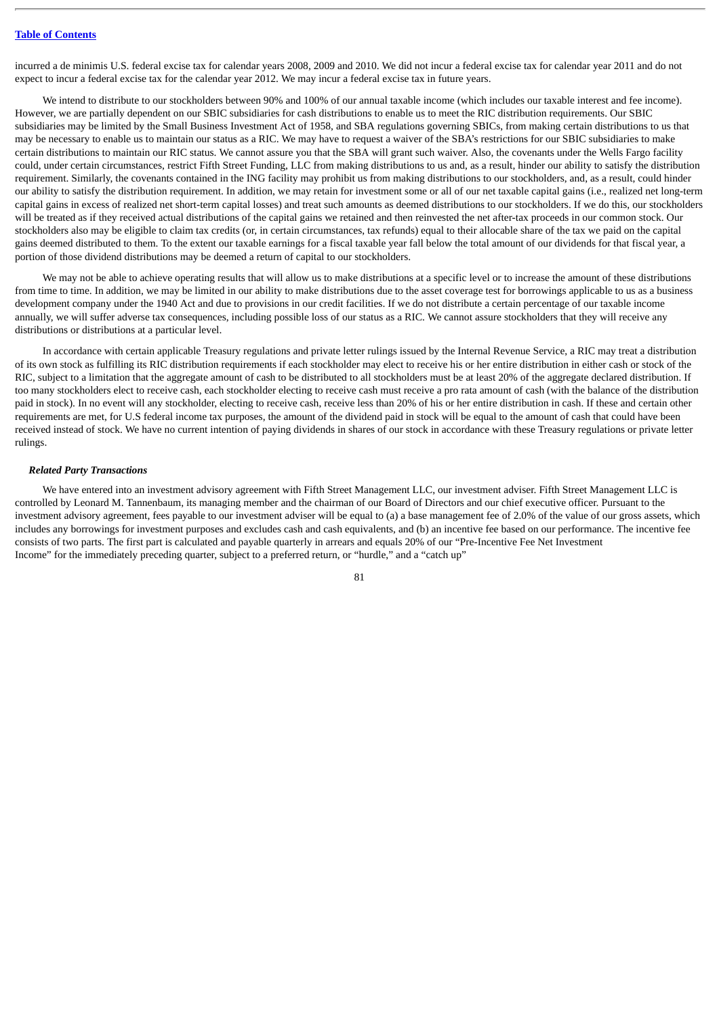incurred a de minimis U.S. federal excise tax for calendar years 2008, 2009 and 2010. We did not incur a federal excise tax for calendar year 2011 and do not expect to incur a federal excise tax for the calendar year 2012. We may incur a federal excise tax in future years.

We intend to distribute to our stockholders between 90% and 100% of our annual taxable income (which includes our taxable interest and fee income). However, we are partially dependent on our SBIC subsidiaries for cash distributions to enable us to meet the RIC distribution requirements. Our SBIC subsidiaries may be limited by the Small Business Investment Act of 1958, and SBA regulations governing SBICs, from making certain distributions to us that may be necessary to enable us to maintain our status as a RIC. We may have to request a waiver of the SBA's restrictions for our SBIC subsidiaries to make certain distributions to maintain our RIC status. We cannot assure you that the SBA will grant such waiver. Also, the covenants under the Wells Fargo facility could, under certain circumstances, restrict Fifth Street Funding, LLC from making distributions to us and, as a result, hinder our ability to satisfy the distribution requirement. Similarly, the covenants contained in the ING facility may prohibit us from making distributions to our stockholders, and, as a result, could hinder our ability to satisfy the distribution requirement. In addition, we may retain for investment some or all of our net taxable capital gains (i.e., realized net long-term capital gains in excess of realized net short-term capital losses) and treat such amounts as deemed distributions to our stockholders. If we do this, our stockholders will be treated as if they received actual distributions of the capital gains we retained and then reinvested the net after-tax proceeds in our common stock. Our stockholders also may be eligible to claim tax credits (or, in certain circumstances, tax refunds) equal to their allocable share of the tax we paid on the capital gains deemed distributed to them. To the extent our taxable earnings for a fiscal taxable year fall below the total amount of our dividends for that fiscal year, a portion of those dividend distributions may be deemed a return of capital to our stockholders.

We may not be able to achieve operating results that will allow us to make distributions at a specific level or to increase the amount of these distributions from time to time. In addition, we may be limited in our ability to make distributions due to the asset coverage test for borrowings applicable to us as a business development company under the 1940 Act and due to provisions in our credit facilities. If we do not distribute a certain percentage of our taxable income annually, we will suffer adverse tax consequences, including possible loss of our status as a RIC. We cannot assure stockholders that they will receive any distributions or distributions at a particular level.

In accordance with certain applicable Treasury regulations and private letter rulings issued by the Internal Revenue Service, a RIC may treat a distribution of its own stock as fulfilling its RIC distribution requirements if each stockholder may elect to receive his or her entire distribution in either cash or stock of the RIC, subject to a limitation that the aggregate amount of cash to be distributed to all stockholders must be at least 20% of the aggregate declared distribution. If too many stockholders elect to receive cash, each stockholder electing to receive cash must receive a pro rata amount of cash (with the balance of the distribution paid in stock). In no event will any stockholder, electing to receive cash, receive less than 20% of his or her entire distribution in cash. If these and certain other requirements are met, for U.S federal income tax purposes, the amount of the dividend paid in stock will be equal to the amount of cash that could have been received instead of stock. We have no current intention of paying dividends in shares of our stock in accordance with these Treasury regulations or private letter rulings.

#### *Related Party Transactions*

We have entered into an investment advisory agreement with Fifth Street Management LLC, our investment adviser. Fifth Street Management LLC is controlled by Leonard M. Tannenbaum, its managing member and the chairman of our Board of Directors and our chief executive officer. Pursuant to the investment advisory agreement, fees payable to our investment adviser will be equal to (a) a base management fee of 2.0% of the value of our gross assets, which includes any borrowings for investment purposes and excludes cash and cash equivalents, and (b) an incentive fee based on our performance. The incentive fee consists of two parts. The first part is calculated and payable quarterly in arrears and equals 20% of our "Pre-Incentive Fee Net Investment Income" for the immediately preceding quarter, subject to a preferred return, or "hurdle," and a "catch up"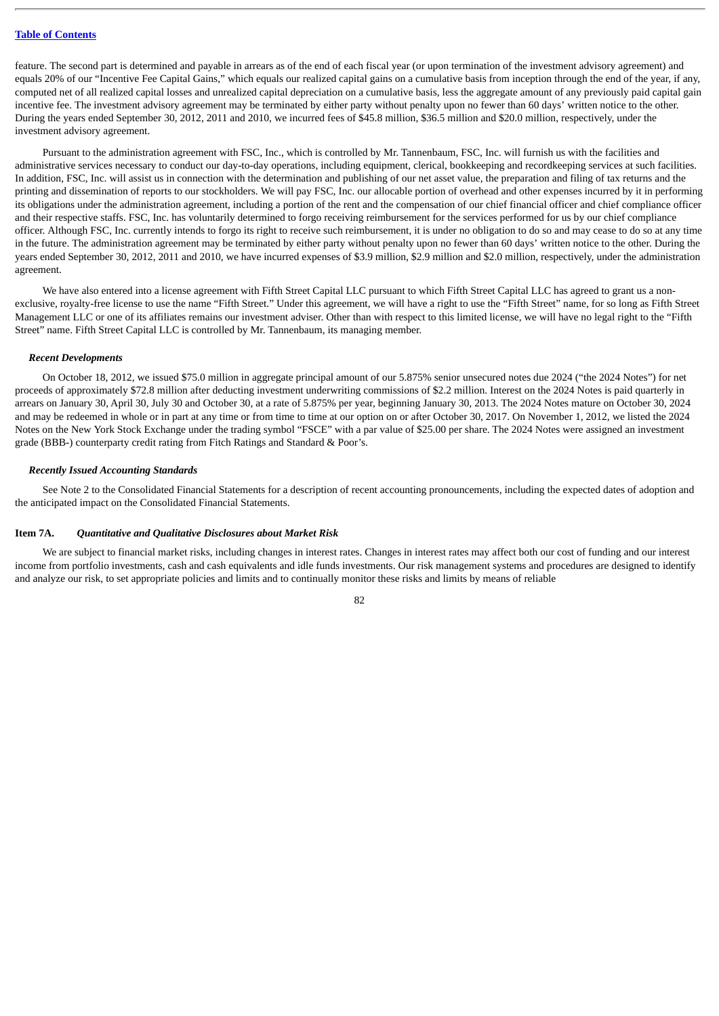feature. The second part is determined and payable in arrears as of the end of each fiscal year (or upon termination of the investment advisory agreement) and equals 20% of our "Incentive Fee Capital Gains," which equals our realized capital gains on a cumulative basis from inception through the end of the year, if any, computed net of all realized capital losses and unrealized capital depreciation on a cumulative basis, less the aggregate amount of any previously paid capital gain incentive fee. The investment advisory agreement may be terminated by either party without penalty upon no fewer than 60 days' written notice to the other. During the years ended September 30, 2012, 2011 and 2010, we incurred fees of \$45.8 million, \$36.5 million and \$20.0 million, respectively, under the investment advisory agreement.

Pursuant to the administration agreement with FSC, Inc., which is controlled by Mr. Tannenbaum, FSC, Inc. will furnish us with the facilities and administrative services necessary to conduct our day-to-day operations, including equipment, clerical, bookkeeping and recordkeeping services at such facilities. In addition, FSC, Inc. will assist us in connection with the determination and publishing of our net asset value, the preparation and filing of tax returns and the printing and dissemination of reports to our stockholders. We will pay FSC, Inc. our allocable portion of overhead and other expenses incurred by it in performing its obligations under the administration agreement, including a portion of the rent and the compensation of our chief financial officer and chief compliance officer and their respective staffs. FSC, Inc. has voluntarily determined to forgo receiving reimbursement for the services performed for us by our chief compliance officer. Although FSC, Inc. currently intends to forgo its right to receive such reimbursement, it is under no obligation to do so and may cease to do so at any time in the future. The administration agreement may be terminated by either party without penalty upon no fewer than 60 days' written notice to the other. During the years ended September 30, 2012, 2011 and 2010, we have incurred expenses of \$3.9 million, \$2.9 million and \$2.0 million, respectively, under the administration agreement.

We have also entered into a license agreement with Fifth Street Capital LLC pursuant to which Fifth Street Capital LLC has agreed to grant us a nonexclusive, royalty-free license to use the name "Fifth Street." Under this agreement, we will have a right to use the "Fifth Street" name, for so long as Fifth Street Management LLC or one of its affiliates remains our investment adviser. Other than with respect to this limited license, we will have no legal right to the "Fifth Street" name. Fifth Street Capital LLC is controlled by Mr. Tannenbaum, its managing member.

#### *Recent Developments*

On October 18, 2012, we issued \$75.0 million in aggregate principal amount of our 5.875% senior unsecured notes due 2024 ("the 2024 Notes") for net proceeds of approximately \$72.8 million after deducting investment underwriting commissions of \$2.2 million. Interest on the 2024 Notes is paid quarterly in arrears on January 30, April 30, July 30 and October 30, at a rate of 5.875% per year, beginning January 30, 2013. The 2024 Notes mature on October 30, 2024 and may be redeemed in whole or in part at any time or from time to time at our option on or after October 30, 2017. On November 1, 2012, we listed the 2024 Notes on the New York Stock Exchange under the trading symbol "FSCE" with a par value of \$25.00 per share. The 2024 Notes were assigned an investment grade (BBB-) counterparty credit rating from Fitch Ratings and Standard & Poor's.

#### *Recently Issued Accounting Standards*

See Note 2 to the Consolidated Financial Statements for a description of recent accounting pronouncements, including the expected dates of adoption and the anticipated impact on the Consolidated Financial Statements.

#### **Item 7A.** *Quantitative and Qualitative Disclosures about Market Risk*

We are subject to financial market risks, including changes in interest rates. Changes in interest rates may affect both our cost of funding and our interest income from portfolio investments, cash and cash equivalents and idle funds investments. Our risk management systems and procedures are designed to identify and analyze our risk, to set appropriate policies and limits and to continually monitor these risks and limits by means of reliable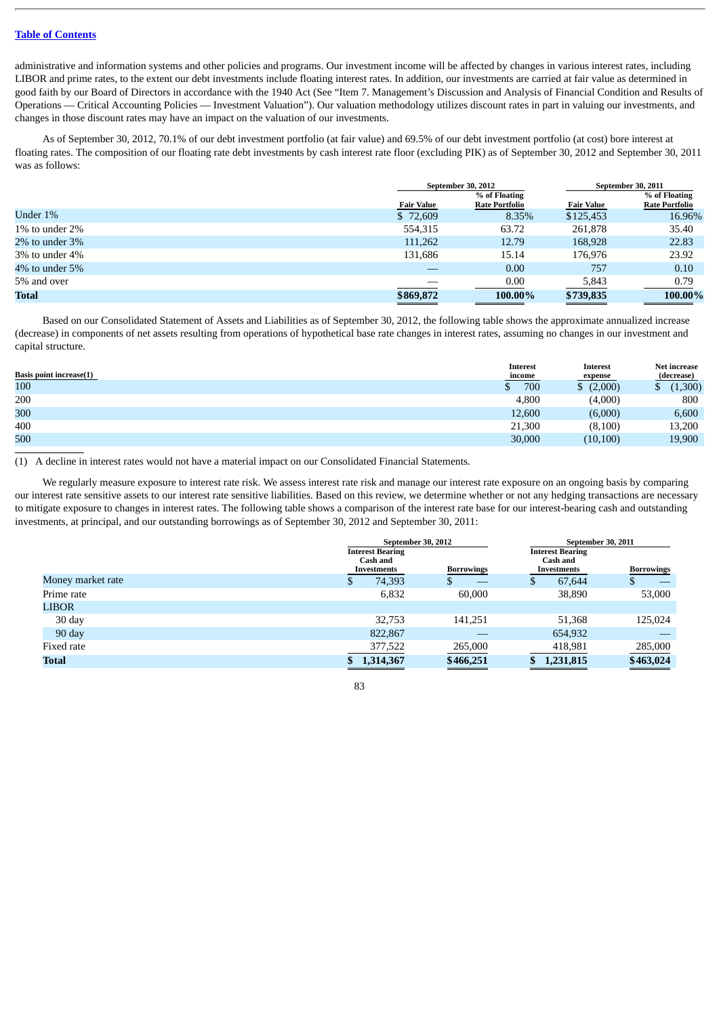administrative and information systems and other policies and programs. Our investment income will be affected by changes in various interest rates, including LIBOR and prime rates, to the extent our debt investments include floating interest rates. In addition, our investments are carried at fair value as determined in good faith by our Board of Directors in accordance with the 1940 Act (See "Item 7. Management's Discussion and Analysis of Financial Condition and Results of Operations — Critical Accounting Policies — Investment Valuation"). Our valuation methodology utilizes discount rates in part in valuing our investments, and changes in those discount rates may have an impact on the valuation of our investments.

As of September 30, 2012, 70.1% of our debt investment portfolio (at fair value) and 69.5% of our debt investment portfolio (at cost) bore interest at floating rates. The composition of our floating rate debt investments by cash interest rate floor (excluding PIK) as of September 30, 2012 and September 30, 2011 was as follows:

|                      |                   | September 30, 2012                     | September 30, 2011 |                                        |  |
|----------------------|-------------------|----------------------------------------|--------------------|----------------------------------------|--|
|                      | <b>Fair Value</b> | % of Floating<br><b>Rate Portfolio</b> | <b>Fair Value</b>  | % of Floating<br><b>Rate Portfolio</b> |  |
| Under 1%             | \$72,609          | 8.35%                                  | \$125,453          | 16.96%                                 |  |
| $1\%$ to under $2\%$ | 554,315           | 63.72                                  | 261,878            | 35.40                                  |  |
| $2\%$ to under $3\%$ | 111,262           | 12.79                                  | 168,928            | 22.83                                  |  |
| $3\%$ to under $4\%$ | 131,686           | 15.14                                  | 176.976            | 23.92                                  |  |
| $4\%$ to under $5\%$ |                   | 0.00                                   | 757                | 0.10                                   |  |
| 5% and over          |                   | 0.00                                   | 5,843              | 0.79                                   |  |
| <b>Total</b>         | \$869,872         | 100.00%                                | \$739,835          | 100.00%                                |  |

Based on our Consolidated Statement of Assets and Liabilities as of September 30, 2012, the following table shows the approximate annualized increase (decrease) in components of net assets resulting from operations of hypothetical base rate changes in interest rates, assuming no changes in our investment and capital structure.

| Basis point increase(1) | <b>Interest</b><br>income | <b>Interest</b><br>expense | Net increase<br>(decrease) |
|-------------------------|---------------------------|----------------------------|----------------------------|
| 100                     | 700                       | (2,000)                    | (1,300)                    |
| 200                     | 4,800                     | (4,000)                    | 800                        |
| 300                     | 12,600                    | (6,000)                    | 6,600                      |
| 400                     | 21,300                    | (8,100)                    | 13,200                     |
| 500                     | 30,000                    | (10, 100)                  | 19,900                     |

(1) A decline in interest rates would not have a material impact on our Consolidated Financial Statements.

We regularly measure exposure to interest rate risk. We assess interest rate risk and manage our interest rate exposure on an ongoing basis by comparing our interest rate sensitive assets to our interest rate sensitive liabilities. Based on this review, we determine whether or not any hedging transactions are necessary to mitigate exposure to changes in interest rates. The following table shows a comparison of the interest rate base for our interest-bearing cash and outstanding investments, at principal, and our outstanding borrowings as of September 30, 2012 and September 30, 2011:

|                   | <b>Interest Bearing</b><br><b>Cash and</b> | September 30, 2012             |                                | September 30, 2011 |
|-------------------|--------------------------------------------|--------------------------------|--------------------------------|--------------------|
|                   | Investments                                | <b>Borrowings</b>              | <b>Cash and</b><br>Investments | <b>Borrowings</b>  |
| Money market rate | 74,393<br>D                                | $\overbrace{\hspace{25mm}}^{}$ | 67.644<br>P.                   | __                 |
| Prime rate        | 6,832                                      | 60,000                         | 38,890                         | 53,000             |
| <b>LIBOR</b>      |                                            |                                |                                |                    |
| 30 day            | 32.753                                     | 141,251                        | 51,368                         | 125,024            |
| 90 day            | 822,867                                    |                                | 654,932                        |                    |
| Fixed rate        | 377,522                                    | 265,000                        | 418,981                        | 285,000            |
| <b>Total</b>      | 1,314,367                                  | \$466,251                      | 1,231,815<br>S.                | \$463,024          |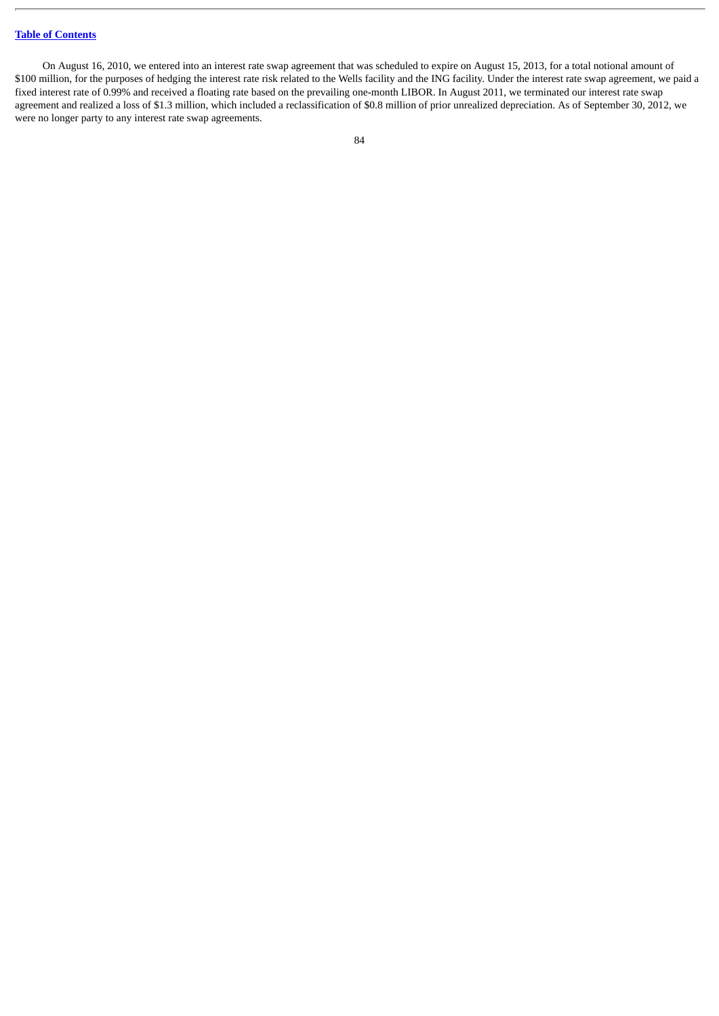On August 16, 2010, we entered into an interest rate swap agreement that was scheduled to expire on August 15, 2013, for a total notional amount of \$100 million, for the purposes of hedging the interest rate risk related to the Wells facility and the ING facility. Under the interest rate swap agreement, we paid a fixed interest rate of 0.99% and received a floating rate based on the prevailing one-month LIBOR. In August 2011, we terminated our interest rate swap agreement and realized a loss of \$1.3 million, which included a reclassification of \$0.8 million of prior unrealized depreciation. As of September 30, 2012, we were no longer party to any interest rate swap agreements.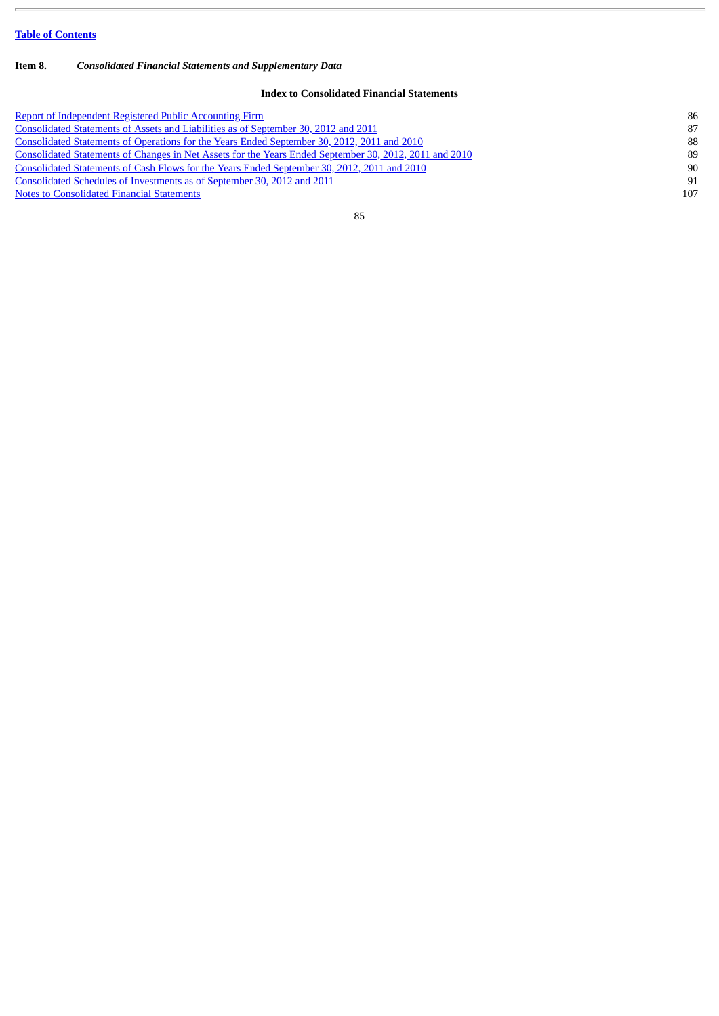# **Item 8.** *Consolidated Financial Statements and Supplementary Data*

# **Index to Consolidated Financial Statements**

| <b>Report of Independent Registered Public Accounting Firm</b>                                         | 86  |
|--------------------------------------------------------------------------------------------------------|-----|
| <b>Consolidated Statements of Assets and Liabilities as of September 30, 2012 and 2011</b>             | 87  |
| Consolidated Statements of Operations for the Years Ended September 30, 2012, 2011 and 2010            | 88  |
| Consolidated Statements of Changes in Net Assets for the Years Ended September 30, 2012, 2011 and 2010 | 89  |
| Consolidated Statements of Cash Flows for the Years Ended September 30, 2012, 2011 and 2010            | 90  |
| Consolidated Schedules of Investments as of September 30, 2012 and 2011                                | 91  |
| <b>Notes to Consolidated Financial Statements</b>                                                      | 107 |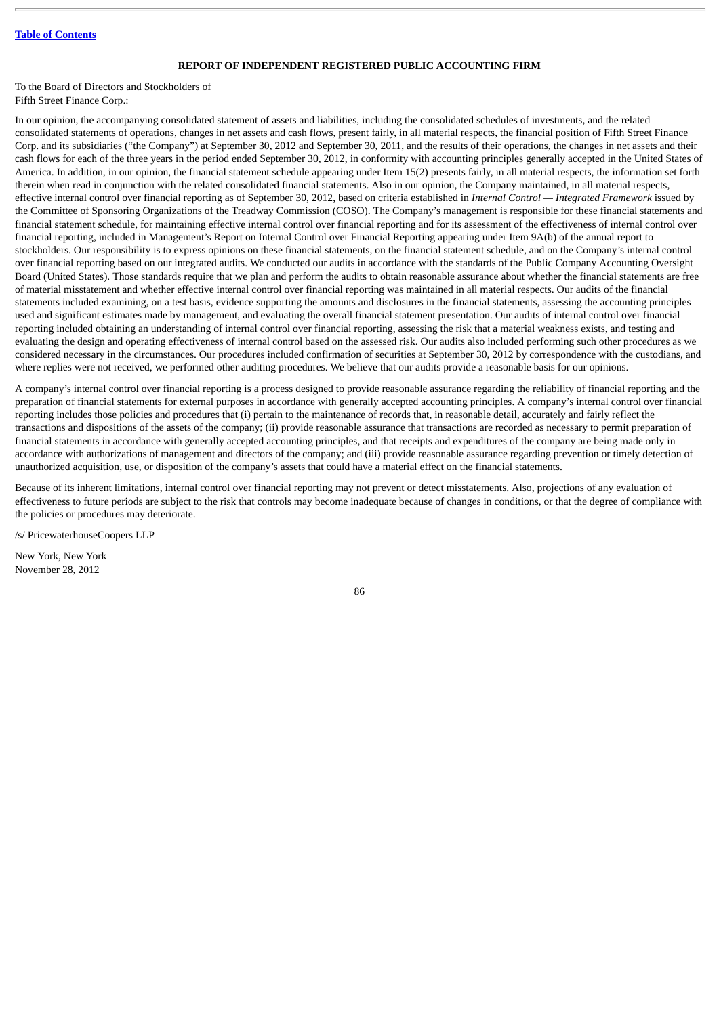#### **REPORT OF INDEPENDENT REGISTERED PUBLIC ACCOUNTING FIRM**

<span id="page-87-0"></span>To the Board of Directors and Stockholders of Fifth Street Finance Corp.:

In our opinion, the accompanying consolidated statement of assets and liabilities, including the consolidated schedules of investments, and the related consolidated statements of operations, changes in net assets and cash flows, present fairly, in all material respects, the financial position of Fifth Street Finance Corp. and its subsidiaries ("the Company") at September 30, 2012 and September 30, 2011, and the results of their operations, the changes in net assets and their cash flows for each of the three years in the period ended September 30, 2012, in conformity with accounting principles generally accepted in the United States of America. In addition, in our opinion, the financial statement schedule appearing under Item 15(2) presents fairly, in all material respects, the information set forth therein when read in conjunction with the related consolidated financial statements. Also in our opinion, the Company maintained, in all material respects, effective internal control over financial reporting as of September 30, 2012, based on criteria established in *Internal Control — Integrated Framework* issued by the Committee of Sponsoring Organizations of the Treadway Commission (COSO). The Company's management is responsible for these financial statements and financial statement schedule, for maintaining effective internal control over financial reporting and for its assessment of the effectiveness of internal control over financial reporting, included in Management's Report on Internal Control over Financial Reporting appearing under Item 9A(b) of the annual report to stockholders. Our responsibility is to express opinions on these financial statements, on the financial statement schedule, and on the Company's internal control over financial reporting based on our integrated audits. We conducted our audits in accordance with the standards of the Public Company Accounting Oversight Board (United States). Those standards require that we plan and perform the audits to obtain reasonable assurance about whether the financial statements are free of material misstatement and whether effective internal control over financial reporting was maintained in all material respects. Our audits of the financial statements included examining, on a test basis, evidence supporting the amounts and disclosures in the financial statements, assessing the accounting principles used and significant estimates made by management, and evaluating the overall financial statement presentation. Our audits of internal control over financial reporting included obtaining an understanding of internal control over financial reporting, assessing the risk that a material weakness exists, and testing and evaluating the design and operating effectiveness of internal control based on the assessed risk. Our audits also included performing such other procedures as we considered necessary in the circumstances. Our procedures included confirmation of securities at September 30, 2012 by correspondence with the custodians, and where replies were not received, we performed other auditing procedures. We believe that our audits provide a reasonable basis for our opinions.

A company's internal control over financial reporting is a process designed to provide reasonable assurance regarding the reliability of financial reporting and the preparation of financial statements for external purposes in accordance with generally accepted accounting principles. A company's internal control over financial reporting includes those policies and procedures that (i) pertain to the maintenance of records that, in reasonable detail, accurately and fairly reflect the transactions and dispositions of the assets of the company; (ii) provide reasonable assurance that transactions are recorded as necessary to permit preparation of financial statements in accordance with generally accepted accounting principles, and that receipts and expenditures of the company are being made only in accordance with authorizations of management and directors of the company; and (iii) provide reasonable assurance regarding prevention or timely detection of unauthorized acquisition, use, or disposition of the company's assets that could have a material effect on the financial statements.

Because of its inherent limitations, internal control over financial reporting may not prevent or detect misstatements. Also, projections of any evaluation of effectiveness to future periods are subject to the risk that controls may become inadequate because of changes in conditions, or that the degree of compliance with the policies or procedures may deteriorate.

/s/ PricewaterhouseCoopers LLP

New York, New York November 28, 2012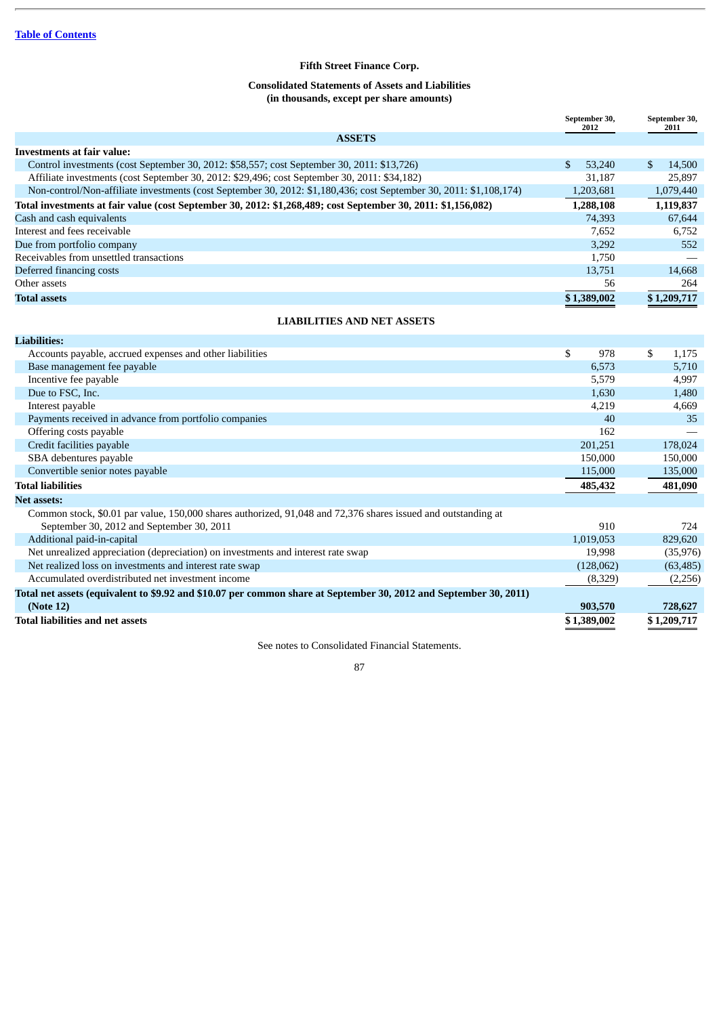## **Consolidated Statements of Assets and Liabilities (in thousands, except per share amounts)**

<span id="page-88-0"></span>

|                                                                                                                    | September 30,<br>2012 | September 30,<br>2011 |
|--------------------------------------------------------------------------------------------------------------------|-----------------------|-----------------------|
| <b>ASSETS</b>                                                                                                      |                       |                       |
| <b>Investments at fair value:</b>                                                                                  |                       |                       |
| Control investments (cost September 30, 2012: \$58,557; cost September 30, 2011: \$13,726)                         | \$.<br>53.240         | \$<br>14,500          |
| Affiliate investments (cost September 30, 2012: \$29,496; cost September 30, 2011: \$34,182)                       | 31.187                | 25,897                |
| Non-control/Non-affiliate investments (cost September 30, 2012: \$1,180,436; cost September 30, 2011: \$1,108,174) | 1,203,681             | 1,079,440             |
| Total investments at fair value (cost September 30, 2012: \$1,268,489; cost September 30, 2011: \$1,156,082)       | 1,288,108             | 1,119,837             |
| Cash and cash equivalents                                                                                          | 74.393                | 67,644                |
| Interest and fees receivable                                                                                       | 7,652                 | 6,752                 |
| Due from portfolio company                                                                                         | 3.292                 | 552                   |
| Receivables from unsettled transactions                                                                            | 1.750                 |                       |
| Deferred financing costs                                                                                           | 13.751                | 14,668                |
| Other assets                                                                                                       | 56                    | 264                   |
| <b>Total assets</b>                                                                                                | \$1,389,002           | \$1,209,717           |

## **LIABILITIES AND NET ASSETS**

| <b>Liabilities:</b>                                                                                               |             |             |
|-------------------------------------------------------------------------------------------------------------------|-------------|-------------|
| Accounts payable, accrued expenses and other liabilities                                                          | \$<br>978   | S.<br>1,175 |
| Base management fee payable                                                                                       | 6,573       | 5,710       |
| Incentive fee payable                                                                                             | 5,579       | 4,997       |
| Due to FSC, Inc.                                                                                                  | 1,630       | 1,480       |
| Interest payable                                                                                                  | 4,219       | 4,669       |
| Payments received in advance from portfolio companies                                                             | 40          | 35          |
| Offering costs payable                                                                                            | 162         |             |
| Credit facilities payable                                                                                         | 201,251     | 178,024     |
| SBA debentures payable                                                                                            | 150,000     | 150,000     |
| Convertible senior notes payable                                                                                  | 115,000     | 135,000     |
| <b>Total liabilities</b>                                                                                          | 485,432     | 481,090     |
| <b>Net assets:</b>                                                                                                |             |             |
| Common stock, \$0.01 par value, 150,000 shares authorized, 91,048 and 72,376 shares issued and outstanding at     |             |             |
| September 30, 2012 and September 30, 2011                                                                         | 910         | 724         |
| Additional paid-in-capital                                                                                        | 1,019,053   | 829,620     |
| Net unrealized appreciation (depreciation) on investments and interest rate swap                                  | 19,998      | (35, 976)   |
| Net realized loss on investments and interest rate swap                                                           | (128,062)   | (63, 485)   |
| Accumulated overdistributed net investment income                                                                 | (8,329)     | (2,256)     |
| Total net assets (equivalent to \$9.92 and \$10.07 per common share at September 30, 2012 and September 30, 2011) |             |             |
| (Note 12)                                                                                                         | 903,570     | 728,627     |
| <b>Total liabilities and net assets</b>                                                                           | \$1,389,002 | \$1,209,717 |
|                                                                                                                   |             |             |

See notes to Consolidated Financial Statements.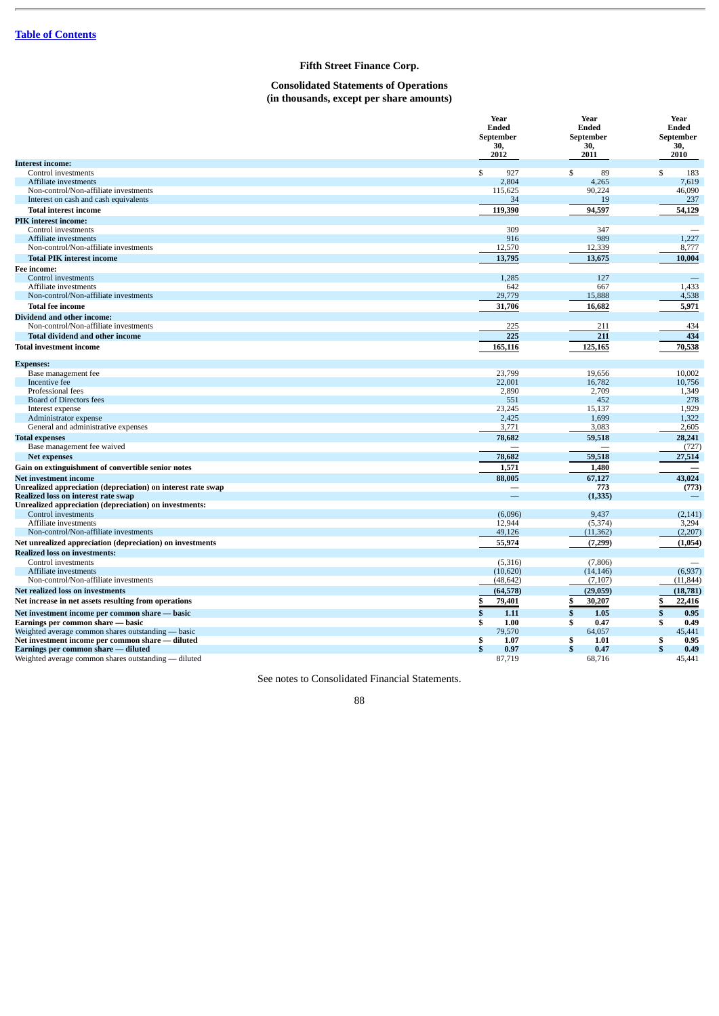## **Consolidated Statements of Operations (in thousands, except per share amounts)**

<span id="page-89-0"></span>

|                                                                                         | Year               | Year               | Year               |
|-----------------------------------------------------------------------------------------|--------------------|--------------------|--------------------|
|                                                                                         | <b>Ended</b>       | <b>Ended</b>       | <b>Ended</b>       |
|                                                                                         | September          | September          | September          |
|                                                                                         | 30,                | 30,                | 30,                |
|                                                                                         | 2012               | 2011               | 2010               |
| <b>Interest income:</b>                                                                 |                    |                    |                    |
| Control investments                                                                     | \$<br>927          | \$<br>89           | \$<br>183          |
| Affiliate investments                                                                   | 2,804              | 4,265              | 7,619              |
| Non-control/Non-affiliate investments                                                   | 115,625            | 90.224             | 46.090             |
| Interest on cash and cash equivalents                                                   | 34                 | 19                 | 237                |
| <b>Total interest income</b>                                                            | 119,390            | 94,597             | 54,129             |
| <b>PIK</b> interest income:                                                             |                    |                    |                    |
| Control investments                                                                     | 309                | 347                |                    |
| Affiliate investments                                                                   | 916                | 989                | 1,227              |
| Non-control/Non-affiliate investments                                                   | 12,570             | 12,339             | 8,777              |
| <b>Total PIK interest income</b>                                                        | 13,795             | 13,675             | 10,004             |
| Fee income:                                                                             |                    |                    |                    |
| Control investments                                                                     | 1,285              | 127                |                    |
| Affiliate investments                                                                   | 642                | 667                | 1,433              |
| Non-control/Non-affiliate investments                                                   | 29,779             | 15,888             | 4,538              |
| <b>Total fee income</b>                                                                 | 31,706             | 16,682             | 5,971              |
| <b>Dividend and other income:</b>                                                       |                    |                    |                    |
| Non-control/Non-affiliate investments                                                   | 225                | 211                | 434                |
| <b>Total dividend and other income</b>                                                  | 225                | 211                | 434                |
| <b>Total investment income</b>                                                          | 165,116            | 125,165            | 70,538             |
|                                                                                         |                    |                    |                    |
| <b>Expenses:</b>                                                                        |                    |                    |                    |
| Base management fee                                                                     | 23,799             | 19,656             | 10,002             |
| Incentive fee                                                                           | 22,001             | 16,782             | 10,756             |
| Professional fees                                                                       | 2,890              | 2,709              | 1,349              |
| <b>Board of Directors fees</b>                                                          | 551                | 452                | 278                |
| Interest expense                                                                        | 23,245             | 15,137             | 1,929              |
| Administrator expense                                                                   | 2,425              | 1,699              | 1,322              |
| General and administrative expenses                                                     | 3,771              | 3,083              | 2,605              |
| <b>Total expenses</b>                                                                   | 78,682             | 59,518             | 28,241             |
| Base management fee waived                                                              |                    |                    | (727)              |
| Net expenses                                                                            | 78,682             | 59,518             | 27,514             |
| Gain on extinguishment of convertible senior notes                                      | 1,571              | 1,480              |                    |
| Net investment income                                                                   | 88,005             | 67,127             | 43,024             |
| Unrealized appreciation (depreciation) on interest rate swap                            |                    | 773                | (773)              |
| Realized loss on interest rate swap                                                     |                    | (1, 335)           |                    |
| Unrealized appreciation (depreciation) on investments:                                  |                    |                    |                    |
| Control investments                                                                     | (6,096)            | 9,437              | (2, 141)           |
| Affiliate investments                                                                   | 12.944             | (5, 374)           | 3,294              |
| Non-control/Non-affiliate investments                                                   | 49,126             | (11, 362)          | (2,207)            |
| Net unrealized appreciation (depreciation) on investments                               | 55,974             | (7,299)            | (1,054)            |
| <b>Realized loss on investments:</b>                                                    |                    |                    |                    |
| Control investments                                                                     | (5,316)            | (7,806)            |                    |
| Affiliate investments                                                                   | (10, 620)          | (14, 146)          | (6,937)            |
| Non-control/Non-affiliate investments                                                   | (48, 642)          | (7, 107)           | (11, 844)          |
| Net realized loss on investments                                                        | (64, 578)          | (29, 059)          | (18, 781)          |
| Net increase in net assets resulting from operations                                    | 79,401<br>\$       | 30,207<br>\$       | 22,416<br>S        |
|                                                                                         |                    |                    |                    |
| Net investment income per common share - basic                                          | \$<br>1.11         | \$<br>1.05         | 0.95<br>\$         |
| Earnings per common share - basic                                                       | \$<br>1.00         | \$<br>0.47         | \$<br>0.49         |
| Weighted average common shares outstanding — basic                                      | 79,570<br>S        | 64,057<br>\$       | 45,441<br>\$       |
| Net investment income per common share - diluted<br>Earnings per common share - diluted | 1.07<br>\$<br>0.97 | 1.01<br>\$<br>0.47 | 0.95<br>\$<br>0.49 |
| Weighted average common shares outstanding — diluted                                    | 87,719             | 68,716             | 45.441             |
|                                                                                         |                    |                    |                    |

See notes to Consolidated Financial Statements.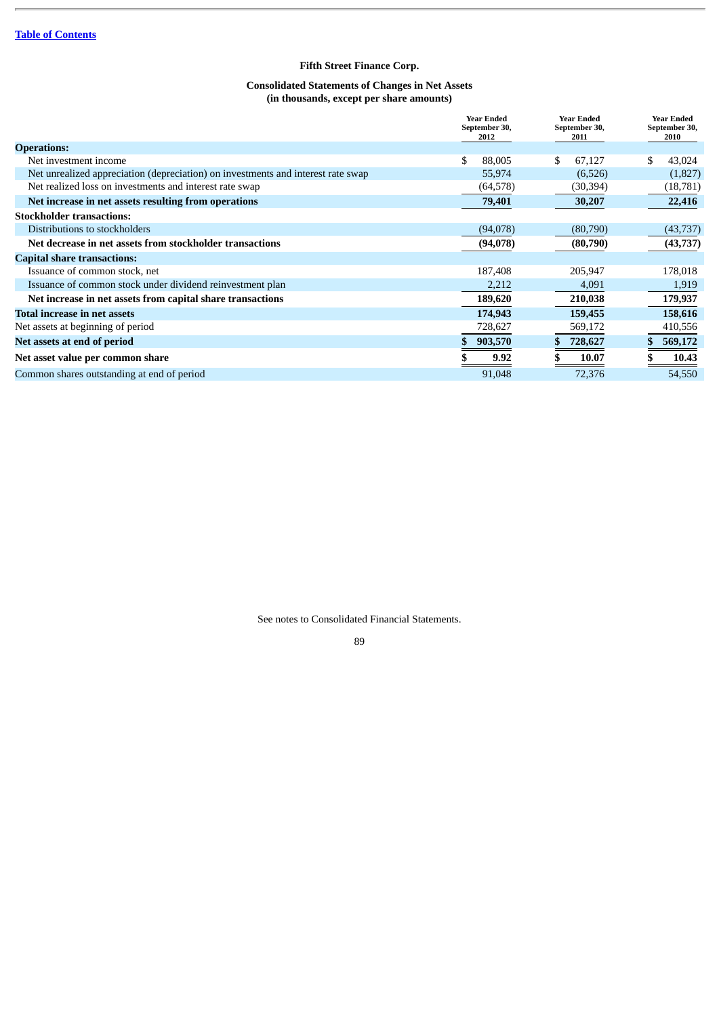## **Consolidated Statements of Changes in Net Assets (in thousands, except per share amounts)**

<span id="page-90-0"></span>

|                                                                                  | <b>Year Ended</b><br>September 30,<br>2012 | <b>Year Ended</b><br>September 30,<br>2011 | <b>Year Ended</b><br>September 30,<br>2010 |
|----------------------------------------------------------------------------------|--------------------------------------------|--------------------------------------------|--------------------------------------------|
| <b>Operations:</b>                                                               |                                            |                                            |                                            |
| Net investment income                                                            | \$<br>88,005                               | \$<br>67,127                               | \$<br>43,024                               |
| Net unrealized appreciation (depreciation) on investments and interest rate swap | 55,974                                     | (6,526)                                    | (1,827)                                    |
| Net realized loss on investments and interest rate swap                          | (64, 578)                                  | (30, 394)                                  | (18,781)                                   |
| Net increase in net assets resulting from operations                             | 79,401                                     | 30,207                                     | 22,416                                     |
| <b>Stockholder transactions:</b>                                                 |                                            |                                            |                                            |
| Distributions to stockholders                                                    | (94,078)                                   | (80,790)                                   | (43, 737)                                  |
| Net decrease in net assets from stockholder transactions                         | (94,078)                                   | (80,790)                                   | (43, 737)                                  |
| <b>Capital share transactions:</b>                                               |                                            |                                            |                                            |
| Issuance of common stock, net                                                    | 187,408                                    | 205,947                                    | 178,018                                    |
| Issuance of common stock under dividend reinvestment plan                        | 2,212                                      | 4,091                                      | 1,919                                      |
| Net increase in net assets from capital share transactions                       | 189,620                                    | 210,038                                    | 179,937                                    |
| Total increase in net assets                                                     | 174,943                                    | 159,455                                    | 158,616                                    |
| Net assets at beginning of period                                                | 728,627                                    | 569,172                                    | 410,556                                    |
| Net assets at end of period                                                      | 903,570                                    | 728,627                                    | 569,172                                    |
| Net asset value per common share                                                 | 9.92                                       | 10.07                                      | 10.43                                      |
| Common shares outstanding at end of period                                       | 91,048                                     | 72,376                                     | 54,550                                     |

See notes to Consolidated Financial Statements.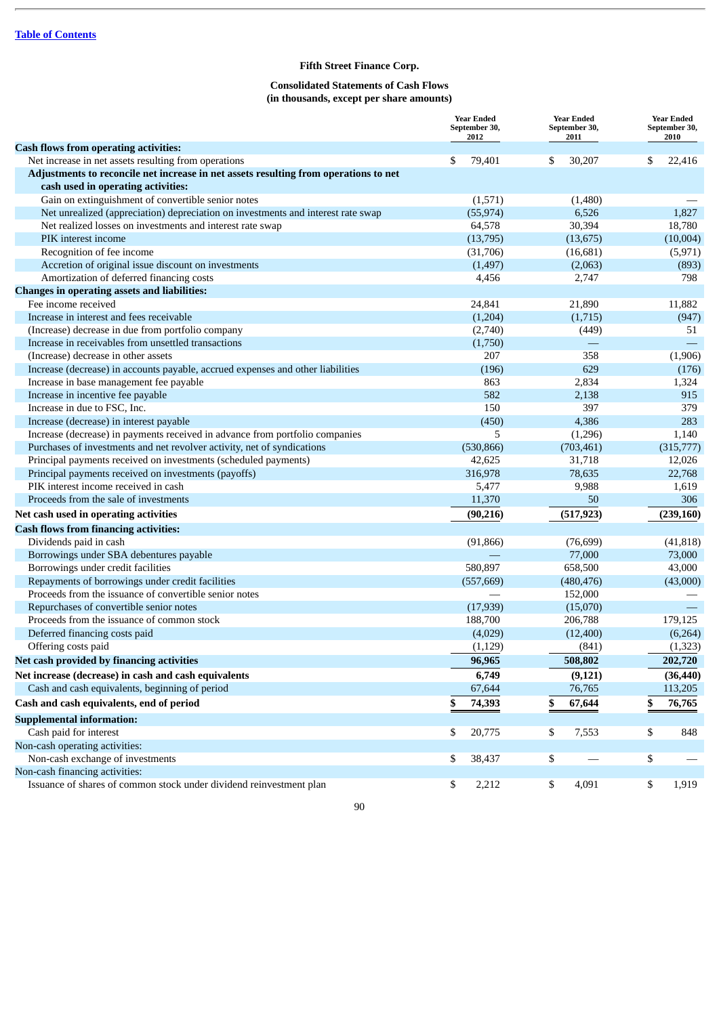## **Consolidated Statements of Cash Flows (in thousands, except per share amounts)**

<span id="page-91-0"></span>

|                                                                                      | <b>Year Ended</b><br>September 30,<br>2012 | <b>Year Ended</b><br>September 30,<br>2011 | <b>Year Ended</b><br>September 30,<br>2010 |
|--------------------------------------------------------------------------------------|--------------------------------------------|--------------------------------------------|--------------------------------------------|
| <b>Cash flows from operating activities:</b>                                         |                                            |                                            |                                            |
| Net increase in net assets resulting from operations                                 | \$<br>79,401                               | \$<br>30,207                               | \$<br>22,416                               |
| Adjustments to reconcile net increase in net assets resulting from operations to net |                                            |                                            |                                            |
| cash used in operating activities:                                                   |                                            |                                            |                                            |
| Gain on extinguishment of convertible senior notes                                   | (1,571)                                    | (1,480)                                    |                                            |
| Net unrealized (appreciation) depreciation on investments and interest rate swap     | (55, 974)                                  | 6,526                                      | 1,827                                      |
| Net realized losses on investments and interest rate swap                            | 64,578                                     | 30,394                                     | 18,780                                     |
| PIK interest income                                                                  | (13,795)                                   | (13, 675)                                  | (10,004)                                   |
| Recognition of fee income                                                            | (31,706)                                   | (16,681)                                   | (5, 971)                                   |
| Accretion of original issue discount on investments                                  | (1, 497)                                   | (2,063)                                    | (893)                                      |
| Amortization of deferred financing costs                                             | 4,456                                      | 2,747                                      | 798                                        |
| <b>Changes in operating assets and liabilities:</b>                                  |                                            |                                            |                                            |
| Fee income received                                                                  | 24,841                                     | 21,890                                     | 11,882                                     |
| Increase in interest and fees receivable                                             | (1,204)                                    | (1,715)                                    | (947)                                      |
| (Increase) decrease in due from portfolio company                                    | (2,740)                                    | (449)                                      | 51                                         |
| Increase in receivables from unsettled transactions                                  | (1,750)                                    |                                            |                                            |
| (Increase) decrease in other assets                                                  | 207                                        | 358                                        | (1,906)                                    |
| Increase (decrease) in accounts payable, accrued expenses and other liabilities      | (196)                                      | 629                                        | (176)                                      |
| Increase in base management fee payable                                              | 863                                        | 2,834                                      | 1,324                                      |
| Increase in incentive fee payable                                                    | 582                                        | 2,138                                      | 915                                        |
| Increase in due to FSC, Inc.                                                         | 150                                        | 397                                        | 379                                        |
| Increase (decrease) in interest payable                                              | (450)                                      | 4,386                                      | 283                                        |
| Increase (decrease) in payments received in advance from portfolio companies         | 5                                          | (1,296)                                    | 1,140                                      |
| Purchases of investments and net revolver activity, net of syndications              | (530, 866)                                 | (703, 461)                                 | (315,777)                                  |
| Principal payments received on investments (scheduled payments)                      | 42,625                                     | 31,718                                     | 12,026                                     |
| Principal payments received on investments (payoffs)                                 | 316,978                                    | 78,635                                     | 22,768                                     |
| PIK interest income received in cash                                                 | 5,477                                      | 9,988                                      | 1,619                                      |
| Proceeds from the sale of investments                                                | 11,370                                     | 50                                         | 306                                        |
| Net cash used in operating activities                                                | (90, 216)                                  | (517, 923)                                 | (239, 160)                                 |
| <b>Cash flows from financing activities:</b>                                         |                                            |                                            |                                            |
| Dividends paid in cash                                                               | (91, 866)                                  | (76, 699)                                  | (41, 818)                                  |
| Borrowings under SBA debentures payable                                              |                                            | 77,000                                     | 73,000                                     |
| Borrowings under credit facilities                                                   | 580,897                                    | 658,500                                    | 43,000                                     |
| Repayments of borrowings under credit facilities                                     | (557, 669)                                 | (480, 476)                                 | (43,000)                                   |
| Proceeds from the issuance of convertible senior notes                               |                                            | 152,000                                    |                                            |
| Repurchases of convertible senior notes                                              | (17, 939)                                  | (15,070)                                   |                                            |
| Proceeds from the issuance of common stock                                           | 188,700                                    | 206,788                                    | 179,125                                    |
| Deferred financing costs paid                                                        | (4,029)                                    | (12,400)                                   | (6,264)                                    |
| Offering costs paid                                                                  | (1, 129)                                   | (841)                                      | (1, 323)                                   |
| Net cash provided by financing activities                                            | 96,965                                     | 508,802                                    | 202,720                                    |
| Net increase (decrease) in cash and cash equivalents                                 | 6,749                                      | (9, 121)                                   | (36, 440)                                  |
| Cash and cash equivalents, beginning of period                                       | 67,644                                     | 76,765                                     | 113,205                                    |
| Cash and cash equivalents, end of period                                             | \$<br>74,393                               | \$<br>67,644                               | \$<br>76,765                               |
| <b>Supplemental information:</b>                                                     |                                            |                                            |                                            |
| Cash paid for interest                                                               | 20,775<br>\$                               | \$<br>7,553                                | \$<br>848                                  |
| Non-cash operating activities:                                                       |                                            |                                            |                                            |
| Non-cash exchange of investments                                                     | 38,437<br>\$                               | \$                                         | \$                                         |
| Non-cash financing activities:                                                       |                                            |                                            |                                            |
| Issuance of shares of common stock under dividend reinvestment plan                  | 2,212<br>\$                                | \$<br>4,091                                | \$<br>1,919                                |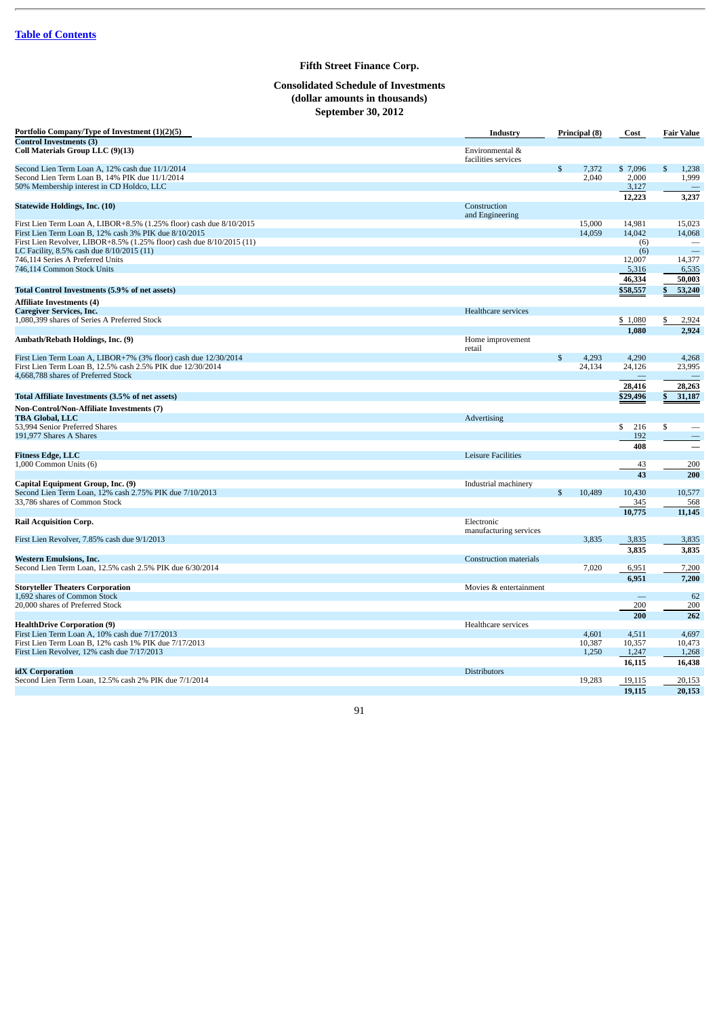## **Consolidated Schedule of Investments (dollar amounts in thousands) September 30, 2012**

<span id="page-92-0"></span>

| Portfolio Company/Type of Investment (1)(2)(5)                        | <b>Industry</b>                        | Principal (8)          | Cost      | <b>Fair Value</b>     |
|-----------------------------------------------------------------------|----------------------------------------|------------------------|-----------|-----------------------|
| <b>Control Investments (3)</b>                                        |                                        |                        |           |                       |
| Coll Materials Group LLC (9)(13)                                      | Environmental &<br>facilities services |                        |           |                       |
| Second Lien Term Loan A, 12% cash due 11/1/2014                       |                                        | \$<br>7,372            | \$7,096   | $\mathbb{S}$<br>1,238 |
| Second Lien Term Loan B, 14% PIK due 11/1/2014                        |                                        | 2.040                  | 2,000     | 1,999                 |
| 50% Membership interest in CD Holdco, LLC                             |                                        |                        | 3,127     |                       |
|                                                                       |                                        |                        | 12,223    | 3,237                 |
| <b>Statewide Holdings, Inc. (10)</b>                                  | Construction<br>and Engineering        |                        |           |                       |
| First Lien Term Loan A, LIBOR+8.5% (1.25% floor) cash due 8/10/2015   |                                        | 15,000                 | 14,981    | 15,023                |
| First Lien Term Loan B, 12% cash 3% PIK due 8/10/2015                 |                                        | 14,059                 | 14,042    | 14,068                |
| First Lien Revolver, LIBOR+8.5% (1.25% floor) cash due 8/10/2015 (11) |                                        |                        | (6)       |                       |
| LC Facility, 8.5% cash due 8/10/2015 (11)                             |                                        |                        | (6)       | $\equiv$              |
| 746,114 Series A Preferred Units                                      |                                        |                        | 12,007    | 14,377                |
| 746,114 Common Stock Units                                            |                                        |                        | 5,316     | 6,535                 |
|                                                                       |                                        |                        | 46,334    | 50,003                |
| <b>Total Control Investments (5.9% of net assets)</b>                 |                                        |                        | \$58,557  | 53,240                |
| <b>Affiliate Investments (4)</b>                                      |                                        |                        |           |                       |
| <b>Caregiver Services, Inc.</b>                                       | Healthcare services                    |                        |           |                       |
| 1,080,399 shares of Series A Preferred Stock                          |                                        |                        | \$1,080   | 2,924<br>\$           |
|                                                                       |                                        |                        | 1,080     | 2,924                 |
| Ambath/Rebath Holdings, Inc. (9)                                      | Home improvement<br>retail             |                        |           |                       |
| First Lien Term Loan A, LIBOR+7% (3% floor) cash due 12/30/2014       |                                        | $\mathbb{S}$<br>4,293  | 4,290     | 4,268                 |
| First Lien Term Loan B, 12.5% cash 2.5% PIK due 12/30/2014            |                                        | 24,134                 | 24,126    | 23,995                |
| 4,668,788 shares of Preferred Stock                                   |                                        |                        |           |                       |
|                                                                       |                                        |                        | 28,416    | 28,263                |
|                                                                       |                                        |                        |           |                       |
| Total Affiliate Investments (3.5% of net assets)                      |                                        |                        | \$29,496  | 31,187                |
| Non-Control/Non-Affiliate Investments (7)                             |                                        |                        |           |                       |
| <b>TBA Global, LLC</b>                                                | Advertising                            |                        |           |                       |
| 53.994 Senior Preferred Shares                                        |                                        |                        | \$<br>216 | \$                    |
| 191,977 Shares A Shares                                               |                                        |                        | 192       |                       |
|                                                                       |                                        |                        | 408       |                       |
| <b>Fitness Edge, LLC</b>                                              | <b>Leisure Facilities</b>              |                        |           |                       |
| 1,000 Common Units (6)                                                |                                        |                        | 43        | 200                   |
|                                                                       |                                        |                        | 43        | 200                   |
| Capital Equipment Group, Inc. (9)                                     | Industrial machinery                   |                        |           |                       |
| Second Lien Term Loan, 12% cash 2.75% PIK due 7/10/2013               |                                        | 10,489<br>$\mathbb{S}$ | 10,430    | 10,577                |
| 33,786 shares of Common Stock                                         |                                        |                        | 345       | 568                   |
|                                                                       |                                        |                        | 10,775    | 11,145                |
| <b>Rail Acquisition Corp.</b>                                         | Electronic<br>manufacturing services   |                        |           |                       |
| First Lien Revolver, 7.85% cash due 9/1/2013                          |                                        | 3,835                  | 3,835     | 3,835                 |
|                                                                       |                                        |                        | 3,835     | 3,835                 |
| Western Emulsions, Inc.                                               | <b>Construction materials</b>          |                        |           |                       |
| Second Lien Term Loan, 12.5% cash 2.5% PIK due 6/30/2014              |                                        | 7,020                  | 6,951     | 7,200                 |
|                                                                       |                                        |                        | 6.951     | 7,200                 |
| <b>Storyteller Theaters Corporation</b>                               | Movies & entertainment                 |                        |           |                       |
| 1,692 shares of Common Stock                                          |                                        |                        |           | 62                    |
| 20,000 shares of Preferred Stock                                      |                                        |                        | 200       | 200                   |
|                                                                       |                                        |                        | 200       | 262                   |
| <b>HealthDrive Corporation (9)</b>                                    | Healthcare services                    |                        |           |                       |
| First Lien Term Loan A, 10% cash due 7/17/2013                        |                                        | 4,601                  | 4,511     | 4.697                 |
| First Lien Term Loan B, 12% cash 1% PIK due 7/17/2013                 |                                        | 10,387                 | 10,357    | 10,473                |
| First Lien Revolver, 12% cash due 7/17/2013                           |                                        | 1,250                  | 1,247     | 1,268                 |
|                                                                       |                                        |                        | 16,115    | 16,438                |
| idX Corporation                                                       | <b>Distributors</b>                    |                        |           |                       |
| Second Lien Term Loan, 12.5% cash 2% PIK due 7/1/2014                 |                                        | 19,283                 | 19,115    | 20,153                |
|                                                                       |                                        |                        | 19.115    | 20.153                |
|                                                                       |                                        |                        |           |                       |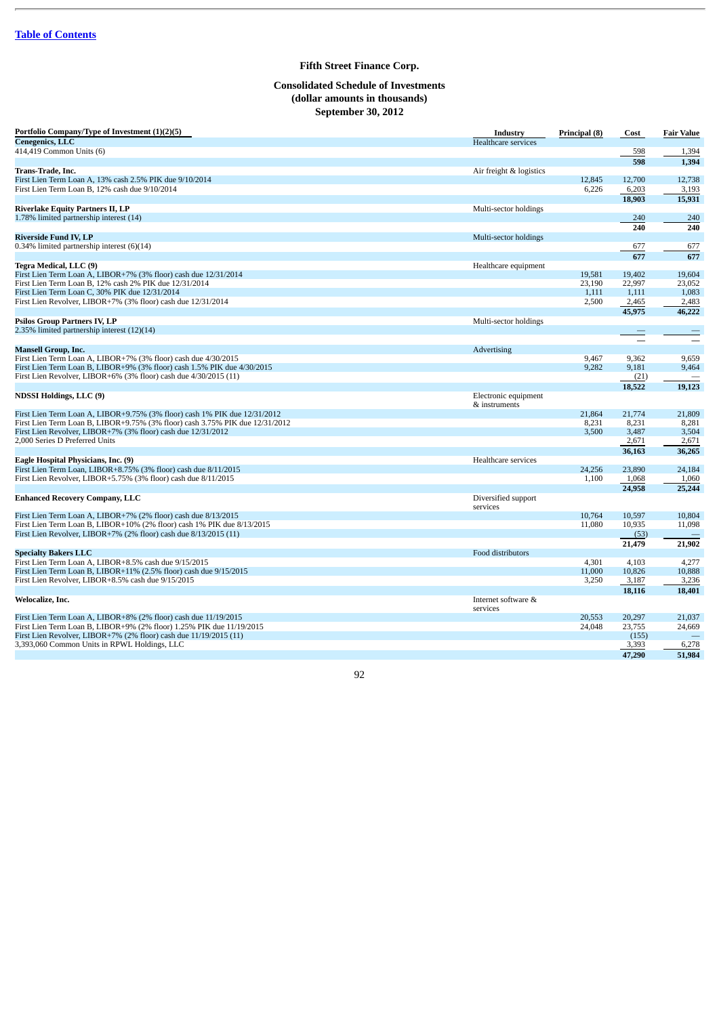## **Consolidated Schedule of Investments (dollar amounts in thousands) September 30, 2012**

| Portfolio Company/Type of Investment (1)(2)(5)                               | Industry                              | Principal (8) | Cost                     | <b>Fair Value</b> |
|------------------------------------------------------------------------------|---------------------------------------|---------------|--------------------------|-------------------|
| Cenegenics, LLC                                                              | Healthcare services                   |               |                          |                   |
| 414,419 Common Units (6)                                                     |                                       |               | 598                      | 1,394             |
|                                                                              |                                       |               | 598                      | 1,394             |
| Trans-Trade, Inc.                                                            | Air freight & logistics               |               |                          |                   |
| First Lien Term Loan A, 13% cash 2.5% PIK due 9/10/2014                      |                                       | 12,845        | 12,700                   | 12,738            |
| First Lien Term Loan B, 12% cash due 9/10/2014                               |                                       | 6,226         | 6,203                    | 3,193             |
|                                                                              |                                       |               | 18,903                   | 15,931            |
| <b>Riverlake Equity Partners II, LP</b>                                      | Multi-sector holdings                 |               |                          |                   |
| 1.78% limited partnership interest (14)                                      |                                       |               | 240                      | 240               |
|                                                                              |                                       |               | 240                      | 240               |
| <b>Riverside Fund IV, LP</b>                                                 | Multi-sector holdings                 |               |                          |                   |
| $0.34\%$ limited partnership interest $(6)(14)$                              |                                       |               | 677                      | 677               |
|                                                                              |                                       |               | 677                      | 677               |
| Tegra Medical, LLC (9)                                                       | Healthcare equipment                  |               |                          |                   |
| First Lien Term Loan A, LIBOR+7% (3% floor) cash due 12/31/2014              |                                       | 19,581        | 19,402                   | 19,604            |
| First Lien Term Loan B, 12% cash 2% PIK due 12/31/2014                       |                                       | 23,190        | 22,997                   | 23,052            |
| First Lien Term Loan C, 30% PIK due 12/31/2014                               |                                       | 1,111         | 1,111                    | 1,083             |
| First Lien Revolver, LIBOR+7% (3% floor) cash due 12/31/2014                 |                                       | 2,500         | 2,465                    | 2,483             |
|                                                                              |                                       |               | 45,975                   | 46,222            |
| <b>Psilos Group Partners IV, LP</b>                                          | Multi-sector holdings                 |               |                          |                   |
| 2.35% limited partnership interest (12)(14)                                  |                                       |               | $\overline{\phantom{a}}$ |                   |
|                                                                              |                                       |               |                          |                   |
| <b>Mansell Group, Inc.</b>                                                   | Advertising                           |               |                          |                   |
| First Lien Term Loan A, LIBOR+7% (3% floor) cash due 4/30/2015               |                                       | 9,467         | 9,362                    | 9,659             |
| First Lien Term Loan B, LIBOR+9% (3% floor) cash 1.5% PIK due 4/30/2015      |                                       | 9,282         | 9,181                    | 9,464             |
| First Lien Revolver, LIBOR+6% (3% floor) cash due 4/30/2015 (11)             |                                       |               | (21)                     |                   |
|                                                                              |                                       |               | 18,522                   | 19,123            |
| <b>NDSSI Holdings, LLC (9)</b>                                               | Electronic equipment<br>& instruments |               |                          |                   |
| First Lien Term Loan A, LIBOR+9.75% (3% floor) cash 1% PIK due 12/31/2012    |                                       | 21,864        | 21,774                   | 21,809            |
| First Lien Term Loan B, LIBOR+9.75% (3% floor) cash 3.75% PIK due 12/31/2012 |                                       | 8,231         | 8,231                    | 8,281             |
| First Lien Revolver, LIBOR+7% (3% floor) cash due 12/31/2012                 |                                       | 3,500         | 3,487                    | 3,504             |
| 2,000 Series D Preferred Units                                               |                                       |               | 2,671                    | 2,671             |
|                                                                              |                                       |               | 36,163                   | 36,265            |
| Eagle Hospital Physicians, Inc. (9)                                          | Healthcare services                   |               |                          |                   |
| First Lien Term Loan, LIBOR+8.75% (3% floor) cash due 8/11/2015              |                                       | 24,256        | 23,890                   | 24,184            |
| First Lien Revolver, LIBOR+5.75% (3% floor) cash due 8/11/2015               |                                       | 1,100         | 1,068                    | 1,060             |
|                                                                              |                                       |               | 24,958                   | 25,244            |
| <b>Enhanced Recovery Company, LLC</b>                                        | Diversified support                   |               |                          |                   |
|                                                                              | services                              |               |                          |                   |
| First Lien Term Loan A, LIBOR+7% (2% floor) cash due 8/13/2015               |                                       | 10,764        | 10,597                   | 10,804            |
| First Lien Term Loan B, LIBOR+10% (2% floor) cash 1% PIK due 8/13/2015       |                                       | 11,080        | 10,935                   | 11,098            |
| First Lien Revolver, LIBOR+7% (2% floor) cash due 8/13/2015 (11)             |                                       |               | (53)                     |                   |
|                                                                              |                                       |               | 21,479                   | 21,902            |
| <b>Specialty Bakers LLC</b>                                                  | Food distributors                     |               |                          |                   |
| First Lien Term Loan A, LIBOR+8.5% cash due 9/15/2015                        |                                       | 4,301         | 4,103                    | 4,277             |
| First Lien Term Loan B, LIBOR+11% (2.5% floor) cash due 9/15/2015            |                                       | 11,000        | 10,826                   | 10,888            |
| First Lien Revolver, LIBOR+8.5% cash due 9/15/2015                           |                                       | 3,250         | 3,187                    | 3,236             |
|                                                                              |                                       |               | 18,116                   | 18,401            |
| Welocalize, Inc.                                                             | Internet software &                   |               |                          |                   |
|                                                                              | services                              |               |                          |                   |
| First Lien Term Loan A, LIBOR+8% (2% floor) cash due 11/19/2015              |                                       | 20,553        | 20,297                   | 21,037            |
| First Lien Term Loan B, LIBOR+9% (2% floor) 1.25% PIK due 11/19/2015         |                                       | 24,048        | 23,755                   | 24,669            |
| First Lien Revolver, LIBOR+7% (2% floor) cash due 11/19/2015 (11)            |                                       |               | (155)                    |                   |
| 3,393,060 Common Units in RPWL Holdings, LLC                                 |                                       |               | 3,393                    | 6,278             |
|                                                                              |                                       |               | 47,290                   | 51,984            |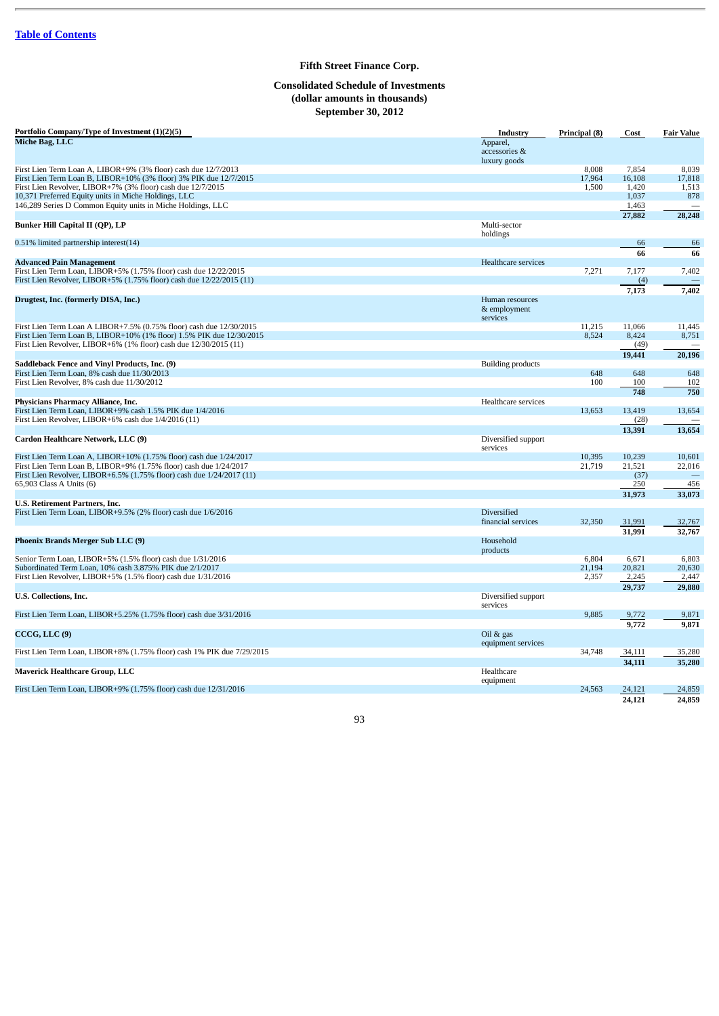## **Consolidated Schedule of Investments (dollar amounts in thousands) September 30, 2012**

| Portfolio Company/Type of Investment (1)(2)(5)                                                                                      | Industry                                    | Principal (8) | Cost   | <b>Fair Value</b> |
|-------------------------------------------------------------------------------------------------------------------------------------|---------------------------------------------|---------------|--------|-------------------|
| Miche Bag, LLC                                                                                                                      | Apparel,                                    |               |        |                   |
|                                                                                                                                     | accessories &                               |               |        |                   |
|                                                                                                                                     | luxury goods                                | 8,008         | 7,854  | 8,039             |
| First Lien Term Loan A, LIBOR+9% (3% floor) cash due 12/7/2013<br>First Lien Term Loan B, LIBOR+10% (3% floor) 3% PIK due 12/7/2015 |                                             | 17,964        | 16,108 | 17,818            |
| First Lien Revolver, LIBOR+7% (3% floor) cash due 12/7/2015                                                                         |                                             | 1,500         | 1,420  | 1,513             |
| 10,371 Preferred Equity units in Miche Holdings, LLC                                                                                |                                             |               | 1,037  | 878               |
| 146,289 Series D Common Equity units in Miche Holdings, LLC                                                                         |                                             |               | 1,463  |                   |
|                                                                                                                                     |                                             |               | 27,882 | 28,248            |
| Bunker Hill Capital II (QP), LP                                                                                                     | Multi-sector<br>holdings                    |               |        |                   |
| $0.51\%$ limited partnership interest $(14)$                                                                                        |                                             |               | 66     | 66                |
|                                                                                                                                     |                                             |               | 66     | 66                |
| <b>Advanced Pain Management</b>                                                                                                     | Healthcare services                         |               |        |                   |
| First Lien Term Loan, LIBOR+5% (1.75% floor) cash due 12/22/2015                                                                    |                                             | 7,271         | 7,177  | 7,402             |
| First Lien Revolver, LIBOR+5% (1.75% floor) cash due 12/22/2015 (11)                                                                |                                             |               | (4)    |                   |
|                                                                                                                                     |                                             |               | 7,173  | 7,402             |
| Drugtest, Inc. (formerly DISA, Inc.)                                                                                                | Human resources<br>& employment<br>services |               |        |                   |
| First Lien Term Loan A LIBOR+7.5% (0.75% floor) cash due 12/30/2015                                                                 |                                             | 11,215        | 11,066 | 11,445            |
| First Lien Term Loan B, LIBOR+10% (1% floor) 1.5% PIK due 12/30/2015                                                                |                                             | 8,524         | 8,424  | 8,751             |
| First Lien Revolver, LIBOR+6% (1% floor) cash due 12/30/2015 (11)                                                                   |                                             |               | (49)   |                   |
|                                                                                                                                     |                                             |               | 19,441 | 20,196            |
| Saddleback Fence and Vinyl Products, Inc. (9)                                                                                       | <b>Building products</b>                    |               |        |                   |
| First Lien Term Loan, 8% cash due 11/30/2013                                                                                        |                                             | 648           | 648    | 648               |
| First Lien Revolver, 8% cash due 11/30/2012                                                                                         |                                             | 100           | 100    | 102               |
|                                                                                                                                     |                                             |               | 748    | 750               |
| Physicians Pharmacy Alliance, Inc.                                                                                                  | Healthcare services                         |               |        |                   |
| First Lien Term Loan, LIBOR+9% cash 1.5% PIK due 1/4/2016                                                                           |                                             | 13,653        | 13,419 | 13,654            |
| First Lien Revolver, LIBOR+6% cash due 1/4/2016 (11)                                                                                |                                             |               | (28)   |                   |
|                                                                                                                                     |                                             |               | 13,391 | 13,654            |
| Cardon Healthcare Network, LLC (9)                                                                                                  | Diversified support<br>services             |               |        |                   |
| First Lien Term Loan A, LIBOR+10% (1.75% floor) cash due 1/24/2017                                                                  |                                             | 10,395        | 10,239 | 10,601            |
| First Lien Term Loan B, LIBOR+9% (1.75% floor) cash due 1/24/2017                                                                   |                                             | 21,719        | 21,521 | 22,016            |
| First Lien Revolver, LIBOR+6.5% (1.75% floor) cash due 1/24/2017 (11)                                                               |                                             |               | (37)   |                   |
| 65,903 Class A Units (6)                                                                                                            |                                             |               | 250    | 456               |
|                                                                                                                                     |                                             |               | 31,973 | 33,073            |
| U.S. Retirement Partners, Inc.<br>First Lien Term Loan, LIBOR+9.5% (2% floor) cash due 1/6/2016                                     | Diversified                                 |               |        |                   |
|                                                                                                                                     | financial services                          | 32,350        | 31,991 | 32,767            |
|                                                                                                                                     |                                             |               | 31,991 | 32,767            |
| Phoenix Brands Merger Sub LLC (9)                                                                                                   | Household                                   |               |        |                   |
|                                                                                                                                     | products                                    |               |        |                   |
| Senior Term Loan, LIBOR+5% (1.5% floor) cash due 1/31/2016                                                                          |                                             | 6.804         | 6,671  | 6,803             |
| Subordinated Term Loan, 10% cash 3.875% PIK due 2/1/2017                                                                            |                                             | 21,194        | 20,821 | 20,630            |
| First Lien Revolver, LIBOR+5% (1.5% floor) cash due 1/31/2016                                                                       |                                             | 2,357         | 2,245  | 2,447             |
|                                                                                                                                     |                                             |               | 29,737 | 29,880            |
| U.S. Collections, Inc.                                                                                                              | Diversified support<br>services             |               |        |                   |
| First Lien Term Loan, LIBOR+5.25% (1.75% floor) cash due 3/31/2016                                                                  |                                             | 9,885         | 9,772  | 9,871             |
|                                                                                                                                     |                                             |               | 9,772  | 9,871             |
| CCCG, LLC (9)                                                                                                                       | $Oil \& gas$<br>equipment services          |               |        |                   |
| First Lien Term Loan, LIBOR+8% (1.75% floor) cash 1% PIK due 7/29/2015                                                              |                                             | 34,748        | 34,111 | 35,280            |
|                                                                                                                                     |                                             |               | 34,111 | 35,280            |
| <b>Maverick Healthcare Group, LLC</b>                                                                                               | Healthcare<br>equipment                     |               |        |                   |
| First Lien Term Loan, LIBOR+9% (1.75% floor) cash due 12/31/2016                                                                    |                                             | 24,563        | 24,121 | 24,859            |
|                                                                                                                                     |                                             |               | 24,121 | 24,859            |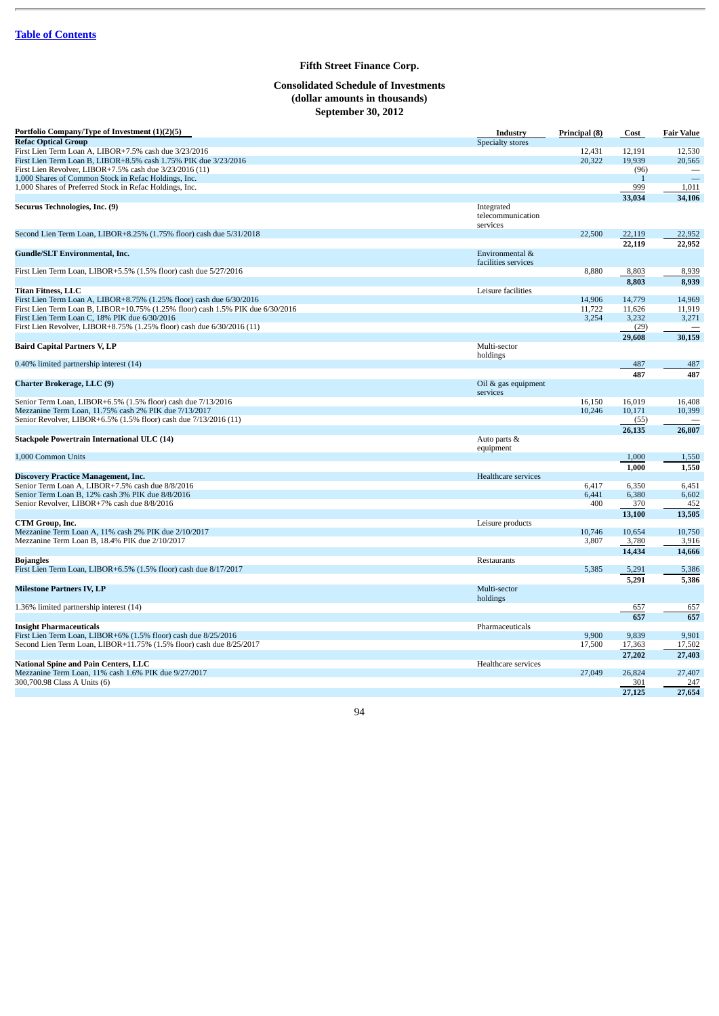## **Consolidated Schedule of Investments (dollar amounts in thousands) September 30, 2012**

| Portfolio Company/Type of Investment (1)(2)(5)                                 | Industry            | Principal (8) | Cost         | <b>Fair Value</b> |
|--------------------------------------------------------------------------------|---------------------|---------------|--------------|-------------------|
| <b>Refac Optical Group</b>                                                     | Specialty stores    |               |              |                   |
| First Lien Term Loan A, LIBOR+7.5% cash due 3/23/2016                          |                     | 12,431        | 12,191       | 12,530            |
| First Lien Term Loan B, LIBOR+8.5% cash 1.75% PIK due 3/23/2016                |                     | 20,322        | 19,939       | 20,565            |
| First Lien Revolver, LIBOR+7.5% cash due 3/23/2016 (11)                        |                     |               | (96)         |                   |
| 1,000 Shares of Common Stock in Refac Holdings, Inc.                           |                     |               | $\mathbf{1}$ |                   |
| 1,000 Shares of Preferred Stock in Refac Holdings, Inc.                        |                     |               | 999          | 1,011             |
|                                                                                |                     |               | 33,034       | 34,106            |
|                                                                                |                     |               |              |                   |
| Securus Technologies, Inc. (9)                                                 | Integrated          |               |              |                   |
|                                                                                | telecommunication   |               |              |                   |
|                                                                                | services            |               |              |                   |
| Second Lien Term Loan, LIBOR+8.25% (1.75% floor) cash due 5/31/2018            |                     | 22,500        | 22,119       | 22,952            |
|                                                                                |                     |               | 22,119       | 22,952            |
| <b>Gundle/SLT Environmental, Inc.</b>                                          | Environmental &     |               |              |                   |
|                                                                                | facilities services |               |              |                   |
| First Lien Term Loan, LIBOR+5.5% (1.5% floor) cash due 5/27/2016               |                     | 8,880         | 8,803        | 8,939             |
|                                                                                |                     |               | 8,803        | 8,939             |
| <b>Titan Fitness, LLC</b>                                                      | Leisure facilities  |               |              |                   |
| First Lien Term Loan A, LIBOR+8.75% (1.25% floor) cash due 6/30/2016           |                     | 14,906        | 14,779       | 14,969            |
| First Lien Term Loan B, LIBOR+10.75% (1.25% floor) cash 1.5% PIK due 6/30/2016 |                     | 11,722        | 11,626       | 11,919            |
| First Lien Term Loan C, 18% PIK due 6/30/2016                                  |                     | 3,254         | 3,232        | 3,271             |
| First Lien Revolver, LIBOR+8.75% (1.25% floor) cash due 6/30/2016 (11)         |                     |               | (29)         |                   |
|                                                                                |                     |               | 29,608       | 30,159            |
| <b>Baird Capital Partners V, LP</b>                                            | Multi-sector        |               |              |                   |
|                                                                                | holdings            |               |              |                   |
| 0.40% limited partnership interest (14)                                        |                     |               | 487          | 487               |
|                                                                                |                     |               | 487          | 487               |
| Charter Brokerage, LLC (9)                                                     | Oil & gas equipment |               |              |                   |
|                                                                                | services            |               |              |                   |
| Senior Term Loan, LIBOR+6.5% (1.5% floor) cash due 7/13/2016                   |                     | 16,150        | 16,019       | 16,408            |
| Mezzanine Term Loan, 11.75% cash 2% PIK due 7/13/2017                          |                     | 10,246        | 10,171       | 10,399            |
| Senior Revolver, LIBOR+6.5% (1.5% floor) cash due 7/13/2016 (11)               |                     |               | (55)         |                   |
|                                                                                |                     |               |              |                   |
|                                                                                |                     |               | 26,135       | 26,807            |
| Stackpole Powertrain International ULC (14)                                    | Auto parts &        |               |              |                   |
|                                                                                | equipment           |               |              |                   |
| 1,000 Common Units                                                             |                     |               | 1,000        | 1,550             |
|                                                                                |                     |               | 1,000        | 1,550             |
| <b>Discovery Practice Management, Inc.</b>                                     | Healthcare services |               |              |                   |
| Senior Term Loan A, LIBOR+7.5% cash due 8/8/2016                               |                     | 6,417         | 6,350        | 6,451             |
| Senior Term Loan B, 12% cash 3% PIK due 8/8/2016                               |                     | 6,441         | 6,380        | 6,602             |
| Senior Revolver, LIBOR+7% cash due 8/8/2016                                    |                     | 400           | 370          | 452               |
|                                                                                |                     |               | 13,100       | 13,505            |
| CTM Group, Inc.                                                                | Leisure products    |               |              |                   |
| Mezzanine Term Loan A, 11% cash 2% PIK due 2/10/2017                           |                     | 10,746        | 10,654       | 10,750            |
| Mezzanine Term Loan B, 18.4% PIK due 2/10/2017                                 |                     | 3,807         | 3,780        | 3,916             |
|                                                                                |                     |               | 14,434       | 14,666            |
| <b>Bojangles</b>                                                               | Restaurants         |               |              |                   |
| First Lien Term Loan, LIBOR+6.5% (1.5% floor) cash due 8/17/2017               |                     | 5,385         | 5,291        | 5,386             |
|                                                                                |                     |               | 5,291        | 5,386             |
| <b>Milestone Partners IV, LP</b>                                               | Multi-sector        |               |              |                   |
|                                                                                | holdings            |               |              |                   |
| 1.36% limited partnership interest (14)                                        |                     |               | 657          | 657               |
|                                                                                |                     |               | 657          | 657               |
| <b>Insight Pharmaceuticals</b>                                                 | Pharmaceuticals     |               |              |                   |
| First Lien Term Loan, LIBOR+6% (1.5% floor) cash due 8/25/2016                 |                     | 9.900         | 9,839        | 9,901             |
|                                                                                |                     |               | 17,363       |                   |
| Second Lien Term Loan, LIBOR+11.75% (1.5% floor) cash due 8/25/2017            |                     | 17,500        |              | 17,502            |
|                                                                                |                     |               | 27,202       | 27,403            |
| <b>National Spine and Pain Centers, LLC</b>                                    | Healthcare services |               |              |                   |
| Mezzanine Term Loan, 11% cash 1.6% PIK due 9/27/2017                           |                     | 27,049        | 26,824       | 27,407            |
| 300,700.98 Class A Units (6)                                                   |                     |               | 301          | 247               |
|                                                                                |                     |               | 27,125       | 27,654            |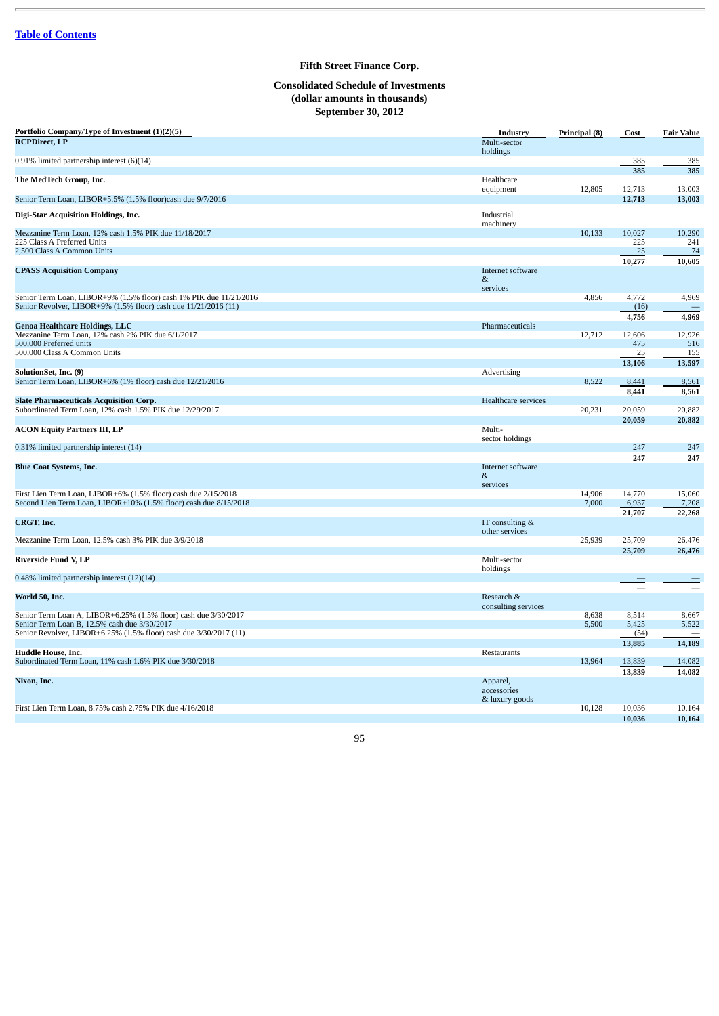## **Consolidated Schedule of Investments (dollar amounts in thousands) September 30, 2012**

| Portfolio Company/Type of Investment (1)(2)(5)                               | <b>Industry</b>          | Principal (8) | Cost             | <b>Fair Value</b> |
|------------------------------------------------------------------------------|--------------------------|---------------|------------------|-------------------|
| <b>RCPDirect, LP</b>                                                         | Multi-sector<br>holdings |               |                  |                   |
| 0.91% limited partnership interest (6)(14)                                   |                          |               | 385              | 385               |
|                                                                              |                          |               | 385              | 385               |
| The MedTech Group, Inc.                                                      | Healthcare<br>equipment  | 12,805        | 12,713           | 13,003            |
| Senior Term Loan, LIBOR+5.5% (1.5% floor)cash due 9/7/2016                   |                          |               | 12,713           | 13,003            |
|                                                                              |                          |               |                  |                   |
| Digi-Star Acquisition Holdings, Inc.                                         | Industrial<br>machinery  |               |                  |                   |
| Mezzanine Term Loan, 12% cash 1.5% PIK due 11/18/2017                        |                          | 10,133        | 10,027           | 10,290            |
| 225 Class A Preferred Units                                                  |                          |               | 225              | 241               |
| 2,500 Class A Common Units                                                   |                          |               | 25               | 74                |
|                                                                              |                          |               | 10,277           | 10,605            |
| <b>CPASS Acquisition Company</b>                                             | Internet software<br>&   |               |                  |                   |
|                                                                              | services                 |               |                  |                   |
| Senior Term Loan, LIBOR+9% (1.5% floor) cash 1% PIK due 11/21/2016           |                          | 4,856         | 4,772            | 4,969             |
| Senior Revolver, LIBOR+9% (1.5% floor) cash due 11/21/2016 (11)              |                          |               | (16)             |                   |
|                                                                              |                          |               | 4,756            | 4,969             |
| <b>Genoa Healthcare Holdings, LLC</b>                                        | Pharmaceuticals          |               |                  |                   |
| Mezzanine Term Loan, 12% cash 2% PIK due 6/1/2017<br>500,000 Preferred units |                          | 12,712        | 12,606<br>475    | 12,926<br>516     |
| 500,000 Class A Common Units                                                 |                          |               | 25               | 155               |
|                                                                              |                          |               | 13,106           | 13,597            |
| SolutionSet, Inc. (9)                                                        | Advertising              |               |                  |                   |
| Senior Term Loan, LIBOR+6% (1% floor) cash due 12/21/2016                    |                          | 8,522         | 8,441            | 8,561             |
|                                                                              |                          |               | 8,441            | 8,561             |
| <b>Slate Pharmaceuticals Acquisition Corp.</b>                               | Healthcare services      |               |                  |                   |
| Subordinated Term Loan, 12% cash 1.5% PIK due 12/29/2017                     |                          | 20,231        | 20,059<br>20.059 | 20,882            |
| <b>ACON Equity Partners III, LP</b>                                          | Multi-                   |               |                  | 20,882            |
|                                                                              | sector holdings          |               |                  |                   |
| 0.31% limited partnership interest (14)                                      |                          |               | 247              | 247               |
|                                                                              |                          |               | 247              | 247               |
| <b>Blue Coat Systems, Inc.</b>                                               | Internet software        |               |                  |                   |
|                                                                              | &<br>services            |               |                  |                   |
| First Lien Term Loan, LIBOR+6% (1.5% floor) cash due 2/15/2018               |                          | 14,906        | 14,770           | 15,060            |
| Second Lien Term Loan, LIBOR+10% (1.5% floor) cash due 8/15/2018             |                          | 7,000         | 6,937            | 7,208             |
|                                                                              |                          |               | 21,707           | 22,268            |
| CRGT, Inc.                                                                   | IT consulting &          |               |                  |                   |
|                                                                              | other services           |               |                  |                   |
| Mezzanine Term Loan, 12.5% cash 3% PIK due 3/9/2018                          |                          | 25,939        | 25,709<br>25,709 | 26,476            |
| <b>Riverside Fund V, LP</b>                                                  | Multi-sector             |               |                  | 26,476            |
|                                                                              | holdings                 |               |                  |                   |
| $0.48\%$ limited partnership interest $(12)(14)$                             |                          |               |                  |                   |
|                                                                              |                          |               |                  |                   |
| World 50, Inc.                                                               | Research &               |               |                  |                   |
| Senior Term Loan A, LIBOR+6.25% (1.5% floor) cash due 3/30/2017              | consulting services      | 8,638         | 8,514            | 8,667             |
| Senior Term Loan B, 12.5% cash due 3/30/2017                                 |                          | 5,500         | 5,425            | 5,522             |
| Senior Revolver, LIBOR+6.25% (1.5% floor) cash due 3/30/2017 (11)            |                          |               | (54)             |                   |
|                                                                              |                          |               | 13,885           | 14,189            |
| Huddle House, Inc.                                                           | Restaurants              |               |                  |                   |
| Subordinated Term Loan, 11% cash 1.6% PIK due 3/30/2018                      |                          | 13,964        | 13,839           | 14,082            |
|                                                                              |                          |               | 13,839           | 14,082            |
| Nixon, Inc.                                                                  | Apparel,<br>accessories  |               |                  |                   |
|                                                                              | & luxury goods           |               |                  |                   |
| First Lien Term Loan, 8.75% cash 2.75% PIK due 4/16/2018                     |                          | 10,128        | 10,036           | 10,164            |
|                                                                              |                          |               | 10.036           | 10.164            |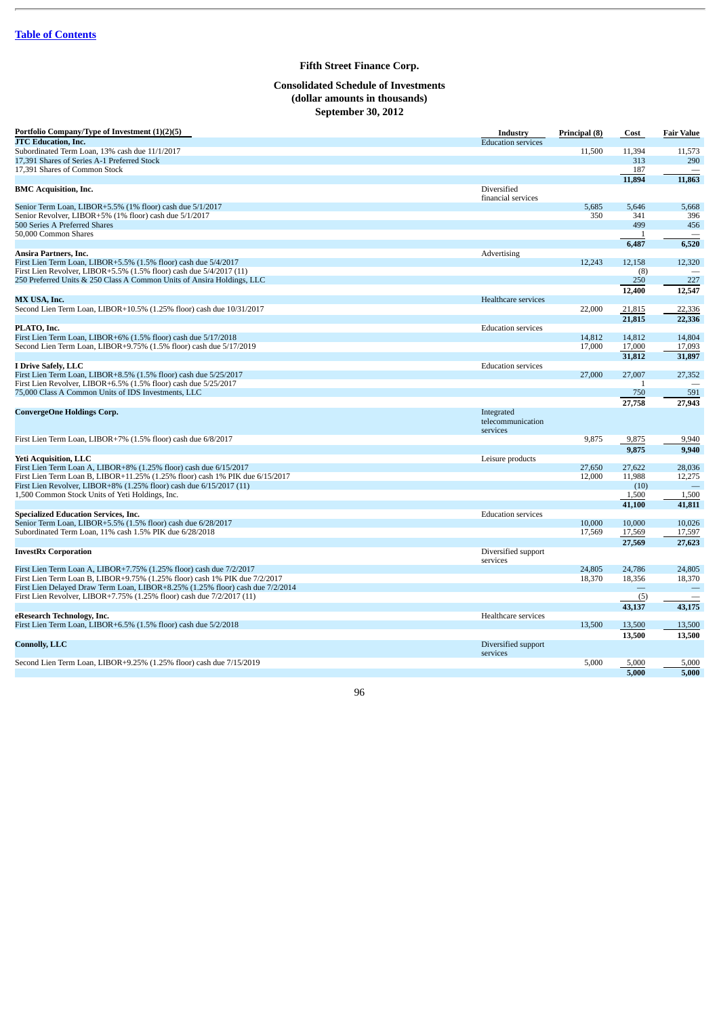## **Consolidated Schedule of Investments (dollar amounts in thousands) September 30, 2012**

| Portfolio Company/Type of Investment (1)(2)(5)                                                                                                      | Industry                          | Principal (8) | Cost             | <b>Fair Value</b> |
|-----------------------------------------------------------------------------------------------------------------------------------------------------|-----------------------------------|---------------|------------------|-------------------|
| <b>JTC Education, Inc.</b>                                                                                                                          | <b>Education services</b>         |               |                  |                   |
| Subordinated Term Loan, 13% cash due 11/1/2017                                                                                                      |                                   | 11,500        | 11,394           | 11,573            |
| 17,391 Shares of Series A-1 Preferred Stock                                                                                                         |                                   |               | 313              | 290               |
| 17,391 Shares of Common Stock                                                                                                                       |                                   |               | 187              |                   |
|                                                                                                                                                     |                                   |               | 11,894           | 11,863            |
| <b>BMC Acquisition, Inc.</b>                                                                                                                        | Diversified<br>financial services |               |                  |                   |
| Senior Term Loan, LIBOR+5.5% (1% floor) cash due 5/1/2017                                                                                           |                                   | 5,685         | 5,646            | 5,668             |
| Senior Revolver, LIBOR+5% (1% floor) cash due 5/1/2017                                                                                              |                                   | 350           | 341              | 396               |
| 500 Series A Preferred Shares                                                                                                                       |                                   |               | 499              | 456               |
| 50,000 Common Shares                                                                                                                                |                                   |               | -1               |                   |
|                                                                                                                                                     |                                   |               | 6.487            | 6,520             |
| Ansira Partners, Inc.                                                                                                                               | Advertising                       |               |                  |                   |
| First Lien Term Loan, LIBOR+5.5% (1.5% floor) cash due 5/4/2017                                                                                     |                                   | 12,243        | 12,158           | 12,320            |
| First Lien Revolver, LIBOR+5.5% (1.5% floor) cash due 5/4/2017 (11)                                                                                 |                                   |               | (8)              |                   |
| 250 Preferred Units & 250 Class A Common Units of Ansira Holdings, LLC                                                                              |                                   |               | 250              | 227               |
|                                                                                                                                                     |                                   |               | 12,400           | 12,547            |
| MX USA, Inc.                                                                                                                                        | Healthcare services               |               |                  |                   |
| Second Lien Term Loan, LIBOR+10.5% (1.25% floor) cash due 10/31/2017                                                                                |                                   | 22,000        | 21,815           | 22,336            |
|                                                                                                                                                     |                                   |               | 21,815           | 22,336            |
| PLATO, Inc.                                                                                                                                         | <b>Education services</b>         |               |                  |                   |
| First Lien Term Loan, LIBOR+6% (1.5% floor) cash due 5/17/2018                                                                                      |                                   | 14,812        | 14,812           | 14,804            |
| Second Lien Term Loan, LIBOR+9.75% (1.5% floor) cash due 5/17/2019                                                                                  |                                   | 17,000        | 17,000           | 17,093            |
|                                                                                                                                                     |                                   |               | 31,812           | 31,897            |
| I Drive Safely, LLC                                                                                                                                 | <b>Education services</b>         |               |                  |                   |
| First Lien Term Loan, LIBOR+8.5% (1.5% floor) cash due 5/25/2017                                                                                    |                                   | 27,000        | 27,007           | 27,352            |
| First Lien Revolver, LIBOR+6.5% (1.5% floor) cash due 5/25/2017                                                                                     |                                   |               | 1                |                   |
| 75,000 Class A Common Units of IDS Investments, LLC                                                                                                 |                                   |               | 750              | 591               |
|                                                                                                                                                     |                                   |               | 27,758           | 27,943            |
| <b>ConvergeOne Holdings Corp.</b>                                                                                                                   | Integrated<br>telecommunication   |               |                  |                   |
| First Lien Term Loan, LIBOR+7% (1.5% floor) cash due 6/8/2017                                                                                       | services                          | 9,875         | 9,875            | 9,940             |
|                                                                                                                                                     |                                   |               |                  |                   |
|                                                                                                                                                     |                                   |               | 9,875            | 9,940             |
| <b>Yeti Acquisition, LLC</b>                                                                                                                        | Leisure products                  |               |                  |                   |
| First Lien Term Loan A, LIBOR+8% (1.25% floor) cash due 6/15/2017                                                                                   |                                   | 27,650        | 27,622<br>11,988 | 28,036            |
| First Lien Term Loan B, LIBOR+11.25% (1.25% floor) cash 1% PIK due 6/15/2017<br>First Lien Revolver, LIBOR+8% (1.25% floor) cash due 6/15/2017 (11) |                                   | 12,000        | (10)             | 12,275            |
| 1,500 Common Stock Units of Yeti Holdings, Inc.                                                                                                     |                                   |               | 1,500            | 1,500             |
|                                                                                                                                                     |                                   |               |                  |                   |
|                                                                                                                                                     |                                   |               | 41,100           | 41,811            |
| <b>Specialized Education Services, Inc.</b><br>Senior Term Loan, LIBOR+5.5% (1.5% floor) cash due 6/28/2017                                         | <b>Education services</b>         | 10,000        | 10,000           | 10,026            |
| Subordinated Term Loan, 11% cash 1.5% PIK due 6/28/2018                                                                                             |                                   | 17,569        | 17,569           | 17,597            |
|                                                                                                                                                     |                                   |               |                  |                   |
|                                                                                                                                                     |                                   |               | 27,569           | 27,623            |
| <b>InvestRx Corporation</b>                                                                                                                         | Diversified support<br>services   |               |                  |                   |
| First Lien Term Loan A, LIBOR+7.75% (1.25% floor) cash due 7/2/2017                                                                                 |                                   | 24,805        | 24,786           | 24,805            |
| First Lien Term Loan B, LIBOR+9.75% (1.25% floor) cash 1% PIK due 7/2/2017                                                                          |                                   | 18,370        | 18,356           | 18,370            |
| First Lien Delayed Draw Term Loan, LIBOR+8.25% (1.25% floor) cash due 7/2/2014                                                                      |                                   |               |                  |                   |
| First Lien Revolver, LIBOR+7.75% (1.25% floor) cash due 7/2/2017 (11)                                                                               |                                   |               | (5)              |                   |
|                                                                                                                                                     |                                   |               | 43,137           | 43,175            |
| eResearch Technology, Inc.                                                                                                                          | Healthcare services               |               |                  |                   |
| First Lien Term Loan, LIBOR+6.5% (1.5% floor) cash due 5/2/2018                                                                                     |                                   | 13,500        | 13,500           | 13,500            |
|                                                                                                                                                     |                                   |               | 13,500           | 13,500            |
| <b>Connolly, LLC</b>                                                                                                                                | Diversified support<br>services   |               |                  |                   |
| Second Lien Term Loan, LIBOR+9.25% (1.25% floor) cash due 7/15/2019                                                                                 |                                   | 5,000         | 5,000            | 5,000             |
|                                                                                                                                                     |                                   |               | 5,000            | 5.000             |
|                                                                                                                                                     |                                   |               |                  |                   |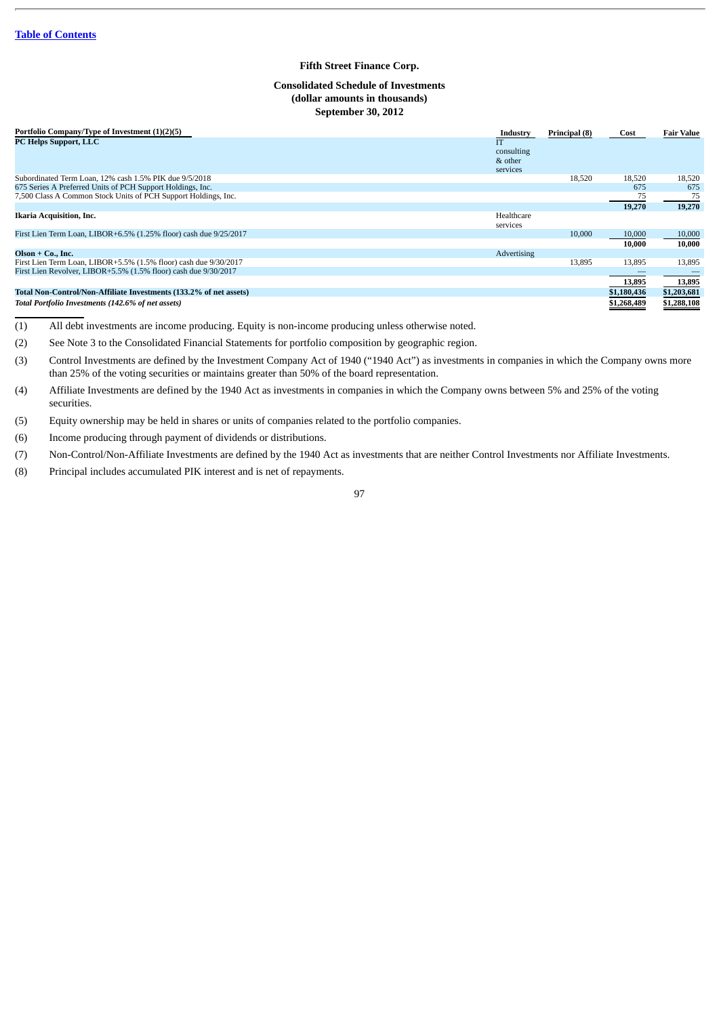#### **Consolidated Schedule of Investments (dollar amounts in thousands) September 30, 2012**

| Portfolio Company/Type of Investment (1)(2)(5)                     | Industry                                       | Principal (8) | Cost        | <b>Fair Value</b> |
|--------------------------------------------------------------------|------------------------------------------------|---------------|-------------|-------------------|
| <b>PC Helps Support, LLC</b>                                       | <b>IT</b><br>consulting<br>& other<br>services |               |             |                   |
| Subordinated Term Loan, 12% cash 1.5% PIK due 9/5/2018             |                                                | 18,520        | 18,520      | 18,520            |
| 675 Series A Preferred Units of PCH Support Holdings, Inc.         |                                                |               | 675         | 675               |
| 7,500 Class A Common Stock Units of PCH Support Holdings, Inc.     |                                                |               | 75          | 75                |
|                                                                    |                                                |               | 19,270      | 19,270            |
| <b>Ikaria Acquisition, Inc.</b>                                    | Healthcare<br>services                         |               |             |                   |
| First Lien Term Loan, LIBOR+6.5% (1.25% floor) cash due 9/25/2017  |                                                | 10,000        | 10,000      | 10,000            |
|                                                                    |                                                |               | 10,000      | 10,000            |
| $Olson + Co., Inc.$                                                | Advertising                                    |               |             |                   |
| First Lien Term Loan, LIBOR+5.5% (1.5% floor) cash due 9/30/2017   |                                                | 13,895        | 13,895      | 13,895            |
| First Lien Revolver, LIBOR+5.5% (1.5% floor) cash due 9/30/2017    |                                                |               |             |                   |
|                                                                    |                                                |               | 13,895      | 13,895            |
| Total Non-Control/Non-Affiliate Investments (133.2% of net assets) |                                                |               | \$1,180,436 | \$1,203,681       |
| Total Portfolio Investments (142.6% of net assets)                 |                                                |               | \$1,268,489 | \$1,288,108       |

(1) All debt investments are income producing. Equity is non-income producing unless otherwise noted.

(2) See Note 3 to the Consolidated Financial Statements for portfolio composition by geographic region.

(3) Control Investments are defined by the Investment Company Act of 1940 ("1940 Act") as investments in companies in which the Company owns more than 25% of the voting securities or maintains greater than 50% of the board representation.

(4) Affiliate Investments are defined by the 1940 Act as investments in companies in which the Company owns between 5% and 25% of the voting securities.

(5) Equity ownership may be held in shares or units of companies related to the portfolio companies.

(6) Income producing through payment of dividends or distributions.

(7) Non-Control/Non-Affiliate Investments are defined by the 1940 Act as investments that are neither Control Investments nor Affiliate Investments.

(8) Principal includes accumulated PIK interest and is net of repayments.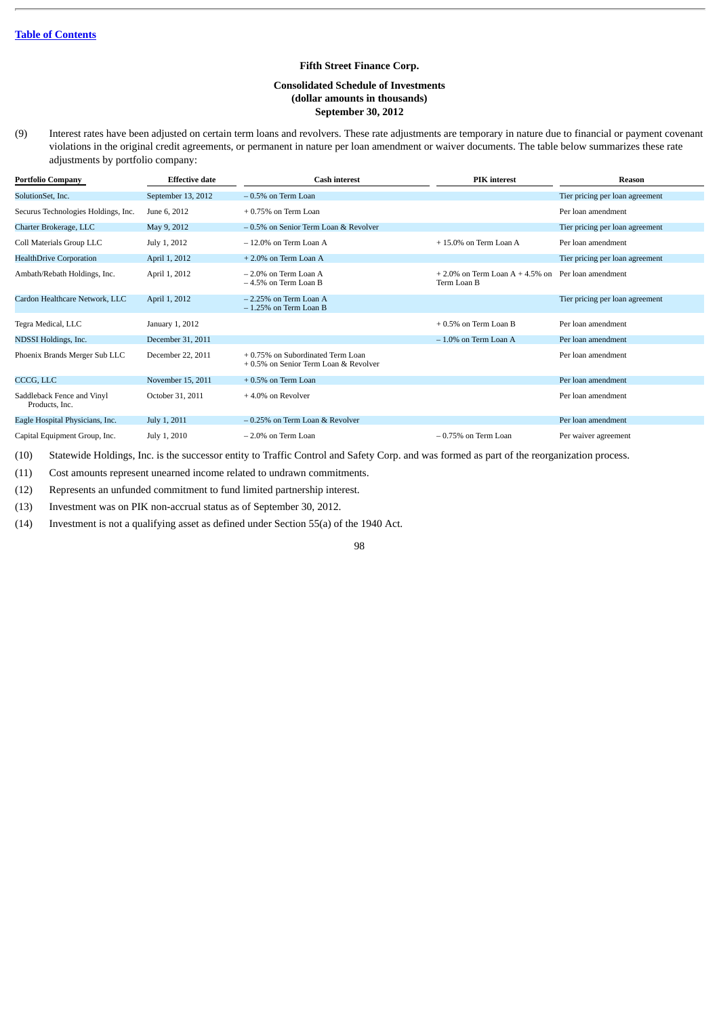#### **Consolidated Schedule of Investments (dollar amounts in thousands) September 30, 2012**

(9) Interest rates have been adjusted on certain term loans and revolvers. These rate adjustments are temporary in nature due to financial or payment covenant violations in the original credit agreements, or permanent in nature per loan amendment or waiver documents. The table below summarizes these rate adjustments by portfolio company:

| <b>Portfolio Company</b>                     | <b>Effective date</b> | <b>Cash interest</b>                                                       | <b>PIK</b> interest                                | Reason                          |
|----------------------------------------------|-----------------------|----------------------------------------------------------------------------|----------------------------------------------------|---------------------------------|
| SolutionSet, Inc.                            | September 13, 2012    | $-0.5\%$ on Term Loan                                                      |                                                    | Tier pricing per loan agreement |
| Securus Technologies Holdings, Inc.          | June 6, 2012          | $+0.75\%$ on Term Loan                                                     |                                                    | Per loan amendment              |
| Charter Brokerage, LLC                       | May 9, 2012           | - 0.5% on Senior Term Loan & Revolver                                      |                                                    | Tier pricing per loan agreement |
| Coll Materials Group LLC                     | July 1, 2012          | $-12.0\%$ on Term Loan A                                                   | $+15.0\%$ on Term Loan A                           | Per loan amendment              |
| <b>HealthDrive Corporation</b>               | April 1, 2012         | $+2.0\%$ on Term Loan A                                                    |                                                    | Tier pricing per loan agreement |
| Ambath/Rebath Holdings, Inc.                 | April 1, 2012         | $-2.0\%$ on Term Loan A<br>$-4.5%$ on Term Loan B                          | $+2.0\%$ on Term Loan A $+4.5\%$ on<br>Term Loan B | Per loan amendment              |
| Cardon Healthcare Network, LLC               | April 1, 2012         | $-2.25%$ on Term Loan A<br>$-1.25\%$ on Term Loan B                        |                                                    | Tier pricing per loan agreement |
| Tegra Medical, LLC                           | January 1, 2012       |                                                                            | $+0.5\%$ on Term Loan B                            | Per loan amendment              |
| NDSSI Holdings, Inc.                         | December 31, 2011     |                                                                            | $-1.0\%$ on Term Loan A                            | Per loan amendment              |
| Phoenix Brands Merger Sub LLC                | December 22, 2011     | + 0.75% on Subordinated Term Loan<br>+ 0.5% on Senior Term Loan & Revolver |                                                    | Per loan amendment              |
| CCCG, LLC                                    | November 15, 2011     | $+0.5\%$ on Term Loan                                                      |                                                    | Per loan amendment              |
| Saddleback Fence and Vinyl<br>Products, Inc. | October 31, 2011      | $+4.0\%$ on Revolver                                                       |                                                    | Per loan amendment              |
| Eagle Hospital Physicians, Inc.              | July 1, 2011          | - 0.25% on Term Loan & Revolver                                            |                                                    | Per loan amendment              |
| Capital Equipment Group, Inc.                | July 1, 2010          | $-2.0\%$ on Term Loan                                                      | $-0.75%$ on Term Loan                              | Per waiver agreement            |

(10) Statewide Holdings, Inc. is the successor entity to Traffic Control and Safety Corp. and was formed as part of the reorganization process.

(11) Cost amounts represent unearned income related to undrawn commitments.

(12) Represents an unfunded commitment to fund limited partnership interest.

(13) Investment was on PIK non-accrual status as of September 30, 2012.

(14) Investment is not a qualifying asset as defined under Section 55(a) of the 1940 Act.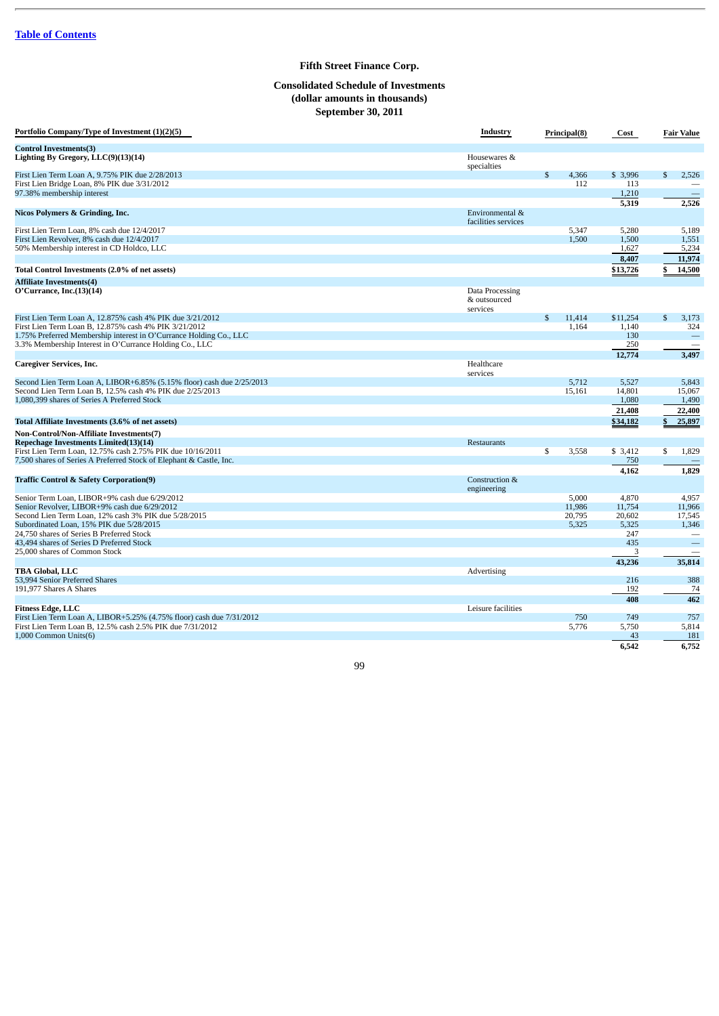## **Consolidated Schedule of Investments (dollar amounts in thousands) September 30, 2011**

| Portfolio Company/Type of Investment (1)(2)(5)                        | Industry                                    |              | Principal(8) | Cost     |              | <b>Fair Value</b>        |
|-----------------------------------------------------------------------|---------------------------------------------|--------------|--------------|----------|--------------|--------------------------|
| <b>Control Investments(3)</b>                                         |                                             |              |              |          |              |                          |
| Lighting By Gregory, LLC(9)(13)(14)                                   | Housewares &<br>specialties                 |              |              |          |              |                          |
| First Lien Term Loan A, 9.75% PIK due 2/28/2013                       |                                             | $\mathbb{S}$ | 4,366        | \$3,996  | $\mathbb{S}$ | 2,526                    |
| First Lien Bridge Loan, 8% PIK due 3/31/2012                          |                                             |              | 112          | 113      |              |                          |
| 97.38% membership interest                                            |                                             |              |              | 1,210    |              |                          |
|                                                                       |                                             |              |              | 5,319    |              | 2,526                    |
| Nicos Polymers & Grinding, Inc.                                       | Environmental &<br>facilities services      |              |              |          |              |                          |
| First Lien Term Loan, 8% cash due 12/4/2017                           |                                             |              | 5,347        | 5,280    |              | 5,189                    |
| First Lien Revolver, 8% cash due 12/4/2017                            |                                             |              | 1,500        | 1,500    |              | 1,551                    |
| 50% Membership interest in CD Holdco, LLC                             |                                             |              |              | 1,627    |              | 5,234                    |
|                                                                       |                                             |              |              | 8,407    |              | 11,974                   |
| Total Control Investments (2.0% of net assets)                        |                                             |              |              | \$13,726 |              | 14,500                   |
|                                                                       |                                             |              |              |          |              |                          |
| <b>Affiliate Investments(4)</b>                                       |                                             |              |              |          |              |                          |
| O'Currance, Inc.(13)(14)                                              | Data Processing<br>& outsourced<br>services |              |              |          |              |                          |
| First Lien Term Loan A, 12.875% cash 4% PIK due 3/21/2012             |                                             | \$           | 11,414       | \$11,254 | \$           | 3,173                    |
| First Lien Term Loan B, 12.875% cash 4% PIK 3/21/2012                 |                                             |              | 1,164        | 1,140    |              | 324                      |
| 1.75% Preferred Membership interest in O'Currance Holding Co., LLC    |                                             |              |              | 130      |              | $\overline{\phantom{m}}$ |
| 3.3% Membership Interest in O'Currance Holding Co., LLC               |                                             |              |              | 250      |              |                          |
|                                                                       |                                             |              |              | 12,774   |              | 3.497                    |
| <b>Caregiver Services, Inc.</b>                                       | Healthcare                                  |              |              |          |              |                          |
|                                                                       | services                                    |              |              |          |              |                          |
| Second Lien Term Loan A, LIBOR+6.85% (5.15% floor) cash due 2/25/2013 |                                             |              | 5.712        | 5,527    |              | 5,843                    |
| Second Lien Term Loan B, 12.5% cash 4% PIK due 2/25/2013              |                                             |              | 15.161       | 14.801   |              | 15,067                   |
| 1,080,399 shares of Series A Preferred Stock                          |                                             |              |              | 1,080    |              | 1,490                    |
|                                                                       |                                             |              |              | 21,408   |              | 22,400                   |
|                                                                       |                                             |              |              |          | \$           | 25,897                   |
| Total Affiliate Investments (3.6% of net assets)                      |                                             |              |              | \$34,182 |              |                          |
| Non-Control/Non-Affiliate Investments(7)                              |                                             |              |              |          |              |                          |
| Repechage Investments Limited(13)(14)                                 | Restaurants                                 |              |              |          |              |                          |
| First Lien Term Loan, 12.75% cash 2.75% PIK due 10/16/2011            |                                             | \$           | 3,558        | \$ 3,412 | \$           | 1,829                    |
| 7,500 shares of Series A Preferred Stock of Elephant & Castle, Inc.   |                                             |              |              | 750      |              |                          |
|                                                                       |                                             |              |              | 4,162    |              | 1,829                    |
| <b>Traffic Control &amp; Safety Corporation(9)</b>                    | Construction &                              |              |              |          |              |                          |
|                                                                       | engineering                                 |              |              |          |              |                          |
| Senior Term Loan, LIBOR+9% cash due 6/29/2012                         |                                             |              | 5,000        | 4,870    |              | 4,957                    |
| Senior Revolver, LIBOR+9% cash due 6/29/2012                          |                                             |              | 11,986       | 11,754   |              | 11,966                   |
| Second Lien Term Loan, 12% cash 3% PIK due 5/28/2015                  |                                             |              | 20,795       | 20,602   |              | 17,545                   |
| Subordinated Loan, 15% PIK due 5/28/2015                              |                                             |              | 5,325        | 5,325    |              | 1,346                    |
| 24,750 shares of Series B Preferred Stock                             |                                             |              |              | 247      |              |                          |
| 43,494 shares of Series D Preferred Stock                             |                                             |              |              | 435      |              |                          |
| 25,000 shares of Common Stock                                         |                                             |              |              | 3        |              |                          |
|                                                                       |                                             |              |              | 43,236   |              | 35,814                   |
| TBA Global, LLC                                                       | Advertising                                 |              |              |          |              |                          |
| 53,994 Senior Preferred Shares                                        |                                             |              |              | 216      |              | 388                      |
| 191.977 Shares A Shares                                               |                                             |              |              | 192      |              | 74                       |
|                                                                       |                                             |              |              | 408      |              | 462                      |
| <b>Fitness Edge, LLC</b>                                              | Leisure facilities                          |              |              |          |              |                          |
| First Lien Term Loan A, LIBOR+5.25% (4.75% floor) cash due 7/31/2012  |                                             |              | 750          | 749      |              | 757                      |
| First Lien Term Loan B, 12.5% cash 2.5% PIK due 7/31/2012             |                                             |              | 5,776        | 5,750    |              | 5,814                    |
| 1,000 Common Units(6)                                                 |                                             |              |              | 43       |              | 181                      |
|                                                                       |                                             |              |              | 6,542    |              | 6,752                    |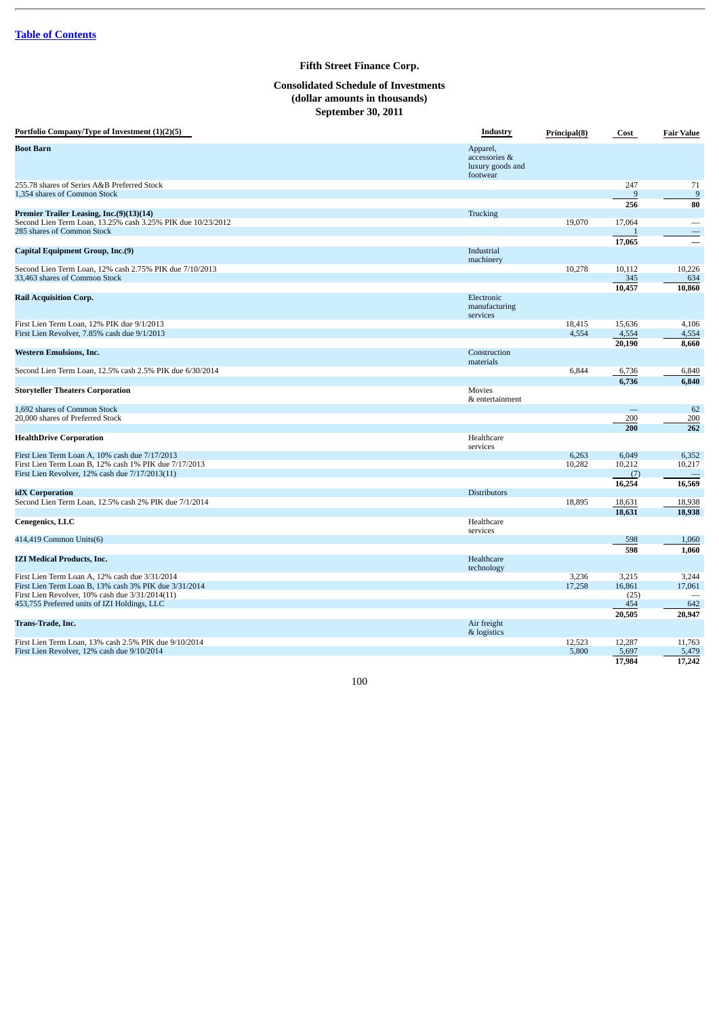## **Consolidated Schedule of Investments (dollar amounts in thousands) September 30, 2011**

| Portfolio Company/Type of Investment (1)(2)(5)              | Industry                                                  | Principal(8) | Cost           | <b>Fair Value</b>        |
|-------------------------------------------------------------|-----------------------------------------------------------|--------------|----------------|--------------------------|
| <b>Boot Barn</b>                                            | Apparel,<br>accessories &<br>luxury goods and<br>footwear |              |                |                          |
| 255.78 shares of Series A&B Preferred Stock                 |                                                           |              | 247            | 71                       |
| 1,354 shares of Common Stock                                |                                                           |              | 9              | $9$                      |
|                                                             |                                                           |              | 256            | 80                       |
| Premier Trailer Leasing, Inc.(9)(13)(14)                    | Trucking                                                  |              |                |                          |
| Second Lien Term Loan, 13.25% cash 3.25% PIK due 10/23/2012 |                                                           | 19,070       | 17,064         |                          |
| 285 shares of Common Stock                                  |                                                           |              | $\overline{1}$ |                          |
|                                                             |                                                           |              | 17,065         | $\overline{\phantom{0}}$ |
| Capital Equipment Group, Inc.(9)                            | Industrial                                                |              |                |                          |
|                                                             | machinery                                                 |              |                |                          |
| Second Lien Term Loan, 12% cash 2.75% PIK due 7/10/2013     |                                                           | 10,278       | 10,112         | 10,226                   |
| 33,463 shares of Common Stock                               |                                                           |              | 345            | 634                      |
|                                                             |                                                           |              | 10,457         | 10,860                   |
| <b>Rail Acquisition Corp.</b>                               | Electronic                                                |              |                |                          |
|                                                             | manufacturing                                             |              |                |                          |
|                                                             | services                                                  |              |                |                          |
| First Lien Term Loan, 12% PIK due 9/1/2013                  |                                                           | 18,415       | 15,636         | 4,106                    |
| First Lien Revolver, 7.85% cash due 9/1/2013                |                                                           | 4,554        | 4,554          | 4,554                    |
|                                                             |                                                           |              | 20,190         | 8,660                    |
| <b>Western Emulsions, Inc.</b>                              | Construction                                              |              |                |                          |
|                                                             | materials                                                 |              |                |                          |
| Second Lien Term Loan, 12.5% cash 2.5% PIK due 6/30/2014    |                                                           | 6,844        | 6,736          | 6,840                    |
|                                                             |                                                           |              | 6,736          | 6,840                    |
| <b>Storyteller Theaters Corporation</b>                     | Movies                                                    |              |                |                          |
|                                                             | & entertainment                                           |              |                |                          |
| 1,692 shares of Common Stock                                |                                                           |              |                | 62                       |
| 20,000 shares of Preferred Stock                            |                                                           |              | 200            | 200                      |
|                                                             |                                                           |              |                |                          |
|                                                             | Healthcare                                                |              | 200            | 262                      |
| <b>HealthDrive Corporation</b>                              | services                                                  |              |                |                          |
| First Lien Term Loan A, 10% cash due 7/17/2013              |                                                           | 6,263        | 6,049          | 6,352                    |
| First Lien Term Loan B, 12% cash 1% PIK due 7/17/2013       |                                                           | 10,282       | 10,212         | 10,217                   |
| First Lien Revolver, 12% cash due 7/17/2013(11)             |                                                           |              |                |                          |
|                                                             |                                                           |              | (7)            |                          |
|                                                             |                                                           |              | 16,254         | 16,569                   |
| idX Corporation                                             | Distributors                                              |              |                |                          |
| Second Lien Term Loan, 12.5% cash 2% PIK due 7/1/2014       |                                                           | 18,895       | 18,631         | 18,938                   |
|                                                             |                                                           |              | 18,631         | 18,938                   |
| Cenegenics, LLC                                             | Healthcare                                                |              |                |                          |
|                                                             | services                                                  |              |                |                          |
| 414,419 Common Units(6)                                     |                                                           |              | 598            | 1,060                    |
|                                                             |                                                           |              | 598            | 1,060                    |
| <b>IZI Medical Products, Inc.</b>                           | Healthcare                                                |              |                |                          |
|                                                             | technology                                                |              |                |                          |
| First Lien Term Loan A, 12% cash due 3/31/2014              |                                                           | 3,236        | 3,215          | 3,244                    |
| First Lien Term Loan B, 13% cash 3% PIK due 3/31/2014       |                                                           | 17,258       | 16,861         | 17,061                   |
| First Lien Revolver, 10% cash due 3/31/2014(11)             |                                                           |              | (25)           |                          |
| 453,755 Preferred units of IZI Holdings, LLC                |                                                           |              | 454            | 642                      |
|                                                             |                                                           |              | 20,505         | 20,947                   |
| Trans-Trade, Inc.                                           | Air freight                                               |              |                |                          |
|                                                             | & logistics                                               |              |                |                          |
| First Lien Term Loan, 13% cash 2.5% PIK due 9/10/2014       |                                                           | 12,523       | 12,287         | 11,763                   |
| First Lien Revolver, 12% cash due 9/10/2014                 |                                                           | 5,800        | 5,697          | 5,479                    |
|                                                             |                                                           |              | 17,984         | 17,242                   |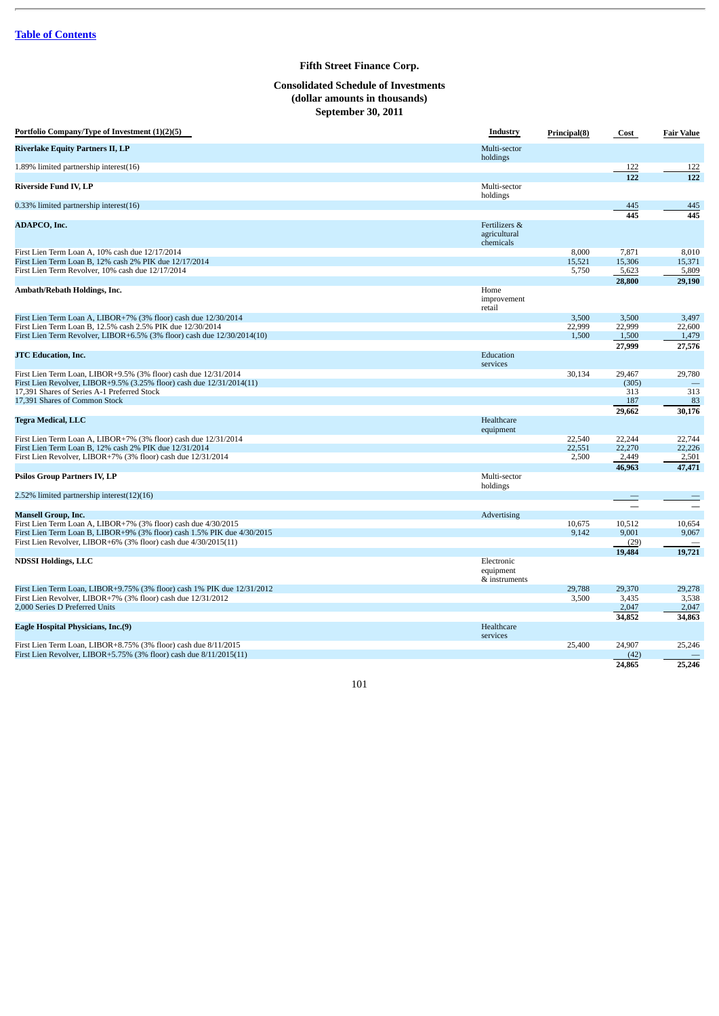## **Consolidated Schedule of Investments (dollar amounts in thousands) September 30, 2011**

| Portfolio Company/Type of Investment (1)(2)(5)                                                                                           | <b>Industry</b>                            | Principal(8) | Cost            | <b>Fair Value</b> |
|------------------------------------------------------------------------------------------------------------------------------------------|--------------------------------------------|--------------|-----------------|-------------------|
| <b>Riverlake Equity Partners II, LP</b>                                                                                                  | Multi-sector<br>holdings                   |              |                 |                   |
| 1.89% limited partnership interest(16)                                                                                                   |                                            |              | 122             | 122               |
| <b>Riverside Fund IV, LP</b>                                                                                                             | Multi-sector<br>holdings                   |              | 122             | 122               |
| 0.33% limited partnership interest(16)                                                                                                   |                                            |              | 445             | 445               |
|                                                                                                                                          |                                            |              | 445             | 445               |
| ADAPCO, Inc.                                                                                                                             | Fertilizers &<br>agricultural<br>chemicals |              |                 |                   |
| First Lien Term Loan A, 10% cash due 12/17/2014                                                                                          |                                            | 8,000        | 7,871           | 8,010             |
| First Lien Term Loan B, 12% cash 2% PIK due 12/17/2014                                                                                   |                                            | 15,521       | 15,306          | 15,371            |
| First Lien Term Revolver, 10% cash due 12/17/2014                                                                                        |                                            | 5,750        | 5,623           | 5,809             |
| Ambath/Rebath Holdings, Inc.                                                                                                             | Home<br>improvement<br>retail              |              | 28,800          | 29,190            |
| First Lien Term Loan A, LIBOR+7% (3% floor) cash due 12/30/2014                                                                          |                                            | 3,500        | 3,500           | 3,497             |
| First Lien Term Loan B, 12.5% cash 2.5% PIK due 12/30/2014                                                                               |                                            | 22,999       | 22,999          | 22,600            |
| First Lien Term Revolver, LIBOR+6.5% (3% floor) cash due 12/30/2014(10)                                                                  |                                            | 1,500        | 1,500           | 1,479             |
|                                                                                                                                          |                                            |              | 27,999          | 27,576            |
| <b>JTC Education, Inc.</b>                                                                                                               | Education                                  |              |                 |                   |
|                                                                                                                                          | services                                   |              |                 |                   |
| First Lien Term Loan, LIBOR+9.5% (3% floor) cash due 12/31/2014<br>First Lien Revolver, LIBOR+9.5% (3.25% floor) cash due 12/31/2014(11) |                                            | 30,134       | 29,467<br>(305) | 29,780            |
| 17,391 Shares of Series A-1 Preferred Stock                                                                                              |                                            |              | 313             | 313               |
| 17,391 Shares of Common Stock                                                                                                            |                                            |              | 187             | 83                |
|                                                                                                                                          |                                            |              | 29,662          | 30,176            |
| <b>Tegra Medical, LLC</b>                                                                                                                | Healthcare<br>equipment                    |              |                 |                   |
| First Lien Term Loan A, LIBOR+7% (3% floor) cash due 12/31/2014                                                                          |                                            | 22,540       | 22,244          | 22,744            |
| First Lien Term Loan B, 12% cash 2% PIK due 12/31/2014                                                                                   |                                            | 22,551       | 22,270          | 22,226            |
| First Lien Revolver, LIBOR+7% (3% floor) cash due 12/31/2014                                                                             |                                            | 2,500        | 2,449           | 2,501             |
| <b>Psilos Group Partners IV, LP</b>                                                                                                      | Multi-sector<br>holdings                   |              | 46,963          | 47,471            |
| 2.52% limited partnership interest(12)(16)                                                                                               |                                            |              |                 |                   |
|                                                                                                                                          |                                            |              |                 |                   |
| <b>Mansell Group, Inc.</b>                                                                                                               | Advertising                                |              |                 |                   |
| First Lien Term Loan A, LIBOR+7% (3% floor) cash due 4/30/2015                                                                           |                                            | 10,675       | 10,512          | 10,654            |
| First Lien Term Loan B, LIBOR+9% (3% floor) cash 1.5% PIK due 4/30/2015                                                                  |                                            | 9,142        | 9,001           | 9,067             |
| First Lien Revolver, LIBOR+6% (3% floor) cash due 4/30/2015(11)                                                                          |                                            |              | (29)            |                   |
| <b>NDSSI Holdings, LLC</b>                                                                                                               | Electronic                                 |              | 19,484          | 19,721            |
|                                                                                                                                          | equipment<br>& instruments                 |              |                 |                   |
| First Lien Term Loan, LIBOR+9.75% (3% floor) cash 1% PIK due 12/31/2012                                                                  |                                            | 29,788       | 29,370          | 29,278            |
| First Lien Revolver, LIBOR+7% (3% floor) cash due 12/31/2012                                                                             |                                            | 3,500        | 3,435           | 3,538             |
| 2,000 Series D Preferred Units                                                                                                           |                                            |              | 2,047           | 2,047             |
|                                                                                                                                          | Healthcare                                 |              | 34,852          | 34,863            |
| <b>Eagle Hospital Physicians, Inc.(9)</b>                                                                                                | services                                   |              |                 |                   |
| First Lien Term Loan, LIBOR+8.75% (3% floor) cash due 8/11/2015                                                                          |                                            | 25,400       | 24,907          | 25,246            |
| First Lien Revolver, LIBOR+5.75% (3% floor) cash due 8/11/2015(11)                                                                       |                                            |              | (42)            |                   |
|                                                                                                                                          |                                            |              | 24.865          | 25,246            |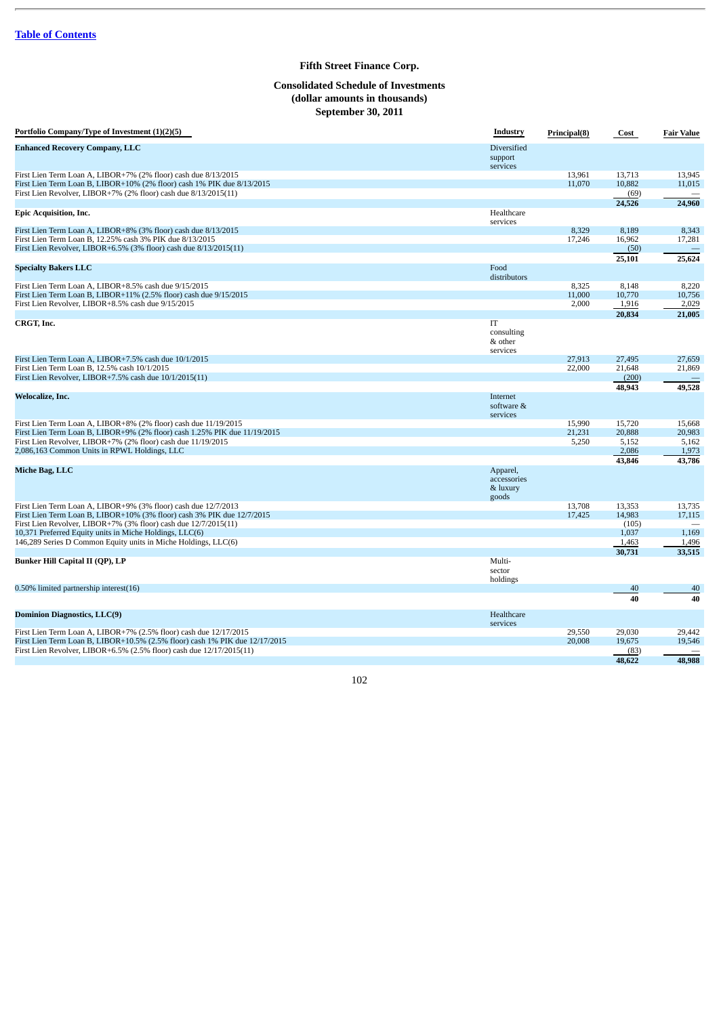## **Consolidated Schedule of Investments (dollar amounts in thousands) September 30, 2011**

| Portfolio Company/Type of Investment (1)(2)(5)                              | Industry                                     | Principal(8) | Cost   | <b>Fair Value</b> |
|-----------------------------------------------------------------------------|----------------------------------------------|--------------|--------|-------------------|
| <b>Enhanced Recovery Company, LLC</b>                                       | Diversified<br>support<br>services           |              |        |                   |
| First Lien Term Loan A, LIBOR+7% (2% floor) cash due 8/13/2015              |                                              | 13,961       | 13,713 | 13,945            |
| First Lien Term Loan B, LIBOR+10% (2% floor) cash 1% PIK due 8/13/2015      |                                              | 11,070       | 10,882 | 11,015            |
| First Lien Revolver, LIBOR+7% (2% floor) cash due 8/13/2015(11)             |                                              |              | (69)   |                   |
|                                                                             |                                              |              | 24,526 | 24,960            |
| <b>Epic Acquisition, Inc.</b>                                               | Healthcare<br>services                       |              |        |                   |
| First Lien Term Loan A, LIBOR+8% (3% floor) cash due 8/13/2015              |                                              | 8,329        | 8,189  | 8,343             |
| First Lien Term Loan B, 12.25% cash 3% PIK due 8/13/2015                    |                                              | 17,246       | 16,962 | 17,281            |
| First Lien Revolver, LIBOR+6.5% (3% floor) cash due 8/13/2015(11)           |                                              |              | (50)   |                   |
|                                                                             |                                              |              | 25,101 | 25,624            |
| <b>Specialty Bakers LLC</b>                                                 | Food<br>distributors                         |              |        |                   |
| First Lien Term Loan A, LIBOR+8.5% cash due 9/15/2015                       |                                              | 8,325        | 8,148  | 8,220             |
| First Lien Term Loan B, LIBOR+11% (2.5% floor) cash due 9/15/2015           |                                              | 11,000       | 10,770 | 10,756            |
| First Lien Revolver, LIBOR+8.5% cash due 9/15/2015                          |                                              | 2,000        | 1,916  | 2,029             |
|                                                                             |                                              |              | 20,834 | 21,005            |
| CRGT, Inc.                                                                  | IT<br>consulting<br>& other<br>services      |              |        |                   |
| First Lien Term Loan A, LIBOR+7.5% cash due 10/1/2015                       |                                              | 27,913       | 27,495 | 27,659            |
| First Lien Term Loan B, 12.5% cash 10/1/2015                                |                                              | 22,000       | 21,648 | 21,869            |
| First Lien Revolver, LIBOR+7.5% cash due 10/1/2015(11)                      |                                              |              | (200)  |                   |
|                                                                             |                                              |              | 48,943 | 49,528            |
| Welocalize, Inc.                                                            | Internet<br>software &<br>services           |              |        |                   |
| First Lien Term Loan A, LIBOR+8% (2% floor) cash due 11/19/2015             |                                              | 15,990       | 15,720 | 15,668            |
| First Lien Term Loan B, LIBOR+9% (2% floor) cash 1.25% PIK due 11/19/2015   |                                              | 21,231       | 20,888 | 20,983            |
| First Lien Revolver, LIBOR+7% (2% floor) cash due 11/19/2015                |                                              | 5,250        | 5,152  | 5,162             |
| 2,086,163 Common Units in RPWL Holdings, LLC                                |                                              |              | 2,086  | 1,973             |
|                                                                             |                                              |              | 43,846 | 43,786            |
| Miche Bag, LLC                                                              | Apparel,<br>accessories<br>& luxury<br>goods |              |        |                   |
| First Lien Term Loan A, LIBOR+9% (3% floor) cash due 12/7/2013              |                                              | 13,708       | 13,353 | 13,735            |
| First Lien Term Loan B, LIBOR+10% (3% floor) cash 3% PIK due 12/7/2015      |                                              | 17,425       | 14,983 | 17,115            |
| First Lien Revolver, LIBOR+7% (3% floor) cash due 12/7/2015(11)             |                                              |              | (105)  |                   |
| 10,371 Preferred Equity units in Miche Holdings, LLC(6)                     |                                              |              | 1,037  | 1,169             |
| 146,289 Series D Common Equity units in Miche Holdings, LLC(6)              |                                              |              | 1,463  | 1,496             |
|                                                                             |                                              |              | 30,731 | 33,515            |
| <b>Bunker Hill Capital II (QP), LP</b>                                      | Multi-<br>sector<br>holdings                 |              |        |                   |
| 0.50% limited partnership interest(16)                                      |                                              |              | 40     | 40                |
|                                                                             |                                              |              | 40     | 40                |
| <b>Dominion Diagnostics, LLC(9)</b>                                         | Healthcare<br>services                       |              |        |                   |
| First Lien Term Loan A, LIBOR+7% (2.5% floor) cash due 12/17/2015           |                                              | 29,550       | 29,030 | 29,442            |
| First Lien Term Loan B, LIBOR+10.5% (2.5% floor) cash 1% PIK due 12/17/2015 |                                              | 20,008       | 19,675 | 19,546            |
| First Lien Revolver, LIBOR+6.5% (2.5% floor) cash due 12/17/2015(11)        |                                              |              | (83)   |                   |
|                                                                             |                                              |              | 48,622 | 48,988            |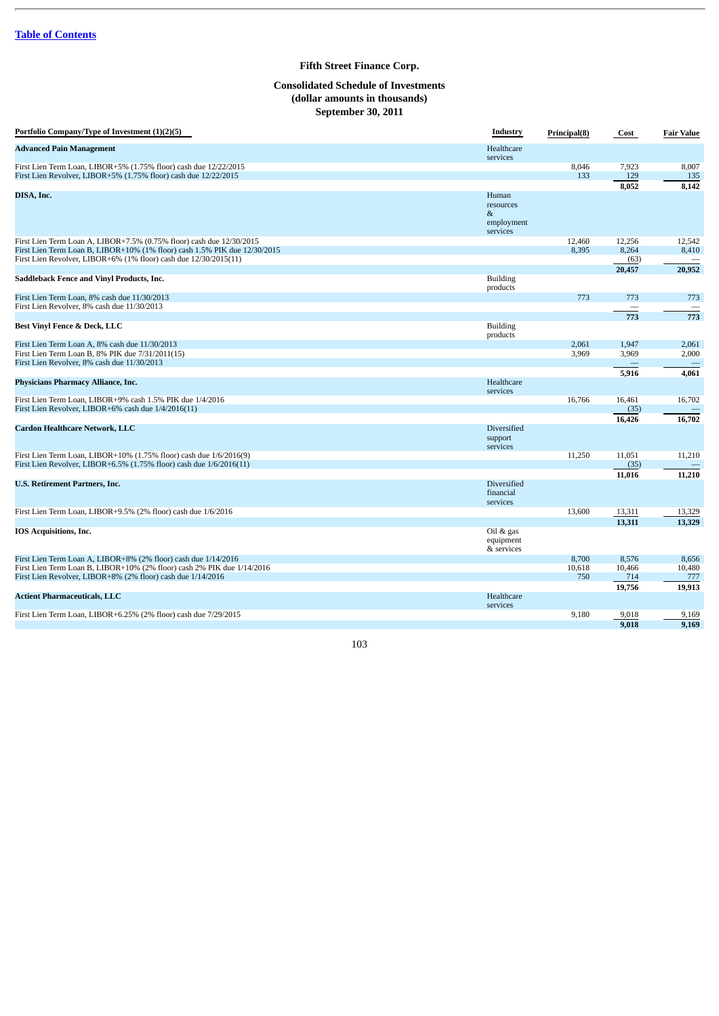## **Consolidated Schedule of Investments (dollar amounts in thousands) September 30, 2011**

| Portfolio Company/Type of Investment (1)(2)(5)                            | <b>Industry</b>                                                | Principal(8) | Cost   | <b>Fair Value</b> |
|---------------------------------------------------------------------------|----------------------------------------------------------------|--------------|--------|-------------------|
| <b>Advanced Pain Management</b>                                           | Healthcare<br>services                                         |              |        |                   |
| First Lien Term Loan, LIBOR+5% (1.75% floor) cash due 12/22/2015          |                                                                | 8,046        | 7,923  | 8,007             |
| First Lien Revolver, LIBOR+5% (1.75% floor) cash due 12/22/2015           |                                                                | 133          | 129    | 135               |
|                                                                           |                                                                |              | 8,052  | 8,142             |
| DISA, Inc.                                                                | Human<br>resources<br>8 <sub>x</sub><br>employment<br>services |              |        |                   |
| First Lien Term Loan A, LIBOR+7.5% (0.75% floor) cash due 12/30/2015      |                                                                | 12,460       | 12,256 | 12,542            |
| First Lien Term Loan B, LIBOR+10% (1% floor) cash 1.5% PIK due 12/30/2015 |                                                                | 8,395        | 8,264  | 8,410             |
| First Lien Revolver, LIBOR+6% (1% floor) cash due 12/30/2015(11)          |                                                                |              | (63)   |                   |
|                                                                           |                                                                |              | 20,457 | 20,952            |
| Saddleback Fence and Vinyl Products, Inc.                                 | Building<br>products                                           |              |        |                   |
| First Lien Term Loan, 8% cash due 11/30/2013                              |                                                                | 773          | 773    | 773               |
| First Lien Revolver, 8% cash due 11/30/2013                               |                                                                |              |        |                   |
| <b>Best Vinyl Fence &amp; Deck, LLC</b>                                   | Building<br>products                                           |              | 773    | 773               |
| First Lien Term Loan A, 8% cash due 11/30/2013                            |                                                                | 2,061        | 1,947  | 2,061             |
| First Lien Term Loan B, 8% PIK due 7/31/2011(15)                          |                                                                | 3,969        | 3,969  | 2,000             |
| First Lien Revolver, 8% cash due 11/30/2013                               |                                                                |              |        |                   |
|                                                                           |                                                                |              | 5,916  | 4,061             |
| Physicians Pharmacy Alliance, Inc.                                        | Healthcare<br>services                                         |              |        |                   |
| First Lien Term Loan, LIBOR+9% cash 1.5% PIK due 1/4/2016                 |                                                                | 16,766       | 16,461 | 16,702            |
| First Lien Revolver, LIBOR+6% cash due 1/4/2016(11)                       |                                                                |              | (35)   |                   |
|                                                                           |                                                                |              | 16,426 | 16,702            |
| <b>Cardon Healthcare Network, LLC</b>                                     | Diversified<br>support<br>services                             |              |        |                   |
| First Lien Term Loan, LIBOR+10% (1.75% floor) cash due 1/6/2016(9)        |                                                                | 11,250       | 11,051 | 11,210            |
| First Lien Revolver, LIBOR+6.5% (1.75% floor) cash due 1/6/2016(11)       |                                                                |              | (35)   |                   |
|                                                                           |                                                                |              | 11,016 | 11,210            |
| U.S. Retirement Partners, Inc.                                            | Diversified<br>financial<br>services                           |              |        |                   |
| First Lien Term Loan, LIBOR+9.5% (2% floor) cash due 1/6/2016             |                                                                | 13,600       | 13,311 | 13,329            |
|                                                                           |                                                                |              | 13,311 | 13.329            |
| <b>IOS Acquisitions, Inc.</b>                                             | $Oil \& gas$<br>equipment<br>& services                        |              |        |                   |
| First Lien Term Loan A, LIBOR+8% (2% floor) cash due 1/14/2016            |                                                                | 8,700        | 8,576  | 8,656             |
| First Lien Term Loan B, LIBOR+10% (2% floor) cash 2% PIK due 1/14/2016    |                                                                | 10,618       | 10,466 | 10,480            |
| First Lien Revolver, LIBOR+8% (2% floor) cash due 1/14/2016               |                                                                | 750          | 714    | 777               |
|                                                                           |                                                                |              | 19,756 | 19,913            |
| <b>Actient Pharmaceuticals, LLC</b>                                       | Healthcare<br>services                                         |              |        |                   |
| First Lien Term Loan, LIBOR+6.25% (2% floor) cash due 7/29/2015           |                                                                | 9,180        | 9,018  | 9,169             |
|                                                                           |                                                                |              | 9.018  | 9,169             |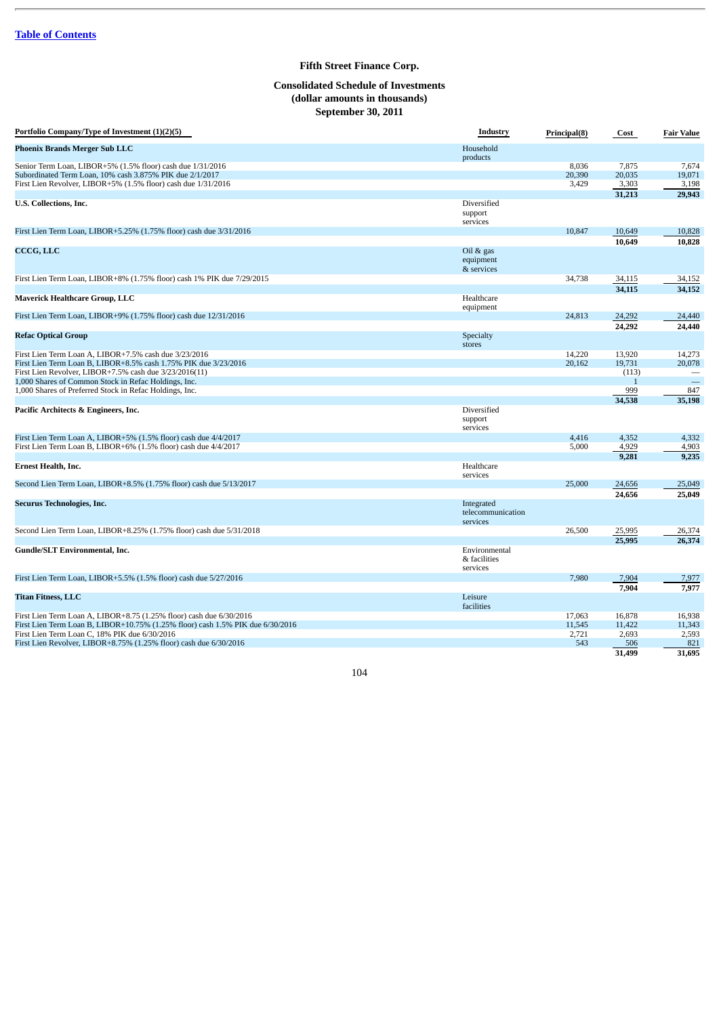## **Consolidated Schedule of Investments (dollar amounts in thousands) September 30, 2011**

| Portfolio Company/Type of Investment (1)(2)(5)                                                                           | <b>Industry</b>               | Principal(8)     | Cost             | <b>Fair Value</b> |
|--------------------------------------------------------------------------------------------------------------------------|-------------------------------|------------------|------------------|-------------------|
| Phoenix Brands Merger Sub LLC                                                                                            | Household<br>products         |                  |                  |                   |
| Senior Term Loan, LIBOR+5% (1.5% floor) cash due 1/31/2016                                                               |                               | 8,036            | 7,875            | 7,674             |
| Subordinated Term Loan, 10% cash 3.875% PIK due 2/1/2017                                                                 |                               | 20,390           | 20,035           | 19,071            |
| First Lien Revolver, LIBOR+5% (1.5% floor) cash due 1/31/2016                                                            |                               | 3,429            | 3,303            | 3,198             |
|                                                                                                                          |                               |                  | 31,213           | 29,943            |
| <b>U.S. Collections, Inc.</b>                                                                                            | Diversified<br>support        |                  |                  |                   |
|                                                                                                                          | services                      |                  |                  |                   |
| First Lien Term Loan, LIBOR+5.25% (1.75% floor) cash due 3/31/2016                                                       |                               | 10.847           | 10,649           | 10,828            |
|                                                                                                                          |                               |                  | 10.649           | 10,828            |
| CCCG, LLC                                                                                                                | Oil $&$ gas                   |                  |                  |                   |
|                                                                                                                          | equipment                     |                  |                  |                   |
|                                                                                                                          | & services                    |                  |                  |                   |
| First Lien Term Loan, LIBOR+8% (1.75% floor) cash 1% PIK due 7/29/2015                                                   |                               | 34,738           | 34,115           | 34,152            |
|                                                                                                                          |                               |                  | 34,115           | 34,152            |
| <b>Maverick Healthcare Group, LLC</b>                                                                                    | Healthcare                    |                  |                  |                   |
|                                                                                                                          | equipment                     |                  |                  |                   |
| First Lien Term Loan, LIBOR+9% (1.75% floor) cash due 12/31/2016                                                         |                               | 24,813           | 24,292           | 24,440            |
|                                                                                                                          |                               |                  | 24,292           | 24,440            |
| <b>Refac Optical Group</b>                                                                                               | Specialty                     |                  |                  |                   |
|                                                                                                                          | stores                        |                  |                  |                   |
| First Lien Term Loan A, LIBOR+7.5% cash due 3/23/2016<br>First Lien Term Loan B, LIBOR+8.5% cash 1.75% PIK due 3/23/2016 |                               | 14,220<br>20.162 | 13,920<br>19,731 | 14,273<br>20,078  |
| First Lien Revolver, LIBOR+7.5% cash due 3/23/2016(11)                                                                   |                               |                  | (113)            |                   |
| 1,000 Shares of Common Stock in Refac Holdings, Inc.                                                                     |                               |                  | $\mathbf{1}$     |                   |
| 1,000 Shares of Preferred Stock in Refac Holdings, Inc.                                                                  |                               |                  | 999              | 847               |
|                                                                                                                          |                               |                  | 34,538           | 35,198            |
| Pacific Architects & Engineers, Inc.                                                                                     | Diversified                   |                  |                  |                   |
|                                                                                                                          | support<br>services           |                  |                  |                   |
| First Lien Term Loan A, LIBOR+5% (1.5% floor) cash due 4/4/2017                                                          |                               | 4,416            | 4,352            | 4,332             |
| First Lien Term Loan B, LIBOR+6% (1.5% floor) cash due 4/4/2017                                                          |                               | 5,000            | 4,929            | 4,903             |
|                                                                                                                          |                               |                  | 9,281            | 9,235             |
| <b>Ernest Health, Inc.</b>                                                                                               | Healthcare                    |                  |                  |                   |
|                                                                                                                          | services                      |                  |                  |                   |
| Second Lien Term Loan, LIBOR+8.5% (1.75% floor) cash due 5/13/2017                                                       |                               | 25,000           | 24,656           | 25,049            |
|                                                                                                                          |                               |                  | 24,656           | 25,049            |
| Securus Technologies, Inc.                                                                                               | Integrated                    |                  |                  |                   |
|                                                                                                                          | telecommunication             |                  |                  |                   |
|                                                                                                                          | services                      |                  |                  |                   |
| Second Lien Term Loan, LIBOR+8.25% (1.75% floor) cash due 5/31/2018                                                      |                               | 26,500           | 25,995           | 26,374            |
|                                                                                                                          |                               |                  | 25,995           | 26,374            |
| Gundle/SLT Environmental, Inc.                                                                                           | Environmental<br>& facilities |                  |                  |                   |
|                                                                                                                          | services                      |                  |                  |                   |
| First Lien Term Loan, LIBOR+5.5% (1.5% floor) cash due 5/27/2016                                                         |                               | 7,980            | 7,904            | 7,977             |
|                                                                                                                          |                               |                  | 7,904            | 7,977             |
| <b>Titan Fitness, LLC</b>                                                                                                | Leisure                       |                  |                  |                   |
|                                                                                                                          | facilities                    |                  |                  |                   |
| First Lien Term Loan A, LIBOR+8.75 (1.25% floor) cash due 6/30/2016                                                      |                               | 17,063           | 16,878           | 16,938            |
| First Lien Term Loan B, LIBOR+10.75% (1.25% floor) cash 1.5% PIK due 6/30/2016                                           |                               | 11,545           | 11,422           | 11,343            |
| First Lien Term Loan C, 18% PIK due 6/30/2016                                                                            |                               | 2,721            | 2,693            | 2,593             |
| First Lien Revolver, LIBOR+8.75% (1.25% floor) cash due 6/30/2016                                                        |                               | 543              | 506              | 821               |
|                                                                                                                          |                               |                  | 31,499           | 31,695            |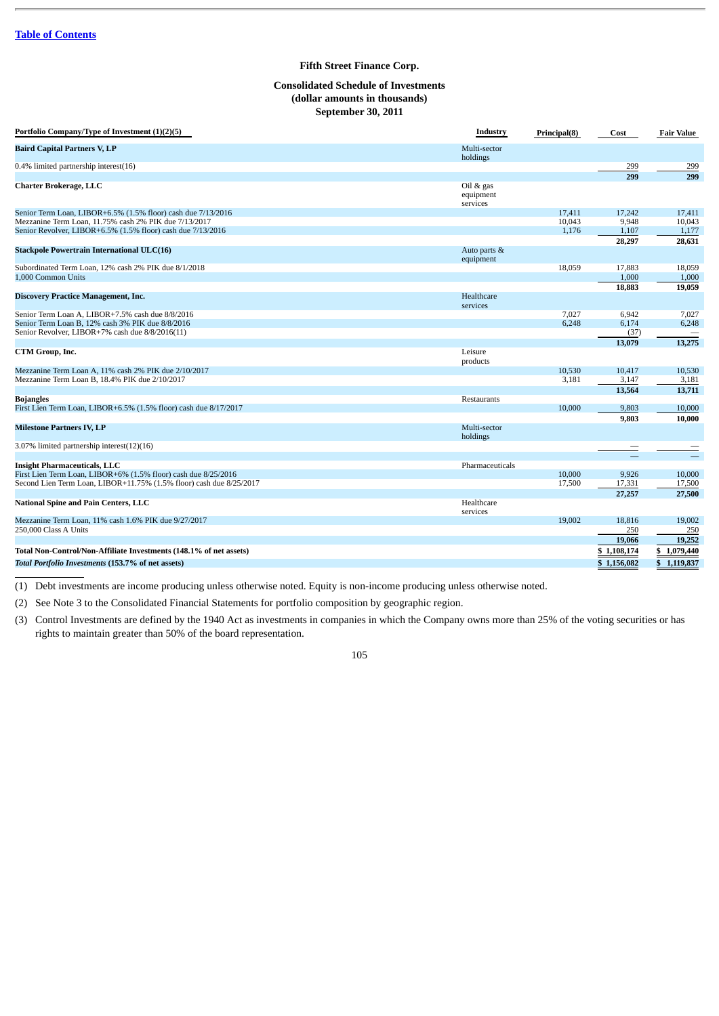### **Consolidated Schedule of Investments (dollar amounts in thousands) September 30, 2011**

| Portfolio Company/Type of Investment (1)(2)(5)                                                        | <b>Industry</b>                    | Principal(8) | Cost        | <b>Fair Value</b> |
|-------------------------------------------------------------------------------------------------------|------------------------------------|--------------|-------------|-------------------|
| <b>Baird Capital Partners V, LP</b>                                                                   | Multi-sector<br>holdings           |              |             |                   |
| 0.4% limited partnership interest(16)                                                                 |                                    |              | 299         | 299               |
|                                                                                                       |                                    |              | 299         | 299               |
| <b>Charter Brokerage, LLC</b>                                                                         | Oil & gas<br>equipment<br>services |              |             |                   |
| Senior Term Loan, LIBOR+6.5% (1.5% floor) cash due 7/13/2016                                          |                                    | 17,411       | 17,242      | 17,411            |
| Mezzanine Term Loan, 11.75% cash 2% PIK due 7/13/2017                                                 |                                    | 10,043       | 9,948       | 10,043            |
| Senior Revolver, LIBOR+6.5% (1.5% floor) cash due 7/13/2016                                           |                                    | 1,176        | 1,107       | 1,177             |
|                                                                                                       |                                    |              | 28,297      | 28,631            |
| <b>Stackpole Powertrain International ULC(16)</b>                                                     | Auto parts &<br>equipment          |              |             |                   |
| Subordinated Term Loan, 12% cash 2% PIK due 8/1/2018                                                  |                                    | 18,059       | 17,883      | 18,059            |
| 1.000 Common Units                                                                                    |                                    |              | 1,000       | 1,000             |
|                                                                                                       |                                    |              | 18,883      | 19,059            |
| <b>Discovery Practice Management, Inc.</b>                                                            | Healthcare<br>services             |              |             |                   |
| Senior Term Loan A, LIBOR+7.5% cash due 8/8/2016                                                      |                                    | 7,027        | 6,942       | 7,027             |
| Senior Term Loan B, 12% cash 3% PIK due 8/8/2016                                                      |                                    | 6,248        | 6,174       | 6,248             |
| Senior Revolver, LIBOR+7% cash due 8/8/2016(11)                                                       |                                    |              | (37)        |                   |
|                                                                                                       |                                    |              | 13,079      | 13,275            |
| CTM Group, Inc.                                                                                       | Leisure<br>products                |              |             |                   |
| Mezzanine Term Loan A, 11% cash 2% PIK due 2/10/2017                                                  |                                    | 10,530       | 10,417      | 10,530            |
| Mezzanine Term Loan B, 18.4% PIK due 2/10/2017                                                        |                                    | 3,181        | 3,147       | 3,181             |
|                                                                                                       |                                    |              | 13,564      | 13,711            |
| <b>Bojangles</b>                                                                                      | Restaurants                        |              |             |                   |
| First Lien Term Loan, LIBOR+6.5% (1.5% floor) cash due 8/17/2017                                      |                                    | 10,000       | 9,803       | 10,000            |
|                                                                                                       |                                    |              | 9.803       | 10.000            |
| <b>Milestone Partners IV, LP</b>                                                                      | Multi-sector                       |              |             |                   |
|                                                                                                       | holdings                           |              |             |                   |
| 3.07% limited partnership interest(12)(16)                                                            |                                    |              |             |                   |
|                                                                                                       |                                    |              |             |                   |
| <b>Insight Pharmaceuticals, LLC</b><br>First Lien Term Loan, LIBOR+6% (1.5% floor) cash due 8/25/2016 | Pharmaceuticals                    | 10,000       | 9,926       | 10,000            |
| Second Lien Term Loan, LIBOR+11.75% (1.5% floor) cash due 8/25/2017                                   |                                    | 17,500       | 17,331      | 17,500            |
|                                                                                                       |                                    |              | 27,257      | 27,500            |
| National Spine and Pain Centers, LLC                                                                  | Healthcare<br>services             |              |             |                   |
| Mezzanine Term Loan, 11% cash 1.6% PIK due 9/27/2017                                                  |                                    | 19,002       | 18,816      | 19,002            |
| 250,000 Class A Units                                                                                 |                                    |              | 250         | 250               |
|                                                                                                       |                                    |              | 19,066      | 19,252            |
| Total Non-Control/Non-Affiliate Investments (148.1% of net assets)                                    |                                    |              | \$1,108,174 | \$1,079,440       |
| Total Portfolio Investments (153.7% of net assets)                                                    |                                    |              | \$1,156,082 | \$1,119,837       |

(1) Debt investments are income producing unless otherwise noted. Equity is non-income producing unless otherwise noted.

(2) See Note 3 to the Consolidated Financial Statements for portfolio composition by geographic region.

(3) Control Investments are defined by the 1940 Act as investments in companies in which the Company owns more than 25% of the voting securities or has rights to maintain greater than 50% of the board representation.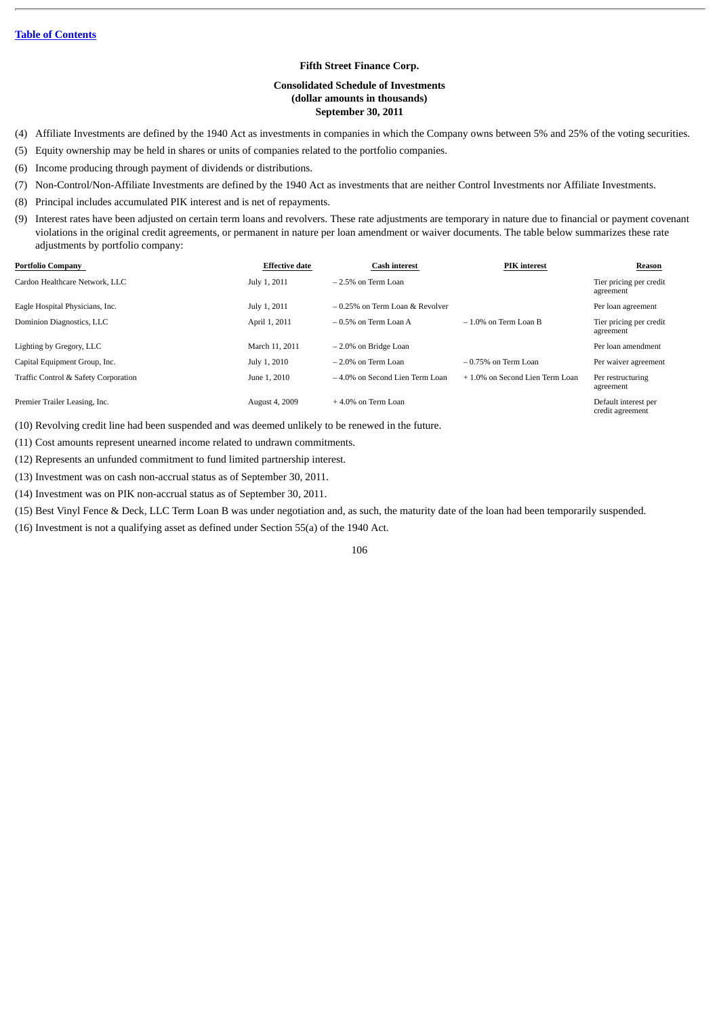#### **Consolidated Schedule of Investments (dollar amounts in thousands) September 30, 2011**

- (4) Affiliate Investments are defined by the 1940 Act as investments in companies in which the Company owns between 5% and 25% of the voting securities.
- (5) Equity ownership may be held in shares or units of companies related to the portfolio companies.
- (6) Income producing through payment of dividends or distributions.
- (7) Non-Control/Non-Affiliate Investments are defined by the 1940 Act as investments that are neither Control Investments nor Affiliate Investments.
- (8) Principal includes accumulated PIK interest and is net of repayments.
- (9) Interest rates have been adjusted on certain term loans and revolvers. These rate adjustments are temporary in nature due to financial or payment covenant violations in the original credit agreements, or permanent in nature per loan amendment or waiver documents. The table below summarizes these rate adjustments by portfolio company:

| <b>Portfolio Company</b>             | <b>Effective date</b> | <b>Cash interest</b>              | <b>PIK</b> interest             | Reason                                   |
|--------------------------------------|-----------------------|-----------------------------------|---------------------------------|------------------------------------------|
| Cardon Healthcare Network, LLC       | July 1, 2011          | $-2.5%$ on Term Loan              |                                 | Tier pricing per credit<br>agreement     |
| Eagle Hospital Physicians, Inc.      | July 1, 2011          | $-0.25\%$ on Term Loan & Revolver |                                 | Per loan agreement                       |
| Dominion Diagnostics, LLC            | April 1, 2011         | $-0.5\%$ on Term Loan A           | $-1.0\%$ on Term Loan B         | Tier pricing per credit<br>agreement     |
| Lighting by Gregory, LLC             | March 11, 2011        | $-2.0\%$ on Bridge Loan           |                                 | Per loan amendment                       |
| Capital Equipment Group, Inc.        | July 1, 2010          | $-2.0\%$ on Term Loan             | $-0.75%$ on Term Loan           | Per waiver agreement                     |
| Traffic Control & Safety Corporation | June 1, 2010          | -4.0% on Second Lien Term Loan    | + 1.0% on Second Lien Term Loan | Per restructuring<br>agreement           |
| Premier Trailer Leasing, Inc.        | <b>August 4, 2009</b> | $+4.0\%$ on Term Loan             |                                 | Default interest per<br>credit agreement |

(10) Revolving credit line had been suspended and was deemed unlikely to be renewed in the future.

(11) Cost amounts represent unearned income related to undrawn commitments.

(12) Represents an unfunded commitment to fund limited partnership interest.

(13) Investment was on cash non-accrual status as of September 30, 2011.

(14) Investment was on PIK non-accrual status as of September 30, 2011.

(15) Best Vinyl Fence & Deck, LLC Term Loan B was under negotiation and, as such, the maturity date of the loan had been temporarily suspended.

(16) Investment is not a qualifying asset as defined under Section 55(a) of the 1940 Act.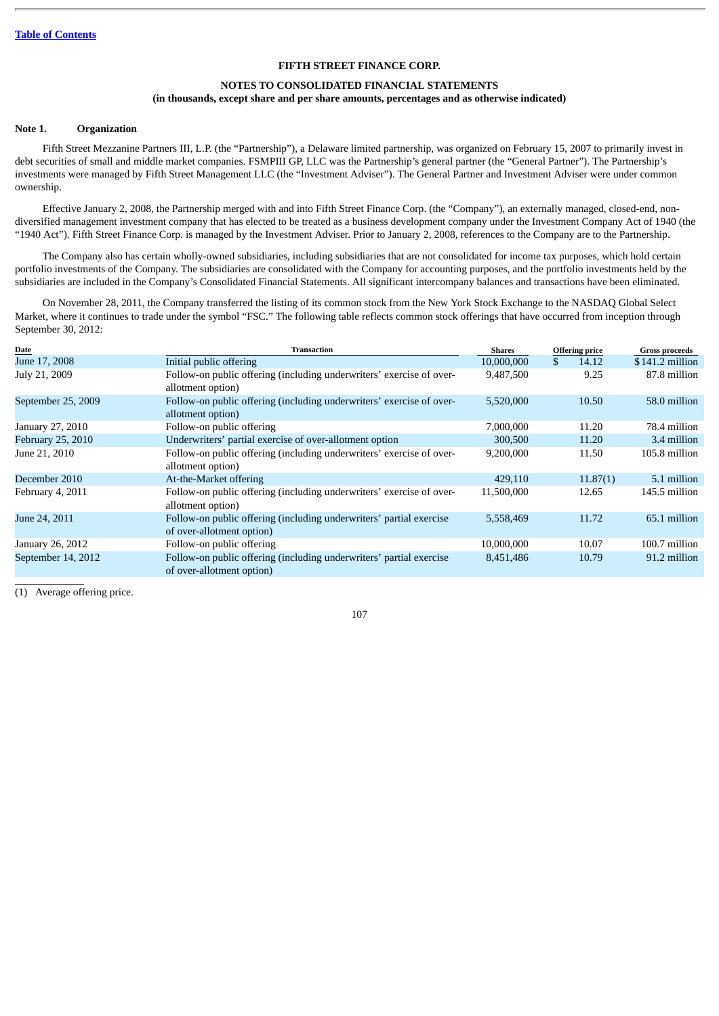# **NOTES TO CONSOLIDATED FINANCIAL STATEMENTS**

# **(in thousands, except share and per share amounts, percentages and as otherwise indicated)**

# **Note 1. Organization**

Fifth Street Mezzanine Partners III, L.P. (the "Partnership"), a Delaware limited partnership, was organized on February 15, 2007 to primarily invest in debt securities of small and middle market companies. FSMPIII GP, LLC was the Partnership's general partner (the "General Partner"). The Partnership's investments were managed by Fifth Street Management LLC (the "Investment Adviser"). The General Partner and Investment Adviser were under common ownership.

Effective January 2, 2008, the Partnership merged with and into Fifth Street Finance Corp. (the "Company"), an externally managed, closed-end, nondiversified management investment company that has elected to be treated as a business development company under the Investment Company Act of 1940 (the "1940 Act"). Fifth Street Finance Corp. is managed by the Investment Adviser. Prior to January 2, 2008, references to the Company are to the Partnership.

The Company also has certain wholly-owned subsidiaries, including subsidiaries that are not consolidated for income tax purposes, which hold certain portfolio investments of the Company. The subsidiaries are consolidated with the Company for accounting purposes, and the portfolio investments held by the subsidiaries are included in the Company's Consolidated Financial Statements. All significant intercompany balances and transactions have been eliminated.

On November 28, 2011, the Company transferred the listing of its common stock from the New York Stock Exchange to the NASDAQ Global Select Market, where it continues to trade under the symbol "FSC." The following table reflects common stock offerings that have occurred from inception through September 30, 2012:

| <b>Date</b>        | <b>Transaction</b>                                                                               | <b>Shares</b> | <b>Offering price</b> | <b>Gross proceeds</b> |
|--------------------|--------------------------------------------------------------------------------------------------|---------------|-----------------------|-----------------------|
| June 17, 2008      | Initial public offering                                                                          | 10,000,000    | 14.12<br>S.           | $$141.2$ million      |
| July 21, 2009      | Follow-on public offering (including underwriters' exercise of over-<br>allotment option)        | 9,487,500     | 9.25                  | 87.8 million          |
| September 25, 2009 | Follow-on public offering (including underwriters' exercise of over-<br>allotment option)        | 5,520,000     | 10.50                 | 58.0 million          |
| January 27, 2010   | Follow-on public offering                                                                        | 7,000,000     | 11.20                 | 78.4 million          |
| February 25, 2010  | Underwriters' partial exercise of over-allotment option                                          | 300,500       | 11.20                 | 3.4 million           |
| June 21, 2010      | Follow-on public offering (including underwriters' exercise of over-<br>allotment option)        | 9,200,000     | 11.50                 | 105.8 million         |
| December 2010      | At-the-Market offering                                                                           | 429,110       | 11.87(1)              | 5.1 million           |
| February 4, 2011   | Follow-on public offering (including underwriters' exercise of over-<br>allotment option)        | 11,500,000    | 12.65                 | 145.5 million         |
| June 24, 2011      | Follow-on public offering (including underwriters' partial exercise<br>of over-allotment option) | 5,558,469     | 11.72                 | 65.1 million          |
| January 26, 2012   | Follow-on public offering                                                                        | 10,000,000    | 10.07                 | 100.7 million         |
| September 14, 2012 | Follow-on public offering (including underwriters' partial exercise<br>of over-allotment option) | 8,451,486     | 10.79                 | 91.2 million          |

(1) Average offering price.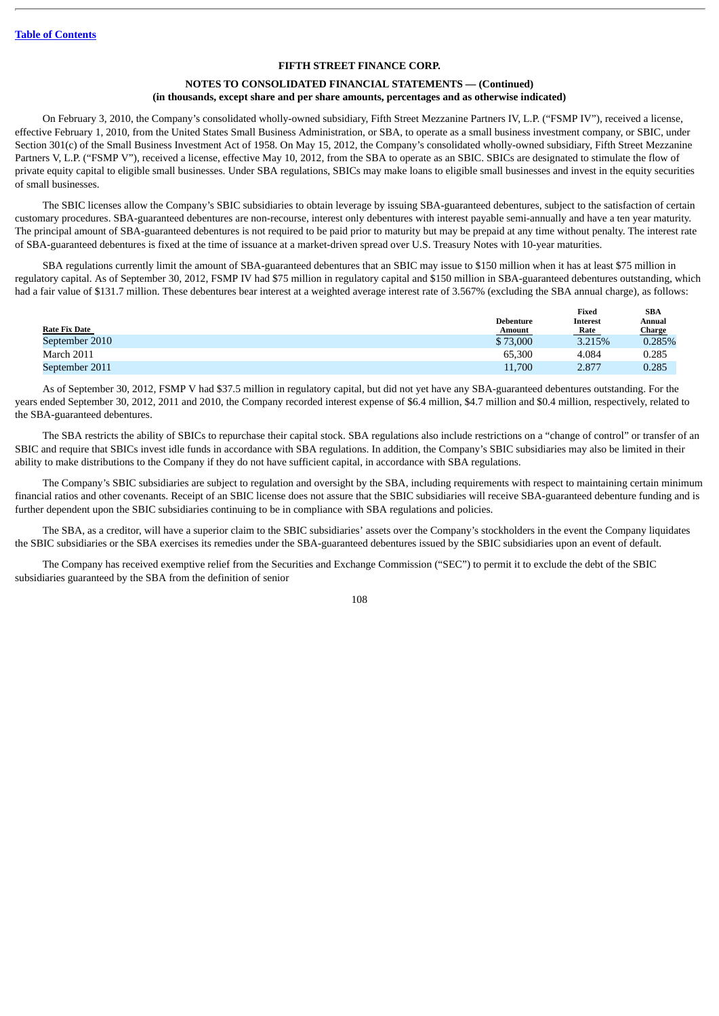# **NOTES TO CONSOLIDATED FINANCIAL STATEMENTS — (Continued) (in thousands, except share and per share amounts, percentages and as otherwise indicated)**

On February 3, 2010, the Company's consolidated wholly-owned subsidiary, Fifth Street Mezzanine Partners IV, L.P. ("FSMP IV"), received a license, effective February 1, 2010, from the United States Small Business Administration, or SBA, to operate as a small business investment company, or SBIC, under Section 301(c) of the Small Business Investment Act of 1958. On May 15, 2012, the Company's consolidated wholly-owned subsidiary, Fifth Street Mezzanine Partners V, L.P. ("FSMP V"), received a license, effective May 10, 2012, from the SBA to operate as an SBIC. SBICs are designated to stimulate the flow of private equity capital to eligible small businesses. Under SBA regulations, SBICs may make loans to eligible small businesses and invest in the equity securities of small businesses.

The SBIC licenses allow the Company's SBIC subsidiaries to obtain leverage by issuing SBA-guaranteed debentures, subject to the satisfaction of certain customary procedures. SBA-guaranteed debentures are non-recourse, interest only debentures with interest payable semi-annually and have a ten year maturity. The principal amount of SBA-guaranteed debentures is not required to be paid prior to maturity but may be prepaid at any time without penalty. The interest rate of SBA-guaranteed debentures is fixed at the time of issuance at a market-driven spread over U.S. Treasury Notes with 10-year maturities.

SBA regulations currently limit the amount of SBA-guaranteed debentures that an SBIC may issue to \$150 million when it has at least \$75 million in regulatory capital. As of September 30, 2012, FSMP IV had \$75 million in regulatory capital and \$150 million in SBA-guaranteed debentures outstanding, which had a fair value of \$131.7 million. These debentures bear interest at a weighted average interest rate of 3.567% (excluding the SBA annual charge), as follows:

|                      |                  | Fixed    | <b>SBA</b>    |
|----------------------|------------------|----------|---------------|
|                      | <b>Debenture</b> | Interest | Annual        |
| <b>Rate Fix Date</b> | Amount           | Rate     | <b>Charge</b> |
| September 2010       | \$73,000         | 3.215%   | 0.285%        |
| March 2011           | 65,300           | 4.084    | 0.285         |
| September 2011       | 11,700           | 2.877    | 0.285         |

As of September 30, 2012, FSMP V had \$37.5 million in regulatory capital, but did not yet have any SBA-guaranteed debentures outstanding. For the years ended September 30, 2012, 2011 and 2010, the Company recorded interest expense of \$6.4 million, \$4.7 million and \$0.4 million, respectively, related to the SBA-guaranteed debentures.

The SBA restricts the ability of SBICs to repurchase their capital stock. SBA regulations also include restrictions on a "change of control" or transfer of an SBIC and require that SBICs invest idle funds in accordance with SBA regulations. In addition, the Company's SBIC subsidiaries may also be limited in their ability to make distributions to the Company if they do not have sufficient capital, in accordance with SBA regulations.

The Company's SBIC subsidiaries are subject to regulation and oversight by the SBA, including requirements with respect to maintaining certain minimum financial ratios and other covenants. Receipt of an SBIC license does not assure that the SBIC subsidiaries will receive SBA-guaranteed debenture funding and is further dependent upon the SBIC subsidiaries continuing to be in compliance with SBA regulations and policies.

The SBA, as a creditor, will have a superior claim to the SBIC subsidiaries' assets over the Company's stockholders in the event the Company liquidates the SBIC subsidiaries or the SBA exercises its remedies under the SBA-guaranteed debentures issued by the SBIC subsidiaries upon an event of default.

The Company has received exemptive relief from the Securities and Exchange Commission ("SEC") to permit it to exclude the debt of the SBIC subsidiaries guaranteed by the SBA from the definition of senior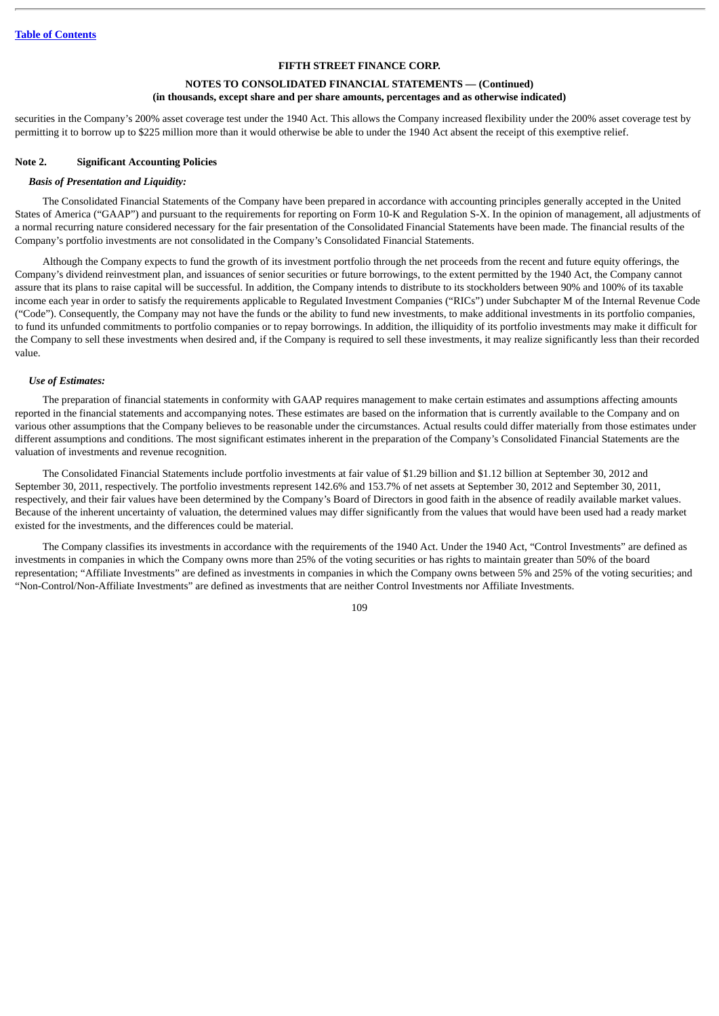# **NOTES TO CONSOLIDATED FINANCIAL STATEMENTS — (Continued) (in thousands, except share and per share amounts, percentages and as otherwise indicated)**

securities in the Company's 200% asset coverage test under the 1940 Act. This allows the Company increased flexibility under the 200% asset coverage test by permitting it to borrow up to \$225 million more than it would otherwise be able to under the 1940 Act absent the receipt of this exemptive relief.

#### **Note 2. Significant Accounting Policies**

#### *Basis of Presentation and Liquidity:*

The Consolidated Financial Statements of the Company have been prepared in accordance with accounting principles generally accepted in the United States of America ("GAAP") and pursuant to the requirements for reporting on Form 10-K and Regulation S-X. In the opinion of management, all adjustments of a normal recurring nature considered necessary for the fair presentation of the Consolidated Financial Statements have been made. The financial results of the Company's portfolio investments are not consolidated in the Company's Consolidated Financial Statements.

Although the Company expects to fund the growth of its investment portfolio through the net proceeds from the recent and future equity offerings, the Company's dividend reinvestment plan, and issuances of senior securities or future borrowings, to the extent permitted by the 1940 Act, the Company cannot assure that its plans to raise capital will be successful. In addition, the Company intends to distribute to its stockholders between 90% and 100% of its taxable income each year in order to satisfy the requirements applicable to Regulated Investment Companies ("RICs") under Subchapter M of the Internal Revenue Code ("Code"). Consequently, the Company may not have the funds or the ability to fund new investments, to make additional investments in its portfolio companies, to fund its unfunded commitments to portfolio companies or to repay borrowings. In addition, the illiquidity of its portfolio investments may make it difficult for the Company to sell these investments when desired and, if the Company is required to sell these investments, it may realize significantly less than their recorded value.

#### *Use of Estimates:*

The preparation of financial statements in conformity with GAAP requires management to make certain estimates and assumptions affecting amounts reported in the financial statements and accompanying notes. These estimates are based on the information that is currently available to the Company and on various other assumptions that the Company believes to be reasonable under the circumstances. Actual results could differ materially from those estimates under different assumptions and conditions. The most significant estimates inherent in the preparation of the Company's Consolidated Financial Statements are the valuation of investments and revenue recognition.

The Consolidated Financial Statements include portfolio investments at fair value of \$1.29 billion and \$1.12 billion at September 30, 2012 and September 30, 2011, respectively. The portfolio investments represent 142.6% and 153.7% of net assets at September 30, 2012 and September 30, 2011, respectively, and their fair values have been determined by the Company's Board of Directors in good faith in the absence of readily available market values. Because of the inherent uncertainty of valuation, the determined values may differ significantly from the values that would have been used had a ready market existed for the investments, and the differences could be material.

The Company classifies its investments in accordance with the requirements of the 1940 Act. Under the 1940 Act, "Control Investments" are defined as investments in companies in which the Company owns more than 25% of the voting securities or has rights to maintain greater than 50% of the board representation; "Affiliate Investments" are defined as investments in companies in which the Company owns between 5% and 25% of the voting securities; and "Non-Control/Non-Affiliate Investments" are defined as investments that are neither Control Investments nor Affiliate Investments.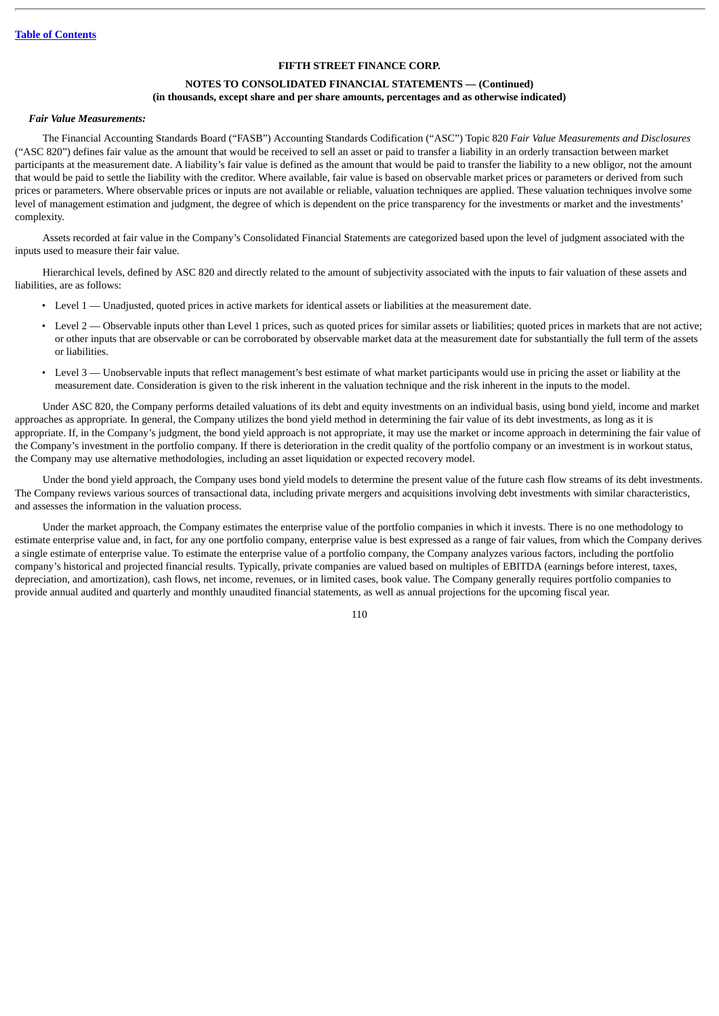# **NOTES TO CONSOLIDATED FINANCIAL STATEMENTS — (Continued) (in thousands, except share and per share amounts, percentages and as otherwise indicated)**

# *Fair Value Measurements:*

The Financial Accounting Standards Board ("FASB") Accounting Standards Codification ("ASC") Topic 820 *Fair Value Measurements and Disclosures* ("ASC 820") defines fair value as the amount that would be received to sell an asset or paid to transfer a liability in an orderly transaction between market participants at the measurement date. A liability's fair value is defined as the amount that would be paid to transfer the liability to a new obligor, not the amount that would be paid to settle the liability with the creditor. Where available, fair value is based on observable market prices or parameters or derived from such prices or parameters. Where observable prices or inputs are not available or reliable, valuation techniques are applied. These valuation techniques involve some level of management estimation and judgment, the degree of which is dependent on the price transparency for the investments or market and the investments' complexity.

Assets recorded at fair value in the Company's Consolidated Financial Statements are categorized based upon the level of judgment associated with the inputs used to measure their fair value.

Hierarchical levels, defined by ASC 820 and directly related to the amount of subjectivity associated with the inputs to fair valuation of these assets and liabilities, are as follows:

- Level 1 Unadjusted, quoted prices in active markets for identical assets or liabilities at the measurement date.
- Level 2 Observable inputs other than Level 1 prices, such as quoted prices for similar assets or liabilities; quoted prices in markets that are not active; or other inputs that are observable or can be corroborated by observable market data at the measurement date for substantially the full term of the assets or liabilities.
- Level 3 Unobservable inputs that reflect management's best estimate of what market participants would use in pricing the asset or liability at the measurement date. Consideration is given to the risk inherent in the valuation technique and the risk inherent in the inputs to the model.

Under ASC 820, the Company performs detailed valuations of its debt and equity investments on an individual basis, using bond yield, income and market approaches as appropriate. In general, the Company utilizes the bond yield method in determining the fair value of its debt investments, as long as it is appropriate. If, in the Company's judgment, the bond yield approach is not appropriate, it may use the market or income approach in determining the fair value of the Company's investment in the portfolio company. If there is deterioration in the credit quality of the portfolio company or an investment is in workout status, the Company may use alternative methodologies, including an asset liquidation or expected recovery model.

Under the bond yield approach, the Company uses bond yield models to determine the present value of the future cash flow streams of its debt investments. The Company reviews various sources of transactional data, including private mergers and acquisitions involving debt investments with similar characteristics, and assesses the information in the valuation process.

Under the market approach, the Company estimates the enterprise value of the portfolio companies in which it invests. There is no one methodology to estimate enterprise value and, in fact, for any one portfolio company, enterprise value is best expressed as a range of fair values, from which the Company derives a single estimate of enterprise value. To estimate the enterprise value of a portfolio company, the Company analyzes various factors, including the portfolio company's historical and projected financial results. Typically, private companies are valued based on multiples of EBITDA (earnings before interest, taxes, depreciation, and amortization), cash flows, net income, revenues, or in limited cases, book value. The Company generally requires portfolio companies to provide annual audited and quarterly and monthly unaudited financial statements, as well as annual projections for the upcoming fiscal year.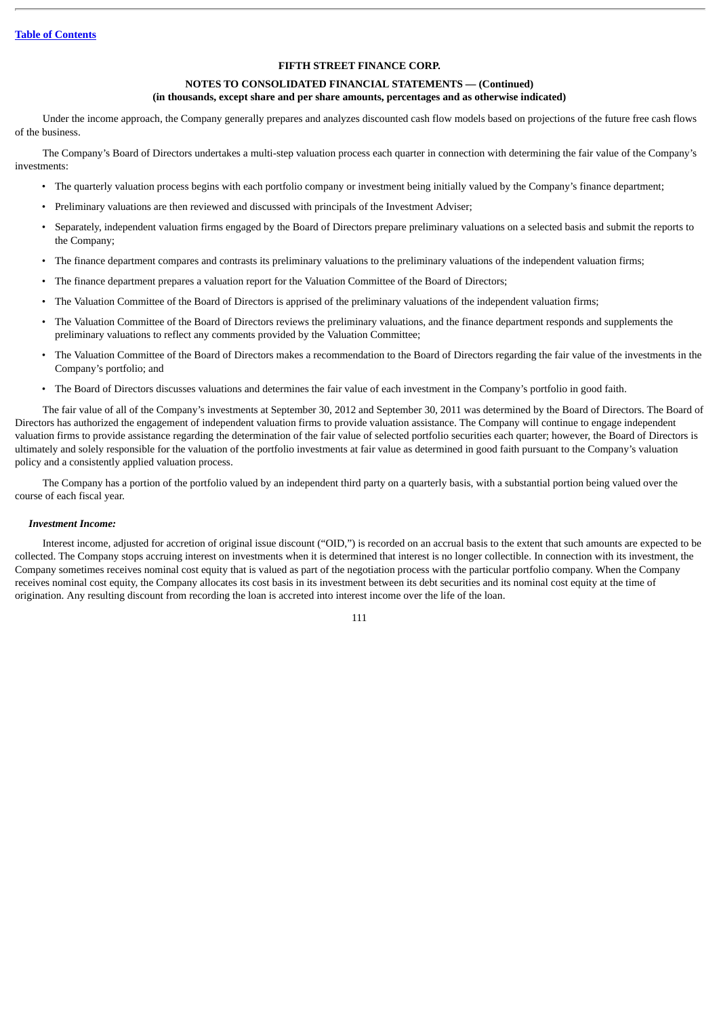# **NOTES TO CONSOLIDATED FINANCIAL STATEMENTS — (Continued)**

# **(in thousands, except share and per share amounts, percentages and as otherwise indicated)**

Under the income approach, the Company generally prepares and analyzes discounted cash flow models based on projections of the future free cash flows of the business.

The Company's Board of Directors undertakes a multi-step valuation process each quarter in connection with determining the fair value of the Company's investments:

- The quarterly valuation process begins with each portfolio company or investment being initially valued by the Company's finance department;
- Preliminary valuations are then reviewed and discussed with principals of the Investment Adviser;
- Separately, independent valuation firms engaged by the Board of Directors prepare preliminary valuations on a selected basis and submit the reports to the Company;
- The finance department compares and contrasts its preliminary valuations to the preliminary valuations of the independent valuation firms;
- The finance department prepares a valuation report for the Valuation Committee of the Board of Directors;
- The Valuation Committee of the Board of Directors is apprised of the preliminary valuations of the independent valuation firms;
- The Valuation Committee of the Board of Directors reviews the preliminary valuations, and the finance department responds and supplements the preliminary valuations to reflect any comments provided by the Valuation Committee;
- The Valuation Committee of the Board of Directors makes a recommendation to the Board of Directors regarding the fair value of the investments in the Company's portfolio; and
- The Board of Directors discusses valuations and determines the fair value of each investment in the Company's portfolio in good faith.

The fair value of all of the Company's investments at September 30, 2012 and September 30, 2011 was determined by the Board of Directors. The Board of Directors has authorized the engagement of independent valuation firms to provide valuation assistance. The Company will continue to engage independent valuation firms to provide assistance regarding the determination of the fair value of selected portfolio securities each quarter; however, the Board of Directors is ultimately and solely responsible for the valuation of the portfolio investments at fair value as determined in good faith pursuant to the Company's valuation policy and a consistently applied valuation process.

The Company has a portion of the portfolio valued by an independent third party on a quarterly basis, with a substantial portion being valued over the course of each fiscal year.

#### *Investment Income:*

Interest income, adjusted for accretion of original issue discount ("OID,") is recorded on an accrual basis to the extent that such amounts are expected to be collected. The Company stops accruing interest on investments when it is determined that interest is no longer collectible. In connection with its investment, the Company sometimes receives nominal cost equity that is valued as part of the negotiation process with the particular portfolio company. When the Company receives nominal cost equity, the Company allocates its cost basis in its investment between its debt securities and its nominal cost equity at the time of origination. Any resulting discount from recording the loan is accreted into interest income over the life of the loan.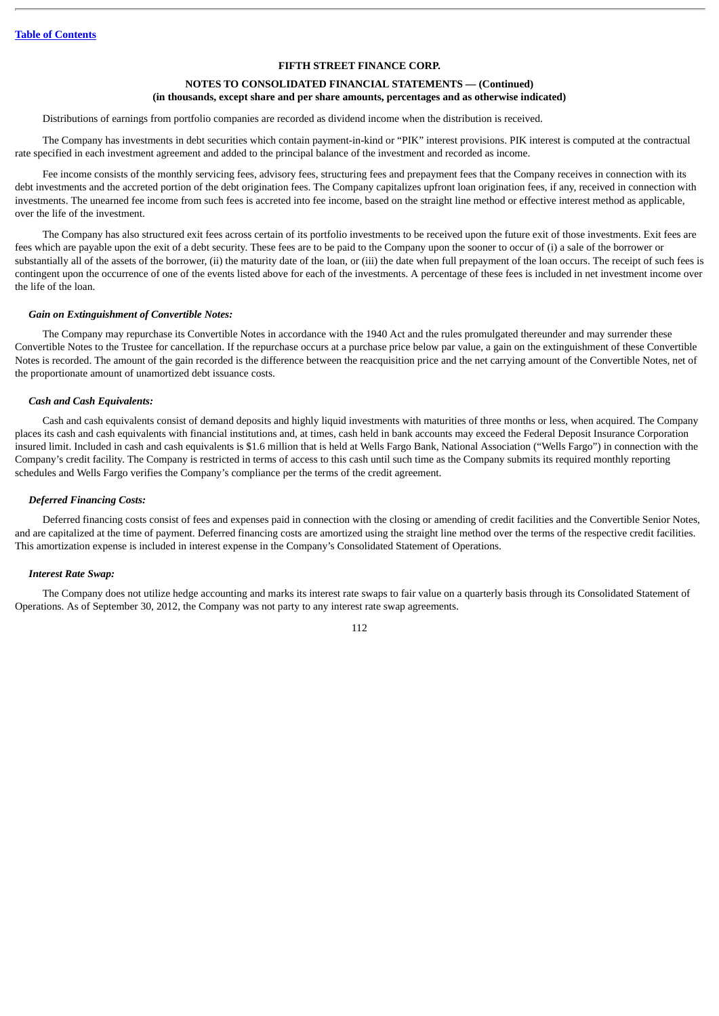# **NOTES TO CONSOLIDATED FINANCIAL STATEMENTS — (Continued) (in thousands, except share and per share amounts, percentages and as otherwise indicated)**

Distributions of earnings from portfolio companies are recorded as dividend income when the distribution is received.

The Company has investments in debt securities which contain payment-in-kind or "PIK" interest provisions. PIK interest is computed at the contractual rate specified in each investment agreement and added to the principal balance of the investment and recorded as income.

Fee income consists of the monthly servicing fees, advisory fees, structuring fees and prepayment fees that the Company receives in connection with its debt investments and the accreted portion of the debt origination fees. The Company capitalizes upfront loan origination fees, if any, received in connection with investments. The unearned fee income from such fees is accreted into fee income, based on the straight line method or effective interest method as applicable, over the life of the investment.

The Company has also structured exit fees across certain of its portfolio investments to be received upon the future exit of those investments. Exit fees are fees which are payable upon the exit of a debt security. These fees are to be paid to the Company upon the sooner to occur of (i) a sale of the borrower or substantially all of the assets of the borrower, (ii) the maturity date of the loan, or (iii) the date when full prepayment of the loan occurs. The receipt of such fees is contingent upon the occurrence of one of the events listed above for each of the investments. A percentage of these fees is included in net investment income over the life of the loan.

# *Gain on Extinguishment of Convertible Notes:*

The Company may repurchase its Convertible Notes in accordance with the 1940 Act and the rules promulgated thereunder and may surrender these Convertible Notes to the Trustee for cancellation. If the repurchase occurs at a purchase price below par value, a gain on the extinguishment of these Convertible Notes is recorded. The amount of the gain recorded is the difference between the reacquisition price and the net carrying amount of the Convertible Notes, net of the proportionate amount of unamortized debt issuance costs.

### *Cash and Cash Equivalents:*

Cash and cash equivalents consist of demand deposits and highly liquid investments with maturities of three months or less, when acquired. The Company places its cash and cash equivalents with financial institutions and, at times, cash held in bank accounts may exceed the Federal Deposit Insurance Corporation insured limit. Included in cash and cash equivalents is \$1.6 million that is held at Wells Fargo Bank, National Association ("Wells Fargo") in connection with the Company's credit facility. The Company is restricted in terms of access to this cash until such time as the Company submits its required monthly reporting schedules and Wells Fargo verifies the Company's compliance per the terms of the credit agreement.

#### *Deferred Financing Costs:*

Deferred financing costs consist of fees and expenses paid in connection with the closing or amending of credit facilities and the Convertible Senior Notes, and are capitalized at the time of payment. Deferred financing costs are amortized using the straight line method over the terms of the respective credit facilities. This amortization expense is included in interest expense in the Company's Consolidated Statement of Operations.

#### *Interest Rate Swap:*

The Company does not utilize hedge accounting and marks its interest rate swaps to fair value on a quarterly basis through its Consolidated Statement of Operations. As of September 30, 2012, the Company was not party to any interest rate swap agreements.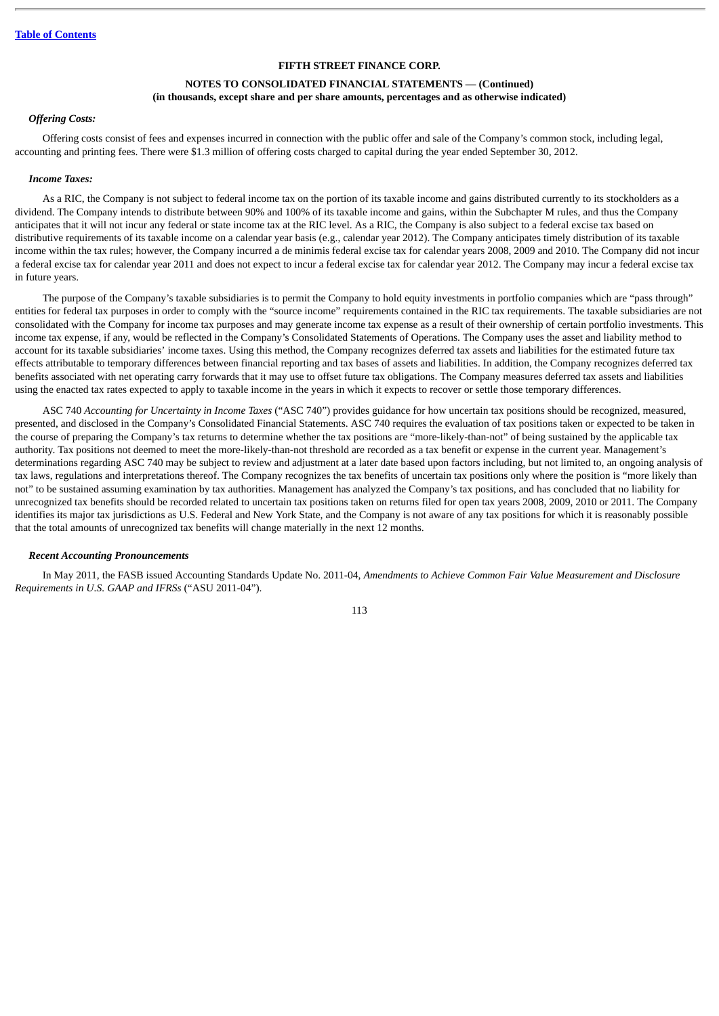# **NOTES TO CONSOLIDATED FINANCIAL STATEMENTS — (Continued) (in thousands, except share and per share amounts, percentages and as otherwise indicated)**

# *Offering Costs:*

Offering costs consist of fees and expenses incurred in connection with the public offer and sale of the Company's common stock, including legal, accounting and printing fees. There were \$1.3 million of offering costs charged to capital during the year ended September 30, 2012.

### *Income Taxes:*

As a RIC, the Company is not subject to federal income tax on the portion of its taxable income and gains distributed currently to its stockholders as a dividend. The Company intends to distribute between 90% and 100% of its taxable income and gains, within the Subchapter M rules, and thus the Company anticipates that it will not incur any federal or state income tax at the RIC level. As a RIC, the Company is also subject to a federal excise tax based on distributive requirements of its taxable income on a calendar year basis (e.g., calendar year 2012). The Company anticipates timely distribution of its taxable income within the tax rules; however, the Company incurred a de minimis federal excise tax for calendar years 2008, 2009 and 2010. The Company did not incur a federal excise tax for calendar year 2011 and does not expect to incur a federal excise tax for calendar year 2012. The Company may incur a federal excise tax in future years.

The purpose of the Company's taxable subsidiaries is to permit the Company to hold equity investments in portfolio companies which are "pass through" entities for federal tax purposes in order to comply with the "source income" requirements contained in the RIC tax requirements. The taxable subsidiaries are not consolidated with the Company for income tax purposes and may generate income tax expense as a result of their ownership of certain portfolio investments. This income tax expense, if any, would be reflected in the Company's Consolidated Statements of Operations. The Company uses the asset and liability method to account for its taxable subsidiaries' income taxes. Using this method, the Company recognizes deferred tax assets and liabilities for the estimated future tax effects attributable to temporary differences between financial reporting and tax bases of assets and liabilities. In addition, the Company recognizes deferred tax benefits associated with net operating carry forwards that it may use to offset future tax obligations. The Company measures deferred tax assets and liabilities using the enacted tax rates expected to apply to taxable income in the years in which it expects to recover or settle those temporary differences.

ASC 740 *Accounting for Uncertainty in Income Taxes* ("ASC 740") provides guidance for how uncertain tax positions should be recognized, measured, presented, and disclosed in the Company's Consolidated Financial Statements. ASC 740 requires the evaluation of tax positions taken or expected to be taken in the course of preparing the Company's tax returns to determine whether the tax positions are "more-likely-than-not" of being sustained by the applicable tax authority. Tax positions not deemed to meet the more-likely-than-not threshold are recorded as a tax benefit or expense in the current year. Management's determinations regarding ASC 740 may be subject to review and adjustment at a later date based upon factors including, but not limited to, an ongoing analysis of tax laws, regulations and interpretations thereof. The Company recognizes the tax benefits of uncertain tax positions only where the position is "more likely than not" to be sustained assuming examination by tax authorities. Management has analyzed the Company's tax positions, and has concluded that no liability for unrecognized tax benefits should be recorded related to uncertain tax positions taken on returns filed for open tax years 2008, 2009, 2010 or 2011. The Company identifies its major tax jurisdictions as U.S. Federal and New York State, and the Company is not aware of any tax positions for which it is reasonably possible that the total amounts of unrecognized tax benefits will change materially in the next 12 months.

#### *Recent Accounting Pronouncements*

In May 2011, the FASB issued Accounting Standards Update No. 2011-04, *Amendments to Achieve Common Fair Value Measurement and Disclosure Requirements in U.S. GAAP and IFRSs* ("ASU 2011-04").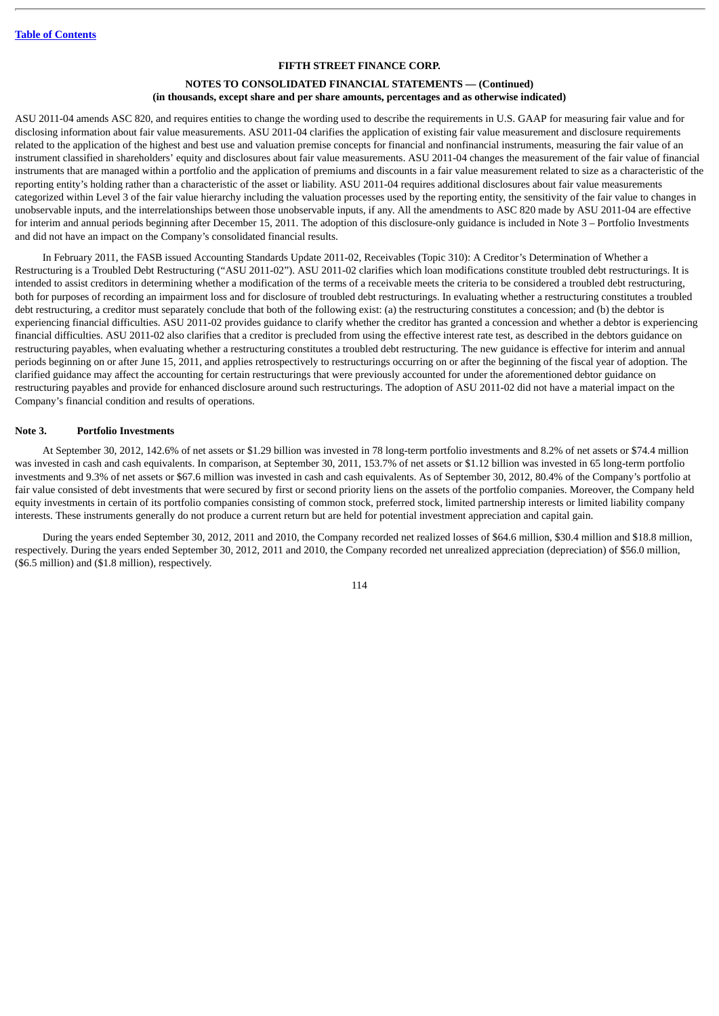# **NOTES TO CONSOLIDATED FINANCIAL STATEMENTS — (Continued) (in thousands, except share and per share amounts, percentages and as otherwise indicated)**

ASU 2011-04 amends ASC 820, and requires entities to change the wording used to describe the requirements in U.S. GAAP for measuring fair value and for disclosing information about fair value measurements. ASU 2011-04 clarifies the application of existing fair value measurement and disclosure requirements related to the application of the highest and best use and valuation premise concepts for financial and nonfinancial instruments, measuring the fair value of an instrument classified in shareholders' equity and disclosures about fair value measurements. ASU 2011-04 changes the measurement of the fair value of financial instruments that are managed within a portfolio and the application of premiums and discounts in a fair value measurement related to size as a characteristic of the reporting entity's holding rather than a characteristic of the asset or liability. ASU 2011-04 requires additional disclosures about fair value measurements categorized within Level 3 of the fair value hierarchy including the valuation processes used by the reporting entity, the sensitivity of the fair value to changes in unobservable inputs, and the interrelationships between those unobservable inputs, if any. All the amendments to ASC 820 made by ASU 2011-04 are effective for interim and annual periods beginning after December 15, 2011. The adoption of this disclosure-only guidance is included in Note 3 – Portfolio Investments and did not have an impact on the Company's consolidated financial results.

In February 2011, the FASB issued Accounting Standards Update 2011-02, Receivables (Topic 310): A Creditor's Determination of Whether a Restructuring is a Troubled Debt Restructuring ("ASU 2011-02"). ASU 2011-02 clarifies which loan modifications constitute troubled debt restructurings. It is intended to assist creditors in determining whether a modification of the terms of a receivable meets the criteria to be considered a troubled debt restructuring, both for purposes of recording an impairment loss and for disclosure of troubled debt restructurings. In evaluating whether a restructuring constitutes a troubled debt restructuring, a creditor must separately conclude that both of the following exist: (a) the restructuring constitutes a concession; and (b) the debtor is experiencing financial difficulties. ASU 2011-02 provides guidance to clarify whether the creditor has granted a concession and whether a debtor is experiencing financial difficulties. ASU 2011-02 also clarifies that a creditor is precluded from using the effective interest rate test, as described in the debtors guidance on restructuring payables, when evaluating whether a restructuring constitutes a troubled debt restructuring. The new guidance is effective for interim and annual periods beginning on or after June 15, 2011, and applies retrospectively to restructurings occurring on or after the beginning of the fiscal year of adoption. The clarified guidance may affect the accounting for certain restructurings that were previously accounted for under the aforementioned debtor guidance on restructuring payables and provide for enhanced disclosure around such restructurings. The adoption of ASU 2011-02 did not have a material impact on the Company's financial condition and results of operations.

### **Note 3. Portfolio Investments**

At September 30, 2012, 142.6% of net assets or \$1.29 billion was invested in 78 long-term portfolio investments and 8.2% of net assets or \$74.4 million was invested in cash and cash equivalents. In comparison, at September 30, 2011, 153.7% of net assets or \$1.12 billion was invested in 65 long-term portfolio investments and 9.3% of net assets or \$67.6 million was invested in cash and cash equivalents. As of September 30, 2012, 80.4% of the Company's portfolio at fair value consisted of debt investments that were secured by first or second priority liens on the assets of the portfolio companies. Moreover, the Company held equity investments in certain of its portfolio companies consisting of common stock, preferred stock, limited partnership interests or limited liability company interests. These instruments generally do not produce a current return but are held for potential investment appreciation and capital gain.

During the years ended September 30, 2012, 2011 and 2010, the Company recorded net realized losses of \$64.6 million, \$30.4 million and \$18.8 million, respectively. During the years ended September 30, 2012, 2011 and 2010, the Company recorded net unrealized appreciation (depreciation) of \$56.0 million, (\$6.5 million) and (\$1.8 million), respectively.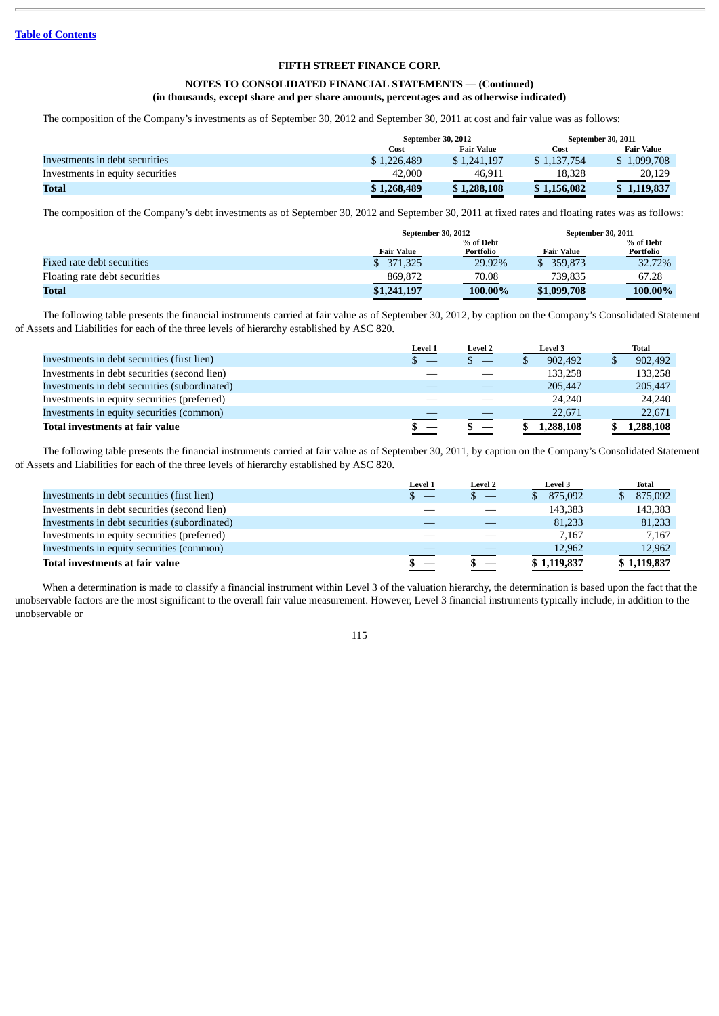# **NOTES TO CONSOLIDATED FINANCIAL STATEMENTS — (Continued)**

# **(in thousands, except share and per share amounts, percentages and as otherwise indicated)**

The composition of the Company's investments as of September 30, 2012 and September 30, 2011 at cost and fair value was as follows:

|                                  | September 30, 2012 |                   |             | September 30, 2011 |
|----------------------------------|--------------------|-------------------|-------------|--------------------|
|                                  | Cost               | <b>Fair Value</b> | Cost        | <b>Fair Value</b>  |
| Investments in debt securities   | \$1,226,489        | \$1,241,197       | \$1,137,754 | \$1,099,708        |
| Investments in equity securities | 42,000             | 46.911            | 18.328      | 20.129             |
| Total                            | \$1,268,489        | \$1,288,108       | \$1,156,082 | \$1,119,837        |

The composition of the Company's debt investments as of September 30, 2012 and September 30, 2011 at fixed rates and floating rates was as follows:

|                               | September 30, 2012 |           | September 30, 2011 |           |  |
|-------------------------------|--------------------|-----------|--------------------|-----------|--|
|                               |                    | % of Debt |                    | % of Debt |  |
|                               | <b>Fair Value</b>  | Portfolio | <b>Fair Value</b>  | Portfolio |  |
| Fixed rate debt securities    | 371.325            | 29.92%    | 359.873            | 32.72%    |  |
| Floating rate debt securities | 869,872            | 70.08     | 739.835            | 67.28     |  |
| Total                         | \$1,241,197        | 100.00%   | \$1,099,708        | 100.00%   |  |

The following table presents the financial instruments carried at fair value as of September 30, 2012, by caption on the Company's Consolidated Statement of Assets and Liabilities for each of the three levels of hierarchy established by ASC 820.

|                                               | Level 1                  | <b>Level 2</b>           | Level 3   | <b>Total</b> |
|-----------------------------------------------|--------------------------|--------------------------|-----------|--------------|
| Investments in debt securities (first lien)   |                          |                          | 902,492   | 902,492      |
| Investments in debt securities (second lien)  |                          |                          | 133,258   | 133,258      |
| Investments in debt securities (subordinated) |                          |                          | 205,447   | 205,447      |
| Investments in equity securities (preferred)  |                          |                          | 24.240    | 24,240       |
| Investments in equity securities (common)     |                          |                          | 22,671    | 22,671       |
| Total investments at fair value               | $\overline{\phantom{0}}$ | $\overline{\phantom{0}}$ | 1,288,108 | 1,288,108    |

The following table presents the financial instruments carried at fair value as of September 30, 2011, by caption on the Company's Consolidated Statement of Assets and Liabilities for each of the three levels of hierarchy established by ASC 820.

|                                               | Level 1 | Level 2 | Level 3     | Total       |
|-----------------------------------------------|---------|---------|-------------|-------------|
| Investments in debt securities (first lien)   |         |         | 875,092     | 875,092     |
| Investments in debt securities (second lien)  |         |         | 143,383     | 143,383     |
| Investments in debt securities (subordinated) |         |         | 81,233      | 81,233      |
| Investments in equity securities (preferred)  |         |         | 7.167       | 7.167       |
| Investments in equity securities (common)     |         |         | 12,962      | 12,962      |
| Total investments at fair value               |         |         | \$1,119,837 | \$1,119,837 |

When a determination is made to classify a financial instrument within Level 3 of the valuation hierarchy, the determination is based upon the fact that the unobservable factors are the most significant to the overall fair value measurement. However, Level 3 financial instruments typically include, in addition to the unobservable or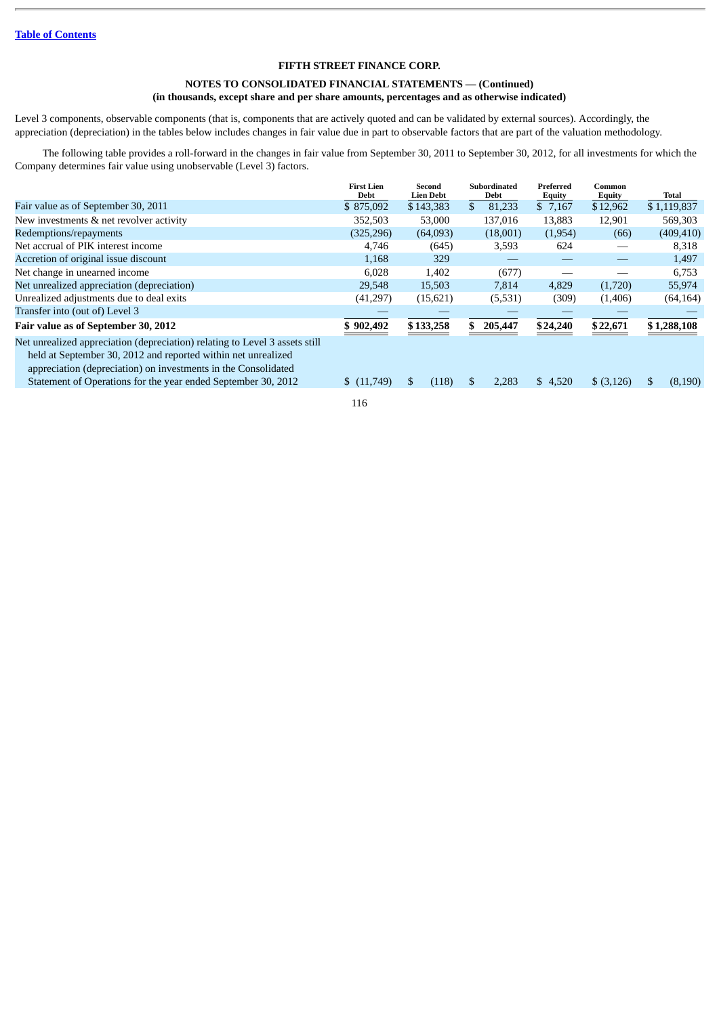# **NOTES TO CONSOLIDATED FINANCIAL STATEMENTS — (Continued) (in thousands, except share and per share amounts, percentages and as otherwise indicated)**

Level 3 components, observable components (that is, components that are actively quoted and can be validated by external sources). Accordingly, the appreciation (depreciation) in the tables below includes changes in fair value due in part to observable factors that are part of the valuation methodology.

The following table provides a roll-forward in the changes in fair value from September 30, 2011 to September 30, 2012, for all investments for which the Company determines fair value using unobservable (Level 3) factors.

|                                                                                                                                                                                                                | <b>First Lien</b><br>Debt | Second<br>Lien Debt | Subordinated<br>Debt   | Preferred<br>Equity | Common<br>Equity | Total       |
|----------------------------------------------------------------------------------------------------------------------------------------------------------------------------------------------------------------|---------------------------|---------------------|------------------------|---------------------|------------------|-------------|
| Fair value as of September 30, 2011                                                                                                                                                                            | \$875,092                 | \$143,383           | $\mathbb{S}$<br>81,233 | \$7,167             | \$12,962         | \$1,119,837 |
| New investments & net revolver activity                                                                                                                                                                        | 352,503                   | 53,000              | 137,016                | 13,883              | 12,901           | 569,303     |
| Redemptions/repayments                                                                                                                                                                                         | (325, 296)                | (64,093)            | (18,001)               | (1,954)             | (66)             | (409, 410)  |
| Net accrual of PIK interest income                                                                                                                                                                             | 4,746                     | (645)               | 3,593                  | 624                 |                  | 8,318       |
| Accretion of original issue discount                                                                                                                                                                           | 1,168                     | 329                 |                        |                     |                  | 1,497       |
| Net change in unearned income                                                                                                                                                                                  | 6.028                     | 1,402               | (677)                  |                     |                  | 6.753       |
| Net unrealized appreciation (depreciation)                                                                                                                                                                     | 29,548                    | 15,503              | 7,814                  | 4,829               | (1,720)          | 55,974      |
| Unrealized adjustments due to deal exits                                                                                                                                                                       | (41,297)                  | (15, 621)           | (5,531)                | (309)               | (1,406)          | (64, 164)   |
| Transfer into (out of) Level 3                                                                                                                                                                                 |                           |                     |                        |                     |                  |             |
| Fair value as of September 30, 2012                                                                                                                                                                            | \$902,492                 | \$133,258           | 205,447                | \$24,240            | \$22,671         | \$1,288,108 |
| Net unrealized appreciation (depreciation) relating to Level 3 assets still<br>held at September 30, 2012 and reported within net unrealized<br>appreciation (depreciation) on investments in the Consolidated |                           |                     |                        |                     |                  |             |
| Statement of Operations for the year ended September 30, 2012                                                                                                                                                  | \$(11,749)                | (118)               | 2,283                  | \$4,520             | \$ (3,126)       | (8,190)     |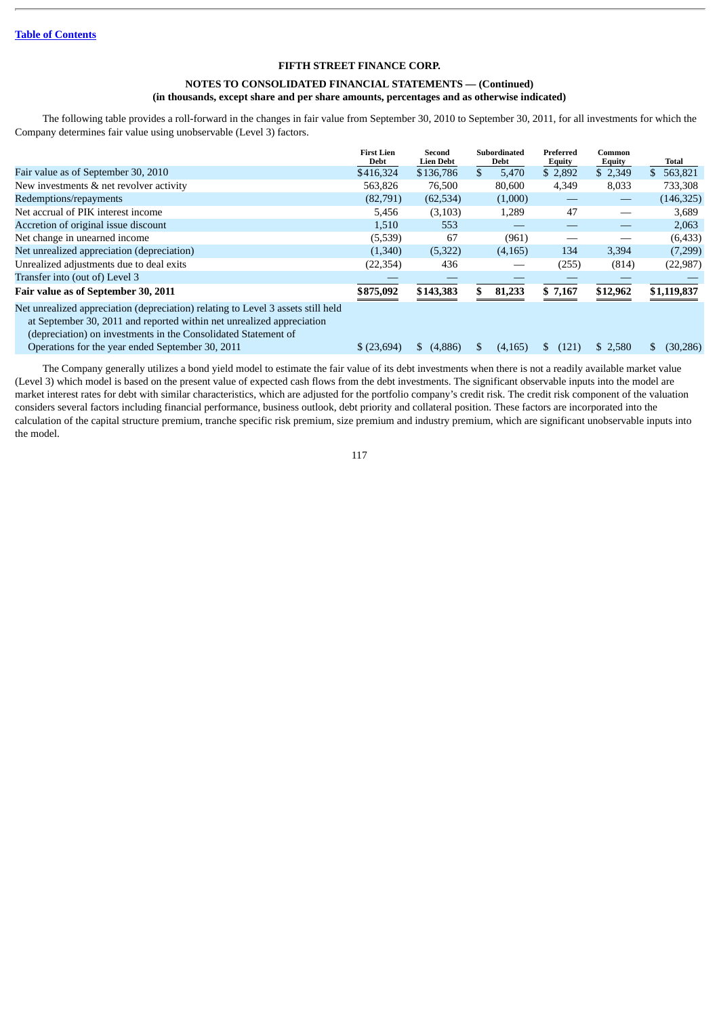# **NOTES TO CONSOLIDATED FINANCIAL STATEMENTS — (Continued) (in thousands, except share and per share amounts, percentages and as otherwise indicated)**

The following table provides a roll-forward in the changes in fair value from September 30, 2010 to September 30, 2011, for all investments for which the Company determines fair value using unobservable (Level 3) factors.

|                                                                                                                                                                                                                                                                                 | <b>First Lien</b><br>Debt | Second<br><b>Lien Debt</b> | Subordinated<br>Debt  | Preferred<br>Equity | Common<br>Equity              | Total            |
|---------------------------------------------------------------------------------------------------------------------------------------------------------------------------------------------------------------------------------------------------------------------------------|---------------------------|----------------------------|-----------------------|---------------------|-------------------------------|------------------|
| Fair value as of September 30, 2010                                                                                                                                                                                                                                             | \$416,324                 | \$136,786                  | $\mathbf{s}$<br>5,470 | \$2,892             | \$2,349                       | \$.<br>563,821   |
| New investments & net revolver activity                                                                                                                                                                                                                                         | 563,826                   | 76,500                     | 80,600                | 4,349               | 8,033                         | 733,308          |
| Redemptions/repayments                                                                                                                                                                                                                                                          | (82,791)                  | (62, 534)                  | (1,000)               |                     | $\overbrace{\phantom{13333}}$ | (146, 325)       |
| Net accrual of PIK interest income                                                                                                                                                                                                                                              | 5,456                     | (3, 103)                   | 1,289                 | 47                  |                               | 3,689            |
| Accretion of original issue discount                                                                                                                                                                                                                                            | 1,510                     | 553                        |                       |                     |                               | 2,063            |
| Net change in unearned income                                                                                                                                                                                                                                                   | (5,539)                   | 67                         | (961)                 |                     |                               | (6, 433)         |
| Net unrealized appreciation (depreciation)                                                                                                                                                                                                                                      | (1,340)                   | (5,322)                    | (4, 165)              | 134                 | 3,394                         | (7,299)          |
| Unrealized adjustments due to deal exits                                                                                                                                                                                                                                        | (22, 354)                 | 436                        |                       | (255)               | (814)                         | (22, 987)        |
| Transfer into (out of) Level 3                                                                                                                                                                                                                                                  |                           |                            |                       |                     |                               |                  |
| Fair value as of September 30, 2011                                                                                                                                                                                                                                             | \$875,092                 | \$143,383                  | \$.<br>81,233         | \$7,167             | \$12,962                      | \$1,119,837      |
| Net unrealized appreciation (depreciation) relating to Level 3 assets still held<br>at September 30, 2011 and reported within net unrealized appreciation<br>(depreciation) on investments in the Consolidated Statement of<br>Operations for the year ended September 30, 2011 | \$(23,694)                | (4,886)<br>S.              | S<br>(4, 165)         | (121)<br>S.         | \$2,580                       | (30, 286)<br>\$. |

The Company generally utilizes a bond yield model to estimate the fair value of its debt investments when there is not a readily available market value (Level 3) which model is based on the present value of expected cash flows from the debt investments. The significant observable inputs into the model are market interest rates for debt with similar characteristics, which are adjusted for the portfolio company's credit risk. The credit risk component of the valuation considers several factors including financial performance, business outlook, debt priority and collateral position. These factors are incorporated into the calculation of the capital structure premium, tranche specific risk premium, size premium and industry premium, which are significant unobservable inputs into the model.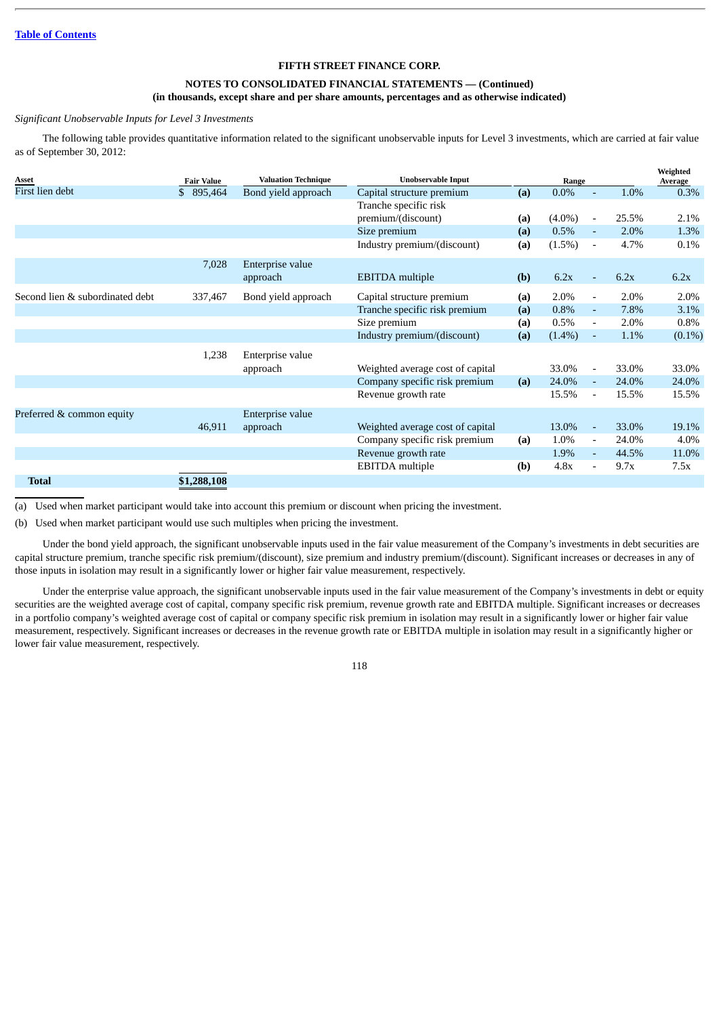# **NOTES TO CONSOLIDATED FINANCIAL STATEMENTS — (Continued) (in thousands, except share and per share amounts, percentages and as otherwise indicated)**

# *Significant Unobservable Inputs for Level 3 Investments*

The following table provides quantitative information related to the significant unobservable inputs for Level 3 investments, which are carried at fair value as of September 30, 2012:

| Asset                           | <b>Fair Value</b> | <b>Valuation Technique</b> | <b>Unobservable Input</b>        |     | Range     |                          |       | Weighted<br>Average |
|---------------------------------|-------------------|----------------------------|----------------------------------|-----|-----------|--------------------------|-------|---------------------|
| First lien debt                 | 895,464<br>\$     | Bond yield approach        | Capital structure premium        | (a) | $0.0\%$   |                          | 1.0%  | 0.3%                |
|                                 |                   |                            | Tranche specific risk            |     |           |                          |       |                     |
|                                 |                   |                            | premium/(discount)               | (a) | $(4.0\%)$ | $\overline{\phantom{a}}$ | 25.5% | 2.1%                |
|                                 |                   |                            | Size premium                     | (a) | 0.5%      | $\sim$                   | 2.0%  | 1.3%                |
|                                 |                   |                            | Industry premium/(discount)      | (a) | $(1.5\%)$ | $\overline{\phantom{a}}$ | 4.7%  | 0.1%                |
|                                 | 7,028             | Enterprise value           |                                  |     |           |                          |       |                     |
|                                 |                   | approach                   | <b>EBITDA</b> multiple           | (b) | 6.2x      | $\overline{a}$           | 6.2x  | 6.2x                |
| Second lien & subordinated debt | 337,467           | Bond yield approach        | Capital structure premium        | (a) | 2.0%      | $\overline{\phantom{a}}$ | 2.0%  | 2.0%                |
|                                 |                   |                            | Tranche specific risk premium    | (a) | 0.8%      | $\sim$                   | 7.8%  | 3.1%                |
|                                 |                   |                            | Size premium                     | (a) | 0.5%      | $\overline{\phantom{a}}$ | 2.0%  | 0.8%                |
|                                 |                   |                            | Industry premium/(discount)      | (a) | $(1.4\%)$ | $\overline{\phantom{a}}$ | 1.1%  | $(0.1\%)$           |
|                                 | 1,238             | Enterprise value           |                                  |     |           |                          |       |                     |
|                                 |                   | approach                   | Weighted average cost of capital |     | 33.0%     | $\overline{\phantom{a}}$ | 33.0% | 33.0%               |
|                                 |                   |                            | Company specific risk premium    | (a) | 24.0%     | $\sim$                   | 24.0% | 24.0%               |
|                                 |                   |                            | Revenue growth rate              |     | 15.5%     | $\overline{\phantom{a}}$ | 15.5% | 15.5%               |
| Preferred & common equity       |                   | Enterprise value           |                                  |     |           |                          |       |                     |
|                                 | 46,911            | approach                   | Weighted average cost of capital |     | 13.0%     | $\overline{\phantom{a}}$ | 33.0% | 19.1%               |
|                                 |                   |                            | Company specific risk premium    | (a) | 1.0%      | $\overline{\phantom{a}}$ | 24.0% | 4.0%                |
|                                 |                   |                            | Revenue growth rate              |     | 1.9%      | $\sim$                   | 44.5% | 11.0%               |
|                                 |                   |                            | EBITDA multiple                  | (b) | 4.8x      | $\blacksquare$           | 9.7x  | 7.5x                |
| <b>Total</b>                    | \$1,288,108       |                            |                                  |     |           |                          |       |                     |

(a) Used when market participant would take into account this premium or discount when pricing the investment.

(b) Used when market participant would use such multiples when pricing the investment.

Under the bond yield approach, the significant unobservable inputs used in the fair value measurement of the Company's investments in debt securities are capital structure premium, tranche specific risk premium/(discount), size premium and industry premium/(discount). Significant increases or decreases in any of those inputs in isolation may result in a significantly lower or higher fair value measurement, respectively.

Under the enterprise value approach, the significant unobservable inputs used in the fair value measurement of the Company's investments in debt or equity securities are the weighted average cost of capital, company specific risk premium, revenue growth rate and EBITDA multiple. Significant increases or decreases in a portfolio company's weighted average cost of capital or company specific risk premium in isolation may result in a significantly lower or higher fair value measurement, respectively. Significant increases or decreases in the revenue growth rate or EBITDA multiple in isolation may result in a significantly higher or lower fair value measurement, respectively.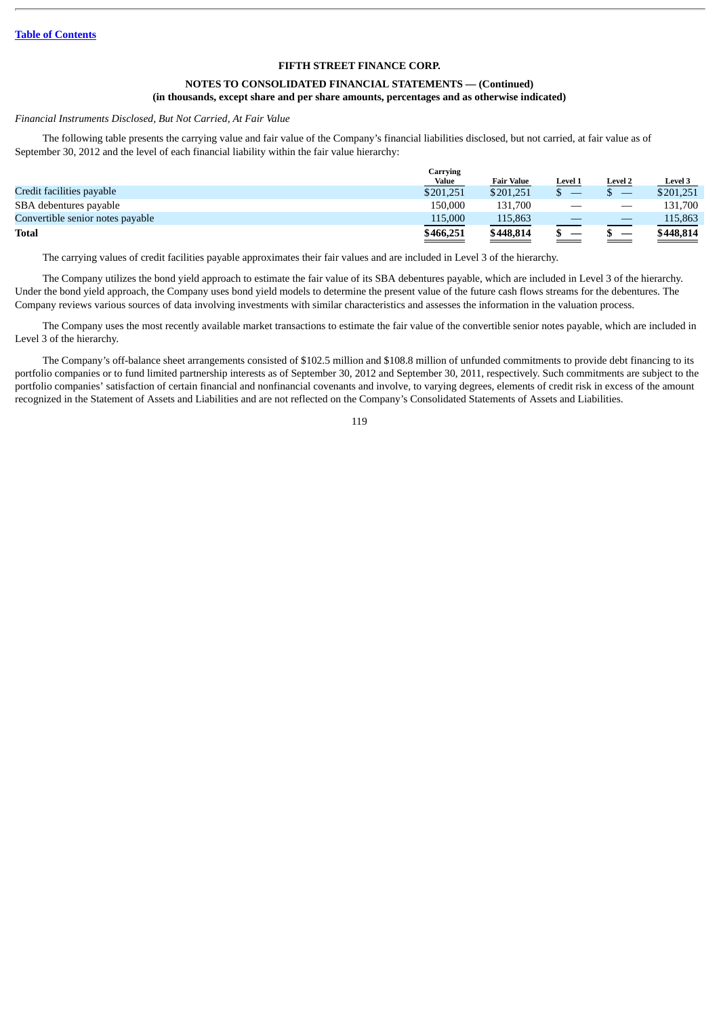# **NOTES TO CONSOLIDATED FINANCIAL STATEMENTS — (Continued) (in thousands, except share and per share amounts, percentages and as otherwise indicated)**

#### *Financial Instruments Disclosed, But Not Carried, At Fair Value*

The following table presents the carrying value and fair value of the Company's financial liabilities disclosed, but not carried, at fair value as of September 30, 2012 and the level of each financial liability within the fair value hierarchy:

|                                  | Carrying  |                   |         |                                 |           |
|----------------------------------|-----------|-------------------|---------|---------------------------------|-----------|
|                                  | Value     | <b>Fair Value</b> | Level 1 | <b>Level 2</b>                  | Level 3   |
| Credit facilities payable        | \$201,251 | \$201,251         |         |                                 | \$201,251 |
| SBA debentures payable           | 150,000   | 131,700           |         | $\hspace{0.1mm}-\hspace{0.1mm}$ | 131,700   |
| Convertible senior notes payable | 115,000   | 115,863           |         | $\overline{\phantom{m}}$        | 115,863   |
| <b>Total</b>                     | \$466,251 | \$448,814         |         |                                 | \$448,814 |

The carrying values of credit facilities payable approximates their fair values and are included in Level 3 of the hierarchy.

The Company utilizes the bond yield approach to estimate the fair value of its SBA debentures payable, which are included in Level 3 of the hierarchy. Under the bond yield approach, the Company uses bond yield models to determine the present value of the future cash flows streams for the debentures. The Company reviews various sources of data involving investments with similar characteristics and assesses the information in the valuation process.

The Company uses the most recently available market transactions to estimate the fair value of the convertible senior notes payable, which are included in Level 3 of the hierarchy.

The Company's off-balance sheet arrangements consisted of \$102.5 million and \$108.8 million of unfunded commitments to provide debt financing to its portfolio companies or to fund limited partnership interests as of September 30, 2012 and September 30, 2011, respectively. Such commitments are subject to the portfolio companies' satisfaction of certain financial and nonfinancial covenants and involve, to varying degrees, elements of credit risk in excess of the amount recognized in the Statement of Assets and Liabilities and are not reflected on the Company's Consolidated Statements of Assets and Liabilities.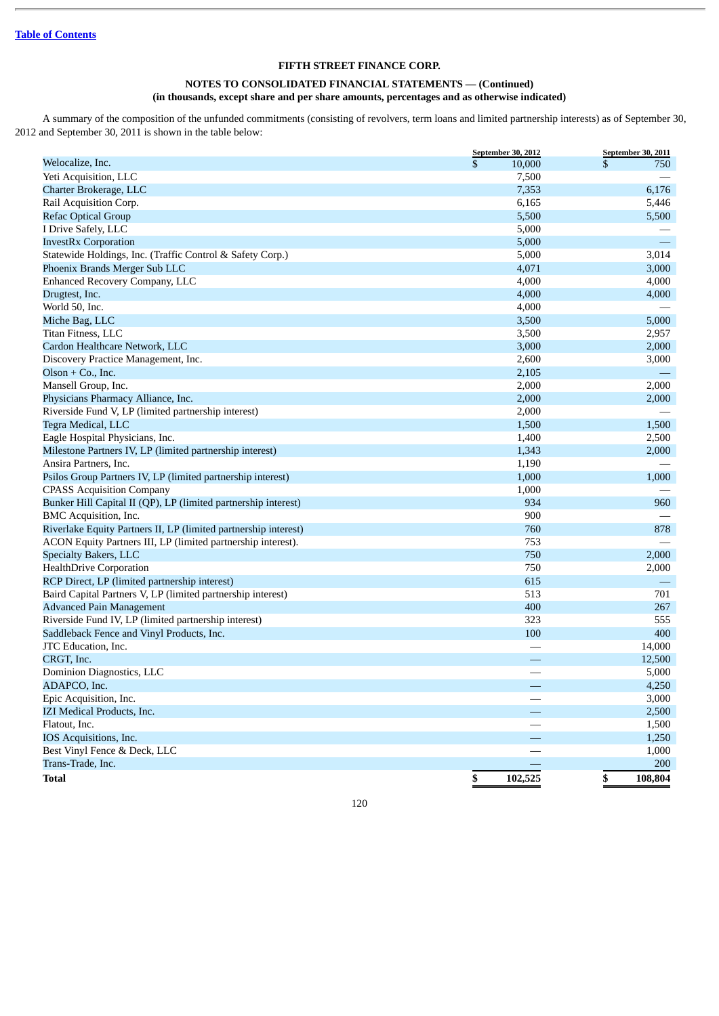# **NOTES TO CONSOLIDATED FINANCIAL STATEMENTS — (Continued) (in thousands, except share and per share amounts, percentages and as otherwise indicated)**

A summary of the composition of the unfunded commitments (consisting of revolvers, term loans and limited partnership interests) as of September 30, 2012 and September 30, 2011 is shown in the table below:

|                                                                 | September 30, 2012 | September 30, 2011  |
|-----------------------------------------------------------------|--------------------|---------------------|
| Welocalize, Inc.                                                | \$<br>10,000       | $\mathbb{S}$<br>750 |
| Yeti Acquisition, LLC                                           | 7,500              |                     |
| Charter Brokerage, LLC                                          | 7,353              | 6,176               |
| Rail Acquisition Corp.                                          | 6,165              | 5,446               |
| Refac Optical Group                                             | 5,500              | 5,500               |
| I Drive Safely, LLC                                             | 5,000              |                     |
| <b>InvestRx Corporation</b>                                     | 5,000              |                     |
| Statewide Holdings, Inc. (Traffic Control & Safety Corp.)       | 5,000              | 3,014               |
| Phoenix Brands Merger Sub LLC                                   | 4,071              | 3,000               |
| Enhanced Recovery Company, LLC                                  | 4,000              | 4,000               |
| Drugtest, Inc.                                                  | 4,000              | 4,000               |
| World 50, Inc.                                                  | 4,000              |                     |
| Miche Bag, LLC                                                  | 3,500              | 5,000               |
| Titan Fitness, LLC                                              | 3,500              | 2,957               |
| Cardon Healthcare Network, LLC                                  | 3,000              | 2,000               |
| Discovery Practice Management, Inc.                             | 2,600              | 3,000               |
| Olson + Co., Inc.                                               | 2,105              |                     |
| Mansell Group, Inc.                                             | 2,000              | 2,000               |
| Physicians Pharmacy Alliance, Inc.                              | 2,000              | 2,000               |
| Riverside Fund V, LP (limited partnership interest)             | 2,000              |                     |
| Tegra Medical, LLC                                              | 1,500              | 1,500               |
| Eagle Hospital Physicians, Inc.                                 | 1,400              | 2,500               |
| Milestone Partners IV, LP (limited partnership interest)        | 1,343              | 2,000               |
| Ansira Partners, Inc.                                           | 1,190              |                     |
| Psilos Group Partners IV, LP (limited partnership interest)     | 1,000              | 1,000               |
| <b>CPASS Acquisition Company</b>                                | 1,000              |                     |
| Bunker Hill Capital II (QP), LP (limited partnership interest)  | 934                | 960                 |
| BMC Acquisition, Inc.                                           | 900                |                     |
| Riverlake Equity Partners II, LP (limited partnership interest) | 760                | 878                 |
| ACON Equity Partners III, LP (limited partnership interest).    | 753                |                     |
| <b>Specialty Bakers, LLC</b>                                    | 750                | 2,000               |
| <b>HealthDrive Corporation</b>                                  | 750                | 2,000               |
| RCP Direct, LP (limited partnership interest)                   | 615                |                     |
| Baird Capital Partners V, LP (limited partnership interest)     | 513                | 701                 |
| <b>Advanced Pain Management</b>                                 | 400                | 267                 |
| Riverside Fund IV, LP (limited partnership interest)            | 323                | 555                 |
| Saddleback Fence and Vinyl Products, Inc.                       | 100                | 400                 |
| JTC Education, Inc.                                             |                    | 14,000              |
| CRGT, Inc.                                                      |                    | 12,500              |
| Dominion Diagnostics, LLC                                       |                    | 5,000               |
| ADAPCO, Inc.                                                    |                    | 4,250               |
| Epic Acquisition, Inc.                                          |                    | 3,000               |
| IZI Medical Products, Inc.                                      |                    | 2,500               |
| Flatout, Inc.                                                   |                    | 1,500               |
| IOS Acquisitions, Inc.                                          |                    | 1,250               |
| Best Vinyl Fence & Deck, LLC                                    |                    | 1,000               |
| Trans-Trade, Inc.                                               |                    | 200                 |
| <b>Total</b>                                                    | \$<br>102,525      | \$<br>108,804       |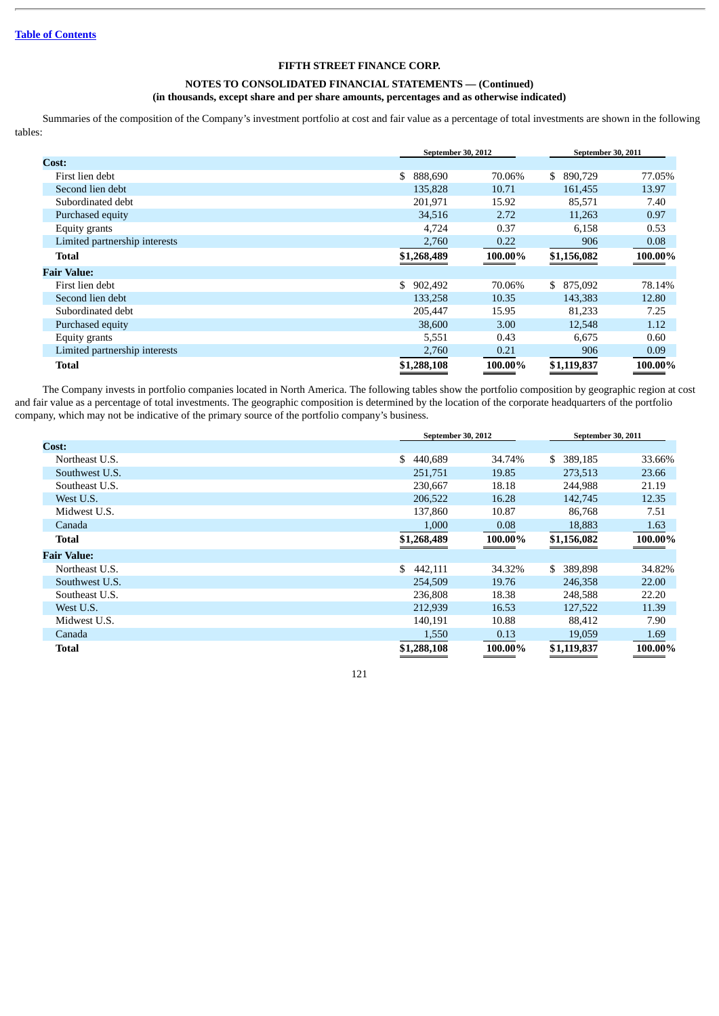# **NOTES TO CONSOLIDATED FINANCIAL STATEMENTS — (Continued) (in thousands, except share and per share amounts, percentages and as otherwise indicated)**

Summaries of the composition of the Company's investment portfolio at cost and fair value as a percentage of total investments are shown in the following tables:

|                               | September 30, 2012 |         | September 30, 2011 |         |  |
|-------------------------------|--------------------|---------|--------------------|---------|--|
| Cost:                         |                    |         |                    |         |  |
| First lien debt               | 888,690<br>\$      | 70.06%  | \$890,729          | 77.05%  |  |
| Second lien debt              | 135,828            | 10.71   | 161,455            | 13.97   |  |
| Subordinated debt             | 201,971            | 15.92   | 85,571             | 7.40    |  |
| Purchased equity              | 34,516             | 2.72    | 11,263             | 0.97    |  |
| Equity grants                 | 4,724              | 0.37    | 6,158              | 0.53    |  |
| Limited partnership interests | 2,760              | 0.22    | 906                | 0.08    |  |
| Total                         | \$1,268,489        | 100.00% | \$1,156,082        | 100.00% |  |
| <b>Fair Value:</b>            |                    |         |                    |         |  |
| First lien debt               | \$902,492          | 70.06%  | \$ 875,092         | 78.14%  |  |
| Second lien debt              | 133,258            | 10.35   | 143,383            | 12.80   |  |
| Subordinated debt             | 205,447            | 15.95   | 81,233             | 7.25    |  |
| Purchased equity              | 38,600             | 3.00    | 12,548             | 1.12    |  |
| Equity grants                 | 5,551              | 0.43    | 6,675              | 0.60    |  |
| Limited partnership interests | 2,760              | 0.21    | 906                | 0.09    |  |
| Total                         | \$1,288,108        | 100.00% | \$1,119,837        | 100.00% |  |

The Company invests in portfolio companies located in North America. The following tables show the portfolio composition by geographic region at cost and fair value as a percentage of total investments. The geographic composition is determined by the location of the corporate headquarters of the portfolio company, which may not be indicative of the primary source of the portfolio company's business.

|                    |             | September 30, 2012 |             | September 30, 2011 |
|--------------------|-------------|--------------------|-------------|--------------------|
| Cost:              |             |                    |             |                    |
| Northeast U.S.     | \$440,689   | 34.74%             | \$ 389,185  | 33.66%             |
| Southwest U.S.     | 251,751     | 19.85              | 273,513     | 23.66              |
| Southeast U.S.     | 230,667     | 18.18              | 244,988     | 21.19              |
| West U.S.          | 206,522     | 16.28              | 142,745     | 12.35              |
| Midwest U.S.       | 137,860     | 10.87              | 86,768      | 7.51               |
| Canada             | 1,000       | 0.08               | 18,883      | 1.63               |
| Total              | \$1,268,489 | 100.00%            | \$1,156,082 | 100.00%            |
| <b>Fair Value:</b> |             |                    |             |                    |
| Northeast U.S.     | \$442,111   | 34.32%             | \$ 389,898  | 34.82%             |
| Southwest U.S.     | 254,509     | 19.76              | 246,358     | 22.00              |
| Southeast U.S.     | 236,808     | 18.38              | 248,588     | 22.20              |
| West U.S.          | 212,939     | 16.53              | 127,522     | 11.39              |
| Midwest U.S.       | 140,191     | 10.88              | 88,412      | 7.90               |
| Canada             | 1,550       | 0.13               | 19,059      | 1.69               |
| Total              | \$1,288,108 | 100.00%            | \$1,119,837 | 100.00%            |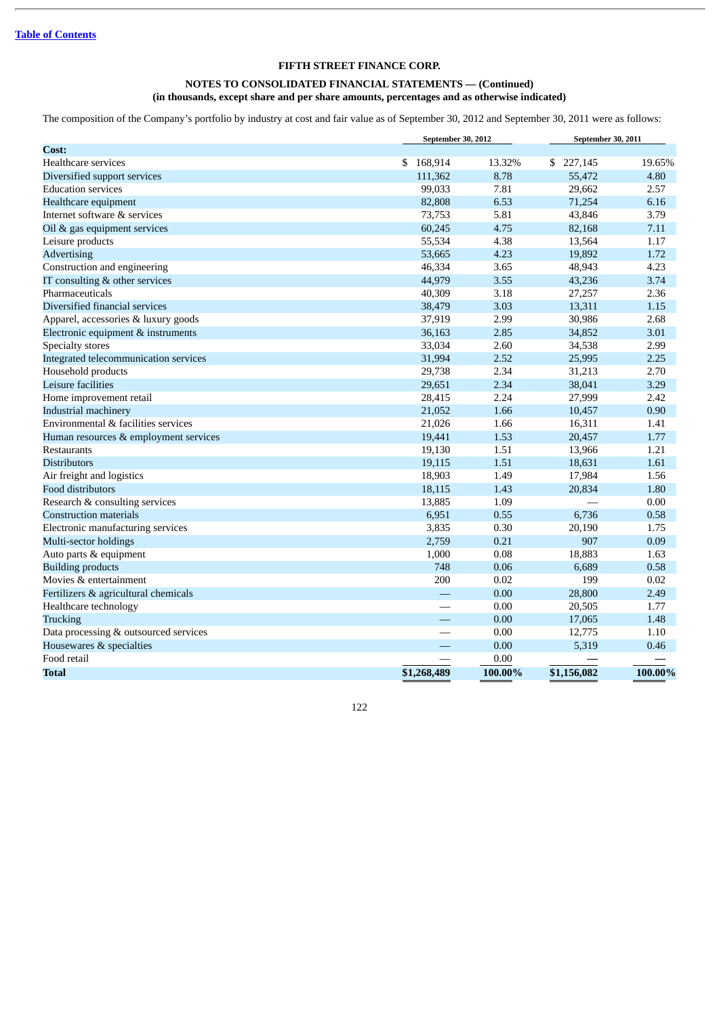# **NOTES TO CONSOLIDATED FINANCIAL STATEMENTS — (Continued) (in thousands, except share and per share amounts, percentages and as otherwise indicated)**

The composition of the Company's portfolio by industry at cost and fair value as of September 30, 2012 and September 30, 2011 were as follows:

|                                       | September 30, 2012 | September 30, 2011 |             |         |
|---------------------------------------|--------------------|--------------------|-------------|---------|
| Cost:                                 |                    |                    |             |         |
| Healthcare services                   | 168,914<br>\$      | 13.32%             | \$227,145   | 19.65%  |
| Diversified support services          | 111,362            | 8.78               | 55,472      | 4.80    |
| <b>Education services</b>             | 99,033             | 7.81               | 29,662      | 2.57    |
| Healthcare equipment                  | 82,808             | 6.53               | 71,254      | 6.16    |
| Internet software & services          | 73,753             | 5.81               | 43,846      | 3.79    |
| Oil & gas equipment services          | 60,245             | 4.75               | 82,168      | 7.11    |
| Leisure products                      | 55,534             | 4.38               | 13,564      | 1.17    |
| Advertising                           | 53,665             | 4.23               | 19,892      | 1.72    |
| Construction and engineering          | 46,334             | 3.65               | 48,943      | 4.23    |
| IT consulting & other services        | 44,979             | 3.55               | 43,236      | 3.74    |
| Pharmaceuticals                       | 40,309             | 3.18               | 27,257      | 2.36    |
| Diversified financial services        | 38,479             | 3.03               | 13,311      | 1.15    |
| Apparel, accessories & luxury goods   | 37,919             | 2.99               | 30,986      | 2.68    |
| Electronic equipment & instruments    | 36,163             | 2.85               | 34,852      | 3.01    |
| Specialty stores                      | 33,034             | 2.60               | 34,538      | 2.99    |
| Integrated telecommunication services | 31,994             | 2.52               | 25,995      | 2.25    |
| Household products                    | 29,738             | 2.34               | 31,213      | 2.70    |
| Leisure facilities                    | 29,651             | 2.34               | 38,041      | 3.29    |
| Home improvement retail               | 28,415             | 2.24               | 27,999      | 2.42    |
| <b>Industrial machinery</b>           | 21,052             | 1.66               | 10,457      | 0.90    |
| Environmental & facilities services   | 21,026             | 1.66               | 16,311      | 1.41    |
| Human resources & employment services | 19,441             | 1.53               | 20,457      | 1.77    |
| <b>Restaurants</b>                    | 19,130             | 1.51               | 13,966      | 1.21    |
| <b>Distributors</b>                   | 19,115             | 1.51               | 18,631      | 1.61    |
| Air freight and logistics             | 18,903             | 1.49               | 17,984      | 1.56    |
| Food distributors                     | 18,115             | 1.43               | 20,834      | 1.80    |
| Research & consulting services        | 13,885             | 1.09               |             | 0.00    |
| <b>Construction materials</b>         | 6,951              | 0.55               | 6,736       | 0.58    |
| Electronic manufacturing services     | 3,835              | 0.30               | 20,190      | 1.75    |
| Multi-sector holdings                 | 2,759              | 0.21               | 907         | 0.09    |
| Auto parts & equipment                | 1,000              | 0.08               | 18,883      | 1.63    |
| <b>Building products</b>              | 748                | 0.06               | 6,689       | 0.58    |
| Movies & entertainment                | 200                | 0.02               | 199         | 0.02    |
| Fertilizers & agricultural chemicals  | <u>e a</u>         | 0.00               | 28,800      | 2.49    |
| Healthcare technology                 |                    | 0.00               | 20,505      | 1.77    |
| Trucking                              | L.                 | 0.00               | 17,065      | 1.48    |
| Data processing & outsourced services |                    | 0.00               | 12,775      | 1.10    |
| Housewares & specialties              | $\equiv$           | 0.00               | 5,319       | 0.46    |
| Food retail                           |                    | 0.00               |             |         |
| <b>Total</b>                          | \$1,268,489        | 100.00%            | \$1,156,082 | 100.00% |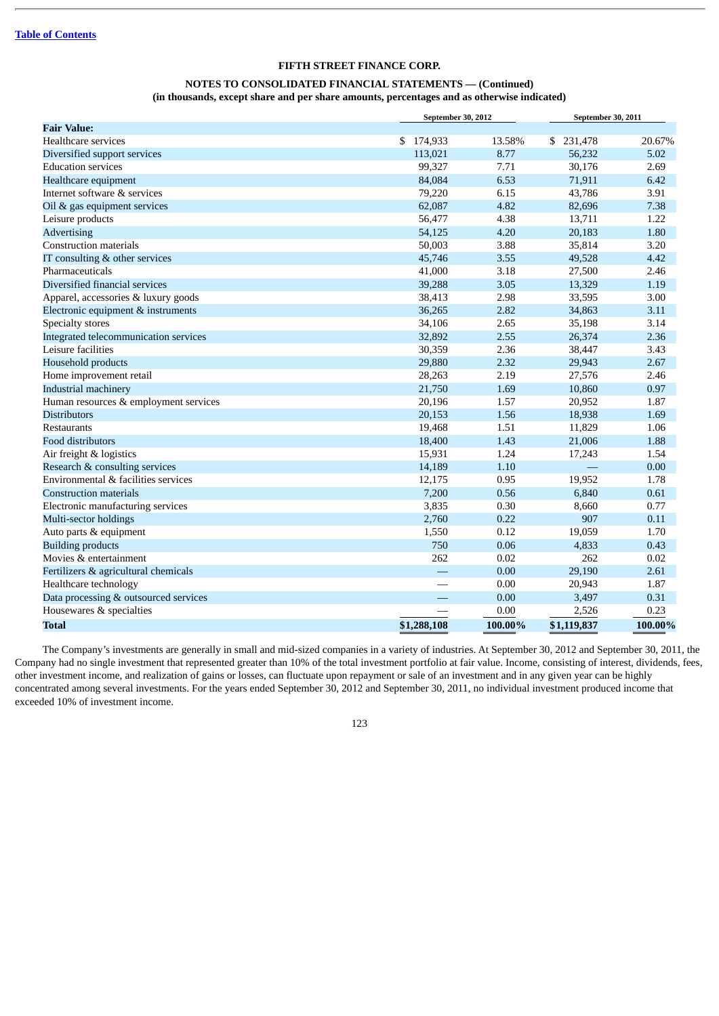# **NOTES TO CONSOLIDATED FINANCIAL STATEMENTS — (Continued) (in thousands, except share and per share amounts, percentages and as otherwise indicated)**

|                                       | September 30, 2012       |         | September 30, 2011 |         |  |
|---------------------------------------|--------------------------|---------|--------------------|---------|--|
| <b>Fair Value:</b>                    |                          |         |                    |         |  |
| Healthcare services                   | \$174,933                | 13.58%  | \$ 231,478         | 20.67%  |  |
| Diversified support services          | 113,021                  | 8.77    | 56,232             | 5.02    |  |
| <b>Education services</b>             | 99,327                   | 7.71    | 30,176             | 2.69    |  |
| Healthcare equipment                  | 84,084                   | 6.53    | 71,911             | 6.42    |  |
| Internet software & services          | 79,220                   | 6.15    | 43,786             | 3.91    |  |
| Oil & gas equipment services          | 62,087                   | 4.82    | 82,696             | 7.38    |  |
| Leisure products                      | 56,477                   | 4.38    | 13,711             | 1.22    |  |
| <b>Advertising</b>                    | 54,125                   | 4.20    | 20,183             | 1.80    |  |
| Construction materials                | 50,003                   | 3.88    | 35,814             | 3.20    |  |
| IT consulting & other services        | 45,746                   | 3.55    | 49,528             | 4.42    |  |
| Pharmaceuticals                       | 41,000                   | 3.18    | 27,500             | 2.46    |  |
| Diversified financial services        | 39,288                   | 3.05    | 13,329             | 1.19    |  |
| Apparel, accessories & luxury goods   | 38,413                   | 2.98    | 33,595             | 3.00    |  |
| Electronic equipment & instruments    | 36,265                   | 2.82    | 34,863             | 3.11    |  |
| Specialty stores                      | 34,106                   | 2.65    | 35,198             | 3.14    |  |
| Integrated telecommunication services | 32,892                   | 2.55    | 26,374             | 2.36    |  |
| Leisure facilities                    | 30,359                   | 2.36    | 38,447             | 3.43    |  |
| Household products                    | 29,880                   | 2.32    | 29,943             | 2.67    |  |
| Home improvement retail               | 28,263                   | 2.19    | 27,576             | 2.46    |  |
| <b>Industrial machinery</b>           | 21,750                   | 1.69    | 10,860             | 0.97    |  |
| Human resources & employment services | 20,196                   | 1.57    | 20,952             | 1.87    |  |
| <b>Distributors</b>                   | 20,153                   | 1.56    | 18,938             | 1.69    |  |
| Restaurants                           | 19,468                   | 1.51    | 11,829             | 1.06    |  |
| Food distributors                     | 18,400                   | 1.43    | 21,006             | 1.88    |  |
| Air freight & logistics               | 15,931                   | 1.24    | 17,243             | 1.54    |  |
| Research & consulting services        | 14,189                   | 1.10    |                    | 0.00    |  |
| Environmental & facilities services   | 12,175                   | 0.95    | 19,952             | 1.78    |  |
| <b>Construction materials</b>         | 7,200                    | 0.56    | 6,840              | 0.61    |  |
| Electronic manufacturing services     | 3,835                    | 0.30    | 8,660              | 0.77    |  |
| Multi-sector holdings                 | 2,760                    | 0.22    | 907                | 0.11    |  |
| Auto parts & equipment                | 1,550                    | 0.12    | 19,059             | 1.70    |  |
| <b>Building products</b>              | 750                      | 0.06    | 4,833              | 0.43    |  |
| Movies & entertainment                | 262                      | 0.02    | 262                | 0.02    |  |
| Fertilizers & agricultural chemicals  |                          | 0.00    | 29,190             | 2.61    |  |
| Healthcare technology                 | $\overline{\phantom{0}}$ | 0.00    | 20,943             | 1.87    |  |
| Data processing & outsourced services | $\equiv$                 | 0.00    | 3,497              | 0.31    |  |
| Housewares & specialties              |                          | 0.00    | 2,526              | 0.23    |  |
| <b>Total</b>                          | \$1,288,108              | 100.00% | \$1,119,837        | 100.00% |  |

The Company's investments are generally in small and mid-sized companies in a variety of industries. At September 30, 2012 and September 30, 2011, the Company had no single investment that represented greater than 10% of the total investment portfolio at fair value. Income, consisting of interest, dividends, fees, other investment income, and realization of gains or losses, can fluctuate upon repayment or sale of an investment and in any given year can be highly concentrated among several investments. For the years ended September 30, 2012 and September 30, 2011, no individual investment produced income that exceeded 10% of investment income.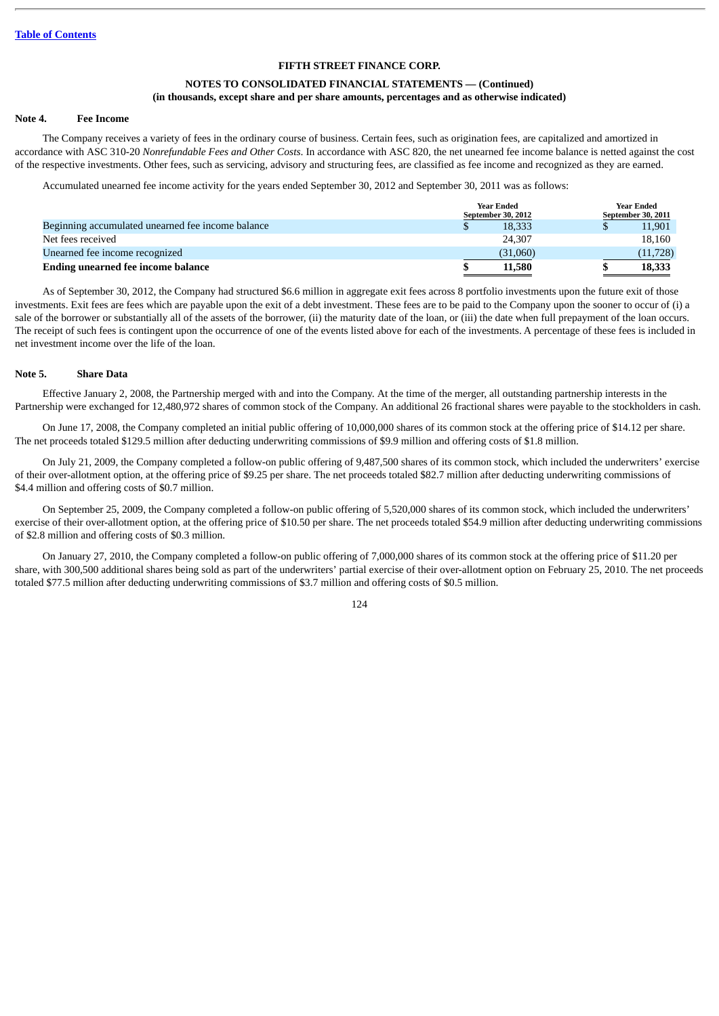# **NOTES TO CONSOLIDATED FINANCIAL STATEMENTS — (Continued) (in thousands, except share and per share amounts, percentages and as otherwise indicated)**

### **Note 4. Fee Income**

The Company receives a variety of fees in the ordinary course of business. Certain fees, such as origination fees, are capitalized and amortized in accordance with ASC 310-20 *Nonrefundable Fees and Other Costs*. In accordance with ASC 820, the net unearned fee income balance is netted against the cost of the respective investments. Other fees, such as servicing, advisory and structuring fees, are classified as fee income and recognized as they are earned.

Accumulated unearned fee income activity for the years ended September 30, 2012 and September 30, 2011 was as follows:

|                                                   | <b>Year Ended</b><br>September 30, 2012 |          | Year Ended<br>September 30, 2011 |
|---------------------------------------------------|-----------------------------------------|----------|----------------------------------|
| Beginning accumulated unearned fee income balance |                                         | 18,333   | 11,901                           |
| Net fees received                                 |                                         | 24,307   | 18,160                           |
| Unearned fee income recognized                    |                                         | (31,060) | (11, 728)                        |
| Ending unearned fee income balance                |                                         | 11,580   | 18,333                           |

As of September 30, 2012, the Company had structured \$6.6 million in aggregate exit fees across 8 portfolio investments upon the future exit of those investments. Exit fees are fees which are payable upon the exit of a debt investment. These fees are to be paid to the Company upon the sooner to occur of (i) a sale of the borrower or substantially all of the assets of the borrower, (ii) the maturity date of the loan, or (iii) the date when full prepayment of the loan occurs. The receipt of such fees is contingent upon the occurrence of one of the events listed above for each of the investments. A percentage of these fees is included in net investment income over the life of the loan.

### **Note 5. Share Data**

Effective January 2, 2008, the Partnership merged with and into the Company. At the time of the merger, all outstanding partnership interests in the Partnership were exchanged for 12,480,972 shares of common stock of the Company. An additional 26 fractional shares were payable to the stockholders in cash.

On June 17, 2008, the Company completed an initial public offering of 10,000,000 shares of its common stock at the offering price of \$14.12 per share. The net proceeds totaled \$129.5 million after deducting underwriting commissions of \$9.9 million and offering costs of \$1.8 million.

On July 21, 2009, the Company completed a follow-on public offering of 9,487,500 shares of its common stock, which included the underwriters' exercise of their over-allotment option, at the offering price of \$9.25 per share. The net proceeds totaled \$82.7 million after deducting underwriting commissions of \$4.4 million and offering costs of \$0.7 million.

On September 25, 2009, the Company completed a follow-on public offering of 5,520,000 shares of its common stock, which included the underwriters' exercise of their over-allotment option, at the offering price of \$10.50 per share. The net proceeds totaled \$54.9 million after deducting underwriting commissions of \$2.8 million and offering costs of \$0.3 million.

On January 27, 2010, the Company completed a follow-on public offering of 7,000,000 shares of its common stock at the offering price of \$11.20 per share, with 300,500 additional shares being sold as part of the underwriters' partial exercise of their over-allotment option on February 25, 2010. The net proceeds totaled \$77.5 million after deducting underwriting commissions of \$3.7 million and offering costs of \$0.5 million.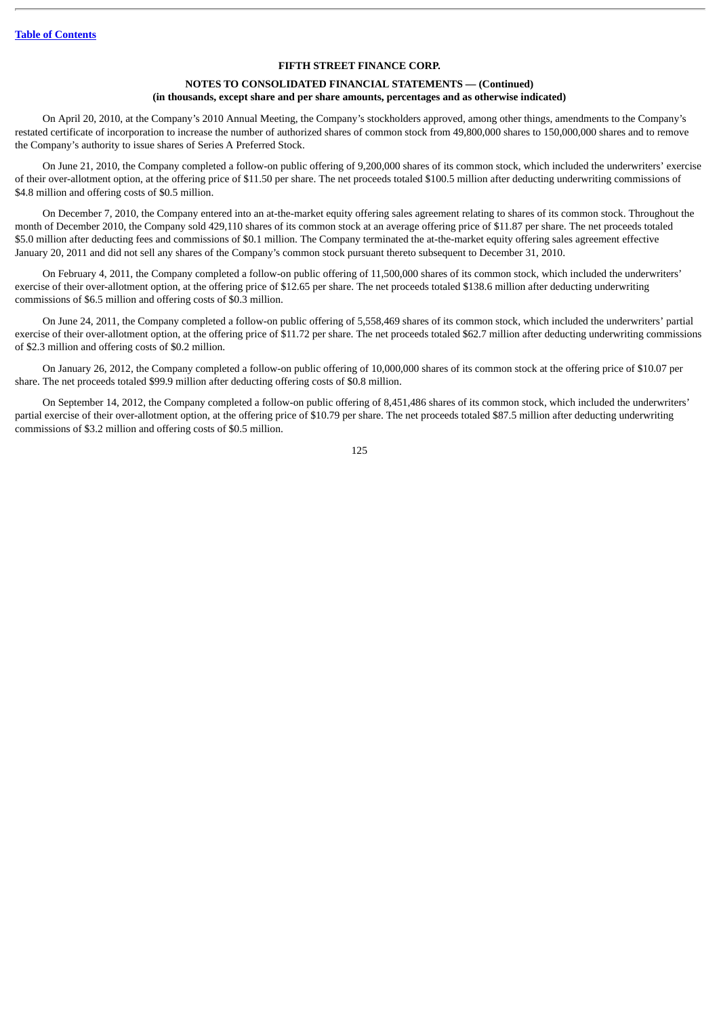# **NOTES TO CONSOLIDATED FINANCIAL STATEMENTS — (Continued) (in thousands, except share and per share amounts, percentages and as otherwise indicated)**

On April 20, 2010, at the Company's 2010 Annual Meeting, the Company's stockholders approved, among other things, amendments to the Company's restated certificate of incorporation to increase the number of authorized shares of common stock from 49,800,000 shares to 150,000,000 shares and to remove the Company's authority to issue shares of Series A Preferred Stock.

On June 21, 2010, the Company completed a follow-on public offering of 9,200,000 shares of its common stock, which included the underwriters' exercise of their over-allotment option, at the offering price of \$11.50 per share. The net proceeds totaled \$100.5 million after deducting underwriting commissions of \$4.8 million and offering costs of \$0.5 million.

On December 7, 2010, the Company entered into an at-the-market equity offering sales agreement relating to shares of its common stock. Throughout the month of December 2010, the Company sold 429,110 shares of its common stock at an average offering price of \$11.87 per share. The net proceeds totaled \$5.0 million after deducting fees and commissions of \$0.1 million. The Company terminated the at-the-market equity offering sales agreement effective January 20, 2011 and did not sell any shares of the Company's common stock pursuant thereto subsequent to December 31, 2010.

On February 4, 2011, the Company completed a follow-on public offering of 11,500,000 shares of its common stock, which included the underwriters' exercise of their over-allotment option, at the offering price of \$12.65 per share. The net proceeds totaled \$138.6 million after deducting underwriting commissions of \$6.5 million and offering costs of \$0.3 million.

On June 24, 2011, the Company completed a follow-on public offering of 5,558,469 shares of its common stock, which included the underwriters' partial exercise of their over-allotment option, at the offering price of \$11.72 per share. The net proceeds totaled \$62.7 million after deducting underwriting commissions of \$2.3 million and offering costs of \$0.2 million.

On January 26, 2012, the Company completed a follow-on public offering of 10,000,000 shares of its common stock at the offering price of \$10.07 per share. The net proceeds totaled \$99.9 million after deducting offering costs of \$0.8 million.

On September 14, 2012, the Company completed a follow-on public offering of 8,451,486 shares of its common stock, which included the underwriters' partial exercise of their over-allotment option, at the offering price of \$10.79 per share. The net proceeds totaled \$87.5 million after deducting underwriting commissions of \$3.2 million and offering costs of \$0.5 million.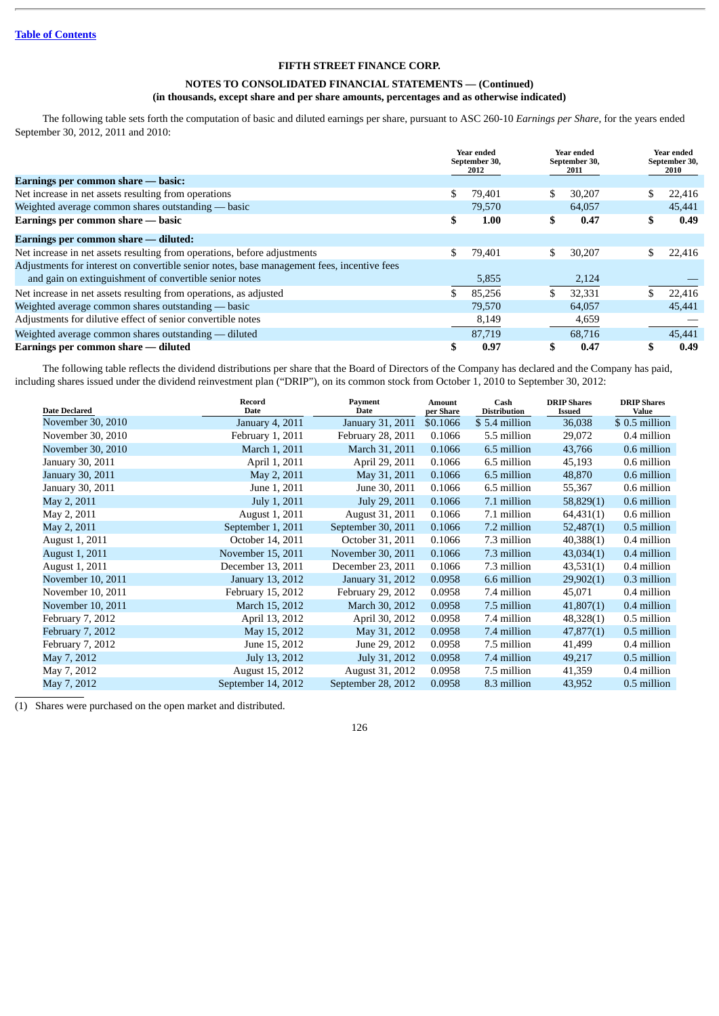# **NOTES TO CONSOLIDATED FINANCIAL STATEMENTS — (Continued) (in thousands, except share and per share amounts, percentages and as otherwise indicated)**

The following table sets forth the computation of basic and diluted earnings per share, pursuant to ASC 260-10 *Earnings per Share*, for the years ended September 30, 2012, 2011 and 2010:

|                                                                                            | Year ended<br>September 30,<br>2012 |    | Year ended<br>September 30,<br>2011 |     | Year ended<br>September 30,<br>2010 |
|--------------------------------------------------------------------------------------------|-------------------------------------|----|-------------------------------------|-----|-------------------------------------|
| Earnings per common share — basic:                                                         |                                     |    |                                     |     |                                     |
| Net increase in net assets resulting from operations                                       | \$<br>79,401                        | \$ | 30,207                              | \$  | 22,416                              |
| Weighted average common shares outstanding - basic                                         | 79,570                              |    | 64,057                              |     | 45,441                              |
| Earnings per common share — basic                                                          | \$<br>1.00                          | S. | 0.47                                |     | 0.49                                |
| Earnings per common share — diluted:                                                       |                                     |    |                                     |     |                                     |
| Net increase in net assets resulting from operations, before adjustments                   | \$<br>79,401                        | \$ | 30,207                              | \$. | 22,416                              |
| Adjustments for interest on convertible senior notes, base management fees, incentive fees |                                     |    |                                     |     |                                     |
| and gain on extinguishment of convertible senior notes                                     | 5,855                               |    | 2,124                               |     |                                     |
| Net increase in net assets resulting from operations, as adjusted                          | 85,256                              |    | 32,331                              |     | 22,416                              |
| Weighted average common shares outstanding — basic                                         | 79.570                              |    | 64,057                              |     | 45,441                              |
| Adjustments for dilutive effect of senior convertible notes                                | 8,149                               |    | 4,659                               |     |                                     |
| Weighted average common shares outstanding — diluted                                       | 87,719                              |    | 68.716                              |     | 45,441                              |
| Earnings per common share — diluted                                                        | 0.97                                | S  | 0.47                                |     | 0.49                                |

The following table reflects the dividend distributions per share that the Board of Directors of the Company has declared and the Company has paid, including shares issued under the dividend reinvestment plan ("DRIP"), on its common stock from October 1, 2010 to September 30, 2012:

| <b>Date Declared</b>  | Record<br>Date     | Payment<br><b>Date</b> | <b>Amount</b><br>per Share | Cash<br><b>Distribution</b> | <b>DRIP Shares</b><br>Issued | <b>DRIP Shares</b><br>Value |
|-----------------------|--------------------|------------------------|----------------------------|-----------------------------|------------------------------|-----------------------------|
| November 30, 2010     | January 4, 2011    | January 31, 2011       | \$0.1066                   | \$5.4 million               | 36,038                       | \$ 0.5 million              |
| November 30, 2010     | February 1, 2011   | February 28, 2011      | 0.1066                     | 5.5 million                 | 29,072                       | 0.4 million                 |
| November 30, 2010     | March 1, 2011      | March 31, 2011         | 0.1066                     | 6.5 million                 | 43,766                       | 0.6 million                 |
| January 30, 2011      | April 1, 2011      | April 29, 2011         | 0.1066                     | 6.5 million                 | 45,193                       | 0.6 million                 |
| January 30, 2011      | May 2, 2011        | May 31, 2011           | 0.1066                     | 6.5 million                 | 48,870                       | 0.6 million                 |
| January 30, 2011      | June 1, 2011       | June 30, 2011          | 0.1066                     | 6.5 million                 | 55,367                       | 0.6 million                 |
| May 2, 2011           | July 1, 2011       | July 29, 2011          | 0.1066                     | 7.1 million                 | 58,829(1)                    | 0.6 million                 |
| May 2, 2011           | August 1, 2011     | August 31, 2011        | 0.1066                     | 7.1 million                 | 64,431(1)                    | 0.6 million                 |
| May 2, 2011           | September 1, 2011  | September 30, 2011     | 0.1066                     | 7.2 million                 | 52,487(1)                    | 0.5 million                 |
| August 1, 2011        | October 14, 2011   | October 31, 2011       | 0.1066                     | 7.3 million                 | 40,388(1)                    | 0.4 million                 |
| <b>August 1, 2011</b> | November 15, 2011  | November 30, 2011      | 0.1066                     | 7.3 million                 | 43,034(1)                    | 0.4 million                 |
| August 1, 2011        | December 13, 2011  | December 23, 2011      | 0.1066                     | 7.3 million                 | 43,531(1)                    | 0.4 million                 |
| November 10, 2011     | January 13, 2012   | January 31, 2012       | 0.0958                     | 6.6 million                 | 29,902(1)                    | 0.3 million                 |
| November 10, 2011     | February 15, 2012  | February 29, 2012      | 0.0958                     | 7.4 million                 | 45,071                       | 0.4 million                 |
| November 10, 2011     | March 15, 2012     | March 30, 2012         | 0.0958                     | 7.5 million                 | 41,807(1)                    | 0.4 million                 |
| February 7, 2012      | April 13, 2012     | April 30, 2012         | 0.0958                     | 7.4 million                 | 48,328(1)                    | 0.5 million                 |
| February 7, 2012      | May 15, 2012       | May 31, 2012           | 0.0958                     | 7.4 million                 | 47,877(1)                    | 0.5 million                 |
| February 7, 2012      | June 15, 2012      | June 29, 2012          | 0.0958                     | 7.5 million                 | 41,499                       | 0.4 million                 |
| May 7, 2012           | July 13, 2012      | July 31, 2012          | 0.0958                     | 7.4 million                 | 49,217                       | 0.5 million                 |
| May 7, 2012           | August 15, 2012    | August 31, 2012        | 0.0958                     | 7.5 million                 | 41,359                       | 0.4 million                 |
| May 7, 2012           | September 14, 2012 | September 28, 2012     | 0.0958                     | 8.3 million                 | 43,952                       | 0.5 million                 |

(1) Shares were purchased on the open market and distributed.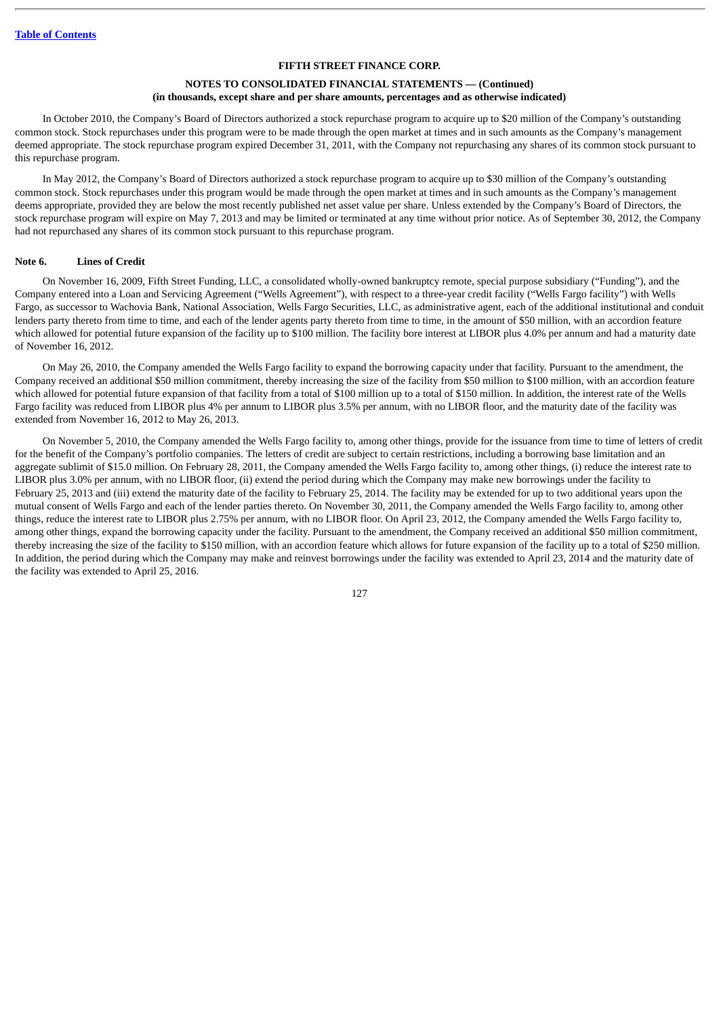# **NOTES TO CONSOLIDATED FINANCIAL STATEMENTS — (Continued) (in thousands, except share and per share amounts, percentages and as otherwise indicated)**

In October 2010, the Company's Board of Directors authorized a stock repurchase program to acquire up to \$20 million of the Company's outstanding common stock. Stock repurchases under this program were to be made through the open market at times and in such amounts as the Company's management deemed appropriate. The stock repurchase program expired December 31, 2011, with the Company not repurchasing any shares of its common stock pursuant to this repurchase program.

In May 2012, the Company's Board of Directors authorized a stock repurchase program to acquire up to \$30 million of the Company's outstanding common stock. Stock repurchases under this program would be made through the open market at times and in such amounts as the Company's management deems appropriate, provided they are below the most recently published net asset value per share. Unless extended by the Company's Board of Directors, the stock repurchase program will expire on May 7, 2013 and may be limited or terminated at any time without prior notice. As of September 30, 2012, the Company had not repurchased any shares of its common stock pursuant to this repurchase program.

### **Note 6. Lines of Credit**

On November 16, 2009, Fifth Street Funding, LLC, a consolidated wholly-owned bankruptcy remote, special purpose subsidiary ("Funding"), and the Company entered into a Loan and Servicing Agreement ("Wells Agreement"), with respect to a three-year credit facility ("Wells Fargo facility") with Wells Fargo, as successor to Wachovia Bank, National Association, Wells Fargo Securities, LLC, as administrative agent, each of the additional institutional and conduit lenders party thereto from time to time, and each of the lender agents party thereto from time to time, in the amount of \$50 million, with an accordion feature which allowed for potential future expansion of the facility up to \$100 million. The facility bore interest at LIBOR plus 4.0% per annum and had a maturity date of November 16, 2012.

On May 26, 2010, the Company amended the Wells Fargo facility to expand the borrowing capacity under that facility. Pursuant to the amendment, the Company received an additional \$50 million commitment, thereby increasing the size of the facility from \$50 million to \$100 million, with an accordion feature which allowed for potential future expansion of that facility from a total of \$100 million up to a total of \$150 million. In addition, the interest rate of the Wells Fargo facility was reduced from LIBOR plus 4% per annum to LIBOR plus 3.5% per annum, with no LIBOR floor, and the maturity date of the facility was extended from November 16, 2012 to May 26, 2013.

On November 5, 2010, the Company amended the Wells Fargo facility to, among other things, provide for the issuance from time to time of letters of credit for the benefit of the Company's portfolio companies. The letters of credit are subject to certain restrictions, including a borrowing base limitation and an aggregate sublimit of \$15.0 million. On February 28, 2011, the Company amended the Wells Fargo facility to, among other things, (i) reduce the interest rate to LIBOR plus 3.0% per annum, with no LIBOR floor, (ii) extend the period during which the Company may make new borrowings under the facility to February 25, 2013 and (iii) extend the maturity date of the facility to February 25, 2014. The facility may be extended for up to two additional years upon the mutual consent of Wells Fargo and each of the lender parties thereto. On November 30, 2011, the Company amended the Wells Fargo facility to, among other things, reduce the interest rate to LIBOR plus 2.75% per annum, with no LIBOR floor. On April 23, 2012, the Company amended the Wells Fargo facility to, among other things, expand the borrowing capacity under the facility. Pursuant to the amendment, the Company received an additional \$50 million commitment, thereby increasing the size of the facility to \$150 million, with an accordion feature which allows for future expansion of the facility up to a total of \$250 million. In addition, the period during which the Company may make and reinvest borrowings under the facility was extended to April 23, 2014 and the maturity date of the facility was extended to April 25, 2016.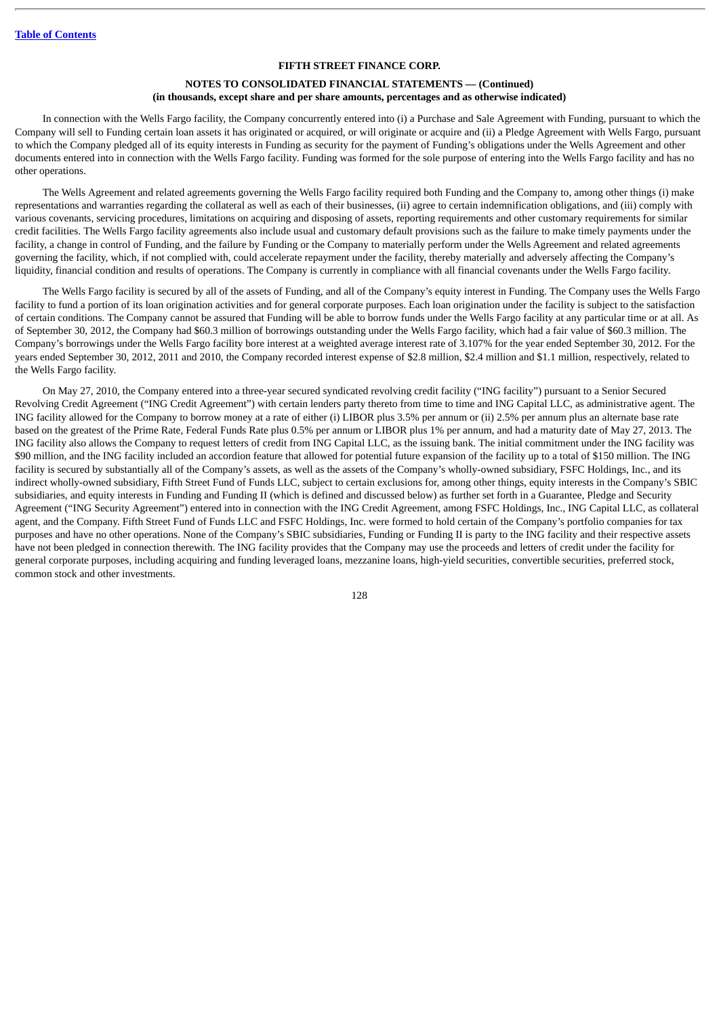# **NOTES TO CONSOLIDATED FINANCIAL STATEMENTS — (Continued) (in thousands, except share and per share amounts, percentages and as otherwise indicated)**

In connection with the Wells Fargo facility, the Company concurrently entered into (i) a Purchase and Sale Agreement with Funding, pursuant to which the Company will sell to Funding certain loan assets it has originated or acquired, or will originate or acquire and (ii) a Pledge Agreement with Wells Fargo, pursuant to which the Company pledged all of its equity interests in Funding as security for the payment of Funding's obligations under the Wells Agreement and other documents entered into in connection with the Wells Fargo facility. Funding was formed for the sole purpose of entering into the Wells Fargo facility and has no other operations.

The Wells Agreement and related agreements governing the Wells Fargo facility required both Funding and the Company to, among other things (i) make representations and warranties regarding the collateral as well as each of their businesses, (ii) agree to certain indemnification obligations, and (iii) comply with various covenants, servicing procedures, limitations on acquiring and disposing of assets, reporting requirements and other customary requirements for similar credit facilities. The Wells Fargo facility agreements also include usual and customary default provisions such as the failure to make timely payments under the facility, a change in control of Funding, and the failure by Funding or the Company to materially perform under the Wells Agreement and related agreements governing the facility, which, if not complied with, could accelerate repayment under the facility, thereby materially and adversely affecting the Company's liquidity, financial condition and results of operations. The Company is currently in compliance with all financial covenants under the Wells Fargo facility.

The Wells Fargo facility is secured by all of the assets of Funding, and all of the Company's equity interest in Funding. The Company uses the Wells Fargo facility to fund a portion of its loan origination activities and for general corporate purposes. Each loan origination under the facility is subject to the satisfaction of certain conditions. The Company cannot be assured that Funding will be able to borrow funds under the Wells Fargo facility at any particular time or at all. As of September 30, 2012, the Company had \$60.3 million of borrowings outstanding under the Wells Fargo facility, which had a fair value of \$60.3 million. The Company's borrowings under the Wells Fargo facility bore interest at a weighted average interest rate of 3.107% for the year ended September 30, 2012. For the years ended September 30, 2012, 2011 and 2010, the Company recorded interest expense of \$2.8 million, \$2.4 million and \$1.1 million, respectively, related to the Wells Fargo facility.

On May 27, 2010, the Company entered into a three-year secured syndicated revolving credit facility ("ING facility") pursuant to a Senior Secured Revolving Credit Agreement ("ING Credit Agreement") with certain lenders party thereto from time to time and ING Capital LLC, as administrative agent. The ING facility allowed for the Company to borrow money at a rate of either (i) LIBOR plus 3.5% per annum or (ii) 2.5% per annum plus an alternate base rate based on the greatest of the Prime Rate, Federal Funds Rate plus 0.5% per annum or LIBOR plus 1% per annum, and had a maturity date of May 27, 2013. The ING facility also allows the Company to request letters of credit from ING Capital LLC, as the issuing bank. The initial commitment under the ING facility was \$90 million, and the ING facility included an accordion feature that allowed for potential future expansion of the facility up to a total of \$150 million. The ING facility is secured by substantially all of the Company's assets, as well as the assets of the Company's wholly-owned subsidiary, FSFC Holdings, Inc., and its indirect wholly-owned subsidiary, Fifth Street Fund of Funds LLC, subject to certain exclusions for, among other things, equity interests in the Company's SBIC subsidiaries, and equity interests in Funding and Funding II (which is defined and discussed below) as further set forth in a Guarantee, Pledge and Security Agreement ("ING Security Agreement") entered into in connection with the ING Credit Agreement, among FSFC Holdings, Inc., ING Capital LLC, as collateral agent, and the Company. Fifth Street Fund of Funds LLC and FSFC Holdings, Inc. were formed to hold certain of the Company's portfolio companies for tax purposes and have no other operations. None of the Company's SBIC subsidiaries, Funding or Funding II is party to the ING facility and their respective assets have not been pledged in connection therewith. The ING facility provides that the Company may use the proceeds and letters of credit under the facility for general corporate purposes, including acquiring and funding leveraged loans, mezzanine loans, high-yield securities, convertible securities, preferred stock, common stock and other investments.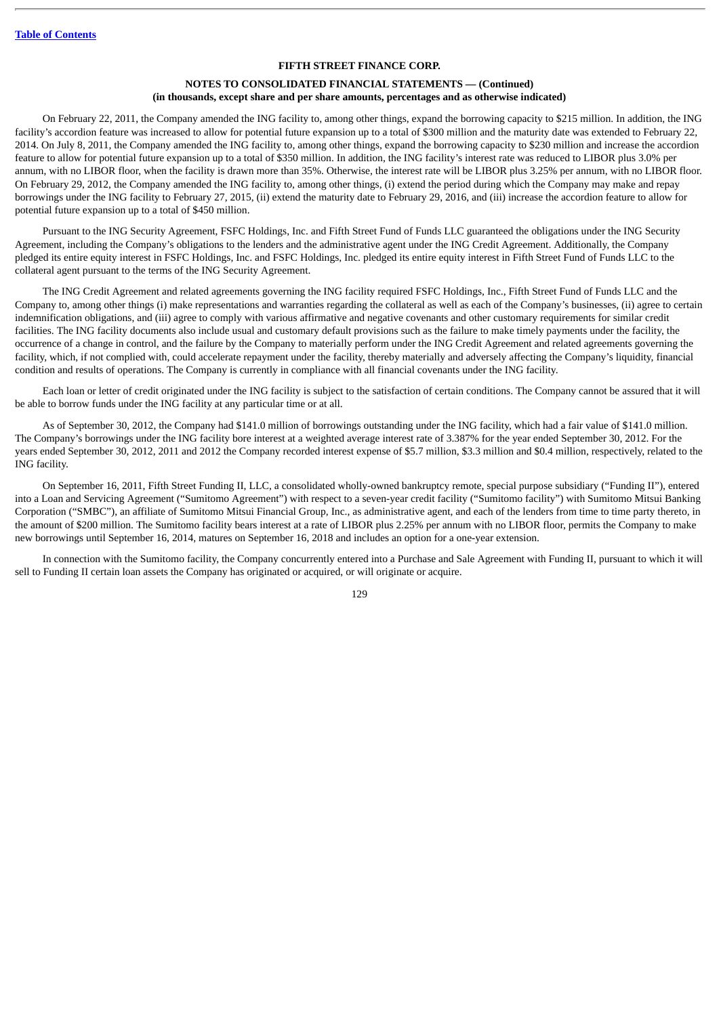# **NOTES TO CONSOLIDATED FINANCIAL STATEMENTS — (Continued) (in thousands, except share and per share amounts, percentages and as otherwise indicated)**

On February 22, 2011, the Company amended the ING facility to, among other things, expand the borrowing capacity to \$215 million. In addition, the ING facility's accordion feature was increased to allow for potential future expansion up to a total of \$300 million and the maturity date was extended to February 22, 2014. On July 8, 2011, the Company amended the ING facility to, among other things, expand the borrowing capacity to \$230 million and increase the accordion feature to allow for potential future expansion up to a total of \$350 million. In addition, the ING facility's interest rate was reduced to LIBOR plus 3.0% per annum, with no LIBOR floor, when the facility is drawn more than 35%. Otherwise, the interest rate will be LIBOR plus 3.25% per annum, with no LIBOR floor. On February 29, 2012, the Company amended the ING facility to, among other things, (i) extend the period during which the Company may make and repay borrowings under the ING facility to February 27, 2015, (ii) extend the maturity date to February 29, 2016, and (iii) increase the accordion feature to allow for potential future expansion up to a total of \$450 million.

Pursuant to the ING Security Agreement, FSFC Holdings, Inc. and Fifth Street Fund of Funds LLC guaranteed the obligations under the ING Security Agreement, including the Company's obligations to the lenders and the administrative agent under the ING Credit Agreement. Additionally, the Company pledged its entire equity interest in FSFC Holdings, Inc. and FSFC Holdings, Inc. pledged its entire equity interest in Fifth Street Fund of Funds LLC to the collateral agent pursuant to the terms of the ING Security Agreement.

The ING Credit Agreement and related agreements governing the ING facility required FSFC Holdings, Inc., Fifth Street Fund of Funds LLC and the Company to, among other things (i) make representations and warranties regarding the collateral as well as each of the Company's businesses, (ii) agree to certain indemnification obligations, and (iii) agree to comply with various affirmative and negative covenants and other customary requirements for similar credit facilities. The ING facility documents also include usual and customary default provisions such as the failure to make timely payments under the facility, the occurrence of a change in control, and the failure by the Company to materially perform under the ING Credit Agreement and related agreements governing the facility, which, if not complied with, could accelerate repayment under the facility, thereby materially and adversely affecting the Company's liquidity, financial condition and results of operations. The Company is currently in compliance with all financial covenants under the ING facility.

Each loan or letter of credit originated under the ING facility is subject to the satisfaction of certain conditions. The Company cannot be assured that it will be able to borrow funds under the ING facility at any particular time or at all.

As of September 30, 2012, the Company had \$141.0 million of borrowings outstanding under the ING facility, which had a fair value of \$141.0 million. The Company's borrowings under the ING facility bore interest at a weighted average interest rate of 3.387% for the year ended September 30, 2012. For the years ended September 30, 2012, 2011 and 2012 the Company recorded interest expense of \$5.7 million, \$3.3 million and \$0.4 million, respectively, related to the ING facility.

On September 16, 2011, Fifth Street Funding II, LLC, a consolidated wholly-owned bankruptcy remote, special purpose subsidiary ("Funding II"), entered into a Loan and Servicing Agreement ("Sumitomo Agreement") with respect to a seven-year credit facility ("Sumitomo facility") with Sumitomo Mitsui Banking Corporation ("SMBC"), an affiliate of Sumitomo Mitsui Financial Group, Inc., as administrative agent, and each of the lenders from time to time party thereto, in the amount of \$200 million. The Sumitomo facility bears interest at a rate of LIBOR plus 2.25% per annum with no LIBOR floor, permits the Company to make new borrowings until September 16, 2014, matures on September 16, 2018 and includes an option for a one-year extension.

In connection with the Sumitomo facility, the Company concurrently entered into a Purchase and Sale Agreement with Funding II, pursuant to which it will sell to Funding II certain loan assets the Company has originated or acquired, or will originate or acquire.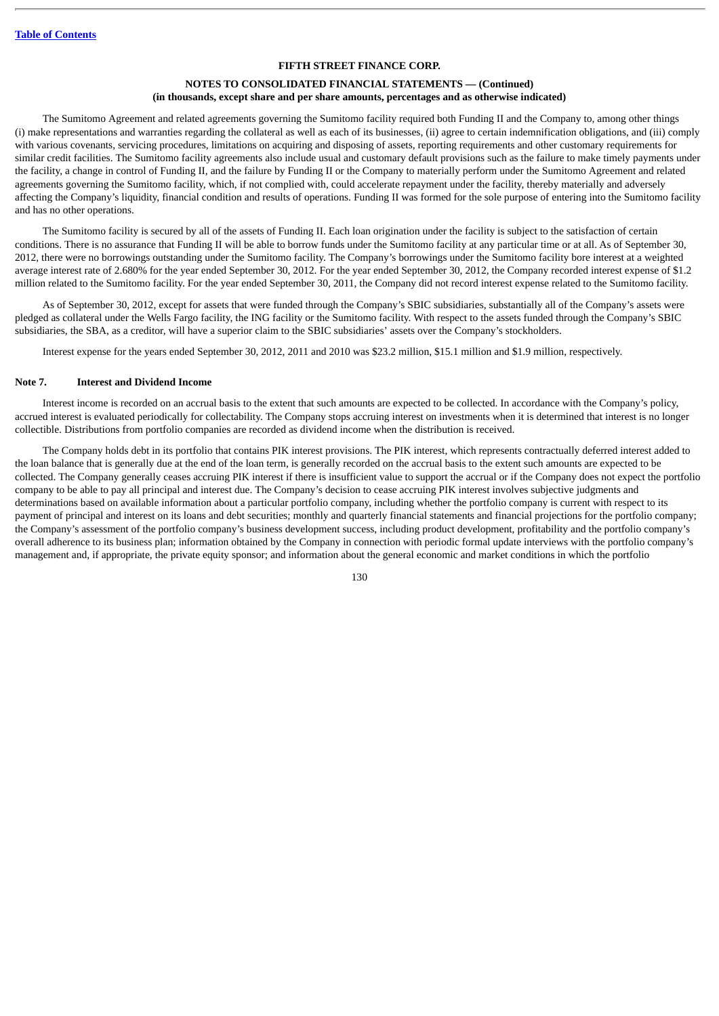# **NOTES TO CONSOLIDATED FINANCIAL STATEMENTS — (Continued) (in thousands, except share and per share amounts, percentages and as otherwise indicated)**

The Sumitomo Agreement and related agreements governing the Sumitomo facility required both Funding II and the Company to, among other things (i) make representations and warranties regarding the collateral as well as each of its businesses, (ii) agree to certain indemnification obligations, and (iii) comply with various covenants, servicing procedures, limitations on acquiring and disposing of assets, reporting requirements and other customary requirements for similar credit facilities. The Sumitomo facility agreements also include usual and customary default provisions such as the failure to make timely payments under the facility, a change in control of Funding II, and the failure by Funding II or the Company to materially perform under the Sumitomo Agreement and related agreements governing the Sumitomo facility, which, if not complied with, could accelerate repayment under the facility, thereby materially and adversely affecting the Company's liquidity, financial condition and results of operations. Funding II was formed for the sole purpose of entering into the Sumitomo facility and has no other operations.

The Sumitomo facility is secured by all of the assets of Funding II. Each loan origination under the facility is subject to the satisfaction of certain conditions. There is no assurance that Funding II will be able to borrow funds under the Sumitomo facility at any particular time or at all. As of September 30, 2012, there were no borrowings outstanding under the Sumitomo facility. The Company's borrowings under the Sumitomo facility bore interest at a weighted average interest rate of 2.680% for the year ended September 30, 2012. For the year ended September 30, 2012, the Company recorded interest expense of \$1.2 million related to the Sumitomo facility. For the year ended September 30, 2011, the Company did not record interest expense related to the Sumitomo facility.

As of September 30, 2012, except for assets that were funded through the Company's SBIC subsidiaries, substantially all of the Company's assets were pledged as collateral under the Wells Fargo facility, the ING facility or the Sumitomo facility. With respect to the assets funded through the Company's SBIC subsidiaries, the SBA, as a creditor, will have a superior claim to the SBIC subsidiaries' assets over the Company's stockholders.

Interest expense for the years ended September 30, 2012, 2011 and 2010 was \$23.2 million, \$15.1 million and \$1.9 million, respectively.

#### **Note 7. Interest and Dividend Income**

Interest income is recorded on an accrual basis to the extent that such amounts are expected to be collected. In accordance with the Company's policy, accrued interest is evaluated periodically for collectability. The Company stops accruing interest on investments when it is determined that interest is no longer collectible. Distributions from portfolio companies are recorded as dividend income when the distribution is received.

The Company holds debt in its portfolio that contains PIK interest provisions. The PIK interest, which represents contractually deferred interest added to the loan balance that is generally due at the end of the loan term, is generally recorded on the accrual basis to the extent such amounts are expected to be collected. The Company generally ceases accruing PIK interest if there is insufficient value to support the accrual or if the Company does not expect the portfolio company to be able to pay all principal and interest due. The Company's decision to cease accruing PIK interest involves subjective judgments and determinations based on available information about a particular portfolio company, including whether the portfolio company is current with respect to its payment of principal and interest on its loans and debt securities; monthly and quarterly financial statements and financial projections for the portfolio company; the Company's assessment of the portfolio company's business development success, including product development, profitability and the portfolio company's overall adherence to its business plan; information obtained by the Company in connection with periodic formal update interviews with the portfolio company's management and, if appropriate, the private equity sponsor; and information about the general economic and market conditions in which the portfolio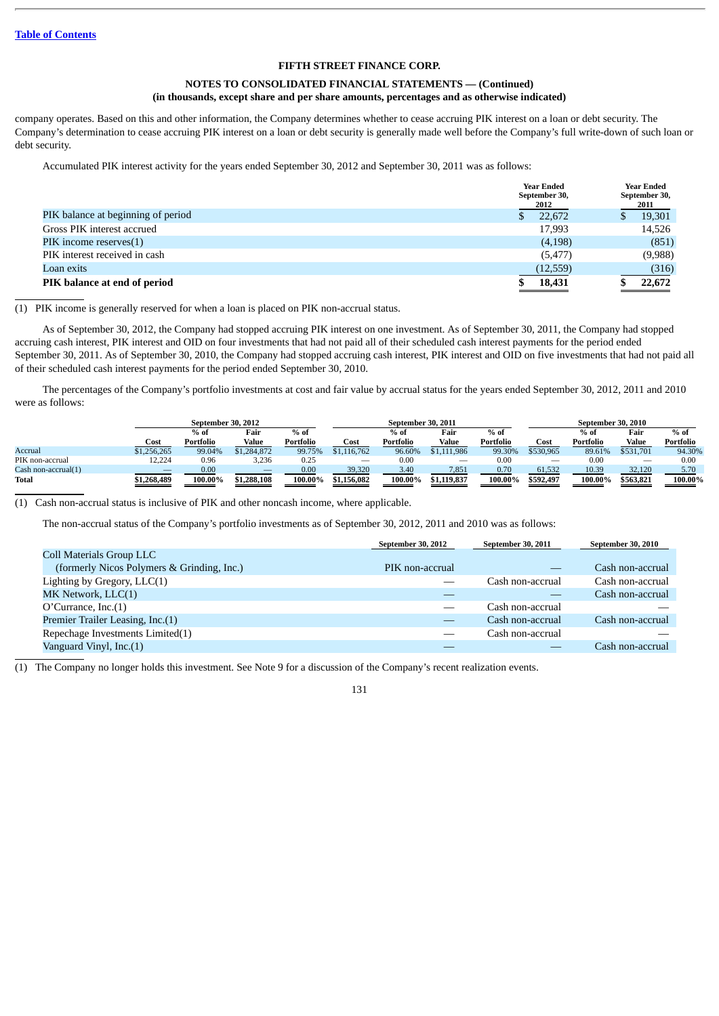# **NOTES TO CONSOLIDATED FINANCIAL STATEMENTS — (Continued)**

# **(in thousands, except share and per share amounts, percentages and as otherwise indicated)**

company operates. Based on this and other information, the Company determines whether to cease accruing PIK interest on a loan or debt security. The Company's determination to cease accruing PIK interest on a loan or debt security is generally made well before the Company's full write-down of such loan or debt security.

Accumulated PIK interest activity for the years ended September 30, 2012 and September 30, 2011 was as follows:

|                                    | <b>Year Ended</b><br>September 30,<br>2012 | <b>Year Ended</b><br>September 30,<br>2011 |
|------------------------------------|--------------------------------------------|--------------------------------------------|
| PIK balance at beginning of period | 22,672<br>S                                | 19,301                                     |
| Gross PIK interest accrued         | 17,993                                     | 14,526                                     |
| PIK income reserves(1)             | (4, 198)                                   | (851)                                      |
| PIK interest received in cash      | (5, 477)                                   | (9,988)                                    |
| Loan exits                         | (12, 559)                                  | (316)                                      |
| PIK balance at end of period       | 18,431                                     | 22,672                                     |

(1) PIK income is generally reserved for when a loan is placed on PIK non-accrual status.

As of September 30, 2012, the Company had stopped accruing PIK interest on one investment. As of September 30, 2011, the Company had stopped accruing cash interest, PIK interest and OID on four investments that had not paid all of their scheduled cash interest payments for the period ended September 30, 2011. As of September 30, 2010, the Company had stopped accruing cash interest, PIK interest and OID on five investments that had not paid all of their scheduled cash interest payments for the period ended September 30, 2010.

The percentages of the Company's portfolio investments at cost and fair value by accrual status for the years ended September 30, 2012, 2011 and 2010 were as follows:

|                        |                          | September 30, 2012 |               |                     |                               | September 30, 2011  |               |                     | September 30, 2010 |                     |               |                     |
|------------------------|--------------------------|--------------------|---------------|---------------------|-------------------------------|---------------------|---------------|---------------------|--------------------|---------------------|---------------|---------------------|
|                        | Cost                     | % of<br>Portfolio  | Fair<br>Value | $%$ of<br>Portfolio | Cost                          | $%$ of<br>Portfolio | Fair<br>Value | $%$ of<br>Portfolio | Cost               | $%$ of<br>Portfolio | Fair<br>Value | $%$ of<br>Portfolio |
| Accrual                | \$1.256.265              | 99.04%             | \$1,284,872   | 99.75%              | \$1,116,762                   | 96.60%              | \$1,111,986   | 99.30%              | \$530,965          | 89.61%              | \$531,701     | 94.30%              |
| PIK non-accrual        | 12,224                   | 0.96               | 3,236         | 0.25                | $\overbrace{\phantom{aaaaa}}$ | 0.00                |               | 0.00                |                    | 0.00                |               | 0.00                |
| Cash non-accrual $(1)$ | $\overline{\phantom{a}}$ | 0.00               |               | 0.00                | 39.320                        | 3.40                | 7,851         | 0.70                | 61,532             | 10.39               | 32,120        | 5.70                |
| <b>Total</b>           | \$1,268,489              | 100.00%            | \$1,288,108   | 100.00%             | \$1,156,082                   | 100.00%             | \$1,119,837   | 100.00%             | \$592,497          | 100.00%             | \$563.821     | 100.00%             |

(1) Cash non-accrual status is inclusive of PIK and other noncash income, where applicable.

The non-accrual status of the Company's portfolio investments as of September 30, 2012, 2011 and 2010 was as follows:

|                                            | September 30, 2012 | September 30, 2011 | September 30, 2010 |
|--------------------------------------------|--------------------|--------------------|--------------------|
| Coll Materials Group LLC                   |                    |                    |                    |
| (formerly Nicos Polymers & Grinding, Inc.) | PIK non-accrual    |                    | Cash non-accrual   |
| Lighting by Gregory, LLC(1)                |                    | Cash non-accrual   | Cash non-accrual   |
| MK Network, LLC(1)                         |                    |                    | Cash non-accrual   |
| $O'$ Currance, Inc. $(1)$                  |                    | Cash non-accrual   |                    |
| Premier Trailer Leasing, Inc.(1)           |                    | Cash non-accrual   | Cash non-accrual   |
| Repechage Investments Limited(1)           |                    | Cash non-accrual   |                    |
| Vanguard Vinyl, $Inc.(1)$                  |                    |                    | Cash non-accrual   |

(1) The Company no longer holds this investment. See Note 9 for a discussion of the Company's recent realization events.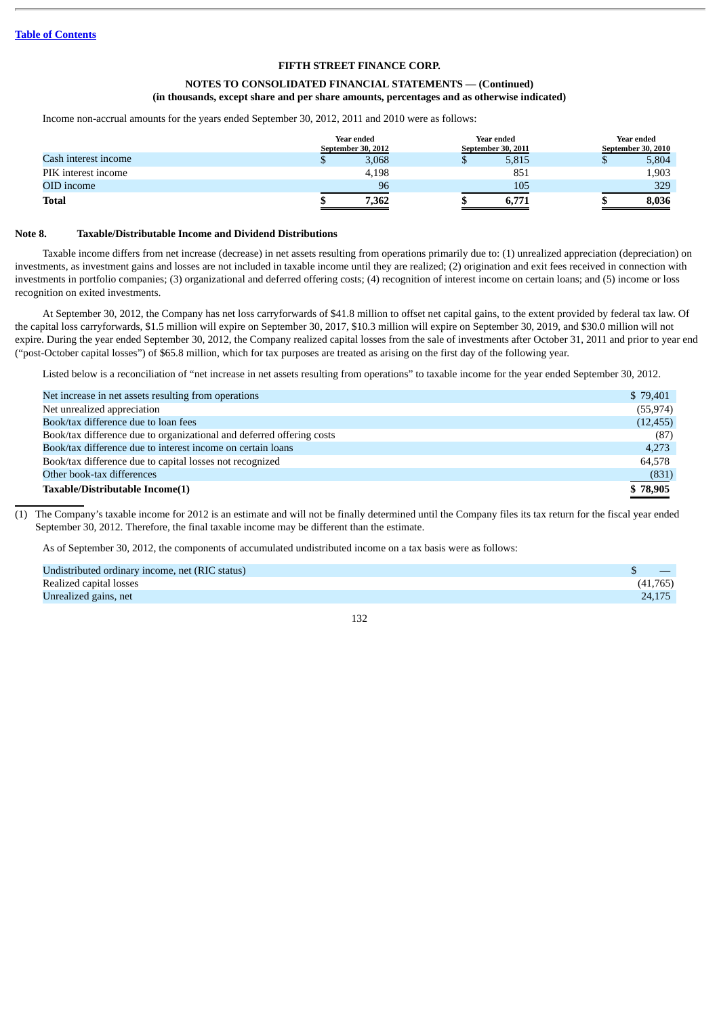# **NOTES TO CONSOLIDATED FINANCIAL STATEMENTS — (Continued) (in thousands, except share and per share amounts, percentages and as otherwise indicated)**

Income non-accrual amounts for the years ended September 30, 2012, 2011 and 2010 were as follows:

|                      | Year ended<br>September 30, 2012 |       | Year ended<br>September 30, 2011 |       | Year ended<br>September 30, 2010 |       |
|----------------------|----------------------------------|-------|----------------------------------|-------|----------------------------------|-------|
| Cash interest income |                                  | 3,068 |                                  | 5,815 | Φ                                | 5,804 |
| PIK interest income  |                                  | 4,198 |                                  | 851   |                                  | 1,903 |
| OID income           |                                  | 96    |                                  | 105   |                                  | 329   |
| <b>Total</b>         |                                  | 7,362 |                                  | 6,771 |                                  | 8,036 |

### **Note 8. Taxable/Distributable Income and Dividend Distributions**

Taxable income differs from net increase (decrease) in net assets resulting from operations primarily due to: (1) unrealized appreciation (depreciation) on investments, as investment gains and losses are not included in taxable income until they are realized; (2) origination and exit fees received in connection with investments in portfolio companies; (3) organizational and deferred offering costs; (4) recognition of interest income on certain loans; and (5) income or loss recognition on exited investments.

At September 30, 2012, the Company has net loss carryforwards of \$41.8 million to offset net capital gains, to the extent provided by federal tax law. Of the capital loss carryforwards, \$1.5 million will expire on September 30, 2017, \$10.3 million will expire on September 30, 2019, and \$30.0 million will not expire. During the year ended September 30, 2012, the Company realized capital losses from the sale of investments after October 31, 2011 and prior to year end ("post-October capital losses") of \$65.8 million, which for tax purposes are treated as arising on the first day of the following year.

Listed below is a reconciliation of "net increase in net assets resulting from operations" to taxable income for the year ended September 30, 2012.

| Net increase in net assets resulting from operations                  | \$79,401  |
|-----------------------------------------------------------------------|-----------|
| Net unrealized appreciation                                           | (55, 974) |
| Book/tax difference due to loan fees                                  | (12, 455) |
| Book/tax difference due to organizational and deferred offering costs | (87)      |
| Book/tax difference due to interest income on certain loans           | 4,273     |
| Book/tax difference due to capital losses not recognized              | 64,578    |
| Other book-tax differences                                            | (831)     |
| Taxable/Distributable Income(1)                                       | \$78,905  |

(1) The Company's taxable income for 2012 is an estimate and will not be finally determined until the Company files its tax return for the fiscal year ended September 30, 2012. Therefore, the final taxable income may be different than the estimate.

As of September 30, 2012, the components of accumulated undistributed income on a tax basis were as follows:

| Undistributed ordinary income, net (RIC status) |          |
|-------------------------------------------------|----------|
| Realized capital losses                         | (41,765) |
| Unrealized gains, net                           | 24,175   |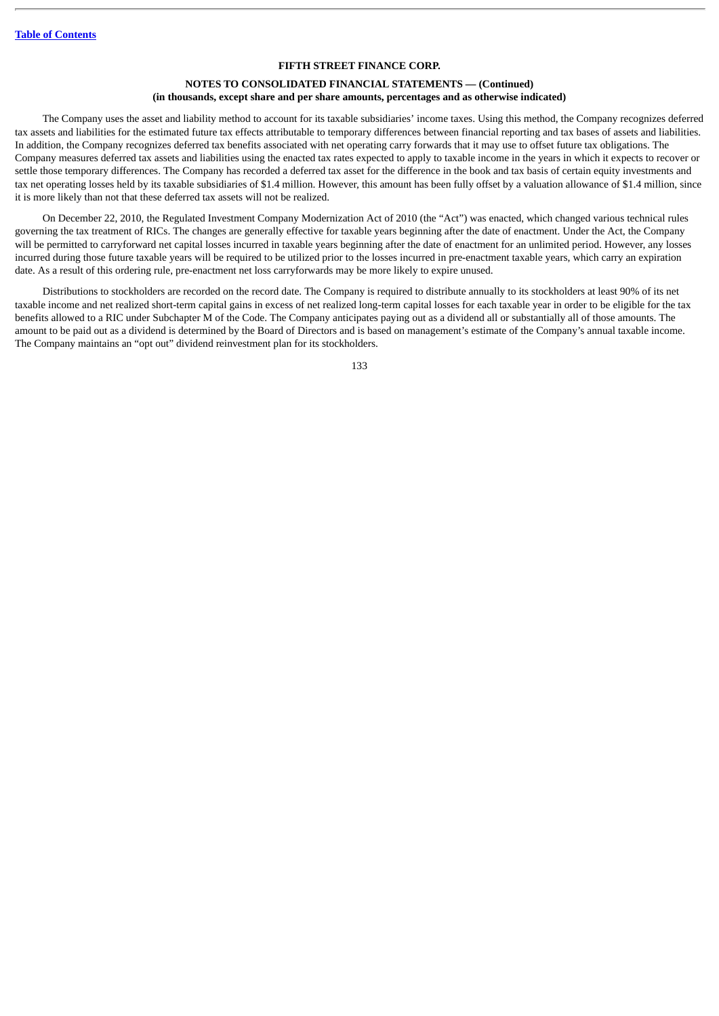# **NOTES TO CONSOLIDATED FINANCIAL STATEMENTS — (Continued) (in thousands, except share and per share amounts, percentages and as otherwise indicated)**

The Company uses the asset and liability method to account for its taxable subsidiaries' income taxes. Using this method, the Company recognizes deferred tax assets and liabilities for the estimated future tax effects attributable to temporary differences between financial reporting and tax bases of assets and liabilities. In addition, the Company recognizes deferred tax benefits associated with net operating carry forwards that it may use to offset future tax obligations. The Company measures deferred tax assets and liabilities using the enacted tax rates expected to apply to taxable income in the years in which it expects to recover or settle those temporary differences. The Company has recorded a deferred tax asset for the difference in the book and tax basis of certain equity investments and tax net operating losses held by its taxable subsidiaries of \$1.4 million. However, this amount has been fully offset by a valuation allowance of \$1.4 million, since it is more likely than not that these deferred tax assets will not be realized.

On December 22, 2010, the Regulated Investment Company Modernization Act of 2010 (the "Act") was enacted, which changed various technical rules governing the tax treatment of RICs. The changes are generally effective for taxable years beginning after the date of enactment. Under the Act, the Company will be permitted to carryforward net capital losses incurred in taxable years beginning after the date of enactment for an unlimited period. However, any losses incurred during those future taxable years will be required to be utilized prior to the losses incurred in pre-enactment taxable years, which carry an expiration date. As a result of this ordering rule, pre-enactment net loss carryforwards may be more likely to expire unused.

Distributions to stockholders are recorded on the record date. The Company is required to distribute annually to its stockholders at least 90% of its net taxable income and net realized short-term capital gains in excess of net realized long-term capital losses for each taxable year in order to be eligible for the tax benefits allowed to a RIC under Subchapter M of the Code. The Company anticipates paying out as a dividend all or substantially all of those amounts. The amount to be paid out as a dividend is determined by the Board of Directors and is based on management's estimate of the Company's annual taxable income. The Company maintains an "opt out" dividend reinvestment plan for its stockholders.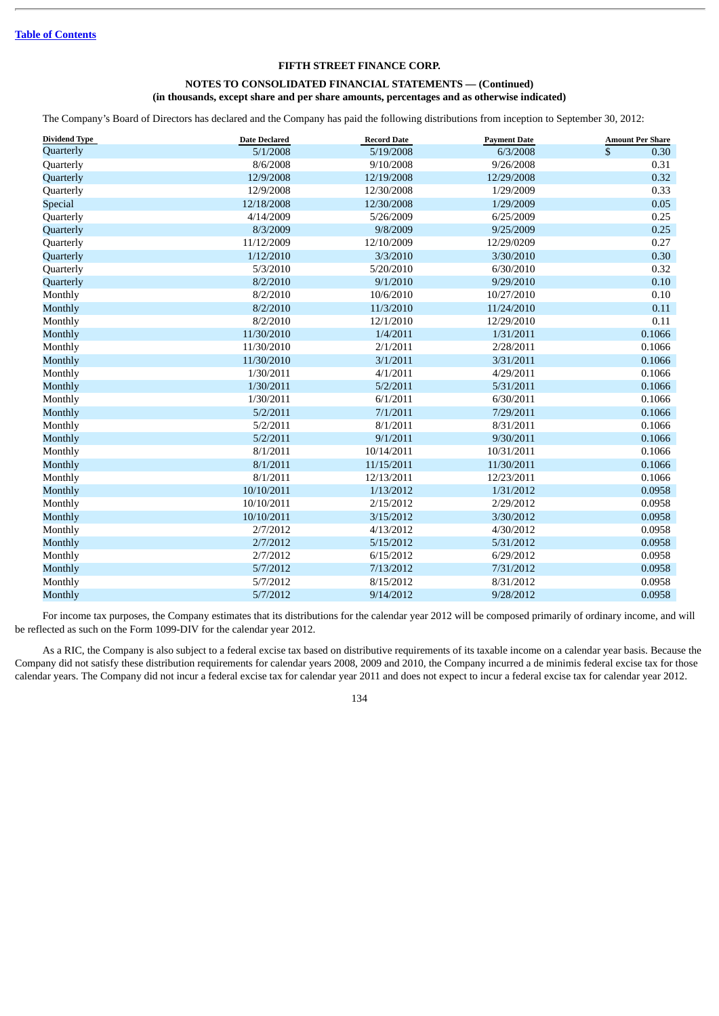# **NOTES TO CONSOLIDATED FINANCIAL STATEMENTS — (Continued) (in thousands, except share and per share amounts, percentages and as otherwise indicated)**

The Company's Board of Directors has declared and the Company has paid the following distributions from inception to September 30, 2012:

| <b>Dividend Type</b> | <b>Date Declared</b> | <b>Record Date</b> | <b>Payment Date</b> | <b>Amount Per Share</b> |
|----------------------|----------------------|--------------------|---------------------|-------------------------|
| Quarterly            | 5/1/2008             | 5/19/2008          | 6/3/2008            | $\mathcal{S}$<br>0.30   |
| Quarterly            | 8/6/2008             | 9/10/2008          | 9/26/2008           | 0.31                    |
| Quarterly            | 12/9/2008            | 12/19/2008         | 12/29/2008          | 0.32                    |
| Quarterly            | 12/9/2008            | 12/30/2008         | 1/29/2009           | 0.33                    |
| <b>Special</b>       | 12/18/2008           | 12/30/2008         | 1/29/2009           | 0.05                    |
| Quarterly            | 4/14/2009            | 5/26/2009          | 6/25/2009           | 0.25                    |
| Quarterly            | 8/3/2009             | 9/8/2009           | 9/25/2009           | 0.25                    |
| Quarterly            | 11/12/2009           | 12/10/2009         | 12/29/0209          | 0.27                    |
| Quarterly            | 1/12/2010            | 3/3/2010           | 3/30/2010           | 0.30                    |
| Quarterly            | 5/3/2010             | 5/20/2010          | 6/30/2010           | 0.32                    |
| Quarterly            | 8/2/2010             | 9/1/2010           | 9/29/2010           | 0.10                    |
| Monthly              | 8/2/2010             | 10/6/2010          | 10/27/2010          | 0.10                    |
| Monthly              | 8/2/2010             | 11/3/2010          | 11/24/2010          | 0.11                    |
| Monthly              | 8/2/2010             | 12/1/2010          | 12/29/2010          | 0.11                    |
| Monthly              | 11/30/2010           | 1/4/2011           | 1/31/2011           | 0.1066                  |
| Monthly              | 11/30/2010           | 2/1/2011           | 2/28/2011           | 0.1066                  |
| Monthly              | 11/30/2010           | 3/1/2011           | 3/31/2011           | 0.1066                  |
| Monthly              | 1/30/2011            | 4/1/2011           | 4/29/2011           | 0.1066                  |
| Monthly              | 1/30/2011            | 5/2/2011           | 5/31/2011           | 0.1066                  |
| Monthly              | 1/30/2011            | 6/1/2011           | 6/30/2011           | 0.1066                  |
| Monthly              | 5/2/2011             | 7/1/2011           | 7/29/2011           | 0.1066                  |
| Monthly              | 5/2/2011             | 8/1/2011           | 8/31/2011           | 0.1066                  |
| Monthly              | 5/2/2011             | 9/1/2011           | 9/30/2011           | 0.1066                  |
| Monthly              | 8/1/2011             | 10/14/2011         | 10/31/2011          | 0.1066                  |
| Monthly              | 8/1/2011             | 11/15/2011         | 11/30/2011          | 0.1066                  |
| Monthly              | 8/1/2011             | 12/13/2011         | 12/23/2011          | 0.1066                  |
| Monthly              | 10/10/2011           | 1/13/2012          | 1/31/2012           | 0.0958                  |
| Monthly              | 10/10/2011           | 2/15/2012          | 2/29/2012           | 0.0958                  |
| Monthly              | 10/10/2011           | 3/15/2012          | 3/30/2012           | 0.0958                  |
| Monthly              | 2/7/2012             | 4/13/2012          | 4/30/2012           | 0.0958                  |
| Monthly              | 2/7/2012             | 5/15/2012          | 5/31/2012           | 0.0958                  |
| Monthly              | 2/7/2012             | 6/15/2012          | 6/29/2012           | 0.0958                  |
| Monthly              | 5/7/2012             | 7/13/2012          | 7/31/2012           | 0.0958                  |
| Monthly              | 5/7/2012             | 8/15/2012          | 8/31/2012           | 0.0958                  |
| Monthly              | 5/7/2012             | 9/14/2012          | 9/28/2012           | 0.0958                  |

For income tax purposes, the Company estimates that its distributions for the calendar year 2012 will be composed primarily of ordinary income, and will be reflected as such on the Form 1099-DIV for the calendar year 2012.

As a RIC, the Company is also subject to a federal excise tax based on distributive requirements of its taxable income on a calendar year basis. Because the Company did not satisfy these distribution requirements for calendar years 2008, 2009 and 2010, the Company incurred a de minimis federal excise tax for those calendar years. The Company did not incur a federal excise tax for calendar year 2011 and does not expect to incur a federal excise tax for calendar year 2012.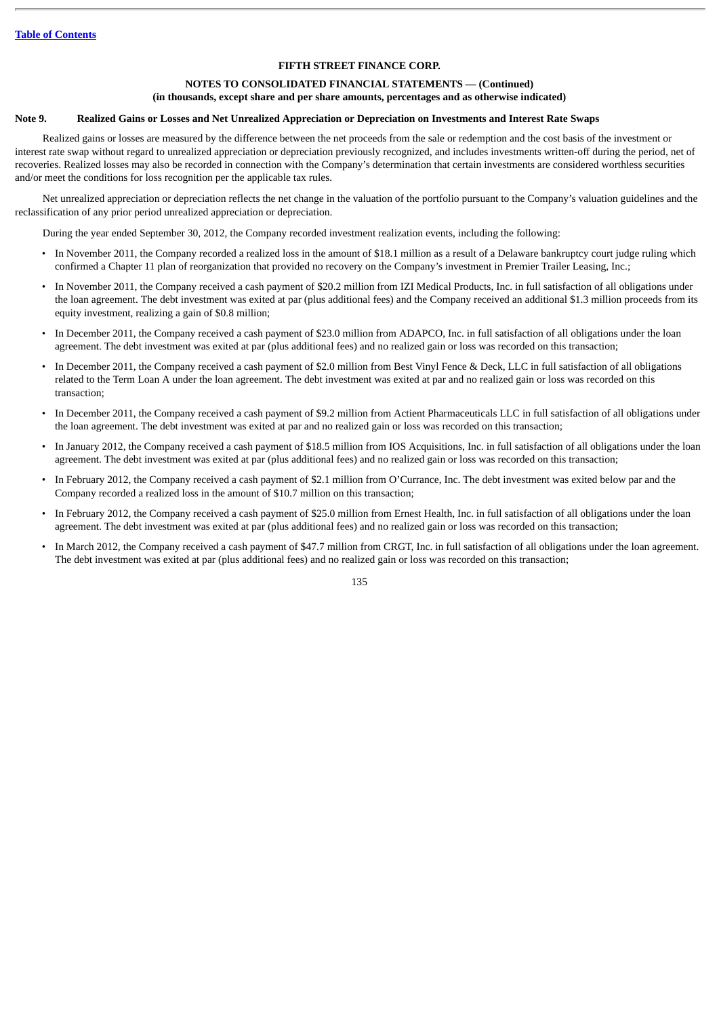# **NOTES TO CONSOLIDATED FINANCIAL STATEMENTS — (Continued)**

# **(in thousands, except share and per share amounts, percentages and as otherwise indicated)**

# **Note 9. Realized Gains or Losses and Net Unrealized Appreciation or Depreciation on Investments and Interest Rate Swaps**

Realized gains or losses are measured by the difference between the net proceeds from the sale or redemption and the cost basis of the investment or interest rate swap without regard to unrealized appreciation or depreciation previously recognized, and includes investments written-off during the period, net of recoveries. Realized losses may also be recorded in connection with the Company's determination that certain investments are considered worthless securities and/or meet the conditions for loss recognition per the applicable tax rules.

Net unrealized appreciation or depreciation reflects the net change in the valuation of the portfolio pursuant to the Company's valuation guidelines and the reclassification of any prior period unrealized appreciation or depreciation.

During the year ended September 30, 2012, the Company recorded investment realization events, including the following:

- In November 2011, the Company recorded a realized loss in the amount of \$18.1 million as a result of a Delaware bankruptcy court judge ruling which confirmed a Chapter 11 plan of reorganization that provided no recovery on the Company's investment in Premier Trailer Leasing, Inc.;
- In November 2011, the Company received a cash payment of \$20.2 million from IZI Medical Products, Inc. in full satisfaction of all obligations under the loan agreement. The debt investment was exited at par (plus additional fees) and the Company received an additional \$1.3 million proceeds from its equity investment, realizing a gain of \$0.8 million;
- In December 2011, the Company received a cash payment of \$23.0 million from ADAPCO, Inc. in full satisfaction of all obligations under the loan agreement. The debt investment was exited at par (plus additional fees) and no realized gain or loss was recorded on this transaction;
- In December 2011, the Company received a cash payment of \$2.0 million from Best Vinyl Fence & Deck, LLC in full satisfaction of all obligations related to the Term Loan A under the loan agreement. The debt investment was exited at par and no realized gain or loss was recorded on this transaction;
- In December 2011, the Company received a cash payment of \$9.2 million from Actient Pharmaceuticals LLC in full satisfaction of all obligations under the loan agreement. The debt investment was exited at par and no realized gain or loss was recorded on this transaction;
- In January 2012, the Company received a cash payment of \$18.5 million from IOS Acquisitions, Inc. in full satisfaction of all obligations under the loan agreement. The debt investment was exited at par (plus additional fees) and no realized gain or loss was recorded on this transaction;
- In February 2012, the Company received a cash payment of \$2.1 million from O'Currance, Inc. The debt investment was exited below par and the Company recorded a realized loss in the amount of \$10.7 million on this transaction;
- In February 2012, the Company received a cash payment of \$25.0 million from Ernest Health, Inc. in full satisfaction of all obligations under the loan agreement. The debt investment was exited at par (plus additional fees) and no realized gain or loss was recorded on this transaction;
- In March 2012, the Company received a cash payment of \$47.7 million from CRGT, Inc. in full satisfaction of all obligations under the loan agreement. The debt investment was exited at par (plus additional fees) and no realized gain or loss was recorded on this transaction;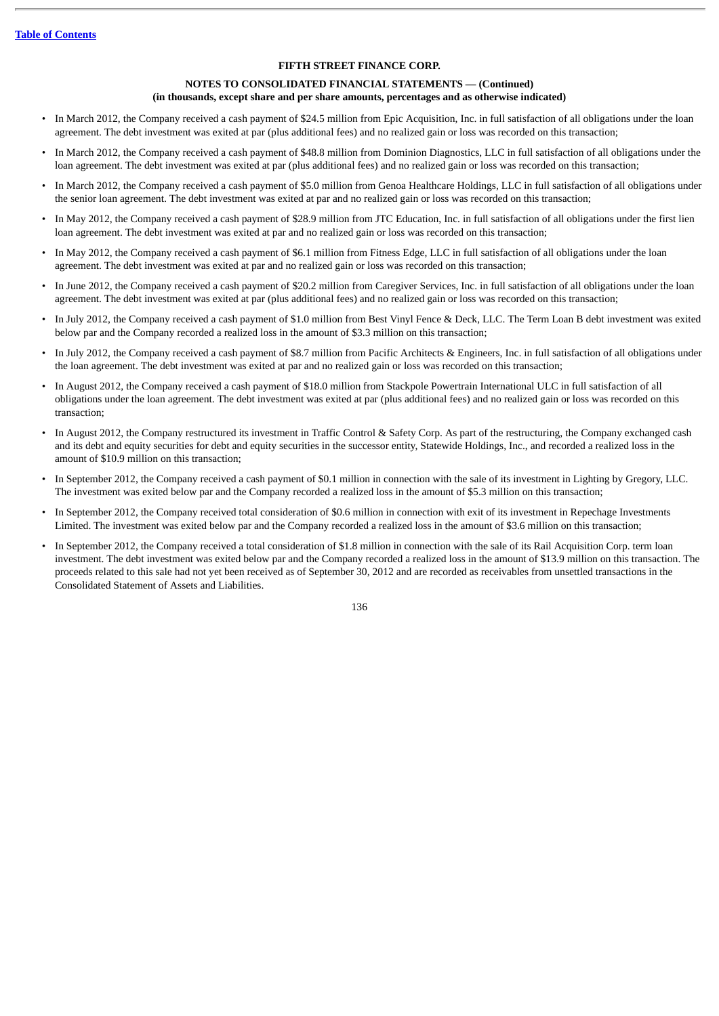# **NOTES TO CONSOLIDATED FINANCIAL STATEMENTS — (Continued) (in thousands, except share and per share amounts, percentages and as otherwise indicated)**

- In March 2012, the Company received a cash payment of \$24.5 million from Epic Acquisition, Inc. in full satisfaction of all obligations under the loan agreement. The debt investment was exited at par (plus additional fees) and no realized gain or loss was recorded on this transaction;
- In March 2012, the Company received a cash payment of \$48.8 million from Dominion Diagnostics, LLC in full satisfaction of all obligations under the loan agreement. The debt investment was exited at par (plus additional fees) and no realized gain or loss was recorded on this transaction;
- In March 2012, the Company received a cash payment of \$5.0 million from Genoa Healthcare Holdings, LLC in full satisfaction of all obligations under the senior loan agreement. The debt investment was exited at par and no realized gain or loss was recorded on this transaction;
- In May 2012, the Company received a cash payment of \$28.9 million from JTC Education, Inc. in full satisfaction of all obligations under the first lien loan agreement. The debt investment was exited at par and no realized gain or loss was recorded on this transaction;
- In May 2012, the Company received a cash payment of \$6.1 million from Fitness Edge, LLC in full satisfaction of all obligations under the loan agreement. The debt investment was exited at par and no realized gain or loss was recorded on this transaction;
- In June 2012, the Company received a cash payment of \$20.2 million from Caregiver Services, Inc. in full satisfaction of all obligations under the loan agreement. The debt investment was exited at par (plus additional fees) and no realized gain or loss was recorded on this transaction;
- In July 2012, the Company received a cash payment of \$1.0 million from Best Vinyl Fence & Deck, LLC. The Term Loan B debt investment was exited below par and the Company recorded a realized loss in the amount of \$3.3 million on this transaction;
- In July 2012, the Company received a cash payment of \$8.7 million from Pacific Architects & Engineers, Inc. in full satisfaction of all obligations under the loan agreement. The debt investment was exited at par and no realized gain or loss was recorded on this transaction;
- In August 2012, the Company received a cash payment of \$18.0 million from Stackpole Powertrain International ULC in full satisfaction of all obligations under the loan agreement. The debt investment was exited at par (plus additional fees) and no realized gain or loss was recorded on this transaction;
- In August 2012, the Company restructured its investment in Traffic Control & Safety Corp. As part of the restructuring, the Company exchanged cash and its debt and equity securities for debt and equity securities in the successor entity, Statewide Holdings, Inc., and recorded a realized loss in the amount of \$10.9 million on this transaction;
- In September 2012, the Company received a cash payment of \$0.1 million in connection with the sale of its investment in Lighting by Gregory, LLC. The investment was exited below par and the Company recorded a realized loss in the amount of \$5.3 million on this transaction;
- In September 2012, the Company received total consideration of \$0.6 million in connection with exit of its investment in Repechage Investments Limited. The investment was exited below par and the Company recorded a realized loss in the amount of \$3.6 million on this transaction;
- In September 2012, the Company received a total consideration of \$1.8 million in connection with the sale of its Rail Acquisition Corp. term loan investment. The debt investment was exited below par and the Company recorded a realized loss in the amount of \$13.9 million on this transaction. The proceeds related to this sale had not yet been received as of September 30, 2012 and are recorded as receivables from unsettled transactions in the Consolidated Statement of Assets and Liabilities.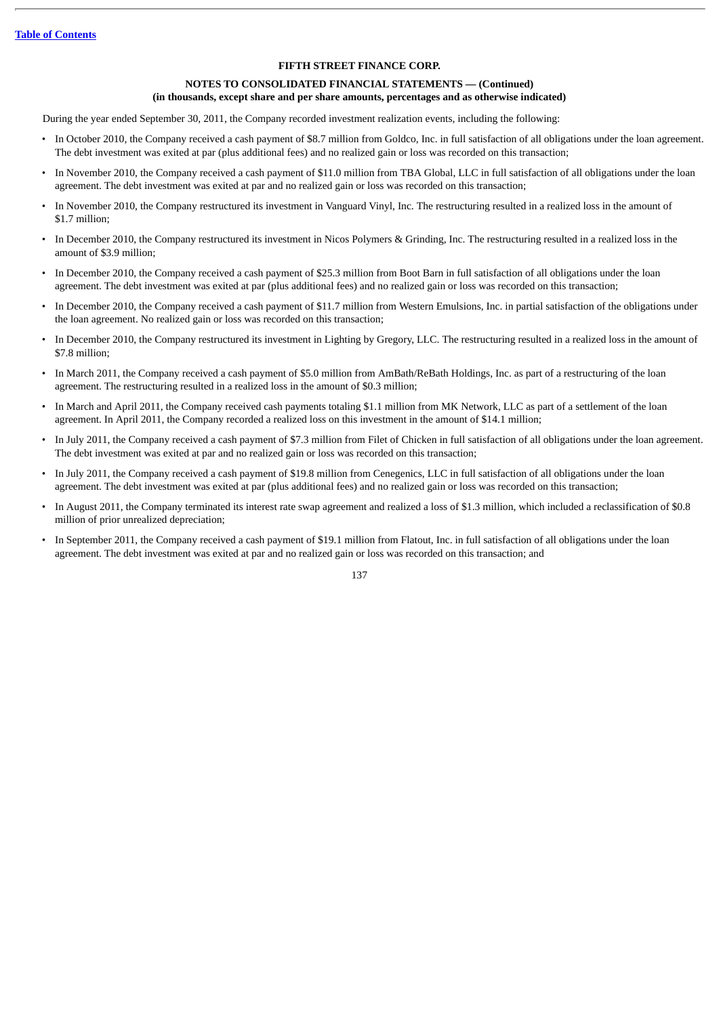# **NOTES TO CONSOLIDATED FINANCIAL STATEMENTS — (Continued) (in thousands, except share and per share amounts, percentages and as otherwise indicated)**

During the year ended September 30, 2011, the Company recorded investment realization events, including the following:

- In October 2010, the Company received a cash payment of \$8.7 million from Goldco, Inc. in full satisfaction of all obligations under the loan agreement. The debt investment was exited at par (plus additional fees) and no realized gain or loss was recorded on this transaction;
- In November 2010, the Company received a cash payment of \$11.0 million from TBA Global, LLC in full satisfaction of all obligations under the loan agreement. The debt investment was exited at par and no realized gain or loss was recorded on this transaction;
- In November 2010, the Company restructured its investment in Vanguard Vinyl, Inc. The restructuring resulted in a realized loss in the amount of \$1.7 million;
- In December 2010, the Company restructured its investment in Nicos Polymers & Grinding, Inc. The restructuring resulted in a realized loss in the amount of \$3.9 million;
- In December 2010, the Company received a cash payment of \$25.3 million from Boot Barn in full satisfaction of all obligations under the loan agreement. The debt investment was exited at par (plus additional fees) and no realized gain or loss was recorded on this transaction;
- In December 2010, the Company received a cash payment of \$11.7 million from Western Emulsions, Inc. in partial satisfaction of the obligations under the loan agreement. No realized gain or loss was recorded on this transaction;
- In December 2010, the Company restructured its investment in Lighting by Gregory, LLC. The restructuring resulted in a realized loss in the amount of \$7.8 million;
- In March 2011, the Company received a cash payment of \$5.0 million from AmBath/ReBath Holdings, Inc. as part of a restructuring of the loan agreement. The restructuring resulted in a realized loss in the amount of \$0.3 million;
- In March and April 2011, the Company received cash payments totaling \$1.1 million from MK Network, LLC as part of a settlement of the loan agreement. In April 2011, the Company recorded a realized loss on this investment in the amount of \$14.1 million;
- In July 2011, the Company received a cash payment of \$7.3 million from Filet of Chicken in full satisfaction of all obligations under the loan agreement. The debt investment was exited at par and no realized gain or loss was recorded on this transaction;
- In July 2011, the Company received a cash payment of \$19.8 million from Cenegenics, LLC in full satisfaction of all obligations under the loan agreement. The debt investment was exited at par (plus additional fees) and no realized gain or loss was recorded on this transaction;
- In August 2011, the Company terminated its interest rate swap agreement and realized a loss of \$1.3 million, which included a reclassification of \$0.8 million of prior unrealized depreciation;
- In September 2011, the Company received a cash payment of \$19.1 million from Flatout, Inc. in full satisfaction of all obligations under the loan agreement. The debt investment was exited at par and no realized gain or loss was recorded on this transaction; and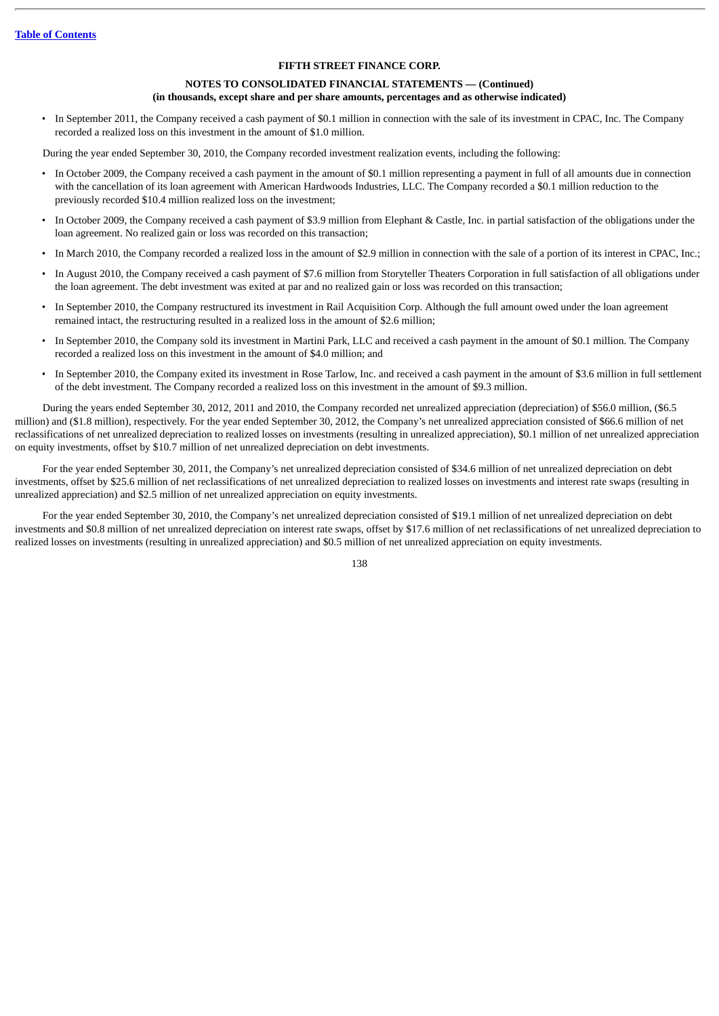# **NOTES TO CONSOLIDATED FINANCIAL STATEMENTS — (Continued) (in thousands, except share and per share amounts, percentages and as otherwise indicated)**

In September 2011, the Company received a cash payment of \$0.1 million in connection with the sale of its investment in CPAC. Inc. The Company recorded a realized loss on this investment in the amount of \$1.0 million.

During the year ended September 30, 2010, the Company recorded investment realization events, including the following:

- In October 2009, the Company received a cash payment in the amount of \$0.1 million representing a payment in full of all amounts due in connection with the cancellation of its loan agreement with American Hardwoods Industries, LLC. The Company recorded a \$0.1 million reduction to the previously recorded \$10.4 million realized loss on the investment;
- In October 2009, the Company received a cash payment of \$3.9 million from Elephant & Castle, Inc. in partial satisfaction of the obligations under the loan agreement. No realized gain or loss was recorded on this transaction;
- In March 2010, the Company recorded a realized loss in the amount of \$2.9 million in connection with the sale of a portion of its interest in CPAC, Inc.;
- In August 2010, the Company received a cash payment of \$7.6 million from Storyteller Theaters Corporation in full satisfaction of all obligations under the loan agreement. The debt investment was exited at par and no realized gain or loss was recorded on this transaction;
- In September 2010, the Company restructured its investment in Rail Acquisition Corp. Although the full amount owed under the loan agreement remained intact, the restructuring resulted in a realized loss in the amount of \$2.6 million;
- In September 2010, the Company sold its investment in Martini Park, LLC and received a cash payment in the amount of \$0.1 million. The Company recorded a realized loss on this investment in the amount of \$4.0 million; and
- In September 2010, the Company exited its investment in Rose Tarlow, Inc. and received a cash payment in the amount of \$3.6 million in full settlement of the debt investment. The Company recorded a realized loss on this investment in the amount of \$9.3 million.

During the years ended September 30, 2012, 2011 and 2010, the Company recorded net unrealized appreciation (depreciation) of \$56.0 million, (\$6.5 million) and (\$1.8 million), respectively. For the year ended September 30, 2012, the Company's net unrealized appreciation consisted of \$66.6 million of net reclassifications of net unrealized depreciation to realized losses on investments (resulting in unrealized appreciation), \$0.1 million of net unrealized appreciation on equity investments, offset by \$10.7 million of net unrealized depreciation on debt investments.

For the year ended September 30, 2011, the Company's net unrealized depreciation consisted of \$34.6 million of net unrealized depreciation on debt investments, offset by \$25.6 million of net reclassifications of net unrealized depreciation to realized losses on investments and interest rate swaps (resulting in unrealized appreciation) and \$2.5 million of net unrealized appreciation on equity investments.

For the year ended September 30, 2010, the Company's net unrealized depreciation consisted of \$19.1 million of net unrealized depreciation on debt investments and \$0.8 million of net unrealized depreciation on interest rate swaps, offset by \$17.6 million of net reclassifications of net unrealized depreciation to realized losses on investments (resulting in unrealized appreciation) and \$0.5 million of net unrealized appreciation on equity investments.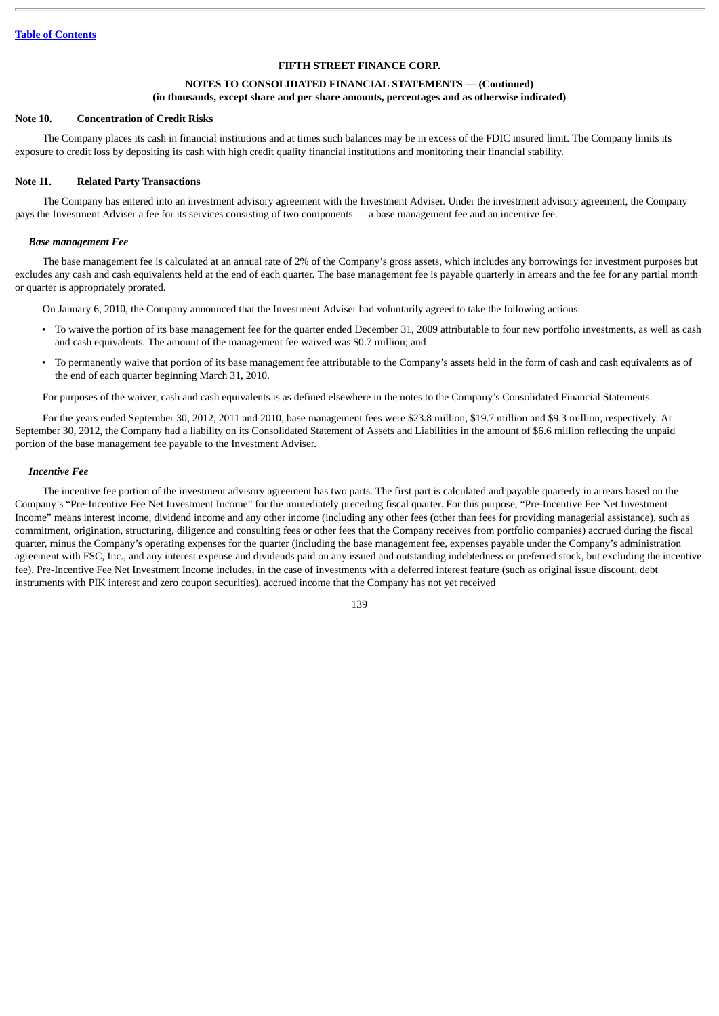# **NOTES TO CONSOLIDATED FINANCIAL STATEMENTS — (Continued)**

# **(in thousands, except share and per share amounts, percentages and as otherwise indicated)**

# **Note 10. Concentration of Credit Risks**

The Company places its cash in financial institutions and at times such balances may be in excess of the FDIC insured limit. The Company limits its exposure to credit loss by depositing its cash with high credit quality financial institutions and monitoring their financial stability.

#### **Note 11. Related Party Transactions**

The Company has entered into an investment advisory agreement with the Investment Adviser. Under the investment advisory agreement, the Company pays the Investment Adviser a fee for its services consisting of two components — a base management fee and an incentive fee.

#### *Base management Fee*

The base management fee is calculated at an annual rate of 2% of the Company's gross assets, which includes any borrowings for investment purposes but excludes any cash and cash equivalents held at the end of each quarter. The base management fee is payable quarterly in arrears and the fee for any partial month or quarter is appropriately prorated.

On January 6, 2010, the Company announced that the Investment Adviser had voluntarily agreed to take the following actions:

- To waive the portion of its base management fee for the quarter ended December 31, 2009 attributable to four new portfolio investments, as well as cash and cash equivalents. The amount of the management fee waived was \$0.7 million; and
- To permanently waive that portion of its base management fee attributable to the Company's assets held in the form of cash and cash equivalents as of the end of each quarter beginning March 31, 2010.

For purposes of the waiver, cash and cash equivalents is as defined elsewhere in the notes to the Company's Consolidated Financial Statements.

For the years ended September 30, 2012, 2011 and 2010, base management fees were \$23.8 million, \$19.7 million and \$9.3 million, respectively. At September 30, 2012, the Company had a liability on its Consolidated Statement of Assets and Liabilities in the amount of \$6.6 million reflecting the unpaid portion of the base management fee payable to the Investment Adviser.

# *Incentive Fee*

The incentive fee portion of the investment advisory agreement has two parts. The first part is calculated and payable quarterly in arrears based on the Company's "Pre-Incentive Fee Net Investment Income" for the immediately preceding fiscal quarter. For this purpose, "Pre-Incentive Fee Net Investment Income" means interest income, dividend income and any other income (including any other fees (other than fees for providing managerial assistance), such as commitment, origination, structuring, diligence and consulting fees or other fees that the Company receives from portfolio companies) accrued during the fiscal quarter, minus the Company's operating expenses for the quarter (including the base management fee, expenses payable under the Company's administration agreement with FSC, Inc., and any interest expense and dividends paid on any issued and outstanding indebtedness or preferred stock, but excluding the incentive fee). Pre-Incentive Fee Net Investment Income includes, in the case of investments with a deferred interest feature (such as original issue discount, debt instruments with PIK interest and zero coupon securities), accrued income that the Company has not yet received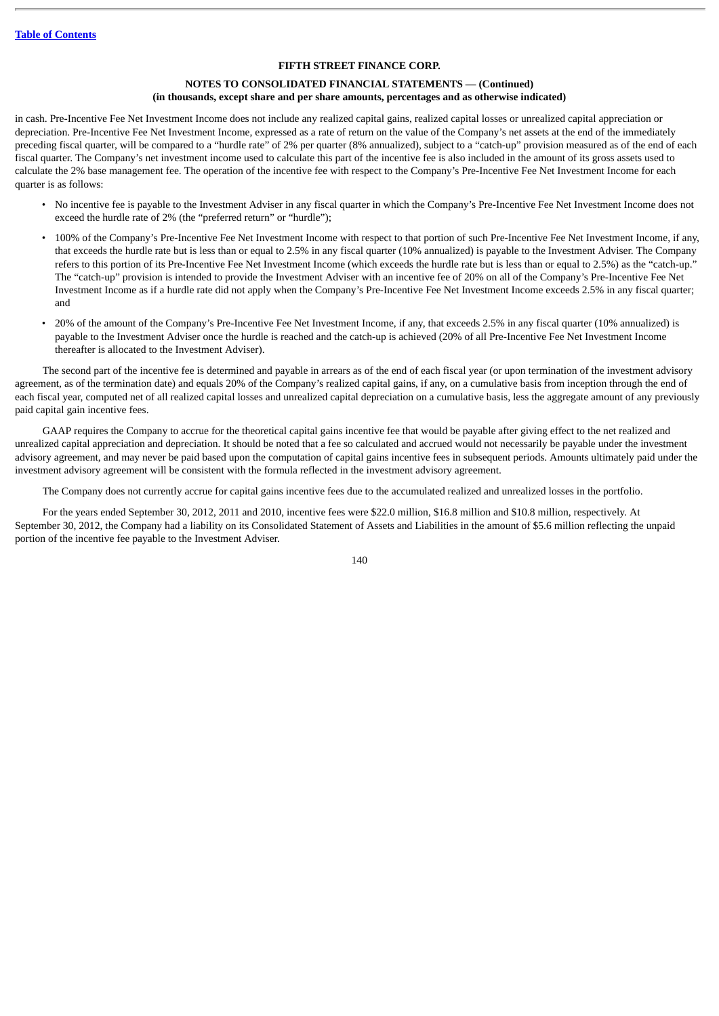# **NOTES TO CONSOLIDATED FINANCIAL STATEMENTS — (Continued) (in thousands, except share and per share amounts, percentages and as otherwise indicated)**

in cash. Pre-Incentive Fee Net Investment Income does not include any realized capital gains, realized capital losses or unrealized capital appreciation or depreciation. Pre-Incentive Fee Net Investment Income, expressed as a rate of return on the value of the Company's net assets at the end of the immediately preceding fiscal quarter, will be compared to a "hurdle rate" of 2% per quarter (8% annualized), subject to a "catch-up" provision measured as of the end of each fiscal quarter. The Company's net investment income used to calculate this part of the incentive fee is also included in the amount of its gross assets used to calculate the 2% base management fee. The operation of the incentive fee with respect to the Company's Pre-Incentive Fee Net Investment Income for each quarter is as follows:

- No incentive fee is payable to the Investment Adviser in any fiscal quarter in which the Company's Pre-Incentive Fee Net Investment Income does not exceed the hurdle rate of 2% (the "preferred return" or "hurdle");
- 100% of the Company's Pre-Incentive Fee Net Investment Income with respect to that portion of such Pre-Incentive Fee Net Investment Income, if any, that exceeds the hurdle rate but is less than or equal to 2.5% in any fiscal quarter (10% annualized) is payable to the Investment Adviser. The Company refers to this portion of its Pre-Incentive Fee Net Investment Income (which exceeds the hurdle rate but is less than or equal to 2.5%) as the "catch-up." The "catch-up" provision is intended to provide the Investment Adviser with an incentive fee of 20% on all of the Company's Pre-Incentive Fee Net Investment Income as if a hurdle rate did not apply when the Company's Pre-Incentive Fee Net Investment Income exceeds 2.5% in any fiscal quarter; and
- 20% of the amount of the Company's Pre-Incentive Fee Net Investment Income, if any, that exceeds 2.5% in any fiscal quarter (10% annualized) is payable to the Investment Adviser once the hurdle is reached and the catch-up is achieved (20% of all Pre-Incentive Fee Net Investment Income thereafter is allocated to the Investment Adviser).

The second part of the incentive fee is determined and payable in arrears as of the end of each fiscal year (or upon termination of the investment advisory agreement, as of the termination date) and equals 20% of the Company's realized capital gains, if any, on a cumulative basis from inception through the end of each fiscal year, computed net of all realized capital losses and unrealized capital depreciation on a cumulative basis, less the aggregate amount of any previously paid capital gain incentive fees.

GAAP requires the Company to accrue for the theoretical capital gains incentive fee that would be payable after giving effect to the net realized and unrealized capital appreciation and depreciation. It should be noted that a fee so calculated and accrued would not necessarily be payable under the investment advisory agreement, and may never be paid based upon the computation of capital gains incentive fees in subsequent periods. Amounts ultimately paid under the investment advisory agreement will be consistent with the formula reflected in the investment advisory agreement.

The Company does not currently accrue for capital gains incentive fees due to the accumulated realized and unrealized losses in the portfolio.

For the years ended September 30, 2012, 2011 and 2010, incentive fees were \$22.0 million, \$16.8 million and \$10.8 million, respectively. At September 30, 2012, the Company had a liability on its Consolidated Statement of Assets and Liabilities in the amount of \$5.6 million reflecting the unpaid portion of the incentive fee payable to the Investment Adviser.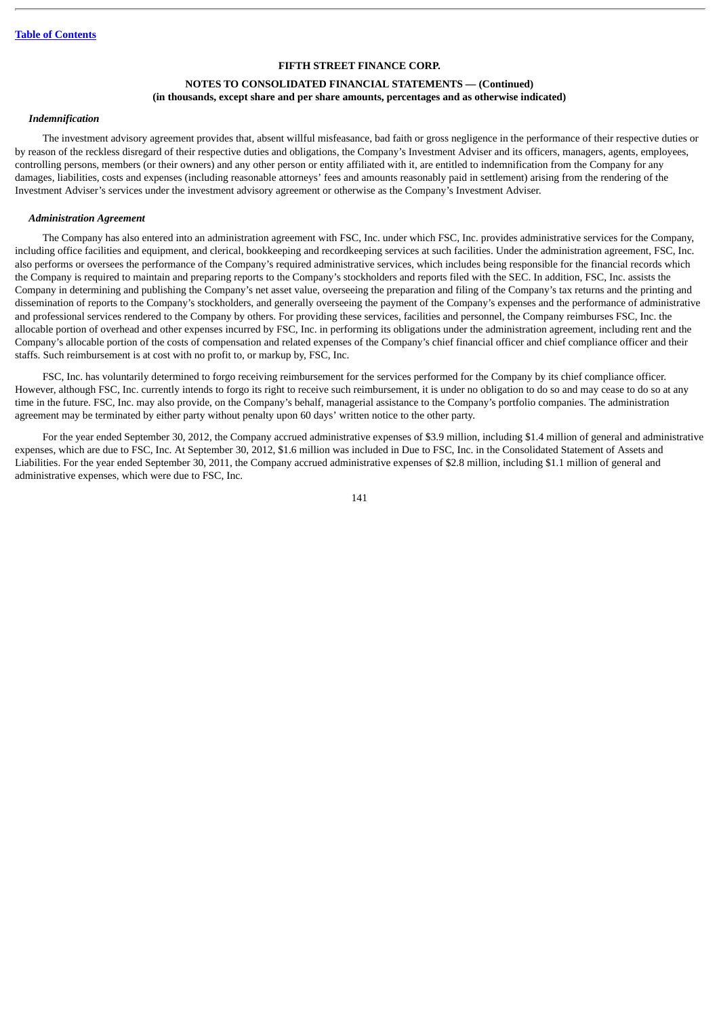# **NOTES TO CONSOLIDATED FINANCIAL STATEMENTS — (Continued) (in thousands, except share and per share amounts, percentages and as otherwise indicated)**

### *Indemnification*

The investment advisory agreement provides that, absent willful misfeasance, bad faith or gross negligence in the performance of their respective duties or by reason of the reckless disregard of their respective duties and obligations, the Company's Investment Adviser and its officers, managers, agents, employees, controlling persons, members (or their owners) and any other person or entity affiliated with it, are entitled to indemnification from the Company for any damages, liabilities, costs and expenses (including reasonable attorneys' fees and amounts reasonably paid in settlement) arising from the rendering of the Investment Adviser's services under the investment advisory agreement or otherwise as the Company's Investment Adviser.

#### *Administration Agreement*

The Company has also entered into an administration agreement with FSC, Inc. under which FSC, Inc. provides administrative services for the Company, including office facilities and equipment, and clerical, bookkeeping and recordkeeping services at such facilities. Under the administration agreement, FSC, Inc. also performs or oversees the performance of the Company's required administrative services, which includes being responsible for the financial records which the Company is required to maintain and preparing reports to the Company's stockholders and reports filed with the SEC. In addition, FSC, Inc. assists the Company in determining and publishing the Company's net asset value, overseeing the preparation and filing of the Company's tax returns and the printing and dissemination of reports to the Company's stockholders, and generally overseeing the payment of the Company's expenses and the performance of administrative and professional services rendered to the Company by others. For providing these services, facilities and personnel, the Company reimburses FSC, Inc. the allocable portion of overhead and other expenses incurred by FSC, Inc. in performing its obligations under the administration agreement, including rent and the Company's allocable portion of the costs of compensation and related expenses of the Company's chief financial officer and chief compliance officer and their staffs. Such reimbursement is at cost with no profit to, or markup by, FSC, Inc.

FSC, Inc. has voluntarily determined to forgo receiving reimbursement for the services performed for the Company by its chief compliance officer. However, although FSC, Inc. currently intends to forgo its right to receive such reimbursement, it is under no obligation to do so and may cease to do so at any time in the future. FSC, Inc. may also provide, on the Company's behalf, managerial assistance to the Company's portfolio companies. The administration agreement may be terminated by either party without penalty upon 60 days' written notice to the other party.

For the year ended September 30, 2012, the Company accrued administrative expenses of \$3.9 million, including \$1.4 million of general and administrative expenses, which are due to FSC, Inc. At September 30, 2012, \$1.6 million was included in Due to FSC, Inc. in the Consolidated Statement of Assets and Liabilities. For the year ended September 30, 2011, the Company accrued administrative expenses of \$2.8 million, including \$1.1 million of general and administrative expenses, which were due to FSC, Inc.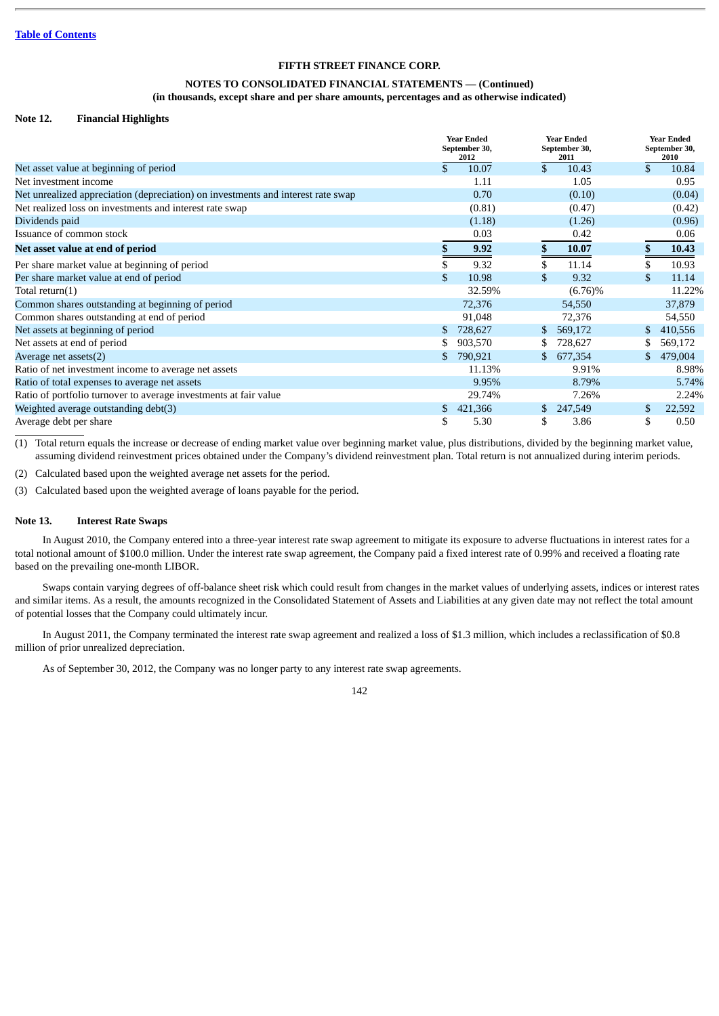# **NOTES TO CONSOLIDATED FINANCIAL STATEMENTS — (Continued)**

# **(in thousands, except share and per share amounts, percentages and as otherwise indicated)**

# **Note 12. Financial Highlights**

|                                                                                  |    | <b>Year Ended</b><br>September 30,<br>2012 |    | <b>Year Ended</b><br>September 30,<br>2011 |    | <b>Year Ended</b><br>September 30,<br>2010 |
|----------------------------------------------------------------------------------|----|--------------------------------------------|----|--------------------------------------------|----|--------------------------------------------|
| Net asset value at beginning of period                                           | \$ | 10.07                                      | \$ | 10.43                                      | \$ | 10.84                                      |
| Net investment income                                                            |    | 1.11                                       |    | 1.05                                       |    | 0.95                                       |
| Net unrealized appreciation (depreciation) on investments and interest rate swap |    | 0.70                                       |    | (0.10)                                     |    | (0.04)                                     |
| Net realized loss on investments and interest rate swap                          |    | (0.81)                                     |    | (0.47)                                     |    | (0.42)                                     |
| Dividends paid                                                                   |    | (1.18)                                     |    | (1.26)                                     |    | (0.96)                                     |
| Issuance of common stock                                                         |    | 0.03                                       |    | 0.42                                       |    | 0.06                                       |
| Net asset value at end of period                                                 |    | 9.92                                       |    | 10.07                                      | \$ | 10.43                                      |
| Per share market value at beginning of period                                    |    | 9.32                                       |    | 11.14                                      | \$ | 10.93                                      |
| Per share market value at end of period                                          | \$ | 10.98                                      | \$ | 9.32                                       | \$ | 11.14                                      |
| Total return $(1)$                                                               |    | 32.59%                                     |    | $(6.76)\%$                                 |    | 11.22%                                     |
| Common shares outstanding at beginning of period                                 |    | 72,376                                     |    | 54,550                                     |    | 37,879                                     |
| Common shares outstanding at end of period                                       |    | 91,048                                     |    | 72,376                                     |    | 54,550                                     |
| Net assets at beginning of period                                                |    | 728,627                                    | S. | 569,172                                    | S. | 410,556                                    |
| Net assets at end of period                                                      |    | 903,570                                    |    | 728,627                                    |    | 569,172                                    |
| Average net assets(2)                                                            | S. | 790,921                                    | \$ | 677,354                                    | \$ | 479,004                                    |
| Ratio of net investment income to average net assets                             |    | 11.13%                                     |    | 9.91%                                      |    | 8.98%                                      |
| Ratio of total expenses to average net assets                                    |    | 9.95%                                      |    | 8.79%                                      |    | 5.74%                                      |
| Ratio of portfolio turnover to average investments at fair value                 |    | 29.74%                                     |    | 7.26%                                      |    | 2.24%                                      |
| Weighted average outstanding debt(3)                                             | \$ | 421,366                                    | S. | 247,549                                    | \$ | 22,592                                     |
| Average debt per share                                                           | \$ | 5.30                                       | \$ | 3.86                                       | \$ | 0.50                                       |

(1) Total return equals the increase or decrease of ending market value over beginning market value, plus distributions, divided by the beginning market value, assuming dividend reinvestment prices obtained under the Company's dividend reinvestment plan. Total return is not annualized during interim periods.

(2) Calculated based upon the weighted average net assets for the period.

(3) Calculated based upon the weighted average of loans payable for the period.

### **Note 13. Interest Rate Swaps**

In August 2010, the Company entered into a three-year interest rate swap agreement to mitigate its exposure to adverse fluctuations in interest rates for a total notional amount of \$100.0 million. Under the interest rate swap agreement, the Company paid a fixed interest rate of 0.99% and received a floating rate based on the prevailing one-month LIBOR.

Swaps contain varying degrees of off-balance sheet risk which could result from changes in the market values of underlying assets, indices or interest rates and similar items. As a result, the amounts recognized in the Consolidated Statement of Assets and Liabilities at any given date may not reflect the total amount of potential losses that the Company could ultimately incur.

In August 2011, the Company terminated the interest rate swap agreement and realized a loss of \$1.3 million, which includes a reclassification of \$0.8 million of prior unrealized depreciation.

As of September 30, 2012, the Company was no longer party to any interest rate swap agreements.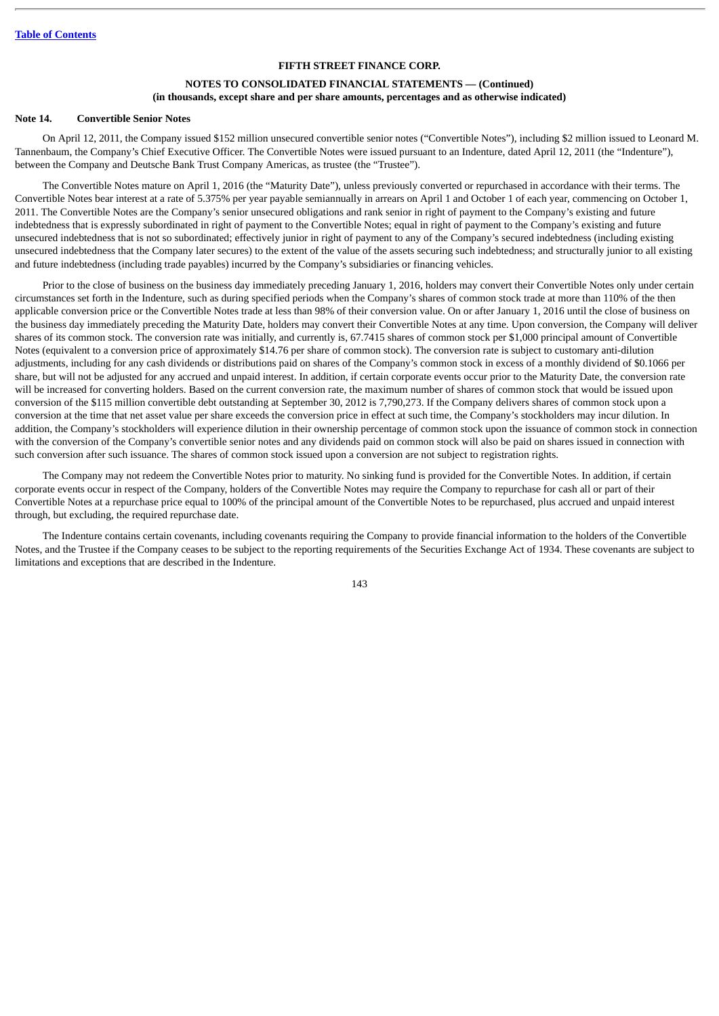### **FIFTH STREET FINANCE CORP.**

## **NOTES TO CONSOLIDATED FINANCIAL STATEMENTS — (Continued) (in thousands, except share and per share amounts, percentages and as otherwise indicated)**

### **Note 14. Convertible Senior Notes**

On April 12, 2011, the Company issued \$152 million unsecured convertible senior notes ("Convertible Notes"), including \$2 million issued to Leonard M. Tannenbaum, the Company's Chief Executive Officer. The Convertible Notes were issued pursuant to an Indenture, dated April 12, 2011 (the "Indenture"), between the Company and Deutsche Bank Trust Company Americas, as trustee (the "Trustee").

The Convertible Notes mature on April 1, 2016 (the "Maturity Date"), unless previously converted or repurchased in accordance with their terms. The Convertible Notes bear interest at a rate of 5.375% per year payable semiannually in arrears on April 1 and October 1 of each year, commencing on October 1, 2011. The Convertible Notes are the Company's senior unsecured obligations and rank senior in right of payment to the Company's existing and future indebtedness that is expressly subordinated in right of payment to the Convertible Notes; equal in right of payment to the Company's existing and future unsecured indebtedness that is not so subordinated; effectively junior in right of payment to any of the Company's secured indebtedness (including existing unsecured indebtedness that the Company later secures) to the extent of the value of the assets securing such indebtedness; and structurally junior to all existing and future indebtedness (including trade payables) incurred by the Company's subsidiaries or financing vehicles.

Prior to the close of business on the business day immediately preceding January 1, 2016, holders may convert their Convertible Notes only under certain circumstances set forth in the Indenture, such as during specified periods when the Company's shares of common stock trade at more than 110% of the then applicable conversion price or the Convertible Notes trade at less than 98% of their conversion value. On or after January 1, 2016 until the close of business on the business day immediately preceding the Maturity Date, holders may convert their Convertible Notes at any time. Upon conversion, the Company will deliver shares of its common stock. The conversion rate was initially, and currently is, 67.7415 shares of common stock per \$1,000 principal amount of Convertible Notes (equivalent to a conversion price of approximately \$14.76 per share of common stock). The conversion rate is subject to customary anti-dilution adjustments, including for any cash dividends or distributions paid on shares of the Company's common stock in excess of a monthly dividend of \$0.1066 per share, but will not be adjusted for any accrued and unpaid interest. In addition, if certain corporate events occur prior to the Maturity Date, the conversion rate will be increased for converting holders. Based on the current conversion rate, the maximum number of shares of common stock that would be issued upon conversion of the \$115 million convertible debt outstanding at September 30, 2012 is 7,790,273. If the Company delivers shares of common stock upon a conversion at the time that net asset value per share exceeds the conversion price in effect at such time, the Company's stockholders may incur dilution. In addition, the Company's stockholders will experience dilution in their ownership percentage of common stock upon the issuance of common stock in connection with the conversion of the Company's convertible senior notes and any dividends paid on common stock will also be paid on shares issued in connection with such conversion after such issuance. The shares of common stock issued upon a conversion are not subject to registration rights.

The Company may not redeem the Convertible Notes prior to maturity. No sinking fund is provided for the Convertible Notes. In addition, if certain corporate events occur in respect of the Company, holders of the Convertible Notes may require the Company to repurchase for cash all or part of their Convertible Notes at a repurchase price equal to 100% of the principal amount of the Convertible Notes to be repurchased, plus accrued and unpaid interest through, but excluding, the required repurchase date.

The Indenture contains certain covenants, including covenants requiring the Company to provide financial information to the holders of the Convertible Notes, and the Trustee if the Company ceases to be subject to the reporting requirements of the Securities Exchange Act of 1934. These covenants are subject to limitations and exceptions that are described in the Indenture.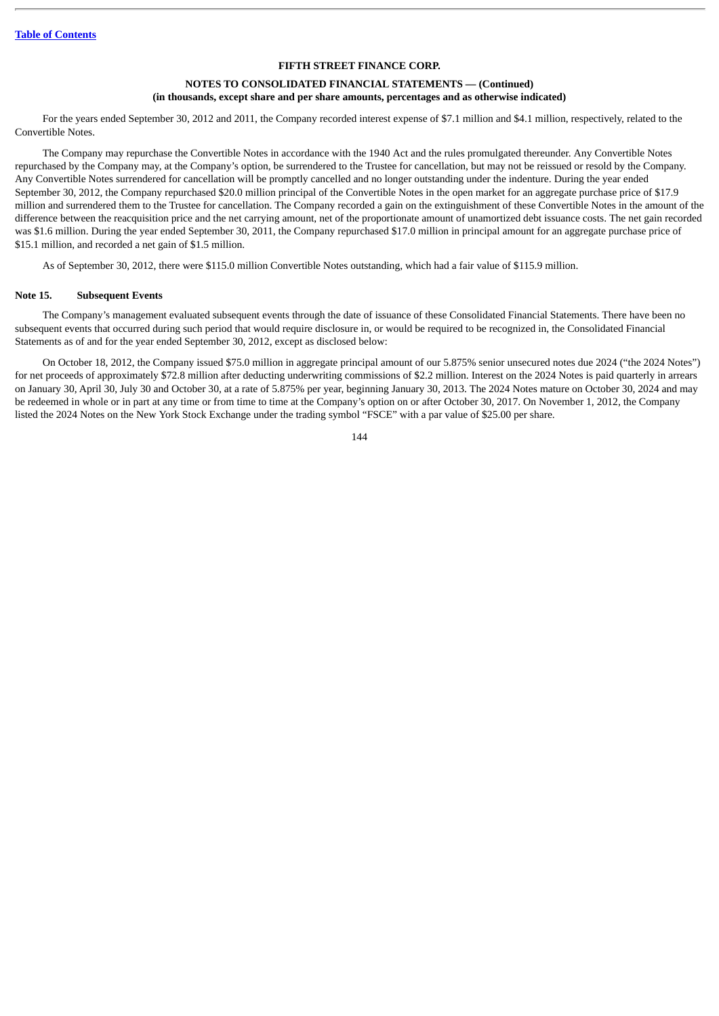### **FIFTH STREET FINANCE CORP.**

# **NOTES TO CONSOLIDATED FINANCIAL STATEMENTS — (Continued) (in thousands, except share and per share amounts, percentages and as otherwise indicated)**

For the years ended September 30, 2012 and 2011, the Company recorded interest expense of \$7.1 million and \$4.1 million, respectively, related to the Convertible Notes.

The Company may repurchase the Convertible Notes in accordance with the 1940 Act and the rules promulgated thereunder. Any Convertible Notes repurchased by the Company may, at the Company's option, be surrendered to the Trustee for cancellation, but may not be reissued or resold by the Company. Any Convertible Notes surrendered for cancellation will be promptly cancelled and no longer outstanding under the indenture. During the year ended September 30, 2012, the Company repurchased \$20.0 million principal of the Convertible Notes in the open market for an aggregate purchase price of \$17.9 million and surrendered them to the Trustee for cancellation. The Company recorded a gain on the extinguishment of these Convertible Notes in the amount of the difference between the reacquisition price and the net carrying amount, net of the proportionate amount of unamortized debt issuance costs. The net gain recorded was \$1.6 million. During the year ended September 30, 2011, the Company repurchased \$17.0 million in principal amount for an aggregate purchase price of \$15.1 million, and recorded a net gain of \$1.5 million.

As of September 30, 2012, there were \$115.0 million Convertible Notes outstanding, which had a fair value of \$115.9 million.

### **Note 15. Subsequent Events**

The Company's management evaluated subsequent events through the date of issuance of these Consolidated Financial Statements. There have been no subsequent events that occurred during such period that would require disclosure in, or would be required to be recognized in, the Consolidated Financial Statements as of and for the year ended September 30, 2012, except as disclosed below:

On October 18, 2012, the Company issued \$75.0 million in aggregate principal amount of our 5.875% senior unsecured notes due 2024 ("the 2024 Notes") for net proceeds of approximately \$72.8 million after deducting underwriting commissions of \$2.2 million. Interest on the 2024 Notes is paid quarterly in arrears on January 30, April 30, July 30 and October 30, at a rate of 5.875% per year, beginning January 30, 2013. The 2024 Notes mature on October 30, 2024 and may be redeemed in whole or in part at any time or from time to time at the Company's option on or after October 30, 2017. On November 1, 2012, the Company listed the 2024 Notes on the New York Stock Exchange under the trading symbol "FSCE" with a par value of \$25.00 per share.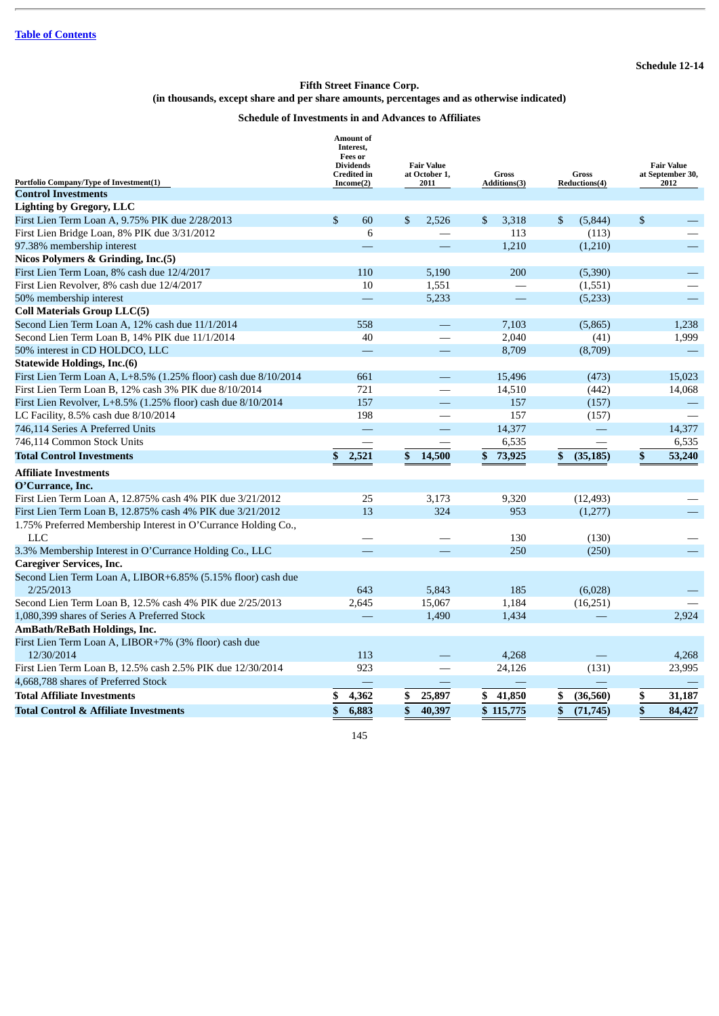# **Fifth Street Finance Corp. (in thousands, except share and per share amounts, percentages and as otherwise indicated)**

# **Schedule of Investments in and Advances to Affiliates**

| Portfolio Company/Type of Investment(1)                         | <b>Amount of</b><br>Interest.<br>Fees or<br><b>Dividends</b><br><b>Credited in</b><br>Income(2) | <b>Fair Value</b><br>at October 1,<br>2011 | Gross<br>Additions(3)               | Gross<br>Reductions(4) | <b>Fair Value</b><br>at September 30,<br>2012 |
|-----------------------------------------------------------------|-------------------------------------------------------------------------------------------------|--------------------------------------------|-------------------------------------|------------------------|-----------------------------------------------|
| <b>Control Investments</b>                                      |                                                                                                 |                                            |                                     |                        |                                               |
| <b>Lighting by Gregory, LLC</b>                                 |                                                                                                 |                                            |                                     |                        |                                               |
| First Lien Term Loan A, 9.75% PIK due 2/28/2013                 | $\mathsf{\$}$<br>60                                                                             | $\mathfrak{S}$<br>2,526                    | 3,318<br>\$                         | \$<br>(5,844)          | $\mathfrak{s}$                                |
| First Lien Bridge Loan, 8% PIK due 3/31/2012                    | 6                                                                                               |                                            | 113                                 | (113)                  |                                               |
| 97.38% membership interest                                      | <u>e an</u>                                                                                     |                                            | 1,210                               | (1,210)                |                                               |
| Nicos Polymers & Grinding, Inc.(5)                              |                                                                                                 |                                            |                                     |                        |                                               |
| First Lien Term Loan, 8% cash due 12/4/2017                     | 110                                                                                             | 5,190                                      | 200                                 | (5,390)                |                                               |
| First Lien Revolver, 8% cash due 12/4/2017                      | 10                                                                                              | 1,551                                      |                                     | (1,551)                |                                               |
| 50% membership interest                                         |                                                                                                 | 5,233                                      |                                     | (5,233)                |                                               |
| <b>Coll Materials Group LLC(5)</b>                              |                                                                                                 |                                            |                                     |                        |                                               |
| Second Lien Term Loan A, 12% cash due 11/1/2014                 | 558                                                                                             |                                            | 7,103                               | (5,865)                | 1,238                                         |
| Second Lien Term Loan B, 14% PIK due 11/1/2014                  | 40                                                                                              |                                            | 2,040                               | (41)                   | 1,999                                         |
| 50% interest in CD HOLDCO, LLC                                  |                                                                                                 |                                            | 8,709                               | (8,709)                |                                               |
| <b>Statewide Holdings, Inc.(6)</b>                              |                                                                                                 |                                            |                                     |                        |                                               |
| First Lien Term Loan A, L+8.5% (1.25% floor) cash due 8/10/2014 | 661                                                                                             |                                            | 15,496                              | (473)                  | 15,023                                        |
| First Lien Term Loan B, 12% cash 3% PIK due 8/10/2014           | 721                                                                                             |                                            | 14,510                              | (442)                  | 14,068                                        |
| First Lien Revolver, L+8.5% (1.25% floor) cash due 8/10/2014    | 157                                                                                             | $\overline{\phantom{0}}$                   | 157                                 | (157)                  |                                               |
| LC Facility, 8.5% cash due 8/10/2014                            | 198                                                                                             |                                            | 157                                 | (157)                  |                                               |
| 746,114 Series A Preferred Units                                | $\frac{1}{2}$                                                                                   |                                            | 14,377                              |                        | 14,377                                        |
| 746,114 Common Stock Units                                      |                                                                                                 |                                            | 6,535                               |                        | 6,535                                         |
| <b>Total Control Investments</b>                                | \$<br>2,521                                                                                     | $\mathbf{s}$<br>14,500                     | $\boldsymbol{\mathsf{s}}$<br>73,925 | \$<br>(35, 185)        | \$<br>53,240                                  |
| <b>Affiliate Investments</b>                                    |                                                                                                 |                                            |                                     |                        |                                               |
| O'Currance, Inc.                                                |                                                                                                 |                                            |                                     |                        |                                               |
| First Lien Term Loan A, 12.875% cash 4% PIK due 3/21/2012       | 25                                                                                              | 3,173                                      | 9,320                               | (12, 493)              |                                               |
| First Lien Term Loan B, 12.875% cash 4% PIK due 3/21/2012       | 13                                                                                              | 324                                        | 953                                 | (1,277)                |                                               |
| 1.75% Preferred Membership Interest in O'Currance Holding Co.,  |                                                                                                 |                                            |                                     |                        |                                               |
| <b>LLC</b>                                                      |                                                                                                 |                                            | 130                                 | (130)                  |                                               |
| 3.3% Membership Interest in O'Currance Holding Co., LLC         |                                                                                                 |                                            | 250                                 | (250)                  |                                               |
| <b>Caregiver Services, Inc.</b>                                 |                                                                                                 |                                            |                                     |                        |                                               |
| Second Lien Term Loan A, LIBOR+6.85% (5.15% floor) cash due     |                                                                                                 |                                            |                                     |                        |                                               |
| 2/25/2013                                                       | 643                                                                                             | 5,843                                      | 185                                 | (6,028)                |                                               |
| Second Lien Term Loan B, 12.5% cash 4% PIK due 2/25/2013        | 2,645                                                                                           | 15,067                                     | 1,184                               | (16,251)               |                                               |
| 1,080,399 shares of Series A Preferred Stock                    |                                                                                                 | 1,490                                      | 1,434                               |                        | 2,924                                         |
| AmBath/ReBath Holdings, Inc.                                    |                                                                                                 |                                            |                                     |                        |                                               |
| First Lien Term Loan A, LIBOR+7% (3% floor) cash due            |                                                                                                 |                                            |                                     |                        |                                               |
| 12/30/2014                                                      | 113                                                                                             |                                            | 4,268                               |                        | 4,268                                         |
| First Lien Term Loan B, 12.5% cash 2.5% PIK due 12/30/2014      | 923                                                                                             |                                            | 24,126                              | (131)                  | 23,995                                        |
| 4,668,788 shares of Preferred Stock                             |                                                                                                 |                                            |                                     |                        |                                               |
| <b>Total Affiliate Investments</b>                              | 4,362<br>\$                                                                                     | 25,897<br>\$                               | \$<br>41,850                        | \$<br>(36, 560)        | \$<br>31,187                                  |
| <b>Total Control &amp; Affiliate Investments</b>                | \$<br>6,883                                                                                     | \$<br>40,397                               | \$115,775                           | \$<br>(71, 745)        | \$<br>84,427                                  |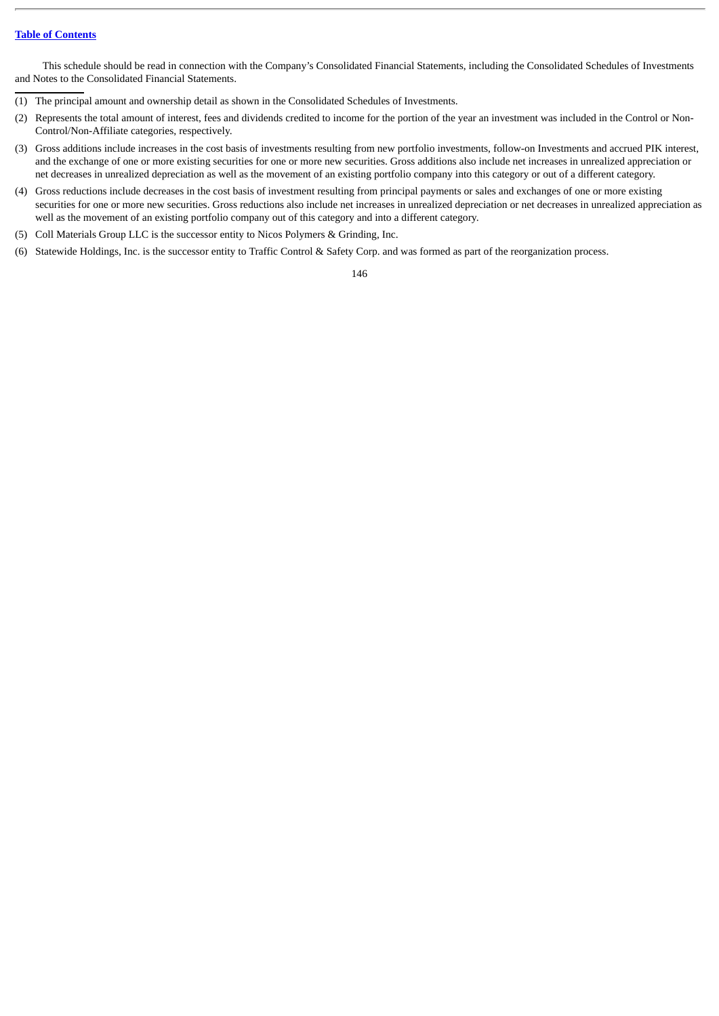This schedule should be read in connection with the Company's Consolidated Financial Statements, including the Consolidated Schedules of Investments and Notes to the Consolidated Financial Statements.

- (1) The principal amount and ownership detail as shown in the Consolidated Schedules of Investments.
- (2) Represents the total amount of interest, fees and dividends credited to income for the portion of the year an investment was included in the Control or Non-Control/Non-Affiliate categories, respectively.
- (3) Gross additions include increases in the cost basis of investments resulting from new portfolio investments, follow-on Investments and accrued PIK interest, and the exchange of one or more existing securities for one or more new securities. Gross additions also include net increases in unrealized appreciation or net decreases in unrealized depreciation as well as the movement of an existing portfolio company into this category or out of a different category.
- (4) Gross reductions include decreases in the cost basis of investment resulting from principal payments or sales and exchanges of one or more existing securities for one or more new securities. Gross reductions also include net increases in unrealized depreciation or net decreases in unrealized appreciation as well as the movement of an existing portfolio company out of this category and into a different category.
- (5) Coll Materials Group LLC is the successor entity to Nicos Polymers & Grinding, Inc.
- (6) Statewide Holdings, Inc. is the successor entity to Traffic Control & Safety Corp. and was formed as part of the reorganization process.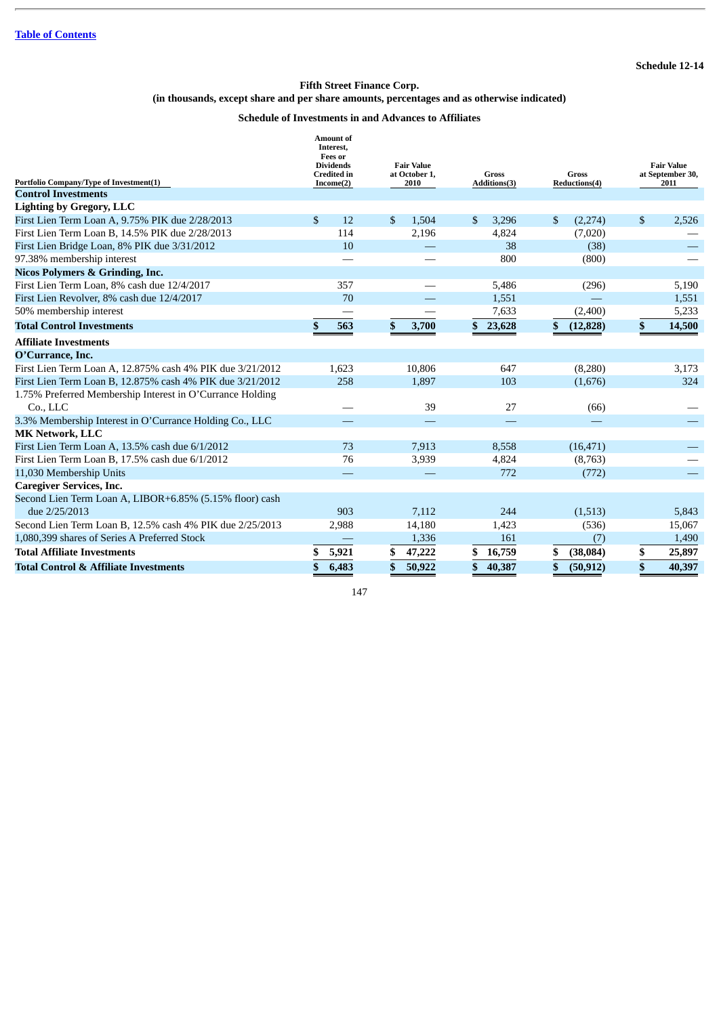# **Fifth Street Finance Corp. (in thousands, except share and per share amounts, percentages and as otherwise indicated)**

# **Schedule of Investments in and Advances to Affiliates**

| Portfolio Company/Type of Investment(1)                   | <b>Amount</b> of<br>Interest,<br>Fees or<br><b>Dividends</b><br>Credited in | <b>Fair Value</b><br>at October 1.<br>2010 | Gross<br>Additions(3)   | <b>Gross</b><br>Reductions(4) | <b>Fair Value</b><br>at September 30,<br>2011 |
|-----------------------------------------------------------|-----------------------------------------------------------------------------|--------------------------------------------|-------------------------|-------------------------------|-----------------------------------------------|
| <b>Control Investments</b>                                | Income(2)                                                                   |                                            |                         |                               |                                               |
| <b>Lighting by Gregory, LLC</b>                           |                                                                             |                                            |                         |                               |                                               |
| First Lien Term Loan A, 9.75% PIK due 2/28/2013           | $\mathbb{S}$<br>12                                                          | \$<br>1,504                                | $\mathfrak{S}$<br>3,296 | \$<br>(2,274)                 | \$<br>2,526                                   |
| First Lien Term Loan B, 14.5% PIK due 2/28/2013           | 114                                                                         | 2,196                                      | 4,824                   | (7,020)                       |                                               |
| First Lien Bridge Loan, 8% PIK due 3/31/2012              | 10                                                                          |                                            | 38                      | (38)                          |                                               |
| 97.38% membership interest                                |                                                                             |                                            | 800                     | (800)                         |                                               |
| <b>Nicos Polymers &amp; Grinding, Inc.</b>                |                                                                             |                                            |                         |                               |                                               |
| First Lien Term Loan, 8% cash due 12/4/2017               | 357                                                                         |                                            | 5,486                   | (296)                         | 5,190                                         |
| First Lien Revolver, 8% cash due 12/4/2017                | 70                                                                          |                                            | 1,551                   |                               | 1,551                                         |
| 50% membership interest                                   |                                                                             |                                            | 7,633                   | (2,400)                       | 5,233                                         |
| <b>Total Control Investments</b>                          | 563<br>\$                                                                   | \$<br>3,700                                | 23,628<br>\$            | \$<br>(12, 828)               | \$<br>14,500                                  |
| <b>Affiliate Investments</b>                              |                                                                             |                                            |                         |                               |                                               |
| O'Currance, Inc.                                          |                                                                             |                                            |                         |                               |                                               |
| First Lien Term Loan A, 12.875% cash 4% PIK due 3/21/2012 | 1,623                                                                       | 10,806                                     | 647                     | (8,280)                       | 3,173                                         |
| First Lien Term Loan B, 12.875% cash 4% PIK due 3/21/2012 | 258                                                                         | 1,897                                      | 103                     | (1,676)                       | 324                                           |
| 1.75% Preferred Membership Interest in O'Currance Holding |                                                                             |                                            |                         |                               |                                               |
| Co., LLC                                                  |                                                                             | 39                                         | 27                      | (66)                          |                                               |
| 3.3% Membership Interest in O'Currance Holding Co., LLC   |                                                                             |                                            |                         |                               |                                               |
| <b>MK Network, LLC</b>                                    |                                                                             |                                            |                         |                               |                                               |
| First Lien Term Loan A, 13.5% cash due 6/1/2012           | 73                                                                          | 7,913                                      | 8,558                   | (16, 471)                     |                                               |
| First Lien Term Loan B, 17.5% cash due 6/1/2012           | 76                                                                          | 3,939                                      | 4,824                   | (8,763)                       |                                               |
| 11,030 Membership Units                                   | $\qquad \qquad -$                                                           |                                            | 772                     | (772)                         |                                               |
| <b>Caregiver Services, Inc.</b>                           |                                                                             |                                            |                         |                               |                                               |
| Second Lien Term Loan A, LIBOR+6.85% (5.15% floor) cash   |                                                                             |                                            |                         |                               |                                               |
| due 2/25/2013                                             | 903                                                                         | 7,112                                      | 244                     | (1,513)                       | 5,843                                         |
| Second Lien Term Loan B, 12.5% cash 4% PIK due 2/25/2013  | 2,988                                                                       | 14,180                                     | 1,423                   | (536)                         | 15,067                                        |
| 1,080,399 shares of Series A Preferred Stock              |                                                                             | 1,336                                      | 161                     | (7)                           | 1,490                                         |
| <b>Total Affiliate Investments</b>                        | 5,921                                                                       | \$<br>47,222                               | \$<br>16,759            | (38,084)                      | \$<br>25,897                                  |
| <b>Total Control &amp; Affiliate Investments</b>          | \$<br>6,483                                                                 | \$<br>50,922                               | 40,387<br>\$            | \$<br>(50, 912)               | \$<br>40,397                                  |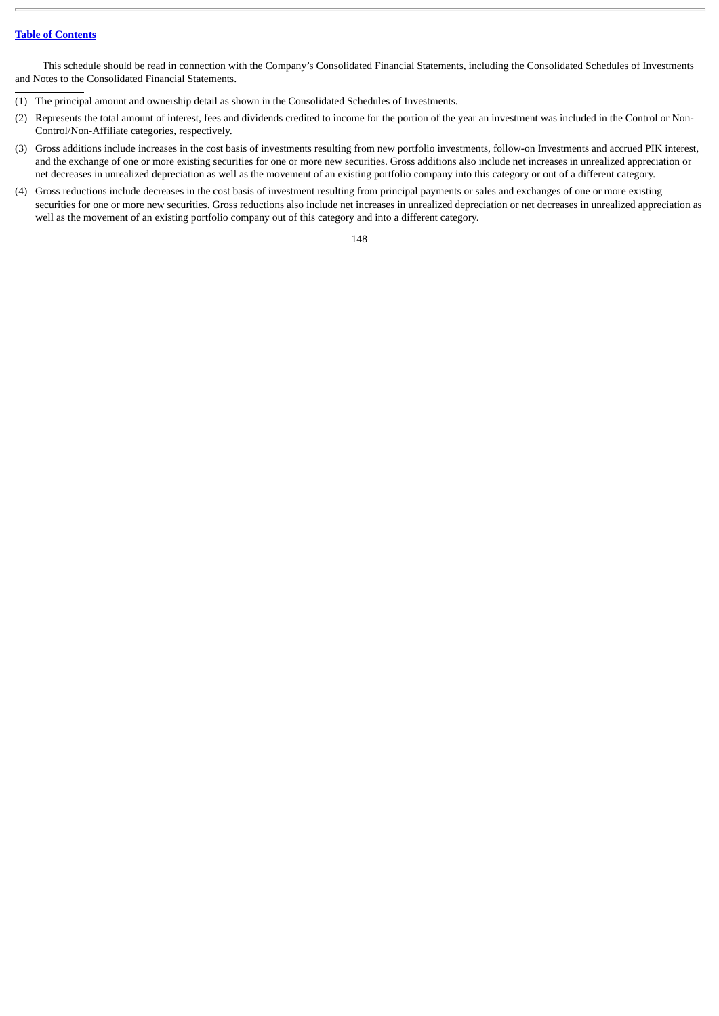This schedule should be read in connection with the Company's Consolidated Financial Statements, including the Consolidated Schedules of Investments and Notes to the Consolidated Financial Statements.

- (1) The principal amount and ownership detail as shown in the Consolidated Schedules of Investments.
- (2) Represents the total amount of interest, fees and dividends credited to income for the portion of the year an investment was included in the Control or Non-Control/Non-Affiliate categories, respectively.
- (3) Gross additions include increases in the cost basis of investments resulting from new portfolio investments, follow-on Investments and accrued PIK interest, and the exchange of one or more existing securities for one or more new securities. Gross additions also include net increases in unrealized appreciation or net decreases in unrealized depreciation as well as the movement of an existing portfolio company into this category or out of a different category.
- (4) Gross reductions include decreases in the cost basis of investment resulting from principal payments or sales and exchanges of one or more existing securities for one or more new securities. Gross reductions also include net increases in unrealized depreciation or net decreases in unrealized appreciation as well as the movement of an existing portfolio company out of this category and into a different category.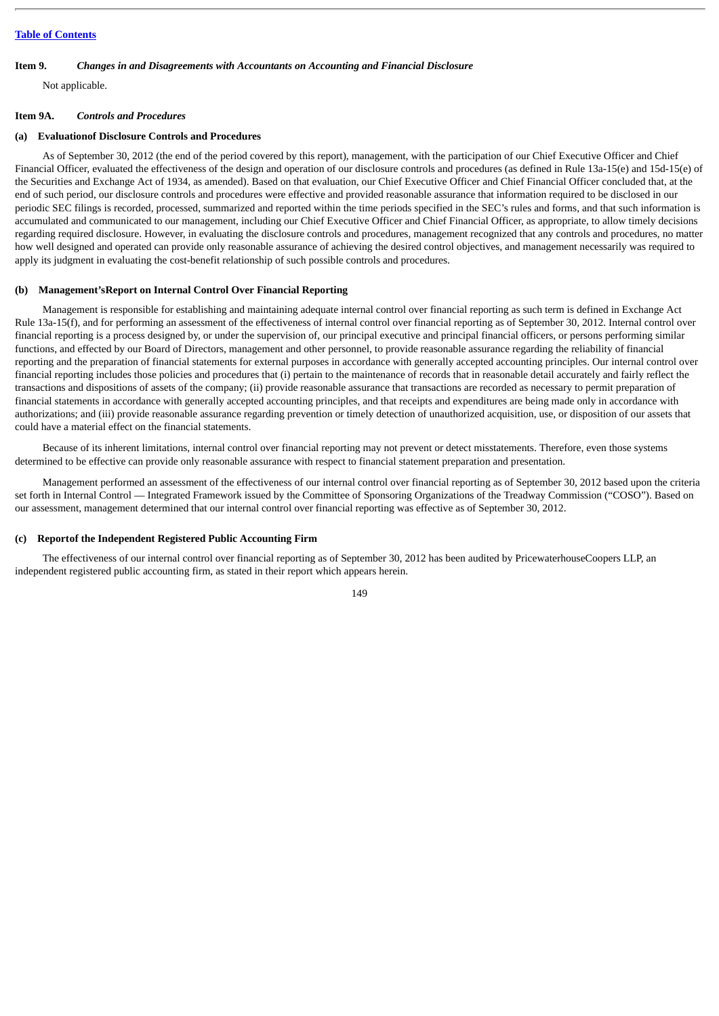#### **Item 9.** *Changes in and Disagreements with Accountants on Accounting and Financial Disclosure*

Not applicable.

### **Item 9A.** *Controls and Procedures*

#### **(a) Evaluationof Disclosure Controls and Procedures**

As of September 30, 2012 (the end of the period covered by this report), management, with the participation of our Chief Executive Officer and Chief Financial Officer, evaluated the effectiveness of the design and operation of our disclosure controls and procedures (as defined in Rule 13a-15(e) and 15d-15(e) of the Securities and Exchange Act of 1934, as amended). Based on that evaluation, our Chief Executive Officer and Chief Financial Officer concluded that, at the end of such period, our disclosure controls and procedures were effective and provided reasonable assurance that information required to be disclosed in our periodic SEC filings is recorded, processed, summarized and reported within the time periods specified in the SEC's rules and forms, and that such information is accumulated and communicated to our management, including our Chief Executive Officer and Chief Financial Officer, as appropriate, to allow timely decisions regarding required disclosure. However, in evaluating the disclosure controls and procedures, management recognized that any controls and procedures, no matter how well designed and operated can provide only reasonable assurance of achieving the desired control objectives, and management necessarily was required to apply its judgment in evaluating the cost-benefit relationship of such possible controls and procedures.

### **(b) Management'sReport on Internal Control Over Financial Reporting**

Management is responsible for establishing and maintaining adequate internal control over financial reporting as such term is defined in Exchange Act Rule 13a-15(f), and for performing an assessment of the effectiveness of internal control over financial reporting as of September 30, 2012. Internal control over financial reporting is a process designed by, or under the supervision of, our principal executive and principal financial officers, or persons performing similar functions, and effected by our Board of Directors, management and other personnel, to provide reasonable assurance regarding the reliability of financial reporting and the preparation of financial statements for external purposes in accordance with generally accepted accounting principles. Our internal control over financial reporting includes those policies and procedures that (i) pertain to the maintenance of records that in reasonable detail accurately and fairly reflect the transactions and dispositions of assets of the company; (ii) provide reasonable assurance that transactions are recorded as necessary to permit preparation of financial statements in accordance with generally accepted accounting principles, and that receipts and expenditures are being made only in accordance with authorizations; and (iii) provide reasonable assurance regarding prevention or timely detection of unauthorized acquisition, use, or disposition of our assets that could have a material effect on the financial statements.

Because of its inherent limitations, internal control over financial reporting may not prevent or detect misstatements. Therefore, even those systems determined to be effective can provide only reasonable assurance with respect to financial statement preparation and presentation.

Management performed an assessment of the effectiveness of our internal control over financial reporting as of September 30, 2012 based upon the criteria set forth in Internal Control — Integrated Framework issued by the Committee of Sponsoring Organizations of the Treadway Commission ("COSO"). Based on our assessment, management determined that our internal control over financial reporting was effective as of September 30, 2012.

## **(c) Reportof the Independent Registered Public Accounting Firm**

The effectiveness of our internal control over financial reporting as of September 30, 2012 has been audited by PricewaterhouseCoopers LLP, an independent registered public accounting firm, as stated in their report which appears herein.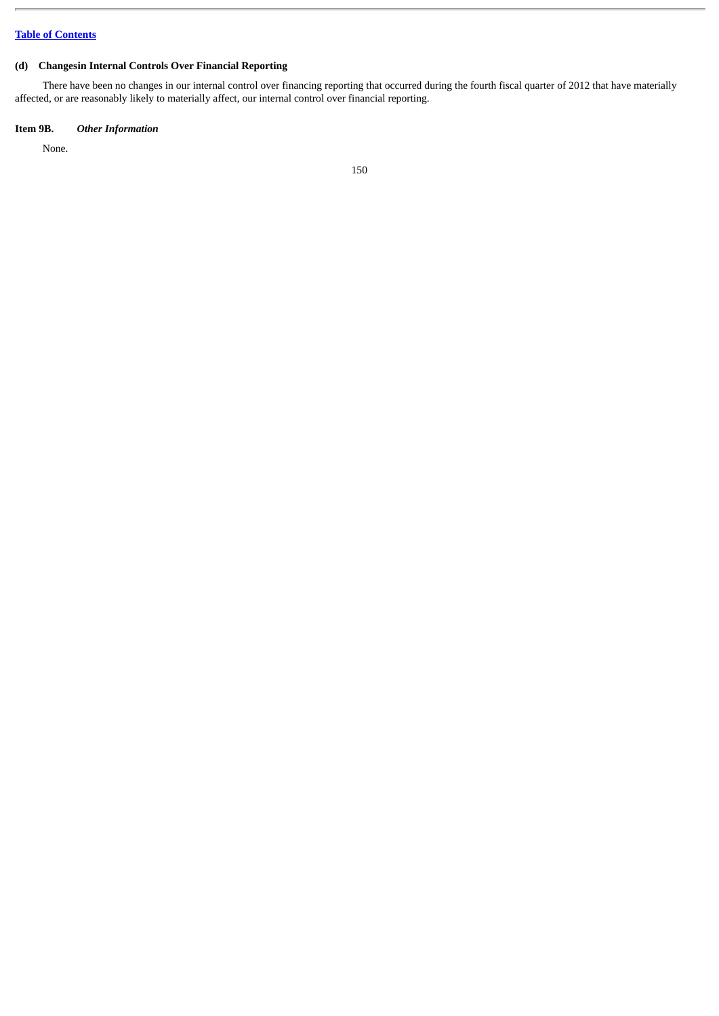# **(d) Changesin Internal Controls Over Financial Reporting**

There have been no changes in our internal control over financing reporting that occurred during the fourth fiscal quarter of 2012 that have materially affected, or are reasonably likely to materially affect, our internal control over financial reporting.

## **Item 9B.** *Other Information*

None.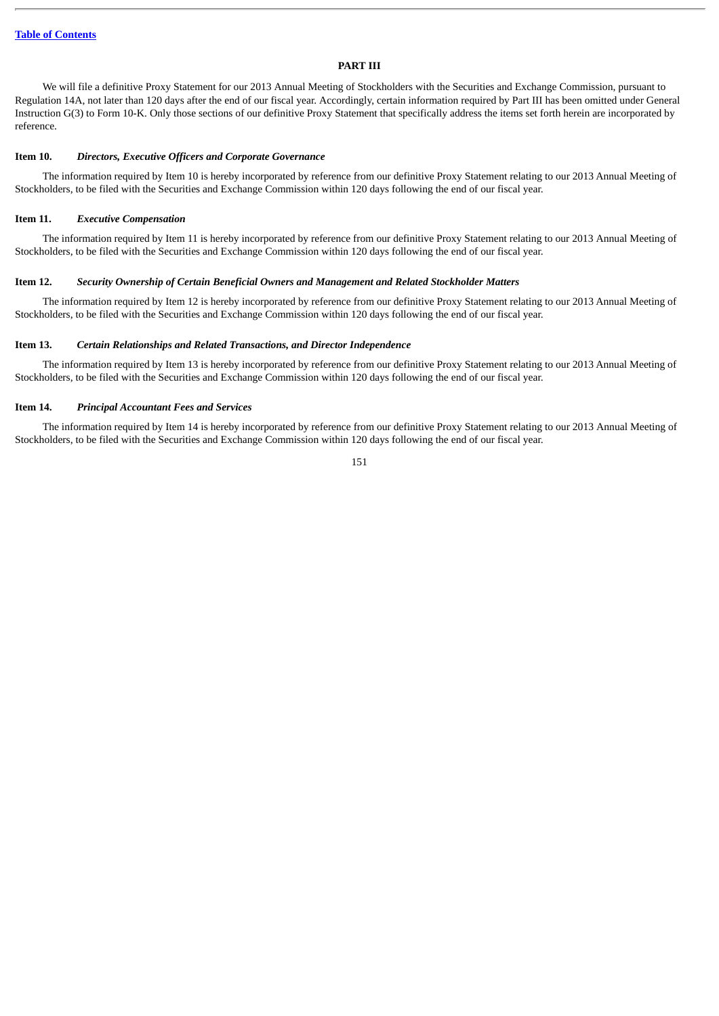### **PART III**

We will file a definitive Proxy Statement for our 2013 Annual Meeting of Stockholders with the Securities and Exchange Commission, pursuant to Regulation 14A, not later than 120 days after the end of our fiscal year. Accordingly, certain information required by Part III has been omitted under General Instruction G(3) to Form 10-K. Only those sections of our definitive Proxy Statement that specifically address the items set forth herein are incorporated by reference.

### **Item 10.** *Directors, Executive Officers and Corporate Governance*

The information required by Item 10 is hereby incorporated by reference from our definitive Proxy Statement relating to our 2013 Annual Meeting of Stockholders, to be filed with the Securities and Exchange Commission within 120 days following the end of our fiscal year.

#### **Item 11.** *Executive Compensation*

The information required by Item 11 is hereby incorporated by reference from our definitive Proxy Statement relating to our 2013 Annual Meeting of Stockholders, to be filed with the Securities and Exchange Commission within 120 days following the end of our fiscal year.

## **Item 12.** *Security Ownership of Certain Beneficial Owners and Management and Related Stockholder Matters*

The information required by Item 12 is hereby incorporated by reference from our definitive Proxy Statement relating to our 2013 Annual Meeting of Stockholders, to be filed with the Securities and Exchange Commission within 120 days following the end of our fiscal year.

#### **Item 13.** *Certain Relationships and Related Transactions, and Director Independence*

The information required by Item 13 is hereby incorporated by reference from our definitive Proxy Statement relating to our 2013 Annual Meeting of Stockholders, to be filed with the Securities and Exchange Commission within 120 days following the end of our fiscal year.

### **Item 14.** *Principal Accountant Fees and Services*

The information required by Item 14 is hereby incorporated by reference from our definitive Proxy Statement relating to our 2013 Annual Meeting of Stockholders, to be filed with the Securities and Exchange Commission within 120 days following the end of our fiscal year.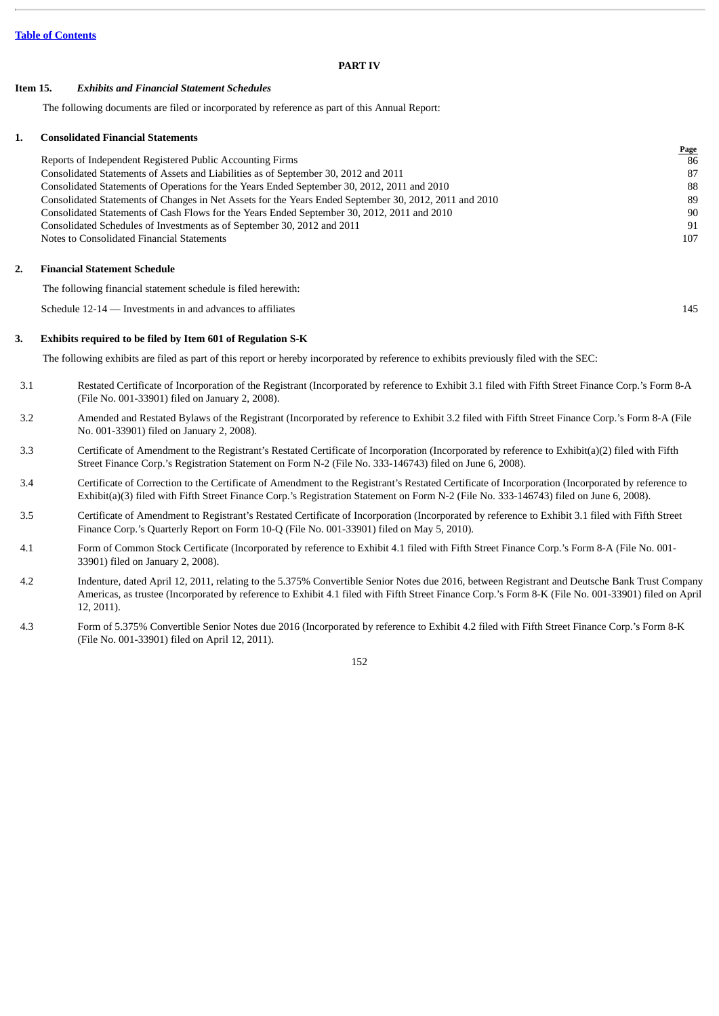## **PART IV**

# **Item 15.** *Exhibits and Financial Statement Schedules*

The following documents are filed or incorporated by reference as part of this Annual Report:

# **1. Consolidated Financial Statements**

|                                                                                                        | <b>Page</b> |
|--------------------------------------------------------------------------------------------------------|-------------|
| Reports of Independent Registered Public Accounting Firms                                              | 86          |
| Consolidated Statements of Assets and Liabilities as of September 30, 2012 and 2011                    | 87          |
| Consolidated Statements of Operations for the Years Ended September 30, 2012, 2011 and 2010            | 88          |
| Consolidated Statements of Changes in Net Assets for the Years Ended September 30, 2012, 2011 and 2010 | 89          |
| Consolidated Statements of Cash Flows for the Years Ended September 30, 2012, 2011 and 2010            | 90          |
| Consolidated Schedules of Investments as of September 30, 2012 and 2011                                | 91          |
| Notes to Consolidated Financial Statements                                                             | 107         |
|                                                                                                        |             |

# **2. Financial Statement Schedule**

The following financial statement schedule is filed herewith:

Schedule 12-14 — Investments in and advances to affiliates 145

## **3. Exhibits required to be filed by Item 601 of Regulation S-K**

The following exhibits are filed as part of this report or hereby incorporated by reference to exhibits previously filed with the SEC:

- 3.1 Restated Certificate of Incorporation of the Registrant (Incorporated by reference to Exhibit 3.1 filed with Fifth Street Finance Corp.'s Form 8-A (File No. 001-33901) filed on January 2, 2008).
- 3.2 Amended and Restated Bylaws of the Registrant (Incorporated by reference to Exhibit 3.2 filed with Fifth Street Finance Corp.'s Form 8-A (File No. 001-33901) filed on January 2, 2008).
- 3.3 Certificate of Amendment to the Registrant's Restated Certificate of Incorporation (Incorporated by reference to Exhibit(a)(2) filed with Fifth Street Finance Corp.'s Registration Statement on Form N-2 (File No. 333-146743) filed on June 6, 2008).
- 3.4 Certificate of Correction to the Certificate of Amendment to the Registrant's Restated Certificate of Incorporation (Incorporated by reference to Exhibit(a)(3) filed with Fifth Street Finance Corp.'s Registration Statement on Form N-2 (File No. 333-146743) filed on June 6, 2008).
- 3.5 Certificate of Amendment to Registrant's Restated Certificate of Incorporation (Incorporated by reference to Exhibit 3.1 filed with Fifth Street Finance Corp.'s Quarterly Report on Form 10-Q (File No. 001-33901) filed on May 5, 2010).
- 4.1 Form of Common Stock Certificate (Incorporated by reference to Exhibit 4.1 filed with Fifth Street Finance Corp.'s Form 8-A (File No. 001- 33901) filed on January 2, 2008).
- 4.2 Indenture, dated April 12, 2011, relating to the 5.375% Convertible Senior Notes due 2016, between Registrant and Deutsche Bank Trust Company Americas, as trustee (Incorporated by reference to Exhibit 4.1 filed with Fifth Street Finance Corp.'s Form 8-K (File No. 001-33901) filed on April 12, 2011).
- 4.3 Form of 5.375% Convertible Senior Notes due 2016 (Incorporated by reference to Exhibit 4.2 filed with Fifth Street Finance Corp.'s Form 8-K (File No. 001-33901) filed on April 12, 2011).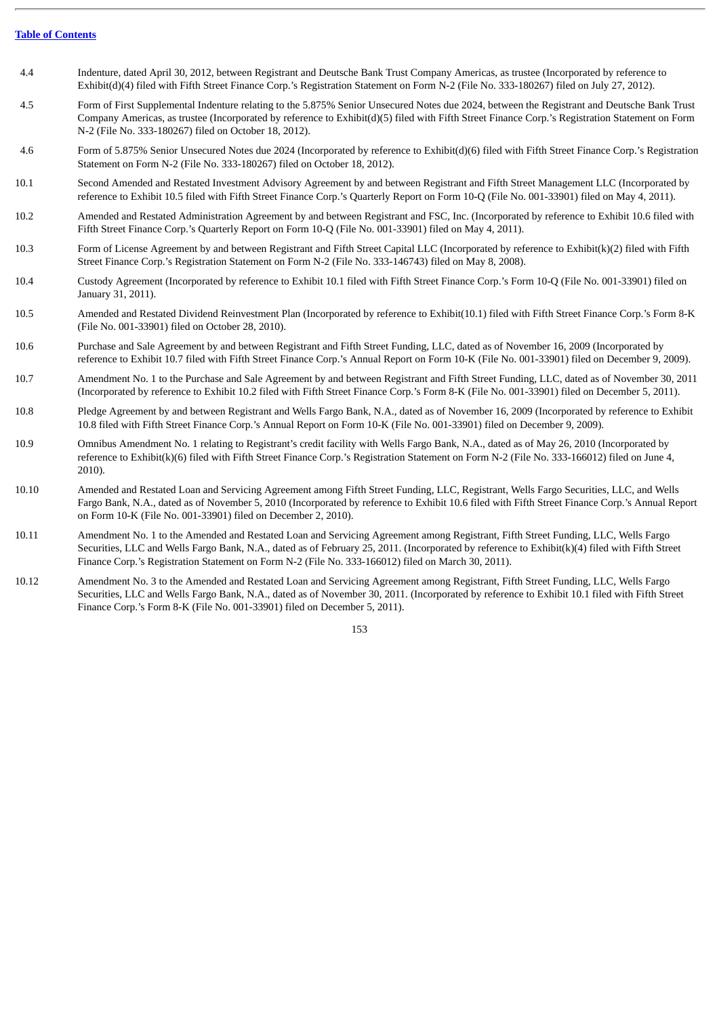- 4.4 Indenture, dated April 30, 2012, between Registrant and Deutsche Bank Trust Company Americas, as trustee (Incorporated by reference to Exhibit(d)(4) filed with Fifth Street Finance Corp.'s Registration Statement on Form N-2 (File No. 333-180267) filed on July 27, 2012).
- 4.5 Form of First Supplemental Indenture relating to the 5.875% Senior Unsecured Notes due 2024, between the Registrant and Deutsche Bank Trust Company Americas, as trustee (Incorporated by reference to Exhibit(d)(5) filed with Fifth Street Finance Corp.'s Registration Statement on Form N-2 (File No. 333-180267) filed on October 18, 2012).
- 4.6 Form of 5.875% Senior Unsecured Notes due 2024 (Incorporated by reference to Exhibit(d)(6) filed with Fifth Street Finance Corp.'s Registration Statement on Form N-2 (File No. 333-180267) filed on October 18, 2012).
- 10.1 Second Amended and Restated Investment Advisory Agreement by and between Registrant and Fifth Street Management LLC (Incorporated by reference to Exhibit 10.5 filed with Fifth Street Finance Corp.'s Quarterly Report on Form 10-Q (File No. 001-33901) filed on May 4, 2011).
- 10.2 Amended and Restated Administration Agreement by and between Registrant and FSC, Inc. (Incorporated by reference to Exhibit 10.6 filed with Fifth Street Finance Corp.'s Quarterly Report on Form 10-Q (File No. 001-33901) filed on May 4, 2011).
- 10.3 Form of License Agreement by and between Registrant and Fifth Street Capital LLC (Incorporated by reference to Exhibit(k)(2) filed with Fifth Street Finance Corp.'s Registration Statement on Form N-2 (File No. 333-146743) filed on May 8, 2008).
- 10.4 Custody Agreement (Incorporated by reference to Exhibit 10.1 filed with Fifth Street Finance Corp.'s Form 10-Q (File No. 001-33901) filed on January 31, 2011).
- 10.5 Amended and Restated Dividend Reinvestment Plan (Incorporated by reference to Exhibit(10.1) filed with Fifth Street Finance Corp.'s Form 8-K (File No. 001-33901) filed on October 28, 2010).
- 10.6 Purchase and Sale Agreement by and between Registrant and Fifth Street Funding, LLC, dated as of November 16, 2009 (Incorporated by reference to Exhibit 10.7 filed with Fifth Street Finance Corp.'s Annual Report on Form 10-K (File No. 001-33901) filed on December 9, 2009).
- 10.7 Amendment No. 1 to the Purchase and Sale Agreement by and between Registrant and Fifth Street Funding, LLC, dated as of November 30, 2011 (Incorporated by reference to Exhibit 10.2 filed with Fifth Street Finance Corp.'s Form 8-K (File No. 001-33901) filed on December 5, 2011).
- 10.8 Pledge Agreement by and between Registrant and Wells Fargo Bank, N.A., dated as of November 16, 2009 (Incorporated by reference to Exhibit 10.8 filed with Fifth Street Finance Corp.'s Annual Report on Form 10-K (File No. 001-33901) filed on December 9, 2009).
- 10.9 Omnibus Amendment No. 1 relating to Registrant's credit facility with Wells Fargo Bank, N.A., dated as of May 26, 2010 (Incorporated by reference to Exhibit(k)(6) filed with Fifth Street Finance Corp.'s Registration Statement on Form N-2 (File No. 333-166012) filed on June 4, 2010).
- 10.10 Amended and Restated Loan and Servicing Agreement among Fifth Street Funding, LLC, Registrant, Wells Fargo Securities, LLC, and Wells Fargo Bank, N.A., dated as of November 5, 2010 (Incorporated by reference to Exhibit 10.6 filed with Fifth Street Finance Corp.'s Annual Report on Form 10-K (File No. 001-33901) filed on December 2, 2010).
- 10.11 Amendment No. 1 to the Amended and Restated Loan and Servicing Agreement among Registrant, Fifth Street Funding, LLC, Wells Fargo Securities, LLC and Wells Fargo Bank, N.A., dated as of February 25, 2011. (Incorporated by reference to Exhibit(k)(4) filed with Fifth Street Finance Corp.'s Registration Statement on Form N-2 (File No. 333-166012) filed on March 30, 2011).
- 10.12 Amendment No. 3 to the Amended and Restated Loan and Servicing Agreement among Registrant, Fifth Street Funding, LLC, Wells Fargo Securities, LLC and Wells Fargo Bank, N.A., dated as of November 30, 2011. (Incorporated by reference to Exhibit 10.1 filed with Fifth Street Finance Corp.'s Form 8-K (File No. 001-33901) filed on December 5, 2011).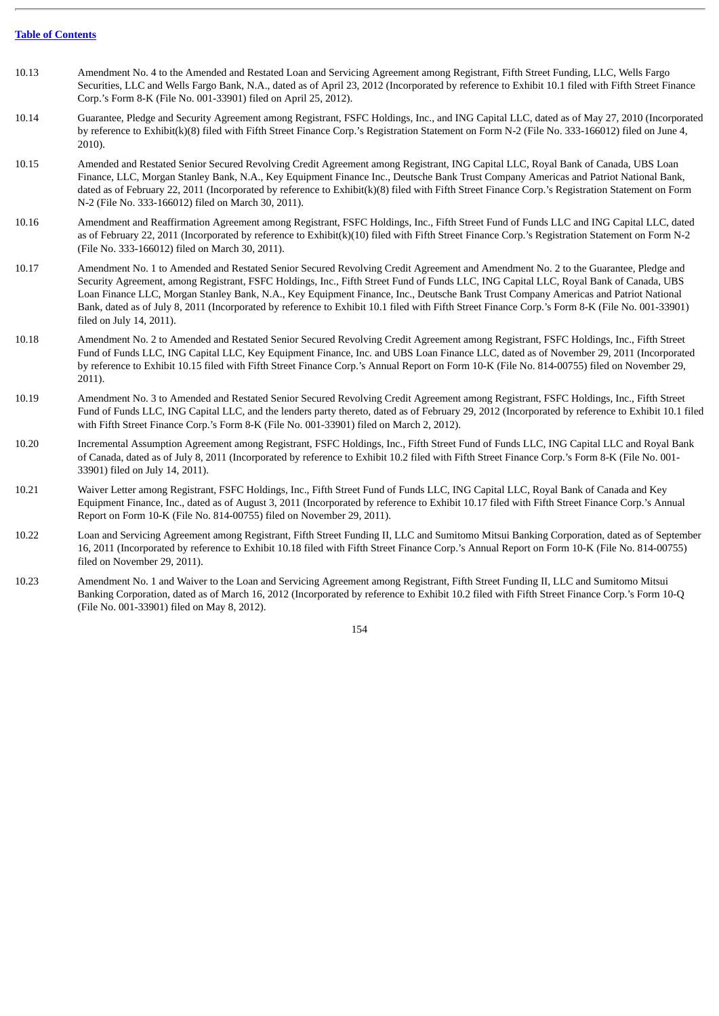- 10.13 Amendment No. 4 to the Amended and Restated Loan and Servicing Agreement among Registrant, Fifth Street Funding, LLC, Wells Fargo Securities, LLC and Wells Fargo Bank, N.A., dated as of April 23, 2012 (Incorporated by reference to Exhibit 10.1 filed with Fifth Street Finance Corp.'s Form 8-K (File No. 001-33901) filed on April 25, 2012).
- 10.14 Guarantee, Pledge and Security Agreement among Registrant, FSFC Holdings, Inc., and ING Capital LLC, dated as of May 27, 2010 (Incorporated by reference to Exhibit(k)(8) filed with Fifth Street Finance Corp.'s Registration Statement on Form N-2 (File No. 333-166012) filed on June 4, 2010).
- 10.15 Amended and Restated Senior Secured Revolving Credit Agreement among Registrant, ING Capital LLC, Royal Bank of Canada, UBS Loan Finance, LLC, Morgan Stanley Bank, N.A., Key Equipment Finance Inc., Deutsche Bank Trust Company Americas and Patriot National Bank, dated as of February 22, 2011 (Incorporated by reference to Exhibit(k)(8) filed with Fifth Street Finance Corp.'s Registration Statement on Form N-2 (File No. 333-166012) filed on March 30, 2011).
- 10.16 Amendment and Reaffirmation Agreement among Registrant, FSFC Holdings, Inc., Fifth Street Fund of Funds LLC and ING Capital LLC, dated as of February 22, 2011 (Incorporated by reference to Exhibit(k)(10) filed with Fifth Street Finance Corp.'s Registration Statement on Form N-2 (File No. 333-166012) filed on March 30, 2011).
- 10.17 Amendment No. 1 to Amended and Restated Senior Secured Revolving Credit Agreement and Amendment No. 2 to the Guarantee, Pledge and Security Agreement, among Registrant, FSFC Holdings, Inc., Fifth Street Fund of Funds LLC, ING Capital LLC, Royal Bank of Canada, UBS Loan Finance LLC, Morgan Stanley Bank, N.A., Key Equipment Finance, Inc., Deutsche Bank Trust Company Americas and Patriot National Bank, dated as of July 8, 2011 (Incorporated by reference to Exhibit 10.1 filed with Fifth Street Finance Corp.'s Form 8-K (File No. 001-33901) filed on July 14, 2011).
- 10.18 Amendment No. 2 to Amended and Restated Senior Secured Revolving Credit Agreement among Registrant, FSFC Holdings, Inc., Fifth Street Fund of Funds LLC, ING Capital LLC, Key Equipment Finance, Inc. and UBS Loan Finance LLC, dated as of November 29, 2011 (Incorporated by reference to Exhibit 10.15 filed with Fifth Street Finance Corp.'s Annual Report on Form 10-K (File No. 814-00755) filed on November 29, 2011).
- 10.19 Amendment No. 3 to Amended and Restated Senior Secured Revolving Credit Agreement among Registrant, FSFC Holdings, Inc., Fifth Street Fund of Funds LLC, ING Capital LLC, and the lenders party thereto, dated as of February 29, 2012 (Incorporated by reference to Exhibit 10.1 filed with Fifth Street Finance Corp.'s Form 8-K (File No. 001-33901) filed on March 2, 2012).
- 10.20 Incremental Assumption Agreement among Registrant, FSFC Holdings, Inc., Fifth Street Fund of Funds LLC, ING Capital LLC and Royal Bank of Canada, dated as of July 8, 2011 (Incorporated by reference to Exhibit 10.2 filed with Fifth Street Finance Corp.'s Form 8-K (File No. 001- 33901) filed on July 14, 2011).
- 10.21 Waiver Letter among Registrant, FSFC Holdings, Inc., Fifth Street Fund of Funds LLC, ING Capital LLC, Royal Bank of Canada and Key Equipment Finance, Inc., dated as of August 3, 2011 (Incorporated by reference to Exhibit 10.17 filed with Fifth Street Finance Corp.'s Annual Report on Form 10-K (File No. 814-00755) filed on November 29, 2011).
- 10.22 Loan and Servicing Agreement among Registrant, Fifth Street Funding II, LLC and Sumitomo Mitsui Banking Corporation, dated as of September 16, 2011 (Incorporated by reference to Exhibit 10.18 filed with Fifth Street Finance Corp.'s Annual Report on Form 10-K (File No. 814-00755) filed on November 29, 2011).
- 10.23 Amendment No. 1 and Waiver to the Loan and Servicing Agreement among Registrant, Fifth Street Funding II, LLC and Sumitomo Mitsui Banking Corporation, dated as of March 16, 2012 (Incorporated by reference to Exhibit 10.2 filed with Fifth Street Finance Corp.'s Form 10-Q (File No. 001-33901) filed on May 8, 2012).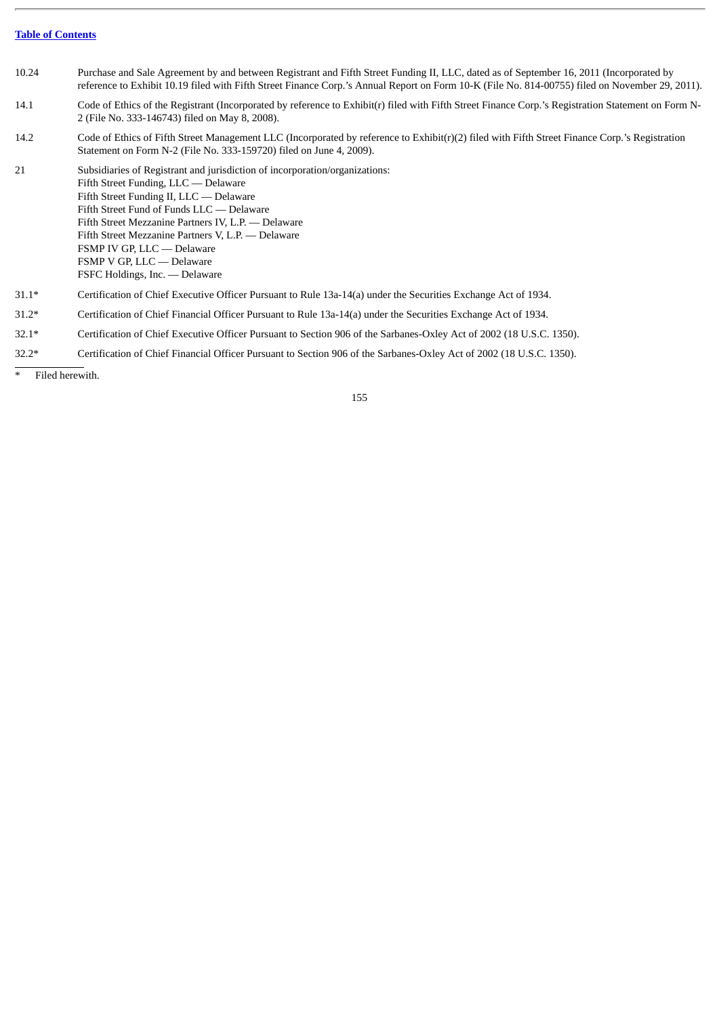- 10.24 Purchase and Sale Agreement by and between Registrant and Fifth Street Funding II, LLC, dated as of September 16, 2011 (Incorporated by reference to Exhibit 10.19 filed with Fifth Street Finance Corp.'s Annual Report on Form 10-K (File No. 814-00755) filed on November 29, 2011).
- 14.1 Code of Ethics of the Registrant (Incorporated by reference to Exhibit(r) filed with Fifth Street Finance Corp.'s Registration Statement on Form N-2 (File No. 333-146743) filed on May 8, 2008).
- 14.2 Code of Ethics of Fifth Street Management LLC (Incorporated by reference to Exhibit(r)(2) filed with Fifth Street Finance Corp.'s Registration Statement on Form N-2 (File No. 333-159720) filed on June 4, 2009).
- 21 Subsidiaries of Registrant and jurisdiction of incorporation/organizations: Fifth Street Funding, LLC — Delaware Fifth Street Funding II, LLC — Delaware Fifth Street Fund of Funds LLC — Delaware Fifth Street Mezzanine Partners IV, L.P. — Delaware Fifth Street Mezzanine Partners V, L.P. — Delaware FSMP IV GP, LLC — Delaware FSMP V GP, LLC — Delaware FSFC Holdings, Inc. — Delaware
- 31.1\* Certification of Chief Executive Officer Pursuant to Rule 13a-14(a) under the Securities Exchange Act of 1934.
- 31.2\* Certification of Chief Financial Officer Pursuant to Rule 13a-14(a) under the Securities Exchange Act of 1934.
- 32.1\* Certification of Chief Executive Officer Pursuant to Section 906 of the Sarbanes-Oxley Act of 2002 (18 U.S.C. 1350).
- 32.2\* Certification of Chief Financial Officer Pursuant to Section 906 of the Sarbanes-Oxley Act of 2002 (18 U.S.C. 1350).
- Filed herewith.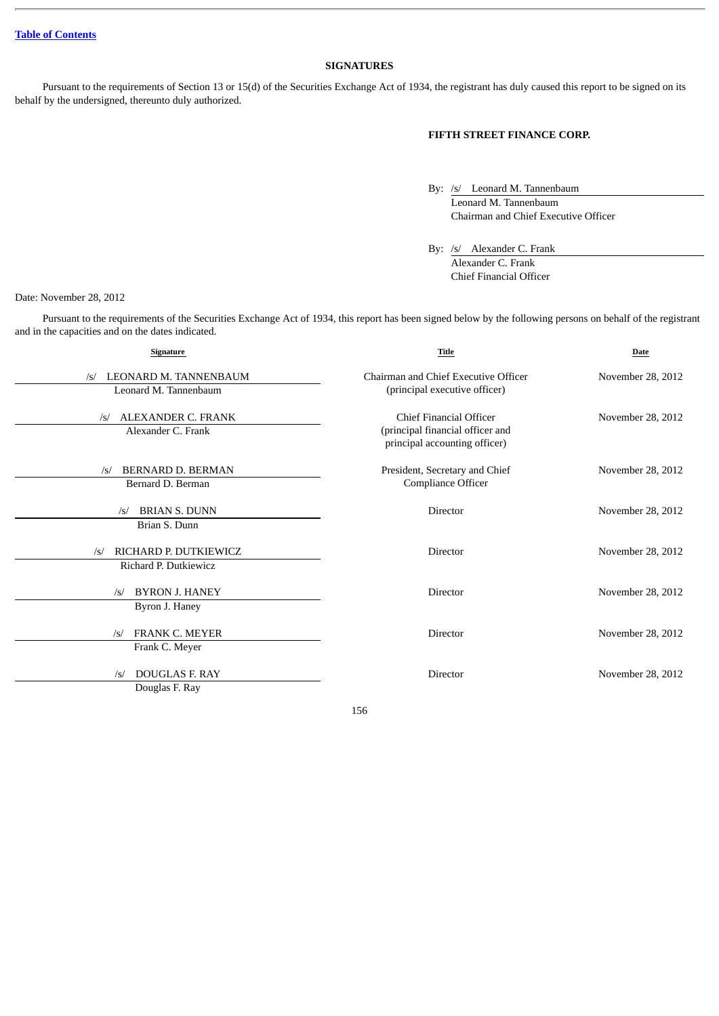# **SIGNATURES**

Pursuant to the requirements of Section 13 or 15(d) of the Securities Exchange Act of 1934, the registrant has duly caused this report to be signed on its behalf by the undersigned, thereunto duly authorized.

## **FIFTH STREET FINANCE CORP.**

By: /s/ Leonard M. Tannenbaum Leonard M. Tannenbaum Chairman and Chief Executive Officer

By: /s/ Alexander C. Frank Alexander C. Frank Chief Financial Officer

Date: November 28, 2012

Pursuant to the requirements of the Securities Exchange Act of 1934, this report has been signed below by the following persons on behalf of the registrant and in the capacities and on the dates indicated.

| Signature                                                   | <b>Title</b>                                                                                 | Date              |  |
|-------------------------------------------------------------|----------------------------------------------------------------------------------------------|-------------------|--|
| LEONARD M. TANNENBAUM<br>/s/<br>Leonard M. Tannenbaum       | Chairman and Chief Executive Officer<br>(principal executive officer)                        | November 28, 2012 |  |
| ALEXANDER C. FRANK<br>$\sqrt{s}$<br>Alexander C. Frank      | Chief Financial Officer<br>(principal financial officer and<br>principal accounting officer) | November 28, 2012 |  |
| <b>BERNARD D. BERMAN</b><br>$\sqrt{s}$<br>Bernard D. Berman | President, Secretary and Chief<br>Compliance Officer                                         | November 28, 2012 |  |
| <b>BRIAN S. DUNN</b><br>$\sqrt{s}$<br>Brian S. Dunn         | Director                                                                                     | November 28, 2012 |  |
| RICHARD P. DUTKIEWICZ<br>/s/<br>Richard P. Dutkiewicz       | <b>Director</b>                                                                              | November 28, 2012 |  |
| <b>BYRON J. HANEY</b><br>/s/<br>Byron J. Haney              | Director                                                                                     | November 28, 2012 |  |
| <b>FRANK C. MEYER</b><br>$\sqrt{s}$<br>Frank C. Meyer       | Director                                                                                     | November 28, 2012 |  |
| <b>DOUGLAS F. RAY</b><br>/s/<br>Douglas F. Ray              | <b>Director</b>                                                                              | November 28, 2012 |  |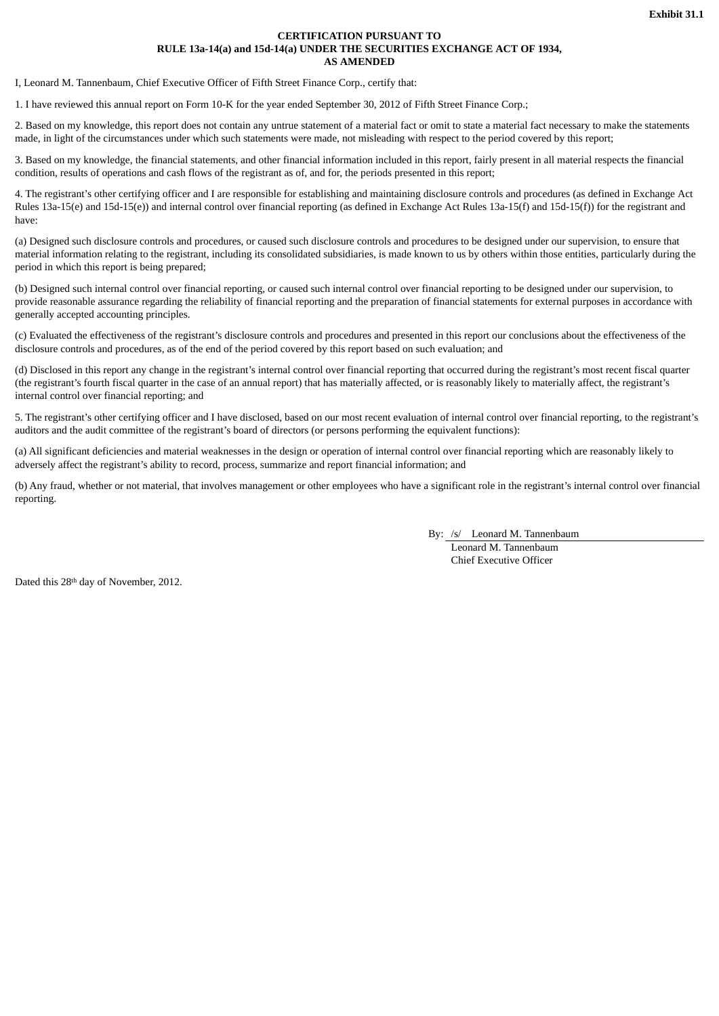## **CERTIFICATION PURSUANT TO RULE 13a-14(a) and 15d-14(a) UNDER THE SECURITIES EXCHANGE ACT OF 1934, AS AMENDED**

I, Leonard M. Tannenbaum, Chief Executive Officer of Fifth Street Finance Corp., certify that:

1. I have reviewed this annual report on Form 10-K for the year ended September 30, 2012 of Fifth Street Finance Corp.;

2. Based on my knowledge, this report does not contain any untrue statement of a material fact or omit to state a material fact necessary to make the statements made, in light of the circumstances under which such statements were made, not misleading with respect to the period covered by this report;

3. Based on my knowledge, the financial statements, and other financial information included in this report, fairly present in all material respects the financial condition, results of operations and cash flows of the registrant as of, and for, the periods presented in this report;

4. The registrant's other certifying officer and I are responsible for establishing and maintaining disclosure controls and procedures (as defined in Exchange Act Rules 13a-15(e) and 15d-15(e)) and internal control over financial reporting (as defined in Exchange Act Rules 13a-15(f) and 15d-15(f)) for the registrant and have:

(a) Designed such disclosure controls and procedures, or caused such disclosure controls and procedures to be designed under our supervision, to ensure that material information relating to the registrant, including its consolidated subsidiaries, is made known to us by others within those entities, particularly during the period in which this report is being prepared;

(b) Designed such internal control over financial reporting, or caused such internal control over financial reporting to be designed under our supervision, to provide reasonable assurance regarding the reliability of financial reporting and the preparation of financial statements for external purposes in accordance with generally accepted accounting principles.

(c) Evaluated the effectiveness of the registrant's disclosure controls and procedures and presented in this report our conclusions about the effectiveness of the disclosure controls and procedures, as of the end of the period covered by this report based on such evaluation; and

(d) Disclosed in this report any change in the registrant's internal control over financial reporting that occurred during the registrant's most recent fiscal quarter (the registrant's fourth fiscal quarter in the case of an annual report) that has materially affected, or is reasonably likely to materially affect, the registrant's internal control over financial reporting; and

5. The registrant's other certifying officer and I have disclosed, based on our most recent evaluation of internal control over financial reporting, to the registrant's auditors and the audit committee of the registrant's board of directors (or persons performing the equivalent functions):

(a) All significant deficiencies and material weaknesses in the design or operation of internal control over financial reporting which are reasonably likely to adversely affect the registrant's ability to record, process, summarize and report financial information; and

(b) Any fraud, whether or not material, that involves management or other employees who have a significant role in the registrant's internal control over financial reporting.

By: /s/ Leonard M. Tannenbaum

Leonard M. Tannenbaum Chief Executive Officer

Dated this 28th day of November, 2012.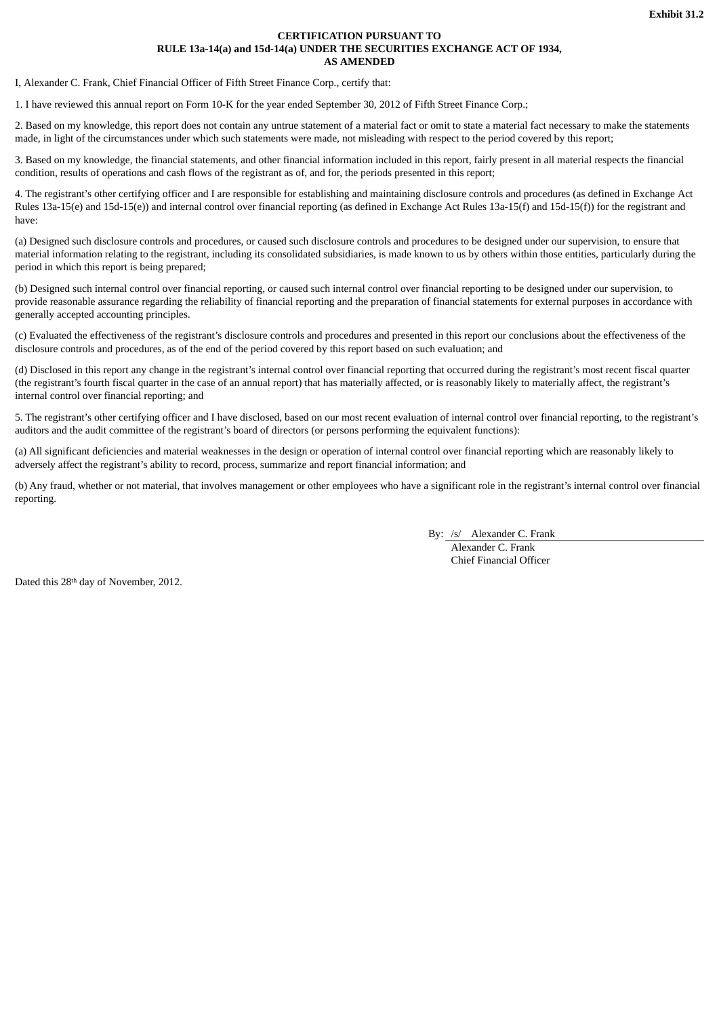### **CERTIFICATION PURSUANT TO RULE 13a-14(a) and 15d-14(a) UNDER THE SECURITIES EXCHANGE ACT OF 1934, AS AMENDED**

I, Alexander C. Frank, Chief Financial Officer of Fifth Street Finance Corp., certify that:

1. I have reviewed this annual report on Form 10-K for the year ended September 30, 2012 of Fifth Street Finance Corp.;

2. Based on my knowledge, this report does not contain any untrue statement of a material fact or omit to state a material fact necessary to make the statements made, in light of the circumstances under which such statements were made, not misleading with respect to the period covered by this report;

3. Based on my knowledge, the financial statements, and other financial information included in this report, fairly present in all material respects the financial condition, results of operations and cash flows of the registrant as of, and for, the periods presented in this report;

4. The registrant's other certifying officer and I are responsible for establishing and maintaining disclosure controls and procedures (as defined in Exchange Act Rules 13a-15(e) and 15d-15(e)) and internal control over financial reporting (as defined in Exchange Act Rules 13a-15(f) and 15d-15(f)) for the registrant and have:

(a) Designed such disclosure controls and procedures, or caused such disclosure controls and procedures to be designed under our supervision, to ensure that material information relating to the registrant, including its consolidated subsidiaries, is made known to us by others within those entities, particularly during the period in which this report is being prepared;

(b) Designed such internal control over financial reporting, or caused such internal control over financial reporting to be designed under our supervision, to provide reasonable assurance regarding the reliability of financial reporting and the preparation of financial statements for external purposes in accordance with generally accepted accounting principles.

(c) Evaluated the effectiveness of the registrant's disclosure controls and procedures and presented in this report our conclusions about the effectiveness of the disclosure controls and procedures, as of the end of the period covered by this report based on such evaluation; and

(d) Disclosed in this report any change in the registrant's internal control over financial reporting that occurred during the registrant's most recent fiscal quarter (the registrant's fourth fiscal quarter in the case of an annual report) that has materially affected, or is reasonably likely to materially affect, the registrant's internal control over financial reporting; and

5. The registrant's other certifying officer and I have disclosed, based on our most recent evaluation of internal control over financial reporting, to the registrant's auditors and the audit committee of the registrant's board of directors (or persons performing the equivalent functions):

(a) All significant deficiencies and material weaknesses in the design or operation of internal control over financial reporting which are reasonably likely to adversely affect the registrant's ability to record, process, summarize and report financial information; and

(b) Any fraud, whether or not material, that involves management or other employees who have a significant role in the registrant's internal control over financial reporting.

By: /s/ Alexander C. Frank

Alexander C. Frank Chief Financial Officer

Dated this 28th day of November, 2012.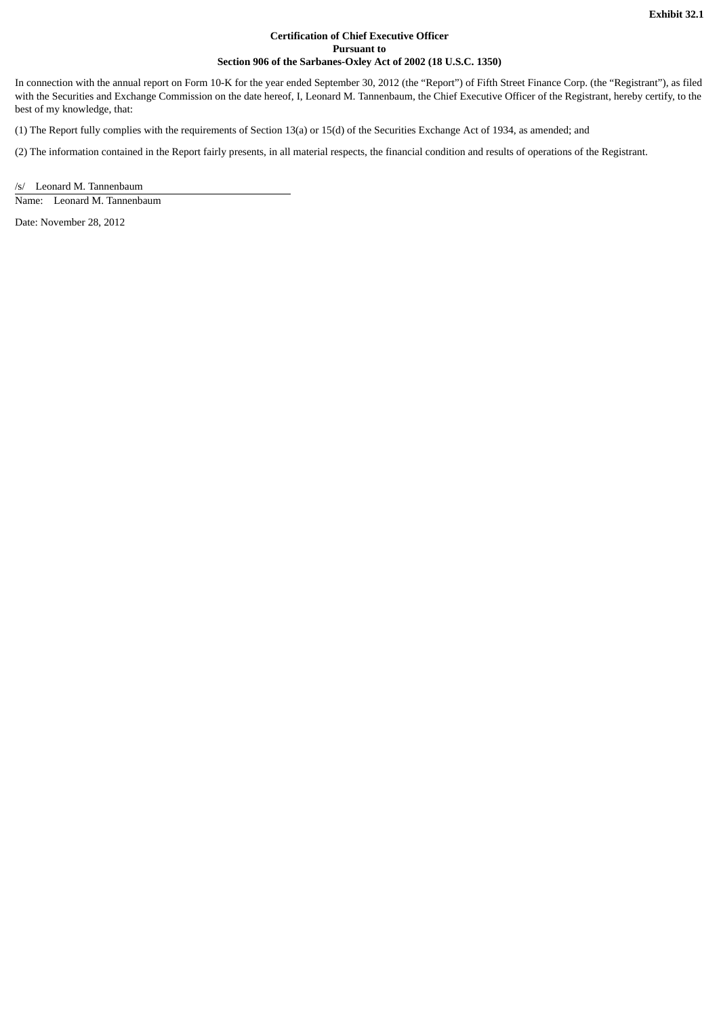## **Certification of Chief Executive Officer Pursuant to Section 906 of the Sarbanes-Oxley Act of 2002 (18 U.S.C. 1350)**

In connection with the annual report on Form 10-K for the year ended September 30, 2012 (the "Report") of Fifth Street Finance Corp. (the "Registrant"), as filed with the Securities and Exchange Commission on the date hereof, I, Leonard M. Tannenbaum, the Chief Executive Officer of the Registrant, hereby certify, to the best of my knowledge, that:

(1) The Report fully complies with the requirements of Section 13(a) or 15(d) of the Securities Exchange Act of 1934, as amended; and

(2) The information contained in the Report fairly presents, in all material respects, the financial condition and results of operations of the Registrant.

/s/ Leonard M. Tannenbaum

Name: Leonard M. Tannenbaum

Date: November 28, 2012